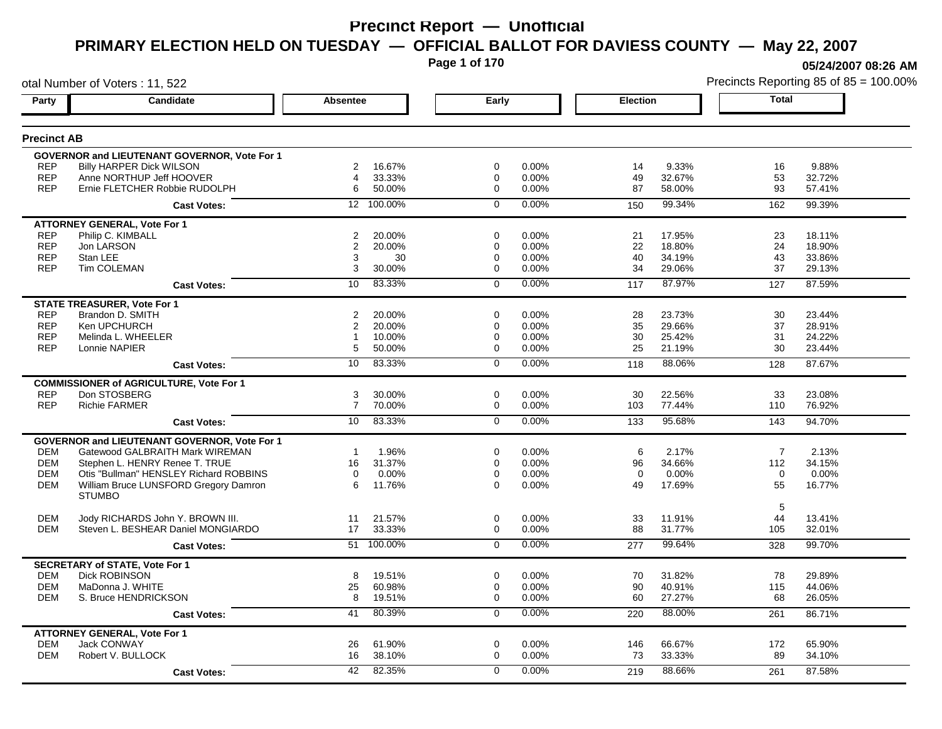**Page 1 of 170**

**05/24/2007 08:26 AM**

| otal Number of Voters: 11, 522 |                                                                        |                 |                  |                |                |                 | Precincts Reporting 85 of 85 = 100.009 |                |                  |
|--------------------------------|------------------------------------------------------------------------|-----------------|------------------|----------------|----------------|-----------------|----------------------------------------|----------------|------------------|
| Party                          | <b>Candidate</b>                                                       | <b>Absentee</b> |                  | Early          |                | <b>Election</b> |                                        | <b>Total</b>   |                  |
| <b>Precinct AB</b>             |                                                                        |                 |                  |                |                |                 |                                        |                |                  |
|                                | <b>GOVERNOR and LIEUTENANT GOVERNOR, Vote For 1</b>                    |                 |                  |                |                |                 |                                        |                |                  |
| <b>REP</b>                     | <b>Billy HARPER Dick WILSON</b>                                        | 2               | 16.67%           | $\mathbf 0$    | 0.00%          | 14              | 9.33%                                  | 16             | 9.88%            |
| <b>REP</b>                     | Anne NORTHUP Jeff HOOVER                                               | $\overline{4}$  | 33.33%           | $\mathbf 0$    | 0.00%          | 49              | 32.67%                                 | 53             | 32.72%           |
| <b>REP</b>                     | Ernie FLETCHER Robbie RUDOLPH                                          | 6               | 50.00%           | $\mathbf 0$    | 0.00%          | 87              | 58.00%                                 | 93             | 57.41%           |
|                                | <b>Cast Votes:</b>                                                     |                 | 12 100.00%       | $\Omega$       | 0.00%          | 150             | 99.34%                                 | 162            | 99.39%           |
|                                | <b>ATTORNEY GENERAL, Vote For 1</b>                                    |                 |                  |                |                |                 |                                        |                |                  |
| <b>REP</b>                     | Philip C. KIMBALL                                                      | $\overline{2}$  | 20.00%           | $\mathbf 0$    | 0.00%          | 21              | 17.95%                                 | 23             | 18.11%           |
| <b>REP</b>                     | Jon LARSON                                                             | $\overline{2}$  | 20.00%           | 0              | 0.00%          | 22              | 18.80%                                 | 24             | 18.90%           |
| <b>REP</b>                     | Stan LEE                                                               | 3               | 30               | $\mathbf 0$    | 0.00%          | 40              | 34.19%                                 | 43             | 33.86%           |
| <b>REP</b>                     | Tim COLEMAN                                                            | 3               | 30.00%           | 0              | 0.00%          | 34              | 29.06%                                 | 37             | 29.13%           |
|                                | <b>Cast Votes:</b>                                                     | 10              | 83.33%           | $\mathbf 0$    | 0.00%          | 117             | 87.97%                                 | 127            | 87.59%           |
|                                | <b>STATE TREASURER, Vote For 1</b>                                     |                 |                  |                |                |                 |                                        |                |                  |
| <b>REP</b>                     | Brandon D. SMITH                                                       | 2               | 20.00%           | $\mathbf 0$    | 0.00%          | 28              | 23.73%                                 | 30             | 23.44%           |
| <b>REP</b>                     | Ken UPCHURCH                                                           | 2               | 20.00%           | $\mathbf 0$    | 0.00%          | 35              | 29.66%                                 | 37             | 28.91%           |
| <b>REP</b>                     | Melinda L. WHEELER                                                     | $\mathbf{1}$    | 10.00%           | 0              | 0.00%          | 30              | 25.42%                                 | 31             | 24.22%           |
| <b>REP</b>                     | Lonnie NAPIER                                                          | 5               | 50.00%           | $\mathbf 0$    | 0.00%          | 25              | 21.19%                                 | 30             | 23.44%           |
|                                | <b>Cast Votes:</b>                                                     | 10              | 83.33%           | $\overline{0}$ | 0.00%          | 118             | 88.06%                                 | 128            | 87.67%           |
|                                | <b>COMMISSIONER of AGRICULTURE, Vote For 1</b>                         |                 |                  |                |                |                 |                                        |                |                  |
| <b>REP</b>                     | Don STOSBERG                                                           | 3               | 30.00%           | 0              | 0.00%          | 30              | 22.56%                                 | 33             | 23.08%           |
| <b>REP</b>                     | <b>Richie FARMER</b>                                                   | $\overline{7}$  | 70.00%           | 0              | 0.00%          | 103             | 77.44%                                 | 110            | 76.92%           |
|                                | <b>Cast Votes:</b>                                                     | 10              | 83.33%           | $\mathbf 0$    | 0.00%          | 133             | 95.68%                                 | 143            | 94.70%           |
|                                | <b>GOVERNOR and LIEUTENANT GOVERNOR, Vote For 1</b>                    |                 |                  |                |                |                 |                                        |                |                  |
| <b>DEM</b>                     | Gatewood GALBRAITH Mark WIREMAN                                        | $\mathbf{1}$    | 1.96%            | $\mathbf 0$    | 0.00%          | 6               | 2.17%                                  | $\overline{7}$ | 2.13%            |
| <b>DEM</b>                     | Stephen L. HENRY Renee T. TRUE                                         | 16              | 31.37%           | $\mathbf 0$    | 0.00%          | 96              | 34.66%                                 | 112            | 34.15%           |
| <b>DEM</b>                     | Otis "Bullman" HENSLEY Richard ROBBINS                                 | $\mathbf 0$     | 0.00%            | $\mathbf 0$    | 0.00%          | $\mathbf 0$     | 0.00%                                  | $\mathbf 0$    | 0.00%            |
| <b>DEM</b>                     | William Bruce LUNSFORD Gregory Damron                                  | 6               | 11.76%           | $\Omega$       | 0.00%          | 49              | 17.69%                                 | 55             | 16.77%           |
|                                | <b>STUMBO</b>                                                          |                 |                  |                |                |                 |                                        |                |                  |
|                                |                                                                        |                 |                  |                |                |                 |                                        | 5              |                  |
| <b>DEM</b><br><b>DEM</b>       | Jody RICHARDS John Y. BROWN III.<br>Steven L. BESHEAR Daniel MONGIARDO | 11<br>17        | 21.57%<br>33.33% | $\mathbf 0$    | 0.00%<br>0.00% | 33<br>88        | 11.91%<br>31.77%                       | 44             | 13.41%<br>32.01% |
|                                |                                                                        |                 |                  | 0              |                |                 |                                        | 105            |                  |
|                                | <b>Cast Votes:</b>                                                     | 51              | 100.00%          | $\mathbf 0$    | 0.00%          | 277             | 99.64%                                 | 328            | 99.70%           |
|                                | <b>SECRETARY of STATE, Vote For 1</b>                                  |                 |                  |                |                |                 |                                        |                |                  |
| <b>DEM</b>                     | <b>Dick ROBINSON</b>                                                   | 8               | 19.51%           | $\mathbf 0$    | 0.00%          | 70              | 31.82%                                 | 78             | 29.89%           |
| <b>DEM</b>                     | MaDonna J. WHITE                                                       | 25              | 60.98%           | $\mathbf 0$    | 0.00%          | 90              | 40.91%                                 | 115            | 44.06%           |
| <b>DEM</b>                     | S. Bruce HENDRICKSON                                                   | 8               | 19.51%           | $\mathbf 0$    | 0.00%          | 60              | 27.27%                                 | 68             | 26.05%           |
|                                | <b>Cast Votes:</b>                                                     | 41              | 80.39%           | $\overline{0}$ | 0.00%          | 220             | 88.00%                                 | 261            | 86.71%           |
|                                | <b>ATTORNEY GENERAL, Vote For 1</b>                                    |                 |                  |                |                |                 |                                        |                |                  |
| <b>DEM</b>                     | Jack CONWAY                                                            | 26              | 61.90%           | 0              | 0.00%          | 146             | 66.67%                                 | 172            | 65.90%           |
| <b>DEM</b>                     | Robert V. BULLOCK                                                      | 16              | 38.10%           | $\mathbf 0$    | 0.00%          | 73              | 33.33%                                 | 89             | 34.10%           |
|                                | <b>Cast Votes:</b>                                                     | 42              | 82.35%           | $\Omega$       | 0.00%          | 219             | 88.66%                                 | 261            | 87.58%           |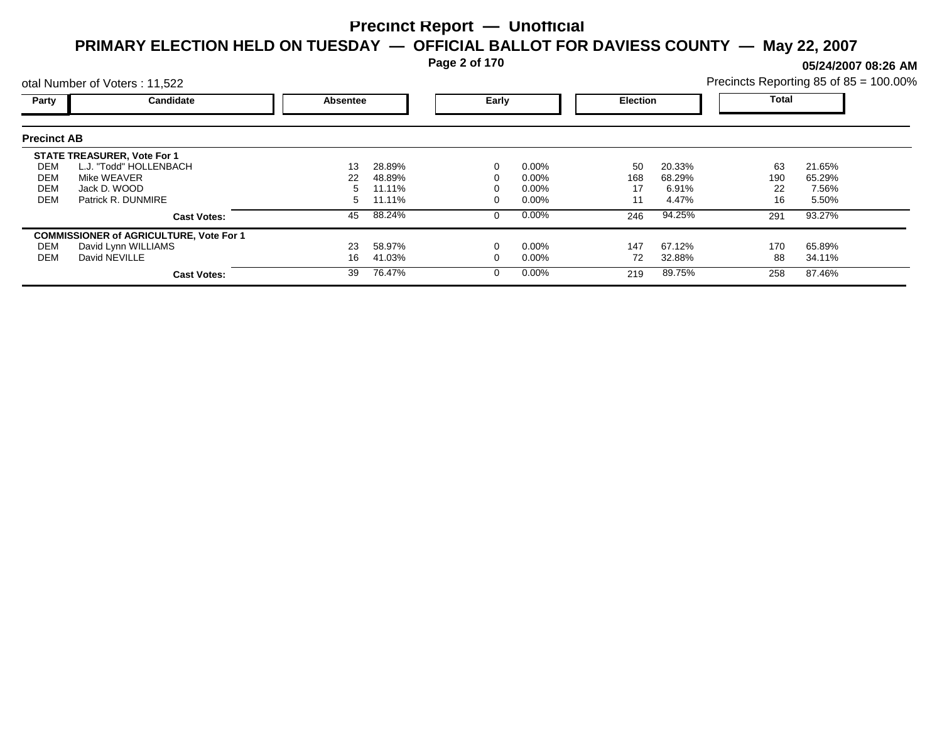**Page 2 of 170**

**05/24/2007 08:26 AM**

|                    | otal Number of Voters: 11,522                  |                 |        |       |          |                 |        | Precincts Reporting 85 of 85 = 100.00% |        |  |
|--------------------|------------------------------------------------|-----------------|--------|-------|----------|-----------------|--------|----------------------------------------|--------|--|
| <b>Party</b>       | <b>Candidate</b>                               | <b>Absentee</b> |        | Early |          | <b>Election</b> |        | <b>Total</b>                           |        |  |
| <b>Precinct AB</b> |                                                |                 |        |       |          |                 |        |                                        |        |  |
|                    | <b>STATE TREASURER, Vote For 1</b>             |                 |        |       |          |                 |        |                                        |        |  |
| DEM                | L.J. "Todd" HOLLENBACH                         | 13              | 28.89% |       | $0.00\%$ | 50              | 20.33% | 63                                     | 21.65% |  |
| DEM                | Mike WEAVER                                    | 22              | 48.89% |       | $0.00\%$ | 168             | 68.29% | 190                                    | 65.29% |  |
| DEM                | Jack D. WOOD                                   |                 | 11.11% |       | $0.00\%$ | 17              | 6.91%  | 22                                     | 7.56%  |  |
| <b>DEM</b>         | Patrick R. DUNMIRE                             | 5               | 11.11% |       | $0.00\%$ | 11              | 4.47%  | 16                                     | 5.50%  |  |
|                    | <b>Cast Votes:</b>                             | 45              | 88.24% |       | $0.00\%$ | 246             | 94.25% | 291                                    | 93.27% |  |
|                    | <b>COMMISSIONER of AGRICULTURE, Vote For 1</b> |                 |        |       |          |                 |        |                                        |        |  |
| DEM                | David Lynn WILLIAMS                            | 23              | 58.97% |       | $0.00\%$ | 147             | 67.12% | 170                                    | 65.89% |  |
| DEM                | David NEVILLE                                  | 16              | 41.03% |       | $0.00\%$ | 72              | 32.88% | 88                                     | 34.11% |  |
|                    | <b>Cast Votes:</b>                             | 39              | 76.47% |       | $0.00\%$ | 219             | 89.75% | 258                                    | 87.46% |  |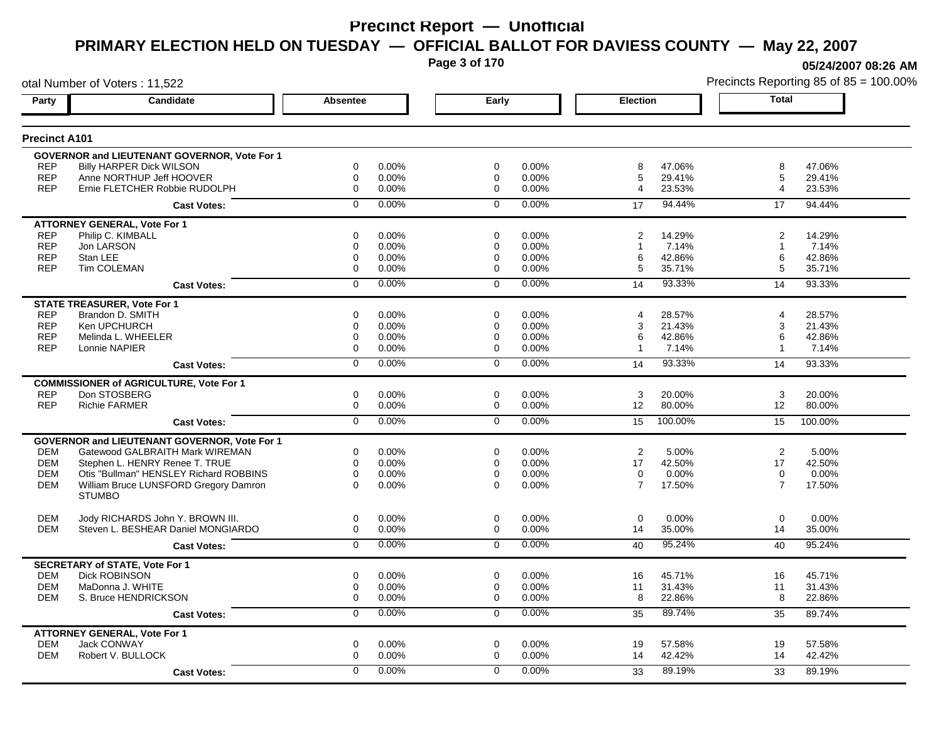**Page 3 of 170**

**05/24/2007 08:26 AM**

| otal Number of Voters: 11,522 |                                                |                 |       |                |       |                 | Precincts Reporting 85 of 85 = 100.009 |                |         |
|-------------------------------|------------------------------------------------|-----------------|-------|----------------|-------|-----------------|----------------------------------------|----------------|---------|
| Party                         | <b>Candidate</b>                               | <b>Absentee</b> |       | Early          |       | <b>Election</b> |                                        | <b>Total</b>   |         |
| <b>Precinct A101</b>          |                                                |                 |       |                |       |                 |                                        |                |         |
|                               | GOVERNOR and LIEUTENANT GOVERNOR, Vote For 1   |                 |       |                |       |                 |                                        |                |         |
| <b>REP</b>                    | Billy HARPER Dick WILSON                       | 0               | 0.00% | $\mathbf 0$    | 0.00% | 8               | 47.06%                                 | 8              | 47.06%  |
| <b>REP</b>                    | Anne NORTHUP Jeff HOOVER                       | $\mathbf 0$     | 0.00% | $\mathbf 0$    | 0.00% | 5               | 29.41%                                 | 5              | 29.41%  |
| <b>REP</b>                    | Ernie FLETCHER Robbie RUDOLPH                  | $\mathbf 0$     | 0.00% | $\Omega$       | 0.00% | 4               | 23.53%                                 | 4              | 23.53%  |
|                               | <b>Cast Votes:</b>                             | $\mathbf 0$     | 0.00% | $\mathbf 0$    | 0.00% | 17              | 94.44%                                 | 17             | 94.44%  |
|                               | <b>ATTORNEY GENERAL, Vote For 1</b>            |                 |       |                |       |                 |                                        |                |         |
| <b>REP</b>                    | Philip C. KIMBALL                              | 0               | 0.00% | 0              | 0.00% | 2               | 14.29%                                 | $\overline{2}$ | 14.29%  |
| <b>REP</b>                    | Jon LARSON                                     | 0               | 0.00% | 0              | 0.00% | $\mathbf{1}$    | 7.14%                                  | 1              | 7.14%   |
| <b>REP</b>                    | Stan LEE                                       | $\mathbf 0$     | 0.00% | 0              | 0.00% | 6               | 42.86%                                 | 6              | 42.86%  |
| <b>REP</b>                    | Tim COLEMAN                                    | 0               | 0.00% | $\mathbf 0$    | 0.00% | 5               | 35.71%                                 | 5              | 35.71%  |
|                               | <b>Cast Votes:</b>                             | $\mathbf 0$     | 0.00% | $\mathbf 0$    | 0.00% | 14              | 93.33%                                 | 14             | 93.33%  |
|                               | <b>STATE TREASURER, Vote For 1</b>             |                 |       |                |       |                 |                                        |                |         |
| <b>REP</b>                    | Brandon D. SMITH                               | 0               | 0.00% | $\Omega$       | 0.00% | 4               | 28.57%                                 | 4              | 28.57%  |
| <b>REP</b>                    | Ken UPCHURCH                                   | 0               | 0.00% | 0              | 0.00% | 3               | 21.43%                                 | 3              | 21.43%  |
| <b>REP</b>                    | Melinda L. WHEELER                             | $\mathbf 0$     | 0.00% | 0              | 0.00% | 6               | 42.86%                                 | 6              | 42.86%  |
| <b>REP</b>                    | Lonnie NAPIER                                  | $\mathbf 0$     | 0.00% | $\Omega$       | 0.00% | $\overline{1}$  | 7.14%                                  | $\mathbf{1}$   | 7.14%   |
|                               | <b>Cast Votes:</b>                             | $\mathbf 0$     | 0.00% | $\Omega$       | 0.00% | 14              | 93.33%                                 | 14             | 93.33%  |
|                               | <b>COMMISSIONER of AGRICULTURE, Vote For 1</b> |                 |       |                |       |                 |                                        |                |         |
| <b>REP</b>                    | Don STOSBERG                                   | 0               | 0.00% | 0              | 0.00% | 3               | 20.00%                                 | 3              | 20.00%  |
| <b>REP</b>                    | <b>Richie FARMER</b>                           | 0               | 0.00% | 0              | 0.00% | 12              | 80.00%                                 | 12             | 80.00%  |
|                               | <b>Cast Votes:</b>                             | $\overline{0}$  | 0.00% | $\overline{0}$ | 0.00% | 15              | 100.00%                                | 15             | 100.00% |
|                               | GOVERNOR and LIEUTENANT GOVERNOR, Vote For 1   |                 |       |                |       |                 |                                        |                |         |
| DEM                           | Gatewood GALBRAITH Mark WIREMAN                | 0               | 0.00% | 0              | 0.00% | $\overline{2}$  | 5.00%                                  | $\overline{2}$ | 5.00%   |
| <b>DEM</b>                    | Stephen L. HENRY Renee T. TRUE                 | $\mathbf 0$     | 0.00% | $\mathbf 0$    | 0.00% | 17              | 42.50%                                 | 17             | 42.50%  |
| <b>DEM</b>                    | Otis "Bullman" HENSLEY Richard ROBBINS         | $\mathbf 0$     | 0.00% | $\mathbf 0$    | 0.00% | 0               | 0.00%                                  | $\mathbf 0$    | 0.00%   |
| <b>DEM</b>                    | William Bruce LUNSFORD Gregory Damron          | $\Omega$        | 0.00% | $\Omega$       | 0.00% | $\overline{7}$  | 17.50%                                 | $\overline{7}$ | 17.50%  |
|                               | <b>STUMBO</b>                                  |                 |       |                |       |                 |                                        |                |         |
| <b>DEM</b>                    | Jody RICHARDS John Y. BROWN III.               | $\mathbf 0$     | 0.00% | 0              | 0.00% | 0               | 0.00%                                  | $\mathbf 0$    | 0.00%   |
| <b>DEM</b>                    | Steven L. BESHEAR Daniel MONGIARDO             | 0               | 0.00% | 0              | 0.00% | 14              | 35.00%                                 | 14             | 35.00%  |
|                               | <b>Cast Votes:</b>                             | $\overline{0}$  | 0.00% | $\mathbf 0$    | 0.00% | 40              | 95.24%                                 | 40             | 95.24%  |
|                               | <b>SECRETARY of STATE, Vote For 1</b>          |                 |       |                |       |                 |                                        |                |         |
| <b>DEM</b>                    | <b>Dick ROBINSON</b>                           | 0               | 0.00% | $\mathbf 0$    | 0.00% | 16              | 45.71%                                 | 16             | 45.71%  |
| <b>DEM</b>                    | MaDonna J. WHITE                               | 0               | 0.00% | 0              | 0.00% | 11              | 31.43%                                 | 11             | 31.43%  |
| <b>DEM</b>                    | S. Bruce HENDRICKSON                           | $\mathbf 0$     | 0.00% | 0              | 0.00% | 8               | 22.86%                                 | 8              | 22.86%  |
|                               | <b>Cast Votes:</b>                             | $\overline{0}$  | 0.00% | $\mathbf 0$    | 0.00% | 35              | 89.74%                                 | 35             | 89.74%  |
|                               | <b>ATTORNEY GENERAL, Vote For 1</b>            |                 |       |                |       |                 |                                        |                |         |
| <b>DEM</b>                    | Jack CONWAY                                    | 0               | 0.00% | 0              | 0.00% | 19              | 57.58%                                 | 19             | 57.58%  |
| <b>DEM</b>                    | Robert V. BULLOCK                              | $\mathbf 0$     | 0.00% | $\mathbf 0$    | 0.00% | 14              | 42.42%                                 | 14             | 42.42%  |
|                               | <b>Cast Votes:</b>                             | $\Omega$        | 0.00% | $\mathbf 0$    | 0.00% | 33              | 89.19%                                 | 33             | 89.19%  |
|                               |                                                |                 |       |                |       |                 |                                        |                |         |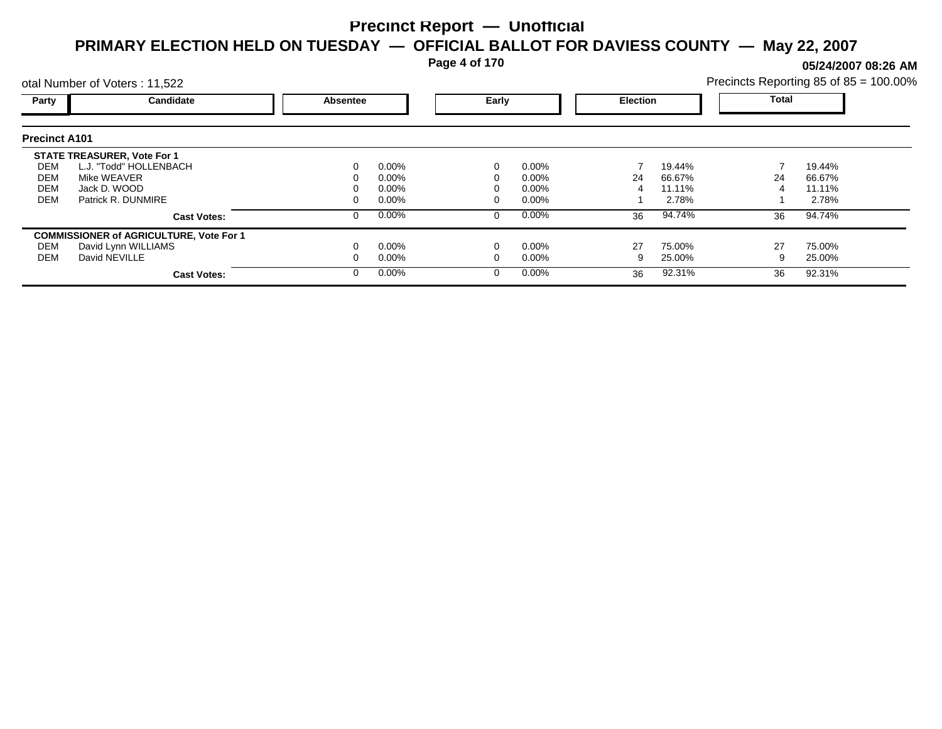**Page 4 of 170**

**05/24/2007 08:26 AM**

|                      | otal Number of Voters: 11,522                  |          |          |          |          |                 |        | Precincts Reporting 85 of 85 = 100.00% |        |  |
|----------------------|------------------------------------------------|----------|----------|----------|----------|-----------------|--------|----------------------------------------|--------|--|
| Party                | Candidate                                      | Absentee |          | Early    |          | <b>Election</b> |        | Total                                  |        |  |
| <b>Precinct A101</b> |                                                |          |          |          |          |                 |        |                                        |        |  |
|                      | <b>STATE TREASURER, Vote For 1</b>             |          |          |          |          |                 |        |                                        |        |  |
| DEM                  | L.J. "Todd" HOLLENBACH                         |          | $0.00\%$ | 0        | $0.00\%$ |                 | 19.44% |                                        | 19.44% |  |
| DEM                  | Mike WEAVER                                    |          | 0.00%    |          | $0.00\%$ | 24              | 66.67% | 24                                     | 66.67% |  |
| <b>DEM</b>           | Jack D. WOOD                                   |          | 0.00%    |          | $0.00\%$ |                 | 11.11% |                                        | 11.11% |  |
| <b>DEM</b>           | Patrick R. DUNMIRE                             |          | $0.00\%$ |          | $0.00\%$ |                 | 2.78%  |                                        | 2.78%  |  |
|                      | <b>Cast Votes:</b>                             |          | 0.00%    | 0        | $0.00\%$ | 36              | 94.74% | 36                                     | 94.74% |  |
|                      | <b>COMMISSIONER of AGRICULTURE, Vote For 1</b> |          |          |          |          |                 |        |                                        |        |  |
| DEM                  | David Lynn WILLIAMS                            |          | 0.00%    |          | $0.00\%$ | 27              | 75.00% | 27                                     | 75.00% |  |
| DEM                  | David NEVILLE                                  |          | 0.00%    |          | $0.00\%$ | 9               | 25.00% |                                        | 25.00% |  |
|                      | <b>Cast Votes:</b>                             |          | 0.00%    | $\Omega$ | $0.00\%$ | 36              | 92.31% | 36                                     | 92.31% |  |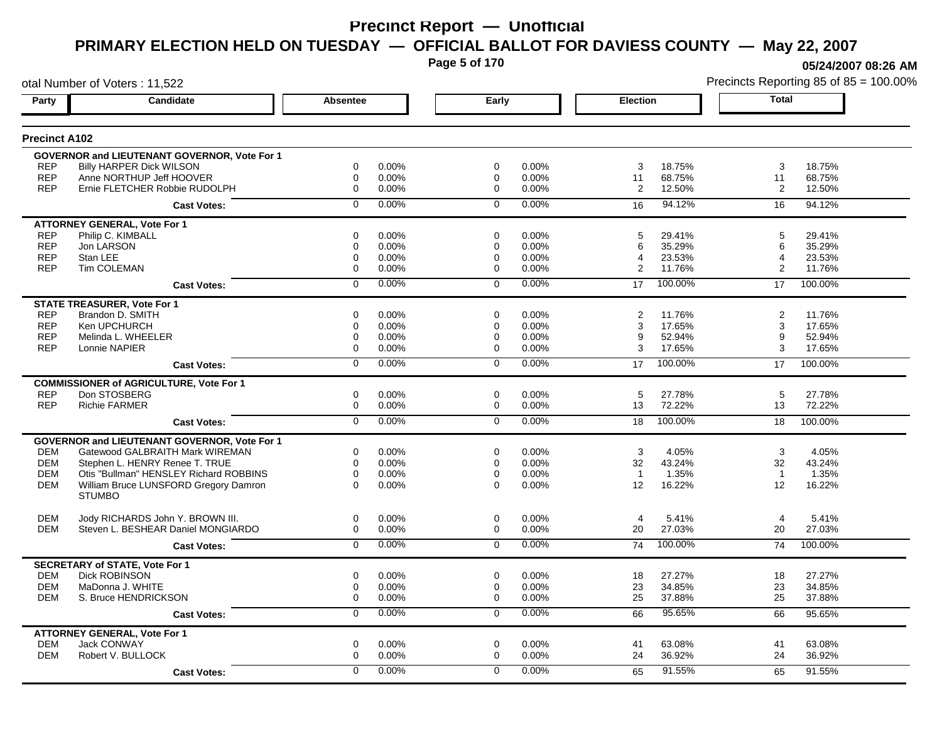**Page 5 of 170**

**05/24/2007 08:26 AM**

| otal Number of Voters: 11,522 |                                                |                 |       |                |       |                 |         |                | Precincts Reporting 85 of 85 = 100.009 |
|-------------------------------|------------------------------------------------|-----------------|-------|----------------|-------|-----------------|---------|----------------|----------------------------------------|
| Party                         | Candidate                                      | <b>Absentee</b> |       | Early          |       | <b>Election</b> |         | <b>Total</b>   |                                        |
| <b>Precinct A102</b>          |                                                |                 |       |                |       |                 |         |                |                                        |
|                               | GOVERNOR and LIEUTENANT GOVERNOR, Vote For 1   |                 |       |                |       |                 |         |                |                                        |
| <b>REP</b>                    | <b>Billy HARPER Dick WILSON</b>                | $\mathbf 0$     | 0.00% | 0              | 0.00% | 3               | 18.75%  | 3              | 18.75%                                 |
| <b>REP</b>                    | Anne NORTHUP Jeff HOOVER                       | $\mathbf 0$     | 0.00% | 0              | 0.00% | 11              | 68.75%  | 11             | 68.75%                                 |
| <b>REP</b>                    | Ernie FLETCHER Robbie RUDOLPH                  | 0               | 0.00% | $\Omega$       | 0.00% | $\overline{2}$  | 12.50%  | 2              | 12.50%                                 |
|                               | <b>Cast Votes:</b>                             | $\mathbf 0$     | 0.00% | $\mathbf 0$    | 0.00% | 16              | 94.12%  | 16             | 94.12%                                 |
|                               | <b>ATTORNEY GENERAL, Vote For 1</b>            |                 |       |                |       |                 |         |                |                                        |
| <b>REP</b>                    | Philip C. KIMBALL                              | $\mathbf 0$     | 0.00% | $\mathbf 0$    | 0.00% | 5               | 29.41%  | 5              | 29.41%                                 |
| <b>REP</b>                    | Jon LARSON                                     | $\mathbf 0$     | 0.00% | $\mathbf 0$    | 0.00% | 6               | 35.29%  | 6              | 35.29%                                 |
| <b>REP</b>                    | Stan LEE                                       | $\mathbf 0$     | 0.00% | 0              | 0.00% | 4               | 23.53%  | $\overline{4}$ | 23.53%                                 |
| <b>REP</b>                    | Tim COLEMAN                                    | $\mathbf 0$     | 0.00% | 0              | 0.00% | $\overline{2}$  | 11.76%  | 2              | 11.76%                                 |
|                               | <b>Cast Votes:</b>                             | $\mathbf 0$     | 0.00% | $\Omega$       | 0.00% | 17              | 100.00% | 17             | 100.00%                                |
|                               | <b>STATE TREASURER, Vote For 1</b>             |                 |       |                |       |                 |         |                |                                        |
| <b>REP</b>                    | Brandon D. SMITH                               | $\mathbf 0$     | 0.00% | 0              | 0.00% | 2               | 11.76%  | 2              | 11.76%                                 |
| <b>REP</b>                    | Ken UPCHURCH                                   | 0               | 0.00% | 0              | 0.00% | 3               | 17.65%  | 3              | 17.65%                                 |
| <b>REP</b>                    | Melinda L. WHEELER                             | $\mathbf 0$     | 0.00% | 0              | 0.00% | 9               | 52.94%  | 9              | 52.94%                                 |
| <b>REP</b>                    | Lonnie NAPIER                                  | $\mathbf 0$     | 0.00% | 0              | 0.00% | 3               | 17.65%  | 3              | 17.65%                                 |
|                               | <b>Cast Votes:</b>                             | $\mathbf 0$     | 0.00% | $\Omega$       | 0.00% | 17              | 100.00% | 17             | 100.00%                                |
|                               | <b>COMMISSIONER of AGRICULTURE, Vote For 1</b> |                 |       |                |       |                 |         |                |                                        |
| <b>REP</b>                    | Don STOSBERG                                   | 0               | 0.00% | 0              | 0.00% | 5               | 27.78%  | 5              | 27.78%                                 |
| <b>REP</b>                    | <b>Richie FARMER</b>                           | $\mathbf 0$     | 0.00% | 0              | 0.00% | 13              | 72.22%  | 13             | 72.22%                                 |
|                               | <b>Cast Votes:</b>                             | $\overline{0}$  | 0.00% | $\overline{0}$ | 0.00% | 18              | 100.00% | 18             | 100.00%                                |
|                               | GOVERNOR and LIEUTENANT GOVERNOR, Vote For 1   |                 |       |                |       |                 |         |                |                                        |
| <b>DEM</b>                    | Gatewood GALBRAITH Mark WIREMAN                | 0               | 0.00% | 0              | 0.00% | 3               | 4.05%   | 3              | 4.05%                                  |
| <b>DEM</b>                    | Stephen L. HENRY Renee T. TRUE                 | $\mathbf 0$     | 0.00% | $\mathbf 0$    | 0.00% | 32              | 43.24%  | 32             | 43.24%                                 |
| <b>DEM</b>                    | Otis "Bullman" HENSLEY Richard ROBBINS         | $\mathbf 0$     | 0.00% | $\mathbf 0$    | 0.00% | $\overline{1}$  | 1.35%   | $\overline{1}$ | 1.35%                                  |
| <b>DEM</b>                    | William Bruce LUNSFORD Gregory Damron          | $\Omega$        | 0.00% | $\Omega$       | 0.00% | 12              | 16.22%  | 12             | 16.22%                                 |
|                               | <b>STUMBO</b>                                  |                 |       |                |       |                 |         |                |                                        |
| <b>DEM</b>                    | Jody RICHARDS John Y. BROWN III.               | $\mathbf 0$     | 0.00% | $\mathbf 0$    | 0.00% | $\overline{4}$  | 5.41%   | $\overline{4}$ | 5.41%                                  |
| <b>DEM</b>                    | Steven L. BESHEAR Daniel MONGIARDO             | $\mathbf 0$     | 0.00% | $\mathbf 0$    | 0.00% | 20              | 27.03%  | 20             | 27.03%                                 |
|                               | <b>Cast Votes:</b>                             | $\overline{0}$  | 0.00% | $\mathbf 0$    | 0.00% | 74              | 100.00% | 74             | 100.00%                                |
|                               | <b>SECRETARY of STATE, Vote For 1</b>          |                 |       |                |       |                 |         |                |                                        |
| <b>DEM</b>                    | <b>Dick ROBINSON</b>                           | 0               | 0.00% | 0              | 0.00% | 18              | 27.27%  | 18             | 27.27%                                 |
| <b>DEM</b>                    | MaDonna J. WHITE                               | $\mathbf 0$     | 0.00% | 0              | 0.00% | 23              | 34.85%  | 23             | 34.85%                                 |
| <b>DEM</b>                    | S. Bruce HENDRICKSON                           | $\mathbf 0$     | 0.00% | 0              | 0.00% | 25              | 37.88%  | 25             | 37.88%                                 |
|                               | <b>Cast Votes:</b>                             | $\mathbf 0$     | 0.00% | $\mathbf 0$    | 0.00% | 66              | 95.65%  | 66             | 95.65%                                 |
|                               | <b>ATTORNEY GENERAL, Vote For 1</b>            |                 |       |                |       |                 |         |                |                                        |
| <b>DEM</b>                    | Jack CONWAY                                    | $\mathbf 0$     | 0.00% | 0              | 0.00% | 41              | 63.08%  | 41             | 63.08%                                 |
| <b>DEM</b>                    | Robert V. BULLOCK                              | 0               | 0.00% | 0              | 0.00% | 24              | 36.92%  | 24             | 36.92%                                 |
|                               | <b>Cast Votes:</b>                             | 0               | 0.00% | $\mathbf 0$    | 0.00% | 65              | 91.55%  | 65             | 91.55%                                 |
|                               |                                                |                 |       |                |       |                 |         |                |                                        |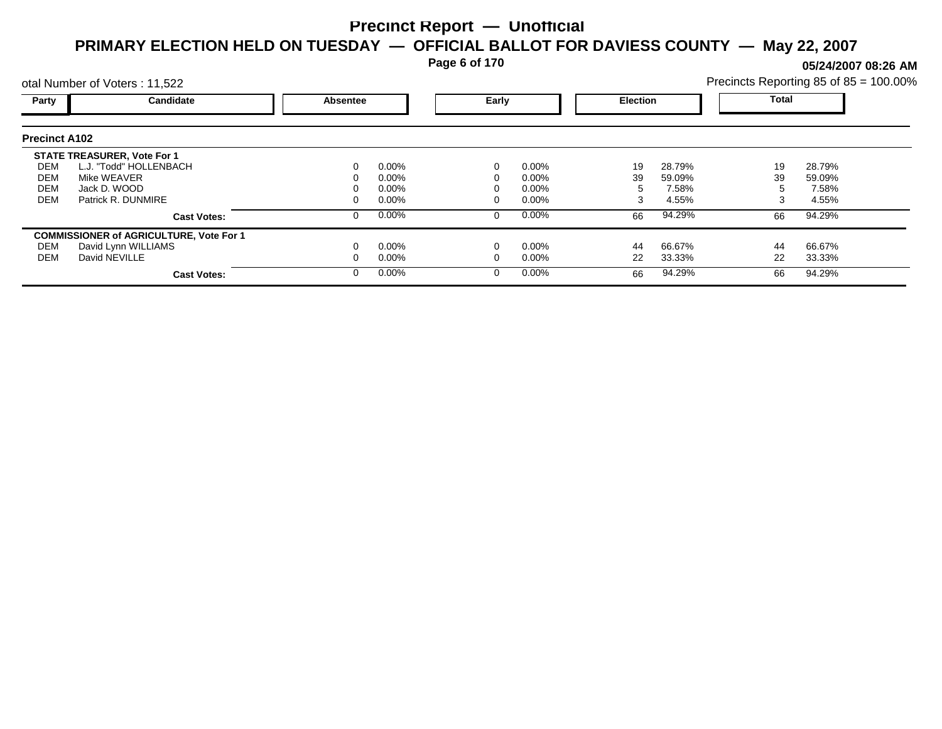**Page 6 of 170**

**05/24/2007 08:26 AM**

|                      | otal Number of Voters: 11,522                  |          |          |       |          |                 |        | Precincts Reporting 85 of 85 = 100.00% |        |  |
|----------------------|------------------------------------------------|----------|----------|-------|----------|-----------------|--------|----------------------------------------|--------|--|
| Party                | Candidate                                      | Absentee |          | Early |          | <b>Election</b> |        | <b>Total</b>                           |        |  |
| <b>Precinct A102</b> |                                                |          |          |       |          |                 |        |                                        |        |  |
|                      | <b>STATE TREASURER, Vote For 1</b>             |          |          |       |          |                 |        |                                        |        |  |
| DEM                  | L.J. "Todd" HOLLENBACH                         |          | $0.00\%$ |       | $0.00\%$ | 19              | 28.79% | 19                                     | 28.79% |  |
| DEM                  | Mike WEAVER                                    |          | 0.00%    |       | 0.00%    | 39              | 59.09% | 39                                     | 59.09% |  |
| <b>DEM</b>           | Jack D. WOOD                                   |          | 0.00%    |       | 0.00%    |                 | 7.58%  |                                        | 7.58%  |  |
| <b>DEM</b>           | Patrick R. DUNMIRE                             |          | 0.00%    |       | 0.00%    | 3               | 4.55%  |                                        | 4.55%  |  |
|                      | <b>Cast Votes:</b>                             |          | $0.00\%$ | 0     | $0.00\%$ | 66              | 94.29% | 66                                     | 94.29% |  |
|                      | <b>COMMISSIONER of AGRICULTURE, Vote For 1</b> |          |          |       |          |                 |        |                                        |        |  |
| DEM                  | David Lynn WILLIAMS                            |          | $0.00\%$ |       | 0.00%    | 44              | 66.67% | 44                                     | 66.67% |  |
| DEM                  | David NEVILLE                                  |          | $0.00\%$ |       | 0.00%    | 22              | 33.33% | 22                                     | 33.33% |  |
|                      | <b>Cast Votes:</b>                             |          | $0.00\%$ | 0     | $0.00\%$ | 66              | 94.29% | 66                                     | 94.29% |  |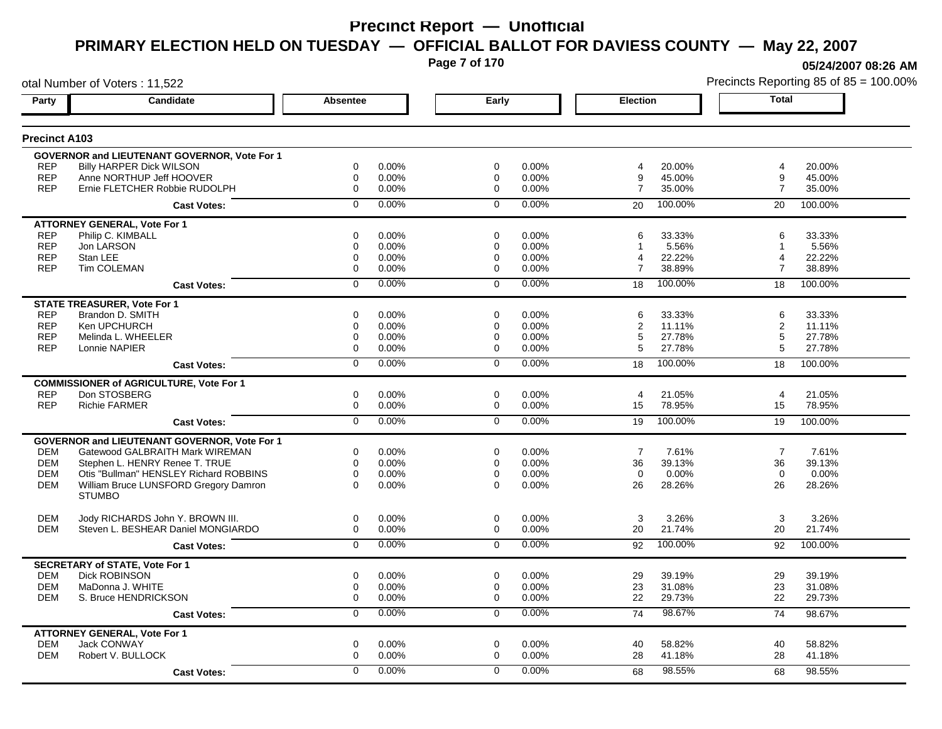**Page 7 of 170**

**05/24/2007 08:26 AM**

|                          | otal Number of Voters: 11,522                                          |                  |                |                  |                |                         |                  |                | Precincts Reporting 85 of 85 = 100.00% |
|--------------------------|------------------------------------------------------------------------|------------------|----------------|------------------|----------------|-------------------------|------------------|----------------|----------------------------------------|
| Party                    | Candidate                                                              | <b>Absentee</b>  |                | Early            |                | <b>Election</b>         |                  | Total          |                                        |
| <b>Precinct A103</b>     |                                                                        |                  |                |                  |                |                         |                  |                |                                        |
|                          | GOVERNOR and LIEUTENANT GOVERNOR, Vote For 1                           |                  |                |                  |                |                         |                  |                |                                        |
| <b>REP</b>               | <b>Billy HARPER Dick WILSON</b>                                        | $\mathbf 0$      | 0.00%          | $\mathbf 0$      | 0.00%          | $\overline{\mathbf{4}}$ | 20.00%           | 4              | 20.00%                                 |
| <b>REP</b>               | Anne NORTHUP Jeff HOOVER                                               | $\mathbf 0$      | 0.00%          | $\mathbf 0$      | 0.00%          | 9                       | 45.00%           | 9              | 45.00%                                 |
| <b>REP</b>               | Ernie FLETCHER Robbie RUDOLPH                                          | $\mathbf 0$      | 0.00%          | $\mathbf 0$      | 0.00%          | $\overline{7}$          | 35.00%           | $\overline{7}$ | 35.00%                                 |
|                          | <b>Cast Votes:</b>                                                     | $\mathbf 0$      | 0.00%          | $\mathbf 0$      | 0.00%          | 20                      | 100.00%          | 20             | 100.00%                                |
|                          | <b>ATTORNEY GENERAL, Vote For 1</b>                                    |                  |                |                  |                | 6                       |                  | 6              |                                        |
| <b>REP</b><br><b>REP</b> | Philip C. KIMBALL<br>Jon LARSON                                        | 0<br>$\mathbf 0$ | 0.00%<br>0.00% | 0<br>$\mathbf 0$ | 0.00%<br>0.00% |                         | 33.33%<br>5.56%  | -1             | 33.33%<br>5.56%                        |
| <b>REP</b>               | Stan LEE                                                               | $\mathbf 0$      | 0.00%          | 0                | 0.00%          | 4                       | 22.22%           | 4              | 22.22%                                 |
| <b>REP</b>               | Tim COLEMAN                                                            | $\mathbf 0$      | 0.00%          | $\mathbf 0$      | 0.00%          | $\overline{7}$          | 38.89%           | $\overline{7}$ | 38.89%                                 |
|                          | <b>Cast Votes:</b>                                                     | $\mathbf 0$      | 0.00%          | $\Omega$         | 0.00%          | 18                      | 100.00%          | 18             | 100.00%                                |
|                          | <b>STATE TREASURER, Vote For 1</b>                                     |                  |                |                  |                |                         |                  |                |                                        |
| <b>REP</b>               | Brandon D. SMITH                                                       | $\mathbf 0$      | 0.00%          | $\mathbf 0$      | 0.00%          | 6                       | 33.33%           | 6              | 33.33%                                 |
| <b>REP</b>               | Ken UPCHURCH                                                           | $\mathbf 0$      | 0.00%          | $\mathbf 0$      | 0.00%          | 2                       | 11.11%           | 2              | 11.11%                                 |
| <b>REP</b>               | Melinda L. WHEELER                                                     | $\mathbf 0$      | 0.00%          | $\mathbf 0$      | 0.00%          | 5                       | 27.78%           | 5              | 27.78%                                 |
| <b>REP</b>               | Lonnie NAPIER                                                          | $\mathbf 0$      | 0.00%          | $\mathbf 0$      | 0.00%          | 5                       | 27.78%           | 5              | 27.78%                                 |
|                          | <b>Cast Votes:</b>                                                     | $\mathbf 0$      | 0.00%          | $\overline{0}$   | 0.00%          | 18                      | 100.00%          | 18             | 100.00%                                |
|                          | <b>COMMISSIONER of AGRICULTURE, Vote For 1</b>                         |                  |                |                  |                |                         |                  |                |                                        |
| <b>REP</b>               | Don STOSBERG                                                           | 0                | 0.00%          | $\mathbf 0$      | 0.00%          | $\overline{4}$          | 21.05%           | $\overline{4}$ | 21.05%                                 |
| <b>REP</b>               | <b>Richie FARMER</b>                                                   | 0                | 0.00%          | $\mathbf 0$      | 0.00%          | 15                      | 78.95%           | 15             | 78.95%                                 |
|                          | <b>Cast Votes:</b>                                                     | $\overline{0}$   | 0.00%          | $\overline{0}$   | 0.00%          | 19                      | 100.00%          | 19             | 100.00%                                |
|                          | GOVERNOR and LIEUTENANT GOVERNOR, Vote For 1                           |                  |                |                  |                |                         |                  |                |                                        |
| <b>DEM</b>               | Gatewood GALBRAITH Mark WIREMAN                                        | 0                | 0.00%          | $\mathbf 0$      | 0.00%          | $\overline{7}$          | 7.61%            | $\overline{7}$ | 7.61%                                  |
| <b>DEM</b>               | Stephen L. HENRY Renee T. TRUE                                         | $\mathbf 0$      | 0.00%          | $\mathbf 0$      | 0.00%          | 36                      | 39.13%           | 36             | 39.13%                                 |
| <b>DEM</b>               | Otis "Bullman" HENSLEY Richard ROBBINS                                 | $\mathbf 0$      | 0.00%          | $\mathbf 0$      | 0.00%          | $\mathbf 0$             | 0.00%            | $\mathbf 0$    | 0.00%                                  |
| <b>DEM</b>               | William Bruce LUNSFORD Gregory Damron<br><b>STUMBO</b>                 | $\Omega$         | 0.00%          | $\Omega$         | 0.00%          | 26                      | 28.26%           | 26             | 28.26%                                 |
|                          |                                                                        |                  |                |                  |                |                         |                  |                |                                        |
| <b>DEM</b><br><b>DEM</b> | Jody RICHARDS John Y. BROWN III.<br>Steven L. BESHEAR Daniel MONGIARDO | 0<br>$\mathbf 0$ | 0.00%<br>0.00% | 0<br>$\mathbf 0$ | 0.00%<br>0.00% | 3<br>20                 | 3.26%<br>21.74%  | 3<br>20        | 3.26%<br>21.74%                        |
|                          |                                                                        | $\Omega$         | 0.00%          | $\Omega$         | 0.00%          | 92                      | 100.00%          | 92             | 100.00%                                |
|                          | <b>Cast Votes:</b>                                                     |                  |                |                  |                |                         |                  |                |                                        |
|                          | <b>SECRETARY of STATE, Vote For 1</b><br><b>Dick ROBINSON</b>          |                  |                |                  |                |                         |                  |                |                                        |
| DEM<br><b>DEM</b>        | MaDonna J. WHITE                                                       | 0<br>0           | 0.00%<br>0.00% | 0<br>$\mathbf 0$ | 0.00%<br>0.00% | 29<br>23                | 39.19%<br>31.08% | 29<br>23       | 39.19%<br>31.08%                       |
| <b>DEM</b>               | S. Bruce HENDRICKSON                                                   | $\mathbf 0$      | 0.00%          | $\mathbf 0$      | 0.00%          | 22                      | 29.73%           | 22             | 29.73%                                 |
|                          | <b>Cast Votes:</b>                                                     | $\overline{0}$   | 0.00%          | $\mathbf 0$      | 0.00%          | 74                      | 98.67%           | 74             | 98.67%                                 |
|                          | <b>ATTORNEY GENERAL, Vote For 1</b>                                    |                  |                |                  |                |                         |                  |                |                                        |
| <b>DEM</b>               | <b>Jack CONWAY</b>                                                     | 0                | 0.00%          | $\mathbf 0$      | 0.00%          | 40                      | 58.82%           | 40             | 58.82%                                 |
| <b>DEM</b>               | Robert V. BULLOCK                                                      | $\mathbf 0$      | 0.00%          | $\mathbf 0$      | 0.00%          | 28                      | 41.18%           | 28             | 41.18%                                 |
|                          | <b>Cast Votes:</b>                                                     | $\overline{0}$   | 0.00%          | $\overline{0}$   | 0.00%          | 68                      | 98.55%           | 68             | 98.55%                                 |
|                          |                                                                        |                  |                |                  |                |                         |                  |                |                                        |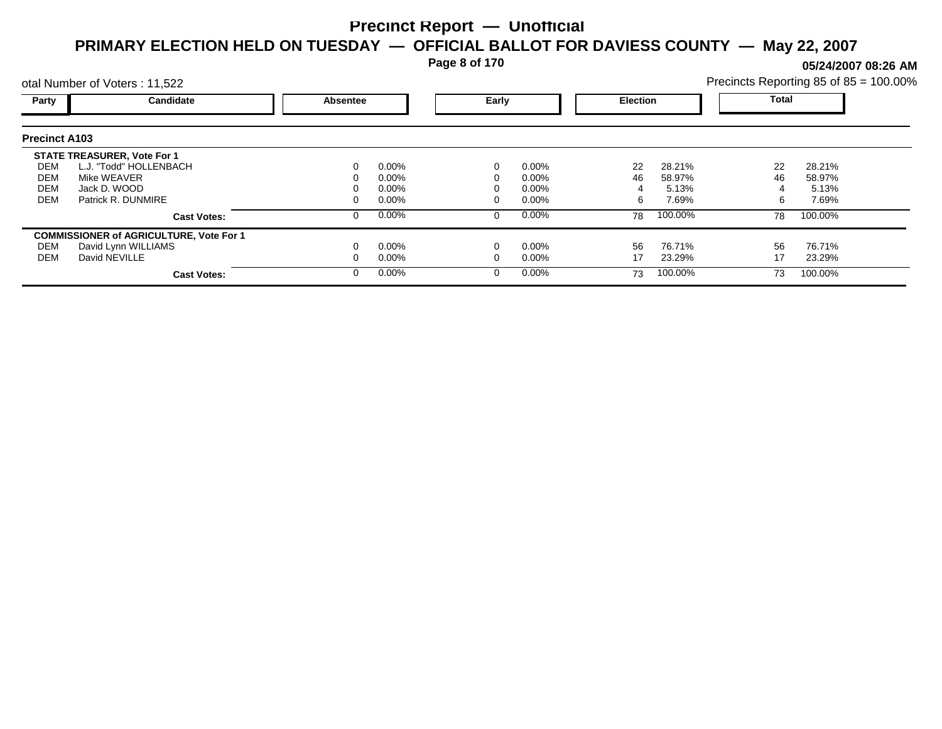**Page 8 of 170**

**05/24/2007 08:26 AM**

|                      | otal Number of Voters: 11,522                  |          |          |       |          |                 |         | Precincts Reporting 85 of 85 = 100.00% |         |  |
|----------------------|------------------------------------------------|----------|----------|-------|----------|-----------------|---------|----------------------------------------|---------|--|
| Party                | Candidate                                      | Absentee |          | Early |          | <b>Election</b> |         | <b>Total</b>                           |         |  |
| <b>Precinct A103</b> |                                                |          |          |       |          |                 |         |                                        |         |  |
|                      | <b>STATE TREASURER, Vote For 1</b>             |          |          |       |          |                 |         |                                        |         |  |
| DEM                  | L.J. "Todd" HOLLENBACH                         |          | $0.00\%$ |       | $0.00\%$ | 22              | 28.21%  | 22                                     | 28.21%  |  |
| DEM                  | Mike WEAVER                                    |          | 0.00%    |       | 0.00%    | 46              | 58.97%  | 46                                     | 58.97%  |  |
| <b>DEM</b>           | Jack D. WOOD                                   |          | 0.00%    |       | 0.00%    |                 | 5.13%   |                                        | 5.13%   |  |
| <b>DEM</b>           | Patrick R. DUNMIRE                             |          | $0.00\%$ |       | 0.00%    | 6               | 7.69%   | 6                                      | 7.69%   |  |
|                      | <b>Cast Votes:</b>                             |          | $0.00\%$ | 0     | $0.00\%$ | 78              | 100.00% | 78                                     | 100.00% |  |
|                      | <b>COMMISSIONER of AGRICULTURE, Vote For 1</b> |          |          |       |          |                 |         |                                        |         |  |
| DEM                  | David Lynn WILLIAMS                            |          | $0.00\%$ |       | 0.00%    | 56              | 76.71%  | 56                                     | 76.71%  |  |
| DEM                  | David NEVILLE                                  |          | $0.00\%$ |       | 0.00%    | 17              | 23.29%  | 17                                     | 23.29%  |  |
|                      | <b>Cast Votes:</b>                             |          | $0.00\%$ | 0     | $0.00\%$ | 73              | 100.00% | 73                                     | 100.00% |  |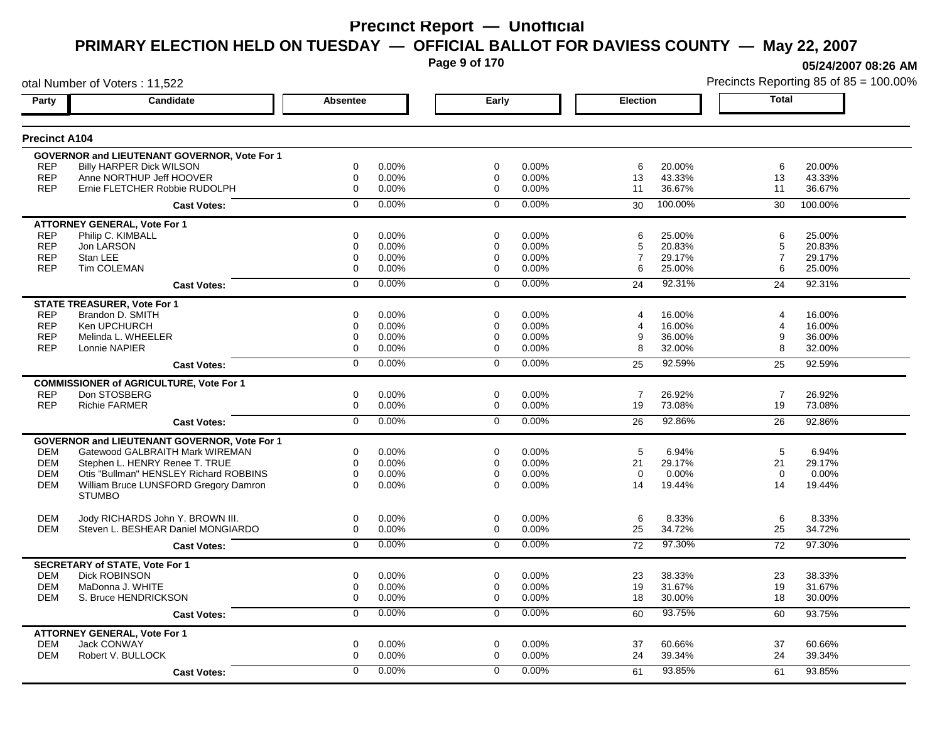**Page 9 of 170**

**05/24/2007 08:26 AM**

|                          | otal Number of Voters: 11,522                                          |                 |                   |             |                |                 |                  |                | Precincts Reporting 85 of 85 = 100.00% |
|--------------------------|------------------------------------------------------------------------|-----------------|-------------------|-------------|----------------|-----------------|------------------|----------------|----------------------------------------|
| Party                    | Candidate                                                              | <b>Absentee</b> |                   | Early       |                | <b>Election</b> |                  | Total          |                                        |
| <b>Precinct A104</b>     |                                                                        |                 |                   |             |                |                 |                  |                |                                        |
|                          | GOVERNOR and LIEUTENANT GOVERNOR, Vote For 1                           |                 |                   |             |                |                 |                  |                |                                        |
| <b>REP</b>               | <b>Billy HARPER Dick WILSON</b>                                        | 0               | 0.00%             | $\mathbf 0$ | 0.00%          | 6               | 20.00%           | 6              | 20.00%                                 |
| <b>REP</b>               | Anne NORTHUP Jeff HOOVER                                               | 0               | 0.00%             | $\mathbf 0$ | 0.00%          | 13              | 43.33%           | 13             | 43.33%                                 |
| <b>REP</b>               | Ernie FLETCHER Robbie RUDOLPH                                          | $\Omega$        | 0.00%             | $\Omega$    | 0.00%          | 11              | 36.67%           | 11             | 36.67%                                 |
|                          | <b>Cast Votes:</b>                                                     | 0               | 0.00%             | $\mathbf 0$ | 0.00%          | 30              | 100.00%          | 30             | 100.00%                                |
|                          | <b>ATTORNEY GENERAL, Vote For 1</b>                                    |                 |                   |             |                |                 |                  |                |                                        |
| <b>REP</b>               | Philip C. KIMBALL                                                      | 0               | 0.00%             | 0           | 0.00%          | 6               | 25.00%           | 6              | 25.00%                                 |
| <b>REP</b>               | Jon LARSON                                                             | 0               | 0.00%             | $\mathbf 0$ | 0.00%          | 5               | 20.83%           | 5              | 20.83%                                 |
| <b>REP</b>               | Stan LEE                                                               | 0               | $0.00\%$          | 0           | 0.00%          | $\overline{7}$  | 29.17%           | $\overline{7}$ | 29.17%                                 |
| <b>REP</b>               | Tim COLEMAN                                                            | 0               | $0.00\%$          | $\mathbf 0$ | 0.00%          | 6               | 25.00%           | 6              | 25.00%                                 |
|                          | <b>Cast Votes:</b>                                                     | 0               | 0.00%             | $\Omega$    | 0.00%          | 24              | 92.31%           | 24             | 92.31%                                 |
|                          | <b>STATE TREASURER, Vote For 1</b>                                     |                 |                   |             |                |                 |                  |                |                                        |
| <b>REP</b>               | Brandon D. SMITH                                                       | 0               | 0.00%             | 0           | 0.00%          | 4               | 16.00%           | 4              | 16.00%                                 |
| <b>REP</b>               | Ken UPCHURCH                                                           | 0               | 0.00%             | 0           | 0.00%          | 4               | 16.00%           | $\overline{4}$ | 16.00%                                 |
| <b>REP</b>               | Melinda L. WHEELER                                                     | 0               | $0.00\%$          | 0           | 0.00%          | 9               | 36.00%           | 9              | 36.00%                                 |
| <b>REP</b>               | Lonnie NAPIER                                                          | $\Omega$        | $0.00\%$          | $\Omega$    | 0.00%          | 8               | 32.00%           | 8              | 32.00%                                 |
|                          | <b>Cast Votes:</b>                                                     | $\Omega$        | 0.00%             | $\Omega$    | 0.00%          | 25              | 92.59%           | 25             | 92.59%                                 |
|                          | <b>COMMISSIONER of AGRICULTURE, Vote For 1</b>                         |                 |                   |             |                |                 |                  |                |                                        |
| <b>REP</b>               | Don STOSBERG                                                           | 0               | 0.00%             | $\mathbf 0$ | 0.00%          | $\overline{7}$  | 26.92%           | $\overline{7}$ | 26.92%                                 |
| <b>REP</b>               | <b>Richie FARMER</b>                                                   | 0               | 0.00%             | $\mathbf 0$ | 0.00%          | 19              | 73.08%           | 19             | 73.08%                                 |
|                          | <b>Cast Votes:</b>                                                     | 0               | 0.00%             | $\mathbf 0$ | 0.00%          | 26              | 92.86%           | 26             | 92.86%                                 |
|                          | GOVERNOR and LIEUTENANT GOVERNOR, Vote For 1                           |                 |                   |             |                |                 |                  |                |                                        |
| <b>DEM</b>               | Gatewood GALBRAITH Mark WIREMAN                                        | 0               | 0.00%             | $\mathbf 0$ | 0.00%          | 5               | 6.94%            | 5              | 6.94%                                  |
| <b>DEM</b>               | Stephen L. HENRY Renee T. TRUE                                         | $\Omega$        | 0.00%             | $\Omega$    | 0.00%          | 21              | 29.17%           | 21             | 29.17%                                 |
| <b>DEM</b>               | Otis "Bullman" HENSLEY Richard ROBBINS                                 | 0               | 0.00%             | 0           | 0.00%          | $\mathbf 0$     | 0.00%            | $\mathbf 0$    | 0.00%                                  |
| <b>DEM</b>               | William Bruce LUNSFORD Gregory Damron<br><b>STUMBO</b>                 | $\Omega$        | $0.00\%$          | $\Omega$    | 0.00%          | 14              | 19.44%           | 14             | 19.44%                                 |
|                          |                                                                        |                 |                   |             |                |                 |                  |                |                                        |
| <b>DEM</b><br><b>DEM</b> | Jody RICHARDS John Y. BROWN III.<br>Steven L. BESHEAR Daniel MONGIARDO | 0<br>0          | 0.00%<br>$0.00\%$ | 0<br>0      | 0.00%<br>0.00% | 6<br>25         | 8.33%<br>34.72%  | 6<br>25        | 8.33%<br>34.72%                        |
|                          | <b>Cast Votes:</b>                                                     | $\overline{0}$  | 0.00%             | $\Omega$    | 0.00%          | 72              | 97.30%           | 72             | 97.30%                                 |
|                          |                                                                        |                 |                   |             |                |                 |                  |                |                                        |
|                          | <b>SECRETARY of STATE, Vote For 1</b>                                  |                 |                   |             |                |                 |                  |                |                                        |
| <b>DEM</b><br><b>DEM</b> | <b>Dick ROBINSON</b><br>MaDonna J. WHITE                               | 0<br>0          | 0.00%<br>$0.00\%$ | 0<br>0      | 0.00%<br>0.00% | 23<br>19        | 38.33%<br>31.67% | 23<br>19       | 38.33%<br>31.67%                       |
| <b>DEM</b>               | S. Bruce HENDRICKSON                                                   | 0               | 0.00%             | $\Omega$    | 0.00%          | 18              | 30.00%           | 18             | 30.00%                                 |
|                          | <b>Cast Votes:</b>                                                     | $\overline{0}$  | 0.00%             | 0           | 0.00%          | 60              | 93.75%           | 60             | 93.75%                                 |
|                          |                                                                        |                 |                   |             |                |                 |                  |                |                                        |
| <b>DEM</b>               | <b>ATTORNEY GENERAL, Vote For 1</b><br><b>Jack CONWAY</b>              | 0               | 0.00%             | 0           | 0.00%          | 37              | 60.66%           | 37             | 60.66%                                 |
| <b>DEM</b>               | Robert V. BULLOCK                                                      | 0               | 0.00%             | 0           | 0.00%          | 24              | 39.34%           | 24             | 39.34%                                 |
|                          |                                                                        |                 |                   |             |                |                 |                  |                |                                        |
|                          | <b>Cast Votes:</b>                                                     | $\Omega$        | 0.00%             | $\mathbf 0$ | 0.00%          | 61              | 93.85%           | 61             | 93.85%                                 |
|                          |                                                                        |                 |                   |             |                |                 |                  |                |                                        |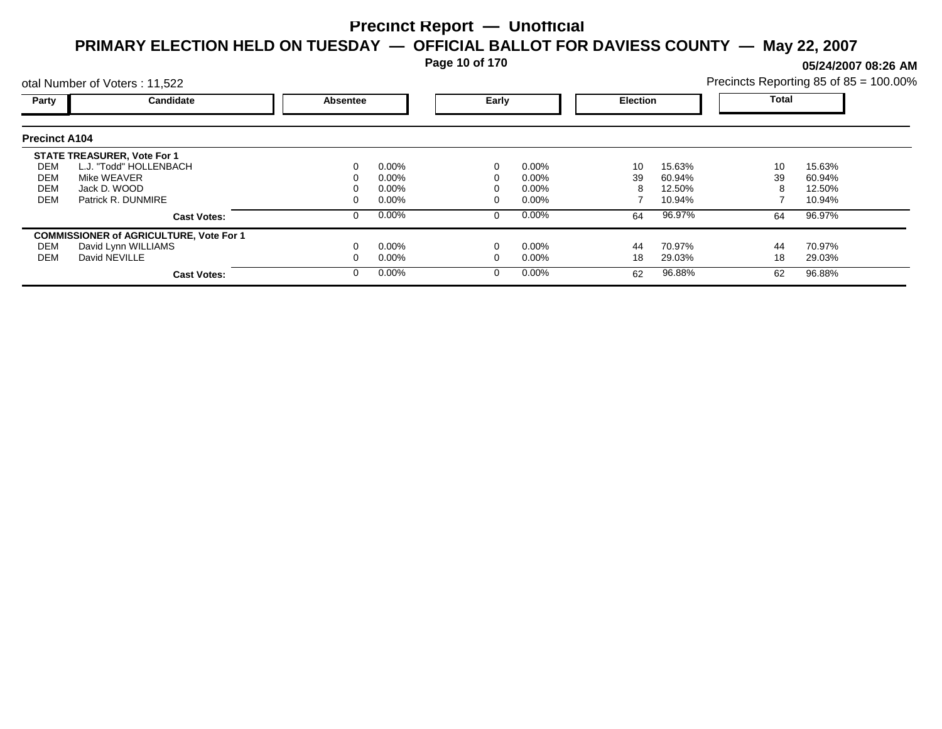**Page 10 of 170**

**05/24/2007 08:26 AM**

|                      | otal Number of Voters: 11,522                  |          |          |       |          |                 |        | Precincts Reporting 85 of 85 = 100.00% |        |  |
|----------------------|------------------------------------------------|----------|----------|-------|----------|-----------------|--------|----------------------------------------|--------|--|
| Party                | Candidate                                      | Absentee |          | Early |          | <b>Election</b> |        | <b>Total</b>                           |        |  |
| <b>Precinct A104</b> |                                                |          |          |       |          |                 |        |                                        |        |  |
|                      | <b>STATE TREASURER, Vote For 1</b>             |          |          |       |          |                 |        |                                        |        |  |
| DEM                  | L.J. "Todd" HOLLENBACH                         |          | $0.00\%$ |       | $0.00\%$ | 10              | 15.63% | 10                                     | 15.63% |  |
| DEM                  | Mike WEAVER                                    |          | 0.00%    |       | 0.00%    | 39              | 60.94% | 39                                     | 60.94% |  |
| <b>DEM</b>           | Jack D. WOOD                                   |          | 0.00%    |       | 0.00%    |                 | 12.50% | 8                                      | 12.50% |  |
| <b>DEM</b>           | Patrick R. DUNMIRE                             |          | 0.00%    |       | 0.00%    |                 | 10.94% |                                        | 10.94% |  |
|                      | <b>Cast Votes:</b>                             |          | $0.00\%$ | 0     | $0.00\%$ | 64              | 96.97% | 64                                     | 96.97% |  |
|                      | <b>COMMISSIONER of AGRICULTURE, Vote For 1</b> |          |          |       |          |                 |        |                                        |        |  |
| DEM                  | David Lynn WILLIAMS                            |          | $0.00\%$ |       | 0.00%    | 44              | 70.97% | 44                                     | 70.97% |  |
| DEM                  | David NEVILLE                                  |          | $0.00\%$ |       | 0.00%    | 18              | 29.03% | 18                                     | 29.03% |  |
|                      | <b>Cast Votes:</b>                             |          | $0.00\%$ | 0     | $0.00\%$ | 62              | 96.88% | 62                                     | 96.88% |  |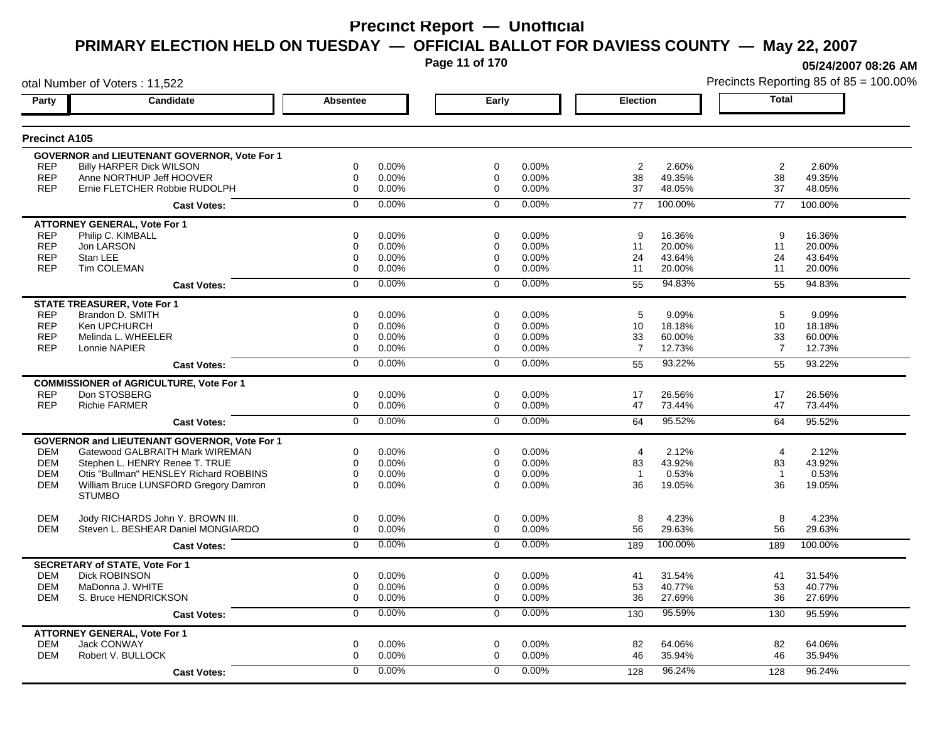**Page 11 of 170**

**05/24/2007 08:26 AM**

| otal Number of Voters: 11,522 |                                                     |                |       |                |       |                 | Precincts Reporting 85 of 85 = 100.00% |                |         |
|-------------------------------|-----------------------------------------------------|----------------|-------|----------------|-------|-----------------|----------------------------------------|----------------|---------|
| Party                         | <b>Candidate</b>                                    | Absentee       |       | Early          |       | <b>Election</b> |                                        | <b>Total</b>   |         |
| <b>Precinct A105</b>          |                                                     |                |       |                |       |                 |                                        |                |         |
|                               | GOVERNOR and LIEUTENANT GOVERNOR, Vote For 1        |                |       |                |       |                 |                                        |                |         |
| <b>REP</b>                    | <b>Billy HARPER Dick WILSON</b>                     | 0              | 0.00% | $\mathbf 0$    | 0.00% | $\overline{2}$  | 2.60%                                  | $\overline{2}$ | 2.60%   |
| <b>REP</b>                    | Anne NORTHUP Jeff HOOVER                            | 0              | 0.00% | 0              | 0.00% | 38              | 49.35%                                 | 38             | 49.35%  |
| <b>REP</b>                    | Ernie FLETCHER Robbie RUDOLPH                       | $\pmb{0}$      | 0.00% | $\Omega$       | 0.00% | 37              | 48.05%                                 | 37             | 48.05%  |
|                               | <b>Cast Votes:</b>                                  | $\mathbf 0$    | 0.00% | $\mathbf 0$    | 0.00% | 77              | 100.00%                                | 77             | 100.00% |
|                               | <b>ATTORNEY GENERAL, Vote For 1</b>                 |                |       |                |       |                 |                                        |                |         |
| <b>REP</b>                    | Philip C. KIMBALL                                   | $\mathbf 0$    | 0.00% | $\mathbf 0$    | 0.00% | 9               | 16.36%                                 | 9              | 16.36%  |
| <b>REP</b>                    | Jon LARSON                                          | 0              | 0.00% | $\mathbf 0$    | 0.00% | 11              | 20.00%                                 | 11             | 20.00%  |
| <b>REP</b>                    | Stan LEE                                            | $\mathbf 0$    | 0.00% | 0              | 0.00% | 24              | 43.64%                                 | 24             | 43.64%  |
| <b>REP</b>                    | Tim COLEMAN                                         | $\mathbf 0$    | 0.00% | 0              | 0.00% | 11              | 20.00%                                 | 11             | 20.00%  |
|                               | <b>Cast Votes:</b>                                  | $\mathbf 0$    | 0.00% | $\Omega$       | 0.00% | 55              | 94.83%                                 | 55             | 94.83%  |
|                               | <b>STATE TREASURER, Vote For 1</b>                  |                |       |                |       |                 |                                        |                |         |
| <b>REP</b>                    | Brandon D. SMITH                                    | 0              | 0.00% | 0              | 0.00% | 5               | 9.09%                                  | 5              | 9.09%   |
| <b>REP</b>                    | Ken UPCHURCH                                        | 0              | 0.00% | 0              | 0.00% | 10              | 18.18%                                 | 10             | 18.18%  |
| <b>REP</b>                    | Melinda L. WHEELER                                  | 0              | 0.00% | 0              | 0.00% | 33              | 60.00%                                 | 33             | 60.00%  |
| <b>REP</b>                    | Lonnie NAPIER                                       | $\mathbf 0$    | 0.00% | 0              | 0.00% | $\overline{7}$  | 12.73%                                 | $\overline{7}$ | 12.73%  |
|                               | <b>Cast Votes:</b>                                  | $\overline{0}$ | 0.00% | $\Omega$       | 0.00% | 55              | 93.22%                                 | 55             | 93.22%  |
|                               | <b>COMMISSIONER of AGRICULTURE, Vote For 1</b>      |                |       |                |       |                 |                                        |                |         |
| <b>REP</b>                    | Don STOSBERG                                        | 0              | 0.00% | 0              | 0.00% | 17              | 26.56%                                 | 17             | 26.56%  |
| <b>REP</b>                    | <b>Richie FARMER</b>                                | $\pmb{0}$      | 0.00% | 0              | 0.00% | 47              | 73.44%                                 | 47             | 73.44%  |
|                               | <b>Cast Votes:</b>                                  | $\overline{0}$ | 0.00% | $\overline{0}$ | 0.00% | 64              | 95.52%                                 | 64             | 95.52%  |
|                               | <b>GOVERNOR and LIEUTENANT GOVERNOR, Vote For 1</b> |                |       |                |       |                 |                                        |                |         |
| <b>DEM</b>                    | Gatewood GALBRAITH Mark WIREMAN                     | 0              | 0.00% | $\mathbf 0$    | 0.00% | $\overline{4}$  | 2.12%                                  | $\overline{4}$ | 2.12%   |
| <b>DEM</b>                    | Stephen L. HENRY Renee T. TRUE                      | $\mathbf 0$    | 0.00% | $\mathbf 0$    | 0.00% | 83              | 43.92%                                 | 83             | 43.92%  |
| <b>DEM</b>                    | Otis "Bullman" HENSLEY Richard ROBBINS              | $\mathbf 0$    | 0.00% | $\mathbf 0$    | 0.00% | $\overline{1}$  | 0.53%                                  | $\overline{1}$ | 0.53%   |
| <b>DEM</b>                    | William Bruce LUNSFORD Gregory Damron               | $\Omega$       | 0.00% | $\Omega$       | 0.00% | 36              | 19.05%                                 | 36             | 19.05%  |
|                               | <b>STUMBO</b>                                       |                |       |                |       |                 |                                        |                |         |
| <b>DEM</b>                    | Jody RICHARDS John Y. BROWN III.                    | $\mathbf 0$    | 0.00% | $\mathbf 0$    | 0.00% | 8               | 4.23%                                  | 8              | 4.23%   |
| <b>DEM</b>                    | Steven L. BESHEAR Daniel MONGIARDO                  | $\mathbf 0$    | 0.00% | $\mathbf 0$    | 0.00% | 56              | 29.63%                                 | 56             | 29.63%  |
|                               | <b>Cast Votes:</b>                                  | $\overline{0}$ | 0.00% | $\Omega$       | 0.00% | 189             | 100.00%                                | 189            | 100.00% |
|                               | <b>SECRETARY of STATE, Vote For 1</b>               |                |       |                |       |                 |                                        |                |         |
| <b>DEM</b>                    | <b>Dick ROBINSON</b>                                | 0              | 0.00% | 0              | 0.00% | 41              | 31.54%                                 | 41             | 31.54%  |
| <b>DEM</b>                    | MaDonna J. WHITE                                    | 0              | 0.00% | 0              | 0.00% | 53              | 40.77%                                 | 53             | 40.77%  |
| DEM                           | S. Bruce HENDRICKSON                                | $\mathbf 0$    | 0.00% | 0              | 0.00% | 36              | 27.69%                                 | 36             | 27.69%  |
|                               | <b>Cast Votes:</b>                                  | 0              | 0.00% | $\mathbf 0$    | 0.00% | 130             | 95.59%                                 | 130            | 95.59%  |
|                               | <b>ATTORNEY GENERAL, Vote For 1</b>                 |                |       |                |       |                 |                                        |                |         |
| <b>DEM</b>                    | Jack CONWAY                                         | 0              | 0.00% | 0              | 0.00% | 82              | 64.06%                                 | 82             | 64.06%  |
| <b>DEM</b>                    | Robert V. BULLOCK                                   | $\Omega$       | 0.00% | $\Omega$       | 0.00% | 46              | 35.94%                                 | 46             | 35.94%  |
|                               | <b>Cast Votes:</b>                                  | 0              | 0.00% | 0              | 0.00% | 128             | 96.24%                                 | 128            | 96.24%  |
|                               |                                                     |                |       |                |       |                 |                                        |                |         |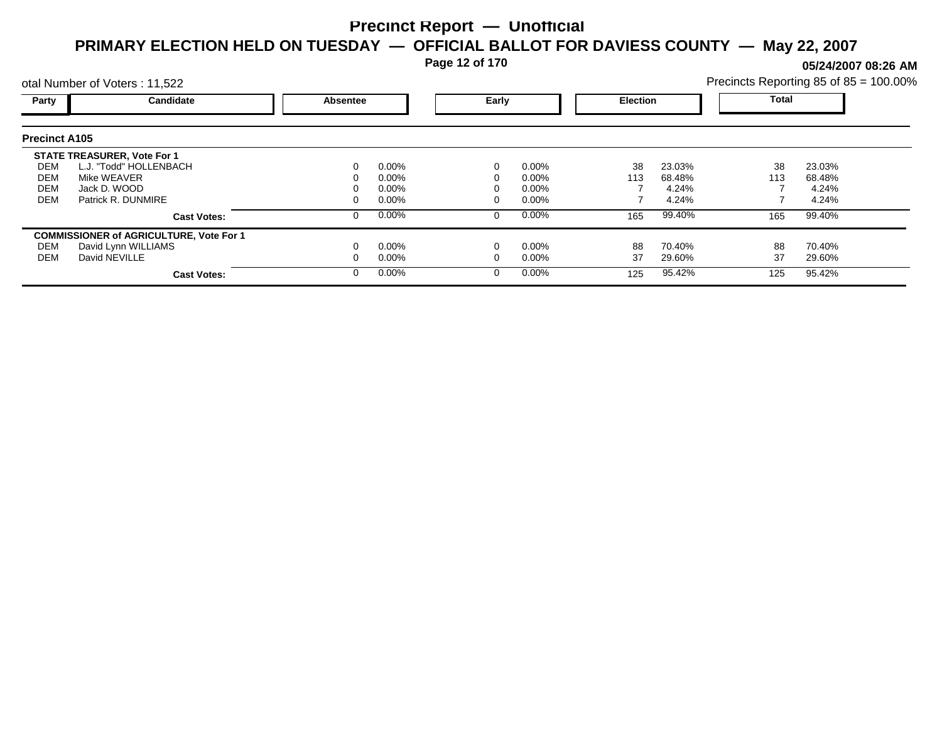**Page 12 of 170**

**05/24/2007 08:26 AM**

|                      | otal Number of Voters: 11,522                  |          |          |       |          |                 |        | Precincts Reporting 85 of 85 = 100.00% |        |  |
|----------------------|------------------------------------------------|----------|----------|-------|----------|-----------------|--------|----------------------------------------|--------|--|
| Party                | Candidate                                      | Absentee |          | Early |          | <b>Election</b> |        | Total                                  |        |  |
| <b>Precinct A105</b> |                                                |          |          |       |          |                 |        |                                        |        |  |
|                      | <b>STATE TREASURER, Vote For 1</b>             |          |          |       |          |                 |        |                                        |        |  |
| DEM                  | L.J. "Todd" HOLLENBACH                         |          | $0.00\%$ |       | $0.00\%$ | 38              | 23.03% | 38                                     | 23.03% |  |
| DEM                  | Mike WEAVER                                    |          | $0.00\%$ |       | $0.00\%$ | 113             | 68.48% | 113                                    | 68.48% |  |
| <b>DEM</b>           | Jack D. WOOD                                   |          | $0.00\%$ |       | $0.00\%$ |                 | 4.24%  |                                        | 4.24%  |  |
| <b>DEM</b>           | Patrick R. DUNMIRE                             |          | $0.00\%$ |       | $0.00\%$ |                 | 4.24%  |                                        | 4.24%  |  |
|                      | <b>Cast Votes:</b>                             |          | $0.00\%$ |       | $0.00\%$ | 165             | 99.40% | 165                                    | 99.40% |  |
|                      | <b>COMMISSIONER of AGRICULTURE, Vote For 1</b> |          |          |       |          |                 |        |                                        |        |  |
| DEM                  | David Lynn WILLIAMS                            |          | $0.00\%$ |       | $0.00\%$ | 88              | 70.40% | 88                                     | 70.40% |  |
| DEM                  | David NEVILLE                                  |          | $0.00\%$ |       | $0.00\%$ | 37              | 29.60% | 37                                     | 29.60% |  |
|                      | <b>Cast Votes:</b>                             |          | $0.00\%$ |       | $0.00\%$ | 125             | 95.42% | 125                                    | 95.42% |  |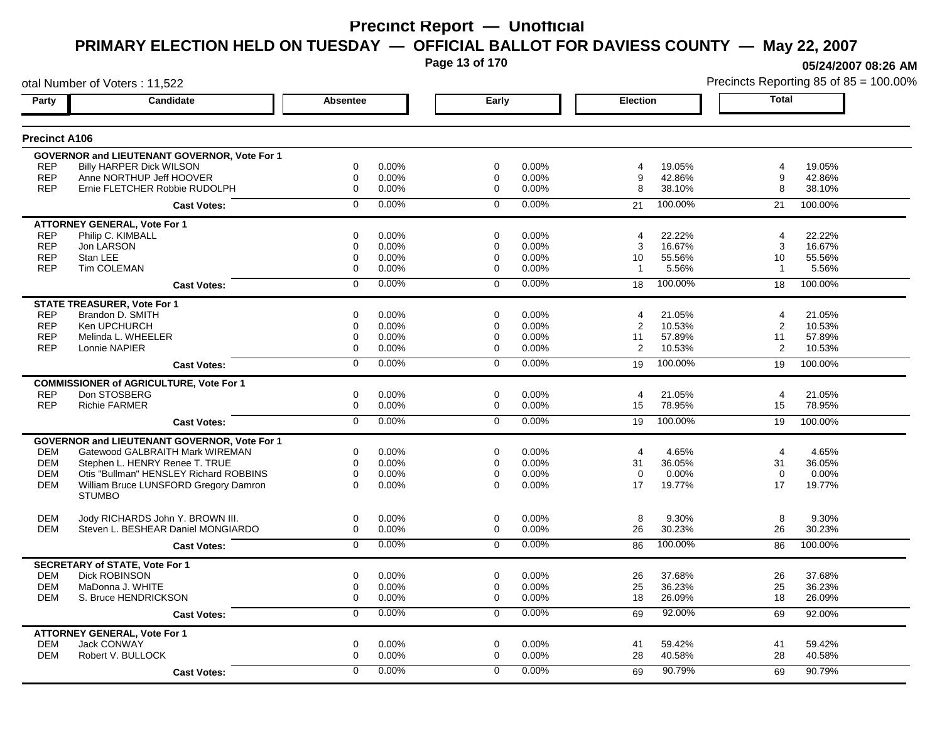**Page 13 of 170**

**05/24/2007 08:26 AM**

| otal Number of Voters: 11,522 |                                                     |                  |       |                |       |                 |         |                | Precincts Reporting 85 of 85 = 100.00% |
|-------------------------------|-----------------------------------------------------|------------------|-------|----------------|-------|-----------------|---------|----------------|----------------------------------------|
| Party                         | <b>Candidate</b>                                    | Absentee         |       | Early          |       | <b>Election</b> |         | <b>Total</b>   |                                        |
| <b>Precinct A106</b>          |                                                     |                  |       |                |       |                 |         |                |                                        |
|                               | <b>GOVERNOR and LIEUTENANT GOVERNOR, Vote For 1</b> |                  |       |                |       |                 |         |                |                                        |
| <b>REP</b>                    | <b>Billy HARPER Dick WILSON</b>                     | 0                | 0.00% | 0              | 0.00% | 4               | 19.05%  | 4              | 19.05%                                 |
| <b>REP</b>                    | Anne NORTHUP Jeff HOOVER                            | 0                | 0.00% | 0              | 0.00% | 9               | 42.86%  | 9              | 42.86%                                 |
| <b>REP</b>                    | Ernie FLETCHER Robbie RUDOLPH                       | $\mathbf 0$      | 0.00% | $\mathbf 0$    | 0.00% | 8               | 38.10%  | 8              | 38.10%                                 |
|                               | <b>Cast Votes:</b>                                  | $\mathbf 0$      | 0.00% | $\mathbf 0$    | 0.00% | 21              | 100.00% | 21             | 100.00%                                |
|                               | <b>ATTORNEY GENERAL, Vote For 1</b>                 |                  |       |                |       |                 |         |                |                                        |
| <b>REP</b>                    | Philip C. KIMBALL                                   | $\mathbf 0$      | 0.00% | $\Omega$       | 0.00% | 4               | 22.22%  | 4              | 22.22%                                 |
| <b>REP</b>                    | Jon LARSON                                          | 0                | 0.00% | 0              | 0.00% | 3               | 16.67%  | 3              | 16.67%                                 |
| <b>REP</b>                    | Stan LEE                                            | $\mathbf 0$      | 0.00% | 0              | 0.00% | 10 <sup>°</sup> | 55.56%  | 10             | 55.56%                                 |
| <b>REP</b>                    | <b>Tim COLEMAN</b>                                  | $\mathbf 0$      | 0.00% | $\Omega$       | 0.00% | $\mathbf{1}$    | 5.56%   | -1             | 5.56%                                  |
|                               | <b>Cast Votes:</b>                                  | $\mathbf 0$      | 0.00% | $\mathbf 0$    | 0.00% | 18              | 100.00% | 18             | 100.00%                                |
|                               | <b>STATE TREASURER, Vote For 1</b>                  |                  |       |                |       |                 |         |                |                                        |
| <b>REP</b>                    | Brandon D. SMITH                                    | $\mathbf 0$      | 0.00% | $\Omega$       | 0.00% | 4               | 21.05%  | $\overline{4}$ | 21.05%                                 |
| <b>REP</b>                    | Ken UPCHURCH                                        | $\mathbf 0$      | 0.00% | 0              | 0.00% | 2               | 10.53%  | 2              | 10.53%                                 |
| <b>REP</b>                    | Melinda L. WHEELER                                  | $\mathbf 0$      | 0.00% | 0              | 0.00% | 11              | 57.89%  | 11             | 57.89%                                 |
| <b>REP</b>                    | Lonnie NAPIER                                       | $\Omega$         | 0.00% | $\Omega$       | 0.00% | 2               | 10.53%  | 2              | 10.53%                                 |
|                               | <b>Cast Votes:</b>                                  | $\overline{0}$   | 0.00% | $\overline{0}$ | 0.00% | 19              | 100.00% | 19             | 100.00%                                |
|                               | <b>COMMISSIONER of AGRICULTURE, Vote For 1</b>      |                  |       |                |       |                 |         |                |                                        |
| <b>REP</b>                    | Don STOSBERG                                        | 0                | 0.00% | 0              | 0.00% | $\overline{4}$  | 21.05%  | $\overline{4}$ | 21.05%                                 |
| <b>REP</b>                    | <b>Richie FARMER</b>                                | 0                | 0.00% | 0              | 0.00% | 15              | 78.95%  | 15             | 78.95%                                 |
|                               | <b>Cast Votes:</b>                                  | $\overline{0}$   | 0.00% | $\overline{0}$ | 0.00% | 19              | 100.00% | 19             | 100.00%                                |
|                               | GOVERNOR and LIEUTENANT GOVERNOR, Vote For 1        |                  |       |                |       |                 |         |                |                                        |
| DEM                           | Gatewood GALBRAITH Mark WIREMAN                     | 0                | 0.00% | 0              | 0.00% | $\overline{4}$  | 4.65%   | $\overline{4}$ | 4.65%                                  |
| <b>DEM</b>                    | Stephen L. HENRY Renee T. TRUE                      | $\mathbf 0$      | 0.00% | 0              | 0.00% | 31              | 36.05%  | 31             | 36.05%                                 |
| <b>DEM</b>                    | Otis "Bullman" HENSLEY Richard ROBBINS              | 0                | 0.00% | 0              | 0.00% | $\mathbf 0$     | 0.00%   | $\mathbf 0$    | 0.00%                                  |
| <b>DEM</b>                    | William Bruce LUNSFORD Gregory Damron               | $\Omega$         | 0.00% | $\Omega$       | 0.00% | 17              | 19.77%  | 17             | 19.77%                                 |
|                               | <b>STUMBO</b>                                       |                  |       |                |       |                 |         |                |                                        |
| <b>DEM</b>                    | Jody RICHARDS John Y. BROWN III.                    | 0                | 0.00% | 0              | 0.00% | 8               | 9.30%   | 8              | 9.30%                                  |
| <b>DEM</b>                    | Steven L. BESHEAR Daniel MONGIARDO                  | 0                | 0.00% | $\mathbf 0$    | 0.00% | 26              | 30.23%  | 26             | 30.23%                                 |
|                               | <b>Cast Votes:</b>                                  | $\mathbf 0$      | 0.00% | $\mathbf 0$    | 0.00% | 86              | 100.00% | 86             | 100.00%                                |
|                               | <b>SECRETARY of STATE, Vote For 1</b>               |                  |       |                |       |                 |         |                |                                        |
| <b>DEM</b>                    | <b>Dick ROBINSON</b>                                | 0                | 0.00% | 0              | 0.00% | 26              | 37.68%  | 26             | 37.68%                                 |
| <b>DEM</b>                    | MaDonna J. WHITE                                    | 0                | 0.00% | 0              | 0.00% | 25              | 36.23%  | 25             | 36.23%                                 |
| DEM                           | S. Bruce HENDRICKSON                                | $\boldsymbol{0}$ | 0.00% | 0              | 0.00% | 18              | 26.09%  | 18             | 26.09%                                 |
|                               | <b>Cast Votes:</b>                                  | 0                | 0.00% | 0              | 0.00% | 69              | 92.00%  | 69             | 92.00%                                 |
|                               | <b>ATTORNEY GENERAL, Vote For 1</b>                 |                  |       |                |       |                 |         |                |                                        |
| <b>DEM</b>                    | Jack CONWAY                                         | $\mathbf 0$      | 0.00% | $\mathbf 0$    | 0.00% | 41              | 59.42%  | 41             | 59.42%                                 |
| <b>DEM</b>                    | Robert V. BULLOCK                                   | $\mathbf 0$      | 0.00% | 0              | 0.00% | 28              | 40.58%  | 28             | 40.58%                                 |
|                               | <b>Cast Votes:</b>                                  | $\Omega$         | 0.00% | $\Omega$       | 0.00% | 69              | 90.79%  | 69             | 90.79%                                 |
|                               |                                                     |                  |       |                |       |                 |         |                |                                        |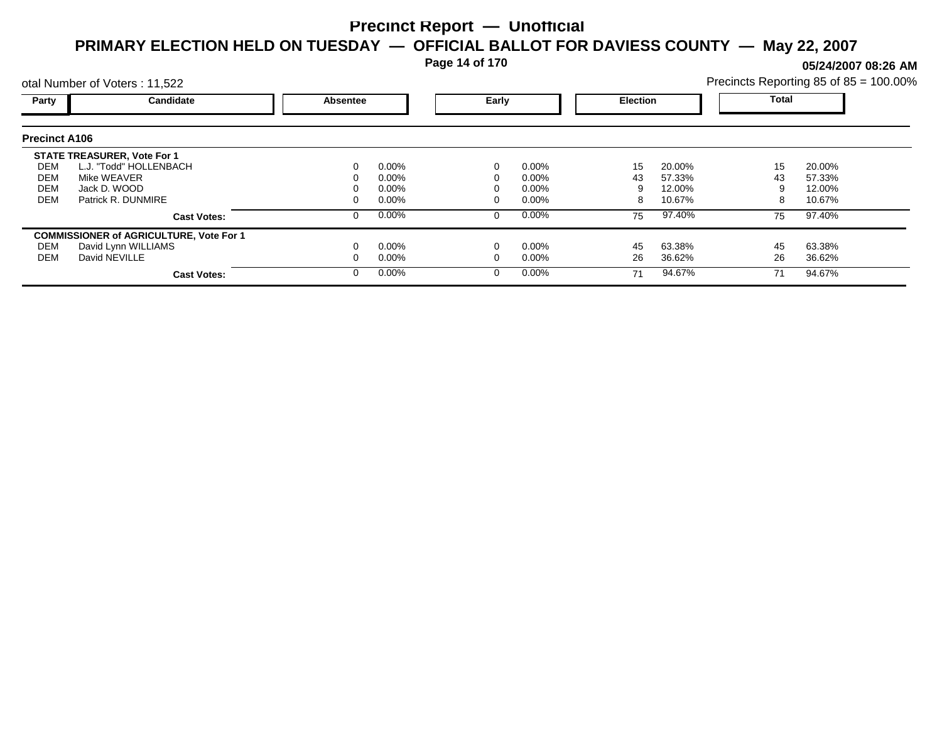**Page 14 of 170**

**05/24/2007 08:26 AM**

|                      | otal Number of Voters: 11,522                  |                 |          |          |          |                 |        |              | Precincts Reporting 85 of 85 = 100.00% |
|----------------------|------------------------------------------------|-----------------|----------|----------|----------|-----------------|--------|--------------|----------------------------------------|
| Party                | <b>Candidate</b>                               | <b>Absentee</b> |          | Early    |          | <b>Election</b> |        | <b>Total</b> |                                        |
| <b>Precinct A106</b> |                                                |                 |          |          |          |                 |        |              |                                        |
|                      | <b>STATE TREASURER, Vote For 1</b>             |                 |          |          |          |                 |        |              |                                        |
| DEM                  | L.J. "Todd" HOLLENBACH                         | 0               | $0.00\%$ |          | 0.00%    | 15              | 20.00% | 15           | 20.00%                                 |
| DEM                  | Mike WEAVER                                    |                 | $0.00\%$ |          | $0.00\%$ | 43              | 57.33% | 43           | 57.33%                                 |
| <b>DEM</b>           | Jack D. WOOD                                   |                 | $0.00\%$ |          | $0.00\%$ |                 | 12.00% |              | 12.00%                                 |
| <b>DEM</b>           | Patrick R. DUNMIRE                             |                 | $0.00\%$ |          | $0.00\%$ |                 | 10.67% |              | 10.67%                                 |
|                      | <b>Cast Votes:</b>                             | 0               | $0.00\%$ | $\Omega$ | 0.00%    | 75              | 97.40% | 75           | 97.40%                                 |
|                      | <b>COMMISSIONER of AGRICULTURE, Vote For 1</b> |                 |          |          |          |                 |        |              |                                        |
| DEM                  | David Lynn WILLIAMS                            |                 | $0.00\%$ |          | 0.00%    | 45              | 63.38% | 45           | 63.38%                                 |
| DEM                  | David NEVILLE                                  |                 | $0.00\%$ |          | $0.00\%$ | 26              | 36.62% | 26           | 36.62%                                 |
|                      | <b>Cast Votes:</b>                             | 0               | $0.00\%$ |          | 0.00%    | 71              | 94.67% | 71           | 94.67%                                 |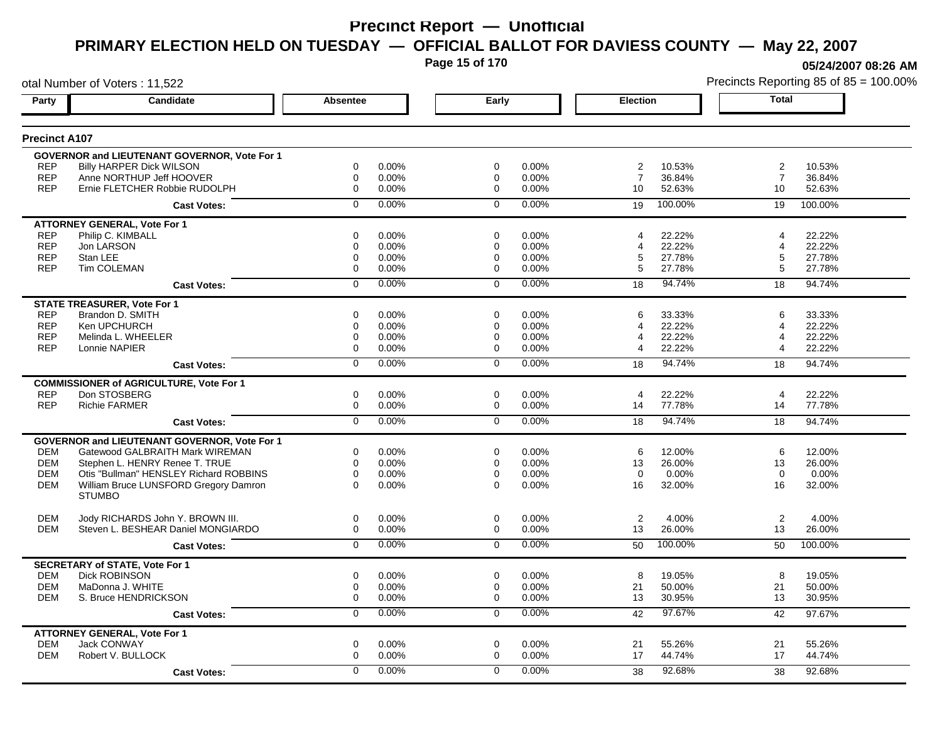**Page 15 of 170**

**05/24/2007 08:26 AM**

| otal Number of Voters: 11,522 |                                                     |                 |          |                |       |                |         |                       | Precincts Reporting 85 of 85 = 100.00% |
|-------------------------------|-----------------------------------------------------|-----------------|----------|----------------|-------|----------------|---------|-----------------------|----------------------------------------|
| Party                         | Candidate                                           | <b>Absentee</b> |          | Early          |       | Election       |         | <b>Total</b>          |                                        |
| <b>Precinct A107</b>          |                                                     |                 |          |                |       |                |         |                       |                                        |
|                               | <b>GOVERNOR and LIEUTENANT GOVERNOR, Vote For 1</b> |                 |          |                |       |                |         |                       |                                        |
| <b>REP</b>                    | <b>Billy HARPER Dick WILSON</b>                     | 0               | 0.00%    | 0              | 0.00% | 2              | 10.53%  | 2                     | 10.53%                                 |
| <b>REP</b>                    | Anne NORTHUP Jeff HOOVER                            | 0               | $0.00\%$ | 0              | 0.00% | $\overline{7}$ | 36.84%  | $\overline{7}$        | 36.84%                                 |
| <b>REP</b>                    | Ernie FLETCHER Robbie RUDOLPH                       | 0               | 0.00%    | $\mathbf 0$    | 0.00% | 10             | 52.63%  | 10                    | 52.63%                                 |
|                               | <b>Cast Votes:</b>                                  | $\Omega$        | 0.00%    | $\mathbf 0$    | 0.00% | 19             | 100.00% | 19                    | 100.00%                                |
|                               | <b>ATTORNEY GENERAL, Vote For 1</b>                 |                 |          |                |       |                |         |                       |                                        |
| <b>REP</b>                    | Philip C. KIMBALL                                   | 0               | 0.00%    | 0              | 0.00% | 4              | 22.22%  | $\boldsymbol{\Delta}$ | 22.22%                                 |
| <b>REP</b>                    | Jon LARSON                                          | 0               | 0.00%    | 0              | 0.00% | 4              | 22.22%  | $\overline{4}$        | 22.22%                                 |
| <b>REP</b>                    | Stan LEE                                            | 0               | 0.00%    | 0              | 0.00% | 5              | 27.78%  | 5                     | 27.78%                                 |
| <b>REP</b>                    | Tim COLEMAN                                         | 0               | $0.00\%$ | 0              | 0.00% | 5              | 27.78%  | 5                     | 27.78%                                 |
|                               | <b>Cast Votes:</b>                                  | 0               | 0.00%    | $\mathbf 0$    | 0.00% | 18             | 94.74%  | 18                    | 94.74%                                 |
|                               | <b>STATE TREASURER, Vote For 1</b>                  |                 |          |                |       |                |         |                       |                                        |
| <b>REP</b>                    | Brandon D. SMITH                                    | $\Omega$        | 0.00%    | $\Omega$       | 0.00% | 6              | 33.33%  | 6                     | 33.33%                                 |
| <b>REP</b>                    | Ken UPCHURCH                                        | 0               | 0.00%    | 0              | 0.00% | 4              | 22.22%  | 4                     | 22.22%                                 |
| <b>REP</b>                    | Melinda L. WHEELER                                  | 0               | 0.00%    | 0              | 0.00% | 4              | 22.22%  | $\overline{4}$        | 22.22%                                 |
| <b>REP</b>                    | Lonnie NAPIER                                       | 0               | $0.00\%$ | 0              | 0.00% | 4              | 22.22%  | 4                     | 22.22%                                 |
|                               | <b>Cast Votes:</b>                                  | $\overline{0}$  | 0.00%    | $\overline{0}$ | 0.00% | 18             | 94.74%  | 18                    | 94.74%                                 |
|                               | <b>COMMISSIONER of AGRICULTURE, Vote For 1</b>      |                 |          |                |       |                |         |                       |                                        |
| <b>REP</b>                    | Don STOSBERG                                        | 0               | 0.00%    | $\mathbf 0$    | 0.00% | $\overline{4}$ | 22.22%  | $\overline{4}$        | 22.22%                                 |
| <b>REP</b>                    | <b>Richie FARMER</b>                                | 0               | 0.00%    | $\mathbf 0$    | 0.00% | 14             | 77.78%  | 14                    | 77.78%                                 |
|                               | <b>Cast Votes:</b>                                  | $\overline{0}$  | 0.00%    | $\overline{0}$ | 0.00% | 18             | 94.74%  | 18                    | 94.74%                                 |
|                               | <b>GOVERNOR and LIEUTENANT GOVERNOR, Vote For 1</b> |                 |          |                |       |                |         |                       |                                        |
| <b>DEM</b>                    | Gatewood GALBRAITH Mark WIREMAN                     | 0               | 0.00%    | 0              | 0.00% | 6              | 12.00%  | 6                     | 12.00%                                 |
| <b>DEM</b>                    | Stephen L. HENRY Renee T. TRUE                      | 0               | 0.00%    | $\mathbf 0$    | 0.00% | 13             | 26.00%  | 13                    | 26.00%                                 |
| <b>DEM</b>                    | Otis "Bullman" HENSLEY Richard ROBBINS              | 0               | 0.00%    | $\mathbf 0$    | 0.00% | $\Omega$       | 0.00%   | $\Omega$              | 0.00%                                  |
| <b>DEM</b>                    | William Bruce LUNSFORD Gregory Damron               | $\Omega$        | $0.00\%$ | $\Omega$       | 0.00% | 16             | 32.00%  | 16                    | 32.00%                                 |
|                               | <b>STUMBO</b>                                       |                 |          |                |       |                |         |                       |                                        |
| <b>DEM</b>                    | Jody RICHARDS John Y. BROWN III.                    | 0               | 0.00%    | $\mathbf 0$    | 0.00% | 2              | 4.00%   | $\overline{2}$        | 4.00%                                  |
| <b>DEM</b>                    | Steven L. BESHEAR Daniel MONGIARDO                  | 0               | 0.00%    | 0              | 0.00% | 13             | 26.00%  | 13                    | 26.00%                                 |
|                               | <b>Cast Votes:</b>                                  | $\overline{0}$  | 0.00%    | $\mathbf 0$    | 0.00% | 50             | 100.00% | 50                    | 100.00%                                |
|                               | <b>SECRETARY of STATE, Vote For 1</b>               |                 |          |                |       |                |         |                       |                                        |
| <b>DEM</b>                    | <b>Dick ROBINSON</b>                                | 0               | 0.00%    | $\mathbf 0$    | 0.00% | 8              | 19.05%  | 8                     | 19.05%                                 |
| <b>DEM</b>                    | MaDonna J. WHITE                                    | 0               | $0.00\%$ | 0              | 0.00% | 21             | 50.00%  | 21                    | 50.00%                                 |
| <b>DEM</b>                    | S. Bruce HENDRICKSON                                | 0               | 0.00%    | $\mathbf 0$    | 0.00% | 13             | 30.95%  | 13                    | 30.95%                                 |
|                               | <b>Cast Votes:</b>                                  | 0               | 0.00%    | 0              | 0.00% | 42             | 97.67%  | 42                    | 97.67%                                 |
|                               | <b>ATTORNEY GENERAL, Vote For 1</b>                 |                 |          |                |       |                |         |                       |                                        |
| <b>DEM</b>                    | <b>Jack CONWAY</b>                                  | 0               | 0.00%    | $\mathbf 0$    | 0.00% | 21             | 55.26%  | 21                    | 55.26%                                 |
| <b>DEM</b>                    | Robert V. BULLOCK                                   | 0               | 0.00%    | $\Omega$       | 0.00% | 17             | 44.74%  | 17                    | 44.74%                                 |
|                               | <b>Cast Votes:</b>                                  | 0               | $0.00\%$ | $\Omega$       | 0.00% | 38             | 92.68%  | 38                    | 92.68%                                 |
|                               |                                                     |                 |          |                |       |                |         |                       |                                        |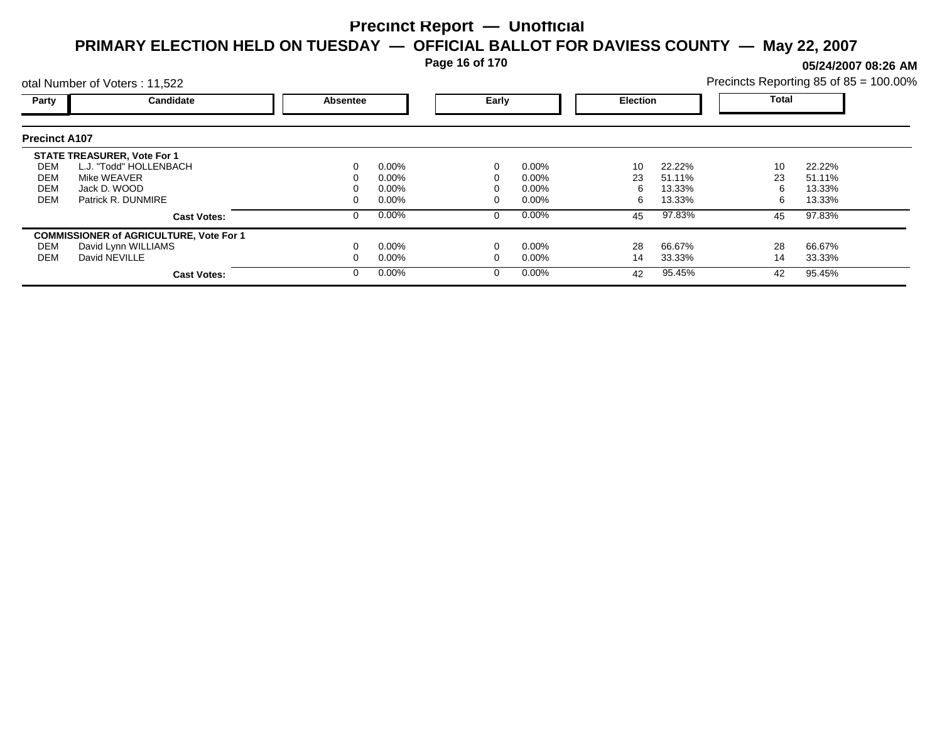**Page 16 of 170**

**05/24/2007 08:26 AM**

|                      | otal Number of Voters: 11,522                  |          |          |          |          |                 |        |       | Precincts Reporting 85 of 85 = 100.00% |  |
|----------------------|------------------------------------------------|----------|----------|----------|----------|-----------------|--------|-------|----------------------------------------|--|
| Party                | Candidate                                      | Absentee |          | Early    |          | <b>Election</b> |        | Total |                                        |  |
| <b>Precinct A107</b> |                                                |          |          |          |          |                 |        |       |                                        |  |
|                      | <b>STATE TREASURER, Vote For 1</b>             |          |          |          |          |                 |        |       |                                        |  |
| DEM                  | L.J. "Todd" HOLLENBACH                         |          | $0.00\%$ | 0        | $0.00\%$ | 10              | 22.22% | 10    | 22.22%                                 |  |
| DEM                  | Mike WEAVER                                    |          | 0.00%    |          | $0.00\%$ | 23              | 51.11% | 23    | 51.11%                                 |  |
| <b>DEM</b>           | Jack D. WOOD                                   |          | 0.00%    |          | $0.00\%$ | 6               | 13.33% | 6     | 13.33%                                 |  |
| <b>DEM</b>           | Patrick R. DUNMIRE                             |          | 0.00%    |          | $0.00\%$ | 6               | 13.33% | 6.    | 13.33%                                 |  |
|                      | <b>Cast Votes:</b>                             |          | 0.00%    | 0        | $0.00\%$ | 45              | 97.83% | 45    | 97.83%                                 |  |
|                      | <b>COMMISSIONER of AGRICULTURE, Vote For 1</b> |          |          |          |          |                 |        |       |                                        |  |
| DEM                  | David Lynn WILLIAMS                            |          | 0.00%    |          | $0.00\%$ | 28              | 66.67% | 28    | 66.67%                                 |  |
| DEM                  | David NEVILLE                                  |          | $0.00\%$ |          | $0.00\%$ | 14              | 33.33% | 14    | 33.33%                                 |  |
|                      | <b>Cast Votes:</b>                             |          | $0.00\%$ | $\Omega$ | $0.00\%$ | 42              | 95.45% | 42    | 95.45%                                 |  |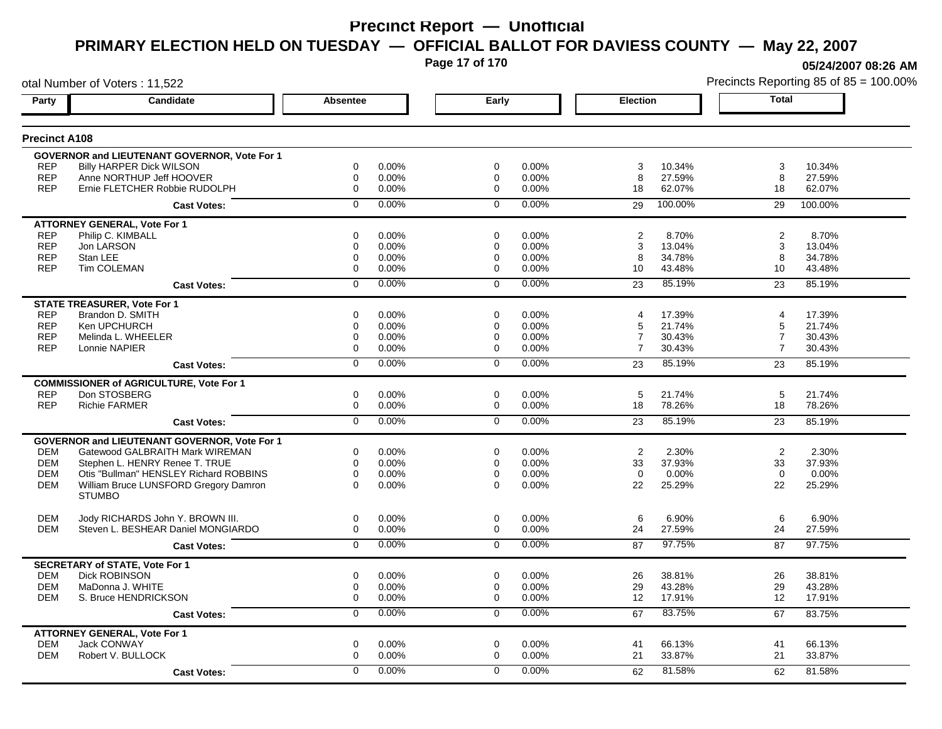**Page 17 of 170**

**05/24/2007 08:26 AM**

| otal Number of Voters: 11,522 |                                                     |                 |          |             |       |                |         |                | Precincts Reporting 85 of 85 = 100.00% |
|-------------------------------|-----------------------------------------------------|-----------------|----------|-------------|-------|----------------|---------|----------------|----------------------------------------|
| Party                         | Candidate                                           | <b>Absentee</b> |          | Early       |       | Election       |         | Total          |                                        |
| <b>Precinct A108</b>          |                                                     |                 |          |             |       |                |         |                |                                        |
|                               | GOVERNOR and LIEUTENANT GOVERNOR, Vote For 1        |                 |          |             |       |                |         |                |                                        |
| <b>REP</b>                    | <b>Billy HARPER Dick WILSON</b>                     | 0               | 0.00%    | 0           | 0.00% | 3              | 10.34%  | 3              | 10.34%                                 |
| <b>REP</b>                    | Anne NORTHUP Jeff HOOVER                            | 0               | $0.00\%$ | 0           | 0.00% | 8              | 27.59%  | 8              | 27.59%                                 |
| <b>REP</b>                    | Ernie FLETCHER Robbie RUDOLPH                       | 0               | 0.00%    | $\mathbf 0$ | 0.00% | 18             | 62.07%  | 18             | 62.07%                                 |
|                               | <b>Cast Votes:</b>                                  | $\Omega$        | 0.00%    | $\Omega$    | 0.00% | 29             | 100.00% | 29             | 100.00%                                |
|                               | <b>ATTORNEY GENERAL, Vote For 1</b>                 |                 |          |             |       |                |         |                |                                        |
| <b>REP</b>                    | Philip C. KIMBALL                                   | 0               | $0.00\%$ | 0           | 0.00% | 2              | 8.70%   | 2              | 8.70%                                  |
| <b>REP</b>                    | Jon LARSON                                          | 0               | 0.00%    | $\mathbf 0$ | 0.00% | 3              | 13.04%  | 3              | 13.04%                                 |
| <b>REP</b>                    | Stan LEE                                            | 0               | $0.00\%$ | 0           | 0.00% | 8              | 34.78%  | 8              | 34.78%                                 |
| <b>REP</b>                    | <b>Tim COLEMAN</b>                                  | 0               | $0.00\%$ | $\mathbf 0$ | 0.00% | 10             | 43.48%  | 10             | 43.48%                                 |
|                               | <b>Cast Votes:</b>                                  | $\mathbf 0$     | 0.00%    | $\mathbf 0$ | 0.00% | 23             | 85.19%  | 23             | 85.19%                                 |
|                               | <b>STATE TREASURER, Vote For 1</b>                  |                 |          |             |       |                |         |                |                                        |
| <b>REP</b>                    | Brandon D. SMITH                                    | 0               | 0.00%    | $\Omega$    | 0.00% | 4              | 17.39%  | $\overline{4}$ | 17.39%                                 |
| <b>REP</b>                    | Ken UPCHURCH                                        | 0               | 0.00%    | 0           | 0.00% | 5              | 21.74%  | 5              | 21.74%                                 |
| <b>REP</b>                    | Melinda L. WHEELER                                  | 0               | $0.00\%$ | $\mathbf 0$ | 0.00% | $\overline{7}$ | 30.43%  | $\overline{7}$ | 30.43%                                 |
| <b>REP</b>                    | Lonnie NAPIER                                       | $\Omega$        | 0.00%    | 0           | 0.00% | $\overline{7}$ | 30.43%  | $\overline{7}$ | 30.43%                                 |
|                               | <b>Cast Votes:</b>                                  | 0               | 0.00%    | $\Omega$    | 0.00% | 23             | 85.19%  | 23             | 85.19%                                 |
|                               | <b>COMMISSIONER of AGRICULTURE, Vote For 1</b>      |                 |          |             |       |                |         |                |                                        |
| <b>REP</b>                    | Don STOSBERG                                        | 0               | $0.00\%$ | $\mathbf 0$ | 0.00% | 5              | 21.74%  | 5              | 21.74%                                 |
| <b>REP</b>                    | <b>Richie FARMER</b>                                | 0               | 0.00%    | $\mathbf 0$ | 0.00% | 18             | 78.26%  | 18             | 78.26%                                 |
|                               | <b>Cast Votes:</b>                                  | $\overline{0}$  | 0.00%    | $\mathbf 0$ | 0.00% | 23             | 85.19%  | 23             | 85.19%                                 |
|                               | <b>GOVERNOR and LIEUTENANT GOVERNOR, Vote For 1</b> |                 |          |             |       |                |         |                |                                        |
| <b>DEM</b>                    | Gatewood GALBRAITH Mark WIREMAN                     | 0               | 0.00%    | $\mathbf 0$ | 0.00% | 2              | 2.30%   | 2              | 2.30%                                  |
| <b>DEM</b>                    | Stephen L. HENRY Renee T. TRUE                      | $\Omega$        | 0.00%    | $\Omega$    | 0.00% | 33             | 37.93%  | 33             | 37.93%                                 |
| <b>DEM</b>                    | Otis "Bullman" HENSLEY Richard ROBBINS              | 0               | 0.00%    | $\Omega$    | 0.00% | $\Omega$       | 0.00%   | $\Omega$       | 0.00%                                  |
| DEM                           | William Bruce LUNSFORD Gregory Damron               | 0               | $0.00\%$ | $\Omega$    | 0.00% | 22             | 25.29%  | 22             | 25.29%                                 |
|                               | <b>STUMBO</b>                                       |                 |          |             |       |                |         |                |                                        |
| <b>DEM</b>                    | Jody RICHARDS John Y. BROWN III.                    | 0               | $0.00\%$ | 0           | 0.00% | 6              | 6.90%   | 6              | 6.90%                                  |
| <b>DEM</b>                    | Steven L. BESHEAR Daniel MONGIARDO                  | 0               | $0.00\%$ | 0           | 0.00% | 24             | 27.59%  | 24             | 27.59%                                 |
|                               | <b>Cast Votes:</b>                                  | $\mathbf 0$     | 0.00%    | $\mathbf 0$ | 0.00% | 87             | 97.75%  | 87             | 97.75%                                 |
|                               | <b>SECRETARY of STATE, Vote For 1</b>               |                 |          |             |       |                |         |                |                                        |
| <b>DEM</b>                    | <b>Dick ROBINSON</b>                                | 0               | 0.00%    | 0           | 0.00% | 26             | 38.81%  | 26             | 38.81%                                 |
| <b>DEM</b>                    | MaDonna J. WHITE                                    | 0               | 0.00%    | 0           | 0.00% | 29             | 43.28%  | 29             | 43.28%                                 |
| <b>DEM</b>                    | S. Bruce HENDRICKSON                                | 0               | $0.00\%$ | $\mathbf 0$ | 0.00% | 12             | 17.91%  | 12             | 17.91%                                 |
|                               | <b>Cast Votes:</b>                                  | $\overline{0}$  | 0.00%    | $\mathbf 0$ | 0.00% | 67             | 83.75%  | 67             | 83.75%                                 |
|                               | <b>ATTORNEY GENERAL, Vote For 1</b>                 |                 |          |             |       |                |         |                |                                        |
| <b>DEM</b>                    | Jack CONWAY                                         | 0               | $0.00\%$ | 0           | 0.00% | 41             | 66.13%  | 41             | 66.13%                                 |
| <b>DEM</b>                    | Robert V. BULLOCK                                   | 0               | 0.00%    | $\mathbf 0$ | 0.00% | 21             | 33.87%  | 21             | 33.87%                                 |
|                               | <b>Cast Votes:</b>                                  | $\Omega$        | 0.00%    | $\Omega$    | 0.00% | 62             | 81.58%  | 62             | 81.58%                                 |
|                               |                                                     |                 |          |             |       |                |         |                |                                        |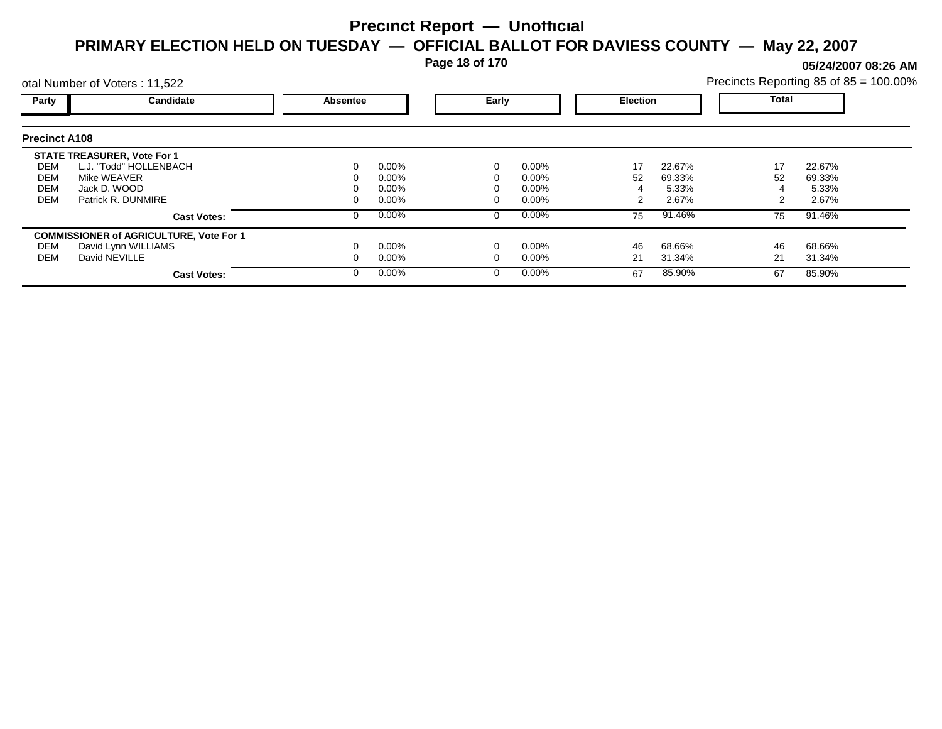**Page 18 of 170**

**05/24/2007 08:26 AM**

| Precincts Reporting 85 of 85 = 100.00% |  |  |
|----------------------------------------|--|--|
|                                        |  |  |

|                      | otal Number of Voters: 11,522                  |          |          |       |          |                 |        | Precincts Reporting 85 of 85 = 100.00% |        |  |
|----------------------|------------------------------------------------|----------|----------|-------|----------|-----------------|--------|----------------------------------------|--------|--|
| Party                | <b>Candidate</b>                               | Absentee |          | Early |          | <b>Election</b> |        | <b>Total</b>                           |        |  |
| <b>Precinct A108</b> |                                                |          |          |       |          |                 |        |                                        |        |  |
|                      | <b>STATE TREASURER, Vote For 1</b>             |          |          |       |          |                 |        |                                        |        |  |
| DEM                  | L.J. "Todd" HOLLENBACH                         | 0        | $0.00\%$ |       | 0.00%    | 17              | 22.67% | 17                                     | 22.67% |  |
| DEM                  | Mike WEAVER                                    | 0        | $0.00\%$ |       | $0.00\%$ | 52              | 69.33% | 52                                     | 69.33% |  |
| DEM                  | Jack D. WOOD                                   |          | $0.00\%$ |       | $0.00\%$ |                 | 5.33%  |                                        | 5.33%  |  |
| <b>DEM</b>           | Patrick R. DUNMIRE                             | 0        | $0.00\%$ |       | $0.00\%$ |                 | 2.67%  |                                        | 2.67%  |  |
|                      | <b>Cast Votes:</b>                             | 0        | $0.00\%$ | 0     | 0.00%    | 75              | 91.46% | 75                                     | 91.46% |  |
|                      | <b>COMMISSIONER of AGRICULTURE, Vote For 1</b> |          |          |       |          |                 |        |                                        |        |  |
| DEM                  | David Lynn WILLIAMS                            |          | $0.00\%$ |       | 0.00%    | 46              | 68.66% | 46                                     | 68.66% |  |
| DEM                  | David NEVILLE                                  | 0        | $0.00\%$ |       | 0.00%    | 21              | 31.34% | 21                                     | 31.34% |  |
|                      | <b>Cast Votes:</b>                             | $\Omega$ | $0.00\%$ |       | 0.00%    | 67              | 85.90% | 67                                     | 85.90% |  |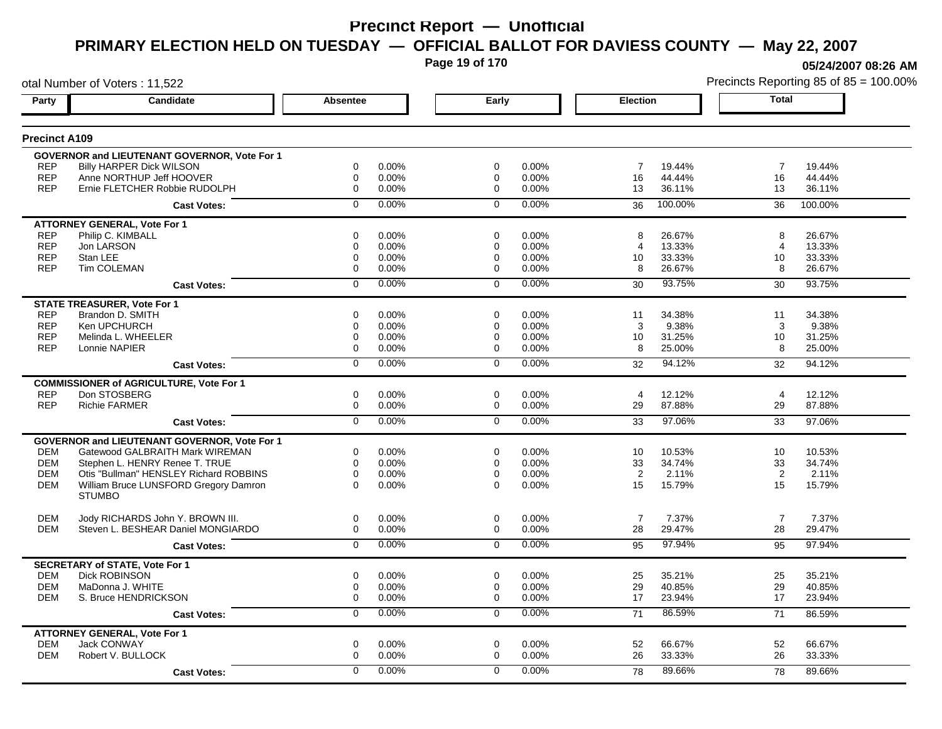**Page 19 of 170**

**05/24/2007 08:26 AM**

| otal Number of Voters: 11,522 |                                                     |                  |       |                |          |                 |         |                | Precincts Reporting 85 of 85 = 100.00% |
|-------------------------------|-----------------------------------------------------|------------------|-------|----------------|----------|-----------------|---------|----------------|----------------------------------------|
| Party                         | <b>Candidate</b>                                    | Absentee         |       | Early          |          | <b>Election</b> |         | <b>Total</b>   |                                        |
| <b>Precinct A109</b>          |                                                     |                  |       |                |          |                 |         |                |                                        |
|                               | GOVERNOR and LIEUTENANT GOVERNOR, Vote For 1        |                  |       |                |          |                 |         |                |                                        |
| <b>REP</b>                    | <b>Billy HARPER Dick WILSON</b>                     | 0                | 0.00% | $\mathbf 0$    | 0.00%    | $\overline{7}$  | 19.44%  | $\overline{7}$ | 19.44%                                 |
| <b>REP</b>                    | Anne NORTHUP Jeff HOOVER                            | 0                | 0.00% | 0              | 0.00%    | 16              | 44.44%  | 16             | 44.44%                                 |
| <b>REP</b>                    | Ernie FLETCHER Robbie RUDOLPH                       | $\boldsymbol{0}$ | 0.00% | $\Omega$       | 0.00%    | 13              | 36.11%  | 13             | 36.11%                                 |
|                               | <b>Cast Votes:</b>                                  | $\mathbf 0$      | 0.00% | $\mathbf 0$    | 0.00%    | 36              | 100.00% | 36             | 100.00%                                |
|                               | <b>ATTORNEY GENERAL, Vote For 1</b>                 |                  |       |                |          |                 |         |                |                                        |
| <b>REP</b>                    | Philip C. KIMBALL                                   | $\mathbf 0$      | 0.00% | $\mathbf 0$    | 0.00%    | 8               | 26.67%  | 8              | 26.67%                                 |
| <b>REP</b>                    | Jon LARSON                                          | 0                | 0.00% | $\mathbf 0$    | 0.00%    | 4               | 13.33%  | 4              | 13.33%                                 |
| <b>REP</b>                    | Stan LEE                                            | $\mathbf 0$      | 0.00% | 0              | 0.00%    | 10 <sup>1</sup> | 33.33%  | 10             | 33.33%                                 |
| <b>REP</b>                    | Tim COLEMAN                                         | $\mathbf 0$      | 0.00% | 0              | 0.00%    | 8               | 26.67%  | 8              | 26.67%                                 |
|                               | <b>Cast Votes:</b>                                  | $\mathbf 0$      | 0.00% | $\Omega$       | 0.00%    | 30              | 93.75%  | 30             | 93.75%                                 |
|                               | <b>STATE TREASURER, Vote For 1</b>                  |                  |       |                |          |                 |         |                |                                        |
| <b>REP</b>                    | Brandon D. SMITH                                    | 0                | 0.00% | 0              | 0.00%    | 11              | 34.38%  | 11             | 34.38%                                 |
| <b>REP</b>                    | Ken UPCHURCH                                        | 0                | 0.00% | 0              | 0.00%    | 3               | 9.38%   | 3              | 9.38%                                  |
| <b>REP</b>                    | Melinda L. WHEELER                                  | 0                | 0.00% | 0              | 0.00%    | 10              | 31.25%  | 10             | 31.25%                                 |
| <b>REP</b>                    | Lonnie NAPIER                                       | $\mathbf 0$      | 0.00% | 0              | 0.00%    | 8               | 25.00%  | 8              | 25.00%                                 |
|                               | <b>Cast Votes:</b>                                  | $\overline{0}$   | 0.00% | $\Omega$       | 0.00%    | 32              | 94.12%  | 32             | 94.12%                                 |
|                               | <b>COMMISSIONER of AGRICULTURE, Vote For 1</b>      |                  |       |                |          |                 |         |                |                                        |
| <b>REP</b>                    | Don STOSBERG                                        | 0                | 0.00% | 0              | 0.00%    | $\overline{4}$  | 12.12%  | $\overline{4}$ | 12.12%                                 |
| <b>REP</b>                    | <b>Richie FARMER</b>                                | $\boldsymbol{0}$ | 0.00% | 0              | 0.00%    | 29              | 87.88%  | 29             | 87.88%                                 |
|                               | <b>Cast Votes:</b>                                  | $\overline{0}$   | 0.00% | $\overline{0}$ | 0.00%    | 33              | 97.06%  | 33             | 97.06%                                 |
|                               | <b>GOVERNOR and LIEUTENANT GOVERNOR, Vote For 1</b> |                  |       |                |          |                 |         |                |                                        |
| <b>DEM</b>                    | Gatewood GALBRAITH Mark WIREMAN                     | 0                | 0.00% | $\mathbf 0$    | 0.00%    | 10              | 10.53%  | 10             | 10.53%                                 |
| <b>DEM</b>                    | Stephen L. HENRY Renee T. TRUE                      | $\mathbf 0$      | 0.00% | $\mathbf 0$    | $0.00\%$ | 33              | 34.74%  | 33             | 34.74%                                 |
| <b>DEM</b>                    | Otis "Bullman" HENSLEY Richard ROBBINS              | $\mathbf 0$      | 0.00% | $\mathbf 0$    | 0.00%    | 2               | 2.11%   | 2              | 2.11%                                  |
| <b>DEM</b>                    | William Bruce LUNSFORD Gregory Damron               | $\Omega$         | 0.00% | $\Omega$       | $0.00\%$ | 15              | 15.79%  | 15             | 15.79%                                 |
|                               | <b>STUMBO</b>                                       |                  |       |                |          |                 |         |                |                                        |
| <b>DEM</b>                    | Jody RICHARDS John Y. BROWN III.                    | $\mathbf 0$      | 0.00% | $\mathbf 0$    | 0.00%    | $\overline{7}$  | 7.37%   | $\overline{7}$ | 7.37%                                  |
| <b>DEM</b>                    | Steven L. BESHEAR Daniel MONGIARDO                  | $\mathbf 0$      | 0.00% | $\mathbf 0$    | 0.00%    | 28              | 29.47%  | 28             | 29.47%                                 |
|                               | <b>Cast Votes:</b>                                  | $\overline{0}$   | 0.00% | $\Omega$       | 0.00%    | 95              | 97.94%  | 95             | 97.94%                                 |
|                               | <b>SECRETARY of STATE, Vote For 1</b>               |                  |       |                |          |                 |         |                |                                        |
| <b>DEM</b>                    | <b>Dick ROBINSON</b>                                | 0                | 0.00% | 0              | 0.00%    | 25              | 35.21%  | 25             | 35.21%                                 |
| <b>DEM</b>                    | MaDonna J. WHITE                                    | 0                | 0.00% | 0              | 0.00%    | 29              | 40.85%  | 29             | 40.85%                                 |
| DEM                           | S. Bruce HENDRICKSON                                | $\mathbf 0$      | 0.00% | 0              | 0.00%    | 17              | 23.94%  | 17             | 23.94%                                 |
|                               | <b>Cast Votes:</b>                                  | 0                | 0.00% | $\mathbf 0$    | 0.00%    | 71              | 86.59%  | 71             | 86.59%                                 |
|                               | <b>ATTORNEY GENERAL, Vote For 1</b>                 |                  |       |                |          |                 |         |                |                                        |
| <b>DEM</b>                    | Jack CONWAY                                         | 0                | 0.00% | 0              | 0.00%    | 52              | 66.67%  | 52             | 66.67%                                 |
| <b>DEM</b>                    | Robert V. BULLOCK                                   | $\Omega$         | 0.00% | $\Omega$       | 0.00%    | 26              | 33.33%  | 26             | 33.33%                                 |
|                               | <b>Cast Votes:</b>                                  | 0                | 0.00% | 0              | 0.00%    | 78              | 89.66%  | 78             | 89.66%                                 |
|                               |                                                     |                  |       |                |          |                 |         |                |                                        |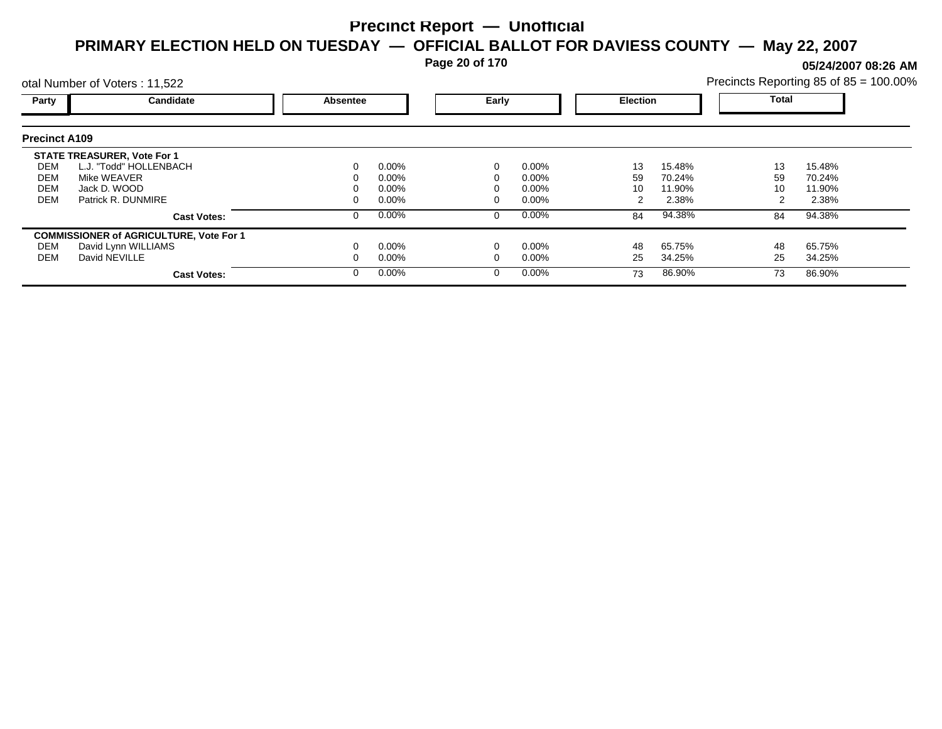**Page 20 of 170**

**05/24/2007 08:26 AM**

|                      | otal Number of Voters: 11,522                  |          |          |       |          |                 |        | Precincts Reporting 85 of 85 = 100.00% |        |  |
|----------------------|------------------------------------------------|----------|----------|-------|----------|-----------------|--------|----------------------------------------|--------|--|
| Party                | Candidate                                      | Absentee |          | Early |          | <b>Election</b> |        | <b>Total</b>                           |        |  |
| <b>Precinct A109</b> |                                                |          |          |       |          |                 |        |                                        |        |  |
|                      | <b>STATE TREASURER, Vote For 1</b>             |          |          |       |          |                 |        |                                        |        |  |
| DEM                  | L.J. "Todd" HOLLENBACH                         |          | $0.00\%$ |       | $0.00\%$ | 13              | 15.48% | 13                                     | 15.48% |  |
| DEM                  | Mike WEAVER                                    |          | 0.00%    |       | 0.00%    | 59              | 70.24% | 59                                     | 70.24% |  |
| <b>DEM</b>           | Jack D. WOOD                                   |          | 0.00%    |       | 0.00%    | 10              | 11.90% | 10                                     | 11.90% |  |
| <b>DEM</b>           | Patrick R. DUNMIRE                             |          | 0.00%    |       | 0.00%    |                 | 2.38%  |                                        | 2.38%  |  |
|                      | <b>Cast Votes:</b>                             |          | $0.00\%$ | 0     | $0.00\%$ | 84              | 94.38% | 84                                     | 94.38% |  |
|                      | <b>COMMISSIONER of AGRICULTURE, Vote For 1</b> |          |          |       |          |                 |        |                                        |        |  |
| DEM                  | David Lynn WILLIAMS                            |          | $0.00\%$ |       | 0.00%    | 48              | 65.75% | 48                                     | 65.75% |  |
| DEM                  | David NEVILLE                                  |          | $0.00\%$ |       | 0.00%    | 25              | 34.25% | 25                                     | 34.25% |  |
|                      | <b>Cast Votes:</b>                             |          | $0.00\%$ | 0     | $0.00\%$ | 73              | 86.90% | 73                                     | 86.90% |  |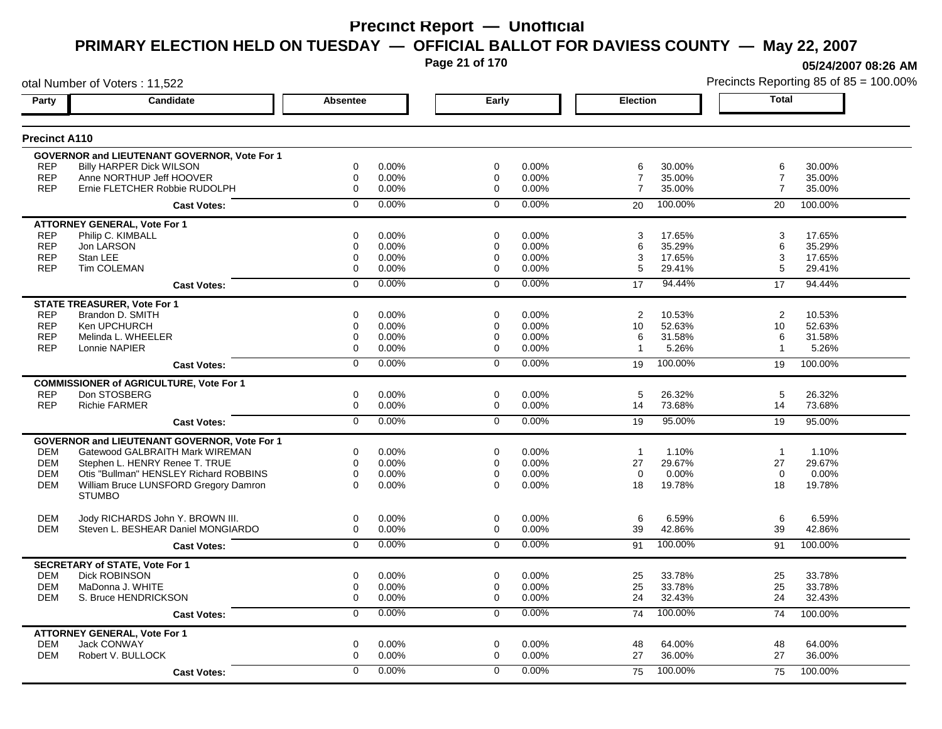**Page 21 of 170**

**05/24/2007 08:26 AM**

| <b>Total</b><br><b>Candidate</b><br><b>Absentee</b><br>Early<br><b>Election</b><br>Party<br><b>Precinct A110</b><br>GOVERNOR and LIEUTENANT GOVERNOR, Vote For 1<br><b>REP</b><br>Billy HARPER Dick WILSON<br>$\mathbf 0$<br>0.00%<br>$\mathbf 0$<br>0.00%<br>6<br>30.00%<br>6<br>30.00%<br><b>REP</b><br>Anne NORTHUP Jeff HOOVER<br>0.00%<br>0.00%<br>$\overline{7}$<br>$\mathbf 0$<br>$\mathbf 0$<br>35.00%<br>$\overline{7}$<br>35.00%<br><b>REP</b><br>0.00%<br>0.00%<br>$\overline{7}$<br>35.00%<br>35.00%<br>Ernie FLETCHER Robbie RUDOLPH<br>$\mathbf 0$<br>$\mathbf 0$<br>$\overline{7}$<br>0.00%<br>0.00%<br>100.00%<br>$\mathbf 0$<br>$\mathbf 0$<br>20<br>20<br>100.00%<br><b>Cast Votes:</b><br><b>ATTORNEY GENERAL, Vote For 1</b><br><b>REP</b><br>Philip C. KIMBALL<br>$\mathbf 0$<br>0.00%<br>$\mathbf 0$<br>0.00%<br>3<br>17.65%<br>3<br>17.65%<br><b>REP</b><br>Jon LARSON<br>0<br>0.00%<br>$\mathbf 0$<br>0.00%<br>6<br>35.29%<br>35.29%<br>6<br><b>REP</b><br>Stan LEE<br>$\mathbf 0$<br>0.00%<br>0.00%<br>3<br>17.65%<br>17.65%<br>$\mathbf 0$<br>3<br><b>REP</b><br>Tim COLEMAN<br>$\mathbf 0$<br>0.00%<br>0.00%<br>5<br>0<br>29.41%<br>5<br>29.41%<br>0.00%<br>0.00%<br>94.44%<br>$\mathbf 0$<br>$\mathbf 0$<br>17<br>94.44%<br>17<br><b>Cast Votes:</b><br><b>STATE TREASURER, Vote For 1</b><br><b>REP</b><br>Brandon D. SMITH<br>$\boldsymbol{2}$<br>0<br>0.00%<br>$\Omega$<br>0.00%<br>2<br>10.53%<br>10.53%<br><b>REP</b><br>Ken UPCHURCH<br>0.00%<br>0.00%<br>52.63%<br>0<br>$\mathbf 0$<br>10<br>52.63%<br>10<br><b>REP</b><br>Melinda L. WHEELER<br>0<br>0.00%<br>$\mathbf 0$<br>0.00%<br>6<br>31.58%<br>31.58%<br>6<br><b>REP</b><br>5.26%<br>5.26%<br>Lonnie NAPIER<br>0<br>0.00%<br>0<br>0.00%<br>$\mathbf{1}$<br>$\mathbf{1}$<br>0.00%<br>0.00%<br>100.00%<br>$\mathbf 0$<br>$\mathbf 0$<br>100.00%<br>19<br>19<br><b>Cast Votes:</b><br><b>COMMISSIONER of AGRICULTURE, Vote For 1</b><br><b>REP</b><br>Don STOSBERG<br>0<br>0.00%<br>$\mathbf 0$<br>0.00%<br>5<br>26.32%<br>5<br>26.32%<br><b>REP</b><br><b>Richie FARMER</b><br>0<br>0.00%<br>$\mathbf 0$<br>0.00%<br>14<br>73.68%<br>14<br>73.68%<br>0.00%<br>0.00%<br>95.00%<br>$\overline{0}$<br>$\overline{0}$<br>19<br>95.00%<br>19<br><b>Cast Votes:</b><br>GOVERNOR and LIEUTENANT GOVERNOR, Vote For 1<br>Gatewood GALBRAITH Mark WIREMAN<br>0.00%<br>0.00%<br>1.10%<br>1.10%<br>DEM<br>0<br>0<br>$\overline{1}$<br>$\overline{1}$<br><b>DEM</b><br>$\mathbf 0$<br>0.00%<br>27<br>27<br>Stephen L. HENRY Renee T. TRUE<br>0<br>0.00%<br>29.67%<br>29.67%<br><b>DEM</b><br>Otis "Bullman" HENSLEY Richard ROBBINS<br>$\mathbf 0$<br>0.00%<br>0.00%<br>$\mathbf 0$<br>0.00%<br>$\mathbf 0$<br>0.00%<br>0<br><b>DEM</b><br>William Bruce LUNSFORD Gregory Damron<br>$\Omega$<br>$\Omega$<br>19.78%<br>19.78%<br>0.00%<br>0.00%<br>18<br>18<br><b>STUMBO</b><br><b>DEM</b><br>6<br>Jody RICHARDS John Y. BROWN III.<br>0<br>0.00%<br>0<br>0.00%<br>6<br>6.59%<br>6.59%<br><b>DEM</b><br>Steven L. BESHEAR Daniel MONGIARDO<br>0.00%<br>0.00%<br>39<br>42.86%<br>0<br>$\mathbf 0$<br>39<br>42.86%<br>0.00%<br>0.00%<br>100.00%<br>$\overline{0}$<br>$\mathbf 0$<br>91<br>91<br>100.00%<br><b>Cast Votes:</b><br><b>SECRETARY of STATE, Vote For 1</b><br><b>Dick ROBINSON</b><br><b>DEM</b><br>$\mathbf 0$<br>0.00%<br>$\mathbf 0$<br>0.00%<br>25<br>33.78%<br>25<br>33.78%<br><b>DEM</b><br>MaDonna J. WHITE<br>25<br>33.78%<br>33.78%<br>0<br>0.00%<br>$\mathbf 0$<br>0.00%<br>25<br><b>DEM</b><br>S. Bruce HENDRICKSON<br>$\mathbf 0$<br>0.00%<br>$\mathbf{0}$<br>0.00%<br>24<br>32.43%<br>24<br>32.43%<br>0.00%<br>$\overline{0}$<br>0.00%<br>100.00%<br>$\mathbf 0$<br>100.00%<br>74<br>74<br><b>Cast Votes:</b><br><b>ATTORNEY GENERAL, Vote For 1</b><br><b>DEM</b><br>Jack CONWAY<br>0<br>0.00%<br>0<br>0.00%<br>48<br>64.00%<br>48<br>64.00%<br><b>DEM</b><br>Robert V. BULLOCK<br>$\mathbf 0$<br>0.00%<br>0.00%<br>27<br>36.00%<br>27<br>36.00%<br>$\mathbf 0$<br>0.00%<br>0.00%<br>100.00%<br>$\Omega$<br>$\mathbf 0$<br>75<br>100.00%<br>75<br><b>Cast Votes:</b> | otal Number of Voters: 11,522 |  |  |  |  | Precincts Reporting 85 of 85 = 100.009 |
|-------------------------------------------------------------------------------------------------------------------------------------------------------------------------------------------------------------------------------------------------------------------------------------------------------------------------------------------------------------------------------------------------------------------------------------------------------------------------------------------------------------------------------------------------------------------------------------------------------------------------------------------------------------------------------------------------------------------------------------------------------------------------------------------------------------------------------------------------------------------------------------------------------------------------------------------------------------------------------------------------------------------------------------------------------------------------------------------------------------------------------------------------------------------------------------------------------------------------------------------------------------------------------------------------------------------------------------------------------------------------------------------------------------------------------------------------------------------------------------------------------------------------------------------------------------------------------------------------------------------------------------------------------------------------------------------------------------------------------------------------------------------------------------------------------------------------------------------------------------------------------------------------------------------------------------------------------------------------------------------------------------------------------------------------------------------------------------------------------------------------------------------------------------------------------------------------------------------------------------------------------------------------------------------------------------------------------------------------------------------------------------------------------------------------------------------------------------------------------------------------------------------------------------------------------------------------------------------------------------------------------------------------------------------------------------------------------------------------------------------------------------------------------------------------------------------------------------------------------------------------------------------------------------------------------------------------------------------------------------------------------------------------------------------------------------------------------------------------------------------------------------------------------------------------------------------------------------------------------------------------------------------------------------------------------------------------------------------------------------------------------------------------------------------------------------------------------------------------------------------------------------------------------------------------------------------------------------------------------------------------------------------------------------------------------------------------------------------------------------------------------------------------------------------------------------------------------------------------------------------------------------------------------------------------------------------------------------------------------------------------------------------------------------------------------------------------|-------------------------------|--|--|--|--|----------------------------------------|
|                                                                                                                                                                                                                                                                                                                                                                                                                                                                                                                                                                                                                                                                                                                                                                                                                                                                                                                                                                                                                                                                                                                                                                                                                                                                                                                                                                                                                                                                                                                                                                                                                                                                                                                                                                                                                                                                                                                                                                                                                                                                                                                                                                                                                                                                                                                                                                                                                                                                                                                                                                                                                                                                                                                                                                                                                                                                                                                                                                                                                                                                                                                                                                                                                                                                                                                                                                                                                                                                                                                                                                                                                                                                                                                                                                                                                                                                                                                                                                                                                                                                         |                               |  |  |  |  |                                        |
|                                                                                                                                                                                                                                                                                                                                                                                                                                                                                                                                                                                                                                                                                                                                                                                                                                                                                                                                                                                                                                                                                                                                                                                                                                                                                                                                                                                                                                                                                                                                                                                                                                                                                                                                                                                                                                                                                                                                                                                                                                                                                                                                                                                                                                                                                                                                                                                                                                                                                                                                                                                                                                                                                                                                                                                                                                                                                                                                                                                                                                                                                                                                                                                                                                                                                                                                                                                                                                                                                                                                                                                                                                                                                                                                                                                                                                                                                                                                                                                                                                                                         |                               |  |  |  |  |                                        |
|                                                                                                                                                                                                                                                                                                                                                                                                                                                                                                                                                                                                                                                                                                                                                                                                                                                                                                                                                                                                                                                                                                                                                                                                                                                                                                                                                                                                                                                                                                                                                                                                                                                                                                                                                                                                                                                                                                                                                                                                                                                                                                                                                                                                                                                                                                                                                                                                                                                                                                                                                                                                                                                                                                                                                                                                                                                                                                                                                                                                                                                                                                                                                                                                                                                                                                                                                                                                                                                                                                                                                                                                                                                                                                                                                                                                                                                                                                                                                                                                                                                                         |                               |  |  |  |  |                                        |
|                                                                                                                                                                                                                                                                                                                                                                                                                                                                                                                                                                                                                                                                                                                                                                                                                                                                                                                                                                                                                                                                                                                                                                                                                                                                                                                                                                                                                                                                                                                                                                                                                                                                                                                                                                                                                                                                                                                                                                                                                                                                                                                                                                                                                                                                                                                                                                                                                                                                                                                                                                                                                                                                                                                                                                                                                                                                                                                                                                                                                                                                                                                                                                                                                                                                                                                                                                                                                                                                                                                                                                                                                                                                                                                                                                                                                                                                                                                                                                                                                                                                         |                               |  |  |  |  |                                        |
|                                                                                                                                                                                                                                                                                                                                                                                                                                                                                                                                                                                                                                                                                                                                                                                                                                                                                                                                                                                                                                                                                                                                                                                                                                                                                                                                                                                                                                                                                                                                                                                                                                                                                                                                                                                                                                                                                                                                                                                                                                                                                                                                                                                                                                                                                                                                                                                                                                                                                                                                                                                                                                                                                                                                                                                                                                                                                                                                                                                                                                                                                                                                                                                                                                                                                                                                                                                                                                                                                                                                                                                                                                                                                                                                                                                                                                                                                                                                                                                                                                                                         |                               |  |  |  |  |                                        |
|                                                                                                                                                                                                                                                                                                                                                                                                                                                                                                                                                                                                                                                                                                                                                                                                                                                                                                                                                                                                                                                                                                                                                                                                                                                                                                                                                                                                                                                                                                                                                                                                                                                                                                                                                                                                                                                                                                                                                                                                                                                                                                                                                                                                                                                                                                                                                                                                                                                                                                                                                                                                                                                                                                                                                                                                                                                                                                                                                                                                                                                                                                                                                                                                                                                                                                                                                                                                                                                                                                                                                                                                                                                                                                                                                                                                                                                                                                                                                                                                                                                                         |                               |  |  |  |  |                                        |
|                                                                                                                                                                                                                                                                                                                                                                                                                                                                                                                                                                                                                                                                                                                                                                                                                                                                                                                                                                                                                                                                                                                                                                                                                                                                                                                                                                                                                                                                                                                                                                                                                                                                                                                                                                                                                                                                                                                                                                                                                                                                                                                                                                                                                                                                                                                                                                                                                                                                                                                                                                                                                                                                                                                                                                                                                                                                                                                                                                                                                                                                                                                                                                                                                                                                                                                                                                                                                                                                                                                                                                                                                                                                                                                                                                                                                                                                                                                                                                                                                                                                         |                               |  |  |  |  |                                        |
|                                                                                                                                                                                                                                                                                                                                                                                                                                                                                                                                                                                                                                                                                                                                                                                                                                                                                                                                                                                                                                                                                                                                                                                                                                                                                                                                                                                                                                                                                                                                                                                                                                                                                                                                                                                                                                                                                                                                                                                                                                                                                                                                                                                                                                                                                                                                                                                                                                                                                                                                                                                                                                                                                                                                                                                                                                                                                                                                                                                                                                                                                                                                                                                                                                                                                                                                                                                                                                                                                                                                                                                                                                                                                                                                                                                                                                                                                                                                                                                                                                                                         |                               |  |  |  |  |                                        |
|                                                                                                                                                                                                                                                                                                                                                                                                                                                                                                                                                                                                                                                                                                                                                                                                                                                                                                                                                                                                                                                                                                                                                                                                                                                                                                                                                                                                                                                                                                                                                                                                                                                                                                                                                                                                                                                                                                                                                                                                                                                                                                                                                                                                                                                                                                                                                                                                                                                                                                                                                                                                                                                                                                                                                                                                                                                                                                                                                                                                                                                                                                                                                                                                                                                                                                                                                                                                                                                                                                                                                                                                                                                                                                                                                                                                                                                                                                                                                                                                                                                                         |                               |  |  |  |  |                                        |
|                                                                                                                                                                                                                                                                                                                                                                                                                                                                                                                                                                                                                                                                                                                                                                                                                                                                                                                                                                                                                                                                                                                                                                                                                                                                                                                                                                                                                                                                                                                                                                                                                                                                                                                                                                                                                                                                                                                                                                                                                                                                                                                                                                                                                                                                                                                                                                                                                                                                                                                                                                                                                                                                                                                                                                                                                                                                                                                                                                                                                                                                                                                                                                                                                                                                                                                                                                                                                                                                                                                                                                                                                                                                                                                                                                                                                                                                                                                                                                                                                                                                         |                               |  |  |  |  |                                        |
|                                                                                                                                                                                                                                                                                                                                                                                                                                                                                                                                                                                                                                                                                                                                                                                                                                                                                                                                                                                                                                                                                                                                                                                                                                                                                                                                                                                                                                                                                                                                                                                                                                                                                                                                                                                                                                                                                                                                                                                                                                                                                                                                                                                                                                                                                                                                                                                                                                                                                                                                                                                                                                                                                                                                                                                                                                                                                                                                                                                                                                                                                                                                                                                                                                                                                                                                                                                                                                                                                                                                                                                                                                                                                                                                                                                                                                                                                                                                                                                                                                                                         |                               |  |  |  |  |                                        |
|                                                                                                                                                                                                                                                                                                                                                                                                                                                                                                                                                                                                                                                                                                                                                                                                                                                                                                                                                                                                                                                                                                                                                                                                                                                                                                                                                                                                                                                                                                                                                                                                                                                                                                                                                                                                                                                                                                                                                                                                                                                                                                                                                                                                                                                                                                                                                                                                                                                                                                                                                                                                                                                                                                                                                                                                                                                                                                                                                                                                                                                                                                                                                                                                                                                                                                                                                                                                                                                                                                                                                                                                                                                                                                                                                                                                                                                                                                                                                                                                                                                                         |                               |  |  |  |  |                                        |
|                                                                                                                                                                                                                                                                                                                                                                                                                                                                                                                                                                                                                                                                                                                                                                                                                                                                                                                                                                                                                                                                                                                                                                                                                                                                                                                                                                                                                                                                                                                                                                                                                                                                                                                                                                                                                                                                                                                                                                                                                                                                                                                                                                                                                                                                                                                                                                                                                                                                                                                                                                                                                                                                                                                                                                                                                                                                                                                                                                                                                                                                                                                                                                                                                                                                                                                                                                                                                                                                                                                                                                                                                                                                                                                                                                                                                                                                                                                                                                                                                                                                         |                               |  |  |  |  |                                        |
|                                                                                                                                                                                                                                                                                                                                                                                                                                                                                                                                                                                                                                                                                                                                                                                                                                                                                                                                                                                                                                                                                                                                                                                                                                                                                                                                                                                                                                                                                                                                                                                                                                                                                                                                                                                                                                                                                                                                                                                                                                                                                                                                                                                                                                                                                                                                                                                                                                                                                                                                                                                                                                                                                                                                                                                                                                                                                                                                                                                                                                                                                                                                                                                                                                                                                                                                                                                                                                                                                                                                                                                                                                                                                                                                                                                                                                                                                                                                                                                                                                                                         |                               |  |  |  |  |                                        |
|                                                                                                                                                                                                                                                                                                                                                                                                                                                                                                                                                                                                                                                                                                                                                                                                                                                                                                                                                                                                                                                                                                                                                                                                                                                                                                                                                                                                                                                                                                                                                                                                                                                                                                                                                                                                                                                                                                                                                                                                                                                                                                                                                                                                                                                                                                                                                                                                                                                                                                                                                                                                                                                                                                                                                                                                                                                                                                                                                                                                                                                                                                                                                                                                                                                                                                                                                                                                                                                                                                                                                                                                                                                                                                                                                                                                                                                                                                                                                                                                                                                                         |                               |  |  |  |  |                                        |
|                                                                                                                                                                                                                                                                                                                                                                                                                                                                                                                                                                                                                                                                                                                                                                                                                                                                                                                                                                                                                                                                                                                                                                                                                                                                                                                                                                                                                                                                                                                                                                                                                                                                                                                                                                                                                                                                                                                                                                                                                                                                                                                                                                                                                                                                                                                                                                                                                                                                                                                                                                                                                                                                                                                                                                                                                                                                                                                                                                                                                                                                                                                                                                                                                                                                                                                                                                                                                                                                                                                                                                                                                                                                                                                                                                                                                                                                                                                                                                                                                                                                         |                               |  |  |  |  |                                        |
|                                                                                                                                                                                                                                                                                                                                                                                                                                                                                                                                                                                                                                                                                                                                                                                                                                                                                                                                                                                                                                                                                                                                                                                                                                                                                                                                                                                                                                                                                                                                                                                                                                                                                                                                                                                                                                                                                                                                                                                                                                                                                                                                                                                                                                                                                                                                                                                                                                                                                                                                                                                                                                                                                                                                                                                                                                                                                                                                                                                                                                                                                                                                                                                                                                                                                                                                                                                                                                                                                                                                                                                                                                                                                                                                                                                                                                                                                                                                                                                                                                                                         |                               |  |  |  |  |                                        |
|                                                                                                                                                                                                                                                                                                                                                                                                                                                                                                                                                                                                                                                                                                                                                                                                                                                                                                                                                                                                                                                                                                                                                                                                                                                                                                                                                                                                                                                                                                                                                                                                                                                                                                                                                                                                                                                                                                                                                                                                                                                                                                                                                                                                                                                                                                                                                                                                                                                                                                                                                                                                                                                                                                                                                                                                                                                                                                                                                                                                                                                                                                                                                                                                                                                                                                                                                                                                                                                                                                                                                                                                                                                                                                                                                                                                                                                                                                                                                                                                                                                                         |                               |  |  |  |  |                                        |
|                                                                                                                                                                                                                                                                                                                                                                                                                                                                                                                                                                                                                                                                                                                                                                                                                                                                                                                                                                                                                                                                                                                                                                                                                                                                                                                                                                                                                                                                                                                                                                                                                                                                                                                                                                                                                                                                                                                                                                                                                                                                                                                                                                                                                                                                                                                                                                                                                                                                                                                                                                                                                                                                                                                                                                                                                                                                                                                                                                                                                                                                                                                                                                                                                                                                                                                                                                                                                                                                                                                                                                                                                                                                                                                                                                                                                                                                                                                                                                                                                                                                         |                               |  |  |  |  |                                        |
|                                                                                                                                                                                                                                                                                                                                                                                                                                                                                                                                                                                                                                                                                                                                                                                                                                                                                                                                                                                                                                                                                                                                                                                                                                                                                                                                                                                                                                                                                                                                                                                                                                                                                                                                                                                                                                                                                                                                                                                                                                                                                                                                                                                                                                                                                                                                                                                                                                                                                                                                                                                                                                                                                                                                                                                                                                                                                                                                                                                                                                                                                                                                                                                                                                                                                                                                                                                                                                                                                                                                                                                                                                                                                                                                                                                                                                                                                                                                                                                                                                                                         |                               |  |  |  |  |                                        |
|                                                                                                                                                                                                                                                                                                                                                                                                                                                                                                                                                                                                                                                                                                                                                                                                                                                                                                                                                                                                                                                                                                                                                                                                                                                                                                                                                                                                                                                                                                                                                                                                                                                                                                                                                                                                                                                                                                                                                                                                                                                                                                                                                                                                                                                                                                                                                                                                                                                                                                                                                                                                                                                                                                                                                                                                                                                                                                                                                                                                                                                                                                                                                                                                                                                                                                                                                                                                                                                                                                                                                                                                                                                                                                                                                                                                                                                                                                                                                                                                                                                                         |                               |  |  |  |  |                                        |
|                                                                                                                                                                                                                                                                                                                                                                                                                                                                                                                                                                                                                                                                                                                                                                                                                                                                                                                                                                                                                                                                                                                                                                                                                                                                                                                                                                                                                                                                                                                                                                                                                                                                                                                                                                                                                                                                                                                                                                                                                                                                                                                                                                                                                                                                                                                                                                                                                                                                                                                                                                                                                                                                                                                                                                                                                                                                                                                                                                                                                                                                                                                                                                                                                                                                                                                                                                                                                                                                                                                                                                                                                                                                                                                                                                                                                                                                                                                                                                                                                                                                         |                               |  |  |  |  |                                        |
|                                                                                                                                                                                                                                                                                                                                                                                                                                                                                                                                                                                                                                                                                                                                                                                                                                                                                                                                                                                                                                                                                                                                                                                                                                                                                                                                                                                                                                                                                                                                                                                                                                                                                                                                                                                                                                                                                                                                                                                                                                                                                                                                                                                                                                                                                                                                                                                                                                                                                                                                                                                                                                                                                                                                                                                                                                                                                                                                                                                                                                                                                                                                                                                                                                                                                                                                                                                                                                                                                                                                                                                                                                                                                                                                                                                                                                                                                                                                                                                                                                                                         |                               |  |  |  |  |                                        |
|                                                                                                                                                                                                                                                                                                                                                                                                                                                                                                                                                                                                                                                                                                                                                                                                                                                                                                                                                                                                                                                                                                                                                                                                                                                                                                                                                                                                                                                                                                                                                                                                                                                                                                                                                                                                                                                                                                                                                                                                                                                                                                                                                                                                                                                                                                                                                                                                                                                                                                                                                                                                                                                                                                                                                                                                                                                                                                                                                                                                                                                                                                                                                                                                                                                                                                                                                                                                                                                                                                                                                                                                                                                                                                                                                                                                                                                                                                                                                                                                                                                                         |                               |  |  |  |  |                                        |
|                                                                                                                                                                                                                                                                                                                                                                                                                                                                                                                                                                                                                                                                                                                                                                                                                                                                                                                                                                                                                                                                                                                                                                                                                                                                                                                                                                                                                                                                                                                                                                                                                                                                                                                                                                                                                                                                                                                                                                                                                                                                                                                                                                                                                                                                                                                                                                                                                                                                                                                                                                                                                                                                                                                                                                                                                                                                                                                                                                                                                                                                                                                                                                                                                                                                                                                                                                                                                                                                                                                                                                                                                                                                                                                                                                                                                                                                                                                                                                                                                                                                         |                               |  |  |  |  |                                        |
|                                                                                                                                                                                                                                                                                                                                                                                                                                                                                                                                                                                                                                                                                                                                                                                                                                                                                                                                                                                                                                                                                                                                                                                                                                                                                                                                                                                                                                                                                                                                                                                                                                                                                                                                                                                                                                                                                                                                                                                                                                                                                                                                                                                                                                                                                                                                                                                                                                                                                                                                                                                                                                                                                                                                                                                                                                                                                                                                                                                                                                                                                                                                                                                                                                                                                                                                                                                                                                                                                                                                                                                                                                                                                                                                                                                                                                                                                                                                                                                                                                                                         |                               |  |  |  |  |                                        |
|                                                                                                                                                                                                                                                                                                                                                                                                                                                                                                                                                                                                                                                                                                                                                                                                                                                                                                                                                                                                                                                                                                                                                                                                                                                                                                                                                                                                                                                                                                                                                                                                                                                                                                                                                                                                                                                                                                                                                                                                                                                                                                                                                                                                                                                                                                                                                                                                                                                                                                                                                                                                                                                                                                                                                                                                                                                                                                                                                                                                                                                                                                                                                                                                                                                                                                                                                                                                                                                                                                                                                                                                                                                                                                                                                                                                                                                                                                                                                                                                                                                                         |                               |  |  |  |  |                                        |
|                                                                                                                                                                                                                                                                                                                                                                                                                                                                                                                                                                                                                                                                                                                                                                                                                                                                                                                                                                                                                                                                                                                                                                                                                                                                                                                                                                                                                                                                                                                                                                                                                                                                                                                                                                                                                                                                                                                                                                                                                                                                                                                                                                                                                                                                                                                                                                                                                                                                                                                                                                                                                                                                                                                                                                                                                                                                                                                                                                                                                                                                                                                                                                                                                                                                                                                                                                                                                                                                                                                                                                                                                                                                                                                                                                                                                                                                                                                                                                                                                                                                         |                               |  |  |  |  |                                        |
|                                                                                                                                                                                                                                                                                                                                                                                                                                                                                                                                                                                                                                                                                                                                                                                                                                                                                                                                                                                                                                                                                                                                                                                                                                                                                                                                                                                                                                                                                                                                                                                                                                                                                                                                                                                                                                                                                                                                                                                                                                                                                                                                                                                                                                                                                                                                                                                                                                                                                                                                                                                                                                                                                                                                                                                                                                                                                                                                                                                                                                                                                                                                                                                                                                                                                                                                                                                                                                                                                                                                                                                                                                                                                                                                                                                                                                                                                                                                                                                                                                                                         |                               |  |  |  |  |                                        |
|                                                                                                                                                                                                                                                                                                                                                                                                                                                                                                                                                                                                                                                                                                                                                                                                                                                                                                                                                                                                                                                                                                                                                                                                                                                                                                                                                                                                                                                                                                                                                                                                                                                                                                                                                                                                                                                                                                                                                                                                                                                                                                                                                                                                                                                                                                                                                                                                                                                                                                                                                                                                                                                                                                                                                                                                                                                                                                                                                                                                                                                                                                                                                                                                                                                                                                                                                                                                                                                                                                                                                                                                                                                                                                                                                                                                                                                                                                                                                                                                                                                                         |                               |  |  |  |  |                                        |
|                                                                                                                                                                                                                                                                                                                                                                                                                                                                                                                                                                                                                                                                                                                                                                                                                                                                                                                                                                                                                                                                                                                                                                                                                                                                                                                                                                                                                                                                                                                                                                                                                                                                                                                                                                                                                                                                                                                                                                                                                                                                                                                                                                                                                                                                                                                                                                                                                                                                                                                                                                                                                                                                                                                                                                                                                                                                                                                                                                                                                                                                                                                                                                                                                                                                                                                                                                                                                                                                                                                                                                                                                                                                                                                                                                                                                                                                                                                                                                                                                                                                         |                               |  |  |  |  |                                        |
|                                                                                                                                                                                                                                                                                                                                                                                                                                                                                                                                                                                                                                                                                                                                                                                                                                                                                                                                                                                                                                                                                                                                                                                                                                                                                                                                                                                                                                                                                                                                                                                                                                                                                                                                                                                                                                                                                                                                                                                                                                                                                                                                                                                                                                                                                                                                                                                                                                                                                                                                                                                                                                                                                                                                                                                                                                                                                                                                                                                                                                                                                                                                                                                                                                                                                                                                                                                                                                                                                                                                                                                                                                                                                                                                                                                                                                                                                                                                                                                                                                                                         |                               |  |  |  |  |                                        |
|                                                                                                                                                                                                                                                                                                                                                                                                                                                                                                                                                                                                                                                                                                                                                                                                                                                                                                                                                                                                                                                                                                                                                                                                                                                                                                                                                                                                                                                                                                                                                                                                                                                                                                                                                                                                                                                                                                                                                                                                                                                                                                                                                                                                                                                                                                                                                                                                                                                                                                                                                                                                                                                                                                                                                                                                                                                                                                                                                                                                                                                                                                                                                                                                                                                                                                                                                                                                                                                                                                                                                                                                                                                                                                                                                                                                                                                                                                                                                                                                                                                                         |                               |  |  |  |  |                                        |
|                                                                                                                                                                                                                                                                                                                                                                                                                                                                                                                                                                                                                                                                                                                                                                                                                                                                                                                                                                                                                                                                                                                                                                                                                                                                                                                                                                                                                                                                                                                                                                                                                                                                                                                                                                                                                                                                                                                                                                                                                                                                                                                                                                                                                                                                                                                                                                                                                                                                                                                                                                                                                                                                                                                                                                                                                                                                                                                                                                                                                                                                                                                                                                                                                                                                                                                                                                                                                                                                                                                                                                                                                                                                                                                                                                                                                                                                                                                                                                                                                                                                         |                               |  |  |  |  |                                        |
|                                                                                                                                                                                                                                                                                                                                                                                                                                                                                                                                                                                                                                                                                                                                                                                                                                                                                                                                                                                                                                                                                                                                                                                                                                                                                                                                                                                                                                                                                                                                                                                                                                                                                                                                                                                                                                                                                                                                                                                                                                                                                                                                                                                                                                                                                                                                                                                                                                                                                                                                                                                                                                                                                                                                                                                                                                                                                                                                                                                                                                                                                                                                                                                                                                                                                                                                                                                                                                                                                                                                                                                                                                                                                                                                                                                                                                                                                                                                                                                                                                                                         |                               |  |  |  |  |                                        |
|                                                                                                                                                                                                                                                                                                                                                                                                                                                                                                                                                                                                                                                                                                                                                                                                                                                                                                                                                                                                                                                                                                                                                                                                                                                                                                                                                                                                                                                                                                                                                                                                                                                                                                                                                                                                                                                                                                                                                                                                                                                                                                                                                                                                                                                                                                                                                                                                                                                                                                                                                                                                                                                                                                                                                                                                                                                                                                                                                                                                                                                                                                                                                                                                                                                                                                                                                                                                                                                                                                                                                                                                                                                                                                                                                                                                                                                                                                                                                                                                                                                                         |                               |  |  |  |  |                                        |
|                                                                                                                                                                                                                                                                                                                                                                                                                                                                                                                                                                                                                                                                                                                                                                                                                                                                                                                                                                                                                                                                                                                                                                                                                                                                                                                                                                                                                                                                                                                                                                                                                                                                                                                                                                                                                                                                                                                                                                                                                                                                                                                                                                                                                                                                                                                                                                                                                                                                                                                                                                                                                                                                                                                                                                                                                                                                                                                                                                                                                                                                                                                                                                                                                                                                                                                                                                                                                                                                                                                                                                                                                                                                                                                                                                                                                                                                                                                                                                                                                                                                         |                               |  |  |  |  |                                        |
|                                                                                                                                                                                                                                                                                                                                                                                                                                                                                                                                                                                                                                                                                                                                                                                                                                                                                                                                                                                                                                                                                                                                                                                                                                                                                                                                                                                                                                                                                                                                                                                                                                                                                                                                                                                                                                                                                                                                                                                                                                                                                                                                                                                                                                                                                                                                                                                                                                                                                                                                                                                                                                                                                                                                                                                                                                                                                                                                                                                                                                                                                                                                                                                                                                                                                                                                                                                                                                                                                                                                                                                                                                                                                                                                                                                                                                                                                                                                                                                                                                                                         |                               |  |  |  |  |                                        |
|                                                                                                                                                                                                                                                                                                                                                                                                                                                                                                                                                                                                                                                                                                                                                                                                                                                                                                                                                                                                                                                                                                                                                                                                                                                                                                                                                                                                                                                                                                                                                                                                                                                                                                                                                                                                                                                                                                                                                                                                                                                                                                                                                                                                                                                                                                                                                                                                                                                                                                                                                                                                                                                                                                                                                                                                                                                                                                                                                                                                                                                                                                                                                                                                                                                                                                                                                                                                                                                                                                                                                                                                                                                                                                                                                                                                                                                                                                                                                                                                                                                                         |                               |  |  |  |  |                                        |
|                                                                                                                                                                                                                                                                                                                                                                                                                                                                                                                                                                                                                                                                                                                                                                                                                                                                                                                                                                                                                                                                                                                                                                                                                                                                                                                                                                                                                                                                                                                                                                                                                                                                                                                                                                                                                                                                                                                                                                                                                                                                                                                                                                                                                                                                                                                                                                                                                                                                                                                                                                                                                                                                                                                                                                                                                                                                                                                                                                                                                                                                                                                                                                                                                                                                                                                                                                                                                                                                                                                                                                                                                                                                                                                                                                                                                                                                                                                                                                                                                                                                         |                               |  |  |  |  |                                        |
|                                                                                                                                                                                                                                                                                                                                                                                                                                                                                                                                                                                                                                                                                                                                                                                                                                                                                                                                                                                                                                                                                                                                                                                                                                                                                                                                                                                                                                                                                                                                                                                                                                                                                                                                                                                                                                                                                                                                                                                                                                                                                                                                                                                                                                                                                                                                                                                                                                                                                                                                                                                                                                                                                                                                                                                                                                                                                                                                                                                                                                                                                                                                                                                                                                                                                                                                                                                                                                                                                                                                                                                                                                                                                                                                                                                                                                                                                                                                                                                                                                                                         |                               |  |  |  |  |                                        |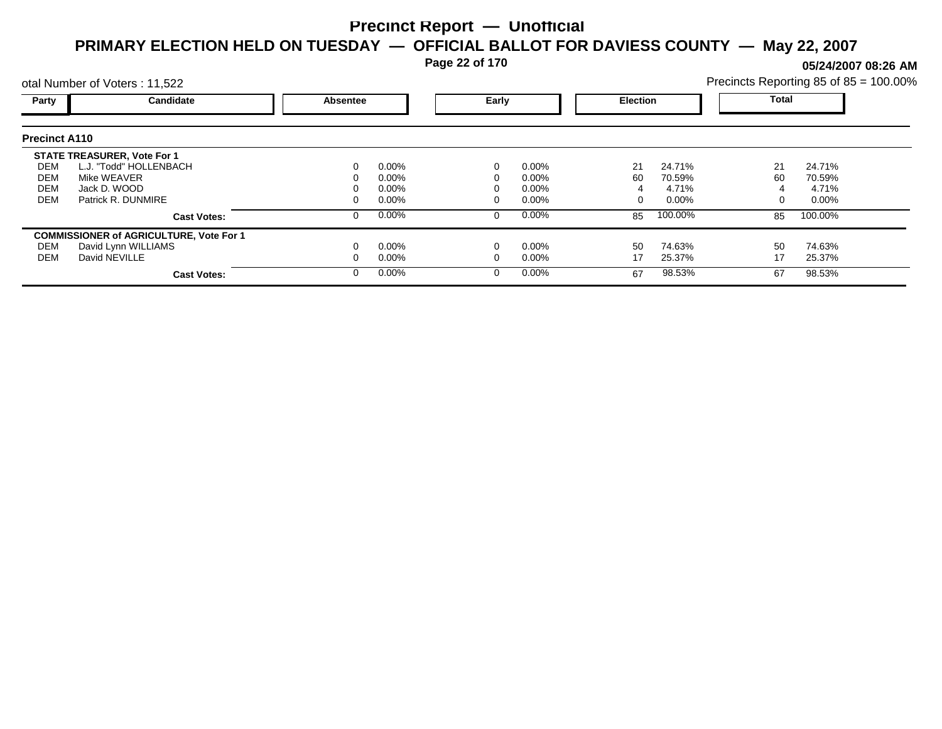**Page 22 of 170**

**05/24/2007 08:26 AM**

|                      | otal Number of Voters: 11,522                  |          |          |       |          |                 |          | Precincts Reporting 85 of 85 = 100.00% |          |  |
|----------------------|------------------------------------------------|----------|----------|-------|----------|-----------------|----------|----------------------------------------|----------|--|
| Party                | Candidate                                      | Absentee |          | Early |          | <b>Election</b> |          | Total                                  |          |  |
| <b>Precinct A110</b> |                                                |          |          |       |          |                 |          |                                        |          |  |
|                      | <b>STATE TREASURER, Vote For 1</b>             |          |          |       |          |                 |          |                                        |          |  |
| DEM                  | L.J. "Todd" HOLLENBACH                         |          | $0.00\%$ |       | $0.00\%$ | 21              | 24.71%   | 21                                     | 24.71%   |  |
| DEM                  | Mike WEAVER                                    |          | $0.00\%$ |       | $0.00\%$ | 60              | 70.59%   | 60                                     | 70.59%   |  |
| <b>DEM</b>           | Jack D. WOOD                                   |          | $0.00\%$ |       | $0.00\%$ |                 | 4.71%    |                                        | 4.71%    |  |
| <b>DEM</b>           | Patrick R. DUNMIRE                             |          | $0.00\%$ |       | $0.00\%$ | 0               | $0.00\%$ |                                        | $0.00\%$ |  |
|                      | <b>Cast Votes:</b>                             |          | $0.00\%$ |       | $0.00\%$ | 85              | 100.00%  | 85                                     | 100.00%  |  |
|                      | <b>COMMISSIONER of AGRICULTURE, Vote For 1</b> |          |          |       |          |                 |          |                                        |          |  |
| DEM                  | David Lynn WILLIAMS                            |          | $0.00\%$ |       | $0.00\%$ | 50              | 74.63%   | 50                                     | 74.63%   |  |
| DEM                  | David NEVILLE                                  |          | $0.00\%$ |       | $0.00\%$ | 17              | 25.37%   | 17                                     | 25.37%   |  |
|                      | <b>Cast Votes:</b>                             |          | $0.00\%$ |       | $0.00\%$ | 67              | 98.53%   | 67                                     | 98.53%   |  |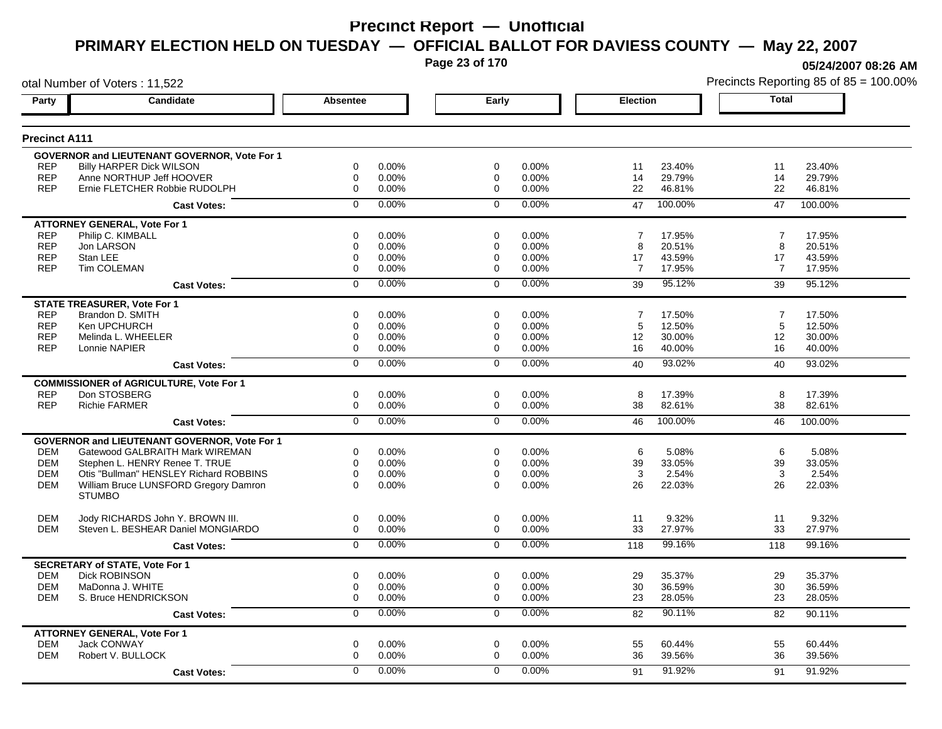**Page 23 of 170**

**05/24/2007 08:26 AM**

| otal Number of Voters: 11,522 |                                                     |                 |          |             |       |                |         |                | Precincts Reporting 85 of 85 = 100.00% |
|-------------------------------|-----------------------------------------------------|-----------------|----------|-------------|-------|----------------|---------|----------------|----------------------------------------|
| Party                         | Candidate                                           | <b>Absentee</b> |          | Early       |       | Election       |         | Total          |                                        |
| <b>Precinct A111</b>          |                                                     |                 |          |             |       |                |         |                |                                        |
|                               | GOVERNOR and LIEUTENANT GOVERNOR, Vote For 1        |                 |          |             |       |                |         |                |                                        |
| <b>REP</b>                    | <b>Billy HARPER Dick WILSON</b>                     | 0               | 0.00%    | 0           | 0.00% | 11             | 23.40%  | 11             | 23.40%                                 |
| <b>REP</b>                    | Anne NORTHUP Jeff HOOVER                            | 0               | $0.00\%$ | 0           | 0.00% | 14             | 29.79%  | 14             | 29.79%                                 |
| <b>REP</b>                    | Ernie FLETCHER Robbie RUDOLPH                       | 0               | 0.00%    | $\mathbf 0$ | 0.00% | 22             | 46.81%  | 22             | 46.81%                                 |
|                               | <b>Cast Votes:</b>                                  | $\Omega$        | 0.00%    | $\Omega$    | 0.00% | 47             | 100.00% | 47             | 100.00%                                |
|                               | <b>ATTORNEY GENERAL, Vote For 1</b>                 |                 |          |             |       |                |         |                |                                        |
| <b>REP</b>                    | Philip C. KIMBALL                                   | 0               | $0.00\%$ | $\mathbf 0$ | 0.00% | 7              | 17.95%  | 7              | 17.95%                                 |
| <b>REP</b>                    | Jon LARSON                                          | 0               | 0.00%    | $\mathbf 0$ | 0.00% | 8              | 20.51%  | 8              | 20.51%                                 |
| <b>REP</b>                    | Stan LEE                                            | 0               | $0.00\%$ | 0           | 0.00% | 17             | 43.59%  | 17             | 43.59%                                 |
| <b>REP</b>                    | <b>Tim COLEMAN</b>                                  | 0               | $0.00\%$ | $\mathbf 0$ | 0.00% | $\overline{7}$ | 17.95%  | $\overline{7}$ | 17.95%                                 |
|                               | <b>Cast Votes:</b>                                  | $\mathbf 0$     | 0.00%    | $\mathbf 0$ | 0.00% | 39             | 95.12%  | 39             | 95.12%                                 |
|                               | <b>STATE TREASURER, Vote For 1</b>                  |                 |          |             |       |                |         |                |                                        |
| <b>REP</b>                    | Brandon D. SMITH                                    | 0               | 0.00%    | $\Omega$    | 0.00% | $\overline{7}$ | 17.50%  | $\overline{7}$ | 17.50%                                 |
| <b>REP</b>                    | Ken UPCHURCH                                        | 0               | 0.00%    | 0           | 0.00% | 5              | 12.50%  | 5              | 12.50%                                 |
| <b>REP</b>                    | Melinda L. WHEELER                                  | 0               | 0.00%    | $\mathbf 0$ | 0.00% | 12             | 30.00%  | 12             | 30.00%                                 |
| <b>REP</b>                    | Lonnie NAPIER                                       | $\Omega$        | 0.00%    | 0           | 0.00% | 16             | 40.00%  | 16             | 40.00%                                 |
|                               | <b>Cast Votes:</b>                                  | 0               | 0.00%    | $\Omega$    | 0.00% | 40             | 93.02%  | 40             | 93.02%                                 |
|                               | <b>COMMISSIONER of AGRICULTURE, Vote For 1</b>      |                 |          |             |       |                |         |                |                                        |
| <b>REP</b>                    | Don STOSBERG                                        | 0               | 0.00%    | $\mathbf 0$ | 0.00% | 8              | 17.39%  | 8              | 17.39%                                 |
| <b>REP</b>                    | <b>Richie FARMER</b>                                | 0               | 0.00%    | $\mathbf 0$ | 0.00% | 38             | 82.61%  | 38             | 82.61%                                 |
|                               | <b>Cast Votes:</b>                                  | $\overline{0}$  | 0.00%    | $\mathbf 0$ | 0.00% | 46             | 100.00% | 46             | 100.00%                                |
|                               | <b>GOVERNOR and LIEUTENANT GOVERNOR, Vote For 1</b> |                 |          |             |       |                |         |                |                                        |
| <b>DEM</b>                    | Gatewood GALBRAITH Mark WIREMAN                     | 0               | 0.00%    | $\mathbf 0$ | 0.00% | 6              | 5.08%   | 6              | 5.08%                                  |
| <b>DEM</b>                    | Stephen L. HENRY Renee T. TRUE                      | $\Omega$        | 0.00%    | $\Omega$    | 0.00% | 39             | 33.05%  | 39             | 33.05%                                 |
| <b>DEM</b>                    | Otis "Bullman" HENSLEY Richard ROBBINS              | 0               | 0.00%    | $\Omega$    | 0.00% | 3              | 2.54%   | 3              | 2.54%                                  |
| DEM                           | William Bruce LUNSFORD Gregory Damron               | 0               | $0.00\%$ | $\Omega$    | 0.00% | 26             | 22.03%  | 26             | 22.03%                                 |
|                               | <b>STUMBO</b>                                       |                 |          |             |       |                |         |                |                                        |
| <b>DEM</b>                    | Jody RICHARDS John Y. BROWN III.                    | 0               | $0.00\%$ | 0           | 0.00% | 11             | 9.32%   | 11             | 9.32%                                  |
| <b>DEM</b>                    | Steven L. BESHEAR Daniel MONGIARDO                  | 0               | $0.00\%$ | 0           | 0.00% | 33             | 27.97%  | 33             | 27.97%                                 |
|                               | <b>Cast Votes:</b>                                  | $\mathbf 0$     | 0.00%    | $\mathbf 0$ | 0.00% | 118            | 99.16%  | 118            | 99.16%                                 |
|                               | <b>SECRETARY of STATE, Vote For 1</b>               |                 |          |             |       |                |         |                |                                        |
| <b>DEM</b>                    | <b>Dick ROBINSON</b>                                | 0               | 0.00%    | 0           | 0.00% | 29             | 35.37%  | 29             | 35.37%                                 |
| <b>DEM</b>                    | MaDonna J. WHITE                                    | 0               | 0.00%    | 0           | 0.00% | 30             | 36.59%  | 30             | 36.59%                                 |
| <b>DEM</b>                    | S. Bruce HENDRICKSON                                | 0               | $0.00\%$ | $\mathbf 0$ | 0.00% | 23             | 28.05%  | 23             | 28.05%                                 |
|                               | <b>Cast Votes:</b>                                  | $\overline{0}$  | 0.00%    | $\mathbf 0$ | 0.00% | 82             | 90.11%  | 82             | 90.11%                                 |
|                               | <b>ATTORNEY GENERAL, Vote For 1</b>                 |                 |          |             |       |                |         |                |                                        |
| <b>DEM</b>                    | Jack CONWAY                                         | 0               | $0.00\%$ | 0           | 0.00% | 55             | 60.44%  | 55             | 60.44%                                 |
| <b>DEM</b>                    | Robert V. BULLOCK                                   | 0               | 0.00%    | $\mathbf 0$ | 0.00% | 36             | 39.56%  | 36             | 39.56%                                 |
|                               | <b>Cast Votes:</b>                                  | $\Omega$        | 0.00%    | $\Omega$    | 0.00% | 91             | 91.92%  | 91             | 91.92%                                 |
|                               |                                                     |                 |          |             |       |                |         |                |                                        |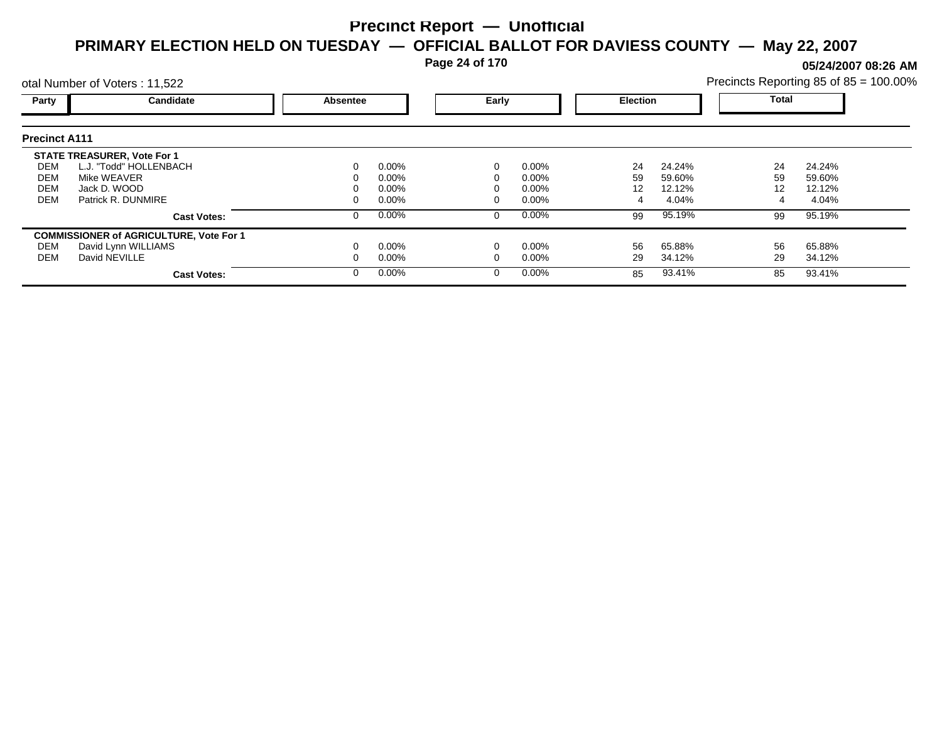**Page 24 of 170**

**05/24/2007 08:26 AM**

|                      | otal Number of Voters: 11,522                  |                 |          |       |          |                 |        |              | Precincts Reporting 85 of 85 = 100.00% |
|----------------------|------------------------------------------------|-----------------|----------|-------|----------|-----------------|--------|--------------|----------------------------------------|
| Party                | <b>Candidate</b>                               | <b>Absentee</b> |          | Early |          | <b>Election</b> |        | <b>Total</b> |                                        |
| <b>Precinct A111</b> |                                                |                 |          |       |          |                 |        |              |                                        |
|                      | <b>STATE TREASURER, Vote For 1</b>             |                 |          |       |          |                 |        |              |                                        |
| DEM                  | L.J. "Todd" HOLLENBACH                         | 0               | $0.00\%$ |       | 0.00%    | 24              | 24.24% | 24           | 24.24%                                 |
| DEM                  | Mike WEAVER                                    |                 | $0.00\%$ |       | $0.00\%$ | 59              | 59.60% | 59           | 59.60%                                 |
| <b>DEM</b>           | Jack D. WOOD                                   |                 | $0.00\%$ |       | $0.00\%$ | 12              | 12.12% | 12           | 12.12%                                 |
| <b>DEM</b>           | Patrick R. DUNMIRE                             |                 | $0.00\%$ |       | $0.00\%$ |                 | 4.04%  |              | 4.04%                                  |
|                      | <b>Cast Votes:</b>                             | 0               | $0.00\%$ |       | 0.00%    | 99              | 95.19% | 99           | 95.19%                                 |
|                      | <b>COMMISSIONER of AGRICULTURE, Vote For 1</b> |                 |          |       |          |                 |        |              |                                        |
| DEM                  | David Lynn WILLIAMS                            |                 | $0.00\%$ |       | 0.00%    | 56              | 65.88% | 56           | 65.88%                                 |
| DEM                  | David NEVILLE                                  |                 | $0.00\%$ |       | $0.00\%$ | 29              | 34.12% | 29           | 34.12%                                 |
|                      | <b>Cast Votes:</b>                             | 0               | $0.00\%$ |       | 0.00%    | 85              | 93.41% | 85           | 93.41%                                 |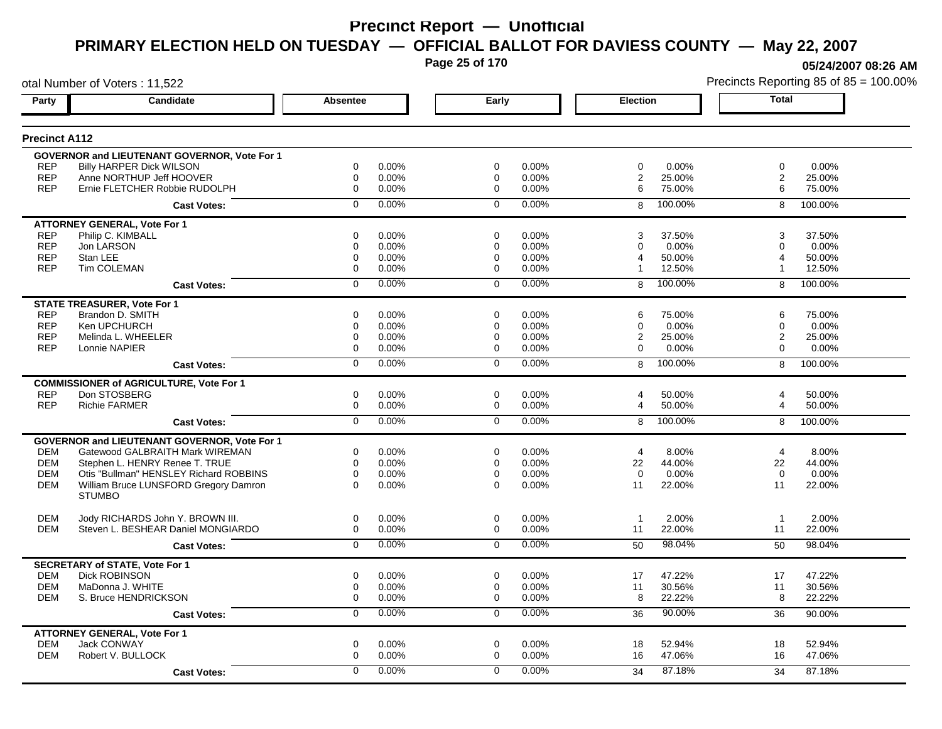**Page 25 of 170**

**05/24/2007 08:26 AM**

|                      | otal Number of Voters: 11,522                       |                 |       |                |       |                       | Precincts Reporting 85 of 85 = 100.00% |                |         |
|----------------------|-----------------------------------------------------|-----------------|-------|----------------|-------|-----------------------|----------------------------------------|----------------|---------|
| Party                | Candidate                                           | <b>Absentee</b> |       | Early          |       | <b>Election</b>       |                                        | <b>Total</b>   |         |
| <b>Precinct A112</b> |                                                     |                 |       |                |       |                       |                                        |                |         |
|                      | <b>GOVERNOR and LIEUTENANT GOVERNOR, Vote For 1</b> |                 |       |                |       |                       |                                        |                |         |
| <b>REP</b>           | <b>Billy HARPER Dick WILSON</b>                     | 0               | 0.00% | 0              | 0.00% | 0                     | 0.00%                                  | 0              | 0.00%   |
| <b>REP</b>           | Anne NORTHUP Jeff HOOVER                            | $\mathbf 0$     | 0.00% | 0              | 0.00% | $\overline{2}$        | 25.00%                                 | $\overline{2}$ | 25.00%  |
| <b>REP</b>           | Ernie FLETCHER Robbie RUDOLPH                       | $\mathbf 0$     | 0.00% | $\mathbf 0$    | 0.00% | 6                     | 75.00%                                 | 6              | 75.00%  |
|                      | <b>Cast Votes:</b>                                  | $\Omega$        | 0.00% | $\mathbf 0$    | 0.00% | 8                     | 100.00%                                | 8              | 100.00% |
|                      | <b>ATTORNEY GENERAL, Vote For 1</b>                 |                 |       |                |       |                       |                                        |                |         |
| <b>REP</b>           | Philip C. KIMBALL                                   | 0               | 0.00% | 0              | 0.00% | 3                     | 37.50%                                 | 3              | 37.50%  |
| <b>REP</b>           | Jon LARSON                                          | 0               | 0.00% | 0              | 0.00% | 0                     | 0.00%                                  | 0              | 0.00%   |
| <b>REP</b>           | Stan LEE                                            | 0               | 0.00% | 0              | 0.00% | $\boldsymbol{\Delta}$ | 50.00%                                 | 4              | 50.00%  |
| <b>REP</b>           | Tim COLEMAN                                         | $\mathbf 0$     | 0.00% | 0              | 0.00% |                       | 12.50%                                 | 1              | 12.50%  |
|                      | <b>Cast Votes:</b>                                  | $\mathbf 0$     | 0.00% | $\Omega$       | 0.00% | 8                     | 100.00%                                | 8              | 100.00% |
|                      | <b>STATE TREASURER, Vote For 1</b>                  |                 |       |                |       |                       |                                        |                |         |
| <b>REP</b>           | Brandon D. SMITH                                    | $\Omega$        | 0.00% | $\Omega$       | 0.00% | 6                     | 75.00%                                 | 6              | 75.00%  |
| <b>REP</b>           | Ken UPCHURCH                                        | 0               | 0.00% | 0              | 0.00% | 0                     | 0.00%                                  | 0              | 0.00%   |
| <b>REP</b>           | Melinda L. WHEELER                                  | $\mathbf 0$     | 0.00% | 0              | 0.00% | 2                     | 25.00%                                 | $\mathbf{2}$   | 25.00%  |
| <b>REP</b>           | Lonnie NAPIER                                       | 0               | 0.00% | 0              | 0.00% | $\Omega$              | 0.00%                                  | $\Omega$       | 0.00%   |
|                      | <b>Cast Votes:</b>                                  | $\overline{0}$  | 0.00% | $\overline{0}$ | 0.00% | 8                     | 100.00%                                | 8              | 100.00% |
|                      | <b>COMMISSIONER of AGRICULTURE, Vote For 1</b>      |                 |       |                |       |                       |                                        |                |         |
| <b>REP</b>           | Don STOSBERG                                        | $\mathbf 0$     | 0.00% | $\mathbf 0$    | 0.00% | 4                     | 50.00%                                 | 4              | 50.00%  |
| <b>REP</b>           | <b>Richie FARMER</b>                                | $\mathbf 0$     | 0.00% | $\mathbf 0$    | 0.00% | $\overline{4}$        | 50.00%                                 | 4              | 50.00%  |
|                      | <b>Cast Votes:</b>                                  | $\overline{0}$  | 0.00% | $\overline{0}$ | 0.00% | 8                     | 100.00%                                | 8              | 100.00% |
|                      | <b>GOVERNOR and LIEUTENANT GOVERNOR, Vote For 1</b> |                 |       |                |       |                       |                                        |                |         |
| <b>DEM</b>           | Gatewood GALBRAITH Mark WIREMAN                     | 0               | 0.00% | 0              | 0.00% | 4                     | 8.00%                                  | $\overline{4}$ | 8.00%   |
| <b>DEM</b>           | Stephen L. HENRY Renee T. TRUE                      | $\mathbf 0$     | 0.00% | $\mathbf 0$    | 0.00% | 22                    | 44.00%                                 | 22             | 44.00%  |
| <b>DEM</b>           | Otis "Bullman" HENSLEY Richard ROBBINS              | $\mathbf 0$     | 0.00% | $\mathbf 0$    | 0.00% | $\Omega$              | 0.00%                                  | $\Omega$       | 0.00%   |
| <b>DEM</b>           | William Bruce LUNSFORD Gregory Damron               | $\Omega$        | 0.00% | $\Omega$       | 0.00% | 11                    | 22.00%                                 | 11             | 22.00%  |
|                      | <b>STUMBO</b>                                       |                 |       |                |       |                       |                                        |                |         |
| <b>DEM</b>           | Jody RICHARDS John Y. BROWN III.                    | $\mathbf 0$     | 0.00% | $\mathbf 0$    | 0.00% | $\mathbf{1}$          | 2.00%                                  | $\overline{1}$ | 2.00%   |
| <b>DEM</b>           | Steven L. BESHEAR Daniel MONGIARDO                  | $\mathbf 0$     | 0.00% | $\mathbf 0$    | 0.00% | 11                    | 22.00%                                 | 11             | 22.00%  |
|                      | <b>Cast Votes:</b>                                  | $\overline{0}$  | 0.00% | $\mathbf 0$    | 0.00% | 50                    | 98.04%                                 | 50             | 98.04%  |
|                      | <b>SECRETARY of STATE, Vote For 1</b>               |                 |       |                |       |                       |                                        |                |         |
| <b>DEM</b>           | <b>Dick ROBINSON</b>                                | $\mathbf 0$     | 0.00% | $\mathbf 0$    | 0.00% | 17                    | 47.22%                                 | 17             | 47.22%  |
| <b>DEM</b>           | MaDonna J. WHITE                                    | $\mathbf 0$     | 0.00% | 0              | 0.00% | 11                    | 30.56%                                 | 11             | 30.56%  |
| <b>DEM</b>           | S. Bruce HENDRICKSON                                | $\mathbf 0$     | 0.00% | $\mathbf 0$    | 0.00% | 8                     | 22.22%                                 | 8              | 22.22%  |
|                      | <b>Cast Votes:</b>                                  | 0               | 0.00% | 0              | 0.00% | 36                    | 90.00%                                 | 36             | 90.00%  |
|                      | <b>ATTORNEY GENERAL, Vote For 1</b>                 |                 |       |                |       |                       |                                        |                |         |
| <b>DEM</b>           | <b>Jack CONWAY</b>                                  | $\mathbf 0$     | 0.00% | $\mathbf 0$    | 0.00% | 18                    | 52.94%                                 | 18             | 52.94%  |
| <b>DEM</b>           | Robert V. BULLOCK                                   | $\mathbf 0$     | 0.00% | 0              | 0.00% | 16                    | 47.06%                                 | 16             | 47.06%  |
|                      | <b>Cast Votes:</b>                                  | $\Omega$        | 0.00% | $\Omega$       | 0.00% | 34                    | 87.18%                                 | 34             | 87.18%  |
|                      |                                                     |                 |       |                |       |                       |                                        |                |         |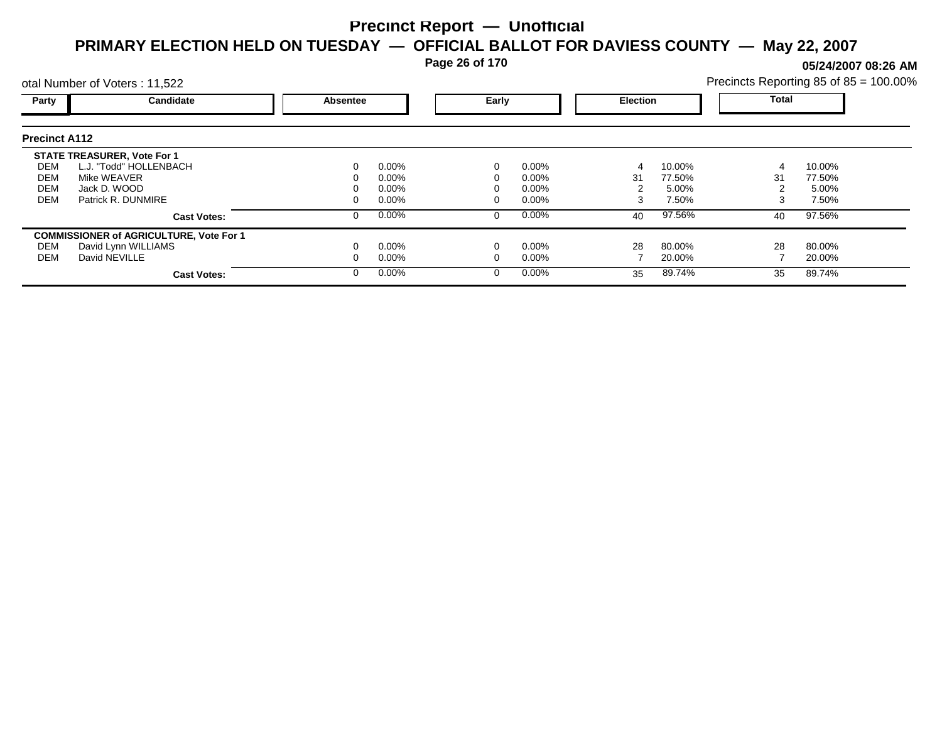**Page 26 of 170**

**05/24/2007 08:26 AM**

| Precincts Reporting 85 of $85 = 100.00\%$ |  |  |  |
|-------------------------------------------|--|--|--|
|-------------------------------------------|--|--|--|

|                      | otal Number of Voters: 11,522                  |                 |          |       |          |                 |        | Precincts Reporting 85 of 85 = 100.009 |        |  |
|----------------------|------------------------------------------------|-----------------|----------|-------|----------|-----------------|--------|----------------------------------------|--------|--|
| Party                | <b>Candidate</b>                               | <b>Absentee</b> |          | Early |          | <b>Election</b> |        | Total                                  |        |  |
| <b>Precinct A112</b> |                                                |                 |          |       |          |                 |        |                                        |        |  |
|                      | <b>STATE TREASURER, Vote For 1</b>             |                 |          |       |          |                 |        |                                        |        |  |
| DEM                  | L.J. "Todd" HOLLENBACH                         |                 | $0.00\%$ | 0     | 0.00%    |                 | 10.00% | 4                                      | 10.00% |  |
| DEM                  | Mike WEAVER                                    |                 | $0.00\%$ |       | $0.00\%$ | 31              | 77.50% | 31                                     | 77.50% |  |
| DEM                  | Jack D. WOOD                                   |                 | $0.00\%$ |       | $0.00\%$ |                 | 5.00%  |                                        | 5.00%  |  |
| DEM                  | Patrick R. DUNMIRE                             |                 | $0.00\%$ |       | $0.00\%$ | 3               | 7.50%  | 3                                      | 7.50%  |  |
|                      | <b>Cast Votes:</b>                             |                 | $0.00\%$ | 0     | $0.00\%$ | 40              | 97.56% | 40                                     | 97.56% |  |
|                      | <b>COMMISSIONER of AGRICULTURE, Vote For 1</b> |                 |          |       |          |                 |        |                                        |        |  |
| DEM                  | David Lynn WILLIAMS                            |                 | $0.00\%$ |       | 0.00%    | 28              | 80.00% | 28                                     | 80.00% |  |
| DEM                  | David NEVILLE                                  |                 | $0.00\%$ |       | $0.00\%$ |                 | 20.00% |                                        | 20.00% |  |
|                      | <b>Cast Votes:</b>                             |                 | $0.00\%$ | 0     | $0.00\%$ | 35              | 89.74% | 35                                     | 89.74% |  |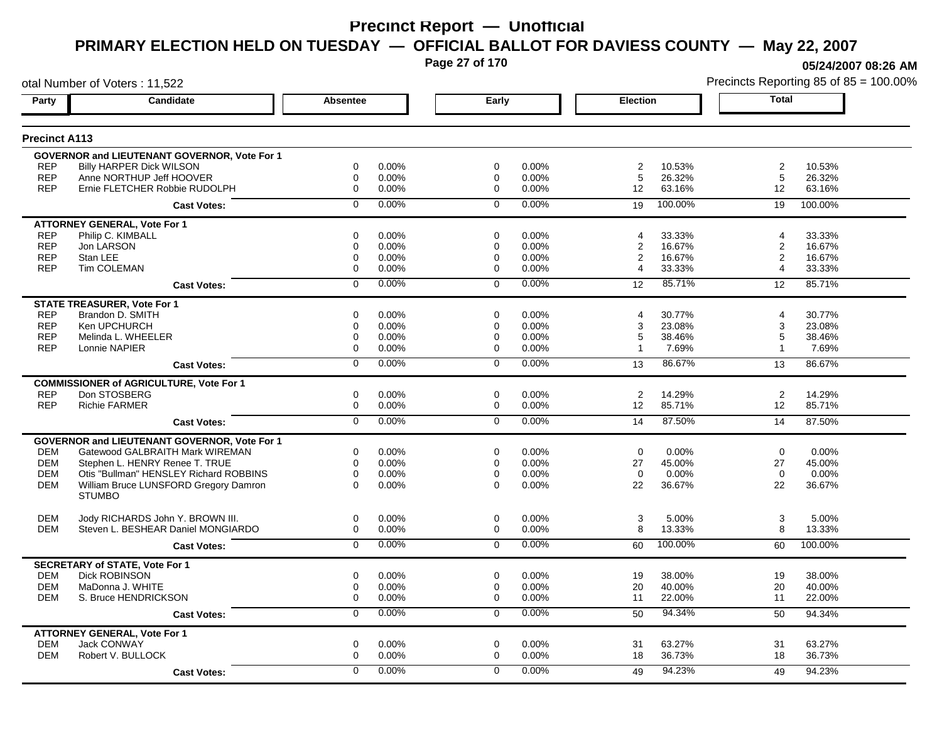**Page 27 of 170**

**05/24/2007 08:26 AM**

|                      | otal Number of Voters: 11,522                       |                |       |                |       |                 |         |                         | Precincts Reporting 85 of 85 = 100.00% |
|----------------------|-----------------------------------------------------|----------------|-------|----------------|-------|-----------------|---------|-------------------------|----------------------------------------|
| Party                | <b>Candidate</b>                                    | Absentee       |       | Early          |       | <b>Election</b> |         | <b>Total</b>            |                                        |
| <b>Precinct A113</b> |                                                     |                |       |                |       |                 |         |                         |                                        |
|                      | <b>GOVERNOR and LIEUTENANT GOVERNOR, Vote For 1</b> |                |       |                |       |                 |         |                         |                                        |
| <b>REP</b>           | <b>Billy HARPER Dick WILSON</b>                     | 0              | 0.00% | 0              | 0.00% | $\overline{2}$  | 10.53%  | $\overline{c}$          | 10.53%                                 |
| <b>REP</b>           | Anne NORTHUP Jeff HOOVER                            | 0              | 0.00% | 0              | 0.00% | 5               | 26.32%  | 5                       | 26.32%                                 |
| <b>REP</b>           | Ernie FLETCHER Robbie RUDOLPH                       | $\mathbf 0$    | 0.00% | $\mathbf 0$    | 0.00% | 12              | 63.16%  | 12                      | 63.16%                                 |
|                      | <b>Cast Votes:</b>                                  | $\mathbf 0$    | 0.00% | $\mathbf 0$    | 0.00% | 19              | 100.00% | 19                      | 100.00%                                |
|                      | <b>ATTORNEY GENERAL, Vote For 1</b>                 |                |       |                |       |                 |         |                         |                                        |
| <b>REP</b>           | Philip C. KIMBALL                                   | $\mathbf 0$    | 0.00% | $\Omega$       | 0.00% | 4               | 33.33%  | 4                       | 33.33%                                 |
| <b>REP</b>           | Jon LARSON                                          | 0              | 0.00% | 0              | 0.00% | $\overline{2}$  | 16.67%  | $\overline{c}$          | 16.67%                                 |
| <b>REP</b>           | Stan LEE                                            | $\mathbf 0$    | 0.00% | 0              | 0.00% | 2               | 16.67%  | 2                       | 16.67%                                 |
| <b>REP</b>           | <b>Tim COLEMAN</b>                                  | $\mathbf 0$    | 0.00% | $\Omega$       | 0.00% | $\overline{4}$  | 33.33%  | 4                       | 33.33%                                 |
|                      | <b>Cast Votes:</b>                                  | $\mathbf 0$    | 0.00% | $\mathbf 0$    | 0.00% | 12              | 85.71%  | 12                      | 85.71%                                 |
|                      | <b>STATE TREASURER, Vote For 1</b>                  |                |       |                |       |                 |         |                         |                                        |
| <b>REP</b>           | Brandon D. SMITH                                    | $\mathbf 0$    | 0.00% | $\Omega$       | 0.00% | 4               | 30.77%  | $\overline{4}$          | 30.77%                                 |
| <b>REP</b>           | Ken UPCHURCH                                        | $\mathbf 0$    | 0.00% | 0              | 0.00% | 3               | 23.08%  | 3                       | 23.08%                                 |
| <b>REP</b>           | Melinda L. WHEELER                                  | $\mathbf 0$    | 0.00% | 0              | 0.00% | 5               | 38.46%  | 5                       | 38.46%                                 |
| <b>REP</b>           | Lonnie NAPIER                                       | $\Omega$       | 0.00% | $\Omega$       | 0.00% | $\overline{1}$  | 7.69%   | $\overline{\mathbf{1}}$ | 7.69%                                  |
|                      | <b>Cast Votes:</b>                                  | $\overline{0}$ | 0.00% | $\overline{0}$ | 0.00% | 13              | 86.67%  | 13                      | 86.67%                                 |
|                      | <b>COMMISSIONER of AGRICULTURE, Vote For 1</b>      |                |       |                |       |                 |         |                         |                                        |
| <b>REP</b>           | Don STOSBERG                                        | 0              | 0.00% | 0              | 0.00% | 2               | 14.29%  | 2                       | 14.29%                                 |
| <b>REP</b>           | <b>Richie FARMER</b>                                | 0              | 0.00% | 0              | 0.00% | 12 <sup>°</sup> | 85.71%  | 12                      | 85.71%                                 |
|                      | <b>Cast Votes:</b>                                  | $\overline{0}$ | 0.00% | $\overline{0}$ | 0.00% | 14              | 87.50%  | 14                      | 87.50%                                 |
|                      | GOVERNOR and LIEUTENANT GOVERNOR, Vote For 1        |                |       |                |       |                 |         |                         |                                        |
| DEM                  | Gatewood GALBRAITH Mark WIREMAN                     | 0              | 0.00% | 0              | 0.00% | 0               | 0.00%   | $\mathbf 0$             | 0.00%                                  |
| <b>DEM</b>           | Stephen L. HENRY Renee T. TRUE                      | $\mathbf 0$    | 0.00% | 0              | 0.00% | 27              | 45.00%  | 27                      | 45.00%                                 |
| <b>DEM</b>           | Otis "Bullman" HENSLEY Richard ROBBINS              | 0              | 0.00% | 0              | 0.00% | $\mathbf 0$     | 0.00%   | $\mathbf 0$             | 0.00%                                  |
| <b>DEM</b>           | William Bruce LUNSFORD Gregory Damron               | $\Omega$       | 0.00% | $\Omega$       | 0.00% | 22              | 36.67%  | 22                      | 36.67%                                 |
|                      | <b>STUMBO</b>                                       |                |       |                |       |                 |         |                         |                                        |
| <b>DEM</b>           | Jody RICHARDS John Y. BROWN III.                    | 0              | 0.00% | 0              | 0.00% | 3               | 5.00%   | 3                       | 5.00%                                  |
| <b>DEM</b>           | Steven L. BESHEAR Daniel MONGIARDO                  | 0              | 0.00% | 0              | 0.00% | 8               | 13.33%  | 8                       | 13.33%                                 |
|                      | <b>Cast Votes:</b>                                  | $\mathbf 0$    | 0.00% | $\mathbf 0$    | 0.00% | 60              | 100.00% | 60                      | 100.00%                                |
|                      | <b>SECRETARY of STATE, Vote For 1</b>               |                |       |                |       |                 |         |                         |                                        |
| <b>DEM</b>           | <b>Dick ROBINSON</b>                                | 0              | 0.00% | 0              | 0.00% | 19              | 38.00%  | 19                      | 38.00%                                 |
| <b>DEM</b>           | MaDonna J. WHITE                                    | 0              | 0.00% | 0              | 0.00% | 20              | 40.00%  | 20                      | 40.00%                                 |
| DEM                  | S. Bruce HENDRICKSON                                | $\pmb{0}$      | 0.00% | 0              | 0.00% | 11              | 22.00%  | 11                      | 22.00%                                 |
|                      | <b>Cast Votes:</b>                                  | 0              | 0.00% | 0              | 0.00% | 50              | 94.34%  | 50                      | 94.34%                                 |
|                      | <b>ATTORNEY GENERAL, Vote For 1</b>                 |                |       |                |       |                 |         |                         |                                        |
| <b>DEM</b>           | Jack CONWAY                                         | $\mathbf 0$    | 0.00% | $\mathbf 0$    | 0.00% | 31              | 63.27%  | 31                      | 63.27%                                 |
| <b>DEM</b>           | Robert V. BULLOCK                                   | $\mathbf 0$    | 0.00% | 0              | 0.00% | 18              | 36.73%  | 18                      | 36.73%                                 |
|                      | <b>Cast Votes:</b>                                  | $\Omega$       | 0.00% | $\Omega$       | 0.00% | 49              | 94.23%  | 49                      | 94.23%                                 |
|                      |                                                     |                |       |                |       |                 |         |                         |                                        |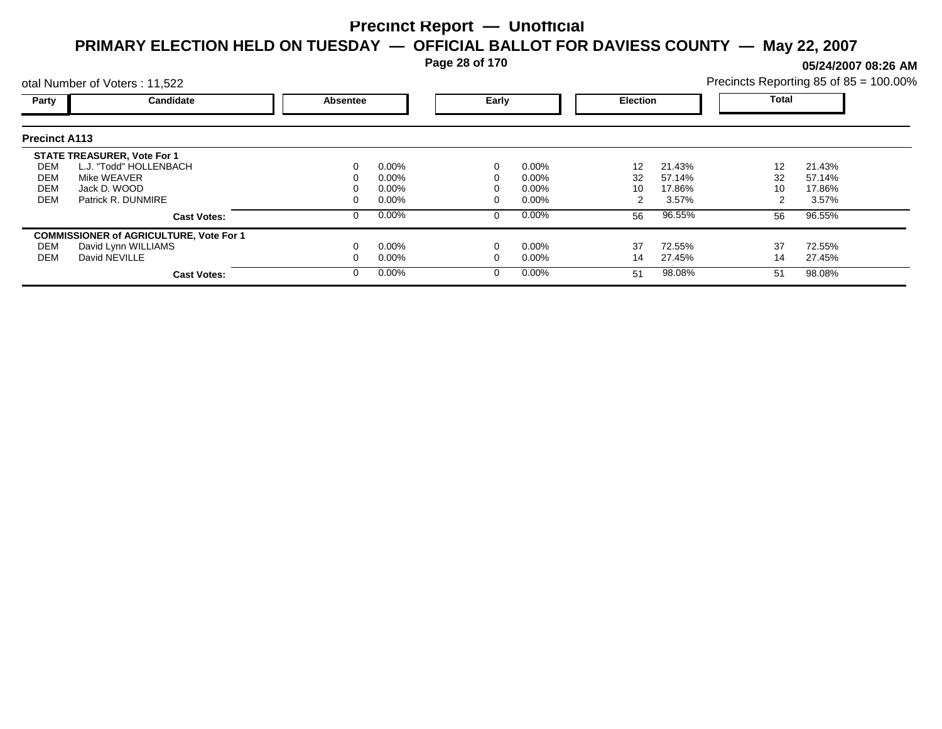**Page 28 of 170**

**05/24/2007 08:26 AM**

|                      | otal Number of Voters: 11,522                  |          |          |       |          |                 |        |              | Precincts Reporting 85 of 85 = 100.00% |  |
|----------------------|------------------------------------------------|----------|----------|-------|----------|-----------------|--------|--------------|----------------------------------------|--|
| Party                | Candidate                                      | Absentee |          | Early |          | <b>Election</b> |        | <b>Total</b> |                                        |  |
| <b>Precinct A113</b> |                                                |          |          |       |          |                 |        |              |                                        |  |
|                      | <b>STATE TREASURER, Vote For 1</b>             |          |          |       |          |                 |        |              |                                        |  |
| DEM                  | L.J. "Todd" HOLLENBACH                         |          | $0.00\%$ |       | $0.00\%$ | 12              | 21.43% | 12           | 21.43%                                 |  |
| DEM                  | Mike WEAVER                                    |          | 0.00%    |       | 0.00%    | 32              | 57.14% | 32           | 57.14%                                 |  |
| <b>DEM</b>           | Jack D. WOOD                                   |          | 0.00%    |       | 0.00%    | 10              | 17.86% | 10           | 17.86%                                 |  |
| <b>DEM</b>           | Patrick R. DUNMIRE                             |          | $0.00\%$ |       | 0.00%    |                 | 3.57%  |              | 3.57%                                  |  |
|                      | <b>Cast Votes:</b>                             |          | $0.00\%$ | 0     | $0.00\%$ | 56              | 96.55% | 56           | 96.55%                                 |  |
|                      | <b>COMMISSIONER of AGRICULTURE, Vote For 1</b> |          |          |       |          |                 |        |              |                                        |  |
| DEM                  | David Lynn WILLIAMS                            |          | $0.00\%$ |       | 0.00%    | 37              | 72.55% | 37           | 72.55%                                 |  |
| DEM                  | David NEVILLE                                  |          | $0.00\%$ |       | 0.00%    | 14              | 27.45% | 14           | 27.45%                                 |  |
|                      | <b>Cast Votes:</b>                             |          | $0.00\%$ | 0     | $0.00\%$ | 51              | 98.08% | 51           | 98.08%                                 |  |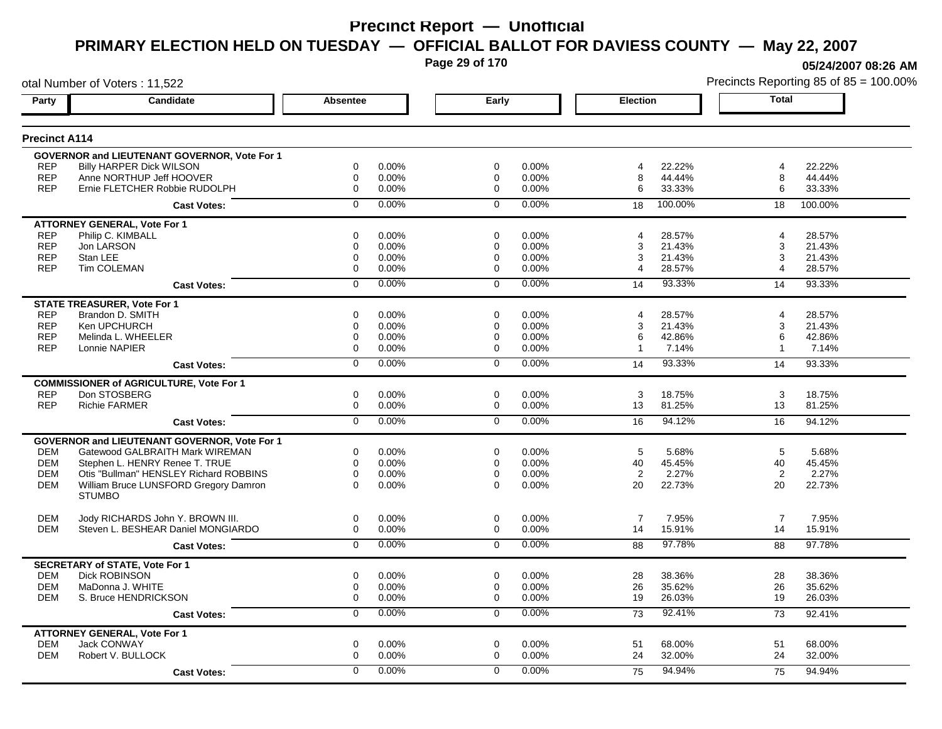**Page 29 of 170**

**05/24/2007 08:26 AM**

|                      | otal Number of Voters: 11,522                       |                 |          |                |       |                |         |                | Precincts Reporting 85 of 85 = 100.00% |
|----------------------|-----------------------------------------------------|-----------------|----------|----------------|-------|----------------|---------|----------------|----------------------------------------|
| Party                | Candidate                                           | <b>Absentee</b> |          | Early          |       | Election       |         | <b>Total</b>   |                                        |
| <b>Precinct A114</b> |                                                     |                 |          |                |       |                |         |                |                                        |
|                      | <b>GOVERNOR and LIEUTENANT GOVERNOR, Vote For 1</b> |                 |          |                |       |                |         |                |                                        |
| <b>REP</b>           | <b>Billy HARPER Dick WILSON</b>                     | 0               | 0.00%    | 0              | 0.00% | 4              | 22.22%  | $\overline{4}$ | 22.22%                                 |
| <b>REP</b>           | Anne NORTHUP Jeff HOOVER                            | 0               | $0.00\%$ | 0              | 0.00% | 8              | 44.44%  | 8              | 44.44%                                 |
| <b>REP</b>           | Ernie FLETCHER Robbie RUDOLPH                       | 0               | 0.00%    | $\mathbf 0$    | 0.00% | 6              | 33.33%  | 6              | 33.33%                                 |
|                      | <b>Cast Votes:</b>                                  | $\Omega$        | $0.00\%$ | $\mathbf 0$    | 0.00% | 18             | 100.00% | 18             | 100.00%                                |
|                      | <b>ATTORNEY GENERAL, Vote For 1</b>                 |                 |          |                |       |                |         |                |                                        |
| <b>REP</b>           | Philip C. KIMBALL                                   | 0               | 0.00%    | 0              | 0.00% | 4              | 28.57%  | $\overline{4}$ | 28.57%                                 |
| <b>REP</b>           | Jon LARSON                                          | 0               | 0.00%    | 0              | 0.00% | 3              | 21.43%  | 3              | 21.43%                                 |
| <b>REP</b>           | Stan LEE                                            | 0               | 0.00%    | 0              | 0.00% | 3              | 21.43%  | 3              | 21.43%                                 |
| <b>REP</b>           | Tim COLEMAN                                         | 0               | $0.00\%$ | 0              | 0.00% | 4              | 28.57%  | 4              | 28.57%                                 |
|                      | <b>Cast Votes:</b>                                  | 0               | 0.00%    | $\mathbf 0$    | 0.00% | 14             | 93.33%  | 14             | 93.33%                                 |
|                      | <b>STATE TREASURER, Vote For 1</b>                  |                 |          |                |       |                |         |                |                                        |
| <b>REP</b>           | Brandon D. SMITH                                    | $\Omega$        | 0.00%    | $\Omega$       | 0.00% | 4              | 28.57%  | $\overline{4}$ | 28.57%                                 |
| <b>REP</b>           | Ken UPCHURCH                                        | 0               | 0.00%    | 0              | 0.00% | 3              | 21.43%  | 3              | 21.43%                                 |
| <b>REP</b>           | Melinda L. WHEELER                                  | 0               | 0.00%    | 0              | 0.00% | 6              | 42.86%  | 6              | 42.86%                                 |
| <b>REP</b>           | Lonnie NAPIER                                       | 0               | $0.00\%$ | 0              | 0.00% | $\mathbf{1}$   | 7.14%   | -1             | 7.14%                                  |
|                      | <b>Cast Votes:</b>                                  | $\overline{0}$  | 0.00%    | $\overline{0}$ | 0.00% | 14             | 93.33%  | 14             | 93.33%                                 |
|                      | <b>COMMISSIONER of AGRICULTURE, Vote For 1</b>      |                 |          |                |       |                |         |                |                                        |
| <b>REP</b>           | Don STOSBERG                                        | 0               | 0.00%    | $\mathbf 0$    | 0.00% | 3              | 18.75%  | 3              | 18.75%                                 |
| <b>REP</b>           | <b>Richie FARMER</b>                                | 0               | 0.00%    | $\mathbf{0}$   | 0.00% | 13             | 81.25%  | 13             | 81.25%                                 |
|                      | <b>Cast Votes:</b>                                  | $\overline{0}$  | 0.00%    | $\overline{0}$ | 0.00% | 16             | 94.12%  | 16             | 94.12%                                 |
|                      | <b>GOVERNOR and LIEUTENANT GOVERNOR, Vote For 1</b> |                 |          |                |       |                |         |                |                                        |
| <b>DEM</b>           | Gatewood GALBRAITH Mark WIREMAN                     | 0               | 0.00%    | 0              | 0.00% | 5              | 5.68%   | 5              | 5.68%                                  |
| <b>DEM</b>           | Stephen L. HENRY Renee T. TRUE                      | 0               | 0.00%    | $\mathbf 0$    | 0.00% | 40             | 45.45%  | 40             | 45.45%                                 |
| <b>DEM</b>           | Otis "Bullman" HENSLEY Richard ROBBINS              | 0               | 0.00%    | $\mathbf 0$    | 0.00% | $\overline{2}$ | 2.27%   | $\overline{2}$ | 2.27%                                  |
| <b>DEM</b>           | William Bruce LUNSFORD Gregory Damron               | $\Omega$        | 0.00%    | $\Omega$       | 0.00% | 20             | 22.73%  | 20             | 22.73%                                 |
|                      | <b>STUMBO</b>                                       |                 |          |                |       |                |         |                |                                        |
| <b>DEM</b>           | Jody RICHARDS John Y. BROWN III.                    | 0               | 0.00%    | $\mathbf 0$    | 0.00% | $\overline{7}$ | 7.95%   | $\overline{7}$ | 7.95%                                  |
| <b>DEM</b>           | Steven L. BESHEAR Daniel MONGIARDO                  | 0               | 0.00%    | 0              | 0.00% | 14             | 15.91%  | 14             | 15.91%                                 |
|                      | <b>Cast Votes:</b>                                  | $\overline{0}$  | 0.00%    | $\mathbf 0$    | 0.00% | 88             | 97.78%  | 88             | 97.78%                                 |
|                      | <b>SECRETARY of STATE, Vote For 1</b>               |                 |          |                |       |                |         |                |                                        |
| <b>DEM</b>           | <b>Dick ROBINSON</b>                                | 0               | 0.00%    | $\mathbf 0$    | 0.00% | 28             | 38.36%  | 28             | 38.36%                                 |
| <b>DEM</b>           | MaDonna J. WHITE                                    | 0               | $0.00\%$ | 0              | 0.00% | 26             | 35.62%  | 26             | 35.62%                                 |
| <b>DEM</b>           | S. Bruce HENDRICKSON                                | 0               | 0.00%    | $\mathbf 0$    | 0.00% | 19             | 26.03%  | 19             | 26.03%                                 |
|                      | <b>Cast Votes:</b>                                  | 0               | 0.00%    | 0              | 0.00% | 73             | 92.41%  | 73             | 92.41%                                 |
|                      | <b>ATTORNEY GENERAL, Vote For 1</b>                 |                 |          |                |       |                |         |                |                                        |
| <b>DEM</b>           | <b>Jack CONWAY</b>                                  | 0               | 0.00%    | $\mathbf 0$    | 0.00% | 51             | 68.00%  | 51             | 68.00%                                 |
| <b>DEM</b>           | Robert V. BULLOCK                                   | 0               | 0.00%    | 0              | 0.00% | 24             | 32.00%  | 24             | 32.00%                                 |
|                      |                                                     | 0               | $0.00\%$ | $\Omega$       | 0.00% | 75             | 94.94%  | 75             | 94.94%                                 |
|                      | <b>Cast Votes:</b>                                  |                 |          |                |       |                |         |                |                                        |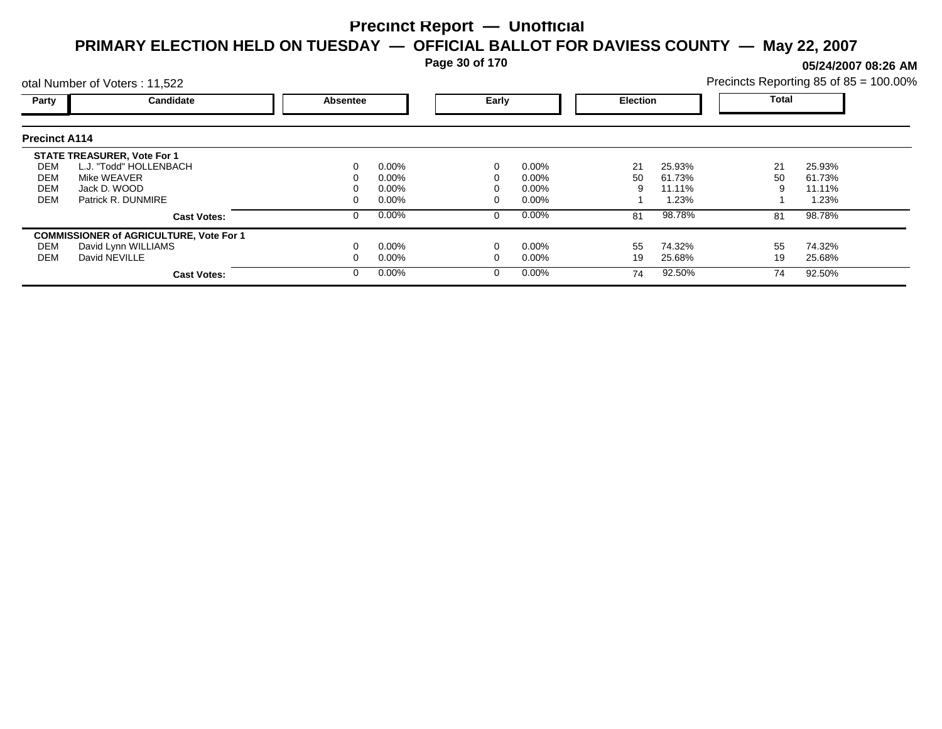**Page 30 of 170**

**05/24/2007 08:26 AM**

|                      | otal Number of Voters: 11,522                  |          |          |       |          |                 |        |       | Precincts Reporting 85 of 85 = 100.00% |
|----------------------|------------------------------------------------|----------|----------|-------|----------|-----------------|--------|-------|----------------------------------------|
| Party                | <b>Candidate</b>                               | Absentee |          | Early |          | <b>Election</b> |        | Total |                                        |
| <b>Precinct A114</b> |                                                |          |          |       |          |                 |        |       |                                        |
|                      | <b>STATE TREASURER, Vote For 1</b>             |          |          |       |          |                 |        |       |                                        |
| DEM                  | L.J. "Todd" HOLLENBACH                         |          | $0.00\%$ |       | $0.00\%$ | 21              | 25.93% | 21    | 25.93%                                 |
| DEM                  | Mike WEAVER                                    |          | $0.00\%$ |       | $0.00\%$ | 50              | 61.73% | 50    | 61.73%                                 |
| <b>DEM</b>           | Jack D. WOOD                                   |          | $0.00\%$ |       | 0.00%    | 9               | 11.11% | 9     | 11.11%                                 |
| <b>DEM</b>           | Patrick R. DUNMIRE                             |          | $0.00\%$ |       | $0.00\%$ |                 | 1.23%  |       | 1.23%                                  |
|                      | <b>Cast Votes:</b>                             |          | $0.00\%$ |       | $0.00\%$ | 81              | 98.78% | 81    | 98.78%                                 |
|                      | <b>COMMISSIONER of AGRICULTURE, Vote For 1</b> |          |          |       |          |                 |        |       |                                        |
| DEM                  | David Lynn WILLIAMS                            |          | $0.00\%$ |       | $0.00\%$ | 55              | 74.32% | 55    | 74.32%                                 |
| DEM                  | David NEVILLE                                  |          | $0.00\%$ |       | $0.00\%$ | 19              | 25.68% | 19    | 25.68%                                 |
|                      | <b>Cast Votes:</b>                             |          | $0.00\%$ |       | $0.00\%$ | 74              | 92.50% | 74    | 92.50%                                 |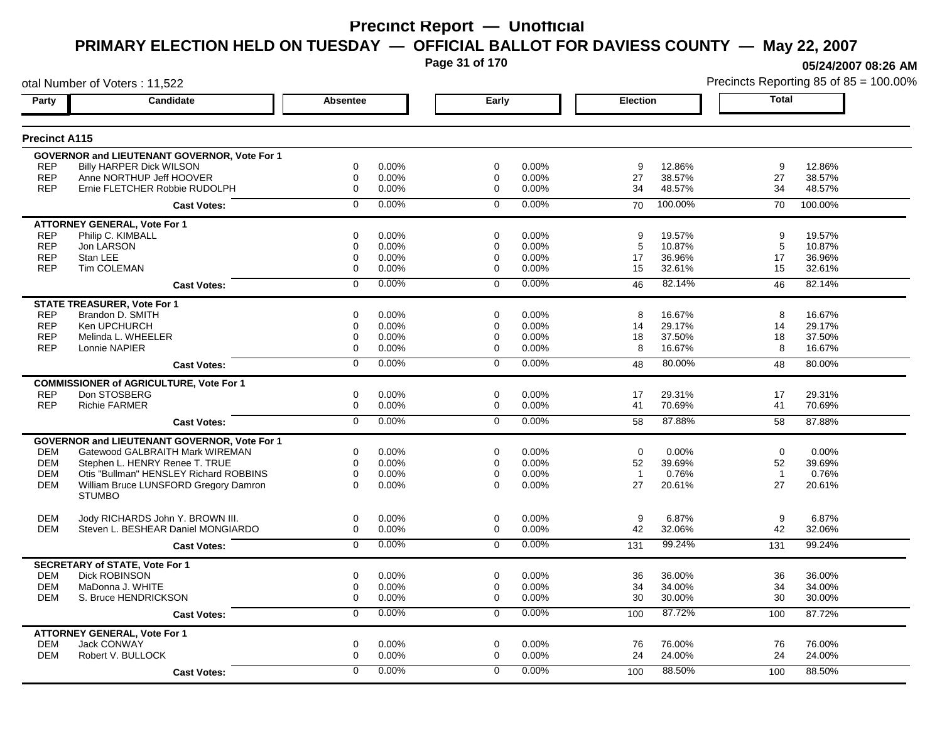**Page 31 of 170**

**05/24/2007 08:26 AM**

|                      | otal Number of Voters: 11,522                       |                  |       |                |       |                 |         |                | Precincts Reporting 85 of 85 = 100.00% |
|----------------------|-----------------------------------------------------|------------------|-------|----------------|-------|-----------------|---------|----------------|----------------------------------------|
| Party                | <b>Candidate</b>                                    | Absentee         |       | Early          |       | <b>Election</b> |         | <b>Total</b>   |                                        |
| <b>Precinct A115</b> |                                                     |                  |       |                |       |                 |         |                |                                        |
|                      | <b>GOVERNOR and LIEUTENANT GOVERNOR, Vote For 1</b> |                  |       |                |       |                 |         |                |                                        |
| <b>REP</b>           | <b>Billy HARPER Dick WILSON</b>                     | 0                | 0.00% | 0              | 0.00% | 9               | 12.86%  | 9              | 12.86%                                 |
| <b>REP</b>           | Anne NORTHUP Jeff HOOVER                            | 0                | 0.00% | 0              | 0.00% | 27              | 38.57%  | 27             | 38.57%                                 |
| <b>REP</b>           | Ernie FLETCHER Robbie RUDOLPH                       | $\mathbf 0$      | 0.00% | $\mathbf 0$    | 0.00% | 34              | 48.57%  | 34             | 48.57%                                 |
|                      | <b>Cast Votes:</b>                                  | $\mathbf 0$      | 0.00% | $\mathbf 0$    | 0.00% | 70              | 100.00% | 70             | 100.00%                                |
|                      | <b>ATTORNEY GENERAL, Vote For 1</b>                 |                  |       |                |       |                 |         |                |                                        |
| <b>REP</b>           | Philip C. KIMBALL                                   | $\mathbf 0$      | 0.00% | $\Omega$       | 0.00% | 9               | 19.57%  | 9              | 19.57%                                 |
| <b>REP</b>           | Jon LARSON                                          | 0                | 0.00% | 0              | 0.00% | 5               | 10.87%  | 5              | 10.87%                                 |
| <b>REP</b>           | Stan LEE                                            | $\mathbf 0$      | 0.00% | 0              | 0.00% | 17              | 36.96%  | 17             | 36.96%                                 |
| <b>REP</b>           | <b>Tim COLEMAN</b>                                  | $\mathbf 0$      | 0.00% | $\Omega$       | 0.00% | 15              | 32.61%  | 15             | 32.61%                                 |
|                      | <b>Cast Votes:</b>                                  | $\mathbf 0$      | 0.00% | $\mathbf 0$    | 0.00% | 46              | 82.14%  | 46             | 82.14%                                 |
|                      | <b>STATE TREASURER, Vote For 1</b>                  |                  |       |                |       |                 |         |                |                                        |
| <b>REP</b>           | Brandon D. SMITH                                    | $\mathbf 0$      | 0.00% | $\Omega$       | 0.00% | 8               | 16.67%  | 8              | 16.67%                                 |
| <b>REP</b>           | Ken UPCHURCH                                        | $\mathbf 0$      | 0.00% | 0              | 0.00% | 14              | 29.17%  | 14             | 29.17%                                 |
| <b>REP</b>           | Melinda L. WHEELER                                  | $\mathbf 0$      | 0.00% | 0              | 0.00% | 18              | 37.50%  | 18             | 37.50%                                 |
| <b>REP</b>           | Lonnie NAPIER                                       | $\Omega$         | 0.00% | $\Omega$       | 0.00% | 8               | 16.67%  | 8              | 16.67%                                 |
|                      | <b>Cast Votes:</b>                                  | $\overline{0}$   | 0.00% | $\overline{0}$ | 0.00% | 48              | 80.00%  | 48             | 80.00%                                 |
|                      | <b>COMMISSIONER of AGRICULTURE, Vote For 1</b>      |                  |       |                |       |                 |         |                |                                        |
| <b>REP</b>           | Don STOSBERG                                        | 0                | 0.00% | 0              | 0.00% | 17              | 29.31%  | 17             | 29.31%                                 |
| <b>REP</b>           | <b>Richie FARMER</b>                                | 0                | 0.00% | 0              | 0.00% | 41              | 70.69%  | 41             | 70.69%                                 |
|                      | <b>Cast Votes:</b>                                  | $\overline{0}$   | 0.00% | $\overline{0}$ | 0.00% | 58              | 87.88%  | 58             | 87.88%                                 |
|                      | GOVERNOR and LIEUTENANT GOVERNOR, Vote For 1        |                  |       |                |       |                 |         |                |                                        |
| DEM                  | Gatewood GALBRAITH Mark WIREMAN                     | 0                | 0.00% | 0              | 0.00% | $\mathbf 0$     | 0.00%   | $\mathbf 0$    | 0.00%                                  |
| <b>DEM</b>           | Stephen L. HENRY Renee T. TRUE                      | $\mathbf 0$      | 0.00% | 0              | 0.00% | 52              | 39.69%  | 52             | 39.69%                                 |
| <b>DEM</b>           | Otis "Bullman" HENSLEY Richard ROBBINS              | 0                | 0.00% | 0              | 0.00% | $\overline{1}$  | 0.76%   | $\overline{1}$ | 0.76%                                  |
| <b>DEM</b>           | William Bruce LUNSFORD Gregory Damron               | $\Omega$         | 0.00% | $\Omega$       | 0.00% | 27              | 20.61%  | 27             | 20.61%                                 |
|                      | <b>STUMBO</b>                                       |                  |       |                |       |                 |         |                |                                        |
| <b>DEM</b>           | Jody RICHARDS John Y. BROWN III.                    | 0                | 0.00% | 0              | 0.00% | 9               | 6.87%   | 9              | 6.87%                                  |
| <b>DEM</b>           | Steven L. BESHEAR Daniel MONGIARDO                  | 0                | 0.00% | 0              | 0.00% | 42              | 32.06%  | 42             | 32.06%                                 |
|                      | <b>Cast Votes:</b>                                  | $\mathbf 0$      | 0.00% | $\mathbf 0$    | 0.00% | 131             | 99.24%  | 131            | 99.24%                                 |
|                      | <b>SECRETARY of STATE, Vote For 1</b>               |                  |       |                |       |                 |         |                |                                        |
| <b>DEM</b>           | <b>Dick ROBINSON</b>                                | 0                | 0.00% | 0              | 0.00% | 36              | 36.00%  | 36             | 36.00%                                 |
| <b>DEM</b>           | MaDonna J. WHITE                                    | 0                | 0.00% | 0              | 0.00% | 34              | 34.00%  | 34             | 34.00%                                 |
| DEM                  | S. Bruce HENDRICKSON                                | $\boldsymbol{0}$ | 0.00% | 0              | 0.00% | 30              | 30.00%  | 30             | 30.00%                                 |
|                      | <b>Cast Votes:</b>                                  | 0                | 0.00% | 0              | 0.00% | 100             | 87.72%  | 100            | 87.72%                                 |
|                      | <b>ATTORNEY GENERAL, Vote For 1</b>                 |                  |       |                |       |                 |         |                |                                        |
| <b>DEM</b>           | Jack CONWAY                                         | $\mathbf 0$      | 0.00% | $\mathbf 0$    | 0.00% | 76              | 76.00%  | 76             | 76.00%                                 |
| <b>DEM</b>           | Robert V. BULLOCK                                   | $\mathbf 0$      | 0.00% | 0              | 0.00% | 24              | 24.00%  | 24             | 24.00%                                 |
|                      | <b>Cast Votes:</b>                                  | $\Omega$         | 0.00% | $\Omega$       | 0.00% | 100             | 88.50%  | 100            | 88.50%                                 |
|                      |                                                     |                  |       |                |       |                 |         |                |                                        |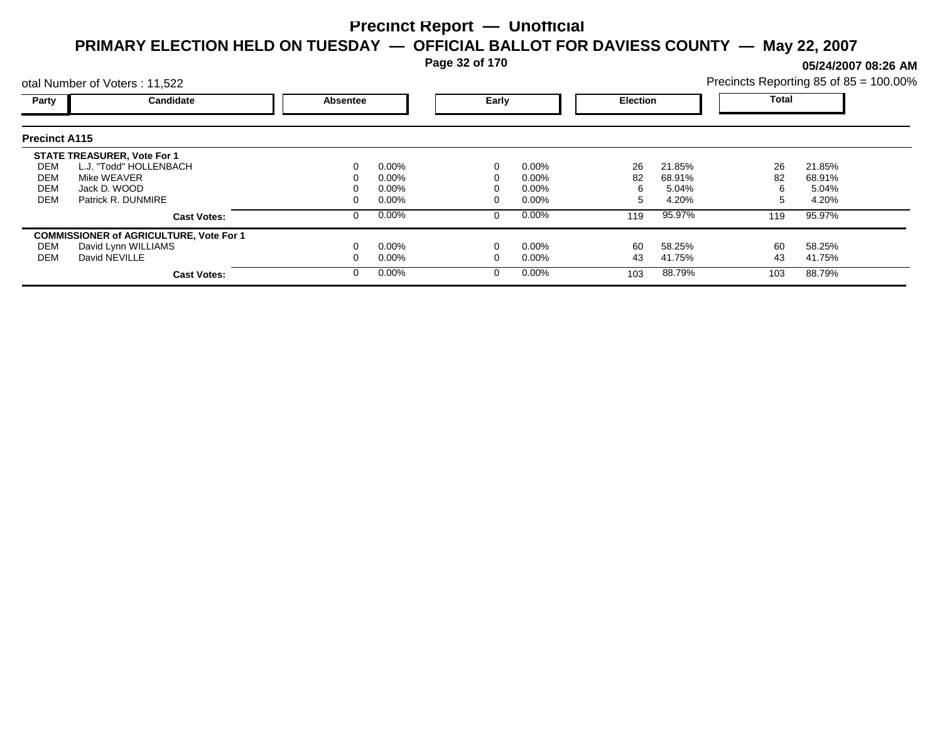**Page 32 of 170**

**05/24/2007 08:26 AM**

|                                               | otal Number of Voters: 11,522                                                                                     |                 |                                     |       |                                     |                 |                                    |                    | Precincts Reporting 85 of 85 = 100.00% |
|-----------------------------------------------|-------------------------------------------------------------------------------------------------------------------|-----------------|-------------------------------------|-------|-------------------------------------|-----------------|------------------------------------|--------------------|----------------------------------------|
| Party                                         | Candidate                                                                                                         | <b>Absentee</b> |                                     | Early |                                     | <b>Election</b> |                                    | <b>Total</b>       |                                        |
| <b>Precinct A115</b>                          |                                                                                                                   |                 |                                     |       |                                     |                 |                                    |                    |                                        |
| DEM<br><b>DEM</b><br><b>DEM</b><br><b>DEM</b> | <b>STATE TREASURER, Vote For 1</b><br>L.J. "Todd" HOLLENBACH<br>Mike WEAVER<br>Jack D. WOOD<br>Patrick R. DUNMIRE |                 | $0.00\%$<br>0.00%<br>0.00%<br>0.00% |       | $0.00\%$<br>0.00%<br>0.00%<br>0.00% | 26<br>82<br>h.  | 21.85%<br>68.91%<br>5.04%<br>4.20% | 26<br>82<br>6<br>5 | 21.85%<br>68.91%<br>5.04%<br>4.20%     |
|                                               | <b>Cast Votes:</b>                                                                                                |                 | $0.00\%$                            | 0     | $0.00\%$                            | 119             | 95.97%                             | 119                | 95.97%                                 |
| DEM<br><b>DEM</b>                             | <b>COMMISSIONER of AGRICULTURE, Vote For 1</b><br>David Lynn WILLIAMS<br>David NEVILLE<br><b>Cast Votes:</b>      |                 | $0.00\%$<br>$0.00\%$<br>$0.00\%$    |       | 0.00%<br>0.00%<br>$0.00\%$          | 60<br>43<br>103 | 58.25%<br>41.75%<br>88.79%         | 60<br>43<br>103    | 58.25%<br>41.75%<br>88.79%             |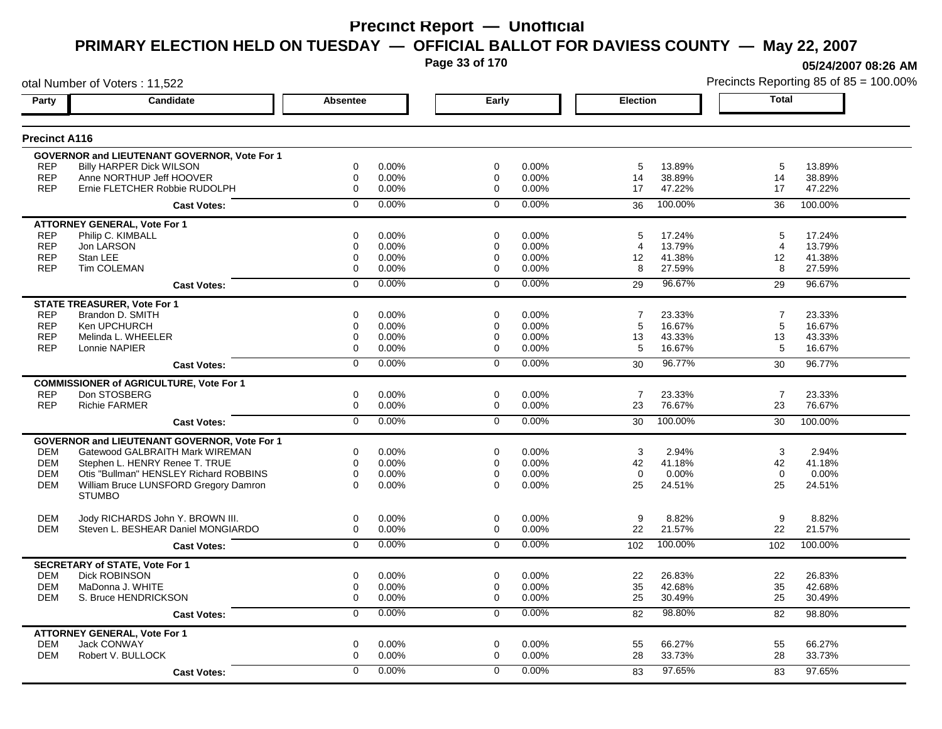**Page 33 of 170**

**05/24/2007 08:26 AM**

|                      | otal Number of Voters: 11,522                          |                 |          |                |       |                 |         | Precincts Reporting 85 of 85 = 100.00% |         |  |
|----------------------|--------------------------------------------------------|-----------------|----------|----------------|-------|-----------------|---------|----------------------------------------|---------|--|
| Party                | Candidate                                              | <b>Absentee</b> |          | Early          |       | <b>Election</b> |         | <b>Total</b>                           |         |  |
| <b>Precinct A116</b> |                                                        |                 |          |                |       |                 |         |                                        |         |  |
|                      | <b>GOVERNOR and LIEUTENANT GOVERNOR, Vote For 1</b>    |                 |          |                |       |                 |         |                                        |         |  |
| <b>REP</b>           | <b>Billy HARPER Dick WILSON</b>                        | 0               | 0.00%    | 0              | 0.00% | 5               | 13.89%  | 5                                      | 13.89%  |  |
| <b>REP</b>           | Anne NORTHUP Jeff HOOVER                               | $\mathbf 0$     | 0.00%    | 0              | 0.00% | 14              | 38.89%  | 14                                     | 38.89%  |  |
| <b>REP</b>           | Ernie FLETCHER Robbie RUDOLPH                          | $\mathbf 0$     | 0.00%    | $\mathbf 0$    | 0.00% | 17              | 47.22%  | 17                                     | 47.22%  |  |
|                      | <b>Cast Votes:</b>                                     | $\Omega$        | 0.00%    | $\mathbf 0$    | 0.00% | 36              | 100.00% | 36                                     | 100.00% |  |
|                      | <b>ATTORNEY GENERAL, Vote For 1</b>                    |                 |          |                |       |                 |         |                                        |         |  |
| <b>REP</b>           | Philip C. KIMBALL                                      | 0               | 0.00%    | 0              | 0.00% | 5               | 17.24%  | 5                                      | 17.24%  |  |
| <b>REP</b>           | Jon LARSON                                             | 0               | 0.00%    | 0              | 0.00% | 4               | 13.79%  | $\overline{4}$                         | 13.79%  |  |
| <b>REP</b>           | Stan LEE                                               | 0               | 0.00%    | 0              | 0.00% | 12              | 41.38%  | 12                                     | 41.38%  |  |
| <b>REP</b>           | Tim COLEMAN                                            | $\mathbf 0$     | 0.00%    | 0              | 0.00% | 8               | 27.59%  | 8                                      | 27.59%  |  |
|                      | <b>Cast Votes:</b>                                     | $\mathbf 0$     | 0.00%    | $\mathbf 0$    | 0.00% | 29              | 96.67%  | 29                                     | 96.67%  |  |
|                      | <b>STATE TREASURER, Vote For 1</b>                     |                 |          |                |       |                 |         |                                        |         |  |
| <b>REP</b>           | Brandon D. SMITH                                       | $\Omega$        | 0.00%    | $\Omega$       | 0.00% | $\overline{7}$  | 23.33%  | $\overline{7}$                         | 23.33%  |  |
| <b>REP</b>           | Ken UPCHURCH                                           | 0               | 0.00%    | 0              | 0.00% | 5               | 16.67%  | 5                                      | 16.67%  |  |
| <b>REP</b>           | Melinda L. WHEELER                                     | $\mathbf 0$     | 0.00%    | 0              | 0.00% | 13              | 43.33%  | 13                                     | 43.33%  |  |
| <b>REP</b>           | Lonnie NAPIER                                          | 0               | 0.00%    | 0              | 0.00% | 5               | 16.67%  | 5                                      | 16.67%  |  |
|                      | <b>Cast Votes:</b>                                     | $\overline{0}$  | 0.00%    | $\overline{0}$ | 0.00% | 30              | 96.77%  | 30                                     | 96.77%  |  |
|                      | <b>COMMISSIONER of AGRICULTURE, Vote For 1</b>         |                 |          |                |       |                 |         |                                        |         |  |
| <b>REP</b>           | Don STOSBERG                                           | $\mathbf 0$     | 0.00%    | $\mathbf 0$    | 0.00% | $\overline{7}$  | 23.33%  | $\overline{7}$                         | 23.33%  |  |
| <b>REP</b>           | <b>Richie FARMER</b>                                   | $\mathbf 0$     | 0.00%    | $\mathbf 0$    | 0.00% | 23              | 76.67%  | 23                                     | 76.67%  |  |
|                      | <b>Cast Votes:</b>                                     | $\overline{0}$  | 0.00%    | $\overline{0}$ | 0.00% | 30              | 100.00% | 30                                     | 100.00% |  |
|                      | <b>GOVERNOR and LIEUTENANT GOVERNOR, Vote For 1</b>    |                 |          |                |       |                 |         |                                        |         |  |
| <b>DEM</b>           | Gatewood GALBRAITH Mark WIREMAN                        | 0               | 0.00%    | 0              | 0.00% | 3               | 2.94%   | 3                                      | 2.94%   |  |
| <b>DEM</b>           | Stephen L. HENRY Renee T. TRUE                         | $\mathbf 0$     | $0.00\%$ | $\mathbf 0$    | 0.00% | 42              | 41.18%  | 42                                     | 41.18%  |  |
| <b>DEM</b>           | Otis "Bullman" HENSLEY Richard ROBBINS                 | $\mathbf 0$     | 0.00%    | $\mathbf 0$    | 0.00% | $\Omega$        | 0.00%   | $\Omega$                               | 0.00%   |  |
| <b>DEM</b>           | William Bruce LUNSFORD Gregory Damron<br><b>STUMBO</b> | $\Omega$        | 0.00%    | $\Omega$       | 0.00% | 25              | 24.51%  | 25                                     | 24.51%  |  |
|                      |                                                        |                 |          |                |       |                 |         |                                        |         |  |
| <b>DEM</b>           | Jody RICHARDS John Y. BROWN III.                       | $\mathbf 0$     | 0.00%    | $\mathbf 0$    | 0.00% | 9               | 8.82%   | 9                                      | 8.82%   |  |
| <b>DEM</b>           | Steven L. BESHEAR Daniel MONGIARDO                     | $\mathbf 0$     | 0.00%    | $\mathbf 0$    | 0.00% | 22              | 21.57%  | 22                                     | 21.57%  |  |
|                      | <b>Cast Votes:</b>                                     | $\overline{0}$  | 0.00%    | $\mathbf 0$    | 0.00% | 102             | 100.00% | 102                                    | 100.00% |  |
|                      | <b>SECRETARY of STATE, Vote For 1</b>                  |                 |          |                |       |                 |         |                                        |         |  |
| <b>DEM</b>           | <b>Dick ROBINSON</b>                                   | $\mathbf 0$     | 0.00%    | $\mathbf 0$    | 0.00% | 22              | 26.83%  | 22                                     | 26.83%  |  |
| <b>DEM</b>           | MaDonna J. WHITE                                       | $\mathbf 0$     | 0.00%    | 0              | 0.00% | 35              | 42.68%  | 35                                     | 42.68%  |  |
| <b>DEM</b>           | S. Bruce HENDRICKSON                                   | $\mathbf 0$     | 0.00%    | $\mathbf 0$    | 0.00% | 25              | 30.49%  | 25                                     | 30.49%  |  |
|                      | <b>Cast Votes:</b>                                     | 0               | 0.00%    | 0              | 0.00% | 82              | 98.80%  | 82                                     | 98.80%  |  |
|                      | <b>ATTORNEY GENERAL, Vote For 1</b>                    |                 |          |                |       |                 |         |                                        |         |  |
| <b>DEM</b>           | <b>Jack CONWAY</b>                                     | $\mathbf 0$     | 0.00%    | $\mathbf 0$    | 0.00% | 55              | 66.27%  | 55                                     | 66.27%  |  |
| <b>DEM</b>           | Robert V. BULLOCK                                      | $\mathbf 0$     | 0.00%    | 0              | 0.00% | 28              | 33.73%  | 28                                     | 33.73%  |  |
|                      | <b>Cast Votes:</b>                                     | $\Omega$        | 0.00%    | $\Omega$       | 0.00% | 83              | 97.65%  | 83                                     | 97.65%  |  |
|                      |                                                        |                 |          |                |       |                 |         |                                        |         |  |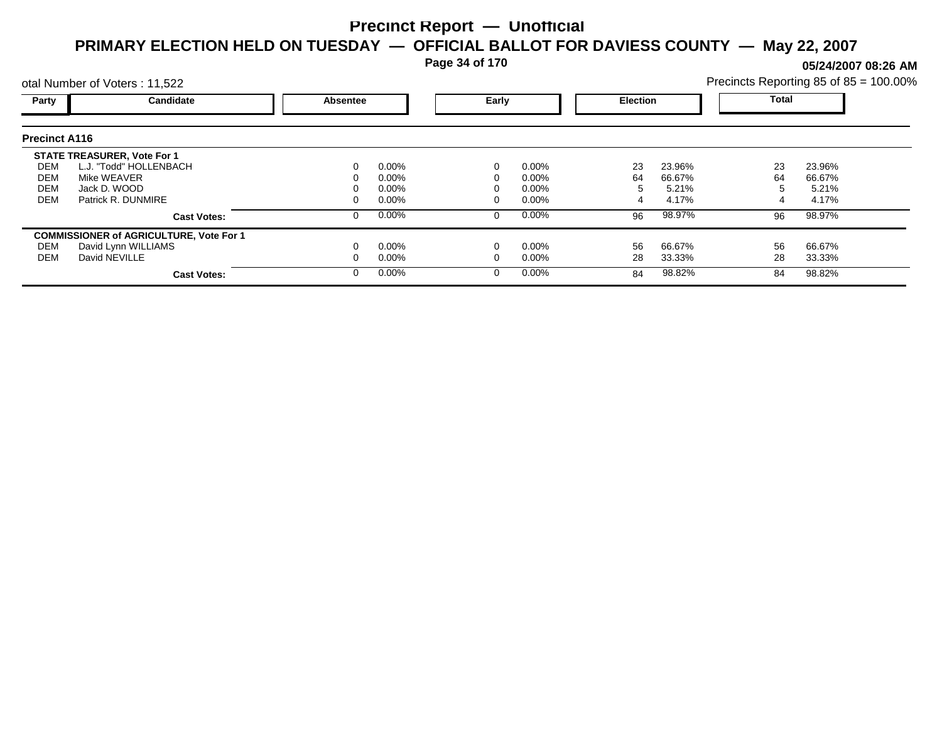**Page 34 of 170**

otal Number of Voters : 11,522

**05/24/2007 08:26 AM**

|                          | Precincts Reporting 85 of $85 = 100.00\%$ |
|--------------------------|-------------------------------------------|
| Total<br><b>Election</b> |                                           |

| Party                                          | <b>Candidate</b>                   | <b>Absentee</b> |          |          | Early    |    | <b>Election</b> |    | Total  |  |
|------------------------------------------------|------------------------------------|-----------------|----------|----------|----------|----|-----------------|----|--------|--|
|                                                |                                    |                 |          |          |          |    |                 |    |        |  |
| <b>Precinct A116</b>                           |                                    |                 |          |          |          |    |                 |    |        |  |
|                                                | <b>STATE TREASURER, Vote For 1</b> |                 |          |          |          |    |                 |    |        |  |
| DEM                                            | L.J. "Todd" HOLLENBACH             | $\Omega$        | $0.00\%$ |          | 0.00%    | 23 | 23.96%          | 23 | 23.96% |  |
| <b>DEM</b>                                     | Mike WEAVER                        | 0               | $0.00\%$ |          | 0.00%    | 64 | 66.67%          | 64 | 66.67% |  |
| <b>DEM</b>                                     | Jack D. WOOD                       | 0               | $0.00\%$ |          | 0.00%    | 5  | 5.21%           | 5  | 5.21%  |  |
| <b>DEM</b>                                     | Patrick R. DUNMIRE                 | 0               | $0.00\%$ |          | $0.00\%$ |    | 4.17%           | 4  | 4.17%  |  |
|                                                | <b>Cast Votes:</b>                 | 0               | $0.00\%$ |          | $0.00\%$ | 96 | 98.97%          | 96 | 98.97% |  |
| <b>COMMISSIONER of AGRICULTURE, Vote For 1</b> |                                    |                 |          |          |          |    |                 |    |        |  |
| DEM                                            | David Lynn WILLIAMS                | 0               | $0.00\%$ | $\Omega$ | 0.00%    | 56 | 66.67%          | 56 | 66.67% |  |
| DEM                                            | David NEVILLE                      | 0               | $0.00\%$ |          | $0.00\%$ | 28 | 33.33%          | 28 | 33.33% |  |
|                                                | <b>Cast Votes:</b>                 | 0               | $0.00\%$ |          | 0.00%    | 84 | 98.82%          | 84 | 98.82% |  |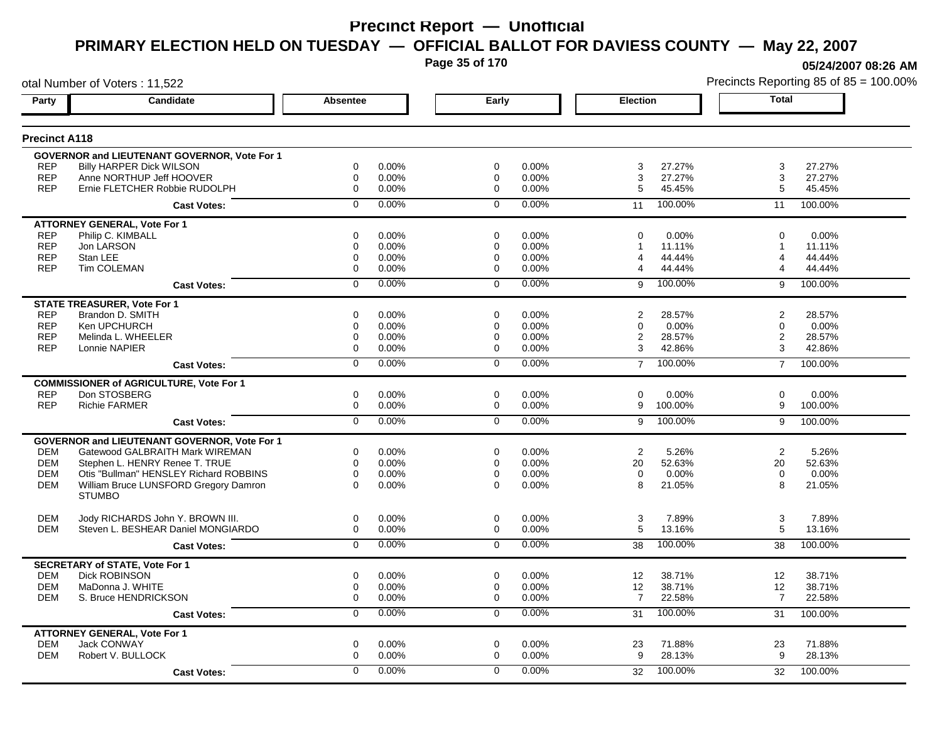**Page 35 of 170**

**05/24/2007 08:26 AM**

|                          | otal Number of Voters: 11,522                          |                            |                |                            |                |                     | Precincts Reporting 85 of 85 = 100.00% |                     |                  |
|--------------------------|--------------------------------------------------------|----------------------------|----------------|----------------------------|----------------|---------------------|----------------------------------------|---------------------|------------------|
| Party                    | Candidate                                              | <b>Absentee</b>            |                | Early                      |                | <b>Election</b>     |                                        | <b>Total</b>        |                  |
| <b>Precinct A118</b>     |                                                        |                            |                |                            |                |                     |                                        |                     |                  |
|                          | <b>GOVERNOR and LIEUTENANT GOVERNOR, Vote For 1</b>    |                            |                |                            |                |                     |                                        |                     |                  |
| <b>REP</b>               | <b>Billy HARPER Dick WILSON</b>                        | 0                          | 0.00%          | $\mathbf 0$                | 0.00%          | 3                   | 27.27%                                 | 3                   | 27.27%           |
| <b>REP</b>               | Anne NORTHUP Jeff HOOVER                               | $\mathbf 0$                | 0.00%          | 0                          | 0.00%          | 3                   | 27.27%                                 | 3                   | 27.27%           |
| <b>REP</b>               | Ernie FLETCHER Robbie RUDOLPH                          | $\mathbf 0$                | 0.00%          | $\mathbf 0$                | 0.00%          | 5                   | 45.45%                                 | 5                   | 45.45%           |
|                          | <b>Cast Votes:</b>                                     | $\Omega$                   | 0.00%          | $\Omega$                   | 0.00%          | 11                  | 100.00%                                | 11                  | 100.00%          |
|                          | <b>ATTORNEY GENERAL, Vote For 1</b>                    |                            |                |                            |                |                     |                                        |                     |                  |
| <b>REP</b>               | Philip C. KIMBALL                                      | 0                          | 0.00%          | 0                          | 0.00%          | $\Omega$            | 0.00%                                  | $\Omega$            | 0.00%            |
| <b>REP</b>               | Jon LARSON                                             | $\mathbf 0$                | 0.00%          | 0                          | 0.00%          |                     | 11.11%                                 | 1                   | 11.11%           |
| <b>REP</b><br><b>REP</b> | Stan LEE<br>Tim COLEMAN                                | 0<br>$\mathbf 0$           | 0.00%<br>0.00% | 0<br>$\mathbf 0$           | 0.00%<br>0.00% | $\overline{4}$<br>4 | 44.44%<br>44.44%                       | 4                   | 44.44%<br>44.44% |
|                          |                                                        |                            |                |                            |                |                     |                                        |                     |                  |
|                          | <b>Cast Votes:</b>                                     | $\mathbf 0$                | 0.00%          | $\Omega$                   | 0.00%          | 9                   | 100.00%                                | 9                   | 100.00%          |
|                          | <b>STATE TREASURER, Vote For 1</b>                     |                            |                |                            |                |                     |                                        |                     |                  |
| <b>REP</b>               | Brandon D. SMITH                                       | $\mathbf 0$                | 0.00%          | 0                          | 0.00%          | $\overline{2}$      | 28.57%                                 | $\overline{2}$      | 28.57%           |
| <b>REP</b><br><b>REP</b> | Ken UPCHURCH<br>Melinda L. WHEELER                     | 0<br>$\mathbf 0$           | 0.00%<br>0.00% | 0<br>0                     | 0.00%<br>0.00% | $\mathbf 0$<br>2    | 0.00%<br>28.57%                        | 0<br>$\overline{2}$ | 0.00%<br>28.57%  |
| <b>REP</b>               | Lonnie NAPIER                                          | $\mathbf 0$                | 0.00%          | $\Omega$                   | 0.00%          | 3                   | 42.86%                                 | 3                   | 42.86%           |
|                          |                                                        | $\overline{0}$             | 0.00%          | $\overline{0}$             | 0.00%          |                     | 100.00%                                |                     |                  |
|                          | <b>Cast Votes:</b>                                     |                            |                |                            |                | $\overline{7}$      |                                        | $\overline{7}$      | 100.00%          |
|                          | <b>COMMISSIONER of AGRICULTURE, Vote For 1</b>         |                            |                |                            |                |                     |                                        |                     |                  |
| <b>REP</b><br><b>REP</b> | Don STOSBERG<br><b>Richie FARMER</b>                   | $\mathbf 0$<br>$\mathbf 0$ | 0.00%<br>0.00% | $\mathbf 0$<br>$\mathbf 0$ | 0.00%<br>0.00% | $\mathbf 0$<br>9    | 0.00%<br>100.00%                       | $\mathbf 0$<br>9    | 0.00%<br>100.00% |
|                          |                                                        |                            |                |                            |                |                     |                                        |                     |                  |
|                          | <b>Cast Votes:</b>                                     | $\overline{0}$             | 0.00%          | $\overline{0}$             | 0.00%          | 9                   | 100.00%                                | 9                   | 100.00%          |
|                          | GOVERNOR and LIEUTENANT GOVERNOR, Vote For 1           |                            |                |                            |                |                     |                                        |                     |                  |
| <b>DEM</b>               | Gatewood GALBRAITH Mark WIREMAN                        | 0                          | 0.00%          | 0                          | 0.00%          | 2                   | 5.26%                                  | $\overline{2}$      | 5.26%            |
| <b>DEM</b>               | Stephen L. HENRY Renee T. TRUE                         | 0                          | 0.00%          | 0                          | 0.00%          | 20                  | 52.63%                                 | 20                  | 52.63%           |
| <b>DEM</b>               | Otis "Bullman" HENSLEY Richard ROBBINS                 | $\mathbf 0$                | 0.00%          | $\mathbf 0$                | 0.00%          | $\mathbf 0$         | 0.00%                                  | $\mathbf 0$         | 0.00%            |
| <b>DEM</b>               | William Bruce LUNSFORD Gregory Damron<br><b>STUMBO</b> | $\Omega$                   | 0.00%          | $\Omega$                   | 0.00%          | 8                   | 21.05%                                 | 8                   | 21.05%           |
|                          |                                                        |                            |                |                            |                |                     |                                        |                     |                  |
| <b>DEM</b>               | Jody RICHARDS John Y. BROWN III.                       | $\mathbf 0$                | 0.00%          | $\mathbf 0$                | 0.00%          | 3                   | 7.89%                                  | 3                   | 7.89%            |
| <b>DEM</b>               | Steven L. BESHEAR Daniel MONGIARDO                     | $\mathbf 0$                | 0.00%          | $\mathbf 0$                | 0.00%          | 5                   | 13.16%                                 | 5                   | 13.16%           |
|                          | <b>Cast Votes:</b>                                     | $\mathbf 0$                | 0.00%          | $\Omega$                   | 0.00%          | 38                  | 100.00%                                | 38                  | 100.00%          |
|                          | <b>SECRETARY of STATE, Vote For 1</b>                  |                            |                |                            |                |                     |                                        |                     |                  |
| <b>DEM</b>               | <b>Dick ROBINSON</b>                                   | $\mathbf 0$                | 0.00%          | $\mathbf 0$                | 0.00%          | 12                  | 38.71%                                 | 12                  | 38.71%           |
| <b>DEM</b>               | MaDonna J. WHITE                                       | 0                          | 0.00%          | 0                          | 0.00%          | 12                  | 38.71%                                 | 12                  | 38.71%           |
| <b>DEM</b>               | S. Bruce HENDRICKSON                                   | 0                          | 0.00%          | $\mathbf 0$                | 0.00%          | $\overline{7}$      | 22.58%                                 | $\overline{7}$      | 22.58%           |
|                          | <b>Cast Votes:</b>                                     | $\overline{0}$             | $0.00\%$       | $\overline{0}$             | 0.00%          | 31                  | 100.00%                                | 31                  | 100.00%          |
|                          | <b>ATTORNEY GENERAL, Vote For 1</b>                    |                            |                |                            |                |                     |                                        |                     |                  |
| <b>DEM</b>               | Jack CONWAY                                            | 0                          | 0.00%          | $\mathbf 0$                | 0.00%          | 23                  | 71.88%                                 | 23                  | 71.88%           |
| <b>DEM</b>               | Robert V. BULLOCK                                      | $\mathbf 0$                | 0.00%          | $\mathbf 0$                | 0.00%          | 9                   | 28.13%                                 | 9                   | 28.13%           |
|                          | <b>Cast Votes:</b>                                     | $\Omega$                   | 0.00%          | $\Omega$                   | 0.00%          | 32                  | 100.00%                                | 32                  | 100.00%          |
|                          |                                                        |                            |                |                            |                |                     |                                        |                     |                  |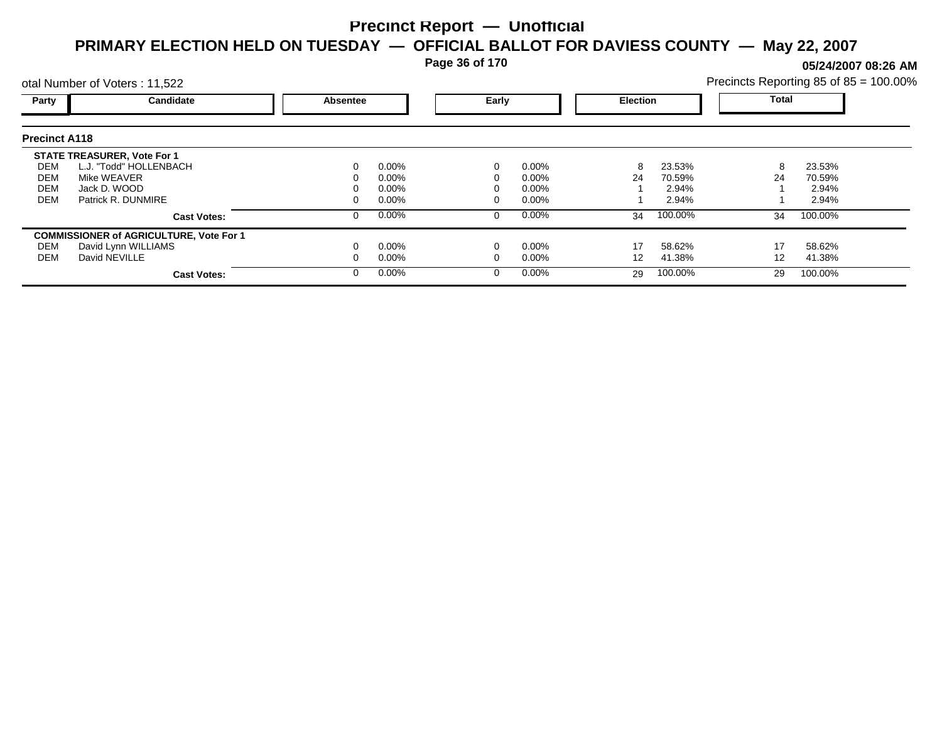**Page 36 of 170**

**05/24/2007 08:26 AM**

| otal Number of Voters: 11,522 |                                                |                 |          |       |          |                 | Precincts Reporting 85 of 85 = 100.00% |              |         |  |
|-------------------------------|------------------------------------------------|-----------------|----------|-------|----------|-----------------|----------------------------------------|--------------|---------|--|
| Party                         | <b>Candidate</b>                               | <b>Absentee</b> |          | Early |          | <b>Election</b> |                                        | <b>Total</b> |         |  |
| <b>Precinct A118</b>          |                                                |                 |          |       |          |                 |                                        |              |         |  |
|                               | <b>STATE TREASURER, Vote For 1</b>             |                 |          |       |          |                 |                                        |              |         |  |
| DEM                           | L.J. "Todd" HOLLENBACH                         | 0               | $0.00\%$ |       | 0.00%    | 8               | 23.53%                                 | 8            | 23.53%  |  |
| DEM                           | Mike WEAVER                                    |                 | $0.00\%$ |       | $0.00\%$ | 24              | 70.59%                                 | 24           | 70.59%  |  |
| <b>DEM</b>                    | Jack D. WOOD                                   |                 | $0.00\%$ |       | $0.00\%$ |                 | 2.94%                                  |              | 2.94%   |  |
| <b>DEM</b>                    | Patrick R. DUNMIRE                             |                 | $0.00\%$ |       | $0.00\%$ |                 | 2.94%                                  |              | 2.94%   |  |
|                               | <b>Cast Votes:</b>                             | 0               | $0.00\%$ |       | 0.00%    | 34              | 100.00%                                | 34           | 100.00% |  |
|                               | <b>COMMISSIONER of AGRICULTURE, Vote For 1</b> |                 |          |       |          |                 |                                        |              |         |  |
| DEM                           | David Lynn WILLIAMS                            |                 | $0.00\%$ |       | 0.00%    | 17              | 58.62%                                 | 17           | 58.62%  |  |
| DEM                           | David NEVILLE                                  |                 | $0.00\%$ |       | $0.00\%$ | 12              | 41.38%                                 | 12           | 41.38%  |  |
|                               | <b>Cast Votes:</b>                             | 0               | $0.00\%$ |       | 0.00%    | 29              | 100.00%                                | 29           | 100.00% |  |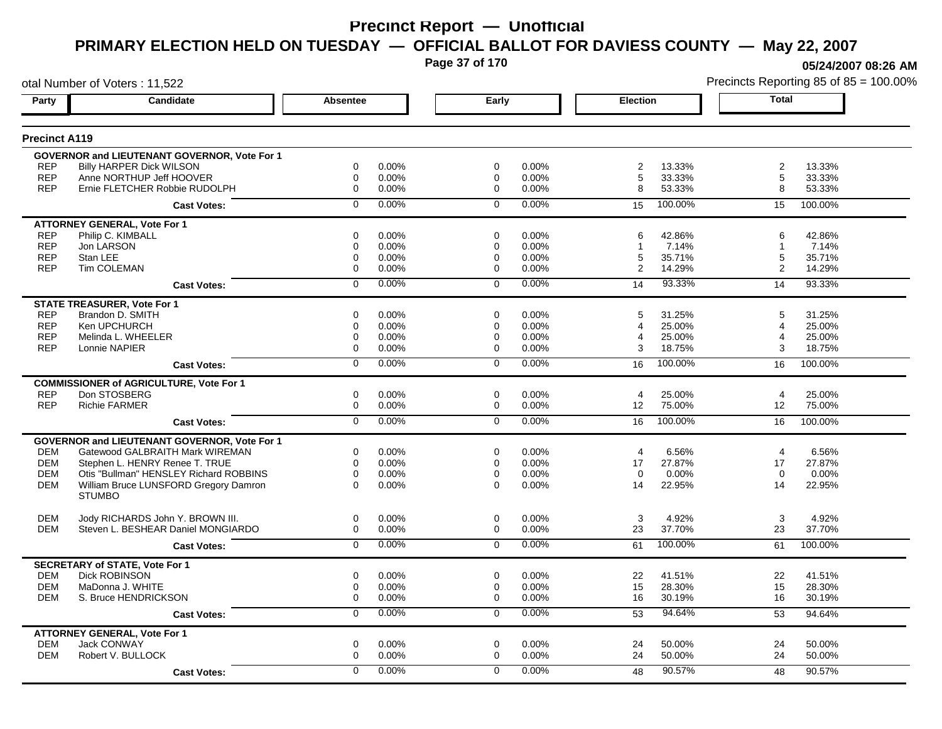**Page 37 of 170**

**05/24/2007 08:26 AM**

| otal Number of Voters: 11,522 |                                                     |                 |       |                |       |                 |         |                | Precincts Reporting 85 of 85 = 100.00% |
|-------------------------------|-----------------------------------------------------|-----------------|-------|----------------|-------|-----------------|---------|----------------|----------------------------------------|
| Party                         | Candidate                                           | <b>Absentee</b> |       | Early          |       | <b>Election</b> |         | <b>Total</b>   |                                        |
| <b>Precinct A119</b>          |                                                     |                 |       |                |       |                 |         |                |                                        |
|                               | <b>GOVERNOR and LIEUTENANT GOVERNOR, Vote For 1</b> |                 |       |                |       |                 |         |                |                                        |
| <b>REP</b>                    | <b>Billy HARPER Dick WILSON</b>                     | 0               | 0.00% | 0              | 0.00% | $\overline{2}$  | 13.33%  | $\overline{c}$ | 13.33%                                 |
| <b>REP</b>                    | Anne NORTHUP Jeff HOOVER                            | $\mathbf 0$     | 0.00% | 0              | 0.00% | 5               | 33.33%  | 5              | 33.33%                                 |
| <b>REP</b>                    | Ernie FLETCHER Robbie RUDOLPH                       | $\mathbf 0$     | 0.00% | $\mathbf 0$    | 0.00% | 8               | 53.33%  | 8              | 53.33%                                 |
|                               | <b>Cast Votes:</b>                                  | $\Omega$        | 0.00% | $\mathbf 0$    | 0.00% | 15              | 100.00% | 15             | 100.00%                                |
|                               | <b>ATTORNEY GENERAL, Vote For 1</b>                 |                 |       |                |       |                 |         |                |                                        |
| <b>REP</b>                    | Philip C. KIMBALL                                   | 0               | 0.00% | 0              | 0.00% | 6               | 42.86%  | 6              | 42.86%                                 |
| <b>REP</b>                    | Jon LARSON                                          | 0               | 0.00% | 0              | 0.00% |                 | 7.14%   | 1              | 7.14%                                  |
| <b>REP</b>                    | Stan LEE                                            | 0               | 0.00% | 0              | 0.00% | 5               | 35.71%  | 5              | 35.71%                                 |
| <b>REP</b>                    | Tim COLEMAN                                         | $\mathbf 0$     | 0.00% | 0              | 0.00% | $\overline{2}$  | 14.29%  | 2              | 14.29%                                 |
|                               | <b>Cast Votes:</b>                                  | $\mathbf 0$     | 0.00% | $\mathbf 0$    | 0.00% | 14              | 93.33%  | 14             | 93.33%                                 |
|                               | <b>STATE TREASURER, Vote For 1</b>                  |                 |       |                |       |                 |         |                |                                        |
| <b>REP</b>                    | Brandon D. SMITH                                    | $\Omega$        | 0.00% | $\Omega$       | 0.00% | 5               | 31.25%  | 5              | 31.25%                                 |
| <b>REP</b>                    | Ken UPCHURCH                                        | 0               | 0.00% | 0              | 0.00% | 4               | 25.00%  | 4              | 25.00%                                 |
| <b>REP</b>                    | Melinda L. WHEELER                                  | $\mathbf 0$     | 0.00% | 0              | 0.00% | 4               | 25.00%  | 4              | 25.00%                                 |
| <b>REP</b>                    | Lonnie NAPIER                                       | 0               | 0.00% | 0              | 0.00% | 3               | 18.75%  | 3              | 18.75%                                 |
|                               | <b>Cast Votes:</b>                                  | $\overline{0}$  | 0.00% | $\overline{0}$ | 0.00% | 16              | 100.00% | 16             | 100.00%                                |
|                               | <b>COMMISSIONER of AGRICULTURE, Vote For 1</b>      |                 |       |                |       |                 |         |                |                                        |
| <b>REP</b>                    | Don STOSBERG                                        | $\mathbf 0$     | 0.00% | $\mathbf 0$    | 0.00% | 4               | 25.00%  | $\overline{4}$ | 25.00%                                 |
| <b>REP</b>                    | <b>Richie FARMER</b>                                | $\mathbf 0$     | 0.00% | $\mathbf 0$    | 0.00% | 12              | 75.00%  | 12             | 75.00%                                 |
|                               | <b>Cast Votes:</b>                                  | $\overline{0}$  | 0.00% | $\overline{0}$ | 0.00% | 16              | 100.00% | 16             | 100.00%                                |
|                               | <b>GOVERNOR and LIEUTENANT GOVERNOR, Vote For 1</b> |                 |       |                |       |                 |         |                |                                        |
| <b>DEM</b>                    | Gatewood GALBRAITH Mark WIREMAN                     | 0               | 0.00% | 0              | 0.00% | 4               | 6.56%   | $\overline{4}$ | 6.56%                                  |
| <b>DEM</b>                    | Stephen L. HENRY Renee T. TRUE                      | $\mathbf 0$     | 0.00% | $\mathbf 0$    | 0.00% | 17              | 27.87%  | 17             | 27.87%                                 |
| <b>DEM</b>                    | Otis "Bullman" HENSLEY Richard ROBBINS              | $\mathbf 0$     | 0.00% | $\mathbf 0$    | 0.00% | $\Omega$        | 0.00%   | $\Omega$       | 0.00%                                  |
| <b>DEM</b>                    | William Bruce LUNSFORD Gregory Damron               | $\Omega$        | 0.00% | $\Omega$       | 0.00% | 14              | 22.95%  | 14             | 22.95%                                 |
|                               | <b>STUMBO</b>                                       |                 |       |                |       |                 |         |                |                                        |
| <b>DEM</b>                    | Jody RICHARDS John Y. BROWN III.                    | $\mathbf 0$     | 0.00% | $\mathbf 0$    | 0.00% | 3               | 4.92%   | $\mathbf{3}$   | 4.92%                                  |
| <b>DEM</b>                    | Steven L. BESHEAR Daniel MONGIARDO                  | $\mathbf 0$     | 0.00% | $\mathbf 0$    | 0.00% | 23              | 37.70%  | 23             | 37.70%                                 |
|                               | <b>Cast Votes:</b>                                  | $\overline{0}$  | 0.00% | $\mathbf 0$    | 0.00% | 61              | 100.00% | 61             | 100.00%                                |
|                               | <b>SECRETARY of STATE, Vote For 1</b>               |                 |       |                |       |                 |         |                |                                        |
| <b>DEM</b>                    | <b>Dick ROBINSON</b>                                | $\mathbf 0$     | 0.00% | $\mathbf 0$    | 0.00% | 22              | 41.51%  | 22             | 41.51%                                 |
| <b>DEM</b>                    | MaDonna J. WHITE                                    | $\mathbf 0$     | 0.00% | 0              | 0.00% | 15              | 28.30%  | 15             | 28.30%                                 |
| <b>DEM</b>                    | S. Bruce HENDRICKSON                                | $\mathbf 0$     | 0.00% | $\mathbf 0$    | 0.00% | 16              | 30.19%  | 16             | 30.19%                                 |
|                               | <b>Cast Votes:</b>                                  | 0               | 0.00% | 0              | 0.00% | 53              | 94.64%  | 53             | 94.64%                                 |
|                               | <b>ATTORNEY GENERAL, Vote For 1</b>                 |                 |       |                |       |                 |         |                |                                        |
| <b>DEM</b>                    | <b>Jack CONWAY</b>                                  | $\mathbf 0$     | 0.00% | $\mathbf 0$    | 0.00% | 24              | 50.00%  | 24             | 50.00%                                 |
| <b>DEM</b>                    | Robert V. BULLOCK                                   | $\mathbf 0$     | 0.00% | 0              | 0.00% | 24              | 50.00%  | 24             | 50.00%                                 |
|                               | <b>Cast Votes:</b>                                  | $\Omega$        | 0.00% | $\Omega$       | 0.00% | 48              | 90.57%  | 48             | 90.57%                                 |
|                               |                                                     |                 |       |                |       |                 |         |                |                                        |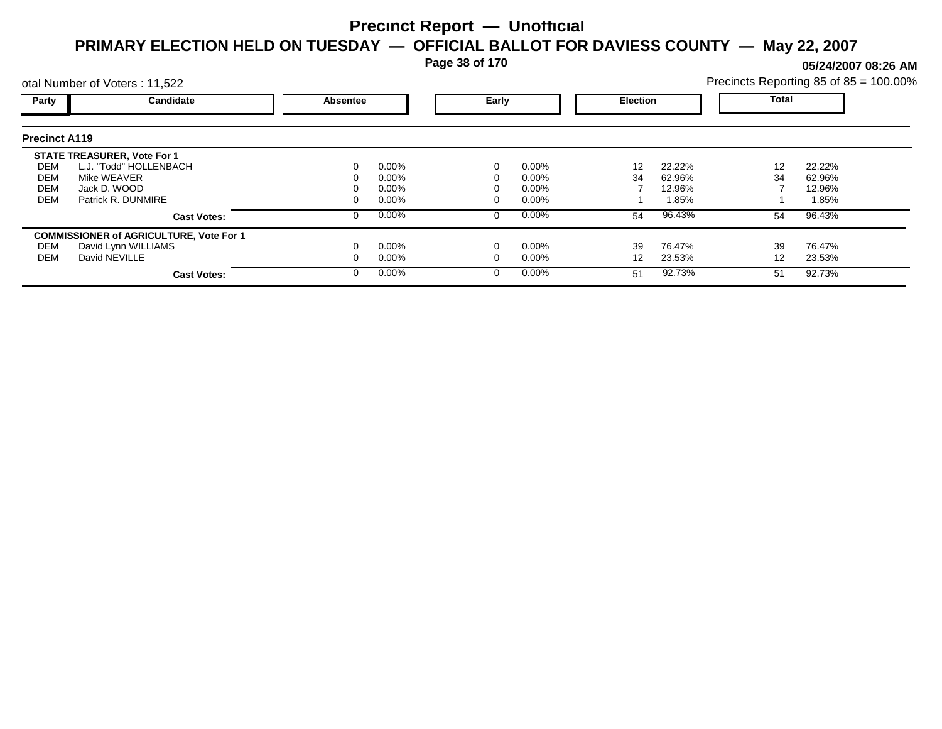**Page 38 of 170**

**05/24/2007 08:26 AM**

|                      | otal Number of Voters: 11,522                  |                 |          |       |          |                 |        |              | Precincts Reporting 85 of 85 = 100.00% |  |
|----------------------|------------------------------------------------|-----------------|----------|-------|----------|-----------------|--------|--------------|----------------------------------------|--|
| Party                | Candidate                                      | <b>Absentee</b> |          | Early |          | <b>Election</b> |        | <b>Total</b> |                                        |  |
| <b>Precinct A119</b> |                                                |                 |          |       |          |                 |        |              |                                        |  |
|                      | <b>STATE TREASURER, Vote For 1</b>             |                 |          |       |          |                 |        |              |                                        |  |
| DEM                  | L.J. "Todd" HOLLENBACH                         |                 | $0.00\%$ |       | $0.00\%$ | 12              | 22.22% | 12           | 22.22%                                 |  |
| <b>DEM</b>           | Mike WEAVER                                    |                 | $0.00\%$ |       | 0.00%    | 34              | 62.96% | 34           | 62.96%                                 |  |
| <b>DEM</b>           | Jack D. WOOD                                   |                 | $0.00\%$ |       | 0.00%    |                 | 12.96% |              | 12.96%                                 |  |
| <b>DEM</b>           | Patrick R. DUNMIRE                             |                 | $0.00\%$ |       | 0.00%    |                 | 1.85%  |              | 1.85%                                  |  |
|                      | <b>Cast Votes:</b>                             |                 | $0.00\%$ | 0     | $0.00\%$ | 54              | 96.43% | 54           | 96.43%                                 |  |
|                      | <b>COMMISSIONER of AGRICULTURE, Vote For 1</b> |                 |          |       |          |                 |        |              |                                        |  |
| DEM                  | David Lynn WILLIAMS                            |                 | $0.00\%$ |       | 0.00%    | 39              | 76.47% | 39           | 76.47%                                 |  |
| <b>DEM</b>           | David NEVILLE                                  |                 | $0.00\%$ |       | 0.00%    | 12              | 23.53% | 12           | 23.53%                                 |  |
|                      | <b>Cast Votes:</b>                             |                 | $0.00\%$ |       | $0.00\%$ | 51              | 92.73% | 51           | 92.73%                                 |  |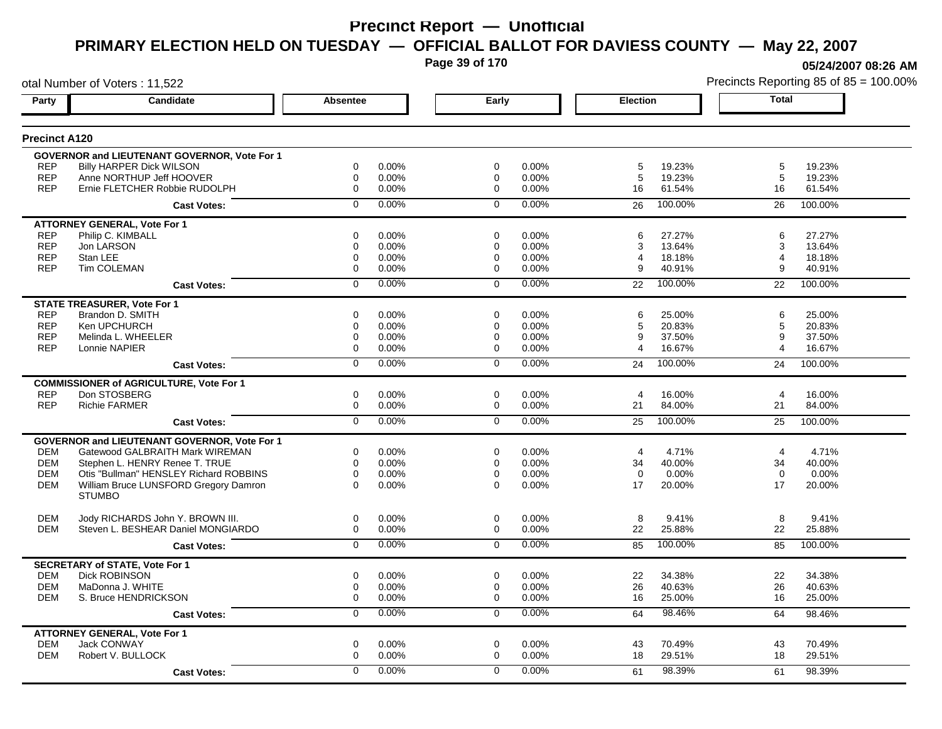**Page 39 of 170**

**05/24/2007 08:26 AM**

| otal Number of Voters: 11,522 |                                                     |                 |          |                |       |                 |         |                       | Precincts Reporting 85 of 85 = 100.00% |
|-------------------------------|-----------------------------------------------------|-----------------|----------|----------------|-------|-----------------|---------|-----------------------|----------------------------------------|
| Party                         | Candidate                                           | <b>Absentee</b> |          | Early          |       | <b>Election</b> |         | <b>Total</b>          |                                        |
| <b>Precinct A120</b>          |                                                     |                 |          |                |       |                 |         |                       |                                        |
|                               | <b>GOVERNOR and LIEUTENANT GOVERNOR, Vote For 1</b> |                 |          |                |       |                 |         |                       |                                        |
| <b>REP</b>                    | <b>Billy HARPER Dick WILSON</b>                     | 0               | 0.00%    | 0              | 0.00% | 5               | 19.23%  | 5                     | 19.23%                                 |
| <b>REP</b>                    | Anne NORTHUP Jeff HOOVER                            | 0               | 0.00%    | 0              | 0.00% | 5               | 19.23%  | 5                     | 19.23%                                 |
| <b>REP</b>                    | Ernie FLETCHER Robbie RUDOLPH                       | 0               | 0.00%    | 0              | 0.00% | 16              | 61.54%  | 16                    | 61.54%                                 |
|                               | <b>Cast Votes:</b>                                  | $\Omega$        | 0.00%    | $\Omega$       | 0.00% | 26              | 100.00% | 26                    | 100.00%                                |
|                               | <b>ATTORNEY GENERAL, Vote For 1</b>                 |                 |          |                |       |                 |         |                       |                                        |
| <b>REP</b>                    | Philip C. KIMBALL                                   | 0               | 0.00%    | 0              | 0.00% | 6               | 27.27%  | 6                     | 27.27%                                 |
| <b>REP</b>                    | Jon LARSON                                          | 0               | 0.00%    | 0              | 0.00% | 3               | 13.64%  | 3                     | 13.64%                                 |
| <b>REP</b>                    | Stan LEE                                            | 0               | 0.00%    | 0              | 0.00% | 4               | 18.18%  | $\overline{4}$        | 18.18%                                 |
| <b>REP</b>                    | Tim COLEMAN                                         | 0               | 0.00%    | 0              | 0.00% | 9               | 40.91%  | 9                     | 40.91%                                 |
|                               | <b>Cast Votes:</b>                                  | 0               | 0.00%    | $\Omega$       | 0.00% | 22              | 100.00% | 22                    | 100.00%                                |
|                               | <b>STATE TREASURER, Vote For 1</b>                  |                 |          |                |       |                 |         |                       |                                        |
| <b>REP</b>                    | Brandon D. SMITH                                    | $\Omega$        | 0.00%    | $\Omega$       | 0.00% | 6               | 25.00%  | 6                     | 25.00%                                 |
| <b>REP</b>                    | Ken UPCHURCH                                        | 0               | 0.00%    | 0              | 0.00% | 5               | 20.83%  | 5                     | 20.83%                                 |
| <b>REP</b>                    | Melinda L. WHEELER                                  | 0               | 0.00%    | 0              | 0.00% | 9               | 37.50%  | 9                     | 37.50%                                 |
| <b>REP</b>                    | Lonnie NAPIER                                       | 0               | 0.00%    | 0              | 0.00% | 4               | 16.67%  | $\boldsymbol{\Delta}$ | 16.67%                                 |
|                               | <b>Cast Votes:</b>                                  | $\overline{0}$  | 0.00%    | $\overline{0}$ | 0.00% | 24              | 100.00% | 24                    | 100.00%                                |
|                               | <b>COMMISSIONER of AGRICULTURE, Vote For 1</b>      |                 |          |                |       |                 |         |                       |                                        |
| <b>REP</b>                    | Don STOSBERG                                        | 0               | 0.00%    | 0              | 0.00% | 4               | 16.00%  | $\overline{4}$        | 16.00%                                 |
| <b>REP</b>                    | <b>Richie FARMER</b>                                | 0               | 0.00%    | $\mathbf 0$    | 0.00% | 21              | 84.00%  | 21                    | 84.00%                                 |
|                               | <b>Cast Votes:</b>                                  | $\overline{0}$  | 0.00%    | $\overline{0}$ | 0.00% | 25              | 100.00% | 25                    | 100.00%                                |
|                               | <b>GOVERNOR and LIEUTENANT GOVERNOR, Vote For 1</b> |                 |          |                |       |                 |         |                       |                                        |
| <b>DEM</b>                    | Gatewood GALBRAITH Mark WIREMAN                     | 0               | 0.00%    | 0              | 0.00% | $\overline{4}$  | 4.71%   | $\overline{4}$        | 4.71%                                  |
| <b>DEM</b>                    | Stephen L. HENRY Renee T. TRUE                      | $\Omega$        | 0.00%    | $\Omega$       | 0.00% | 34              | 40.00%  | 34                    | 40.00%                                 |
| <b>DEM</b>                    | Otis "Bullman" HENSLEY Richard ROBBINS              | 0               | 0.00%    | $\mathbf 0$    | 0.00% | $\Omega$        | 0.00%   | $\Omega$              | 0.00%                                  |
| <b>DEM</b>                    | William Bruce LUNSFORD Gregory Damron               | $\Omega$        | 0.00%    | $\Omega$       | 0.00% | 17              | 20.00%  | 17                    | 20.00%                                 |
|                               | <b>STUMBO</b>                                       |                 |          |                |       |                 |         |                       |                                        |
| <b>DEM</b>                    | Jody RICHARDS John Y. BROWN III.                    | 0               | 0.00%    | $\mathbf 0$    | 0.00% | 8               | 9.41%   | 8                     | 9.41%                                  |
| <b>DEM</b>                    | Steven L. BESHEAR Daniel MONGIARDO                  | 0               | 0.00%    | 0              | 0.00% | 22              | 25.88%  | 22                    | 25.88%                                 |
|                               | <b>Cast Votes:</b>                                  | $\overline{0}$  | 0.00%    | $\mathbf 0$    | 0.00% | 85              | 100.00% | 85                    | 100.00%                                |
|                               | <b>SECRETARY of STATE, Vote For 1</b>               |                 |          |                |       |                 |         |                       |                                        |
| <b>DEM</b>                    | <b>Dick ROBINSON</b>                                | 0               | 0.00%    | 0              | 0.00% | 22              | 34.38%  | 22                    | 34.38%                                 |
| <b>DEM</b>                    | MaDonna J. WHITE                                    | 0               | 0.00%    | 0              | 0.00% | 26              | 40.63%  | 26                    | 40.63%                                 |
| <b>DEM</b>                    | S. Bruce HENDRICKSON                                | 0               | 0.00%    | $\mathbf 0$    | 0.00% | 16              | 25.00%  | 16                    | 25.00%                                 |
|                               | <b>Cast Votes:</b>                                  | 0               | 0.00%    | 0              | 0.00% | 64              | 98.46%  | 64                    | 98.46%                                 |
|                               |                                                     |                 |          |                |       |                 |         |                       |                                        |
| <b>DEM</b>                    | <b>ATTORNEY GENERAL, Vote For 1</b><br>Jack CONWAY  | 0               | 0.00%    | $\mathbf 0$    | 0.00% | 43              | 70.49%  | 43                    | 70.49%                                 |
| <b>DEM</b>                    | Robert V. BULLOCK                                   | 0               | 0.00%    | $\mathbf 0$    | 0.00% | 18              | 29.51%  | 18                    | 29.51%                                 |
|                               | <b>Cast Votes:</b>                                  | 0               | $0.00\%$ | $\Omega$       | 0.00% | 61              | 98.39%  | 61                    | 98.39%                                 |
|                               |                                                     |                 |          |                |       |                 |         |                       |                                        |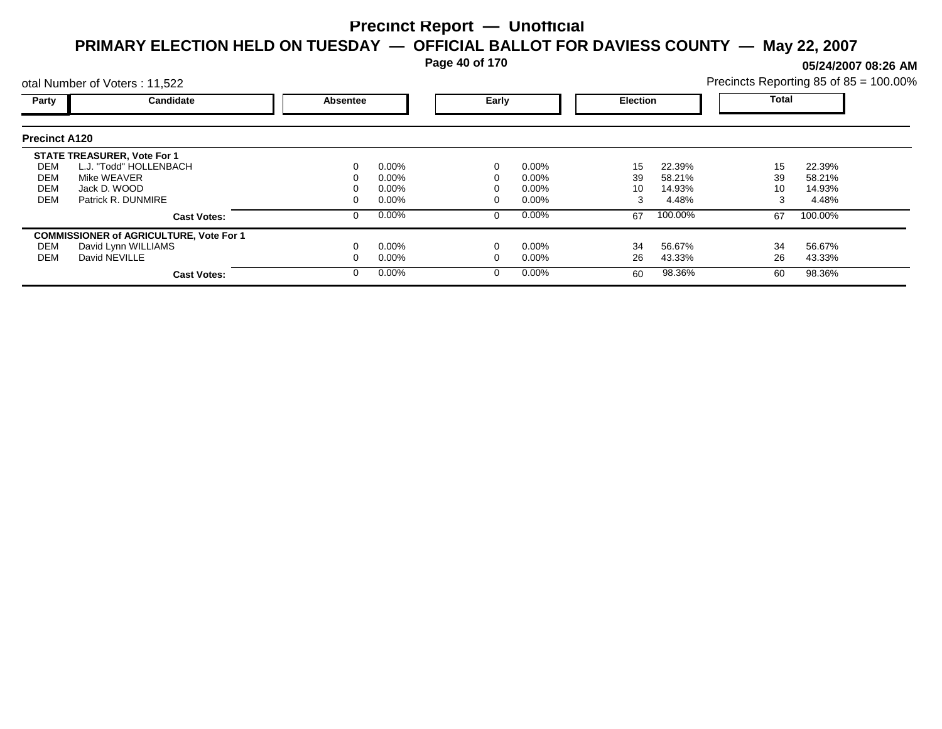**Page 40 of 170**

**05/24/2007 08:26 AM**

|                                        | otal Number of Voters: 11,522                                                                                     |          |                                              |       |                                              |                     |                                     |                | Precincts Reporting 85 of 85 = 100.00% |  |
|----------------------------------------|-------------------------------------------------------------------------------------------------------------------|----------|----------------------------------------------|-------|----------------------------------------------|---------------------|-------------------------------------|----------------|----------------------------------------|--|
| Party                                  | Candidate                                                                                                         | Absentee |                                              | Early |                                              | <b>Election</b>     |                                     | Total          |                                        |  |
| <b>Precinct A120</b>                   |                                                                                                                   |          |                                              |       |                                              |                     |                                     |                |                                        |  |
| DEM<br>DEM<br><b>DEM</b><br><b>DEM</b> | <b>STATE TREASURER, Vote For 1</b><br>L.J. "Todd" HOLLENBACH<br>Mike WEAVER<br>Jack D. WOOD<br>Patrick R. DUNMIRE |          | $0.00\%$<br>$0.00\%$<br>$0.00\%$<br>$0.00\%$ |       | $0.00\%$<br>$0.00\%$<br>$0.00\%$<br>$0.00\%$ | 15<br>39<br>10<br>3 | 22.39%<br>58.21%<br>14.93%<br>4.48% | 15<br>39<br>10 | 22.39%<br>58.21%<br>14.93%<br>4.48%    |  |
|                                        | <b>Cast Votes:</b>                                                                                                |          | $0.00\%$                                     |       | $0.00\%$                                     | 67                  | 100.00%                             | 67             | 100.00%                                |  |
| DEM<br>DEM                             | <b>COMMISSIONER of AGRICULTURE, Vote For 1</b><br>David Lynn WILLIAMS<br>David NEVILLE<br><b>Cast Votes:</b>      |          | $0.00\%$<br>$0.00\%$<br>$0.00\%$             |       | $0.00\%$<br>$0.00\%$<br>$0.00\%$             | 34<br>26<br>60      | 56.67%<br>43.33%<br>98.36%          | 34<br>26<br>60 | 56.67%<br>43.33%<br>98.36%             |  |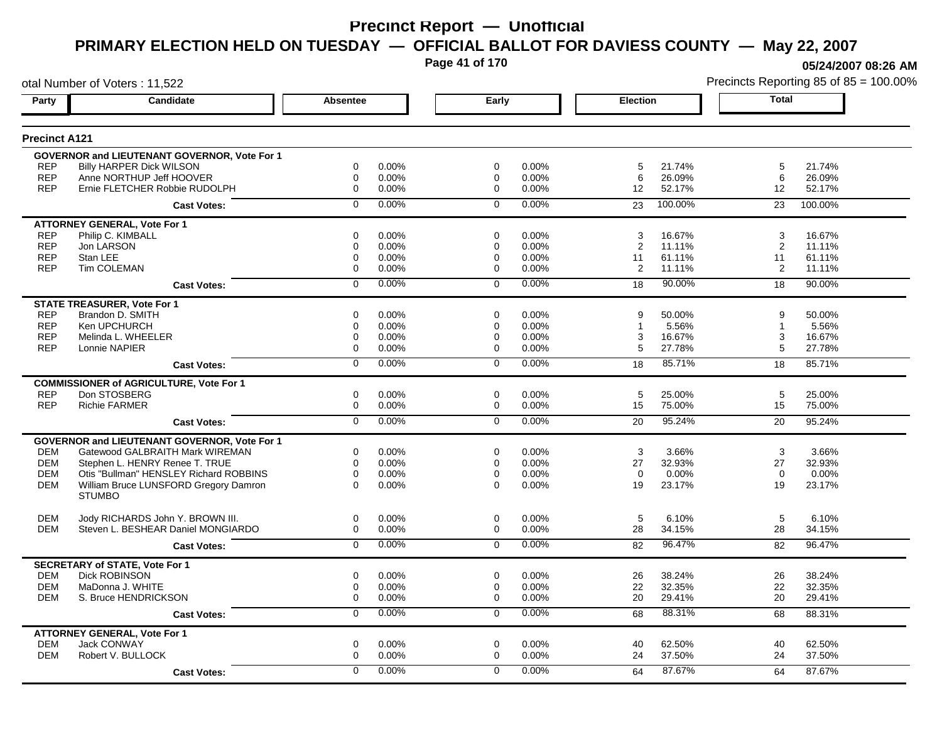**Page 41 of 170**

**05/24/2007 08:26 AM**

| otal Number of Voters: 11,522 |                                                     |                 |       |                |       |                 |         |              | Precincts Reporting 85 of 85 = 100.009 |
|-------------------------------|-----------------------------------------------------|-----------------|-------|----------------|-------|-----------------|---------|--------------|----------------------------------------|
| Party                         | Candidate                                           | <b>Absentee</b> |       | Early          |       | <b>Election</b> |         | <b>Total</b> |                                        |
| <b>Precinct A121</b>          |                                                     |                 |       |                |       |                 |         |              |                                        |
|                               | GOVERNOR and LIEUTENANT GOVERNOR, Vote For 1        |                 |       |                |       |                 |         |              |                                        |
| <b>REP</b>                    | <b>Billy HARPER Dick WILSON</b>                     | 0               | 0.00% | $\mathbf 0$    | 0.00% | 5               | 21.74%  | 5            | 21.74%                                 |
| <b>REP</b>                    | Anne NORTHUP Jeff HOOVER                            | $\mathbf 0$     | 0.00% | 0              | 0.00% | 6               | 26.09%  | 6            | 26.09%                                 |
| <b>REP</b>                    | Ernie FLETCHER Robbie RUDOLPH                       | $\mathbf 0$     | 0.00% | $\mathbf 0$    | 0.00% | 12              | 52.17%  | 12           | 52.17%                                 |
|                               | <b>Cast Votes:</b>                                  | $\Omega$        | 0.00% | $\mathbf{0}$   | 0.00% | 23              | 100.00% | 23           | 100.00%                                |
|                               | <b>ATTORNEY GENERAL, Vote For 1</b>                 |                 |       |                |       |                 |         |              |                                        |
| <b>REP</b>                    | Philip C. KIMBALL                                   | 0               | 0.00% | 0              | 0.00% | 3               | 16.67%  | 3            | 16.67%                                 |
| <b>REP</b>                    | Jon LARSON                                          | 0               | 0.00% | 0              | 0.00% | 2               | 11.11%  | 2            | 11.11%                                 |
| <b>REP</b>                    | Stan LEE                                            | 0               | 0.00% | 0              | 0.00% | 11              | 61.11%  | 11           | 61.11%                                 |
| <b>REP</b>                    | Tim COLEMAN                                         | 0               | 0.00% | 0              | 0.00% | 2               | 11.11%  | 2            | 11.11%                                 |
|                               | <b>Cast Votes:</b>                                  | $\mathbf 0$     | 0.00% | $\mathbf 0$    | 0.00% | 18              | 90.00%  | 18           | 90.00%                                 |
|                               | <b>STATE TREASURER, Vote For 1</b>                  |                 |       |                |       |                 |         |              |                                        |
| <b>REP</b>                    | Brandon D. SMITH                                    | 0               | 0.00% | $\Omega$       | 0.00% | 9               | 50.00%  | 9            | 50.00%                                 |
| <b>REP</b>                    | Ken UPCHURCH                                        | 0               | 0.00% | 0              | 0.00% | $\mathbf{1}$    | 5.56%   | 1            | 5.56%                                  |
| <b>REP</b>                    | Melinda L. WHEELER                                  | $\mathbf 0$     | 0.00% | 0              | 0.00% | 3               | 16.67%  | 3            | 16.67%                                 |
| <b>REP</b>                    | Lonnie NAPIER                                       | 0               | 0.00% | $\mathbf 0$    | 0.00% | 5               | 27.78%  | 5            | 27.78%                                 |
|                               | <b>Cast Votes:</b>                                  | $\overline{0}$  | 0.00% | $\overline{0}$ | 0.00% | 18              | 85.71%  | 18           | 85.71%                                 |
|                               | <b>COMMISSIONER of AGRICULTURE, Vote For 1</b>      |                 |       |                |       |                 |         |              |                                        |
| <b>REP</b>                    | Don STOSBERG                                        | 0               | 0.00% | $\mathbf 0$    | 0.00% | 5               | 25.00%  | 5            | 25.00%                                 |
| <b>REP</b>                    | <b>Richie FARMER</b>                                | $\mathbf 0$     | 0.00% | $\mathbf 0$    | 0.00% | 15              | 75.00%  | 15           | 75.00%                                 |
|                               | <b>Cast Votes:</b>                                  | $\overline{0}$  | 0.00% | $\overline{0}$ | 0.00% | 20              | 95.24%  | 20           | 95.24%                                 |
|                               | <b>GOVERNOR and LIEUTENANT GOVERNOR, Vote For 1</b> |                 |       |                |       |                 |         |              |                                        |
| <b>DEM</b>                    | Gatewood GALBRAITH Mark WIREMAN                     | 0               | 0.00% | $\mathbf 0$    | 0.00% | 3               | 3.66%   | 3            | 3.66%                                  |
| <b>DEM</b>                    | Stephen L. HENRY Renee T. TRUE                      | $\mathbf 0$     | 0.00% | $\mathbf 0$    | 0.00% | 27              | 32.93%  | 27           | 32.93%                                 |
| <b>DEM</b>                    | Otis "Bullman" HENSLEY Richard ROBBINS              | $\mathbf 0$     | 0.00% | $\mathbf 0$    | 0.00% | $\Omega$        | 0.00%   | $\Omega$     | 0.00%                                  |
| <b>DEM</b>                    | William Bruce LUNSFORD Gregory Damron               | $\Omega$        | 0.00% | $\Omega$       | 0.00% | 19              | 23.17%  | 19           | 23.17%                                 |
|                               | <b>STUMBO</b>                                       |                 |       |                |       |                 |         |              |                                        |
| <b>DEM</b>                    | Jody RICHARDS John Y. BROWN III.                    | 0               | 0.00% | $\mathbf 0$    | 0.00% | 5               | 6.10%   | 5            | 6.10%                                  |
| <b>DEM</b>                    | Steven L. BESHEAR Daniel MONGIARDO                  | 0               | 0.00% | $\mathbf 0$    | 0.00% | 28              | 34.15%  | 28           | 34.15%                                 |
|                               | <b>Cast Votes:</b>                                  | $\mathbf 0$     | 0.00% | $\mathbf 0$    | 0.00% | 82              | 96.47%  | 82           | 96.47%                                 |
|                               | <b>SECRETARY of STATE, Vote For 1</b>               |                 |       |                |       |                 |         |              |                                        |
| <b>DEM</b>                    | <b>Dick ROBINSON</b>                                | $\mathbf 0$     | 0.00% | $\mathbf 0$    | 0.00% | 26              | 38.24%  | 26           | 38.24%                                 |
| <b>DEM</b>                    | MaDonna J. WHITE                                    | $\mathbf 0$     | 0.00% | 0              | 0.00% | 22              | 32.35%  | 22           | 32.35%                                 |
| <b>DEM</b>                    | S. Bruce HENDRICKSON                                | $\mathbf 0$     | 0.00% | $\mathbf 0$    | 0.00% | 20              | 29.41%  | 20           | 29.41%                                 |
|                               | <b>Cast Votes:</b>                                  | 0               | 0.00% | 0              | 0.00% | 68              | 88.31%  | 68           | 88.31%                                 |
|                               | <b>ATTORNEY GENERAL, Vote For 1</b>                 |                 |       |                |       |                 |         |              |                                        |
| <b>DEM</b>                    | <b>Jack CONWAY</b>                                  | $\mathbf 0$     | 0.00% | $\mathbf 0$    | 0.00% | 40              | 62.50%  | 40           | 62.50%                                 |
| <b>DEM</b>                    | Robert V. BULLOCK                                   | $\mathbf 0$     | 0.00% | $\mathbf 0$    | 0.00% | 24              | 37.50%  | 24           | 37.50%                                 |
|                               | <b>Cast Votes:</b>                                  | $\Omega$        | 0.00% | $\Omega$       | 0.00% | 64              | 87.67%  | 64           | 87.67%                                 |
|                               |                                                     |                 |       |                |       |                 |         |              |                                        |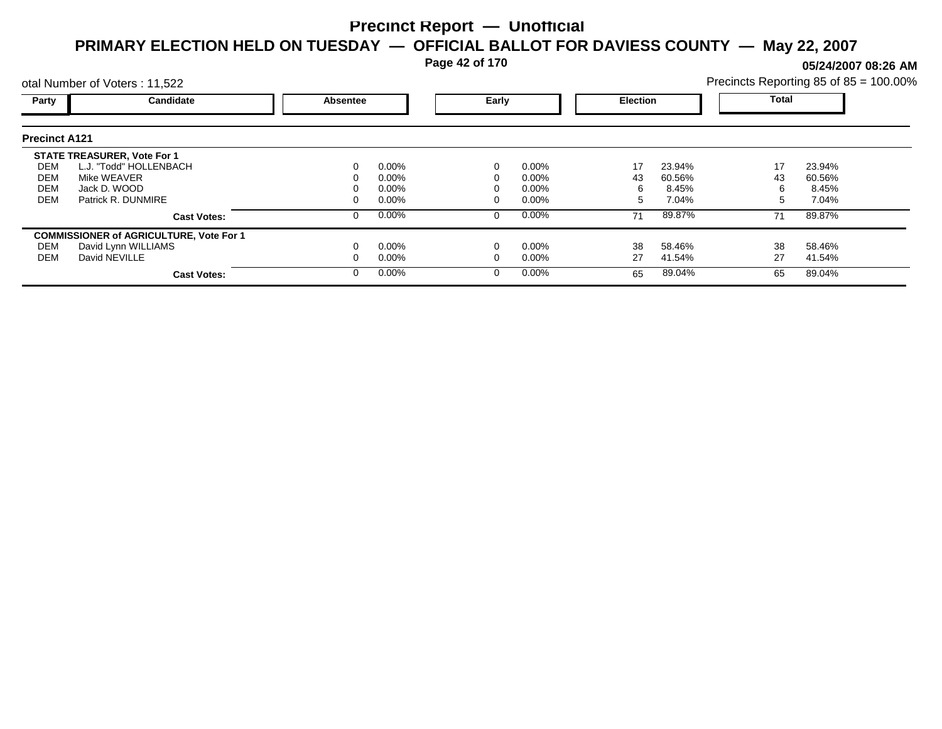**Page 42 of 170**

**05/24/2007 08:26 AM**

|                      | otal Number of Voters: 11,522                  |          |          |   |          |    |                 | Precincts Reporting 85 of 85 = 100.00% |              |  |
|----------------------|------------------------------------------------|----------|----------|---|----------|----|-----------------|----------------------------------------|--------------|--|
| Party                | Candidate                                      | Absentee |          |   | Early    |    | <b>Election</b> |                                        | <b>Total</b> |  |
| <b>Precinct A121</b> |                                                |          |          |   |          |    |                 |                                        |              |  |
|                      | <b>STATE TREASURER, Vote For 1</b>             |          |          |   |          |    |                 |                                        |              |  |
| DEM                  | L.J. "Todd" HOLLENBACH                         |          | $0.00\%$ |   | $0.00\%$ | 17 | 23.94%          | 17                                     | 23.94%       |  |
| DEM                  | Mike WEAVER                                    |          | 0.00%    |   | 0.00%    | 43 | 60.56%          | 43                                     | 60.56%       |  |
| <b>DEM</b>           | Jack D. WOOD                                   |          | 0.00%    |   | 0.00%    | 6  | 8.45%           | 6                                      | 8.45%        |  |
| <b>DEM</b>           | Patrick R. DUNMIRE                             |          | $0.00\%$ |   | 0.00%    | 5  | 7.04%           | 5                                      | 7.04%        |  |
|                      | <b>Cast Votes:</b>                             |          | $0.00\%$ | 0 | $0.00\%$ | 71 | 89.87%          | 71                                     | 89.87%       |  |
|                      | <b>COMMISSIONER of AGRICULTURE, Vote For 1</b> |          |          |   |          |    |                 |                                        |              |  |
| DEM                  | David Lynn WILLIAMS                            |          | $0.00\%$ |   | 0.00%    | 38 | 58.46%          | 38                                     | 58.46%       |  |
| DEM                  | David NEVILLE                                  |          | $0.00\%$ |   | 0.00%    | 27 | 41.54%          | 27                                     | 41.54%       |  |
|                      | <b>Cast Votes:</b>                             |          | $0.00\%$ | 0 | $0.00\%$ | 65 | 89.04%          | 65                                     | 89.04%       |  |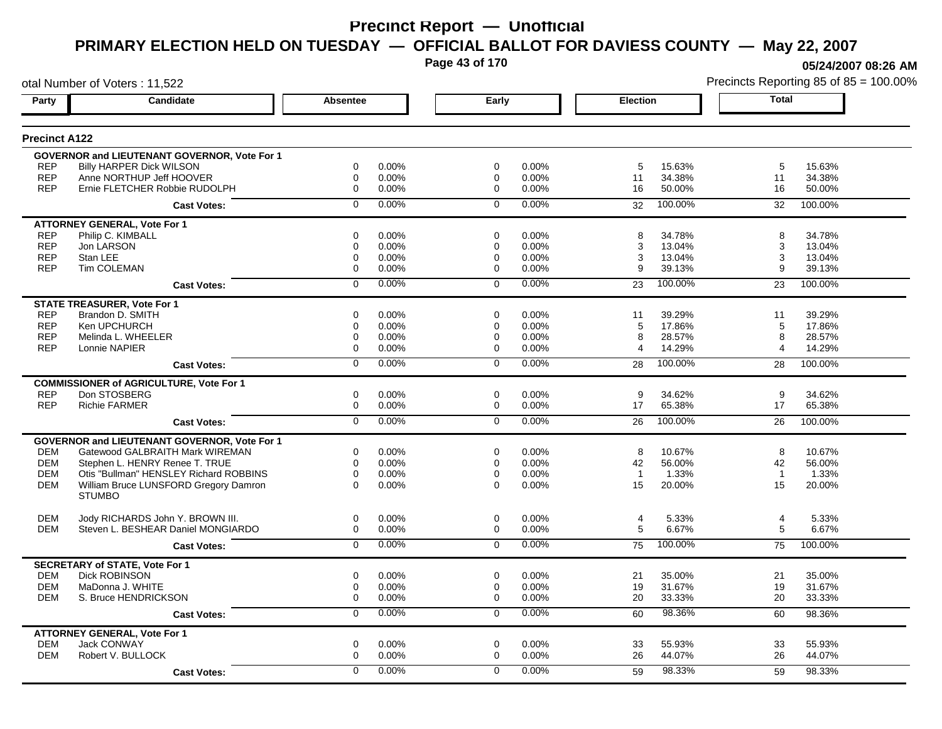**Page 43 of 170**

**05/24/2007 08:26 AM**

| otal Number of Voters: 11,522 |                                                     |                 |          |                |       |                |         |                | Precincts Reporting 85 of 85 = 100.00% |
|-------------------------------|-----------------------------------------------------|-----------------|----------|----------------|-------|----------------|---------|----------------|----------------------------------------|
| Party                         | Candidate                                           | <b>Absentee</b> |          | Early          |       | Election       |         | Total          |                                        |
| <b>Precinct A122</b>          |                                                     |                 |          |                |       |                |         |                |                                        |
|                               | <b>GOVERNOR and LIEUTENANT GOVERNOR, Vote For 1</b> |                 |          |                |       |                |         |                |                                        |
| <b>REP</b>                    | <b>Billy HARPER Dick WILSON</b>                     | 0               | 0.00%    | 0              | 0.00% | 5              | 15.63%  | 5              | 15.63%                                 |
| <b>REP</b>                    | Anne NORTHUP Jeff HOOVER                            | 0               | $0.00\%$ | 0              | 0.00% | 11             | 34.38%  | 11             | 34.38%                                 |
| <b>REP</b>                    | Ernie FLETCHER Robbie RUDOLPH                       | 0               | 0.00%    | $\mathbf 0$    | 0.00% | 16             | 50.00%  | 16             | 50.00%                                 |
|                               | <b>Cast Votes:</b>                                  | $\Omega$        | $0.00\%$ | $\mathbf 0$    | 0.00% | 32             | 100.00% | 32             | 100.00%                                |
|                               | <b>ATTORNEY GENERAL, Vote For 1</b>                 |                 |          |                |       |                |         |                |                                        |
| <b>REP</b>                    | Philip C. KIMBALL                                   | 0               | 0.00%    | 0              | 0.00% | 8              | 34.78%  | 8              | 34.78%                                 |
| <b>REP</b>                    | Jon LARSON                                          | 0               | 0.00%    | 0              | 0.00% | 3              | 13.04%  | 3              | 13.04%                                 |
| <b>REP</b>                    | Stan LEE                                            | 0               | 0.00%    | 0              | 0.00% | 3              | 13.04%  | 3              | 13.04%                                 |
| <b>REP</b>                    | Tim COLEMAN                                         | 0               | $0.00\%$ | 0              | 0.00% | 9              | 39.13%  | 9              | 39.13%                                 |
|                               | <b>Cast Votes:</b>                                  | 0               | 0.00%    | $\mathbf 0$    | 0.00% | 23             | 100.00% | 23             | 100.00%                                |
|                               | <b>STATE TREASURER, Vote For 1</b>                  |                 |          |                |       |                |         |                |                                        |
| <b>REP</b>                    | Brandon D. SMITH                                    | $\Omega$        | 0.00%    | $\Omega$       | 0.00% | 11             | 39.29%  | 11             | 39.29%                                 |
| <b>REP</b>                    | Ken UPCHURCH                                        | 0               | 0.00%    | 0              | 0.00% | 5              | 17.86%  | 5              | 17.86%                                 |
| <b>REP</b>                    | Melinda L. WHEELER                                  | 0               | 0.00%    | 0              | 0.00% | 8              | 28.57%  | 8              | 28.57%                                 |
| <b>REP</b>                    | Lonnie NAPIER                                       | 0               | $0.00\%$ | 0              | 0.00% | 4              | 14.29%  | $\overline{4}$ | 14.29%                                 |
|                               | <b>Cast Votes:</b>                                  | $\overline{0}$  | 0.00%    | $\overline{0}$ | 0.00% | 28             | 100.00% | 28             | 100.00%                                |
|                               | <b>COMMISSIONER of AGRICULTURE, Vote For 1</b>      |                 |          |                |       |                |         |                |                                        |
| <b>REP</b>                    | Don STOSBERG                                        | 0               | 0.00%    | $\mathbf 0$    | 0.00% | 9              | 34.62%  | 9              | 34.62%                                 |
| <b>REP</b>                    | <b>Richie FARMER</b>                                | 0               | 0.00%    | $\mathbf 0$    | 0.00% | 17             | 65.38%  | 17             | 65.38%                                 |
|                               | <b>Cast Votes:</b>                                  | $\overline{0}$  | 0.00%    | $\overline{0}$ | 0.00% | 26             | 100.00% | 26             | 100.00%                                |
|                               | <b>GOVERNOR and LIEUTENANT GOVERNOR, Vote For 1</b> |                 |          |                |       |                |         |                |                                        |
| <b>DEM</b>                    | Gatewood GALBRAITH Mark WIREMAN                     | 0               | 0.00%    | 0              | 0.00% | 8              | 10.67%  | 8              | 10.67%                                 |
| <b>DEM</b>                    | Stephen L. HENRY Renee T. TRUE                      | 0               | 0.00%    | $\mathbf 0$    | 0.00% | 42             | 56.00%  | 42             | 56.00%                                 |
| <b>DEM</b>                    | Otis "Bullman" HENSLEY Richard ROBBINS              | 0               | 0.00%    | $\mathbf 0$    | 0.00% | $\overline{1}$ | 1.33%   | $\overline{1}$ | 1.33%                                  |
| <b>DEM</b>                    | William Bruce LUNSFORD Gregory Damron               | $\Omega$        | $0.00\%$ | $\Omega$       | 0.00% | 15             | 20.00%  | 15             | 20.00%                                 |
|                               | <b>STUMBO</b>                                       |                 |          |                |       |                |         |                |                                        |
| <b>DEM</b>                    | Jody RICHARDS John Y. BROWN III.                    | 0               | 0.00%    | $\mathbf 0$    | 0.00% | 4              | 5.33%   | 4              | 5.33%                                  |
| <b>DEM</b>                    | Steven L. BESHEAR Daniel MONGIARDO                  | 0               | 0.00%    | 0              | 0.00% | 5              | 6.67%   | 5              | 6.67%                                  |
|                               | <b>Cast Votes:</b>                                  | $\overline{0}$  | 0.00%    | $\mathbf 0$    | 0.00% | 75             | 100.00% | 75             | 100.00%                                |
|                               | <b>SECRETARY of STATE, Vote For 1</b>               |                 |          |                |       |                |         |                |                                        |
| <b>DEM</b>                    | <b>Dick ROBINSON</b>                                | 0               | 0.00%    | $\mathbf 0$    | 0.00% | 21             | 35.00%  | 21             | 35.00%                                 |
| <b>DEM</b>                    | MaDonna J. WHITE                                    | 0               | $0.00\%$ | 0              | 0.00% | 19             | 31.67%  | 19             | 31.67%                                 |
| <b>DEM</b>                    | S. Bruce HENDRICKSON                                | 0               | 0.00%    | $\mathbf 0$    | 0.00% | 20             | 33.33%  | 20             | 33.33%                                 |
|                               | <b>Cast Votes:</b>                                  | 0               | 0.00%    | 0              | 0.00% | 60             | 98.36%  | 60             | 98.36%                                 |
|                               | <b>ATTORNEY GENERAL, Vote For 1</b>                 |                 |          |                |       |                |         |                |                                        |
| <b>DEM</b>                    | <b>Jack CONWAY</b>                                  | 0               | 0.00%    | $\mathbf 0$    | 0.00% | 33             | 55.93%  | 33             | 55.93%                                 |
| <b>DEM</b>                    | Robert V. BULLOCK                                   | 0               | 0.00%    | $\Omega$       | 0.00% | 26             | 44.07%  | 26             | 44.07%                                 |
|                               | <b>Cast Votes:</b>                                  | 0               | $0.00\%$ | $\Omega$       | 0.00% | 59             | 98.33%  | 59             | 98.33%                                 |
|                               |                                                     |                 |          |                |       |                |         |                |                                        |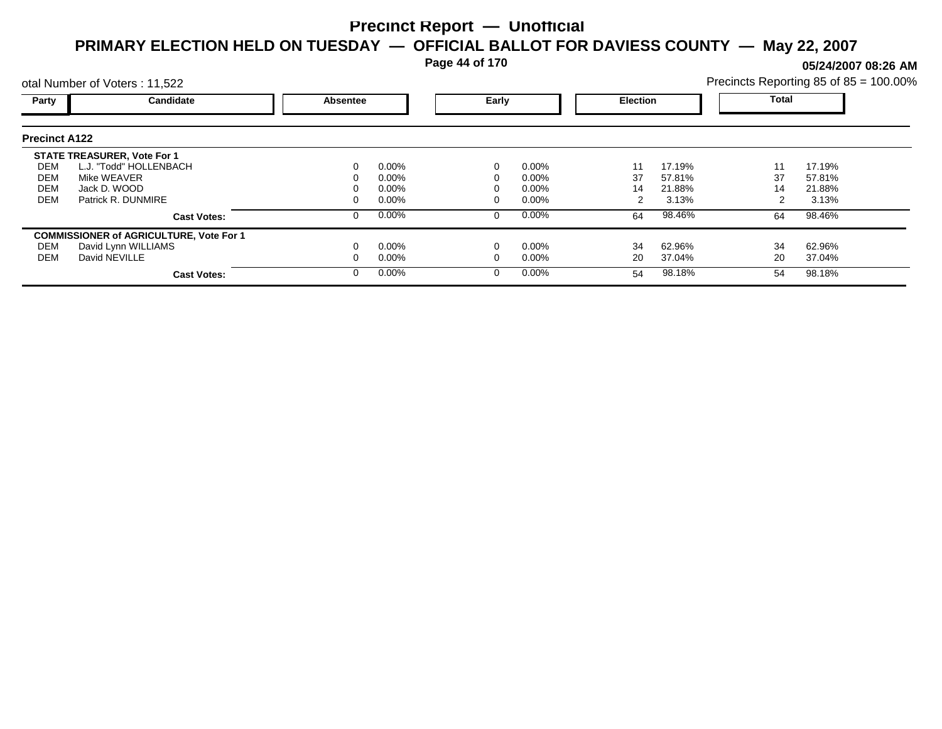**Page 44 of 170**

**05/24/2007 08:26 AM**

|                      | otal Number of Voters: 11,522                  |          |          |   |          |    |                 | Precincts Reporting 85 of 85 = 100.00% |              |  |
|----------------------|------------------------------------------------|----------|----------|---|----------|----|-----------------|----------------------------------------|--------------|--|
| Party                | Candidate                                      | Absentee |          |   | Early    |    | <b>Election</b> |                                        | <b>Total</b> |  |
| <b>Precinct A122</b> |                                                |          |          |   |          |    |                 |                                        |              |  |
|                      | <b>STATE TREASURER, Vote For 1</b>             |          |          |   |          |    |                 |                                        |              |  |
| DEM                  | L.J. "Todd" HOLLENBACH                         |          | $0.00\%$ |   | $0.00\%$ | 11 | 17.19%          | 11                                     | 17.19%       |  |
| DEM                  | Mike WEAVER                                    |          | 0.00%    |   | 0.00%    | 37 | 57.81%          | 37                                     | 57.81%       |  |
| <b>DEM</b>           | Jack D. WOOD                                   |          | 0.00%    |   | 0.00%    | 14 | 21.88%          | 14                                     | 21.88%       |  |
| <b>DEM</b>           | Patrick R. DUNMIRE                             |          | $0.00\%$ |   | 0.00%    |    | 3.13%           |                                        | 3.13%        |  |
|                      | <b>Cast Votes:</b>                             |          | $0.00\%$ | 0 | $0.00\%$ | 64 | 98.46%          | 64                                     | 98.46%       |  |
|                      | <b>COMMISSIONER of AGRICULTURE, Vote For 1</b> |          |          |   |          |    |                 |                                        |              |  |
| DEM                  | David Lynn WILLIAMS                            |          | $0.00\%$ |   | 0.00%    | 34 | 62.96%          | 34                                     | 62.96%       |  |
| DEM                  | David NEVILLE                                  |          | $0.00\%$ |   | 0.00%    | 20 | 37.04%          | 20                                     | 37.04%       |  |
|                      | <b>Cast Votes:</b>                             |          | $0.00\%$ | 0 | $0.00\%$ | 54 | 98.18%          | 54                                     | 98.18%       |  |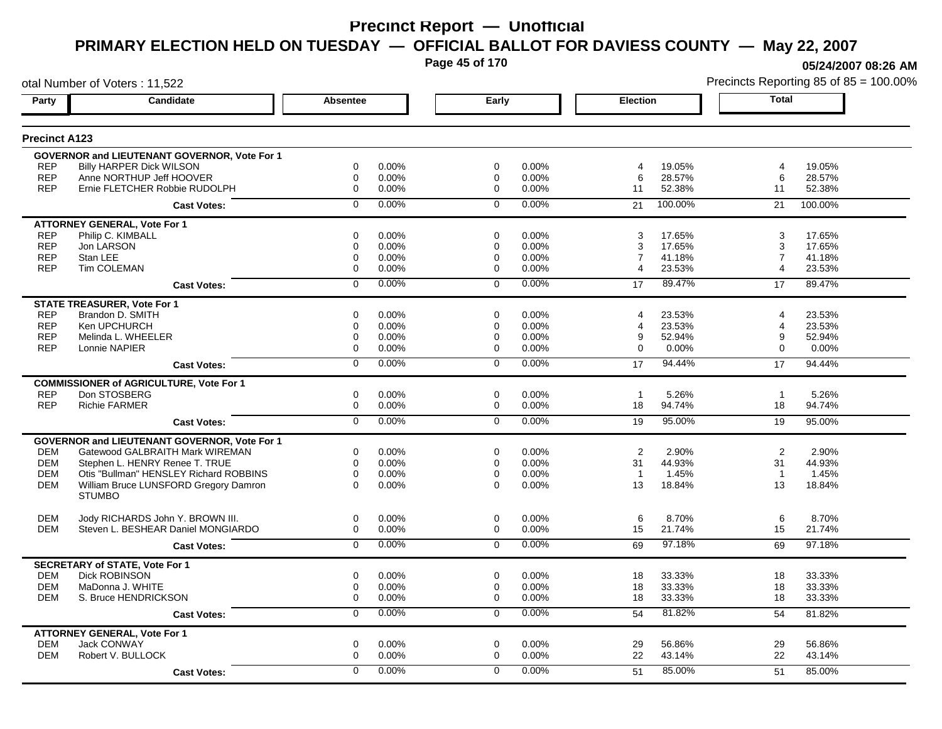**Page 45 of 170**

**05/24/2007 08:26 AM**

|                      | otal Number of Voters: 11,522                                 |                 |          |                |       |                 |         |                       | Precincts Reporting 85 of 85 = 100.00% |
|----------------------|---------------------------------------------------------------|-----------------|----------|----------------|-------|-----------------|---------|-----------------------|----------------------------------------|
| Party                | Candidate                                                     | <b>Absentee</b> |          | Early          |       | <b>Election</b> |         | <b>Total</b>          |                                        |
| <b>Precinct A123</b> |                                                               |                 |          |                |       |                 |         |                       |                                        |
|                      | <b>GOVERNOR and LIEUTENANT GOVERNOR, Vote For 1</b>           |                 |          |                |       |                 |         |                       |                                        |
| <b>REP</b>           | <b>Billy HARPER Dick WILSON</b>                               | 0               | 0.00%    | 0              | 0.00% | 4               | 19.05%  | $\overline{4}$        | 19.05%                                 |
| <b>REP</b>           | Anne NORTHUP Jeff HOOVER                                      | 0               | 0.00%    | 0              | 0.00% | 6               | 28.57%  | 6                     | 28.57%                                 |
| <b>REP</b>           | Ernie FLETCHER Robbie RUDOLPH                                 | 0               | 0.00%    | 0              | 0.00% | 11              | 52.38%  | 11                    | 52.38%                                 |
|                      | <b>Cast Votes:</b>                                            | $\Omega$        | 0.00%    | $\Omega$       | 0.00% | 21              | 100.00% | 21                    | 100.00%                                |
|                      | <b>ATTORNEY GENERAL, Vote For 1</b>                           |                 |          |                |       |                 |         |                       |                                        |
| <b>REP</b>           | Philip C. KIMBALL                                             | 0               | 0.00%    | 0              | 0.00% | 3               | 17.65%  | 3                     | 17.65%                                 |
| <b>REP</b>           | Jon LARSON                                                    | 0               | 0.00%    | 0              | 0.00% | 3               | 17.65%  | 3                     | 17.65%                                 |
| <b>REP</b>           | Stan LEE                                                      | 0               | 0.00%    | 0              | 0.00% | 7               | 41.18%  | 7                     | 41.18%                                 |
| <b>REP</b>           | Tim COLEMAN                                                   | 0               | 0.00%    | 0              | 0.00% | 4               | 23.53%  | $\boldsymbol{\Delta}$ | 23.53%                                 |
|                      | <b>Cast Votes:</b>                                            | 0               | 0.00%    | $\Omega$       | 0.00% | 17              | 89.47%  | 17                    | 89.47%                                 |
|                      | <b>STATE TREASURER, Vote For 1</b>                            |                 |          |                |       |                 |         |                       |                                        |
| <b>REP</b>           | Brandon D. SMITH                                              | 0               | 0.00%    | $\Omega$       | 0.00% | 4               | 23.53%  | $\overline{4}$        | 23.53%                                 |
| <b>REP</b>           | Ken UPCHURCH                                                  | 0               | 0.00%    | 0              | 0.00% | 4               | 23.53%  | $\overline{4}$        | 23.53%                                 |
| <b>REP</b>           | Melinda L. WHEELER                                            | 0               | 0.00%    | 0              | 0.00% | 9               | 52.94%  | 9                     | 52.94%                                 |
| <b>REP</b>           | Lonnie NAPIER                                                 | 0               | 0.00%    | 0              | 0.00% | $\Omega$        | 0.00%   | $\Omega$              | 0.00%                                  |
|                      | <b>Cast Votes:</b>                                            | $\overline{0}$  | 0.00%    | $\overline{0}$ | 0.00% | 17              | 94.44%  | 17                    | 94.44%                                 |
|                      | <b>COMMISSIONER of AGRICULTURE, Vote For 1</b>                |                 |          |                |       |                 |         |                       |                                        |
| <b>REP</b>           | Don STOSBERG                                                  | 0               | 0.00%    | 0              | 0.00% | $\overline{1}$  | 5.26%   | $\overline{1}$        | 5.26%                                  |
| <b>REP</b>           | <b>Richie FARMER</b>                                          | 0               | 0.00%    | $\mathbf 0$    | 0.00% | 18              | 94.74%  | 18                    | 94.74%                                 |
|                      | <b>Cast Votes:</b>                                            | $\overline{0}$  | 0.00%    | $\overline{0}$ | 0.00% | 19              | 95.00%  | 19                    | 95.00%                                 |
|                      | <b>GOVERNOR and LIEUTENANT GOVERNOR, Vote For 1</b>           |                 |          |                |       |                 |         |                       |                                        |
| <b>DEM</b>           | Gatewood GALBRAITH Mark WIREMAN                               | 0               | 0.00%    | 0              | 0.00% | 2               | 2.90%   | 2                     | 2.90%                                  |
| <b>DEM</b>           | Stephen L. HENRY Renee T. TRUE                                | $\Omega$        | 0.00%    | $\Omega$       | 0.00% | 31              | 44.93%  | 31                    | 44.93%                                 |
| <b>DEM</b>           | Otis "Bullman" HENSLEY Richard ROBBINS                        | 0               | 0.00%    | $\mathbf 0$    | 0.00% | $\overline{1}$  | 1.45%   | $\overline{1}$        | 1.45%                                  |
| <b>DEM</b>           | William Bruce LUNSFORD Gregory Damron                         | $\Omega$        | 0.00%    | $\Omega$       | 0.00% | 13              | 18.84%  | 13                    | 18.84%                                 |
|                      | <b>STUMBO</b>                                                 |                 |          |                |       |                 |         |                       |                                        |
| <b>DEM</b>           | Jody RICHARDS John Y. BROWN III.                              | 0               | 0.00%    | $\mathbf 0$    | 0.00% | 6               | 8.70%   | 6                     | 8.70%                                  |
| <b>DEM</b>           | Steven L. BESHEAR Daniel MONGIARDO                            | 0               | 0.00%    | 0              | 0.00% | 15              | 21.74%  | 15                    | 21.74%                                 |
|                      | <b>Cast Votes:</b>                                            | $\overline{0}$  | 0.00%    | $\mathbf 0$    | 0.00% | 69              | 97.18%  | 69                    | 97.18%                                 |
|                      |                                                               |                 |          |                |       |                 |         |                       |                                        |
| <b>DEM</b>           | <b>SECRETARY of STATE, Vote For 1</b><br><b>Dick ROBINSON</b> | 0               | 0.00%    | 0              | 0.00% | 18              | 33.33%  |                       | 33.33%                                 |
| <b>DEM</b>           | MaDonna J. WHITE                                              | 0               | 0.00%    | 0              | 0.00% | 18              | 33.33%  | 18<br>18              | 33.33%                                 |
| <b>DEM</b>           | S. Bruce HENDRICKSON                                          | 0               | 0.00%    | $\mathbf 0$    | 0.00% | 18              | 33.33%  | 18                    | 33.33%                                 |
|                      |                                                               | 0               | 0.00%    | 0              | 0.00% | 54              | 81.82%  | 54                    | 81.82%                                 |
|                      | <b>Cast Votes:</b>                                            |                 |          |                |       |                 |         |                       |                                        |
| <b>DEM</b>           | <b>ATTORNEY GENERAL, Vote For 1</b><br>Jack CONWAY            | 0               | 0.00%    | $\mathbf 0$    | 0.00% | 29              | 56.86%  | 29                    | 56.86%                                 |
| <b>DEM</b>           | Robert V. BULLOCK                                             | 0               | 0.00%    | 0              | 0.00% | 22              | 43.14%  | 22                    | 43.14%                                 |
|                      |                                                               |                 |          |                |       |                 |         |                       |                                        |
|                      | <b>Cast Votes:</b>                                            | 0               | $0.00\%$ | $\Omega$       | 0.00% | 51              | 85.00%  | 51                    | 85.00%                                 |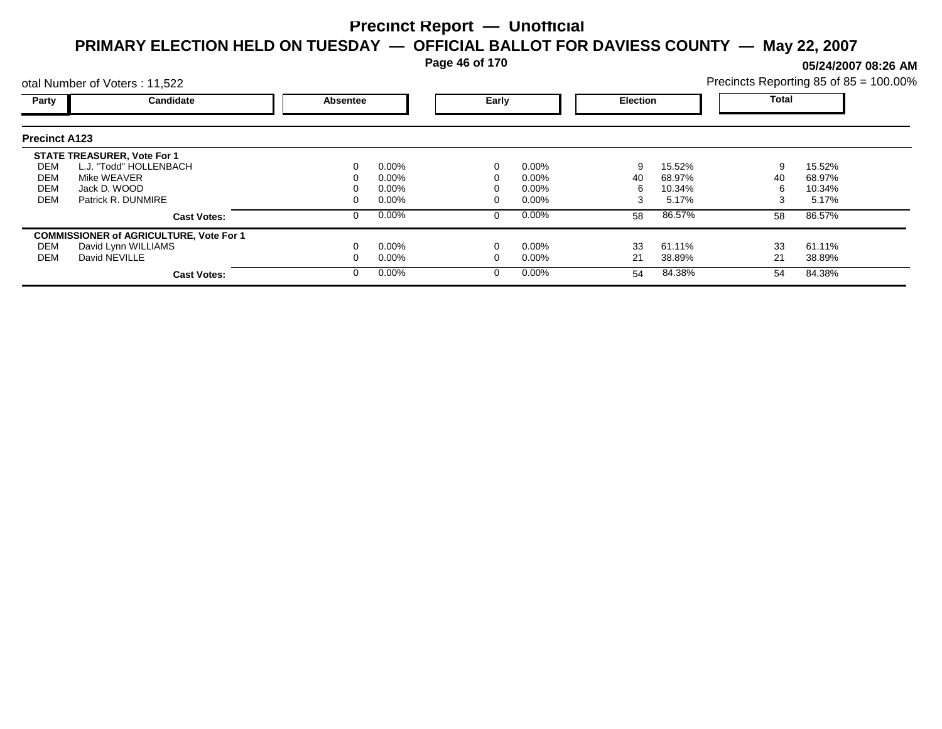**Page 46 of 170**

**05/24/2007 08:26 AM**

|                      | otal Number of Voters: 11,522                  |          |          |       |          |                 |        | Precincts Reporting 85 of 85 = 100.00% |        |  |
|----------------------|------------------------------------------------|----------|----------|-------|----------|-----------------|--------|----------------------------------------|--------|--|
| Party                | Candidate                                      | Absentee |          | Early |          | <b>Election</b> |        | Total                                  |        |  |
| <b>Precinct A123</b> |                                                |          |          |       |          |                 |        |                                        |        |  |
|                      | <b>STATE TREASURER, Vote For 1</b>             |          |          |       |          |                 |        |                                        |        |  |
| DEM                  | L.J. "Todd" HOLLENBACH                         |          | $0.00\%$ |       | $0.00\%$ | 9               | 15.52% | 9                                      | 15.52% |  |
| DEM                  | Mike WEAVER                                    |          | $0.00\%$ |       | $0.00\%$ | 40              | 68.97% | 40                                     | 68.97% |  |
| <b>DEM</b>           | Jack D. WOOD                                   |          | $0.00\%$ |       | $0.00\%$ | h               | 10.34% | h                                      | 10.34% |  |
| <b>DEM</b>           | Patrick R. DUNMIRE                             |          | $0.00\%$ |       | 0.00%    | 3               | 5.17%  | 3                                      | 5.17%  |  |
|                      | <b>Cast Votes:</b>                             |          | 0.00%    |       | $0.00\%$ | 58              | 86.57% | 58                                     | 86.57% |  |
|                      | <b>COMMISSIONER of AGRICULTURE, Vote For 1</b> |          |          |       |          |                 |        |                                        |        |  |
| DEM                  | David Lynn WILLIAMS                            |          | $0.00\%$ |       | $0.00\%$ | 33              | 61.11% | 33                                     | 61.11% |  |
| <b>DEM</b>           | David NEVILLE                                  |          | $0.00\%$ |       | $0.00\%$ | 21              | 38.89% | 21                                     | 38.89% |  |
|                      | <b>Cast Votes:</b>                             | $\Omega$ | $0.00\%$ |       | $0.00\%$ | 54              | 84.38% | 54                                     | 84.38% |  |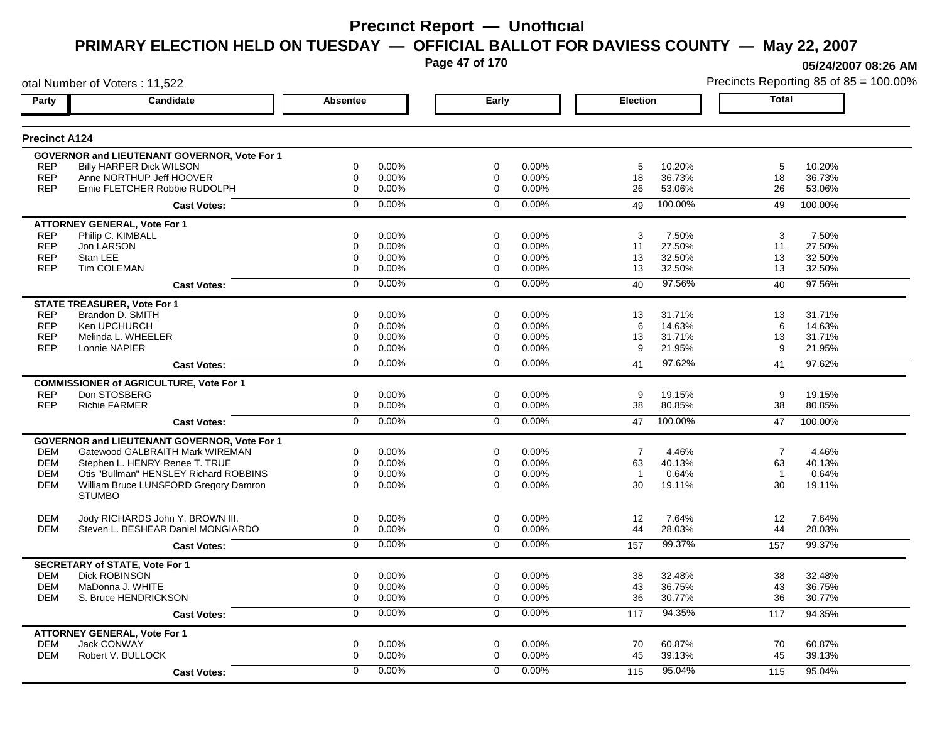**Page 47 of 170**

**05/24/2007 08:26 AM**

| otal Number of Voters: 11,522 |                                                                        |                            |                |                            |       | Precincts Reporting 85 of 85 = 100.00% |                 |                |         |
|-------------------------------|------------------------------------------------------------------------|----------------------------|----------------|----------------------------|-------|----------------------------------------|-----------------|----------------|---------|
| Party                         | Candidate                                                              | Absentee                   |                | Early                      |       | <b>Election</b>                        |                 | <b>Total</b>   |         |
| <b>Precinct A124</b>          |                                                                        |                            |                |                            |       |                                        |                 |                |         |
|                               | <b>GOVERNOR and LIEUTENANT GOVERNOR, Vote For 1</b>                    |                            |                |                            |       |                                        |                 |                |         |
| <b>REP</b>                    | <b>Billy HARPER Dick WILSON</b>                                        | 0                          | 0.00%          | 0                          | 0.00% | 5                                      | 10.20%          | 5              | 10.20%  |
| <b>REP</b>                    | Anne NORTHUP Jeff HOOVER                                               | 0                          | 0.00%          | 0                          | 0.00% | 18                                     | 36.73%          | 18             | 36.73%  |
| <b>REP</b>                    | Ernie FLETCHER Robbie RUDOLPH                                          | $\mathbf 0$                | 0.00%          | $\mathbf 0$                | 0.00% | 26                                     | 53.06%          | 26             | 53.06%  |
|                               | <b>Cast Votes:</b>                                                     | $\Omega$                   | 0.00%          | $\mathbf 0$                | 0.00% | 49                                     | 100.00%         | 49             | 100.00% |
|                               | <b>ATTORNEY GENERAL, Vote For 1</b>                                    |                            |                |                            |       |                                        |                 |                |         |
| <b>REP</b>                    | Philip C. KIMBALL                                                      | 0                          | 0.00%          | 0                          | 0.00% | 3                                      | 7.50%           | 3              | 7.50%   |
| <b>REP</b>                    | Jon LARSON                                                             | 0                          | 0.00%          | 0                          | 0.00% | 11                                     | 27.50%          | 11             | 27.50%  |
| <b>REP</b>                    | Stan LEE                                                               | 0                          | 0.00%          | 0                          | 0.00% | 13                                     | 32.50%          | 13             | 32.50%  |
| <b>REP</b>                    | Tim COLEMAN                                                            | 0                          | 0.00%          | 0                          | 0.00% | 13                                     | 32.50%          | 13             | 32.50%  |
|                               | <b>Cast Votes:</b>                                                     | $\mathbf 0$                | 0.00%          | $\Omega$                   | 0.00% | 40                                     | 97.56%          | 40             | 97.56%  |
|                               | <b>STATE TREASURER, Vote For 1</b>                                     |                            |                |                            |       |                                        |                 |                |         |
| <b>REP</b>                    | Brandon D. SMITH                                                       | $\Omega$                   | 0.00%          | $\Omega$                   | 0.00% | 13                                     | 31.71%          | 13             | 31.71%  |
| <b>REP</b>                    | Ken UPCHURCH                                                           | 0                          | 0.00%          | 0                          | 0.00% | 6                                      | 14.63%          | 6              | 14.63%  |
| <b>REP</b>                    | Melinda L. WHEELER                                                     | $\pmb{0}$                  | 0.00%          | 0                          | 0.00% | 13                                     | 31.71%          | 13             | 31.71%  |
| <b>REP</b>                    | Lonnie NAPIER                                                          | 0                          | 0.00%          | $\Omega$                   | 0.00% | 9                                      | 21.95%          | 9              | 21.95%  |
|                               | <b>Cast Votes:</b>                                                     | $\overline{0}$             | 0.00%          | $\Omega$                   | 0.00% | 41                                     | 97.62%          | 41             | 97.62%  |
|                               | <b>COMMISSIONER of AGRICULTURE, Vote For 1</b>                         |                            |                |                            |       |                                        |                 |                |         |
| <b>REP</b>                    | Don STOSBERG                                                           | 0                          | 0.00%          | 0                          | 0.00% | 9                                      | 19.15%          | 9              | 19.15%  |
| <b>REP</b>                    | <b>Richie FARMER</b>                                                   | $\mathbf 0$                | 0.00%          | $\mathbf 0$                | 0.00% | 38                                     | 80.85%          | 38             | 80.85%  |
|                               | <b>Cast Votes:</b>                                                     | $\overline{0}$             | 0.00%          | $\overline{0}$             | 0.00% | 47                                     | 100.00%         | 47             | 100.00% |
|                               | <b>GOVERNOR and LIEUTENANT GOVERNOR, Vote For 1</b>                    |                            |                |                            |       |                                        |                 |                |         |
| <b>DEM</b>                    | Gatewood GALBRAITH Mark WIREMAN                                        | 0                          | 0.00%          | 0                          | 0.00% | $\overline{7}$                         | 4.46%           | $\overline{7}$ | 4.46%   |
| <b>DEM</b>                    | Stephen L. HENRY Renee T. TRUE                                         | $\mathbf 0$                | 0.00%          | $\mathbf 0$                | 0.00% | 63                                     | 40.13%          | 63             | 40.13%  |
| <b>DEM</b>                    | Otis "Bullman" HENSLEY Richard ROBBINS                                 | $\mathbf 0$                | 0.00%          | $\mathbf 0$                | 0.00% | $\overline{1}$                         | 0.64%           | $\overline{1}$ | 0.64%   |
| <b>DEM</b>                    | William Bruce LUNSFORD Gregory Damron                                  | $\Omega$                   | 0.00%          | $\Omega$                   | 0.00% | 30                                     | 19.11%          | 30             | 19.11%  |
|                               | <b>STUMBO</b>                                                          |                            |                |                            |       |                                        |                 |                |         |
| <b>DEM</b>                    |                                                                        | $\boldsymbol{0}$           |                |                            | 0.00% |                                        |                 | 12             | 7.64%   |
| <b>DEM</b>                    | Jody RICHARDS John Y. BROWN III.<br>Steven L. BESHEAR Daniel MONGIARDO | $\mathbf 0$                | 0.00%<br>0.00% | 0<br>0                     | 0.00% | 12<br>44                               | 7.64%<br>28.03% | 44             | 28.03%  |
|                               |                                                                        | $\overline{0}$             | 0.00%          | $\mathbf 0$                | 0.00% | 157                                    | 99.37%          | 157            | 99.37%  |
|                               | <b>Cast Votes:</b>                                                     |                            |                |                            |       |                                        |                 |                |         |
|                               | <b>SECRETARY of STATE, Vote For 1</b>                                  |                            |                |                            |       |                                        |                 |                |         |
| <b>DEM</b>                    | <b>Dick ROBINSON</b>                                                   | $\mathbf 0$                | 0.00%          | $\mathbf 0$                | 0.00% | 38                                     | 32.48%          | 38             | 32.48%  |
| <b>DEM</b><br><b>DEM</b>      | MaDonna J. WHITE                                                       | $\mathbf 0$<br>$\mathbf 0$ | 0.00%          | $\mathbf 0$<br>$\mathbf 0$ | 0.00% | 43<br>36                               | 36.75%          | 43<br>36       | 36.75%  |
|                               | S. Bruce HENDRICKSON                                                   |                            | 0.00%          |                            | 0.00% |                                        | 30.77%          |                | 30.77%  |
|                               | <b>Cast Votes:</b>                                                     | 0                          | 0.00%          | 0                          | 0.00% | 117                                    | 94.35%          | 117            | 94.35%  |
|                               | <b>ATTORNEY GENERAL, Vote For 1</b>                                    |                            |                |                            |       |                                        |                 |                |         |
| <b>DEM</b>                    | <b>Jack CONWAY</b>                                                     | $\mathbf 0$                | 0.00%          | $\mathbf 0$                | 0.00% | 70                                     | 60.87%          | 70             | 60.87%  |
| <b>DEM</b>                    | Robert V. BULLOCK                                                      | $\mathbf 0$                | 0.00%          | $\Omega$                   | 0.00% | 45                                     | 39.13%          | 45             | 39.13%  |
|                               | <b>Cast Votes:</b>                                                     | $\mathbf 0$                | 0.00%          | $\Omega$                   | 0.00% | 115                                    | 95.04%          | 115            | 95.04%  |
|                               |                                                                        |                            |                |                            |       |                                        |                 |                |         |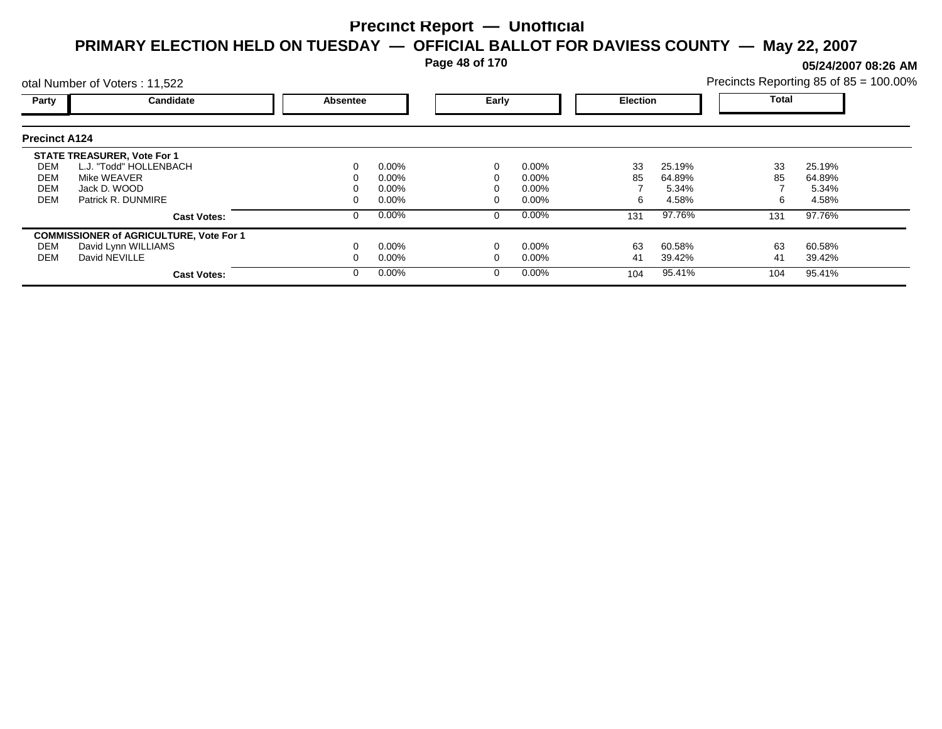**Page 48 of 170**

**05/24/2007 08:26 AM**

|                      | otal Number of Voters: 11,522                  |                 |          |          |          |                 |        | Precincts Reporting 85 of 85 = 100.00% |        |  |
|----------------------|------------------------------------------------|-----------------|----------|----------|----------|-----------------|--------|----------------------------------------|--------|--|
| Party                | Candidate                                      | <b>Absentee</b> |          | Early    |          | <b>Election</b> |        | <b>Total</b>                           |        |  |
| <b>Precinct A124</b> |                                                |                 |          |          |          |                 |        |                                        |        |  |
|                      | <b>STATE TREASURER, Vote For 1</b>             |                 |          |          |          |                 |        |                                        |        |  |
| DEM                  | L.J. "Todd" HOLLENBACH                         | 0               | $0.00\%$ |          | 0.00%    | 33              | 25.19% | 33                                     | 25.19% |  |
| DEM                  | Mike WEAVER                                    |                 | $0.00\%$ |          | $0.00\%$ | 85              | 64.89% | 85                                     | 64.89% |  |
| <b>DEM</b>           | Jack D. WOOD                                   |                 | $0.00\%$ |          | $0.00\%$ |                 | 5.34%  |                                        | 5.34%  |  |
| <b>DEM</b>           | Patrick R. DUNMIRE                             |                 | $0.00\%$ |          | $0.00\%$ | 6               | 4.58%  |                                        | 4.58%  |  |
|                      | <b>Cast Votes:</b>                             | 0               | $0.00\%$ | $\Omega$ | 0.00%    | 131             | 97.76% | 131                                    | 97.76% |  |
|                      | <b>COMMISSIONER of AGRICULTURE, Vote For 1</b> |                 |          |          |          |                 |        |                                        |        |  |
| DEM                  | David Lynn WILLIAMS                            |                 | $0.00\%$ |          | 0.00%    | 63              | 60.58% | 63                                     | 60.58% |  |
| DEM                  | David NEVILLE                                  |                 | $0.00\%$ |          | $0.00\%$ | 41              | 39.42% | 41                                     | 39.42% |  |
|                      | <b>Cast Votes:</b>                             | 0               | $0.00\%$ |          | 0.00%    | 104             | 95.41% | 104                                    | 95.41% |  |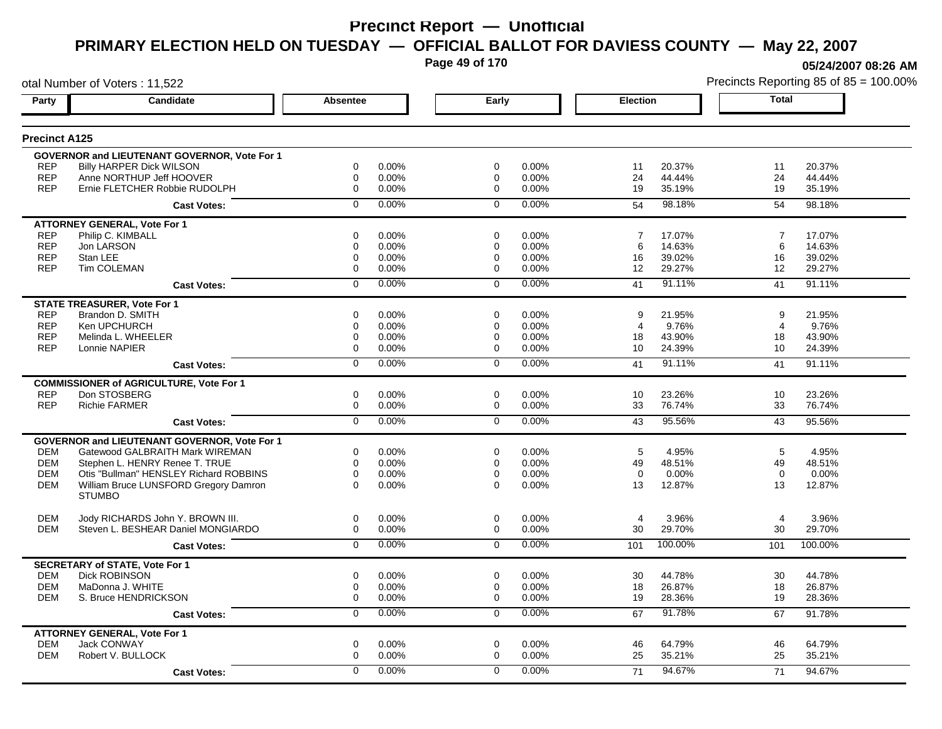**Page 49 of 170**

otal Number of Voters : 11,522

**05/24/2007 08:26 AM**

| Party                | <b>Candidate</b>                                       | <b>Absentee</b>         | Early                | <b>Election</b>          | <b>Total</b>             |
|----------------------|--------------------------------------------------------|-------------------------|----------------------|--------------------------|--------------------------|
| <b>Precinct A125</b> |                                                        |                         |                      |                          |                          |
|                      | <b>GOVERNOR and LIEUTENANT GOVERNOR, Vote For 1</b>    |                         |                      |                          |                          |
| <b>REP</b>           | <b>Billy HARPER Dick WILSON</b>                        | $\mathbf 0$<br>0.00%    | $\mathbf 0$<br>0.00% | 20.37%<br>11             | 11<br>20.37%             |
| <b>REP</b>           | Anne NORTHUP Jeff HOOVER                               | 0.00%<br>$\Omega$       | 0.00%<br>$\mathbf 0$ | 24<br>44.44%             | 24<br>44.44%             |
| <b>REP</b>           | Ernie FLETCHER Robbie RUDOLPH                          | $\mathbf 0$<br>0.00%    | 0.00%<br>$\mathbf 0$ | 19<br>35.19%             | 19<br>35.19%             |
|                      | <b>Cast Votes:</b>                                     | 0.00%<br>$\mathbf 0$    | 0.00%<br>$\mathbf 0$ | 98.18%<br>54             | 54<br>98.18%             |
|                      | <b>ATTORNEY GENERAL. Vote For 1</b>                    |                         |                      |                          |                          |
| <b>REP</b>           | Philip C. KIMBALL                                      | $\mathbf 0$<br>0.00%    | $\mathbf 0$<br>0.00% | 17.07%<br>$\overline{7}$ | 17.07%<br>$\overline{7}$ |
| <b>REP</b>           | Jon LARSON                                             | 0.00%<br>$\mathbf 0$    | 0.00%<br>$\mathbf 0$ | 14.63%<br>6              | 14.63%<br>6              |
| REP                  | Stan LEE                                               | 0.00%<br>0              | $\mathbf 0$<br>0.00% | 39.02%<br>16             | 16<br>39.02%             |
| <b>REP</b>           | <b>Tim COLEMAN</b>                                     | $\mathbf 0$<br>0.00%    | 0.00%<br>$\mathbf 0$ | 29.27%<br>12             | 12<br>29.27%             |
|                      | <b>Cast Votes:</b>                                     | 0.00%<br>$\Omega$       | 0.00%<br>$\Omega$    | 91.11%<br>41             | 91.11%<br>41             |
|                      | <b>STATE TREASURER, Vote For 1</b>                     |                         |                      |                          |                          |
| <b>REP</b>           | Brandon D. SMITH                                       | 0.00%<br>$\mathbf 0$    | 0.00%<br>$\mathbf 0$ | 21.95%<br>9              | 21.95%<br>9              |
| <b>REP</b>           | Ken UPCHURCH                                           | 0.00%<br>$\mathbf 0$    | 0.00%<br>$\mathbf 0$ | 9.76%<br>4               | 9.76%<br>$\overline{4}$  |
| <b>REP</b>           | Melinda L. WHEELER                                     | 0.00%<br>0              | 0<br>0.00%           | 43.90%<br>18             | 43.90%<br>18             |
| <b>REP</b>           | Lonnie NAPIER                                          | 0.00%<br>$\mathbf 0$    | 0.00%<br>$\mathbf 0$ | 24.39%<br>10             | 24.39%<br>10             |
|                      | <b>Cast Votes:</b>                                     | 0.00%<br>$\mathbf 0$    | 0.00%<br>$\Omega$    | 91.11%<br>41             | 91.11%<br>41             |
|                      | <b>COMMISSIONER of AGRICULTURE, Vote For 1</b>         |                         |                      |                          |                          |
| <b>REP</b>           | Don STOSBERG                                           | $\mathbf 0$<br>0.00%    | $\mathbf 0$<br>0.00% | 10<br>23.26%             | 10<br>23.26%             |
| <b>REP</b>           | <b>Richie FARMER</b>                                   | 0.00%<br>$\mathbf 0$    | 0.00%<br>$\mathbf 0$ | 33<br>76.74%             | 33<br>76.74%             |
|                      | <b>Cast Votes:</b>                                     | 0.00%<br>$\overline{0}$ | 0.00%<br>$\mathbf 0$ | 95.56%<br>43             | 95.56%<br>43             |
|                      | <b>GOVERNOR and LIEUTENANT GOVERNOR, Vote For 1</b>    |                         |                      |                          |                          |
| <b>DEM</b>           | Gatewood GALBRAITH Mark WIREMAN                        | $\mathbf 0$<br>0.00%    | $\mathbf 0$<br>0.00% | 4.95%<br>5               | 4.95%<br>5               |
| <b>DEM</b>           | Stephen L. HENRY Renee T. TRUE                         | 0.00%<br>$\mathbf 0$    | $\mathbf 0$<br>0.00% | 49<br>48.51%             | 48.51%<br>49             |
| <b>DEM</b>           | Otis "Bullman" HENSLEY Richard ROBBINS                 | 0.00%<br>$\Omega$       | $\Omega$<br>0.00%    | $\Omega$<br>$0.00\%$     | $\Omega$<br>0.00%        |
| <b>DEM</b>           | William Bruce LUNSFORD Gregory Damron<br><b>STUMBO</b> | $\Omega$<br>0.00%       | $\Omega$<br>0.00%    | 13<br>12.87%             | 13<br>12.87%             |
| <b>DEM</b>           | Jody RICHARDS John Y. BROWN III.                       | 0.00%<br>$\mathbf 0$    | $\mathbf 0$<br>0.00% | 3.96%<br>$\overline{4}$  | 3.96%<br>$\overline{4}$  |
| <b>DEM</b>           | Steven L. BESHEAR Daniel MONGIARDO                     | 0.00%<br>0              | 0.00%<br>$\mathbf 0$ | 30<br>29.70%             | 30<br>29.70%             |
|                      | <b>Cast Votes:</b>                                     | 0.00%<br>$\Omega$       | 0.00%<br>$\Omega$    | 100.00%<br>101           | 100.00%<br>101           |
|                      | <b>SECRETARY of STATE, Vote For 1</b>                  |                         |                      |                          |                          |
| <b>DEM</b>           | <b>Dick ROBINSON</b>                                   | 0.00%<br>$\mathbf 0$    | $\mathbf 0$<br>0.00% | 30<br>44.78%             | 44.78%<br>30             |
| <b>DEM</b>           | MaDonna J. WHITE                                       | $\Omega$<br>$0.00\%$    | $\Omega$<br>0.00%    | 18<br>26.87%             | 18<br>26.87%             |
| <b>DEM</b>           | S. Bruce HENDRICKSON                                   | 0.00%<br>$\mathbf 0$    | 0.00%<br>$\mathbf 0$ | 19<br>28.36%             | 28.36%<br>19             |
|                      | <b>Cast Votes:</b>                                     | 0.00%<br>$\mathbf 0$    | 0.00%<br>$\mathbf 0$ | 91.78%<br>67             | 67<br>91.78%             |
|                      | <b>ATTORNEY GENERAL, Vote For 1</b>                    |                         |                      |                          |                          |
| <b>DEM</b>           | <b>Jack CONWAY</b>                                     | $\mathbf 0$<br>0.00%    | $\mathbf 0$<br>0.00% | 64.79%<br>46             | 64.79%<br>46             |
| <b>DEM</b>           | Robert V. BULLOCK                                      | $\mathbf 0$<br>0.00%    | $\mathbf 0$<br>0.00% | 25<br>35.21%             | 25<br>35.21%             |
|                      | <b>Cast Votes:</b>                                     | 0.00%<br>$\Omega$       | $\Omega$<br>0.00%    | 94.67%<br>71             | 71<br>94.67%             |
|                      |                                                        |                         |                      |                          |                          |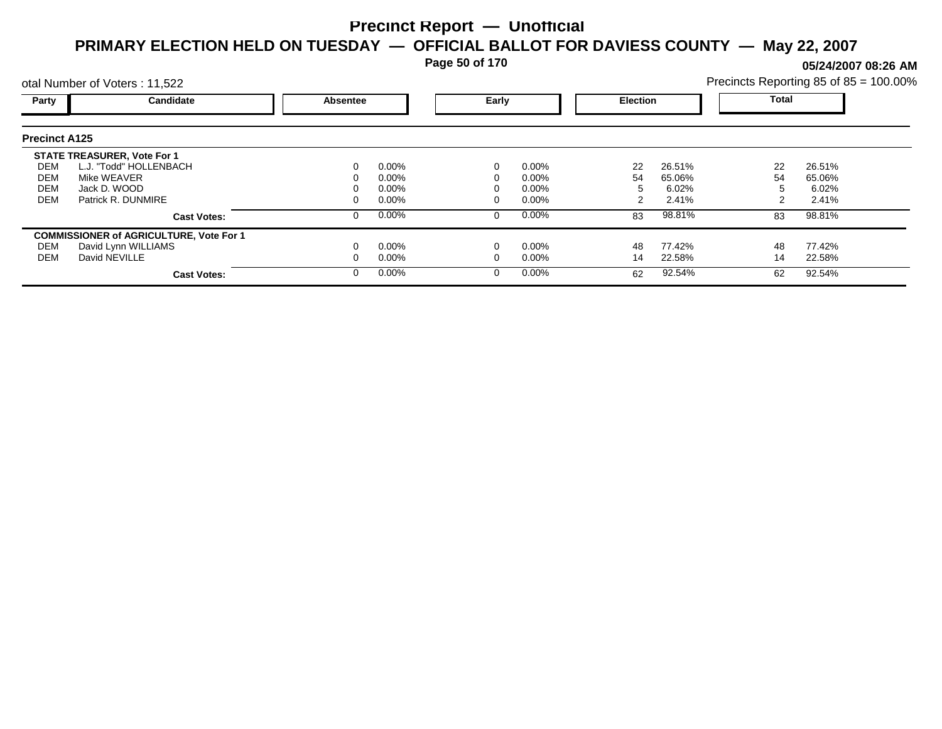**Page 50 of 170**

**05/24/2007 08:26 AM**

|                      | otal Number of Voters: 11,522                  |          |          |  |          |    |                 | Precincts Reporting 85 of 85 = 100.00% |        |  |
|----------------------|------------------------------------------------|----------|----------|--|----------|----|-----------------|----------------------------------------|--------|--|
| Party                | Candidate                                      | Absentee |          |  | Early    |    | <b>Election</b> | Total                                  |        |  |
| <b>Precinct A125</b> |                                                |          |          |  |          |    |                 |                                        |        |  |
|                      | <b>STATE TREASURER, Vote For 1</b>             |          |          |  |          |    |                 |                                        |        |  |
| DEM                  | L.J. "Todd" HOLLENBACH                         |          | $0.00\%$ |  | $0.00\%$ | 22 | 26.51%          | 22                                     | 26.51% |  |
| DEM                  | Mike WEAVER                                    |          | $0.00\%$ |  | $0.00\%$ | 54 | 65.06%          | 54                                     | 65.06% |  |
| <b>DEM</b>           | Jack D. WOOD                                   |          | $0.00\%$ |  | $0.00\%$ |    | 6.02%           |                                        | 6.02%  |  |
| <b>DEM</b>           | Patrick R. DUNMIRE                             |          | $0.00\%$ |  | $0.00\%$ |    | 2.41%           |                                        | 2.41%  |  |
|                      | <b>Cast Votes:</b>                             |          | $0.00\%$ |  | $0.00\%$ | 83 | 98.81%          | 83                                     | 98.81% |  |
|                      | <b>COMMISSIONER of AGRICULTURE, Vote For 1</b> |          |          |  |          |    |                 |                                        |        |  |
| DEM                  | David Lynn WILLIAMS                            |          | $0.00\%$ |  | $0.00\%$ | 48 | 77.42%          | 48                                     | 77.42% |  |
| DEM                  | David NEVILLE                                  |          | $0.00\%$ |  | $0.00\%$ | 14 | 22.58%          | 14                                     | 22.58% |  |
|                      | <b>Cast Votes:</b>                             |          | $0.00\%$ |  | $0.00\%$ | 62 | 92.54%          | 62                                     | 92.54% |  |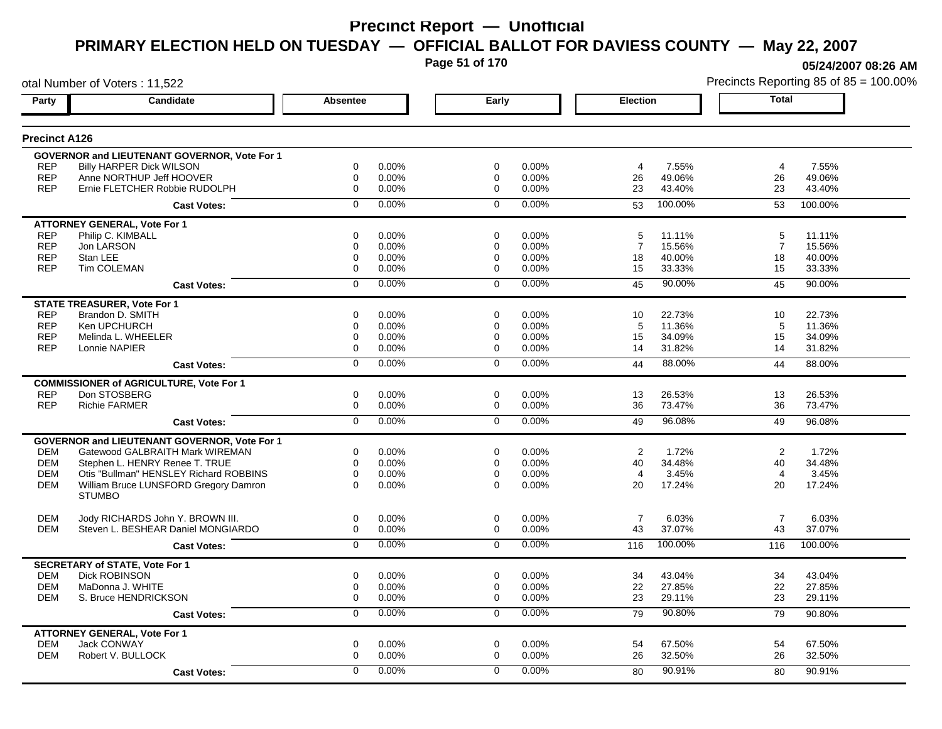**Page 51 of 170**

otal Number of Voters : 11,522

**05/24/2007 08:26 AM**

| Party                    | <b>Candidate</b>                                          | <b>Absentee</b>                    | Early                      |                | <b>Election</b>              | <b>Total</b>   |                  |
|--------------------------|-----------------------------------------------------------|------------------------------------|----------------------------|----------------|------------------------------|----------------|------------------|
| <b>Precinct A126</b>     |                                                           |                                    |                            |                |                              |                |                  |
|                          | <b>GOVERNOR and LIEUTENANT GOVERNOR, Vote For 1</b>       |                                    |                            |                |                              |                |                  |
| <b>REP</b>               | <b>Billy HARPER Dick WILSON</b>                           | $\Omega$<br>0.00%                  | $\Omega$                   | $0.00\%$       | 7.55%<br>4                   | $\overline{4}$ | 7.55%            |
| <b>REP</b><br><b>REP</b> | Anne NORTHUP Jeff HOOVER<br>Ernie FLETCHER Robbie RUDOLPH | $\mathbf 0$<br>0.00%<br>0<br>0.00% | $\mathbf 0$<br>$\mathbf 0$ | 0.00%<br>0.00% | 26<br>49.06%<br>23<br>43.40% | 26<br>23       | 49.06%<br>43.40% |
|                          | <b>Cast Votes:</b>                                        | 0.00%<br>$\mathbf 0$               | $\Omega$                   | 0.00%          | 100.00%<br>53                | 53             | 100.00%          |
|                          |                                                           |                                    |                            |                |                              |                |                  |
| <b>REP</b>               | <b>ATTORNEY GENERAL, Vote For 1</b><br>Philip C. KIMBALL  | 0<br>0.00%                         | $\Omega$                   | $0.00\%$       | 5<br>11.11%                  | 5              | 11.11%           |
| <b>REP</b>               | Jon LARSON                                                | 0<br>0.00%                         | $\mathbf 0$                | 0.00%          | $\overline{7}$<br>15.56%     | $\overline{7}$ | 15.56%           |
| <b>REP</b>               | Stan LEE                                                  | 0<br>0.00%                         | $\Omega$                   | $0.00\%$       | 18<br>40.00%                 | 18             | 40.00%           |
| <b>REP</b>               | Tim COLEMAN                                               | 0<br>0.00%                         | $\mathbf 0$                | 0.00%          | 15<br>33.33%                 | 15             | 33.33%           |
|                          | <b>Cast Votes:</b>                                        | 0.00%<br>$\mathbf 0$               | $\mathbf 0$                | 0.00%          | 90.00%<br>45                 | 45             | 90.00%           |
|                          | <b>STATE TREASURER, Vote For 1</b>                        |                                    |                            |                |                              |                |                  |
| <b>REP</b>               | Brandon D. SMITH                                          | 0<br>0.00%                         | $\mathbf 0$                | 0.00%          | 10<br>22.73%                 | 10             | 22.73%           |
| <b>REP</b>               | Ken UPCHURCH                                              | 0.00%<br>0                         | 0                          | 0.00%          | 5<br>11.36%                  | 5              | 11.36%           |
| <b>REP</b>               | Melinda L. WHEELER                                        | 0<br>0.00%                         | $\mathbf 0$                | 0.00%          | 15<br>34.09%                 | 15             | 34.09%           |
| <b>REP</b>               | Lonnie NAPIER                                             | 0.00%<br>0                         | $\Omega$                   | $0.00\%$       | 31.82%<br>14                 | 14             | 31.82%           |
|                          | <b>Cast Votes:</b>                                        | 0.00%<br>$\overline{0}$            | $\overline{0}$             | 0.00%          | 88.00%<br>44                 | 44             | 88.00%           |
|                          | <b>COMMISSIONER of AGRICULTURE, Vote For 1</b>            |                                    |                            |                |                              |                |                  |
| <b>REP</b>               | Don STOSBERG                                              | $\mathbf 0$<br>0.00%               | $\mathbf 0$                | 0.00%          | 13<br>26.53%                 | 13             | 26.53%           |
| <b>REP</b>               | <b>Richie FARMER</b>                                      | 0<br>0.00%                         | $\mathbf 0$                | 0.00%          | 36<br>73.47%                 | 36             | 73.47%           |
|                          | <b>Cast Votes:</b>                                        | 0.00%<br>$\overline{0}$            | $\overline{0}$             | 0.00%          | 96.08%<br>49                 | 49             | 96.08%           |
|                          | <b>GOVERNOR and LIEUTENANT GOVERNOR, Vote For 1</b>       |                                    |                            |                |                              |                |                  |
| <b>DEM</b>               | Gatewood GALBRAITH Mark WIREMAN                           | $\Omega$<br>0.00%                  | $\Omega$                   | $0.00\%$       | 2<br>1.72%                   | 2              | 1.72%            |
| <b>DEM</b>               | Stephen L. HENRY Renee T. TRUE                            | $\mathbf 0$<br>0.00%               | $\mathbf 0$                | 0.00%          | 40<br>34.48%                 | 40             | 34.48%           |
| <b>DEM</b>               | Otis "Bullman" HENSLEY Richard ROBBINS                    | 0<br>$0.00\%$                      | $\Omega$                   | 0.00%          | 4<br>3.45%                   | $\overline{4}$ | 3.45%            |
| <b>DEM</b>               | William Bruce LUNSFORD Gregory Damron<br><b>STUMBO</b>    | $\Omega$<br>0.00%                  | $\Omega$                   | $0.00\%$       | 20<br>17.24%                 | 20             | 17.24%           |
| <b>DEM</b>               | Jody RICHARDS John Y. BROWN III.                          | 0<br>0.00%                         | $\mathbf 0$                | 0.00%          | $\overline{7}$<br>6.03%      | $\overline{7}$ | 6.03%            |
| <b>DEM</b>               | Steven L. BESHEAR Daniel MONGIARDO                        | $\Omega$<br>0.00%                  | $\Omega$                   | 0.00%          | 43<br>37.07%                 | 43             | 37.07%           |
|                          | <b>Cast Votes:</b>                                        | 0.00%<br>$\mathbf 0$               | $\Omega$                   | 0.00%          | 100.00%<br>116               | 116            | 100.00%          |
|                          | <b>SECRETARY of STATE, Vote For 1</b>                     |                                    |                            |                |                              |                |                  |
| <b>DEM</b>               | <b>Dick ROBINSON</b>                                      | 0.00%<br>0                         | $\mathbf 0$                | 0.00%          | 34<br>43.04%                 | 34             | 43.04%           |
| <b>DEM</b>               | MaDonna J. WHITE                                          | $\Omega$<br>0.00%                  | $\Omega$                   | 0.00%          | 22<br>27.85%                 | 22             | 27.85%           |
| <b>DEM</b>               | S. Bruce HENDRICKSON                                      | $\mathbf 0$<br>0.00%               | $\Omega$                   | 0.00%          | 23<br>29.11%                 | 23             | 29.11%           |
|                          | <b>Cast Votes:</b>                                        | 0<br>0.00%                         | $\mathbf 0$                | 0.00%          | 90.80%<br>79                 | 79             | 90.80%           |
|                          | <b>ATTORNEY GENERAL, Vote For 1</b>                       |                                    |                            |                |                              |                |                  |
| <b>DEM</b>               | Jack CONWAY                                               | 0.00%<br>0                         | 0                          | 0.00%          | 54<br>67.50%                 | 54             | 67.50%           |
| <b>DEM</b>               | Robert V. BULLOCK                                         | $\Omega$<br>0.00%                  | $\Omega$                   | $0.00\%$       | 26<br>32.50%                 | 26             | 32.50%           |
|                          | <b>Cast Votes:</b>                                        | 0.00%<br>$\Omega$                  | $\mathbf 0$                | 0.00%          | 90.91%<br>80                 | 80             | 90.91%           |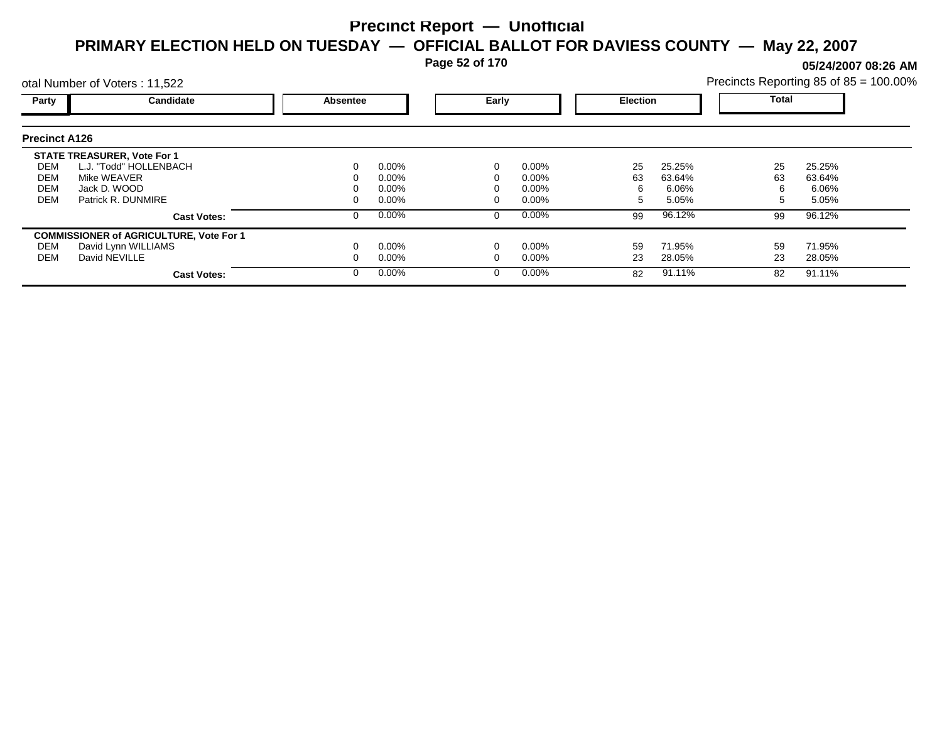**Page 52 of 170**

**05/24/2007 08:26 AM**

|                      | otal Number of Voters: 11,522                  |                   |          |                 |          |              | Precincts Reporting 85 of 85 = 100.00% |    |        |  |
|----------------------|------------------------------------------------|-------------------|----------|-----------------|----------|--------------|----------------------------------------|----|--------|--|
| Party                | Candidate                                      | Early<br>Absentee |          | <b>Election</b> |          | <b>Total</b> |                                        |    |        |  |
| <b>Precinct A126</b> |                                                |                   |          |                 |          |              |                                        |    |        |  |
|                      | <b>STATE TREASURER, Vote For 1</b>             |                   |          |                 |          |              |                                        |    |        |  |
| DEM                  | L.J. "Todd" HOLLENBACH                         |                   | $0.00\%$ |                 | $0.00\%$ | 25           | 25.25%                                 | 25 | 25.25% |  |
| DEM                  | Mike WEAVER                                    |                   | 0.00%    |                 | 0.00%    | 63           | 63.64%                                 | 63 | 63.64% |  |
| <b>DEM</b>           | Jack D. WOOD                                   |                   | 0.00%    |                 | 0.00%    | 6            | 6.06%                                  | 6  | 6.06%  |  |
| <b>DEM</b>           | Patrick R. DUNMIRE                             |                   | $0.00\%$ |                 | 0.00%    | 5            | 5.05%                                  | 5  | 5.05%  |  |
|                      | <b>Cast Votes:</b>                             |                   | $0.00\%$ | 0               | $0.00\%$ | 99           | 96.12%                                 | 99 | 96.12% |  |
|                      | <b>COMMISSIONER of AGRICULTURE, Vote For 1</b> |                   |          |                 |          |              |                                        |    |        |  |
| DEM                  | David Lynn WILLIAMS                            |                   | $0.00\%$ |                 | 0.00%    | 59           | 71.95%                                 | 59 | 71.95% |  |
| DEM                  | David NEVILLE                                  |                   | $0.00\%$ |                 | 0.00%    | 23           | 28.05%                                 | 23 | 28.05% |  |
|                      | <b>Cast Votes:</b>                             |                   | $0.00\%$ | 0               | $0.00\%$ | 82           | 91.11%                                 | 82 | 91.11% |  |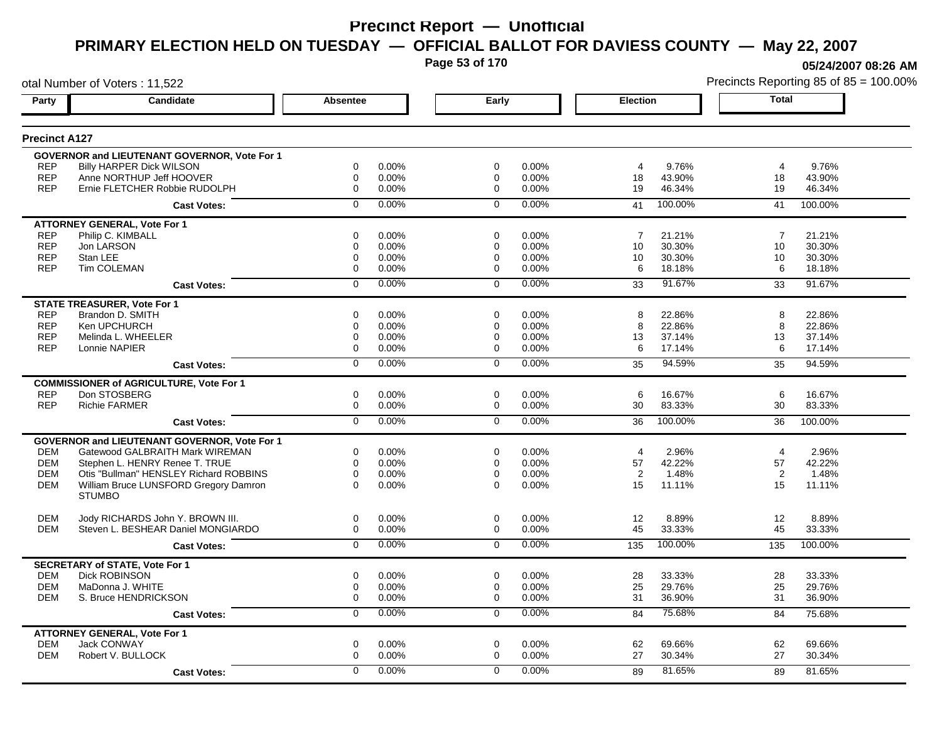**Page 53 of 170**

otal Number of Voters : 11,522

**05/24/2007 08:26 AM**

| Party                    | <b>Candidate</b>                                          | <b>Absentee</b>                    | Early                      |                | <b>Election</b>              | <b>Total</b>   |                  |
|--------------------------|-----------------------------------------------------------|------------------------------------|----------------------------|----------------|------------------------------|----------------|------------------|
| <b>Precinct A127</b>     |                                                           |                                    |                            |                |                              |                |                  |
|                          | <b>GOVERNOR and LIEUTENANT GOVERNOR, Vote For 1</b>       |                                    |                            |                |                              |                |                  |
| <b>REP</b>               | <b>Billy HARPER Dick WILSON</b>                           | $\Omega$<br>0.00%                  | $\Omega$                   | $0.00\%$       | 9.76%<br>4                   | 4              | 9.76%            |
| <b>REP</b><br><b>REP</b> | Anne NORTHUP Jeff HOOVER<br>Ernie FLETCHER Robbie RUDOLPH | $\mathbf 0$<br>0.00%<br>0<br>0.00% | $\mathbf 0$<br>$\mathbf 0$ | 0.00%<br>0.00% | 43.90%<br>18<br>19<br>46.34% | 18<br>19       | 43.90%<br>46.34% |
|                          | <b>Cast Votes:</b>                                        | 0.00%<br>$\mathbf 0$               | $\Omega$                   | 0.00%          | 100.00%<br>41                | 41             | 100.00%          |
|                          |                                                           |                                    |                            |                |                              |                |                  |
| <b>REP</b>               | <b>ATTORNEY GENERAL, Vote For 1</b><br>Philip C. KIMBALL  | 0<br>0.00%                         | $\Omega$                   | $0.00\%$       | $\overline{7}$<br>21.21%     | $\overline{7}$ | 21.21%           |
| <b>REP</b>               | Jon LARSON                                                | 0<br>0.00%                         | $\mathbf 0$                | 0.00%          | 10<br>30.30%                 | 10             | 30.30%           |
| <b>REP</b>               | Stan LEE                                                  | 0<br>0.00%                         | $\Omega$                   | $0.00\%$       | 30.30%<br>10                 | 10             | 30.30%           |
| <b>REP</b>               | Tim COLEMAN                                               | 0<br>0.00%                         | $\mathbf 0$                | 0.00%          | 6<br>18.18%                  | 6              | 18.18%           |
|                          | <b>Cast Votes:</b>                                        | 0.00%<br>$\mathbf 0$               | $\mathbf 0$                | 0.00%          | 91.67%<br>33                 | 33             | 91.67%           |
|                          | <b>STATE TREASURER, Vote For 1</b>                        |                                    |                            |                |                              |                |                  |
| <b>REP</b>               | Brandon D. SMITH                                          | 0<br>0.00%                         | $\mathbf 0$                | 0.00%          | 8<br>22.86%                  | 8              | 22.86%           |
| <b>REP</b>               | Ken UPCHURCH                                              | 0.00%<br>0                         | 0                          | 0.00%          | 8<br>22.86%                  | 8              | 22.86%           |
| <b>REP</b>               | Melinda L. WHEELER                                        | 0<br>0.00%                         | $\mathbf 0$                | 0.00%          | 13<br>37.14%                 | 13             | 37.14%           |
| <b>REP</b>               | Lonnie NAPIER                                             | 0.00%<br>0                         | $\Omega$                   | $0.00\%$       | 17.14%<br>6                  | 6              | 17.14%           |
|                          | <b>Cast Votes:</b>                                        | 0.00%<br>$\overline{0}$            | $\overline{0}$             | 0.00%          | 94.59%<br>35                 | 35             | 94.59%           |
|                          | <b>COMMISSIONER of AGRICULTURE, Vote For 1</b>            |                                    |                            |                |                              |                |                  |
| <b>REP</b>               | Don STOSBERG                                              | $\mathbf 0$<br>0.00%               | $\mathbf 0$                | 0.00%          | 16.67%<br>6                  | 6              | 16.67%           |
| <b>REP</b>               | <b>Richie FARMER</b>                                      | 0<br>0.00%                         | $\mathbf 0$                | 0.00%          | 30<br>83.33%                 | 30             | 83.33%           |
|                          | <b>Cast Votes:</b>                                        | 0.00%<br>$\overline{0}$            | $\overline{0}$             | 0.00%          | 100.00%<br>36                | 36             | 100.00%          |
|                          | <b>GOVERNOR and LIEUTENANT GOVERNOR, Vote For 1</b>       |                                    |                            |                |                              |                |                  |
| <b>DEM</b>               | Gatewood GALBRAITH Mark WIREMAN                           | $\Omega$<br>0.00%                  | $\Omega$                   | $0.00\%$       | 2.96%<br>4                   | $\overline{4}$ | 2.96%            |
| <b>DEM</b>               | Stephen L. HENRY Renee T. TRUE                            | $\mathbf 0$<br>0.00%               | $\mathbf 0$                | 0.00%          | 42.22%<br>57                 | 57             | 42.22%           |
| <b>DEM</b>               | Otis "Bullman" HENSLEY Richard ROBBINS                    | 0<br>$0.00\%$                      | $\Omega$                   | 0.00%          | 2<br>1.48%                   | 2              | 1.48%            |
| <b>DEM</b>               | William Bruce LUNSFORD Gregory Damron<br><b>STUMBO</b>    | $\Omega$<br>0.00%                  | $\Omega$                   | $0.00\%$       | 15<br>11.11%                 | 15             | 11.11%           |
| <b>DEM</b>               | Jody RICHARDS John Y. BROWN III.                          | 0<br>0.00%                         | $\mathbf 0$                | 0.00%          | 12<br>8.89%                  | 12             | 8.89%            |
| <b>DEM</b>               | Steven L. BESHEAR Daniel MONGIARDO                        | $\Omega$<br>0.00%                  | $\Omega$                   | 0.00%          | 45<br>33.33%                 | 45             | 33.33%           |
|                          | <b>Cast Votes:</b>                                        | 0.00%<br>$\mathbf 0$               | $\Omega$                   | 0.00%          | 100.00%<br>135               | 135            | 100.00%          |
|                          | <b>SECRETARY of STATE, Vote For 1</b>                     |                                    |                            |                |                              |                |                  |
| <b>DEM</b>               | <b>Dick ROBINSON</b>                                      | 0.00%<br>0                         | $\mathbf 0$                | 0.00%          | 28<br>33.33%                 | 28             | 33.33%           |
| <b>DEM</b>               | MaDonna J. WHITE                                          | 0<br>0.00%                         | $\Omega$                   | 0.00%          | 25<br>29.76%                 | 25             | 29.76%           |
| <b>DEM</b>               | S. Bruce HENDRICKSON                                      | $\mathbf 0$<br>0.00%               | $\Omega$                   | 0.00%          | 31<br>36.90%                 | 31             | 36.90%           |
|                          | <b>Cast Votes:</b>                                        | 0<br>0.00%                         | $\mathbf 0$                | 0.00%          | 75.68%<br>84                 | 84             | 75.68%           |
|                          | <b>ATTORNEY GENERAL, Vote For 1</b>                       |                                    |                            |                |                              |                |                  |
| <b>DEM</b>               | Jack CONWAY                                               | 0.00%<br>0                         | 0                          | 0.00%          | 69.66%<br>62                 | 62             | 69.66%           |
| <b>DEM</b>               | Robert V. BULLOCK                                         | $\Omega$<br>0.00%                  | $\Omega$                   | $0.00\%$       | 27<br>30.34%                 | 27             | 30.34%           |
|                          | <b>Cast Votes:</b>                                        | 0.00%<br>$\Omega$                  | $\mathbf 0$                | 0.00%          | 81.65%<br>89                 | 89             | 81.65%           |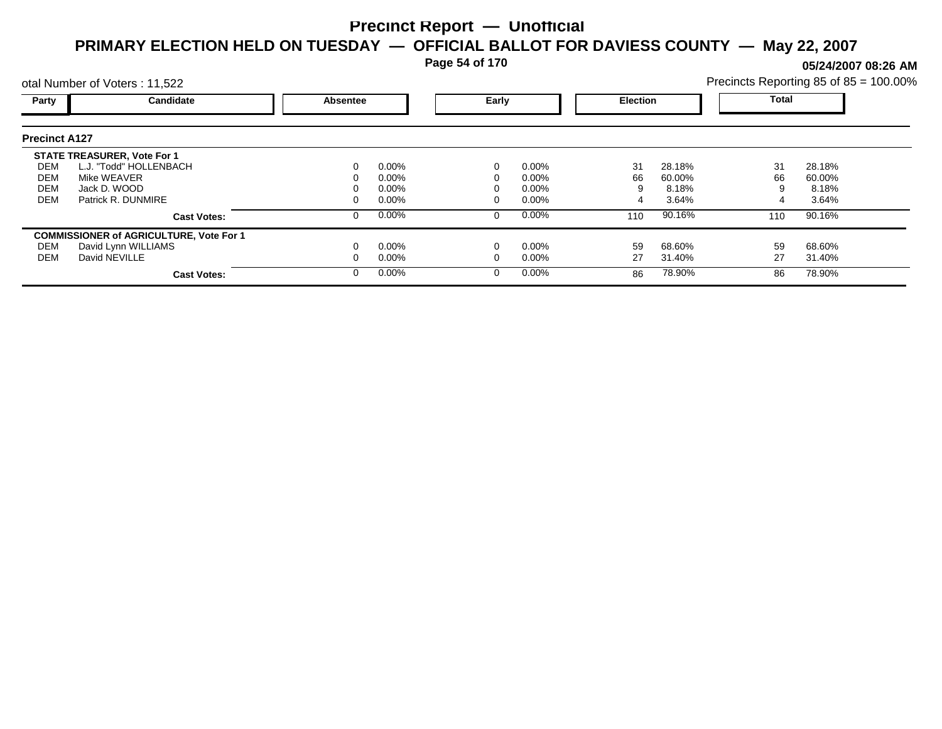**Page 54 of 170**

**05/24/2007 08:26 AM**

|                                        | otal Number of Voters: 11,522                                                                                     |          |                                              |       |                                              |                    | Precincts Reporting 85 of 85 = 100.00% |                |                                    |  |
|----------------------------------------|-------------------------------------------------------------------------------------------------------------------|----------|----------------------------------------------|-------|----------------------------------------------|--------------------|----------------------------------------|----------------|------------------------------------|--|
| Party                                  | Candidate                                                                                                         | Absentee |                                              | Early |                                              | <b>Election</b>    |                                        | Total          |                                    |  |
| <b>Precinct A127</b>                   |                                                                                                                   |          |                                              |       |                                              |                    |                                        |                |                                    |  |
| DEM<br>DEM<br><b>DEM</b><br><b>DEM</b> | <b>STATE TREASURER, Vote For 1</b><br>L.J. "Todd" HOLLENBACH<br>Mike WEAVER<br>Jack D. WOOD<br>Patrick R. DUNMIRE |          | $0.00\%$<br>$0.00\%$<br>$0.00\%$<br>$0.00\%$ |       | $0.00\%$<br>$0.00\%$<br>$0.00\%$<br>$0.00\%$ | 31<br>66<br>9<br>4 | 28.18%<br>60.00%<br>8.18%<br>3.64%     | 31<br>66       | 28.18%<br>60.00%<br>8.18%<br>3.64% |  |
|                                        | <b>Cast Votes:</b>                                                                                                |          | $0.00\%$                                     |       | $0.00\%$                                     | 110                | 90.16%                                 | 110            | 90.16%                             |  |
| DEM<br>DEM                             | <b>COMMISSIONER of AGRICULTURE, Vote For 1</b><br>David Lynn WILLIAMS<br>David NEVILLE<br><b>Cast Votes:</b>      |          | $0.00\%$<br>$0.00\%$<br>$0.00\%$             |       | $0.00\%$<br>$0.00\%$<br>$0.00\%$             | 59<br>27<br>86     | 68.60%<br>31.40%<br>78.90%             | 59<br>27<br>86 | 68.60%<br>31.40%<br>78.90%         |  |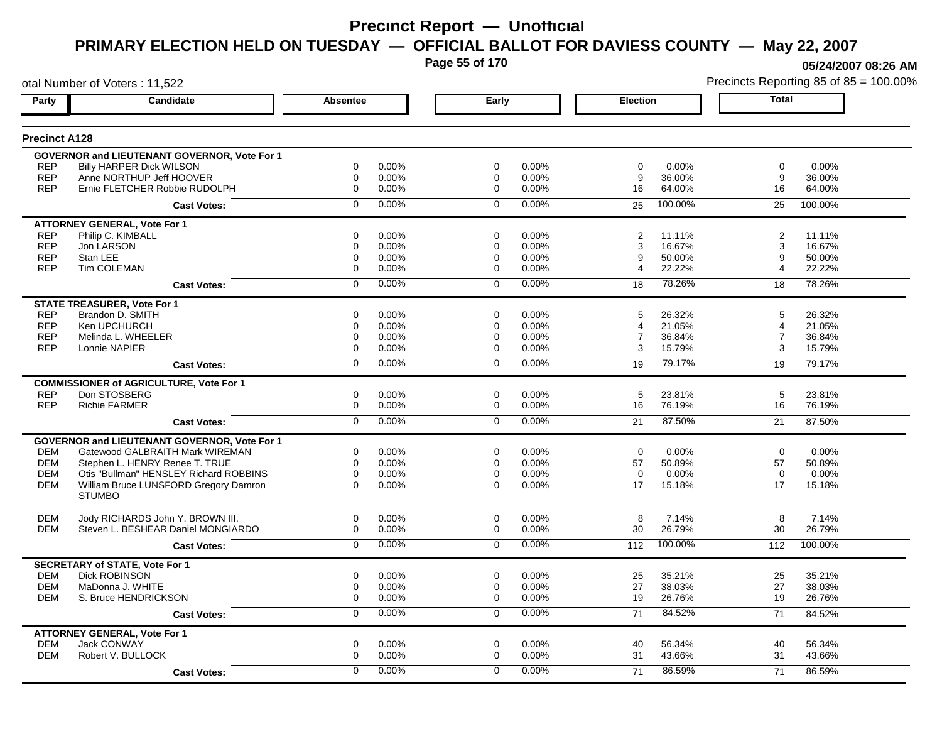**Page 55 of 170**

**05/24/2007 08:26 AM**

|                      | otal Number of Voters: 11,522                       |                 |       |                |       |                 |         |                | Precincts Reporting 85 of 85 = 100.00% |
|----------------------|-----------------------------------------------------|-----------------|-------|----------------|-------|-----------------|---------|----------------|----------------------------------------|
| Party                | Candidate                                           | <b>Absentee</b> |       | Early          |       | <b>Election</b> |         | <b>Total</b>   |                                        |
| <b>Precinct A128</b> |                                                     |                 |       |                |       |                 |         |                |                                        |
|                      | GOVERNOR and LIEUTENANT GOVERNOR, Vote For 1        |                 |       |                |       |                 |         |                |                                        |
| <b>REP</b>           | <b>Billy HARPER Dick WILSON</b>                     | 0               | 0.00% | 0              | 0.00% | $\mathbf 0$     | 0.00%   | $\mathbf 0$    | 0.00%                                  |
| <b>REP</b>           | Anne NORTHUP Jeff HOOVER                            | 0               | 0.00% | 0              | 0.00% | 9               | 36.00%  | 9              | 36.00%                                 |
| <b>REP</b>           | Ernie FLETCHER Robbie RUDOLPH                       | $\mathbf 0$     | 0.00% | $\mathbf 0$    | 0.00% | 16              | 64.00%  | 16             | 64.00%                                 |
|                      | <b>Cast Votes:</b>                                  | $\mathbf 0$     | 0.00% | $\mathbf 0$    | 0.00% | 25              | 100.00% | 25             | 100.00%                                |
|                      | <b>ATTORNEY GENERAL, Vote For 1</b>                 |                 |       |                |       |                 |         |                |                                        |
| <b>REP</b>           | Philip C. KIMBALL                                   | $\mathbf 0$     | 0.00% | $\mathbf 0$    | 0.00% | 2               | 11.11%  | $\overline{2}$ | 11.11%                                 |
| <b>REP</b>           | Jon LARSON                                          | $\mathbf 0$     | 0.00% | 0              | 0.00% | 3               | 16.67%  | 3              | 16.67%                                 |
| <b>REP</b>           | Stan LEE                                            | $\mathbf 0$     | 0.00% | 0              | 0.00% | 9               | 50.00%  | 9              | 50.00%                                 |
| <b>REP</b>           | <b>Tim COLEMAN</b>                                  | $\mathbf 0$     | 0.00% | $\mathbf 0$    | 0.00% | 4               | 22.22%  | 4              | 22.22%                                 |
|                      | <b>Cast Votes:</b>                                  | $\mathbf 0$     | 0.00% | $\mathbf 0$    | 0.00% | 18              | 78.26%  | 18             | 78.26%                                 |
|                      | <b>STATE TREASURER, Vote For 1</b>                  |                 |       |                |       |                 |         |                |                                        |
| <b>REP</b>           | Brandon D. SMITH                                    | $\mathbf 0$     | 0.00% | $\mathbf 0$    | 0.00% | 5               | 26.32%  | 5              | 26.32%                                 |
| <b>REP</b>           | Ken UPCHURCH                                        | $\mathbf 0$     | 0.00% | $\mathbf 0$    | 0.00% | $\overline{4}$  | 21.05%  | 4              | 21.05%                                 |
| <b>REP</b>           | Melinda L. WHEELER                                  | $\mathbf 0$     | 0.00% | $\mathbf 0$    | 0.00% | $\overline{7}$  | 36.84%  | $\overline{7}$ | 36.84%                                 |
| <b>REP</b>           | Lonnie NAPIER                                       | $\Omega$        | 0.00% | $\Omega$       | 0.00% | 3               | 15.79%  | 3              | 15.79%                                 |
|                      | <b>Cast Votes:</b>                                  | $\overline{0}$  | 0.00% | $\overline{0}$ | 0.00% | 19              | 79.17%  | 19             | 79.17%                                 |
|                      | <b>COMMISSIONER of AGRICULTURE, Vote For 1</b>      |                 |       |                |       |                 |         |                |                                        |
| <b>REP</b>           | Don STOSBERG                                        | 0               | 0.00% | $\mathbf 0$    | 0.00% | 5               | 23.81%  | 5              | 23.81%                                 |
| <b>REP</b>           | <b>Richie FARMER</b>                                | 0               | 0.00% | $\mathbf 0$    | 0.00% | 16              | 76.19%  | 16             | 76.19%                                 |
|                      | <b>Cast Votes:</b>                                  | $\overline{0}$  | 0.00% | $\overline{0}$ | 0.00% | 21              | 87.50%  | 21             | 87.50%                                 |
|                      | <b>GOVERNOR and LIEUTENANT GOVERNOR, Vote For 1</b> |                 |       |                |       |                 |         |                |                                        |
| DEM                  | Gatewood GALBRAITH Mark WIREMAN                     | 0               | 0.00% | 0              | 0.00% | $\mathbf 0$     | 0.00%   | $\mathbf 0$    | 0.00%                                  |
| <b>DEM</b>           | Stephen L. HENRY Renee T. TRUE                      | $\mathbf 0$     | 0.00% | 0              | 0.00% | 57              | 50.89%  | 57             | 50.89%                                 |
| <b>DEM</b>           | Otis "Bullman" HENSLEY Richard ROBBINS              | $\mathbf 0$     | 0.00% | 0              | 0.00% | $\mathbf 0$     | 0.00%   | $\mathbf 0$    | 0.00%                                  |
| <b>DEM</b>           | William Bruce LUNSFORD Gregory Damron               | $\Omega$        | 0.00% | $\Omega$       | 0.00% | 17              | 15.18%  | 17             | 15.18%                                 |
|                      | <b>STUMBO</b>                                       |                 |       |                |       |                 |         |                |                                        |
| <b>DEM</b>           | Jody RICHARDS John Y. BROWN III.                    | 0               | 0.00% | $\mathbf 0$    | 0.00% | 8               | 7.14%   | 8              | 7.14%                                  |
| <b>DEM</b>           | Steven L. BESHEAR Daniel MONGIARDO                  | 0               | 0.00% | 0              | 0.00% | 30              | 26.79%  | 30             | 26.79%                                 |
|                      | <b>Cast Votes:</b>                                  | $\mathbf 0$     | 0.00% | $\mathbf 0$    | 0.00% | 112             | 100.00% | 112            | 100.00%                                |
|                      | <b>SECRETARY of STATE, Vote For 1</b>               |                 |       |                |       |                 |         |                |                                        |
| <b>DEM</b>           | <b>Dick ROBINSON</b>                                | 0               | 0.00% | 0              | 0.00% | 25              | 35.21%  | 25             | 35.21%                                 |
| <b>DEM</b>           | MaDonna J. WHITE                                    | 0               | 0.00% | 0              | 0.00% | 27              | 38.03%  | 27             | 38.03%                                 |
| DEM                  | S. Bruce HENDRICKSON                                | $\mathbf 0$     | 0.00% | 0              | 0.00% | 19              | 26.76%  | 19             | 26.76%                                 |
|                      | <b>Cast Votes:</b>                                  | 0               | 0.00% | $\mathbf 0$    | 0.00% | 71              | 84.52%  | 71             | 84.52%                                 |
|                      | <b>ATTORNEY GENERAL, Vote For 1</b>                 |                 |       |                |       |                 |         |                |                                        |
| <b>DEM</b>           | <b>Jack CONWAY</b>                                  | $\mathbf 0$     | 0.00% | $\mathbf 0$    | 0.00% | 40              | 56.34%  | 40             | 56.34%                                 |
| <b>DEM</b>           | Robert V. BULLOCK                                   | $\mathbf 0$     | 0.00% | $\mathbf 0$    | 0.00% | 31              | 43.66%  | 31             | 43.66%                                 |
|                      | <b>Cast Votes:</b>                                  | $\Omega$        | 0.00% | $\Omega$       | 0.00% | 71              | 86.59%  | 71             | 86.59%                                 |
|                      |                                                     |                 |       |                |       |                 |         |                |                                        |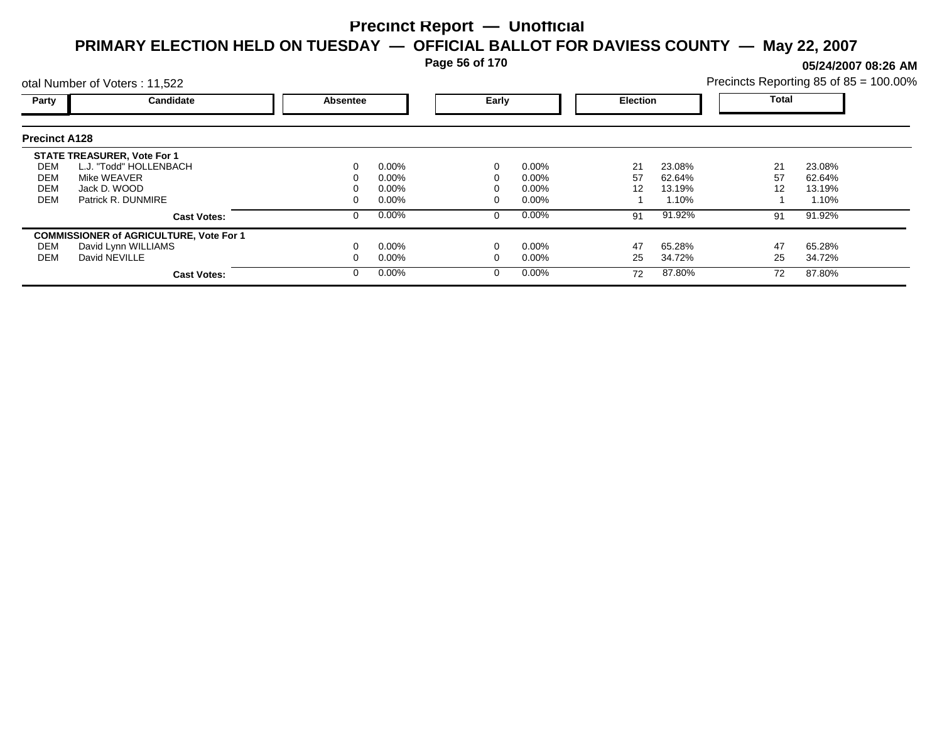**Page 56 of 170**

**05/24/2007 08:26 AM**

| Precincts Reporting 85 of 85 = 100.00% |  |  |
|----------------------------------------|--|--|
|                                        |  |  |

|                      | otal Number of Voters: 11,522                  |          |          |   |                 |    |              | Precincts Reporting 85 of 85 = 100.00% |        |  |
|----------------------|------------------------------------------------|----------|----------|---|-----------------|----|--------------|----------------------------------------|--------|--|
| Party                | Candidate                                      | Absentee | Early    |   | <b>Election</b> |    | <b>Total</b> |                                        |        |  |
| <b>Precinct A128</b> |                                                |          |          |   |                 |    |              |                                        |        |  |
|                      | <b>STATE TREASURER, Vote For 1</b>             |          |          |   |                 |    |              |                                        |        |  |
| DEM                  | L.J. "Todd" HOLLENBACH                         | 0        | $0.00\%$ |   | 0.00%           | 21 | 23.08%       | 21                                     | 23.08% |  |
| DEM                  | Mike WEAVER                                    | 0        | $0.00\%$ |   | $0.00\%$        | 57 | 62.64%       | 57                                     | 62.64% |  |
| DEM                  | Jack D. WOOD                                   |          | $0.00\%$ |   | $0.00\%$        | 12 | 13.19%       | 12                                     | 13.19% |  |
| <b>DEM</b>           | Patrick R. DUNMIRE                             | 0        | $0.00\%$ |   | $0.00\%$        |    | 1.10%        |                                        | 1.10%  |  |
|                      | <b>Cast Votes:</b>                             | 0        | $0.00\%$ | 0 | 0.00%           | 91 | 91.92%       | 91                                     | 91.92% |  |
|                      | <b>COMMISSIONER of AGRICULTURE, Vote For 1</b> |          |          |   |                 |    |              |                                        |        |  |
| DEM                  | David Lynn WILLIAMS                            |          | $0.00\%$ |   | 0.00%           | 47 | 65.28%       | 47                                     | 65.28% |  |
| DEM                  | David NEVILLE                                  |          | $0.00\%$ |   | 0.00%           | 25 | 34.72%       | 25                                     | 34.72% |  |
|                      | <b>Cast Votes:</b>                             | $\Omega$ | $0.00\%$ |   | 0.00%           | 72 | 87.80%       | 72                                     | 87.80% |  |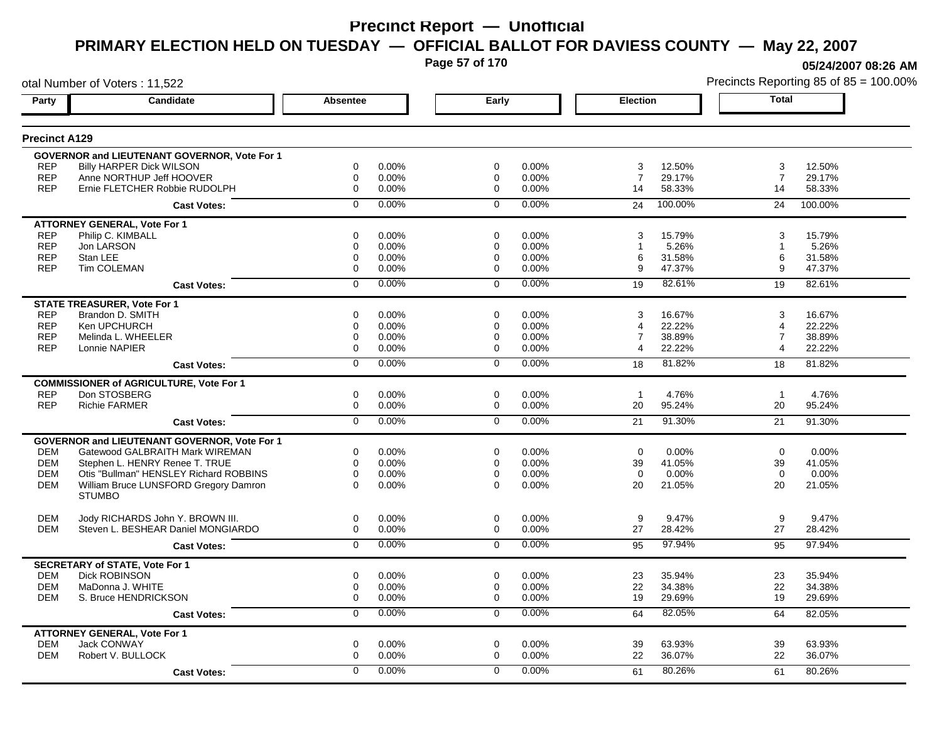**Page 57 of 170**

**05/24/2007 08:26 AM**

|                      | otal Number of Voters: 11,522                       |                  |       |                |          |                 |         |                         | Precincts Reporting 85 of 85 = 100.00% |
|----------------------|-----------------------------------------------------|------------------|-------|----------------|----------|-----------------|---------|-------------------------|----------------------------------------|
| Party                | Candidate                                           | Absentee         |       | Early          |          | <b>Election</b> |         | <b>Total</b>            |                                        |
| <b>Precinct A129</b> |                                                     |                  |       |                |          |                 |         |                         |                                        |
|                      | GOVERNOR and LIEUTENANT GOVERNOR, Vote For 1        |                  |       |                |          |                 |         |                         |                                        |
| <b>REP</b>           | <b>Billy HARPER Dick WILSON</b>                     | 0                | 0.00% | $\mathbf 0$    | 0.00%    | 3               | 12.50%  | 3                       | 12.50%                                 |
| <b>REP</b>           | Anne NORTHUP Jeff HOOVER                            | 0                | 0.00% | 0              | 0.00%    | $\overline{7}$  | 29.17%  | $\overline{7}$          | 29.17%                                 |
| <b>REP</b>           | Ernie FLETCHER Robbie RUDOLPH                       | $\boldsymbol{0}$ | 0.00% | $\Omega$       | 0.00%    | 14              | 58.33%  | 14                      | 58.33%                                 |
|                      | <b>Cast Votes:</b>                                  | $\mathbf 0$      | 0.00% | $\mathbf 0$    | 0.00%    | 24              | 100.00% | 24                      | 100.00%                                |
|                      | <b>ATTORNEY GENERAL, Vote For 1</b>                 |                  |       |                |          |                 |         |                         |                                        |
| <b>REP</b>           | Philip C. KIMBALL                                   | $\mathbf 0$      | 0.00% | $\mathbf 0$    | 0.00%    | 3               | 15.79%  | 3                       | 15.79%                                 |
| <b>REP</b>           | Jon LARSON                                          | 0                | 0.00% | $\mathbf 0$    | 0.00%    |                 | 5.26%   | $\overline{\mathbf{1}}$ | 5.26%                                  |
| <b>REP</b>           | Stan LEE                                            | $\mathbf 0$      | 0.00% | 0              | 0.00%    | 6               | 31.58%  | 6                       | 31.58%                                 |
| <b>REP</b>           | Tim COLEMAN                                         | $\mathbf 0$      | 0.00% | 0              | 0.00%    | 9               | 47.37%  | 9                       | 47.37%                                 |
|                      | <b>Cast Votes:</b>                                  | $\mathbf 0$      | 0.00% | $\Omega$       | 0.00%    | 19              | 82.61%  | 19                      | 82.61%                                 |
|                      | <b>STATE TREASURER, Vote For 1</b>                  |                  |       |                |          |                 |         |                         |                                        |
| <b>REP</b>           | Brandon D. SMITH                                    | 0                | 0.00% | 0              | 0.00%    | 3               | 16.67%  | 3                       | 16.67%                                 |
| <b>REP</b>           | Ken UPCHURCH                                        | 0                | 0.00% | 0              | 0.00%    | 4               | 22.22%  | 4                       | 22.22%                                 |
| <b>REP</b>           | Melinda L. WHEELER                                  | 0                | 0.00% | 0              | 0.00%    | $\overline{7}$  | 38.89%  | $\overline{7}$          | 38.89%                                 |
| <b>REP</b>           | Lonnie NAPIER                                       | $\mathbf 0$      | 0.00% | 0              | 0.00%    | 4               | 22.22%  | 4                       | 22.22%                                 |
|                      | <b>Cast Votes:</b>                                  | $\overline{0}$   | 0.00% | $\Omega$       | 0.00%    | 18              | 81.82%  | 18                      | 81.82%                                 |
|                      | <b>COMMISSIONER of AGRICULTURE, Vote For 1</b>      |                  |       |                |          |                 |         |                         |                                        |
| <b>REP</b>           | Don STOSBERG                                        | 0                | 0.00% | 0              | 0.00%    | $\mathbf{1}$    | 4.76%   | $\overline{1}$          | 4.76%                                  |
| <b>REP</b>           | <b>Richie FARMER</b>                                | $\boldsymbol{0}$ | 0.00% | 0              | 0.00%    | 20              | 95.24%  | 20                      | 95.24%                                 |
|                      | <b>Cast Votes:</b>                                  | $\overline{0}$   | 0.00% | $\overline{0}$ | 0.00%    | 21              | 91.30%  | 21                      | 91.30%                                 |
|                      | <b>GOVERNOR and LIEUTENANT GOVERNOR, Vote For 1</b> |                  |       |                |          |                 |         |                         |                                        |
| <b>DEM</b>           | Gatewood GALBRAITH Mark WIREMAN                     | 0                | 0.00% | $\mathbf 0$    | 0.00%    | $\mathbf 0$     | 0.00%   | $\mathbf 0$             | 0.00%                                  |
| <b>DEM</b>           | Stephen L. HENRY Renee T. TRUE                      | $\mathbf 0$      | 0.00% | $\mathbf 0$    | $0.00\%$ | 39              | 41.05%  | 39                      | 41.05%                                 |
| <b>DEM</b>           | Otis "Bullman" HENSLEY Richard ROBBINS              | $\mathbf 0$      | 0.00% | $\mathbf 0$    | 0.00%    | $\mathbf 0$     | 0.00%   | $\mathbf 0$             | 0.00%                                  |
| <b>DEM</b>           | William Bruce LUNSFORD Gregory Damron               | $\Omega$         | 0.00% | $\Omega$       | $0.00\%$ | 20              | 21.05%  | 20                      | 21.05%                                 |
|                      | <b>STUMBO</b>                                       |                  |       |                |          |                 |         |                         |                                        |
| <b>DEM</b>           | Jody RICHARDS John Y. BROWN III.                    | $\mathbf 0$      | 0.00% | $\mathbf 0$    | 0.00%    | 9               | 9.47%   | 9                       | 9.47%                                  |
| <b>DEM</b>           | Steven L. BESHEAR Daniel MONGIARDO                  | $\mathbf 0$      | 0.00% | $\mathbf 0$    | 0.00%    | 27              | 28.42%  | 27                      | 28.42%                                 |
|                      | <b>Cast Votes:</b>                                  | $\overline{0}$   | 0.00% | $\Omega$       | 0.00%    | 95              | 97.94%  | 95                      | 97.94%                                 |
|                      | <b>SECRETARY of STATE, Vote For 1</b>               |                  |       |                |          |                 |         |                         |                                        |
| <b>DEM</b>           | <b>Dick ROBINSON</b>                                | 0                | 0.00% | 0              | 0.00%    | 23              | 35.94%  | 23                      | 35.94%                                 |
| <b>DEM</b>           | MaDonna J. WHITE                                    | 0                | 0.00% | 0              | 0.00%    | 22              | 34.38%  | 22                      | 34.38%                                 |
| DEM                  | S. Bruce HENDRICKSON                                | $\mathbf 0$      | 0.00% | 0              | 0.00%    | 19              | 29.69%  | 19                      | 29.69%                                 |
|                      | <b>Cast Votes:</b>                                  | 0                | 0.00% | $\mathbf 0$    | 0.00%    | 64              | 82.05%  | 64                      | 82.05%                                 |
|                      | <b>ATTORNEY GENERAL, Vote For 1</b>                 |                  |       |                |          |                 |         |                         |                                        |
| <b>DEM</b>           | Jack CONWAY                                         | 0                | 0.00% | 0              | 0.00%    | 39              | 63.93%  | 39                      | 63.93%                                 |
| <b>DEM</b>           | Robert V. BULLOCK                                   | $\Omega$         | 0.00% | $\Omega$       | 0.00%    | 22              | 36.07%  | 22                      | 36.07%                                 |
|                      | <b>Cast Votes:</b>                                  | 0                | 0.00% | 0              | 0.00%    | 61              | 80.26%  | 61                      | 80.26%                                 |
|                      |                                                     |                  |       |                |          |                 |         |                         |                                        |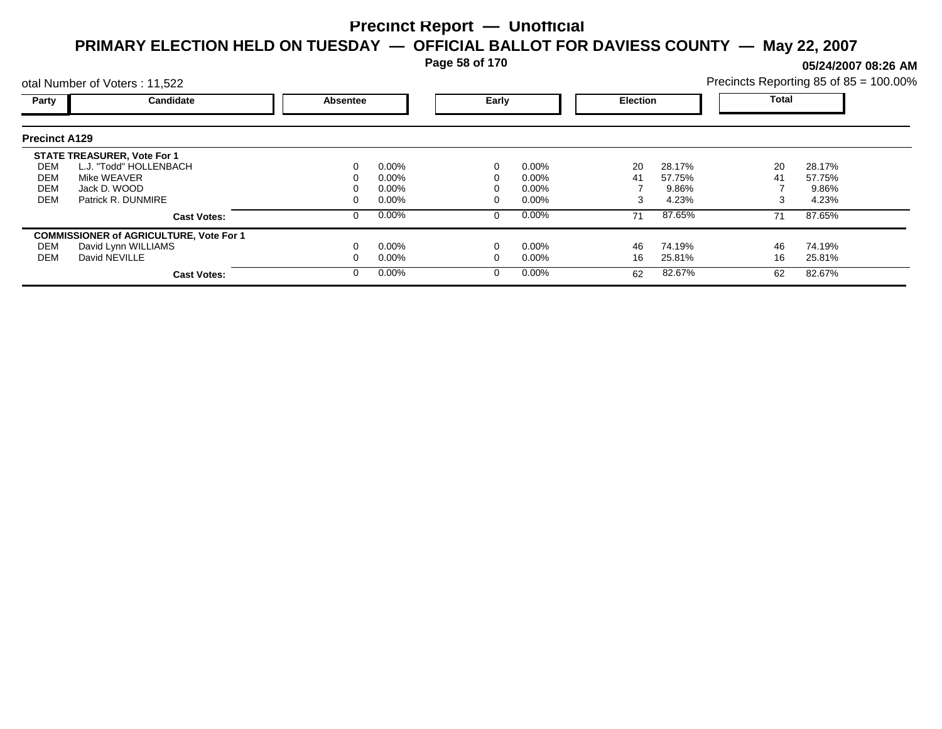**Page 58 of 170**

**05/24/2007 08:26 AM**

| Precincts Reporting 85 of 85 = 100.00% |  |  |
|----------------------------------------|--|--|
|                                        |  |  |

|                      | otal Number of Voters: 11,522                  |                          |          |  |                 | Precincts Reporting 85 of 85 = 100.00% |        |    |        |  |
|----------------------|------------------------------------------------|--------------------------|----------|--|-----------------|----------------------------------------|--------|----|--------|--|
| Party                | Candidate                                      | Early<br><b>Absentee</b> |          |  | <b>Election</b> |                                        | Total  |    |        |  |
| <b>Precinct A129</b> |                                                |                          |          |  |                 |                                        |        |    |        |  |
|                      | <b>STATE TREASURER, Vote For 1</b>             |                          |          |  |                 |                                        |        |    |        |  |
| DEM                  | L.J. "Todd" HOLLENBACH                         | 0                        | 0.00%    |  | $0.00\%$        | 20                                     | 28.17% | 20 | 28.17% |  |
| DEM                  | Mike WEAVER                                    |                          | $0.00\%$ |  | $0.00\%$        | 41                                     | 57.75% | 41 | 57.75% |  |
| DEM                  | Jack D. WOOD                                   |                          | $0.00\%$ |  | $0.00\%$        |                                        | 9.86%  |    | 9.86%  |  |
| <b>DEM</b>           | Patrick R. DUNMIRE                             | 0                        | $0.00\%$ |  | $0.00\%$        | 3                                      | 4.23%  |    | 4.23%  |  |
|                      | <b>Cast Votes:</b>                             | 0                        | 0.00%    |  | $0.00\%$        | 71                                     | 87.65% | 71 | 87.65% |  |
|                      | <b>COMMISSIONER of AGRICULTURE, Vote For 1</b> |                          |          |  |                 |                                        |        |    |        |  |
| DEM                  | David Lynn WILLIAMS                            |                          | $0.00\%$ |  | $0.00\%$        | 46                                     | 74.19% | 46 | 74.19% |  |
| DEM                  | David NEVILLE                                  | 0                        | $0.00\%$ |  | $0.00\%$        | 16                                     | 25.81% | 16 | 25.81% |  |
|                      | <b>Cast Votes:</b>                             | $\Omega$                 | 0.00%    |  | $0.00\%$        | 62                                     | 82.67% | 62 | 82.67% |  |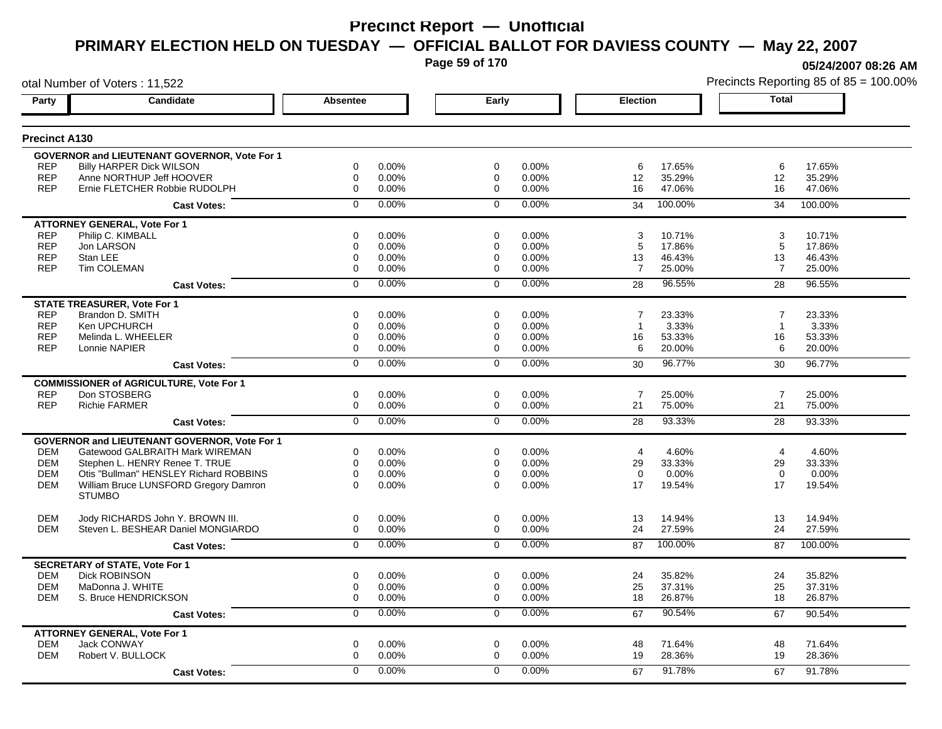**Page 59 of 170**

**05/24/2007 08:26 AM**

|                      | otal Number of Voters: 11,522                             |                 |          |                |       |                 |         |                | Precincts Reporting 85 of 85 = 100.00% |
|----------------------|-----------------------------------------------------------|-----------------|----------|----------------|-------|-----------------|---------|----------------|----------------------------------------|
| Party                | Candidate                                                 | <b>Absentee</b> |          | Early          |       | <b>Election</b> |         | <b>Total</b>   |                                        |
| <b>Precinct A130</b> |                                                           |                 |          |                |       |                 |         |                |                                        |
|                      | <b>GOVERNOR and LIEUTENANT GOVERNOR, Vote For 1</b>       |                 |          |                |       |                 |         |                |                                        |
| <b>REP</b>           | <b>Billy HARPER Dick WILSON</b>                           | 0               | 0.00%    | 0              | 0.00% | 6               | 17.65%  | 6              | 17.65%                                 |
| <b>REP</b>           | Anne NORTHUP Jeff HOOVER                                  | 0               | 0.00%    | 0              | 0.00% | 12              | 35.29%  | 12             | 35.29%                                 |
| <b>REP</b>           | Ernie FLETCHER Robbie RUDOLPH                             | 0               | 0.00%    | 0              | 0.00% | 16              | 47.06%  | 16             | 47.06%                                 |
|                      | <b>Cast Votes:</b>                                        | $\Omega$        | 0.00%    | $\Omega$       | 0.00% | 34              | 100.00% | 34             | 100.00%                                |
|                      | <b>ATTORNEY GENERAL, Vote For 1</b>                       |                 |          |                |       |                 |         |                |                                        |
| <b>REP</b>           | Philip C. KIMBALL                                         | 0               | 0.00%    | 0              | 0.00% | 3               | 10.71%  | 3              | 10.71%                                 |
| <b>REP</b>           | Jon LARSON                                                | 0               | 0.00%    | 0              | 0.00% | 5               | 17.86%  | 5              | 17.86%                                 |
| <b>REP</b>           | Stan LEE                                                  | 0               | 0.00%    | 0              | 0.00% | 13              | 46.43%  | 13             | 46.43%                                 |
| <b>REP</b>           | Tim COLEMAN                                               | 0               | 0.00%    | 0              | 0.00% | $\overline{7}$  | 25.00%  | $\overline{7}$ | 25.00%                                 |
|                      | <b>Cast Votes:</b>                                        | 0               | 0.00%    | $\Omega$       | 0.00% | 28              | 96.55%  | 28             | 96.55%                                 |
|                      | <b>STATE TREASURER, Vote For 1</b>                        |                 |          |                |       |                 |         |                |                                        |
| <b>REP</b>           | Brandon D. SMITH                                          | $\Omega$        | 0.00%    | $\Omega$       | 0.00% | $\overline{7}$  | 23.33%  | $\overline{7}$ | 23.33%                                 |
| <b>REP</b>           | Ken UPCHURCH                                              | 0               | 0.00%    | 0              | 0.00% | $\overline{1}$  | 3.33%   | $\overline{1}$ | 3.33%                                  |
| <b>REP</b>           | Melinda L. WHEELER                                        | 0               | 0.00%    | 0              | 0.00% | 16              | 53.33%  | 16             | 53.33%                                 |
| <b>REP</b>           | Lonnie NAPIER                                             | 0               | 0.00%    | 0              | 0.00% | 6               | 20.00%  | 6              | 20.00%                                 |
|                      | <b>Cast Votes:</b>                                        | $\overline{0}$  | 0.00%    | $\overline{0}$ | 0.00% | 30              | 96.77%  | 30             | 96.77%                                 |
|                      | <b>COMMISSIONER of AGRICULTURE, Vote For 1</b>            |                 |          |                |       |                 |         |                |                                        |
| <b>REP</b>           | Don STOSBERG                                              | 0               | 0.00%    | 0              | 0.00% | $\overline{7}$  | 25.00%  | $\overline{7}$ | 25.00%                                 |
| <b>REP</b>           | <b>Richie FARMER</b>                                      | 0               | 0.00%    | $\mathbf 0$    | 0.00% | 21              | 75.00%  | 21             | 75.00%                                 |
|                      | <b>Cast Votes:</b>                                        | $\overline{0}$  | 0.00%    | $\overline{0}$ | 0.00% | 28              | 93.33%  | 28             | 93.33%                                 |
|                      | <b>GOVERNOR and LIEUTENANT GOVERNOR, Vote For 1</b>       |                 |          |                |       |                 |         |                |                                        |
| <b>DEM</b>           | Gatewood GALBRAITH Mark WIREMAN                           | 0               | 0.00%    | 0              | 0.00% | $\overline{4}$  | 4.60%   | $\overline{4}$ | 4.60%                                  |
| <b>DEM</b>           | Stephen L. HENRY Renee T. TRUE                            | $\Omega$        | 0.00%    | $\Omega$       | 0.00% | 29              | 33.33%  | 29             | 33.33%                                 |
| <b>DEM</b>           | Otis "Bullman" HENSLEY Richard ROBBINS                    | 0               | 0.00%    | $\mathbf 0$    | 0.00% | $\Omega$        | 0.00%   | $\Omega$       | 0.00%                                  |
| <b>DEM</b>           | William Bruce LUNSFORD Gregory Damron                     | $\Omega$        | 0.00%    | $\Omega$       | 0.00% | 17              | 19.54%  | 17             | 19.54%                                 |
|                      | <b>STUMBO</b>                                             |                 |          |                |       |                 |         |                |                                        |
| <b>DEM</b>           | Jody RICHARDS John Y. BROWN III.                          | 0               | 0.00%    | $\mathbf 0$    | 0.00% | 13              | 14.94%  | 13             | 14.94%                                 |
| <b>DEM</b>           | Steven L. BESHEAR Daniel MONGIARDO                        | 0               | 0.00%    | 0              | 0.00% | 24              | 27.59%  | 24             | 27.59%                                 |
|                      | <b>Cast Votes:</b>                                        | $\overline{0}$  | 0.00%    | $\mathbf 0$    | 0.00% | 87              | 100.00% | 87             | 100.00%                                |
|                      | <b>SECRETARY of STATE, Vote For 1</b>                     |                 |          |                |       |                 |         |                |                                        |
| <b>DEM</b>           | <b>Dick ROBINSON</b>                                      | 0               | 0.00%    | 0              | 0.00% | 24              | 35.82%  | 24             | 35.82%                                 |
| <b>DEM</b>           | MaDonna J. WHITE                                          | 0               | 0.00%    | 0              | 0.00% | 25              | 37.31%  | 25             | 37.31%                                 |
| <b>DEM</b>           | S. Bruce HENDRICKSON                                      | 0               | 0.00%    | $\mathbf 0$    | 0.00% | 18              | 26.87%  | 18             | 26.87%                                 |
|                      | <b>Cast Votes:</b>                                        | 0               | 0.00%    | 0              | 0.00% | 67              | 90.54%  | 67             | 90.54%                                 |
|                      |                                                           |                 |          |                |       |                 |         |                |                                        |
| <b>DEM</b>           | <b>ATTORNEY GENERAL, Vote For 1</b><br><b>Jack CONWAY</b> | 0               | 0.00%    | $\mathbf 0$    | 0.00% | 48              | 71.64%  | 48             | 71.64%                                 |
| <b>DEM</b>           | Robert V. BULLOCK                                         | 0               | 0.00%    | $\Omega$       | 0.00% | 19              | 28.36%  | 19             | 28.36%                                 |
|                      | <b>Cast Votes:</b>                                        | 0               | $0.00\%$ | $\Omega$       | 0.00% | 67              | 91.78%  | 67             | 91.78%                                 |
|                      |                                                           |                 |          |                |       |                 |         |                |                                        |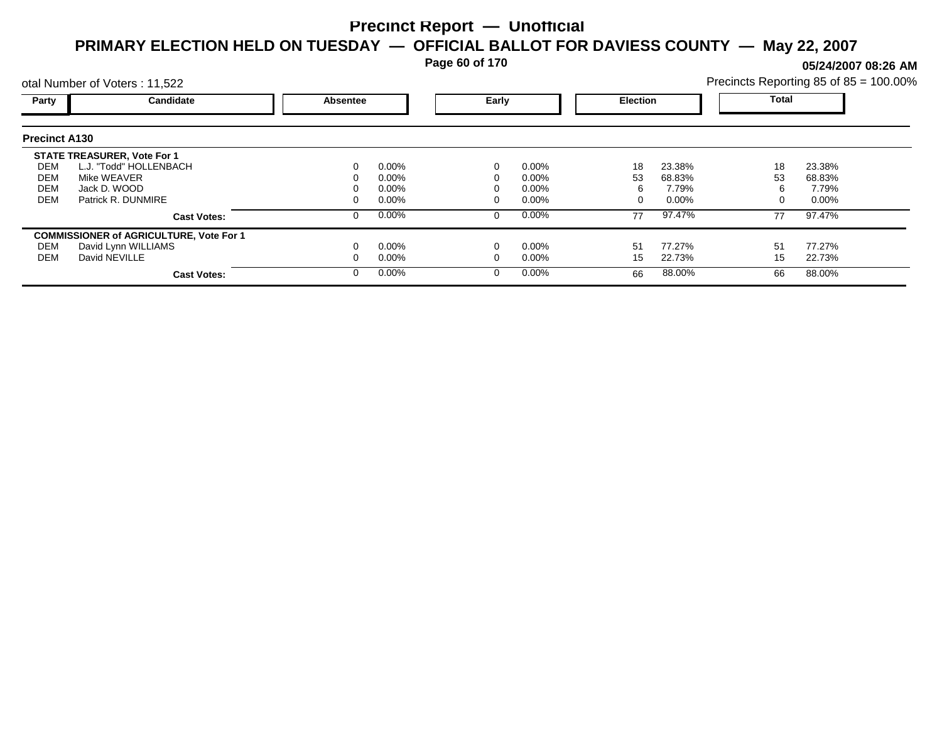**Page 60 of 170**

**05/24/2007 08:26 AM**

|                      | otal Number of Voters: 11,522                  |                 |          |       |          |                 |          | Precincts Reporting 85 of 85 = 100.00% |          |  |
|----------------------|------------------------------------------------|-----------------|----------|-------|----------|-----------------|----------|----------------------------------------|----------|--|
| Party                | Candidate                                      | <b>Absentee</b> |          | Early |          | <b>Election</b> |          | <b>Total</b>                           |          |  |
| <b>Precinct A130</b> |                                                |                 |          |       |          |                 |          |                                        |          |  |
|                      | <b>STATE TREASURER, Vote For 1</b>             |                 |          |       |          |                 |          |                                        |          |  |
| DEM                  | L.J. "Todd" HOLLENBACH                         | 0               | $0.00\%$ |       | 0.00%    | 18              | 23.38%   | 18                                     | 23.38%   |  |
| DEM                  | Mike WEAVER                                    |                 | $0.00\%$ |       | $0.00\%$ | 53              | 68.83%   | 53                                     | 68.83%   |  |
| <b>DEM</b>           | Jack D. WOOD                                   |                 | $0.00\%$ |       | $0.00\%$ |                 | 7.79%    |                                        | 7.79%    |  |
| <b>DEM</b>           | Patrick R. DUNMIRE                             |                 | $0.00\%$ |       | $0.00\%$ |                 | $0.00\%$ |                                        | $0.00\%$ |  |
|                      | <b>Cast Votes:</b>                             | 0               | $0.00\%$ |       | 0.00%    | 77              | 97.47%   | 77                                     | 97.47%   |  |
|                      | <b>COMMISSIONER of AGRICULTURE, Vote For 1</b> |                 |          |       |          |                 |          |                                        |          |  |
| DEM                  | David Lynn WILLIAMS                            |                 | $0.00\%$ |       | 0.00%    | 51              | 77.27%   | 51                                     | 77.27%   |  |
| DEM                  | David NEVILLE                                  |                 | $0.00\%$ |       | $0.00\%$ | 15              | 22.73%   | 15                                     | 22.73%   |  |
|                      | <b>Cast Votes:</b>                             | 0               | $0.00\%$ |       | 0.00%    | 66              | 88.00%   | 66                                     | 88.00%   |  |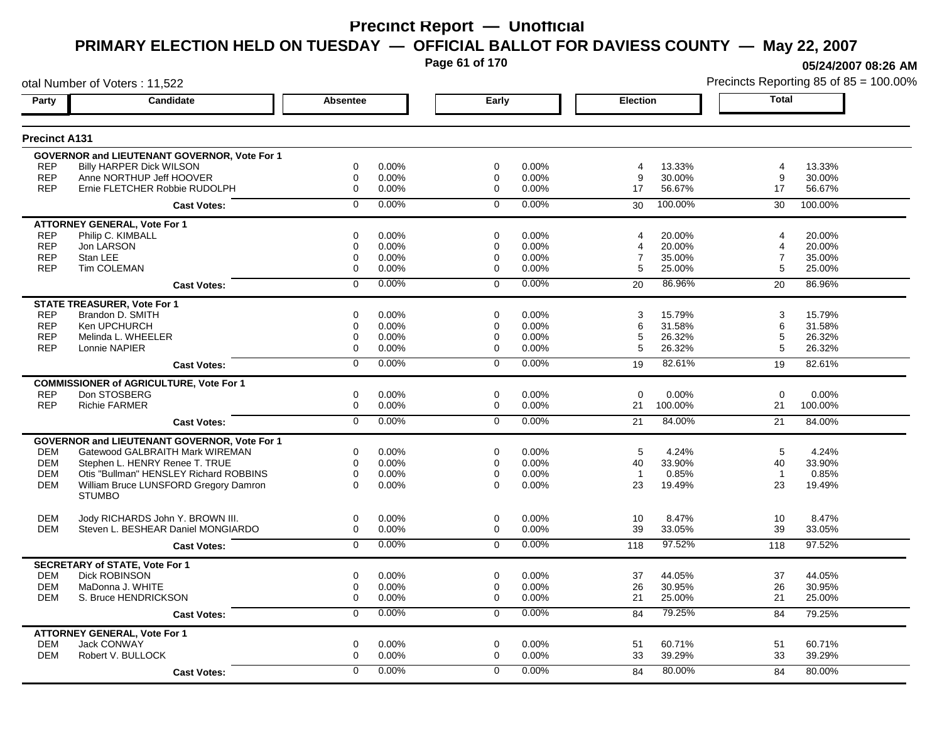**Page 61 of 170**

**05/24/2007 08:26 AM**

|                      | otal Number of Voters: 11,522                          |                 |          |                |       |                         |         |                | Precincts Reporting 85 of 85 = 100.00% |
|----------------------|--------------------------------------------------------|-----------------|----------|----------------|-------|-------------------------|---------|----------------|----------------------------------------|
| Party                | Candidate                                              | <b>Absentee</b> |          | Early          |       | Election                |         | <b>Total</b>   |                                        |
| <b>Precinct A131</b> |                                                        |                 |          |                |       |                         |         |                |                                        |
|                      | GOVERNOR and LIEUTENANT GOVERNOR, Vote For 1           |                 |          |                |       |                         |         |                |                                        |
| <b>REP</b>           | <b>Billy HARPER Dick WILSON</b>                        | 0               | 0.00%    | $\mathbf 0$    | 0.00% | 4                       | 13.33%  | 4              | 13.33%                                 |
| <b>REP</b>           | Anne NORTHUP Jeff HOOVER                               | 0               | 0.00%    | $\mathbf 0$    | 0.00% | 9                       | 30.00%  | 9              | 30.00%                                 |
| <b>REP</b>           | Ernie FLETCHER Robbie RUDOLPH                          | $\mathbf 0$     | 0.00%    | $\mathbf 0$    | 0.00% | 17                      | 56.67%  | 17             | 56.67%                                 |
|                      | <b>Cast Votes:</b>                                     | $\Omega$        | 0.00%    | $\Omega$       | 0.00% | 30                      | 100.00% | 30             | 100.00%                                |
|                      | <b>ATTORNEY GENERAL, Vote For 1</b>                    |                 |          |                |       |                         |         |                |                                        |
| <b>REP</b>           | Philip C. KIMBALL                                      | $\mathbf 0$     | 0.00%    | $\mathbf 0$    | 0.00% | $\overline{\mathbf{4}}$ | 20.00%  | $\overline{4}$ | 20.00%                                 |
| <b>REP</b>           | Jon LARSON                                             | $\mathbf 0$     | 0.00%    | $\mathbf 0$    | 0.00% | 4                       | 20.00%  | 4              | 20.00%                                 |
| <b>REP</b>           | Stan LEE                                               | $\mathbf 0$     | 0.00%    | $\mathbf 0$    | 0.00% | $\overline{7}$          | 35.00%  | $\overline{7}$ | 35.00%                                 |
| <b>REP</b>           | <b>Tim COLEMAN</b>                                     | $\mathbf 0$     | 0.00%    | $\mathbf 0$    | 0.00% | 5                       | 25.00%  | 5              | 25.00%                                 |
|                      | <b>Cast Votes:</b>                                     | $\mathbf 0$     | 0.00%    | $\mathbf 0$    | 0.00% | 20                      | 86.96%  | 20             | 86.96%                                 |
|                      | <b>STATE TREASURER, Vote For 1</b>                     |                 |          |                |       |                         |         |                |                                        |
| <b>REP</b>           | Brandon D. SMITH                                       | $\mathbf 0$     | 0.00%    | $\mathbf 0$    | 0.00% | 3                       | 15.79%  | 3              | 15.79%                                 |
| <b>REP</b>           | Ken UPCHURCH                                           | $\mathbf 0$     | 0.00%    | $\mathbf 0$    | 0.00% | 6                       | 31.58%  | 6              | 31.58%                                 |
| <b>REP</b>           | Melinda L. WHEELER                                     | $\mathbf 0$     | 0.00%    | $\mathbf 0$    | 0.00% | 5                       | 26.32%  | 5              | 26.32%                                 |
| <b>REP</b>           | Lonnie NAPIER                                          | $\mathbf 0$     | 0.00%    | $\Omega$       | 0.00% | 5                       | 26.32%  | 5              | 26.32%                                 |
|                      | <b>Cast Votes:</b>                                     | $\mathbf 0$     | 0.00%    | $\mathbf 0$    | 0.00% | 19                      | 82.61%  | 19             | 82.61%                                 |
|                      | <b>COMMISSIONER of AGRICULTURE, Vote For 1</b>         |                 |          |                |       |                         |         |                |                                        |
| <b>REP</b>           | Don STOSBERG                                           | $\mathbf 0$     | 0.00%    | $\mathbf 0$    | 0.00% | $\Omega$                | 0.00%   | $\Omega$       | 0.00%                                  |
| <b>REP</b>           | <b>Richie FARMER</b>                                   | $\mathbf 0$     | 0.00%    | $\mathbf 0$    | 0.00% | 21                      | 100.00% | 21             | 100.00%                                |
|                      | <b>Cast Votes:</b>                                     | $\overline{0}$  | 0.00%    | $\overline{0}$ | 0.00% | 21                      | 84.00%  | 21             | 84.00%                                 |
|                      | GOVERNOR and LIEUTENANT GOVERNOR, Vote For 1           |                 |          |                |       |                         |         |                |                                        |
| <b>DEM</b>           | Gatewood GALBRAITH Mark WIREMAN                        | 0               | 0.00%    | $\mathbf 0$    | 0.00% | 5                       | 4.24%   | 5              | 4.24%                                  |
| <b>DEM</b>           | Stephen L. HENRY Renee T. TRUE                         | $\mathbf 0$     | 0.00%    | $\mathbf 0$    | 0.00% | 40                      | 33.90%  | 40             | 33.90%                                 |
| <b>DEM</b>           | Otis "Bullman" HENSLEY Richard ROBBINS                 | $\mathbf 0$     | 0.00%    | $\mathbf 0$    | 0.00% | $\overline{1}$          | 0.85%   | $\overline{1}$ | 0.85%                                  |
| DEM                  | William Bruce LUNSFORD Gregory Damron<br><b>STUMBO</b> | $\mathbf 0$     | 0.00%    | $\mathbf 0$    | 0.00% | 23                      | 19.49%  | 23             | 19.49%                                 |
|                      |                                                        |                 |          |                |       |                         |         |                |                                        |
| <b>DEM</b>           | Jody RICHARDS John Y. BROWN III.                       | 0               | 0.00%    | 0              | 0.00% | 10                      | 8.47%   | 10             | 8.47%                                  |
| <b>DEM</b>           | Steven L. BESHEAR Daniel MONGIARDO                     | 0               | 0.00%    | $\mathbf 0$    | 0.00% | 39                      | 33.05%  | 39             | 33.05%                                 |
|                      | <b>Cast Votes:</b>                                     | $\mathbf 0$     | 0.00%    | $\mathbf 0$    | 0.00% | 118                     | 97.52%  | 118            | 97.52%                                 |
|                      | <b>SECRETARY of STATE, Vote For 1</b>                  |                 |          |                |       |                         |         |                |                                        |
| <b>DEM</b>           | <b>Dick ROBINSON</b>                                   | 0               | 0.00%    | 0              | 0.00% | 37                      | 44.05%  | 37             | 44.05%                                 |
| <b>DEM</b>           | MaDonna J. WHITE                                       | 0               | 0.00%    | 0              | 0.00% | 26                      | 30.95%  | 26             | 30.95%                                 |
| <b>DEM</b>           | S. Bruce HENDRICKSON                                   | 0               | 0.00%    | $\mathbf 0$    | 0.00% | 21                      | 25.00%  | 21             | 25.00%                                 |
|                      | <b>Cast Votes:</b>                                     | $\overline{0}$  | 0.00%    | $\overline{0}$ | 0.00% | 84                      | 79.25%  | 84             | 79.25%                                 |
|                      | <b>ATTORNEY GENERAL, Vote For 1</b>                    |                 |          |                |       |                         |         |                |                                        |
| <b>DEM</b>           | Jack CONWAY                                            | 0               | 0.00%    | 0              | 0.00% | 51                      | 60.71%  | 51             | 60.71%                                 |
| <b>DEM</b>           | Robert V. BULLOCK                                      | 0               | 0.00%    | $\mathbf 0$    | 0.00% | 33                      | 39.29%  | 33             | 39.29%                                 |
|                      | <b>Cast Votes:</b>                                     | $\Omega$        | $0.00\%$ | $\Omega$       | 0.00% | 84                      | 80.00%  | 84             | 80.00%                                 |
|                      |                                                        |                 |          |                |       |                         |         |                |                                        |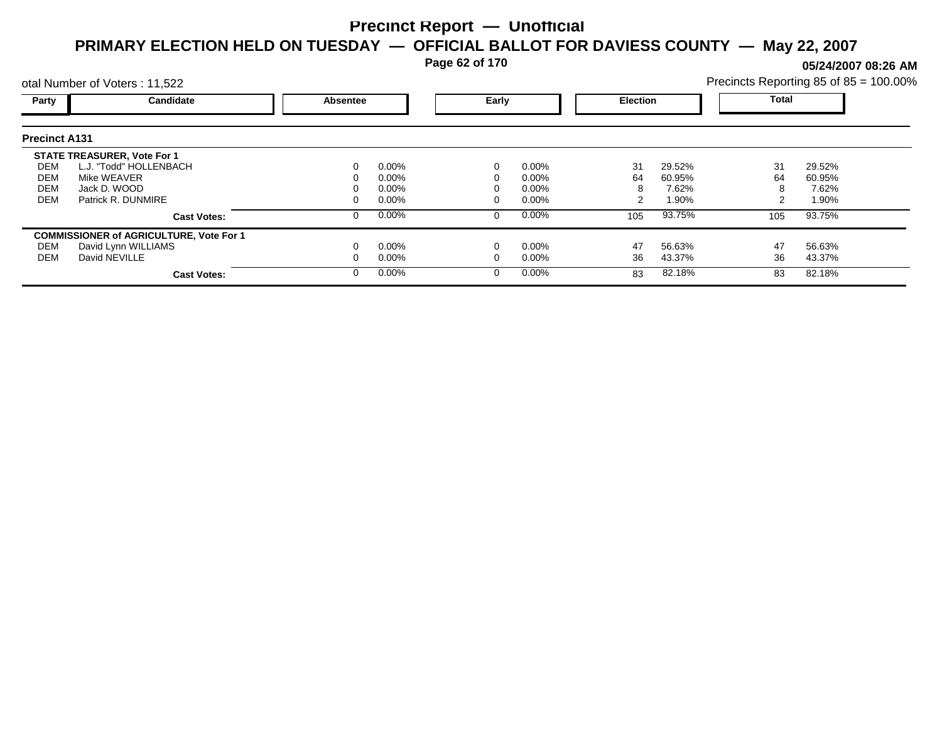**Page 62 of 170**

**05/24/2007 08:26 AM**

|                      | otal Number of Voters: 11,522                  |          |          |       |          |                 |        | Precincts Reporting 85 of 85 = 100.00% |        |  |
|----------------------|------------------------------------------------|----------|----------|-------|----------|-----------------|--------|----------------------------------------|--------|--|
| Party                | Candidate                                      | Absentee |          | Early |          | <b>Election</b> |        | <b>Total</b>                           |        |  |
| <b>Precinct A131</b> |                                                |          |          |       |          |                 |        |                                        |        |  |
|                      | <b>STATE TREASURER, Vote For 1</b>             |          |          |       |          |                 |        |                                        |        |  |
| DEM                  | L.J. "Todd" HOLLENBACH                         |          | $0.00\%$ |       | $0.00\%$ | 31              | 29.52% | 31                                     | 29.52% |  |
| DEM                  | Mike WEAVER                                    |          | 0.00%    |       | 0.00%    | 64              | 60.95% | 64                                     | 60.95% |  |
| <b>DEM</b>           | Jack D. WOOD                                   |          | 0.00%    |       | 0.00%    | 8               | 7.62%  | 8                                      | 7.62%  |  |
| <b>DEM</b>           | Patrick R. DUNMIRE                             |          | $0.00\%$ |       | 0.00%    |                 | 1.90%  | 2                                      | 1.90%  |  |
|                      | <b>Cast Votes:</b>                             |          | $0.00\%$ | 0     | $0.00\%$ | 105             | 93.75% | 105                                    | 93.75% |  |
|                      | <b>COMMISSIONER of AGRICULTURE, Vote For 1</b> |          |          |       |          |                 |        |                                        |        |  |
| DEM                  | David Lynn WILLIAMS                            |          | $0.00\%$ |       | 0.00%    | 47              | 56.63% | 47                                     | 56.63% |  |
| DEM                  | David NEVILLE                                  |          | $0.00\%$ |       | 0.00%    | 36              | 43.37% | 36                                     | 43.37% |  |
|                      | <b>Cast Votes:</b>                             |          | $0.00\%$ | 0     | $0.00\%$ | 83              | 82.18% | 83                                     | 82.18% |  |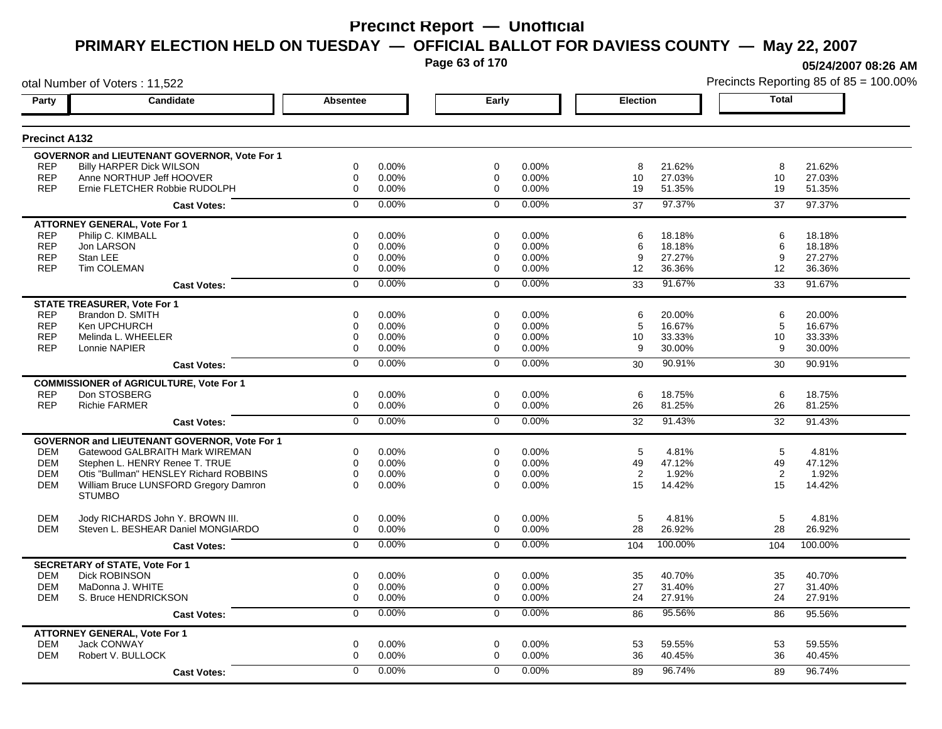**Page 63 of 170**

**05/24/2007 08:26 AM**

|                          | otal Number of Voters: 11,522                          |                            |       |                            |       |                 |         |              | Precincts Reporting 85 of 85 = 100.009 |
|--------------------------|--------------------------------------------------------|----------------------------|-------|----------------------------|-------|-----------------|---------|--------------|----------------------------------------|
| Party                    | Candidate                                              | Absentee                   |       | Early                      |       | <b>Election</b> |         | <b>Total</b> |                                        |
| <b>Precinct A132</b>     |                                                        |                            |       |                            |       |                 |         |              |                                        |
|                          | GOVERNOR and LIEUTENANT GOVERNOR, Vote For 1           |                            |       |                            |       |                 |         |              |                                        |
| <b>REP</b>               | <b>Billy HARPER Dick WILSON</b>                        | 0                          | 0.00% | $\mathbf 0$                | 0.00% | 8               | 21.62%  | 8            | 21.62%                                 |
| <b>REP</b>               | Anne NORTHUP Jeff HOOVER                               | 0                          | 0.00% | $\mathbf 0$                | 0.00% | 10              | 27.03%  | 10           | 27.03%                                 |
| <b>REP</b>               | Ernie FLETCHER Robbie RUDOLPH                          | $\Omega$                   | 0.00% | $\Omega$                   | 0.00% | 19              | 51.35%  | 19           | 51.35%                                 |
|                          | <b>Cast Votes:</b>                                     | $\mathbf 0$                | 0.00% | $\mathbf 0$                | 0.00% | 37              | 97.37%  | 37           | 97.37%                                 |
|                          | <b>ATTORNEY GENERAL, Vote For 1</b>                    |                            |       |                            |       |                 |         |              |                                        |
| <b>REP</b>               | Philip C. KIMBALL                                      | $\mathbf 0$                | 0.00% | $\mathbf 0$                | 0.00% | 6               | 18.18%  | 6            | 18.18%                                 |
| <b>REP</b>               | Jon LARSON                                             | $\mathbf 0$                | 0.00% | $\mathbf 0$                | 0.00% | 6               | 18.18%  | 6            | 18.18%                                 |
| <b>REP</b><br><b>REP</b> | Stan LEE                                               | $\mathbf 0$<br>$\mathbf 0$ | 0.00% | $\mathbf 0$<br>$\mathbf 0$ | 0.00% | 9               | 27.27%  | 9            | 27.27%                                 |
|                          | Tim COLEMAN                                            |                            | 0.00% |                            | 0.00% | 12              | 36.36%  | 12           | 36.36%                                 |
|                          | <b>Cast Votes:</b>                                     | $\mathbf 0$                | 0.00% | $\Omega$                   | 0.00% | 33              | 91.67%  | 33           | 91.67%                                 |
|                          | <b>STATE TREASURER, Vote For 1</b>                     |                            |       |                            |       |                 |         |              |                                        |
| <b>REP</b>               | Brandon D. SMITH                                       | $\mathbf 0$                | 0.00% | $\mathbf 0$                | 0.00% | 6               | 20.00%  | 6            | 20.00%                                 |
| <b>REP</b>               | Ken UPCHURCH                                           | 0                          | 0.00% | 0                          | 0.00% | 5               | 16.67%  | 5            | 16.67%                                 |
| <b>REP</b>               | Melinda L. WHEELER                                     | 0                          | 0.00% | 0                          | 0.00% | 10              | 33.33%  | 10           | 33.33%                                 |
| <b>REP</b>               | Lonnie NAPIER                                          | $\mathbf 0$                | 0.00% | 0                          | 0.00% | 9               | 30.00%  | 9            | 30.00%                                 |
|                          | <b>Cast Votes:</b>                                     | $\mathbf 0$                | 0.00% | $\overline{0}$             | 0.00% | 30              | 90.91%  | 30           | 90.91%                                 |
|                          | <b>COMMISSIONER of AGRICULTURE, Vote For 1</b>         |                            |       |                            |       |                 |         |              |                                        |
| <b>REP</b>               | Don STOSBERG                                           | 0                          | 0.00% | 0                          | 0.00% | 6               | 18.75%  | 6            | 18.75%                                 |
| <b>REP</b>               | <b>Richie FARMER</b>                                   | $\mathbf 0$                | 0.00% | $\mathbf 0$                | 0.00% | 26              | 81.25%  | 26           | 81.25%                                 |
|                          | <b>Cast Votes:</b>                                     | $\overline{0}$             | 0.00% | $\overline{0}$             | 0.00% | 32              | 91.43%  | 32           | 91.43%                                 |
|                          | <b>GOVERNOR and LIEUTENANT GOVERNOR, Vote For 1</b>    |                            |       |                            |       |                 |         |              |                                        |
| <b>DEM</b>               | Gatewood GALBRAITH Mark WIREMAN                        | 0                          | 0.00% | 0                          | 0.00% | 5               | 4.81%   | 5            | 4.81%                                  |
| <b>DEM</b>               | Stephen L. HENRY Renee T. TRUE                         | $\mathbf 0$                | 0.00% | $\mathbf 0$                | 0.00% | 49              | 47.12%  | 49           | 47.12%                                 |
| <b>DEM</b>               | Otis "Bullman" HENSLEY Richard ROBBINS                 | $\mathbf 0$                | 0.00% | $\mathbf 0$                | 0.00% | 2               | 1.92%   | 2            | 1.92%                                  |
| <b>DEM</b>               | William Bruce LUNSFORD Gregory Damron<br><b>STUMBO</b> | $\Omega$                   | 0.00% | $\Omega$                   | 0.00% | 15              | 14.42%  | 15           | 14.42%                                 |
|                          |                                                        |                            |       |                            |       |                 |         |              |                                        |
| <b>DEM</b>               | Jody RICHARDS John Y. BROWN III.                       | $\mathbf 0$                | 0.00% | $\mathbf 0$                | 0.00% | 5               | 4.81%   | 5            | 4.81%                                  |
| <b>DEM</b>               | Steven L. BESHEAR Daniel MONGIARDO                     | 0                          | 0.00% | $\mathbf 0$                | 0.00% | 28              | 26.92%  | 28           | 26.92%                                 |
|                          | <b>Cast Votes:</b>                                     | $\overline{0}$             | 0.00% | $\overline{0}$             | 0.00% | 104             | 100.00% | 104          | 100.00%                                |
|                          | <b>SECRETARY of STATE, Vote For 1</b>                  |                            |       |                            |       |                 |         |              |                                        |
| <b>DEM</b>               | <b>Dick ROBINSON</b>                                   | 0                          | 0.00% | 0                          | 0.00% | 35              | 40.70%  | 35           | 40.70%                                 |
| <b>DEM</b>               | MaDonna J. WHITE                                       | 0                          | 0.00% | $\mathbf 0$                | 0.00% | 27              | 31.40%  | 27           | 31.40%                                 |
| DEM                      | S. Bruce HENDRICKSON                                   | $\mathbf 0$                | 0.00% | 0                          | 0.00% | 24              | 27.91%  | 24           | 27.91%                                 |
|                          | <b>Cast Votes:</b>                                     | 0                          | 0.00% | $\mathbf 0$                | 0.00% | 86              | 95.56%  | 86           | 95.56%                                 |
|                          | <b>ATTORNEY GENERAL, Vote For 1</b>                    |                            |       |                            |       |                 |         |              |                                        |
| <b>DEM</b>               | Jack CONWAY                                            | 0                          | 0.00% | $\mathbf 0$                | 0.00% | 53              | 59.55%  | 53           | 59.55%                                 |
| <b>DEM</b>               | Robert V. BULLOCK                                      | $\Omega$                   | 0.00% | 0                          | 0.00% | 36              | 40.45%  | 36           | 40.45%                                 |
|                          | <b>Cast Votes:</b>                                     | 0                          | 0.00% | $\mathbf 0$                | 0.00% | 89              | 96.74%  | 89           | 96.74%                                 |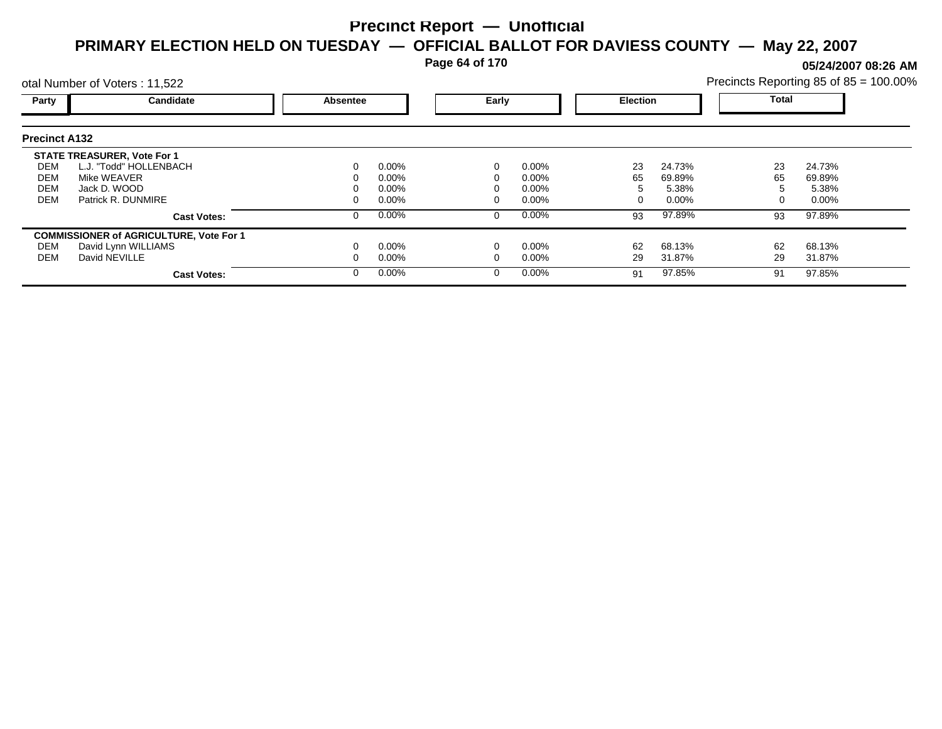**Page 64 of 170**

**05/24/2007 08:26 AM**

|                                        | otal Number of Voters: 11,522                                                                                     |          |                                              |       |                                              |                 |                                    |                | Precincts Reporting 85 of 85 = 100.00% |
|----------------------------------------|-------------------------------------------------------------------------------------------------------------------|----------|----------------------------------------------|-------|----------------------------------------------|-----------------|------------------------------------|----------------|----------------------------------------|
| Party                                  | Candidate                                                                                                         | Absentee |                                              | Early |                                              | <b>Election</b> |                                    | Total          |                                        |
| <b>Precinct A132</b>                   |                                                                                                                   |          |                                              |       |                                              |                 |                                    |                |                                        |
| DEM<br><b>DEM</b><br><b>DEM</b><br>DEM | <b>STATE TREASURER, Vote For 1</b><br>L.J. "Todd" HOLLENBACH<br>Mike WEAVER<br>Jack D. WOOD<br>Patrick R. DUNMIRE |          | $0.00\%$<br>$0.00\%$<br>$0.00\%$<br>$0.00\%$ |       | $0.00\%$<br>$0.00\%$<br>$0.00\%$<br>$0.00\%$ | 23<br>65        | 24.73%<br>69.89%<br>5.38%<br>0.00% | 23<br>65       | 24.73%<br>69.89%<br>5.38%<br>$0.00\%$  |
| DEM<br><b>DEM</b>                      | <b>Cast Votes:</b><br><b>COMMISSIONER of AGRICULTURE, Vote For 1</b><br>David Lynn WILLIAMS<br>David NEVILLE      |          | 0.00%<br>$0.00\%$<br>$0.00\%$                |       | $0.00\%$<br>$0.00\%$<br>$0.00\%$             | 93<br>62<br>29  | 97.89%<br>68.13%<br>31.87%         | 93<br>62<br>29 | 97.89%<br>68.13%<br>31.87%             |
|                                        | <b>Cast Votes:</b>                                                                                                |          | $0.00\%$                                     |       | $0.00\%$                                     | 91              | 97.85%                             | 91             | 97.85%                                 |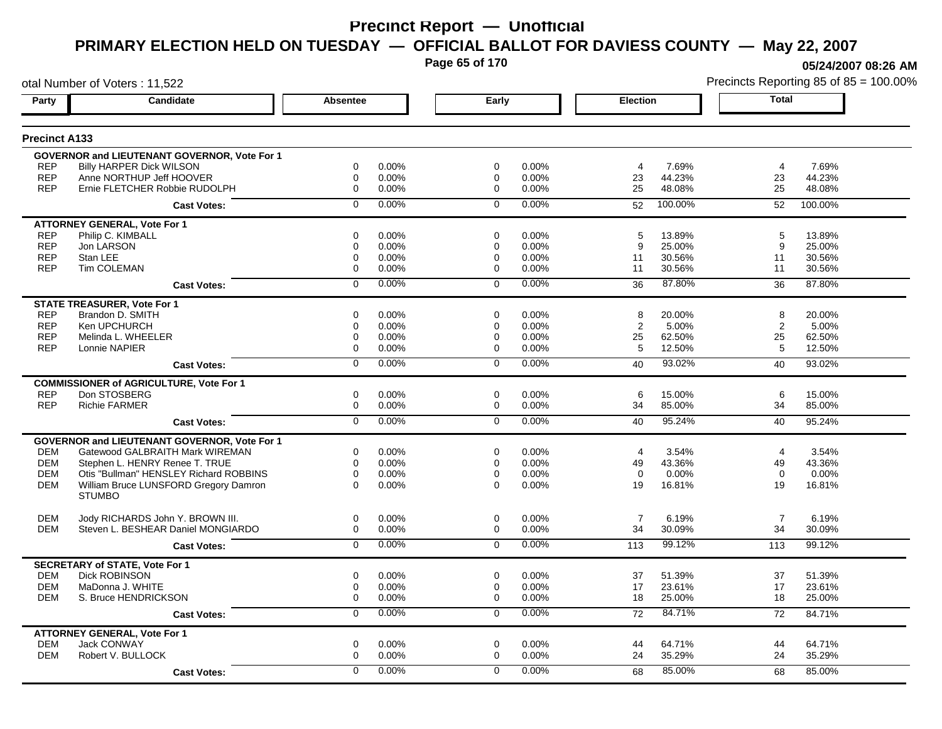**Page 65 of 170**

**05/24/2007 08:26 AM**

|                      | otal Number of Voters: 11,522                       |                 |       |                |       |                 |         |                | Precincts Reporting 85 of 85 = 100.009 |
|----------------------|-----------------------------------------------------|-----------------|-------|----------------|-------|-----------------|---------|----------------|----------------------------------------|
| Party                | Candidate                                           | <b>Absentee</b> |       | Early          |       | <b>Election</b> |         | <b>Total</b>   |                                        |
| <b>Precinct A133</b> |                                                     |                 |       |                |       |                 |         |                |                                        |
|                      | GOVERNOR and LIEUTENANT GOVERNOR, Vote For 1        |                 |       |                |       |                 |         |                |                                        |
| <b>REP</b>           | <b>Billy HARPER Dick WILSON</b>                     | 0               | 0.00% | $\mathbf 0$    | 0.00% | 4               | 7.69%   | 4              | 7.69%                                  |
| <b>REP</b>           | Anne NORTHUP Jeff HOOVER                            | $\mathbf 0$     | 0.00% | 0              | 0.00% | 23              | 44.23%  | 23             | 44.23%                                 |
| <b>REP</b>           | Ernie FLETCHER Robbie RUDOLPH                       | $\mathbf 0$     | 0.00% | $\mathbf 0$    | 0.00% | 25              | 48.08%  | 25             | 48.08%                                 |
|                      | <b>Cast Votes:</b>                                  | $\Omega$        | 0.00% | $\mathbf 0$    | 0.00% | 52              | 100.00% | 52             | 100.00%                                |
|                      | <b>ATTORNEY GENERAL, Vote For 1</b>                 |                 |       |                |       |                 |         |                |                                        |
| <b>REP</b>           | Philip C. KIMBALL                                   | 0               | 0.00% | 0              | 0.00% | 5               | 13.89%  | 5              | 13.89%                                 |
| <b>REP</b>           | Jon LARSON                                          | 0               | 0.00% | 0              | 0.00% | 9               | 25.00%  | 9              | 25.00%                                 |
| <b>REP</b>           | Stan LEE                                            | 0               | 0.00% | 0              | 0.00% | 11              | 30.56%  | 11             | 30.56%                                 |
| <b>REP</b>           | Tim COLEMAN                                         | 0               | 0.00% | 0              | 0.00% | 11              | 30.56%  | 11             | 30.56%                                 |
|                      | <b>Cast Votes:</b>                                  | $\mathbf 0$     | 0.00% | $\mathbf 0$    | 0.00% | 36              | 87.80%  | 36             | 87.80%                                 |
|                      | <b>STATE TREASURER, Vote For 1</b>                  |                 |       |                |       |                 |         |                |                                        |
| <b>REP</b>           | Brandon D. SMITH                                    | 0               | 0.00% | $\Omega$       | 0.00% | 8               | 20.00%  | 8              | 20.00%                                 |
| <b>REP</b>           | Ken UPCHURCH                                        | 0               | 0.00% | 0              | 0.00% | 2               | 5.00%   | 2              | 5.00%                                  |
| <b>REP</b>           | Melinda L. WHEELER                                  | $\mathbf 0$     | 0.00% | 0              | 0.00% | 25              | 62.50%  | 25             | 62.50%                                 |
| <b>REP</b>           | Lonnie NAPIER                                       | 0               | 0.00% | $\mathbf 0$    | 0.00% | 5               | 12.50%  | 5              | 12.50%                                 |
|                      | <b>Cast Votes:</b>                                  | $\overline{0}$  | 0.00% | $\overline{0}$ | 0.00% | 40              | 93.02%  | 40             | 93.02%                                 |
|                      | <b>COMMISSIONER of AGRICULTURE, Vote For 1</b>      |                 |       |                |       |                 |         |                |                                        |
| <b>REP</b>           | Don STOSBERG                                        | 0               | 0.00% | $\mathbf 0$    | 0.00% | 6               | 15.00%  | 6              | 15.00%                                 |
| <b>REP</b>           | <b>Richie FARMER</b>                                | $\mathbf 0$     | 0.00% | $\mathbf 0$    | 0.00% | 34              | 85.00%  | 34             | 85.00%                                 |
|                      | <b>Cast Votes:</b>                                  | $\overline{0}$  | 0.00% | $\overline{0}$ | 0.00% | 40              | 95.24%  | 40             | 95.24%                                 |
|                      | <b>GOVERNOR and LIEUTENANT GOVERNOR, Vote For 1</b> |                 |       |                |       |                 |         |                |                                        |
| <b>DEM</b>           | Gatewood GALBRAITH Mark WIREMAN                     | 0               | 0.00% | $\mathbf 0$    | 0.00% | 4               | 3.54%   | 4              | 3.54%                                  |
| <b>DEM</b>           | Stephen L. HENRY Renee T. TRUE                      | $\mathbf 0$     | 0.00% | $\mathbf 0$    | 0.00% | 49              | 43.36%  | 49             | 43.36%                                 |
| <b>DEM</b>           | Otis "Bullman" HENSLEY Richard ROBBINS              | $\mathbf 0$     | 0.00% | $\mathbf 0$    | 0.00% | $\mathbf 0$     | 0.00%   | $\Omega$       | 0.00%                                  |
| <b>DEM</b>           | William Bruce LUNSFORD Gregory Damron               | $\Omega$        | 0.00% | $\Omega$       | 0.00% | 19              | 16.81%  | 19             | 16.81%                                 |
|                      | <b>STUMBO</b>                                       |                 |       |                |       |                 |         |                |                                        |
| <b>DEM</b>           | Jody RICHARDS John Y. BROWN III.                    | 0               | 0.00% | $\mathbf 0$    | 0.00% | $\overline{7}$  | 6.19%   | $\overline{7}$ | 6.19%                                  |
| <b>DEM</b>           | Steven L. BESHEAR Daniel MONGIARDO                  | 0               | 0.00% | $\mathbf 0$    | 0.00% | 34              | 30.09%  | 34             | 30.09%                                 |
|                      | <b>Cast Votes:</b>                                  | $\mathbf 0$     | 0.00% | $\mathbf 0$    | 0.00% | 113             | 99.12%  | 113            | 99.12%                                 |
|                      | <b>SECRETARY of STATE, Vote For 1</b>               |                 |       |                |       |                 |         |                |                                        |
| <b>DEM</b>           | <b>Dick ROBINSON</b>                                | $\mathbf 0$     | 0.00% | $\mathbf 0$    | 0.00% | 37              | 51.39%  | 37             | 51.39%                                 |
| <b>DEM</b>           | MaDonna J. WHITE                                    | $\mathbf 0$     | 0.00% | 0              | 0.00% | 17              | 23.61%  | 17             | 23.61%                                 |
| <b>DEM</b>           | S. Bruce HENDRICKSON                                | $\mathbf 0$     | 0.00% | $\mathbf 0$    | 0.00% | 18              | 25.00%  | 18             | 25.00%                                 |
|                      | <b>Cast Votes:</b>                                  | 0               | 0.00% | 0              | 0.00% | 72              | 84.71%  | 72             | 84.71%                                 |
|                      | <b>ATTORNEY GENERAL, Vote For 1</b>                 |                 |       |                |       |                 |         |                |                                        |
| <b>DEM</b>           | <b>Jack CONWAY</b>                                  | $\mathbf 0$     | 0.00% | $\mathbf 0$    | 0.00% | 44              | 64.71%  | 44             | 64.71%                                 |
| <b>DEM</b>           | Robert V. BULLOCK                                   | $\mathbf 0$     | 0.00% | $\mathbf 0$    | 0.00% | 24              | 35.29%  | 24             | 35.29%                                 |
|                      | <b>Cast Votes:</b>                                  | $\Omega$        | 0.00% | $\Omega$       | 0.00% | 68              | 85.00%  | 68             | 85.00%                                 |
|                      |                                                     |                 |       |                |       |                 |         |                |                                        |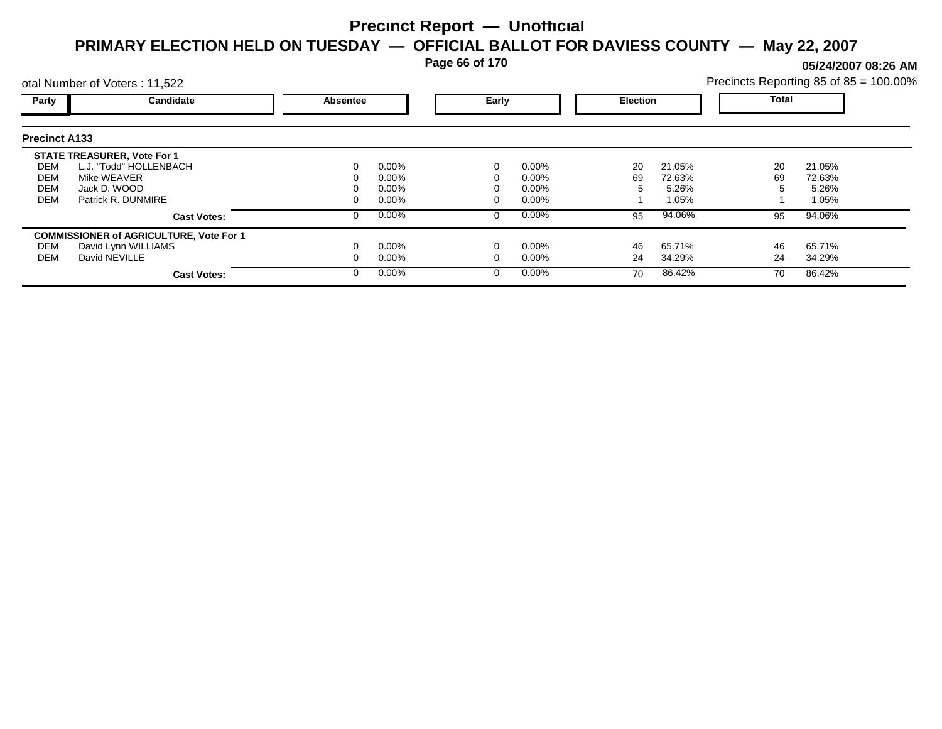**Page 66 of 170**

**05/24/2007 08:26 AM**

| Precincts Reporting 85 of 85 = 100.00% |  |  |  |  |
|----------------------------------------|--|--|--|--|
|----------------------------------------|--|--|--|--|

|                      | otal Number of Voters: 11,522                  |                 |          |       |          |                 |        |              | Precincts Reporting 85 of 85 = 100.009 |  |
|----------------------|------------------------------------------------|-----------------|----------|-------|----------|-----------------|--------|--------------|----------------------------------------|--|
| <b>Party</b>         | Candidate                                      | <b>Absentee</b> |          | Early |          | <b>Election</b> |        | <b>Total</b> |                                        |  |
| <b>Precinct A133</b> |                                                |                 |          |       |          |                 |        |              |                                        |  |
|                      | <b>STATE TREASURER, Vote For 1</b>             |                 |          |       |          |                 |        |              |                                        |  |
| DEM                  | L.J. "Todd" HOLLENBACH                         |                 | $0.00\%$ |       | $0.00\%$ | 20              | 21.05% | 20           | 21.05%                                 |  |
| DEM                  | Mike WEAVER                                    |                 | $0.00\%$ |       | $0.00\%$ | 69              | 72.63% | 69           | 72.63%                                 |  |
| DEM                  | Jack D. WOOD                                   |                 | $0.00\%$ |       | $0.00\%$ |                 | 5.26%  |              | 5.26%                                  |  |
| DEM                  | Patrick R. DUNMIRE                             |                 | $0.00\%$ |       | $0.00\%$ |                 | 1.05%  |              | 1.05%                                  |  |
|                      | <b>Cast Votes:</b>                             |                 | $0.00\%$ | 0     | 0.00%    | 95              | 94.06% | 95           | 94.06%                                 |  |
|                      | <b>COMMISSIONER of AGRICULTURE, Vote For 1</b> |                 |          |       |          |                 |        |              |                                        |  |
| DEM                  | David Lynn WILLIAMS                            |                 | $0.00\%$ |       | 0.00%    | 46              | 65.71% | 46           | 65.71%                                 |  |
| DEM                  | David NEVILLE                                  |                 | $0.00\%$ |       | $0.00\%$ | 24              | 34.29% | 24           | 34.29%                                 |  |
|                      | <b>Cast Votes:</b>                             |                 | $0.00\%$ | 0     | 0.00%    | 70              | 86.42% | 70           | 86.42%                                 |  |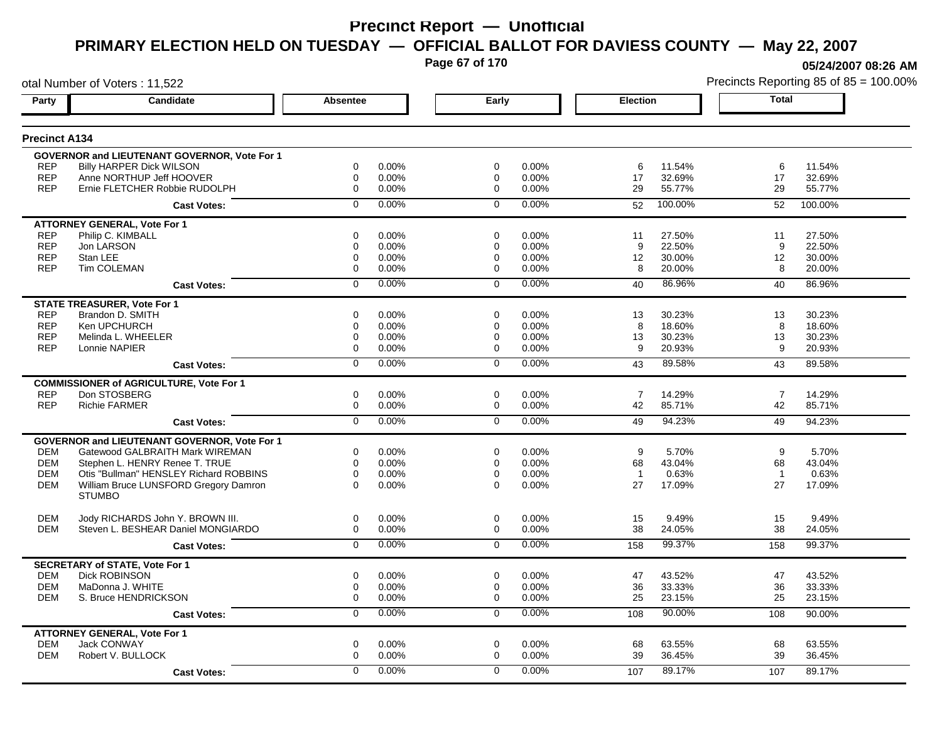**Page 67 of 170**

**05/24/2007 08:26 AM**

|                          | otal Number of Voters: 11,522                                            |                            |                |                         |                |                      |                  |                | Precincts Reporting 85 of 85 = 100.00% |
|--------------------------|--------------------------------------------------------------------------|----------------------------|----------------|-------------------------|----------------|----------------------|------------------|----------------|----------------------------------------|
| Party                    | <b>Candidate</b>                                                         | <b>Absentee</b>            |                | Early                   |                | Election             |                  | <b>Total</b>   |                                        |
| <b>Precinct A134</b>     |                                                                          |                            |                |                         |                |                      |                  |                |                                        |
|                          | GOVERNOR and LIEUTENANT GOVERNOR, Vote For 1                             |                            |                |                         |                |                      |                  |                |                                        |
| <b>REP</b>               | <b>Billy HARPER Dick WILSON</b>                                          | $\mathbf 0$                | 0.00%          | $\mathbf 0$             | $0.00\%$       | 6                    | 11.54%           | 6              | 11.54%                                 |
| <b>REP</b>               | Anne NORTHUP Jeff HOOVER                                                 | $\mathbf 0$                | 0.00%          | $\mathbf 0$             | 0.00%          | 17                   | 32.69%           | 17             | 32.69%                                 |
| <b>REP</b>               | Ernie FLETCHER Robbie RUDOLPH                                            | $\mathbf 0$                | 0.00%          | $\mathbf 0$             | 0.00%          | 29                   | 55.77%           | 29             | 55.77%                                 |
|                          | <b>Cast Votes:</b>                                                       | $\mathbf 0$                | 0.00%          | $\mathbf 0$             | 0.00%          | 52                   | 100.00%          | 52             | 100.00%                                |
|                          | <b>ATTORNEY GENERAL, Vote For 1</b>                                      |                            |                |                         |                |                      |                  |                |                                        |
| <b>REP</b>               | Philip C. KIMBALL                                                        | $\mathbf 0$                | 0.00%          | $\Omega$                | 0.00%          | 11                   | 27.50%           | 11             | 27.50%                                 |
| <b>REP</b>               | Jon LARSON                                                               | $\mathbf 0$                | 0.00%          | 0                       | 0.00%          | 9                    | 22.50%           | 9              | 22.50%                                 |
| <b>REP</b><br><b>REP</b> | Stan LEE<br>Tim COLEMAN                                                  | $\mathbf 0$<br>$\mathbf 0$ | 0.00%<br>0.00% | 0<br>$\mathbf 0$        | 0.00%<br>0.00% | 12<br>8              | 30.00%<br>20.00% | 12<br>8        | 30.00%<br>20.00%                       |
|                          |                                                                          |                            |                |                         |                |                      |                  |                |                                        |
|                          | <b>Cast Votes:</b>                                                       | $\mathbf 0$                | 0.00%          | $\mathbf 0$             | 0.00%          | 40                   | 86.96%           | 40             | 86.96%                                 |
|                          | <b>STATE TREASURER, Vote For 1</b>                                       |                            |                |                         |                |                      |                  |                |                                        |
| <b>REP</b><br><b>REP</b> | Brandon D. SMITH<br>Ken UPCHURCH                                         | $\mathbf 0$                | 0.00%          | 0                       | 0.00%          | 13                   | 30.23%           | 13             | 30.23%                                 |
| <b>REP</b>               | Melinda L. WHEELER                                                       | 0<br>$\mathbf 0$           | 0.00%<br>0.00% | 0<br>0                  | 0.00%<br>0.00% | 8<br>13              | 18.60%<br>30.23% | 8<br>13        | 18.60%<br>30.23%                       |
| <b>REP</b>               | Lonnie NAPIER                                                            | $\mathbf 0$                | 0.00%          | $\Omega$                | 0.00%          | 9                    | 20.93%           | 9              | 20.93%                                 |
|                          | <b>Cast Votes:</b>                                                       | $\mathbf 0$                | 0.00%          | $\Omega$                | 0.00%          | 43                   | 89.58%           | 43             | 89.58%                                 |
|                          |                                                                          |                            |                |                         |                |                      |                  |                |                                        |
| <b>REP</b>               | <b>COMMISSIONER of AGRICULTURE, Vote For 1</b><br>Don STOSBERG           | $\mathbf 0$                | 0.00%          | 0                       | 0.00%          | $\overline{7}$       | 14.29%           | $\overline{7}$ | 14.29%                                 |
| <b>REP</b>               | Richie FARMER                                                            | 0                          | 0.00%          | 0                       | 0.00%          | 42                   | 85.71%           | 42             | 85.71%                                 |
|                          |                                                                          | $\overline{0}$             | 0.00%          | $\overline{0}$          | 0.00%          | 49                   | 94.23%           |                | 94.23%                                 |
|                          | <b>Cast Votes:</b>                                                       |                            |                |                         |                |                      |                  | 49             |                                        |
|                          | GOVERNOR and LIEUTENANT GOVERNOR, Vote For 1                             |                            |                |                         |                |                      |                  |                |                                        |
| <b>DEM</b><br><b>DEM</b> | Gatewood GALBRAITH Mark WIREMAN                                          | 0<br>0                     | 0.00%<br>0.00% | $\mathbf 0$<br>$\Omega$ | 0.00%<br>0.00% | 9                    | 5.70%            | 9<br>68        | 5.70%<br>43.04%                        |
| <b>DEM</b>               | Stephen L. HENRY Renee T. TRUE<br>Otis "Bullman" HENSLEY Richard ROBBINS | $\mathbf 0$                | 0.00%          | 0                       | 0.00%          | 68<br>$\overline{1}$ | 43.04%<br>0.63%  | $\overline{1}$ | 0.63%                                  |
| <b>DEM</b>               | William Bruce LUNSFORD Gregory Damron                                    | $\Omega$                   | 0.00%          | $\Omega$                | 0.00%          | 27                   | 17.09%           | 27             | 17.09%                                 |
|                          | <b>STUMBO</b>                                                            |                            |                |                         |                |                      |                  |                |                                        |
|                          |                                                                          | $\mathbf 0$                |                | $\mathbf 0$             |                |                      |                  |                |                                        |
| <b>DEM</b><br><b>DEM</b> | Jody RICHARDS John Y. BROWN III.<br>Steven L. BESHEAR Daniel MONGIARDO   | $\mathbf 0$                | 0.00%<br>0.00% | $\mathbf 0$             | 0.00%<br>0.00% | 15<br>38             | 9.49%<br>24.05%  | 15<br>38       | 9.49%<br>24.05%                        |
|                          | <b>Cast Votes:</b>                                                       | $\overline{0}$             | 0.00%          | $\mathbf 0$             | 0.00%          | 158                  | 99.37%           | 158            | 99.37%                                 |
|                          |                                                                          |                            |                |                         |                |                      |                  |                |                                        |
| <b>DEM</b>               | <b>SECRETARY of STATE, Vote For 1</b><br>Dick ROBINSON                   | 0                          | 0.00%          | 0                       | 0.00%          | 47                   | 43.52%           | 47             | 43.52%                                 |
| <b>DEM</b>               | MaDonna J. WHITE                                                         | $\mathbf 0$                | 0.00%          | $\Omega$                | 0.00%          | 36                   | 33.33%           | 36             | 33.33%                                 |
| <b>DEM</b>               | S. Bruce HENDRICKSON                                                     | $\mathbf 0$                | 0.00%          | 0                       | 0.00%          | 25                   | 23.15%           | 25             | 23.15%                                 |
|                          | <b>Cast Votes:</b>                                                       | $\mathbf 0$                | 0.00%          | $\mathbf 0$             | 0.00%          | 108                  | 90.00%           | 108            | 90.00%                                 |
|                          | <b>ATTORNEY GENERAL, Vote For 1</b>                                      |                            |                |                         |                |                      |                  |                |                                        |
| <b>DEM</b>               | <b>Jack CONWAY</b>                                                       | 0                          | 0.00%          | 0                       | 0.00%          | 68                   | 63.55%           | 68             | 63.55%                                 |
| <b>DEM</b>               | Robert V. BULLOCK                                                        | 0                          | 0.00%          | $\mathbf 0$             | 0.00%          | 39                   | 36.45%           | 39             | 36.45%                                 |
|                          | <b>Cast Votes:</b>                                                       | $\Omega$                   | 0.00%          | $\Omega$                | 0.00%          | 107                  | 89.17%           | 107            | 89.17%                                 |
|                          |                                                                          |                            |                |                         |                |                      |                  |                |                                        |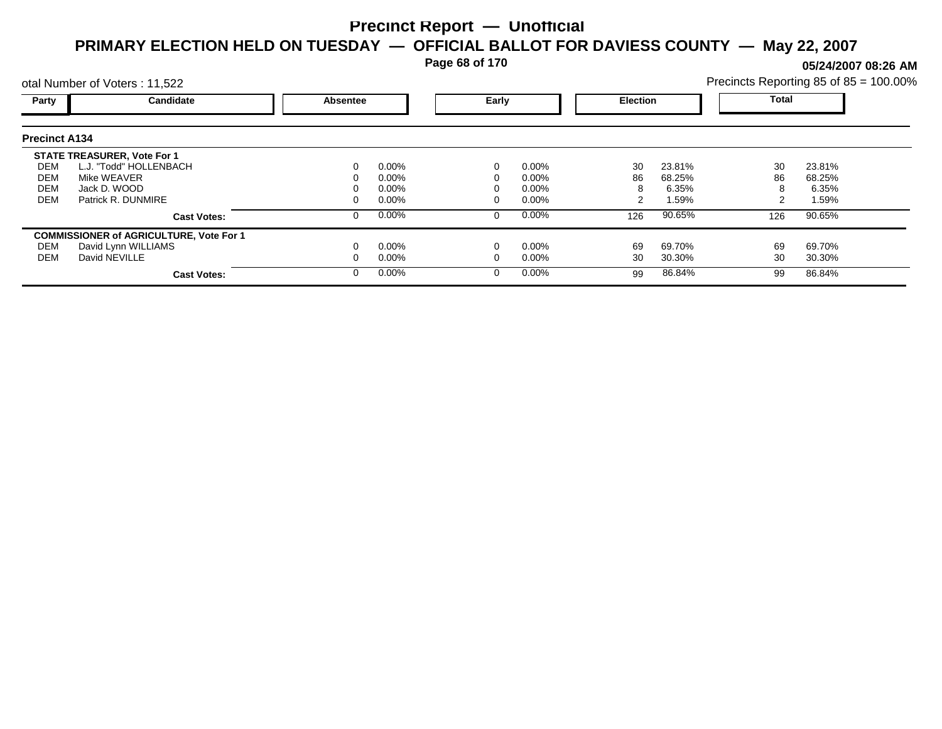**Page 68 of 170**

**05/24/2007 08:26 AM**

|                      | otal Number of Voters: 11,522                  |                 |          |       |          |                 |        |              | Precincts Reporting 85 of 85 = 100.00% |  |
|----------------------|------------------------------------------------|-----------------|----------|-------|----------|-----------------|--------|--------------|----------------------------------------|--|
| Party                | Candidate                                      | <b>Absentee</b> |          | Early |          | <b>Election</b> |        | <b>Total</b> |                                        |  |
| <b>Precinct A134</b> |                                                |                 |          |       |          |                 |        |              |                                        |  |
|                      | <b>STATE TREASURER, Vote For 1</b>             |                 |          |       |          |                 |        |              |                                        |  |
| DEM                  | L.J. "Todd" HOLLENBACH                         | 0               | $0.00\%$ |       | 0.00%    | 30              | 23.81% | 30           | 23.81%                                 |  |
| DEM                  | Mike WEAVER                                    |                 | $0.00\%$ |       | $0.00\%$ | 86              | 68.25% | 86           | 68.25%                                 |  |
| <b>DEM</b>           | Jack D. WOOD                                   |                 | $0.00\%$ |       | $0.00\%$ |                 | 6.35%  |              | 6.35%                                  |  |
| <b>DEM</b>           | Patrick R. DUNMIRE                             |                 | $0.00\%$ |       | $0.00\%$ |                 | 1.59%  |              | 1.59%                                  |  |
|                      | <b>Cast Votes:</b>                             | 0               | $0.00\%$ |       | 0.00%    | 126             | 90.65% | 126          | 90.65%                                 |  |
|                      | <b>COMMISSIONER of AGRICULTURE, Vote For 1</b> |                 |          |       |          |                 |        |              |                                        |  |
| DEM                  | David Lynn WILLIAMS                            |                 | $0.00\%$ |       | 0.00%    | 69              | 69.70% | 69           | 69.70%                                 |  |
| DEM                  | David NEVILLE                                  |                 | $0.00\%$ |       | $0.00\%$ | 30              | 30.30% | 30           | 30.30%                                 |  |
|                      | <b>Cast Votes:</b>                             | 0               | $0.00\%$ |       | 0.00%    | 99              | 86.84% | 99           | 86.84%                                 |  |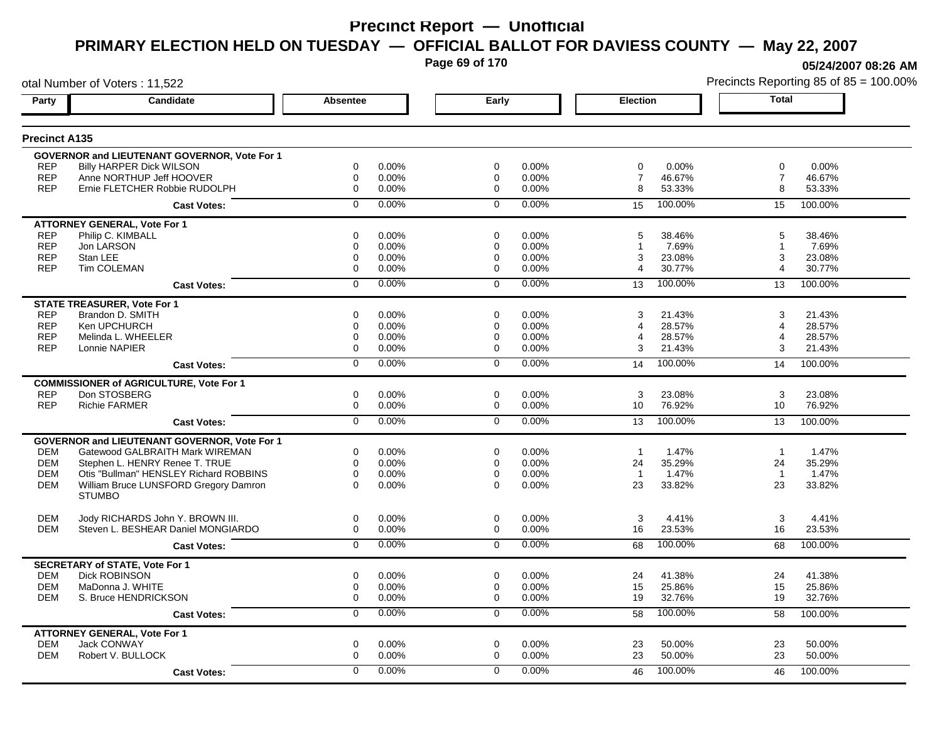**Page 69 of 170**

**05/24/2007 08:26 AM**

|                      | otal Number of Voters: 11,522                          |                 |          |                |       |                 |         |                 | Precincts Reporting 85 of 85 = 100.00% |
|----------------------|--------------------------------------------------------|-----------------|----------|----------------|-------|-----------------|---------|-----------------|----------------------------------------|
| Party                | Candidate                                              | <b>Absentee</b> |          | Early          |       | <b>Election</b> |         | <b>Total</b>    |                                        |
| <b>Precinct A135</b> |                                                        |                 |          |                |       |                 |         |                 |                                        |
|                      | <b>GOVERNOR and LIEUTENANT GOVERNOR, Vote For 1</b>    |                 |          |                |       |                 |         |                 |                                        |
| <b>REP</b>           | <b>Billy HARPER Dick WILSON</b>                        | 0               | 0.00%    | 0              | 0.00% | 0               | 0.00%   | 0               | 0.00%                                  |
| <b>REP</b>           | Anne NORTHUP Jeff HOOVER                               | $\mathbf 0$     | 0.00%    | 0              | 0.00% | $\overline{7}$  | 46.67%  | $\overline{7}$  | 46.67%                                 |
| <b>REP</b>           | Ernie FLETCHER Robbie RUDOLPH                          | $\mathbf 0$     | 0.00%    | $\mathbf 0$    | 0.00% | 8               | 53.33%  | 8               | 53.33%                                 |
|                      | <b>Cast Votes:</b>                                     | $\Omega$        | 0.00%    | $\mathbf 0$    | 0.00% | 15              | 100.00% | 15              | 100.00%                                |
|                      | <b>ATTORNEY GENERAL, Vote For 1</b>                    |                 |          |                |       |                 |         |                 |                                        |
| <b>REP</b>           | Philip C. KIMBALL                                      | 0               | 0.00%    | 0              | 0.00% | 5               | 38.46%  | 5               | 38.46%                                 |
| <b>REP</b>           | Jon LARSON                                             | 0               | 0.00%    | 0              | 0.00% |                 | 7.69%   | 1               | 7.69%                                  |
| <b>REP</b>           | Stan LEE                                               | 0               | 0.00%    | 0              | 0.00% | 3               | 23.08%  | 3<br>4          | 23.08%                                 |
| <b>REP</b>           | Tim COLEMAN                                            | $\mathbf 0$     | 0.00%    | 0              | 0.00% | 4               | 30.77%  |                 | 30.77%                                 |
|                      | <b>Cast Votes:</b>                                     | $\mathbf 0$     | 0.00%    | $\mathbf 0$    | 0.00% | 13              | 100.00% | 13              | 100.00%                                |
|                      | <b>STATE TREASURER, Vote For 1</b>                     |                 |          |                |       |                 |         |                 |                                        |
| <b>REP</b>           | Brandon D. SMITH                                       | $\Omega$        | 0.00%    | $\Omega$       | 0.00% | 3               | 21.43%  | 3               | 21.43%                                 |
| <b>REP</b>           | Ken UPCHURCH                                           | 0               | 0.00%    | 0              | 0.00% | 4               | 28.57%  | 4               | 28.57%                                 |
| <b>REP</b>           | Melinda L. WHEELER                                     | $\mathbf 0$     | 0.00%    | 0              | 0.00% | 4               | 28.57%  | 4               | 28.57%                                 |
| <b>REP</b>           | Lonnie NAPIER                                          | 0               | 0.00%    | 0              | 0.00% | 3               | 21.43%  | 3               | 21.43%                                 |
|                      | <b>Cast Votes:</b>                                     | $\overline{0}$  | 0.00%    | $\overline{0}$ | 0.00% | 14              | 100.00% | 14              | 100.00%                                |
|                      | <b>COMMISSIONER of AGRICULTURE, Vote For 1</b>         |                 |          |                |       |                 |         |                 |                                        |
| <b>REP</b>           | Don STOSBERG                                           | $\mathbf 0$     | 0.00%    | $\mathbf 0$    | 0.00% | 3               | 23.08%  | 3               | 23.08%                                 |
| <b>REP</b>           | <b>Richie FARMER</b>                                   | $\mathbf 0$     | 0.00%    | $\mathbf 0$    | 0.00% | 10              | 76.92%  | 10 <sup>°</sup> | 76.92%                                 |
|                      | <b>Cast Votes:</b>                                     | $\overline{0}$  | 0.00%    | $\overline{0}$ | 0.00% | 13              | 100.00% | 13              | 100.00%                                |
|                      | <b>GOVERNOR and LIEUTENANT GOVERNOR, Vote For 1</b>    |                 |          |                |       |                 |         |                 |                                        |
| <b>DEM</b>           | Gatewood GALBRAITH Mark WIREMAN                        | 0               | 0.00%    | 0              | 0.00% | $\overline{1}$  | 1.47%   | $\overline{1}$  | 1.47%                                  |
| <b>DEM</b>           | Stephen L. HENRY Renee T. TRUE                         | $\mathbf 0$     | $0.00\%$ | $\mathbf 0$    | 0.00% | 24              | 35.29%  | 24              | 35.29%                                 |
| <b>DEM</b>           | Otis "Bullman" HENSLEY Richard ROBBINS                 | $\mathbf 0$     | 0.00%    | $\mathbf 0$    | 0.00% | $\overline{1}$  | 1.47%   | $\overline{1}$  | 1.47%                                  |
| <b>DEM</b>           | William Bruce LUNSFORD Gregory Damron<br><b>STUMBO</b> | $\Omega$        | $0.00\%$ | $\Omega$       | 0.00% | 23              | 33.82%  | 23              | 33.82%                                 |
|                      |                                                        |                 |          |                |       |                 |         |                 |                                        |
| <b>DEM</b>           | Jody RICHARDS John Y. BROWN III.                       | $\mathbf 0$     | 0.00%    | $\mathbf 0$    | 0.00% | 3               | 4.41%   | 3               | 4.41%                                  |
| <b>DEM</b>           | Steven L. BESHEAR Daniel MONGIARDO                     | $\mathbf 0$     | 0.00%    | $\mathbf 0$    | 0.00% | 16              | 23.53%  | 16              | 23.53%                                 |
|                      | <b>Cast Votes:</b>                                     | $\overline{0}$  | 0.00%    | $\mathbf 0$    | 0.00% | 68              | 100.00% | 68              | 100.00%                                |
|                      | <b>SECRETARY of STATE, Vote For 1</b>                  |                 |          |                |       |                 |         |                 |                                        |
| <b>DEM</b>           | <b>Dick ROBINSON</b>                                   | $\mathbf 0$     | 0.00%    | $\mathbf 0$    | 0.00% | 24              | 41.38%  | 24              | 41.38%                                 |
| <b>DEM</b>           | MaDonna J. WHITE                                       | $\mathbf 0$     | 0.00%    | 0              | 0.00% | 15              | 25.86%  | 15              | 25.86%                                 |
| <b>DEM</b>           | S. Bruce HENDRICKSON                                   | $\mathbf 0$     | 0.00%    | $\mathbf 0$    | 0.00% | 19              | 32.76%  | 19              | 32.76%                                 |
|                      | <b>Cast Votes:</b>                                     | 0               | 0.00%    | 0              | 0.00% | 58              | 100.00% | 58              | 100.00%                                |
|                      | <b>ATTORNEY GENERAL, Vote For 1</b>                    |                 |          |                |       |                 |         |                 |                                        |
| <b>DEM</b>           | <b>Jack CONWAY</b>                                     | $\mathbf 0$     | 0.00%    | $\mathbf 0$    | 0.00% | 23              | 50.00%  | 23              | 50.00%                                 |
| <b>DEM</b>           | Robert V. BULLOCK                                      | $\mathbf 0$     | 0.00%    | 0              | 0.00% | 23              | 50.00%  | 23              | 50.00%                                 |
|                      | <b>Cast Votes:</b>                                     | $\Omega$        | 0.00%    | $\Omega$       | 0.00% | 46              | 100.00% | 46              | 100.00%                                |
|                      |                                                        |                 |          |                |       |                 |         |                 |                                        |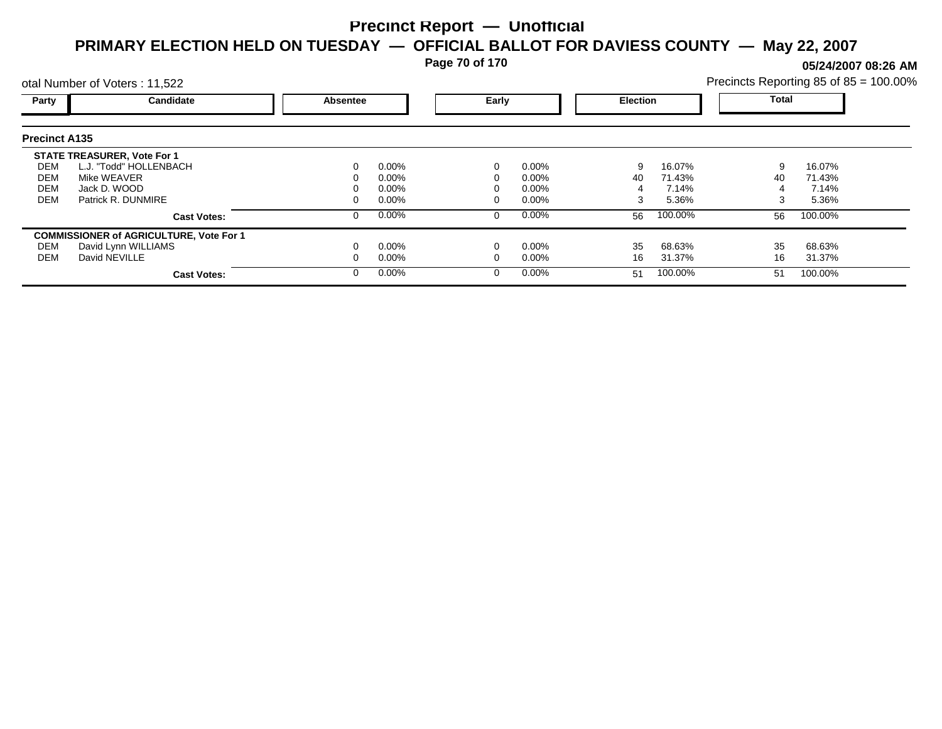**Page 70 of 170**

**05/24/2007 08:26 AM**

| otal Number of Voters: 11,522 |                                                |          |          |   |          |    | Precincts Reporting 85 of 85 = 100.00% |    |              |  |
|-------------------------------|------------------------------------------------|----------|----------|---|----------|----|----------------------------------------|----|--------------|--|
| Party                         | Candidate                                      | Absentee |          |   | Early    |    | <b>Election</b>                        |    | <b>Total</b> |  |
| <b>Precinct A135</b>          |                                                |          |          |   |          |    |                                        |    |              |  |
|                               | <b>STATE TREASURER, Vote For 1</b>             |          |          |   |          |    |                                        |    |              |  |
| DEM                           | L.J. "Todd" HOLLENBACH                         |          | $0.00\%$ |   | $0.00\%$ | 9  | 16.07%                                 | 9  | 16.07%       |  |
| DEM                           | Mike WEAVER                                    |          | 0.00%    |   | $0.00\%$ | 40 | 71.43%                                 | 40 | 71.43%       |  |
| <b>DEM</b>                    | Jack D. WOOD                                   |          | 0.00%    |   | 0.00%    |    | 7.14%                                  |    | 7.14%        |  |
| <b>DEM</b>                    | Patrick R. DUNMIRE                             |          | $0.00\%$ |   | 0.00%    | 3  | 5.36%                                  | 3  | 5.36%        |  |
|                               | <b>Cast Votes:</b>                             |          | $0.00\%$ | 0 | $0.00\%$ | 56 | 100.00%                                | 56 | 100.00%      |  |
|                               | <b>COMMISSIONER of AGRICULTURE, Vote For 1</b> |          |          |   |          |    |                                        |    |              |  |
| DEM                           | David Lynn WILLIAMS                            |          | $0.00\%$ |   | 0.00%    | 35 | 68.63%                                 | 35 | 68.63%       |  |
| DEM                           | David NEVILLE                                  |          | $0.00\%$ |   | 0.00%    | 16 | 31.37%                                 | 16 | 31.37%       |  |
|                               | <b>Cast Votes:</b>                             |          | $0.00\%$ | 0 | $0.00\%$ | 51 | 100.00%                                | 51 | 100.00%      |  |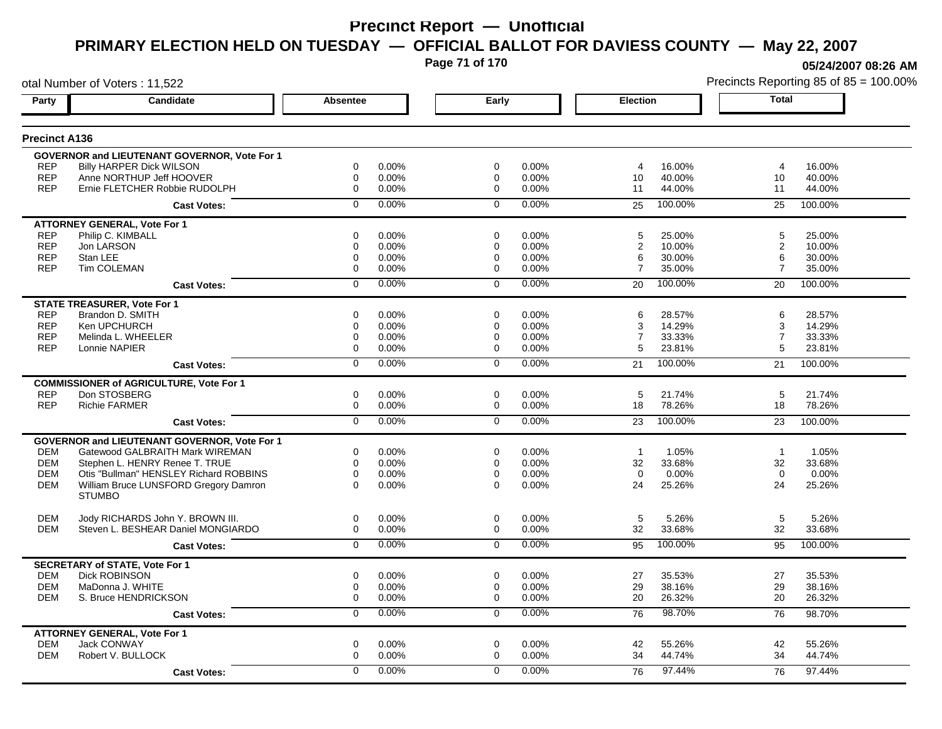**Page 71 of 170**

**05/24/2007 08:26 AM**

|                      | otal Number of Voters: 11,522                       |                  |       |                |       |                         | Precincts Reporting 85 of 85 = 100.00% |                 |         |  |
|----------------------|-----------------------------------------------------|------------------|-------|----------------|-------|-------------------------|----------------------------------------|-----------------|---------|--|
| Party                | Candidate                                           | Absentee         |       | Early          |       | <b>Election</b>         |                                        | <b>Total</b>    |         |  |
| <b>Precinct A136</b> |                                                     |                  |       |                |       |                         |                                        |                 |         |  |
|                      | <b>GOVERNOR and LIEUTENANT GOVERNOR, Vote For 1</b> |                  |       |                |       |                         |                                        |                 |         |  |
| <b>REP</b>           | <b>Billy HARPER Dick WILSON</b>                     | 0                | 0.00% | 0              | 0.00% | 4                       | 16.00%                                 | $\overline{4}$  | 16.00%  |  |
| <b>REP</b>           | Anne NORTHUP Jeff HOOVER                            | 0                | 0.00% | 0              | 0.00% | 10                      | 40.00%                                 | 10              | 40.00%  |  |
| <b>REP</b>           | Ernie FLETCHER Robbie RUDOLPH                       | $\mathbf 0$      | 0.00% | $\mathbf 0$    | 0.00% | 11                      | 44.00%                                 | 11              | 44.00%  |  |
|                      | <b>Cast Votes:</b>                                  | $\mathbf 0$      | 0.00% | $\mathbf 0$    | 0.00% | 25                      | 100.00%                                | 25              | 100.00% |  |
|                      | <b>ATTORNEY GENERAL, Vote For 1</b>                 |                  |       |                |       |                         |                                        |                 |         |  |
| <b>REP</b>           | Philip C. KIMBALL                                   | $\mathbf 0$      | 0.00% | $\Omega$       | 0.00% | 5                       | 25.00%                                 | 5               | 25.00%  |  |
| <b>REP</b>           | Jon LARSON                                          | 0                | 0.00% | 0              | 0.00% | $\overline{\mathbf{c}}$ | 10.00%                                 | $\overline{c}$  | 10.00%  |  |
| <b>REP</b>           | Stan LEE                                            | $\mathbf 0$      | 0.00% | 0              | 0.00% | 6                       | 30.00%                                 | 6               | 30.00%  |  |
| <b>REP</b>           | <b>Tim COLEMAN</b>                                  | $\mathbf 0$      | 0.00% | $\Omega$       | 0.00% | $\overline{7}$          | 35.00%                                 | $\overline{7}$  | 35.00%  |  |
|                      | <b>Cast Votes:</b>                                  | $\mathbf 0$      | 0.00% | $\mathbf 0$    | 0.00% | 20                      | 100.00%                                | 20              | 100.00% |  |
|                      | <b>STATE TREASURER, Vote For 1</b>                  |                  |       |                |       |                         |                                        |                 |         |  |
| <b>REP</b>           | Brandon D. SMITH                                    | $\mathbf 0$      | 0.00% | $\Omega$       | 0.00% | 6                       | 28.57%                                 | 6               | 28.57%  |  |
| <b>REP</b>           | Ken UPCHURCH                                        | $\mathbf 0$      | 0.00% | 0              | 0.00% | 3                       | 14.29%                                 | 3               | 14.29%  |  |
| <b>REP</b>           | Melinda L. WHEELER                                  | $\mathbf 0$      | 0.00% | 0              | 0.00% | $\overline{7}$          | 33.33%                                 | $\overline{7}$  | 33.33%  |  |
| <b>REP</b>           | Lonnie NAPIER                                       | $\Omega$         | 0.00% | $\Omega$       | 0.00% | 5                       | 23.81%                                 | 5               | 23.81%  |  |
|                      | <b>Cast Votes:</b>                                  | $\overline{0}$   | 0.00% | $\overline{0}$ | 0.00% | 21                      | 100.00%                                | 21              | 100.00% |  |
|                      | <b>COMMISSIONER of AGRICULTURE, Vote For 1</b>      |                  |       |                |       |                         |                                        |                 |         |  |
| <b>REP</b>           | Don STOSBERG                                        | 0                | 0.00% | 0              | 0.00% | 5                       | 21.74%                                 | 5               | 21.74%  |  |
| <b>REP</b>           | <b>Richie FARMER</b>                                | 0                | 0.00% | 0              | 0.00% | 18                      | 78.26%                                 | 18              | 78.26%  |  |
|                      | <b>Cast Votes:</b>                                  | $\overline{0}$   | 0.00% | $\overline{0}$ | 0.00% | 23                      | 100.00%                                | 23              | 100.00% |  |
|                      | GOVERNOR and LIEUTENANT GOVERNOR, Vote For 1        |                  |       |                |       |                         |                                        |                 |         |  |
| DEM                  | Gatewood GALBRAITH Mark WIREMAN                     | 0                | 0.00% | 0              | 0.00% | $\overline{1}$          | 1.05%                                  | $\overline{1}$  | 1.05%   |  |
| <b>DEM</b>           | Stephen L. HENRY Renee T. TRUE                      | $\mathbf 0$      | 0.00% | 0              | 0.00% | 32                      | 33.68%                                 | 32              | 33.68%  |  |
| <b>DEM</b>           | Otis "Bullman" HENSLEY Richard ROBBINS              | 0                | 0.00% | 0              | 0.00% | $\mathbf 0$             | 0.00%                                  | $\mathbf 0$     | 0.00%   |  |
| <b>DEM</b>           | William Bruce LUNSFORD Gregory Damron               | $\Omega$         | 0.00% | $\Omega$       | 0.00% | 24                      | 25.26%                                 | 24              | 25.26%  |  |
|                      | <b>STUMBO</b>                                       |                  |       |                |       |                         |                                        |                 |         |  |
| <b>DEM</b>           | Jody RICHARDS John Y. BROWN III.                    | 0                | 0.00% | 0              | 0.00% | 5                       | 5.26%                                  | $5\phantom{.0}$ | 5.26%   |  |
| <b>DEM</b>           | Steven L. BESHEAR Daniel MONGIARDO                  | 0                | 0.00% | $\mathbf 0$    | 0.00% | 32                      | 33.68%                                 | 32              | 33.68%  |  |
|                      | <b>Cast Votes:</b>                                  | $\mathbf 0$      | 0.00% | $\mathbf 0$    | 0.00% | 95                      | 100.00%                                | 95              | 100.00% |  |
|                      | <b>SECRETARY of STATE, Vote For 1</b>               |                  |       |                |       |                         |                                        |                 |         |  |
| <b>DEM</b>           | <b>Dick ROBINSON</b>                                | 0                | 0.00% | 0              | 0.00% | 27                      | 35.53%                                 | 27              | 35.53%  |  |
| <b>DEM</b>           | MaDonna J. WHITE                                    | 0                | 0.00% | 0              | 0.00% | 29                      | 38.16%                                 | 29              | 38.16%  |  |
| DEM                  | S. Bruce HENDRICKSON                                | $\boldsymbol{0}$ | 0.00% | 0              | 0.00% | 20                      | 26.32%                                 | 20              | 26.32%  |  |
|                      | <b>Cast Votes:</b>                                  | 0                | 0.00% | 0              | 0.00% | 76                      | 98.70%                                 | 76              | 98.70%  |  |
|                      | <b>ATTORNEY GENERAL, Vote For 1</b>                 |                  |       |                |       |                         |                                        |                 |         |  |
| <b>DEM</b>           | <b>Jack CONWAY</b>                                  | $\mathbf 0$      | 0.00% | $\mathbf 0$    | 0.00% | 42                      | 55.26%                                 | 42              | 55.26%  |  |
| <b>DEM</b>           | Robert V. BULLOCK                                   | $\mathbf 0$      | 0.00% | 0              | 0.00% | 34                      | 44.74%                                 | 34              | 44.74%  |  |
|                      | <b>Cast Votes:</b>                                  | $\Omega$         | 0.00% | $\Omega$       | 0.00% | 76                      | 97.44%                                 | 76              | 97.44%  |  |
|                      |                                                     |                  |       |                |       |                         |                                        |                 |         |  |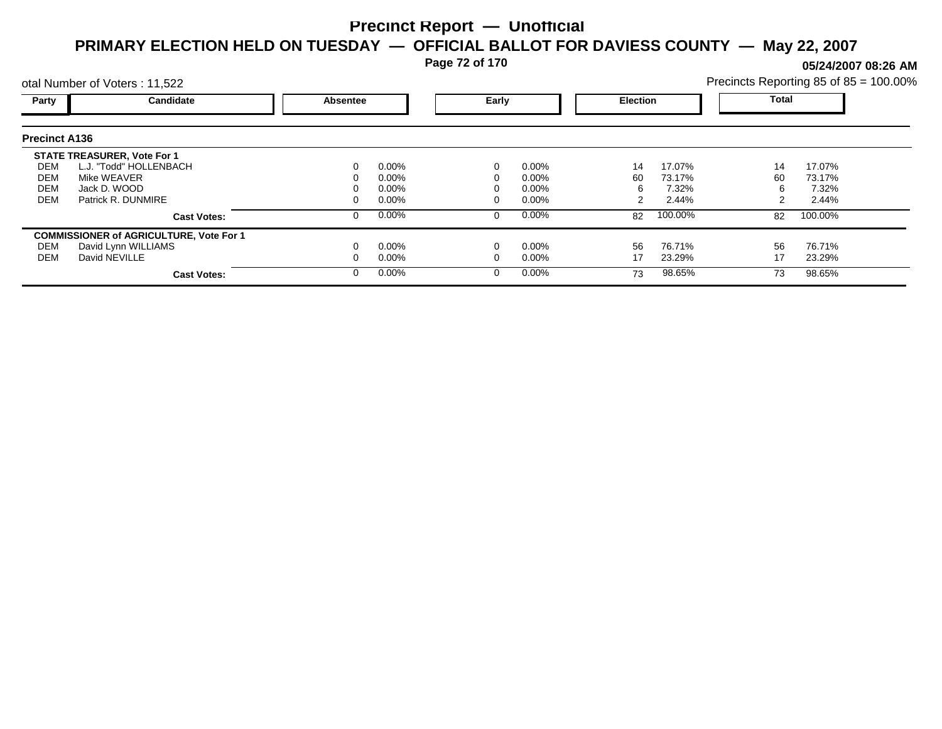**Page 72 of 170**

**05/24/2007 08:26 AM**

| otal Number of Voters: 11,522 |                                                |          |          |  |          |    | Precincts Reporting 85 of 85 = 100.00% |       |         |  |
|-------------------------------|------------------------------------------------|----------|----------|--|----------|----|----------------------------------------|-------|---------|--|
| Party                         | Candidate                                      | Absentee |          |  | Early    |    | <b>Election</b>                        | Total |         |  |
| <b>Precinct A136</b>          |                                                |          |          |  |          |    |                                        |       |         |  |
|                               | <b>STATE TREASURER, Vote For 1</b>             |          |          |  |          |    |                                        |       |         |  |
| DEM                           | L.J. "Todd" HOLLENBACH                         |          | $0.00\%$ |  | $0.00\%$ | 14 | 17.07%                                 | 14    | 17.07%  |  |
| DEM                           | Mike WEAVER                                    |          | $0.00\%$ |  | $0.00\%$ | 60 | 73.17%                                 | 60    | 73.17%  |  |
| <b>DEM</b>                    | Jack D. WOOD                                   |          | $0.00\%$ |  | 0.00%    | 6  | 7.32%                                  | b     | 7.32%   |  |
| <b>DEM</b>                    | Patrick R. DUNMIRE                             |          | $0.00\%$ |  | $0.00\%$ |    | 2.44%                                  |       | 2.44%   |  |
|                               | <b>Cast Votes:</b>                             |          | $0.00\%$ |  | $0.00\%$ | 82 | 100.00%                                | 82    | 100.00% |  |
|                               | <b>COMMISSIONER of AGRICULTURE, Vote For 1</b> |          |          |  |          |    |                                        |       |         |  |
| DEM                           | David Lynn WILLIAMS                            |          | $0.00\%$ |  | $0.00\%$ | 56 | 76.71%                                 | 56    | 76.71%  |  |
| DEM                           | David NEVILLE                                  |          | $0.00\%$ |  | $0.00\%$ | 17 | 23.29%                                 | 17    | 23.29%  |  |
|                               | <b>Cast Votes:</b>                             |          | $0.00\%$ |  | $0.00\%$ | 73 | 98.65%                                 | 73    | 98.65%  |  |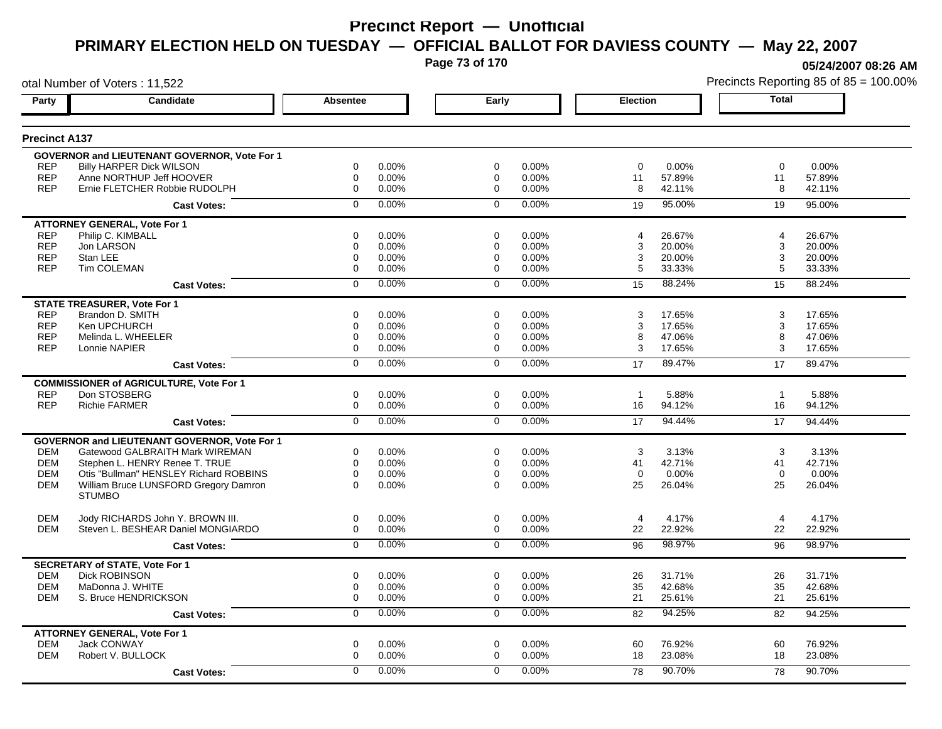**Page 73 of 170**

**05/24/2007 08:26 AM**

|                      | otal Number of Voters: 11,522                       |                 |       |                |       |                 |        |                | Precincts Reporting 85 of 85 = 100.00% |
|----------------------|-----------------------------------------------------|-----------------|-------|----------------|-------|-----------------|--------|----------------|----------------------------------------|
| Party                | Candidate                                           | <b>Absentee</b> |       | Early          |       | <b>Election</b> |        | <b>Total</b>   |                                        |
| <b>Precinct A137</b> |                                                     |                 |       |                |       |                 |        |                |                                        |
|                      | <b>GOVERNOR and LIEUTENANT GOVERNOR, Vote For 1</b> |                 |       |                |       |                 |        |                |                                        |
| <b>REP</b>           | <b>Billy HARPER Dick WILSON</b>                     | 0               | 0.00% | 0              | 0.00% | 0               | 0.00%  | $\mathbf 0$    | 0.00%                                  |
| <b>REP</b>           | Anne NORTHUP Jeff HOOVER                            | $\mathbf 0$     | 0.00% | 0              | 0.00% | 11              | 57.89% | 11             | 57.89%                                 |
| <b>REP</b>           | Ernie FLETCHER Robbie RUDOLPH                       | $\mathbf 0$     | 0.00% | $\mathbf 0$    | 0.00% | 8               | 42.11% | 8              | 42.11%                                 |
|                      | <b>Cast Votes:</b>                                  | $\Omega$        | 0.00% | $\mathbf 0$    | 0.00% | 19              | 95.00% | 19             | 95.00%                                 |
|                      | <b>ATTORNEY GENERAL, Vote For 1</b>                 |                 |       |                |       |                 |        |                |                                        |
| <b>REP</b>           | Philip C. KIMBALL                                   | 0               | 0.00% | 0              | 0.00% | 4               | 26.67% | 4              | 26.67%                                 |
| <b>REP</b>           | Jon LARSON                                          | 0               | 0.00% | 0              | 0.00% | 3               | 20.00% | 3              | 20.00%                                 |
| <b>REP</b>           | Stan LEE                                            | 0               | 0.00% | 0              | 0.00% | 3               | 20.00% | 3              | 20.00%                                 |
| <b>REP</b>           | Tim COLEMAN                                         | $\mathbf 0$     | 0.00% | 0              | 0.00% | 5               | 33.33% | 5              | 33.33%                                 |
|                      | <b>Cast Votes:</b>                                  | $\mathbf 0$     | 0.00% | $\mathbf 0$    | 0.00% | 15              | 88.24% | 15             | 88.24%                                 |
|                      | <b>STATE TREASURER, Vote For 1</b>                  |                 |       |                |       |                 |        |                |                                        |
| <b>REP</b>           | Brandon D. SMITH                                    | $\Omega$        | 0.00% | $\Omega$       | 0.00% | 3               | 17.65% | 3              | 17.65%                                 |
| <b>REP</b>           | Ken UPCHURCH                                        | 0               | 0.00% | 0              | 0.00% | 3               | 17.65% | 3              | 17.65%                                 |
| <b>REP</b>           | Melinda L. WHEELER                                  | $\mathbf 0$     | 0.00% | 0              | 0.00% | 8               | 47.06% | 8              | 47.06%                                 |
| <b>REP</b>           | Lonnie NAPIER                                       | 0               | 0.00% | 0              | 0.00% | 3               | 17.65% | 3              | 17.65%                                 |
|                      | <b>Cast Votes:</b>                                  | $\overline{0}$  | 0.00% | $\overline{0}$ | 0.00% | 17              | 89.47% | 17             | 89.47%                                 |
|                      | <b>COMMISSIONER of AGRICULTURE, Vote For 1</b>      |                 |       |                |       |                 |        |                |                                        |
| <b>REP</b>           | Don STOSBERG                                        | $\mathbf 0$     | 0.00% | $\mathbf 0$    | 0.00% | $\overline{1}$  | 5.88%  | $\overline{1}$ | 5.88%                                  |
| <b>REP</b>           | <b>Richie FARMER</b>                                | $\mathbf 0$     | 0.00% | $\mathbf 0$    | 0.00% | 16              | 94.12% | 16             | 94.12%                                 |
|                      | <b>Cast Votes:</b>                                  | $\overline{0}$  | 0.00% | $\overline{0}$ | 0.00% | 17              | 94.44% | 17             | 94.44%                                 |
|                      | <b>GOVERNOR and LIEUTENANT GOVERNOR, Vote For 1</b> |                 |       |                |       |                 |        |                |                                        |
| <b>DEM</b>           | Gatewood GALBRAITH Mark WIREMAN                     | 0               | 0.00% | 0              | 0.00% | 3               | 3.13%  | 3              | 3.13%                                  |
| <b>DEM</b>           | Stephen L. HENRY Renee T. TRUE                      | $\mathbf 0$     | 0.00% | $\mathbf 0$    | 0.00% | 41              | 42.71% | 41             | 42.71%                                 |
| <b>DEM</b>           | Otis "Bullman" HENSLEY Richard ROBBINS              | $\mathbf 0$     | 0.00% | $\mathbf 0$    | 0.00% | $\Omega$        | 0.00%  | $\mathbf 0$    | 0.00%                                  |
| <b>DEM</b>           | William Bruce LUNSFORD Gregory Damron               | $\Omega$        | 0.00% | $\Omega$       | 0.00% | 25              | 26.04% | 25             | 26.04%                                 |
|                      | <b>STUMBO</b>                                       |                 |       |                |       |                 |        |                |                                        |
| <b>DEM</b>           | Jody RICHARDS John Y. BROWN III.                    | $\mathbf 0$     | 0.00% | $\mathbf 0$    | 0.00% | $\overline{4}$  | 4.17%  | $\overline{4}$ | 4.17%                                  |
| <b>DEM</b>           | Steven L. BESHEAR Daniel MONGIARDO                  | $\mathbf 0$     | 0.00% | $\mathbf 0$    | 0.00% | 22              | 22.92% | 22             | 22.92%                                 |
|                      | <b>Cast Votes:</b>                                  | $\overline{0}$  | 0.00% | $\mathbf 0$    | 0.00% | 96              | 98.97% | 96             | 98.97%                                 |
|                      | <b>SECRETARY of STATE, Vote For 1</b>               |                 |       |                |       |                 |        |                |                                        |
| <b>DEM</b>           | <b>Dick ROBINSON</b>                                | $\mathbf 0$     | 0.00% | $\mathbf 0$    | 0.00% | 26              | 31.71% | 26             | 31.71%                                 |
| <b>DEM</b>           | MaDonna J. WHITE                                    | $\mathbf 0$     | 0.00% | 0              | 0.00% | 35              | 42.68% | 35             | 42.68%                                 |
| <b>DEM</b>           | S. Bruce HENDRICKSON                                | $\mathbf 0$     | 0.00% | $\mathbf 0$    | 0.00% | 21              | 25.61% | 21             | 25.61%                                 |
|                      | <b>Cast Votes:</b>                                  | 0               | 0.00% | 0              | 0.00% | 82              | 94.25% | 82             | 94.25%                                 |
|                      | <b>ATTORNEY GENERAL, Vote For 1</b>                 |                 |       |                |       |                 |        |                |                                        |
| <b>DEM</b>           | <b>Jack CONWAY</b>                                  | $\mathbf 0$     | 0.00% | $\mathbf 0$    | 0.00% | 60              | 76.92% | 60             | 76.92%                                 |
| <b>DEM</b>           | Robert V. BULLOCK                                   | $\mathbf 0$     | 0.00% | 0              | 0.00% | 18              | 23.08% | 18             | 23.08%                                 |
|                      | <b>Cast Votes:</b>                                  | $\Omega$        | 0.00% | $\Omega$       | 0.00% | 78              | 90.70% | 78             | 90.70%                                 |
|                      |                                                     |                 |       |                |       |                 |        |                |                                        |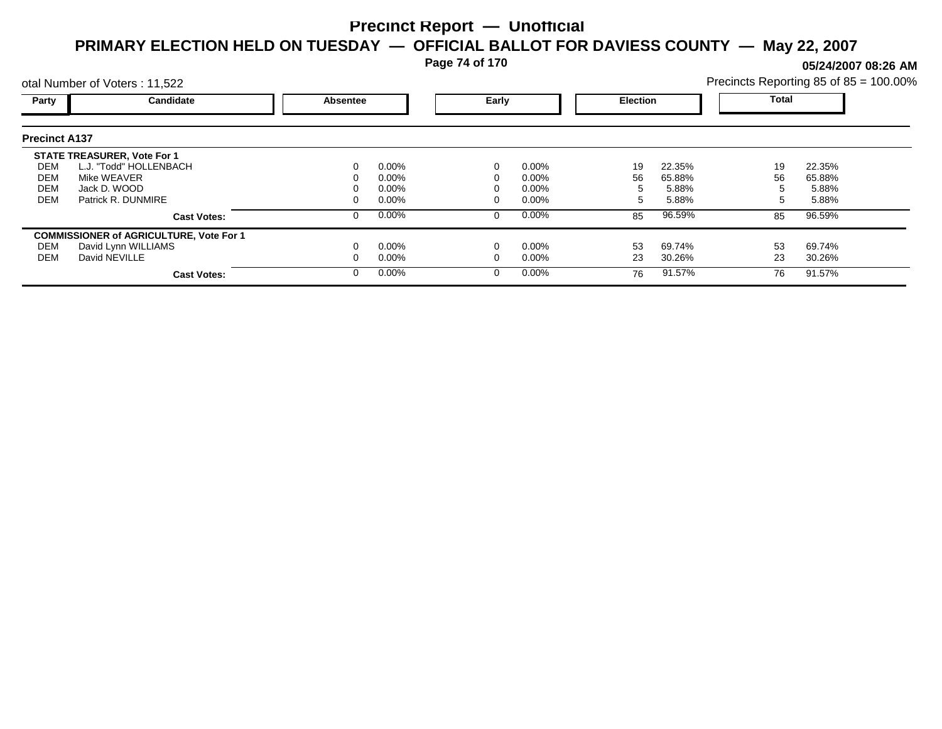**Page 74 of 170**

**05/24/2007 08:26 AM**

|                      | otal Number of Voters: 11,522                  |                 |          |       |          |                 |        | Precincts Reporting 85 of 85 = 100.00% |        |  |
|----------------------|------------------------------------------------|-----------------|----------|-------|----------|-----------------|--------|----------------------------------------|--------|--|
| Party                | Candidate                                      | <b>Absentee</b> |          | Early |          | <b>Election</b> |        | <b>Total</b>                           |        |  |
| <b>Precinct A137</b> |                                                |                 |          |       |          |                 |        |                                        |        |  |
|                      | <b>STATE TREASURER, Vote For 1</b>             |                 |          |       |          |                 |        |                                        |        |  |
| DEM                  | L.J. "Todd" HOLLENBACH                         | 0               | $0.00\%$ |       | 0.00%    | 19              | 22.35% | 19                                     | 22.35% |  |
| DEM                  | Mike WEAVER                                    |                 | $0.00\%$ |       | $0.00\%$ | 56              | 65.88% | 56                                     | 65.88% |  |
| <b>DEM</b>           | Jack D. WOOD                                   |                 | $0.00\%$ |       | $0.00\%$ |                 | 5.88%  |                                        | 5.88%  |  |
| <b>DEM</b>           | Patrick R. DUNMIRE                             |                 | $0.00\%$ |       | $0.00\%$ |                 | 5.88%  |                                        | 5.88%  |  |
|                      | <b>Cast Votes:</b>                             | 0               | $0.00\%$ |       | 0.00%    | 85              | 96.59% | 85                                     | 96.59% |  |
|                      | <b>COMMISSIONER of AGRICULTURE, Vote For 1</b> |                 |          |       |          |                 |        |                                        |        |  |
| DEM                  | David Lynn WILLIAMS                            |                 | $0.00\%$ |       | 0.00%    | 53              | 69.74% | 53                                     | 69.74% |  |
| DEM                  | David NEVILLE                                  |                 | $0.00\%$ |       | $0.00\%$ | 23              | 30.26% | 23                                     | 30.26% |  |
|                      | <b>Cast Votes:</b>                             | 0               | $0.00\%$ |       | 0.00%    | 76              | 91.57% | 76                                     | 91.57% |  |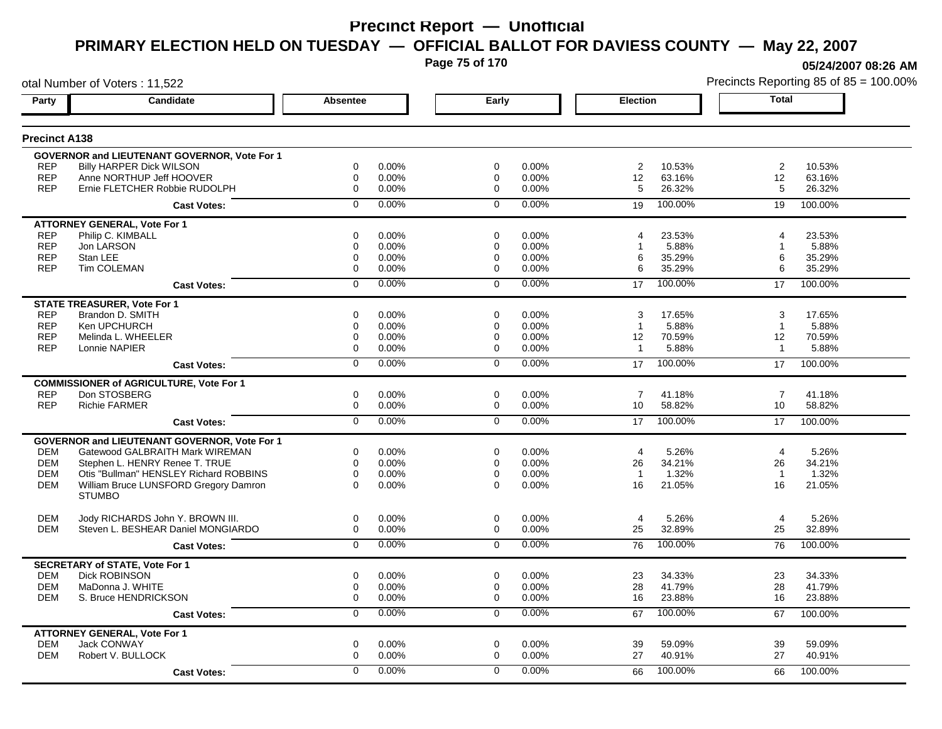**Page 75 of 170**

**05/24/2007 08:26 AM**

|                      | otal Number of Voters: 11,522                       |                 |          |             |       |                 |         |                | Precincts Reporting 85 of 85 = 100.00% |
|----------------------|-----------------------------------------------------|-----------------|----------|-------------|-------|-----------------|---------|----------------|----------------------------------------|
| Party                | Candidate                                           | <b>Absentee</b> |          | Early       |       | Election        |         | Total          |                                        |
| <b>Precinct A138</b> |                                                     |                 |          |             |       |                 |         |                |                                        |
|                      | GOVERNOR and LIEUTENANT GOVERNOR, Vote For 1        |                 |          |             |       |                 |         |                |                                        |
| <b>REP</b>           | <b>Billy HARPER Dick WILSON</b>                     | 0               | 0.00%    | 0           | 0.00% | 2               | 10.53%  | $\overline{2}$ | 10.53%                                 |
| <b>REP</b>           | Anne NORTHUP Jeff HOOVER                            | 0               | $0.00\%$ | 0           | 0.00% | 12              | 63.16%  | 12             | 63.16%                                 |
| <b>REP</b>           | Ernie FLETCHER Robbie RUDOLPH                       | 0               | 0.00%    | $\mathbf 0$ | 0.00% | 5               | 26.32%  | 5              | 26.32%                                 |
|                      | <b>Cast Votes:</b>                                  | $\Omega$        | 0.00%    | $\Omega$    | 0.00% | 19              | 100.00% | 19             | 100.00%                                |
|                      | <b>ATTORNEY GENERAL, Vote For 1</b>                 |                 |          |             |       |                 |         |                |                                        |
| <b>REP</b>           | Philip C. KIMBALL                                   | 0               | $0.00\%$ | 0           | 0.00% | $\overline{4}$  | 23.53%  | 4              | 23.53%                                 |
| <b>REP</b>           | Jon LARSON                                          | 0               | 0.00%    | $\mathbf 0$ | 0.00% |                 | 5.88%   | -1             | 5.88%                                  |
| <b>REP</b>           | Stan LEE                                            | 0               | $0.00\%$ | 0           | 0.00% | 6               | 35.29%  | 6              | 35.29%                                 |
| <b>REP</b>           | <b>Tim COLEMAN</b>                                  | 0               | $0.00\%$ | $\mathbf 0$ | 0.00% | 6               | 35.29%  | 6              | 35.29%                                 |
|                      | <b>Cast Votes:</b>                                  | $\mathbf 0$     | 0.00%    | $\mathbf 0$ | 0.00% | 17              | 100.00% | 17             | 100.00%                                |
|                      | <b>STATE TREASURER, Vote For 1</b>                  |                 |          |             |       |                 |         |                |                                        |
| <b>REP</b>           | Brandon D. SMITH                                    | 0               | 0.00%    | $\Omega$    | 0.00% | 3               | 17.65%  | 3              | 17.65%                                 |
| <b>REP</b>           | Ken UPCHURCH                                        | 0               | 0.00%    | 0           | 0.00% | $\mathbf{1}$    | 5.88%   | $\overline{1}$ | 5.88%                                  |
| <b>REP</b>           | Melinda L. WHEELER                                  | 0               | 0.00%    | $\mathbf 0$ | 0.00% | 12              | 70.59%  | 12             | 70.59%                                 |
| <b>REP</b>           | Lonnie NAPIER                                       | $\Omega$        | 0.00%    | 0           | 0.00% | $\overline{1}$  | 5.88%   | -1             | 5.88%                                  |
|                      | <b>Cast Votes:</b>                                  | 0               | 0.00%    | $\Omega$    | 0.00% | 17              | 100.00% | 17             | 100.00%                                |
|                      | <b>COMMISSIONER of AGRICULTURE, Vote For 1</b>      |                 |          |             |       |                 |         |                |                                        |
| <b>REP</b>           | Don STOSBERG                                        | 0               | 0.00%    | $\mathbf 0$ | 0.00% | $\overline{7}$  | 41.18%  | $\overline{7}$ | 41.18%                                 |
| <b>REP</b>           | <b>Richie FARMER</b>                                | 0               | 0.00%    | $\mathbf 0$ | 0.00% | 10 <sup>°</sup> | 58.82%  | 10             | 58.82%                                 |
|                      | <b>Cast Votes:</b>                                  | $\overline{0}$  | 0.00%    | $\mathbf 0$ | 0.00% | 17              | 100.00% | 17             | 100.00%                                |
|                      | <b>GOVERNOR and LIEUTENANT GOVERNOR, Vote For 1</b> |                 |          |             |       |                 |         |                |                                        |
| <b>DEM</b>           | Gatewood GALBRAITH Mark WIREMAN                     | 0               | 0.00%    | $\mathbf 0$ | 0.00% | 4               | 5.26%   | $\overline{4}$ | 5.26%                                  |
| <b>DEM</b>           | Stephen L. HENRY Renee T. TRUE                      | $\Omega$        | 0.00%    | $\Omega$    | 0.00% | 26              | 34.21%  | 26             | 34.21%                                 |
| <b>DEM</b>           | Otis "Bullman" HENSLEY Richard ROBBINS              | 0               | 0.00%    | $\Omega$    | 0.00% | $\overline{1}$  | 1.32%   | $\overline{1}$ | 1.32%                                  |
| DEM                  | William Bruce LUNSFORD Gregory Damron               | 0               | $0.00\%$ | $\Omega$    | 0.00% | 16              | 21.05%  | 16             | 21.05%                                 |
|                      | <b>STUMBO</b>                                       |                 |          |             |       |                 |         |                |                                        |
| <b>DEM</b>           | Jody RICHARDS John Y. BROWN III.                    | 0               | $0.00\%$ | 0           | 0.00% | $\overline{4}$  | 5.26%   | $\overline{4}$ | 5.26%                                  |
| <b>DEM</b>           | Steven L. BESHEAR Daniel MONGIARDO                  | 0               | $0.00\%$ | 0           | 0.00% | 25              | 32.89%  | 25             | 32.89%                                 |
|                      | <b>Cast Votes:</b>                                  | $\mathbf 0$     | 0.00%    | $\mathbf 0$ | 0.00% | 76              | 100.00% | 76             | 100.00%                                |
|                      | <b>SECRETARY of STATE, Vote For 1</b>               |                 |          |             |       |                 |         |                |                                        |
| <b>DEM</b>           | <b>Dick ROBINSON</b>                                | 0               | 0.00%    | 0           | 0.00% | 23              | 34.33%  | 23             | 34.33%                                 |
| <b>DEM</b>           | MaDonna J. WHITE                                    | 0               | 0.00%    | 0           | 0.00% | 28              | 41.79%  | 28             | 41.79%                                 |
| <b>DEM</b>           | S. Bruce HENDRICKSON                                | 0               | $0.00\%$ | $\mathbf 0$ | 0.00% | 16              | 23.88%  | 16             | 23.88%                                 |
|                      | <b>Cast Votes:</b>                                  | $\overline{0}$  | $0.00\%$ | $\mathbf 0$ | 0.00% | 67              | 100.00% | 67             | 100.00%                                |
|                      | <b>ATTORNEY GENERAL, Vote For 1</b>                 |                 |          |             |       |                 |         |                |                                        |
| <b>DEM</b>           | Jack CONWAY                                         | 0               | $0.00\%$ | 0           | 0.00% | 39              | 59.09%  | 39             | 59.09%                                 |
| <b>DEM</b>           | Robert V. BULLOCK                                   | 0               | 0.00%    | $\mathbf 0$ | 0.00% | 27              | 40.91%  | 27             | 40.91%                                 |
|                      | <b>Cast Votes:</b>                                  | $\Omega$        | 0.00%    | $\Omega$    | 0.00% | 66              | 100.00% | 66             | 100.00%                                |
|                      |                                                     |                 |          |             |       |                 |         |                |                                        |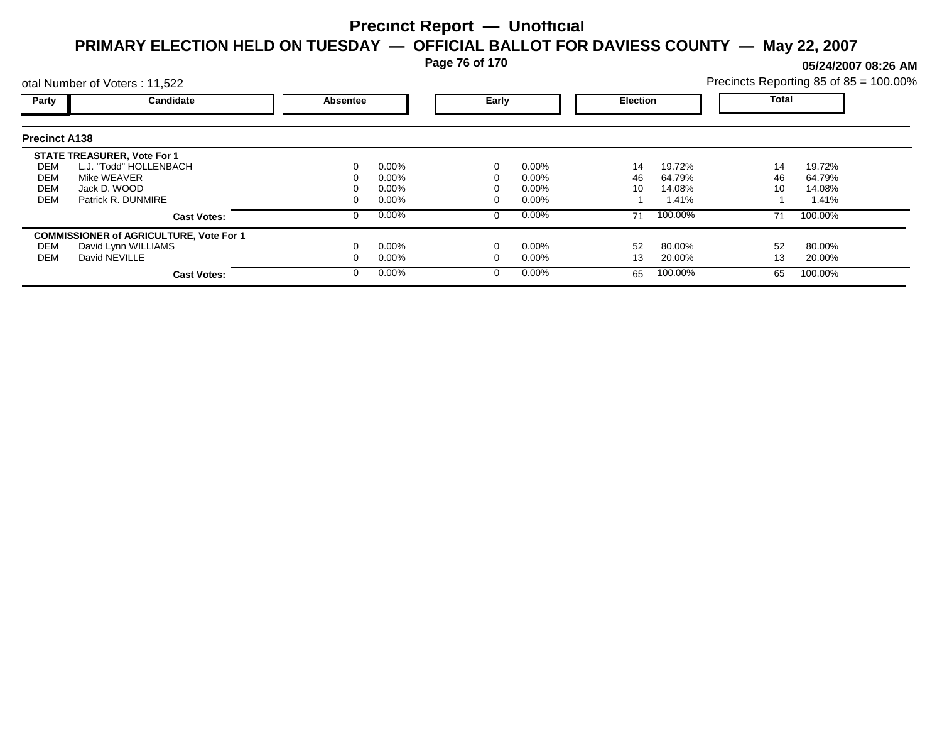**Page 76 of 170**

**05/24/2007 08:26 AM**

|                      | otal Number of Voters: 11,522                  |          |          |       |          |                 |         | Precincts Reporting 85 of 85 = 100.00% |         |  |
|----------------------|------------------------------------------------|----------|----------|-------|----------|-----------------|---------|----------------------------------------|---------|--|
| Party                | Candidate                                      | Absentee |          | Early |          | <b>Election</b> |         | <b>Total</b>                           |         |  |
| <b>Precinct A138</b> |                                                |          |          |       |          |                 |         |                                        |         |  |
|                      | <b>STATE TREASURER, Vote For 1</b>             |          |          |       |          |                 |         |                                        |         |  |
| DEM                  | L.J. "Todd" HOLLENBACH                         |          | $0.00\%$ |       | $0.00\%$ | 14              | 19.72%  | 14                                     | 19.72%  |  |
| DEM                  | Mike WEAVER                                    |          | 0.00%    |       | 0.00%    | 46              | 64.79%  | 46                                     | 64.79%  |  |
| <b>DEM</b>           | Jack D. WOOD                                   |          | 0.00%    |       | 0.00%    | 10              | 14.08%  | 10                                     | 14.08%  |  |
| <b>DEM</b>           | Patrick R. DUNMIRE                             |          | $0.00\%$ |       | 0.00%    |                 | 1.41%   |                                        | 1.41%   |  |
|                      | <b>Cast Votes:</b>                             |          | $0.00\%$ | 0     | $0.00\%$ | 71              | 100.00% | 71                                     | 100.00% |  |
|                      | <b>COMMISSIONER of AGRICULTURE, Vote For 1</b> |          |          |       |          |                 |         |                                        |         |  |
| DEM                  | David Lynn WILLIAMS                            |          | $0.00\%$ |       | 0.00%    | 52              | 80.00%  | 52                                     | 80.00%  |  |
| DEM                  | David NEVILLE                                  |          | $0.00\%$ |       | 0.00%    | 13              | 20.00%  | 13                                     | 20.00%  |  |
|                      | <b>Cast Votes:</b>                             |          | $0.00\%$ | 0     | $0.00\%$ | 65              | 100.00% | 65                                     | 100.00% |  |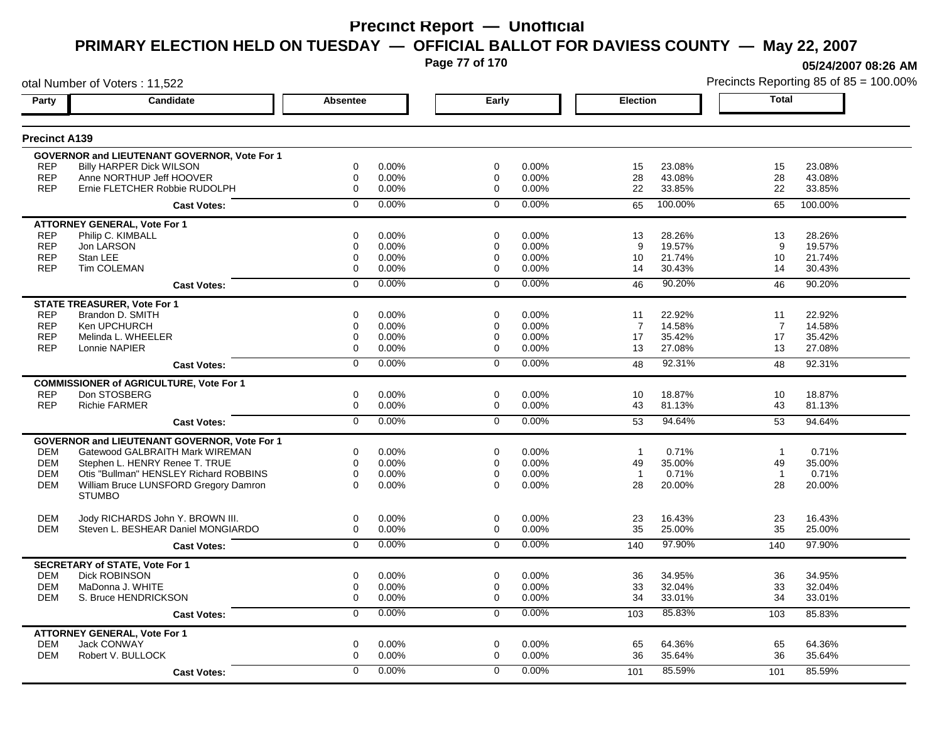**Page 77 of 170**

**05/24/2007 08:26 AM**

|                      | otal Number of Voters: 11,522                       |                 |          |                |       |                 |         |                | Precincts Reporting 85 of 85 = 100.00% |
|----------------------|-----------------------------------------------------|-----------------|----------|----------------|-------|-----------------|---------|----------------|----------------------------------------|
| Party                | Candidate                                           | <b>Absentee</b> |          | Early          |       | <b>Election</b> |         | <b>Total</b>   |                                        |
| <b>Precinct A139</b> |                                                     |                 |          |                |       |                 |         |                |                                        |
|                      | GOVERNOR and LIEUTENANT GOVERNOR, Vote For 1        |                 |          |                |       |                 |         |                |                                        |
| <b>REP</b>           | <b>Billy HARPER Dick WILSON</b>                     | 0               | 0.00%    | 0              | 0.00% | 15              | 23.08%  | 15             | 23.08%                                 |
| <b>REP</b>           | Anne NORTHUP Jeff HOOVER                            | $\mathbf 0$     | 0.00%    | 0              | 0.00% | 28              | 43.08%  | 28             | 43.08%                                 |
| <b>REP</b>           | Ernie FLETCHER Robbie RUDOLPH                       | $\mathbf 0$     | 0.00%    | $\mathbf 0$    | 0.00% | 22              | 33.85%  | 22             | 33.85%                                 |
|                      | <b>Cast Votes:</b>                                  | $\Omega$        | 0.00%    | $\mathbf 0$    | 0.00% | 65              | 100.00% | 65             | 100.00%                                |
|                      | <b>ATTORNEY GENERAL, Vote For 1</b>                 |                 |          |                |       |                 |         |                |                                        |
| <b>REP</b>           | Philip C. KIMBALL                                   | 0               | 0.00%    | 0              | 0.00% | 13              | 28.26%  | 13             | 28.26%                                 |
| <b>REP</b>           | Jon LARSON                                          | 0               | 0.00%    | 0              | 0.00% | 9               | 19.57%  | 9              | 19.57%                                 |
| <b>REP</b>           | Stan LEE                                            | 0               | 0.00%    | 0              | 0.00% | 10              | 21.74%  | 10             | 21.74%                                 |
| <b>REP</b>           | Tim COLEMAN                                         | $\mathbf 0$     | 0.00%    | 0              | 0.00% | 14              | 30.43%  | 14             | 30.43%                                 |
|                      | <b>Cast Votes:</b>                                  | $\mathbf 0$     | 0.00%    | $\mathbf 0$    | 0.00% | 46              | 90.20%  | 46             | 90.20%                                 |
|                      | <b>STATE TREASURER, Vote For 1</b>                  |                 |          |                |       |                 |         |                |                                        |
| <b>REP</b>           | Brandon D. SMITH                                    | $\Omega$        | 0.00%    | $\Omega$       | 0.00% | 11              | 22.92%  | 11             | 22.92%                                 |
| <b>REP</b>           | Ken UPCHURCH                                        | 0               | 0.00%    | 0              | 0.00% | 7               | 14.58%  | $\overline{7}$ | 14.58%                                 |
| <b>REP</b>           | Melinda L. WHEELER                                  | $\mathbf 0$     | 0.00%    | 0              | 0.00% | 17              | 35.42%  | 17             | 35.42%                                 |
| <b>REP</b>           | Lonnie NAPIER                                       | 0               | 0.00%    | 0              | 0.00% | 13              | 27.08%  | 13             | 27.08%                                 |
|                      | <b>Cast Votes:</b>                                  | $\overline{0}$  | 0.00%    | $\overline{0}$ | 0.00% | 48              | 92.31%  | 48             | 92.31%                                 |
|                      | <b>COMMISSIONER of AGRICULTURE, Vote For 1</b>      |                 |          |                |       |                 |         |                |                                        |
| <b>REP</b>           | Don STOSBERG                                        | $\mathbf 0$     | 0.00%    | $\mathbf 0$    | 0.00% | 10              | 18.87%  | 10             | 18.87%                                 |
| <b>REP</b>           | <b>Richie FARMER</b>                                | $\mathbf 0$     | 0.00%    | $\mathbf 0$    | 0.00% | 43              | 81.13%  | 43             | 81.13%                                 |
|                      | <b>Cast Votes:</b>                                  | $\overline{0}$  | 0.00%    | $\overline{0}$ | 0.00% | 53              | 94.64%  | 53             | 94.64%                                 |
|                      | <b>GOVERNOR and LIEUTENANT GOVERNOR, Vote For 1</b> |                 |          |                |       |                 |         |                |                                        |
| <b>DEM</b>           | Gatewood GALBRAITH Mark WIREMAN                     | 0               | 0.00%    | 0              | 0.00% | $\mathbf{1}$    | 0.71%   | $\overline{1}$ | 0.71%                                  |
| <b>DEM</b>           | Stephen L. HENRY Renee T. TRUE                      | $\mathbf 0$     | 0.00%    | $\mathbf 0$    | 0.00% | 49              | 35.00%  | 49             | 35.00%                                 |
| <b>DEM</b>           | Otis "Bullman" HENSLEY Richard ROBBINS              | $\mathbf 0$     | 0.00%    | $\mathbf 0$    | 0.00% | $\overline{1}$  | 0.71%   | $\overline{1}$ | 0.71%                                  |
| <b>DEM</b>           | William Bruce LUNSFORD Gregory Damron               | $\Omega$        | $0.00\%$ | $\Omega$       | 0.00% | 28              | 20.00%  | 28             | 20.00%                                 |
|                      | <b>STUMBO</b>                                       |                 |          |                |       |                 |         |                |                                        |
| <b>DEM</b>           | Jody RICHARDS John Y. BROWN III.                    | $\mathbf 0$     | 0.00%    | $\mathbf 0$    | 0.00% | 23              | 16.43%  | 23             | 16.43%                                 |
| <b>DEM</b>           | Steven L. BESHEAR Daniel MONGIARDO                  | $\mathbf 0$     | 0.00%    | $\mathbf 0$    | 0.00% | 35              | 25.00%  | 35             | 25.00%                                 |
|                      | <b>Cast Votes:</b>                                  | $\overline{0}$  | 0.00%    | $\mathbf 0$    | 0.00% | 140             | 97.90%  | 140            | 97.90%                                 |
|                      | <b>SECRETARY of STATE, Vote For 1</b>               |                 |          |                |       |                 |         |                |                                        |
| <b>DEM</b>           | <b>Dick ROBINSON</b>                                | $\mathbf 0$     | 0.00%    | $\mathbf 0$    | 0.00% | 36              | 34.95%  | 36             | 34.95%                                 |
| <b>DEM</b>           | MaDonna J. WHITE                                    | $\mathbf 0$     | 0.00%    | 0              | 0.00% | 33              | 32.04%  | 33             | 32.04%                                 |
| <b>DEM</b>           | S. Bruce HENDRICKSON                                | $\mathbf 0$     | 0.00%    | $\mathbf 0$    | 0.00% | 34              | 33.01%  | 34             | 33.01%                                 |
|                      | <b>Cast Votes:</b>                                  | 0               | 0.00%    | 0              | 0.00% | 103             | 85.83%  | 103            | 85.83%                                 |
|                      | <b>ATTORNEY GENERAL, Vote For 1</b>                 |                 |          |                |       |                 |         |                |                                        |
| <b>DEM</b>           | <b>Jack CONWAY</b>                                  | $\mathbf 0$     | 0.00%    | $\mathbf 0$    | 0.00% | 65              | 64.36%  | 65             | 64.36%                                 |
| <b>DEM</b>           | Robert V. BULLOCK                                   | $\mathbf 0$     | 0.00%    | 0              | 0.00% | 36              | 35.64%  | 36             | 35.64%                                 |
|                      | <b>Cast Votes:</b>                                  | $\Omega$        | 0.00%    | $\Omega$       | 0.00% | 101             | 85.59%  | 101            | 85.59%                                 |
|                      |                                                     |                 |          |                |       |                 |         |                |                                        |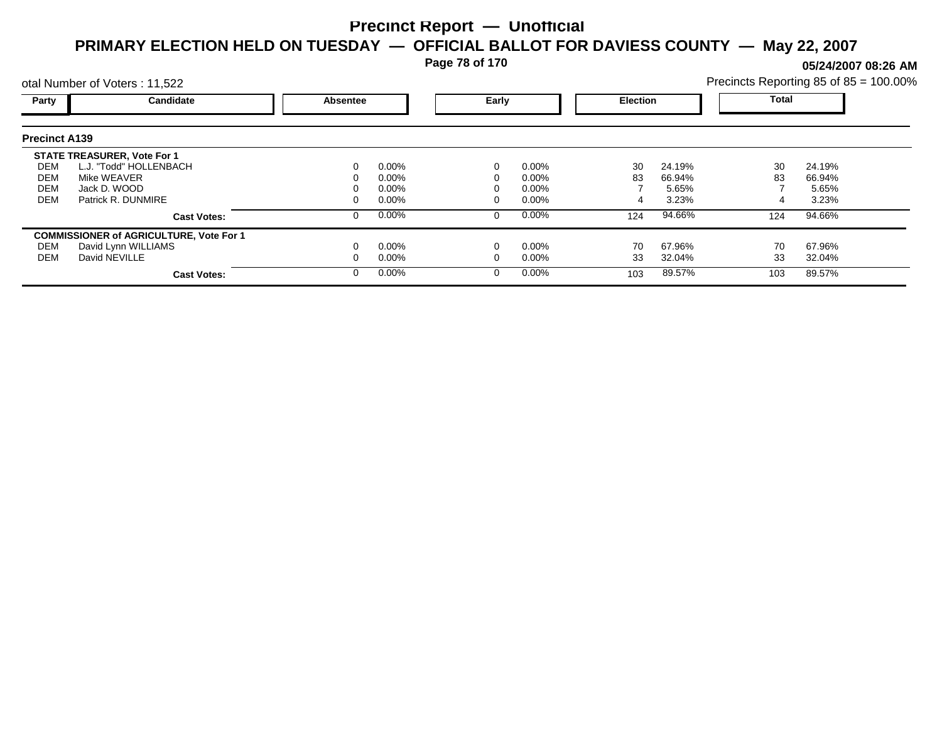**Page 78 of 170**

**05/24/2007 08:26 AM**

|                      | otal Number of Voters: 11,522                  |          |          |   |          |     |                 | Precincts Reporting 85 of 85 = 100.00% |              |  |
|----------------------|------------------------------------------------|----------|----------|---|----------|-----|-----------------|----------------------------------------|--------------|--|
| Party                | Candidate                                      | Absentee |          |   | Early    |     | <b>Election</b> |                                        | <b>Total</b> |  |
| <b>Precinct A139</b> |                                                |          |          |   |          |     |                 |                                        |              |  |
|                      | <b>STATE TREASURER, Vote For 1</b>             |          |          |   |          |     |                 |                                        |              |  |
| DEM                  | L.J. "Todd" HOLLENBACH                         |          | $0.00\%$ |   | $0.00\%$ | 30  | 24.19%          | 30                                     | 24.19%       |  |
| DEM                  | Mike WEAVER                                    |          | $0.00\%$ |   | 0.00%    | 83  | 66.94%          | 83                                     | 66.94%       |  |
| <b>DEM</b>           | Jack D. WOOD                                   |          | $0.00\%$ |   | 0.00%    |     | 5.65%           |                                        | 5.65%        |  |
| <b>DEM</b>           | Patrick R. DUNMIRE                             |          | $0.00\%$ |   | 0.00%    |     | 3.23%           |                                        | 3.23%        |  |
|                      | <b>Cast Votes:</b>                             |          | $0.00\%$ | 0 | $0.00\%$ | 124 | 94.66%          | 124                                    | 94.66%       |  |
|                      | <b>COMMISSIONER of AGRICULTURE, Vote For 1</b> |          |          |   |          |     |                 |                                        |              |  |
| DEM                  | David Lynn WILLIAMS                            |          | $0.00\%$ |   | 0.00%    | 70  | 67.96%          | 70                                     | 67.96%       |  |
| DEM                  | David NEVILLE                                  |          | $0.00\%$ |   | 0.00%    | 33  | 32.04%          | 33                                     | 32.04%       |  |
|                      | <b>Cast Votes:</b>                             |          | $0.00\%$ | 0 | $0.00\%$ | 103 | 89.57%          | 103                                    | 89.57%       |  |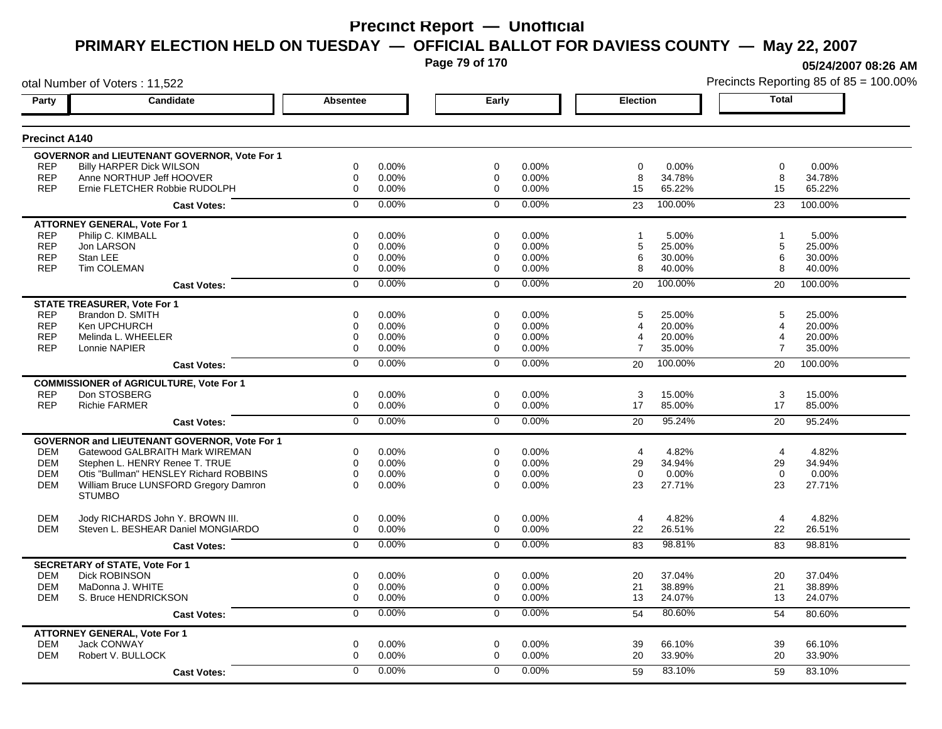**Page 79 of 170**

**05/24/2007 08:26 AM**

|                      | otal Number of Voters: 11,522                       |                 |       |                |       |                 |         |                | Precincts Reporting 85 of 85 = 100.009 |
|----------------------|-----------------------------------------------------|-----------------|-------|----------------|-------|-----------------|---------|----------------|----------------------------------------|
| Party                | Candidate                                           | <b>Absentee</b> |       | Early          |       | <b>Election</b> |         | <b>Total</b>   |                                        |
| <b>Precinct A140</b> |                                                     |                 |       |                |       |                 |         |                |                                        |
|                      | GOVERNOR and LIEUTENANT GOVERNOR, Vote For 1        |                 |       |                |       |                 |         |                |                                        |
| <b>REP</b>           | <b>Billy HARPER Dick WILSON</b>                     | 0               | 0.00% | 0              | 0.00% | 0               | 0.00%   | $\mathbf 0$    | 0.00%                                  |
| <b>REP</b>           | Anne NORTHUP Jeff HOOVER                            | $\mathbf 0$     | 0.00% | 0              | 0.00% | 8               | 34.78%  | 8              | 34.78%                                 |
| <b>REP</b>           | Ernie FLETCHER Robbie RUDOLPH                       | $\mathbf 0$     | 0.00% | $\mathbf 0$    | 0.00% | 15              | 65.22%  | 15             | 65.22%                                 |
|                      | <b>Cast Votes:</b>                                  | $\Omega$        | 0.00% | $\mathbf 0$    | 0.00% | 23              | 100.00% | 23             | 100.00%                                |
|                      | <b>ATTORNEY GENERAL, Vote For 1</b>                 |                 |       |                |       |                 |         |                |                                        |
| <b>REP</b>           | Philip C. KIMBALL                                   | 0               | 0.00% | 0              | 0.00% |                 | 5.00%   | -1             | 5.00%                                  |
| <b>REP</b>           | Jon LARSON                                          | 0               | 0.00% | 0              | 0.00% | 5               | 25.00%  | 5              | 25.00%                                 |
| <b>REP</b>           | Stan LEE                                            | 0               | 0.00% | 0              | 0.00% | 6               | 30.00%  | 6              | 30.00%                                 |
| <b>REP</b>           | Tim COLEMAN                                         | $\mathbf 0$     | 0.00% | 0              | 0.00% | 8               | 40.00%  | 8              | 40.00%                                 |
|                      | <b>Cast Votes:</b>                                  | $\mathbf 0$     | 0.00% | $\mathbf 0$    | 0.00% | 20              | 100.00% | 20             | 100.00%                                |
|                      | <b>STATE TREASURER, Vote For 1</b>                  |                 |       |                |       |                 |         |                |                                        |
| <b>REP</b>           | Brandon D. SMITH                                    | $\mathbf 0$     | 0.00% | $\Omega$       | 0.00% | 5               | 25.00%  | 5              | 25.00%                                 |
| <b>REP</b>           | Ken UPCHURCH                                        | 0               | 0.00% | 0              | 0.00% | 4               | 20.00%  | 4              | 20.00%                                 |
| <b>REP</b>           | Melinda L. WHEELER                                  | $\mathbf 0$     | 0.00% | 0              | 0.00% | 4               | 20.00%  | 4              | 20.00%                                 |
| <b>REP</b>           | Lonnie NAPIER                                       | 0               | 0.00% | $\mathbf 0$    | 0.00% | $\overline{7}$  | 35.00%  | 7              | 35.00%                                 |
|                      | <b>Cast Votes:</b>                                  | $\overline{0}$  | 0.00% | $\overline{0}$ | 0.00% | 20              | 100.00% | 20             | 100.00%                                |
|                      | <b>COMMISSIONER of AGRICULTURE, Vote For 1</b>      |                 |       |                |       |                 |         |                |                                        |
| <b>REP</b>           | Don STOSBERG                                        | 0               | 0.00% | $\mathbf 0$    | 0.00% | 3               | 15.00%  | 3              | 15.00%                                 |
| <b>REP</b>           | <b>Richie FARMER</b>                                | $\mathbf 0$     | 0.00% | $\mathbf 0$    | 0.00% | 17              | 85.00%  | 17             | 85.00%                                 |
|                      | <b>Cast Votes:</b>                                  | $\overline{0}$  | 0.00% | $\overline{0}$ | 0.00% | 20              | 95.24%  | 20             | 95.24%                                 |
|                      | <b>GOVERNOR and LIEUTENANT GOVERNOR, Vote For 1</b> |                 |       |                |       |                 |         |                |                                        |
| <b>DEM</b>           | Gatewood GALBRAITH Mark WIREMAN                     | 0               | 0.00% | $\mathbf 0$    | 0.00% | $\overline{4}$  | 4.82%   | $\overline{4}$ | 4.82%                                  |
| <b>DEM</b>           | Stephen L. HENRY Renee T. TRUE                      | $\mathbf 0$     | 0.00% | $\mathbf 0$    | 0.00% | 29              | 34.94%  | 29             | 34.94%                                 |
| <b>DEM</b>           | Otis "Bullman" HENSLEY Richard ROBBINS              | $\mathbf 0$     | 0.00% | $\mathbf 0$    | 0.00% | $\Omega$        | 0.00%   | $\Omega$       | 0.00%                                  |
| <b>DEM</b>           | William Bruce LUNSFORD Gregory Damron               | $\Omega$        | 0.00% | $\Omega$       | 0.00% | 23              | 27.71%  | 23             | 27.71%                                 |
|                      | <b>STUMBO</b>                                       |                 |       |                |       |                 |         |                |                                        |
| <b>DEM</b>           | Jody RICHARDS John Y. BROWN III.                    | 0               | 0.00% | $\mathbf 0$    | 0.00% | 4               | 4.82%   | $\overline{4}$ | 4.82%                                  |
| <b>DEM</b>           | Steven L. BESHEAR Daniel MONGIARDO                  | 0               | 0.00% | $\mathbf 0$    | 0.00% | 22              | 26.51%  | 22             | 26.51%                                 |
|                      | <b>Cast Votes:</b>                                  | $\mathbf 0$     | 0.00% | $\mathbf 0$    | 0.00% | 83              | 98.81%  | 83             | 98.81%                                 |
|                      | <b>SECRETARY of STATE, Vote For 1</b>               |                 |       |                |       |                 |         |                |                                        |
| <b>DEM</b>           | <b>Dick ROBINSON</b>                                | $\mathbf 0$     | 0.00% | $\mathbf 0$    | 0.00% | 20              | 37.04%  | 20             | 37.04%                                 |
| <b>DEM</b>           | MaDonna J. WHITE                                    | $\mathbf 0$     | 0.00% | 0              | 0.00% | 21              | 38.89%  | 21             | 38.89%                                 |
| <b>DEM</b>           | S. Bruce HENDRICKSON                                | $\mathbf 0$     | 0.00% | $\mathbf 0$    | 0.00% | 13              | 24.07%  | 13             | 24.07%                                 |
|                      | <b>Cast Votes:</b>                                  | 0               | 0.00% | 0              | 0.00% | 54              | 80.60%  | 54             | 80.60%                                 |
|                      | <b>ATTORNEY GENERAL, Vote For 1</b>                 |                 |       |                |       |                 |         |                |                                        |
| <b>DEM</b>           | <b>Jack CONWAY</b>                                  | $\mathbf 0$     | 0.00% | $\mathbf 0$    | 0.00% | 39              | 66.10%  | 39             | 66.10%                                 |
| <b>DEM</b>           | Robert V. BULLOCK                                   | $\mathbf 0$     | 0.00% | $\mathbf 0$    | 0.00% | 20              | 33.90%  | 20             | 33.90%                                 |
|                      | <b>Cast Votes:</b>                                  | $\Omega$        | 0.00% | $\Omega$       | 0.00% | 59              | 83.10%  | 59             | 83.10%                                 |
|                      |                                                     |                 |       |                |       |                 |         |                |                                        |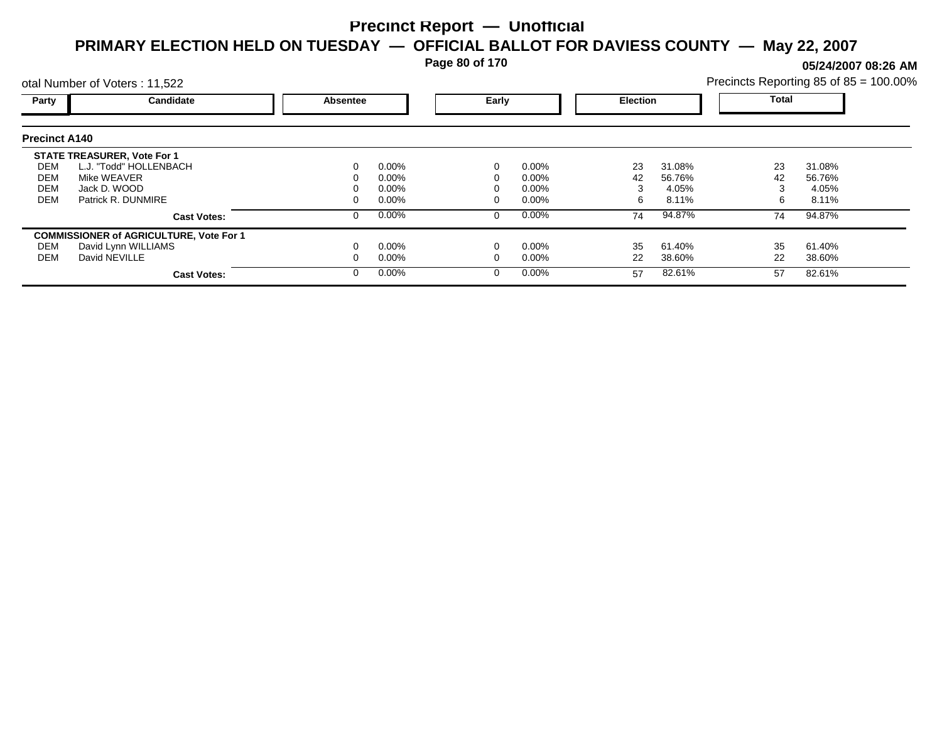**Page 80 of 170**

**05/24/2007 08:26 AM**

|                                               | otal Number of Voters: 11,522                                                                                     |                 |                                              |       |                                     |                 |                                    |                | Precincts Reporting 85 of 85 = 100.00% |
|-----------------------------------------------|-------------------------------------------------------------------------------------------------------------------|-----------------|----------------------------------------------|-------|-------------------------------------|-----------------|------------------------------------|----------------|----------------------------------------|
| Party                                         | Candidate                                                                                                         | <b>Absentee</b> |                                              | Early |                                     | <b>Election</b> |                                    | <b>Total</b>   |                                        |
| <b>Precinct A140</b>                          |                                                                                                                   |                 |                                              |       |                                     |                 |                                    |                |                                        |
| DEM<br><b>DEM</b><br><b>DEM</b><br><b>DEM</b> | <b>STATE TREASURER, Vote For 1</b><br>L.J. "Todd" HOLLENBACH<br>Mike WEAVER<br>Jack D. WOOD<br>Patrick R. DUNMIRE |                 | $0.00\%$<br>$0.00\%$<br>$0.00\%$<br>$0.00\%$ |       | $0.00\%$<br>0.00%<br>0.00%<br>0.00% | 23<br>42<br>6   | 31.08%<br>56.76%<br>4.05%<br>8.11% | 23<br>42<br>6  | 31.08%<br>56.76%<br>4.05%<br>8.11%     |
|                                               | <b>Cast Votes:</b>                                                                                                |                 | $0.00\%$                                     | 0     | $0.00\%$                            | 74              | 94.87%                             | 74             | 94.87%                                 |
| DEM<br><b>DEM</b>                             | <b>COMMISSIONER of AGRICULTURE, Vote For 1</b><br>David Lynn WILLIAMS<br>David NEVILLE<br><b>Cast Votes:</b>      |                 | $0.00\%$<br>$0.00\%$<br>$0.00\%$             |       | 0.00%<br>0.00%<br>$0.00\%$          | 35<br>22<br>57  | 61.40%<br>38.60%<br>82.61%         | 35<br>22<br>57 | 61.40%<br>38.60%<br>82.61%             |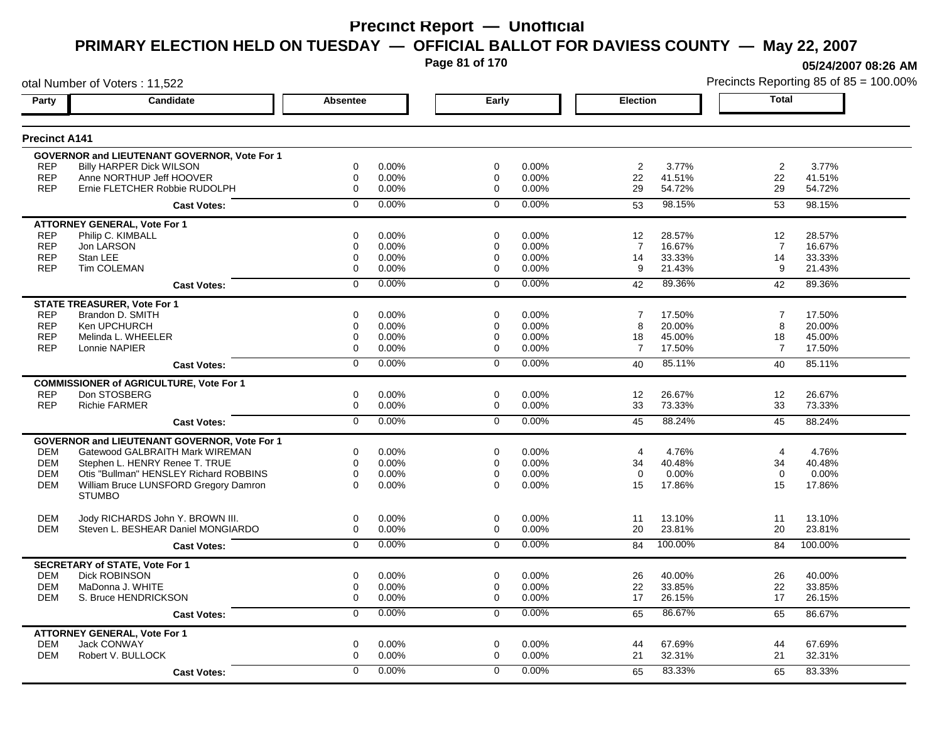**Page 81 of 170**

**05/24/2007 08:26 AM**

|                      | otal Number of Voters: 11,522                       |                 |       |                |       |                 |         |                | Precincts Reporting 85 of 85 = 100.00% |
|----------------------|-----------------------------------------------------|-----------------|-------|----------------|-------|-----------------|---------|----------------|----------------------------------------|
| Party                | Candidate                                           | <b>Absentee</b> |       | Early          |       | <b>Election</b> |         | <b>Total</b>   |                                        |
| <b>Precinct A141</b> |                                                     |                 |       |                |       |                 |         |                |                                        |
|                      | GOVERNOR and LIEUTENANT GOVERNOR, Vote For 1        |                 |       |                |       |                 |         |                |                                        |
| <b>REP</b>           | <b>Billy HARPER Dick WILSON</b>                     | 0               | 0.00% | 0              | 0.00% | $\overline{2}$  | 3.77%   | $\sqrt{2}$     | 3.77%                                  |
| <b>REP</b>           | Anne NORTHUP Jeff HOOVER                            | $\mathbf 0$     | 0.00% | 0              | 0.00% | 22              | 41.51%  | 22             | 41.51%                                 |
| <b>REP</b>           | Ernie FLETCHER Robbie RUDOLPH                       | $\mathbf 0$     | 0.00% | $\mathbf 0$    | 0.00% | 29              | 54.72%  | 29             | 54.72%                                 |
|                      | <b>Cast Votes:</b>                                  | $\mathbf 0$     | 0.00% | $\mathbf 0$    | 0.00% | 53              | 98.15%  | 53             | 98.15%                                 |
|                      | <b>ATTORNEY GENERAL, Vote For 1</b>                 |                 |       |                |       |                 |         |                |                                        |
| <b>REP</b>           | Philip C. KIMBALL                                   | $\mathbf 0$     | 0.00% | $\mathbf 0$    | 0.00% | 12              | 28.57%  | 12             | 28.57%                                 |
| <b>REP</b>           | Jon LARSON                                          | $\mathbf 0$     | 0.00% | 0              | 0.00% | $\overline{7}$  | 16.67%  | $\overline{7}$ | 16.67%                                 |
| <b>REP</b>           | Stan LEE                                            | $\mathbf 0$     | 0.00% | 0              | 0.00% | 14              | 33.33%  | 14             | 33.33%                                 |
| <b>REP</b>           | <b>Tim COLEMAN</b>                                  | $\mathbf 0$     | 0.00% | $\mathbf 0$    | 0.00% | 9               | 21.43%  | 9              | 21.43%                                 |
|                      | <b>Cast Votes:</b>                                  | $\mathbf 0$     | 0.00% | $\mathbf 0$    | 0.00% | 42              | 89.36%  | 42             | 89.36%                                 |
|                      | <b>STATE TREASURER, Vote For 1</b>                  |                 |       |                |       |                 |         |                |                                        |
| <b>REP</b>           | Brandon D. SMITH                                    | $\mathbf 0$     | 0.00% | $\mathbf 0$    | 0.00% | $\overline{7}$  | 17.50%  | $\overline{7}$ | 17.50%                                 |
| <b>REP</b>           | Ken UPCHURCH                                        | $\mathbf 0$     | 0.00% | $\mathbf 0$    | 0.00% | 8               | 20.00%  | 8              | 20.00%                                 |
| <b>REP</b>           | Melinda L. WHEELER                                  | $\mathbf 0$     | 0.00% | $\mathbf 0$    | 0.00% | 18              | 45.00%  | 18             | 45.00%                                 |
| <b>REP</b>           | Lonnie NAPIER                                       | $\Omega$        | 0.00% | $\mathbf 0$    | 0.00% | $\overline{7}$  | 17.50%  | $\overline{7}$ | 17.50%                                 |
|                      | <b>Cast Votes:</b>                                  | $\overline{0}$  | 0.00% | $\overline{0}$ | 0.00% | 40              | 85.11%  | 40             | 85.11%                                 |
|                      | <b>COMMISSIONER of AGRICULTURE, Vote For 1</b>      |                 |       |                |       |                 |         |                |                                        |
| <b>REP</b>           | Don STOSBERG                                        | 0               | 0.00% | $\mathbf 0$    | 0.00% | 12              | 26.67%  | 12             | 26.67%                                 |
| <b>REP</b>           | <b>Richie FARMER</b>                                | 0               | 0.00% | $\mathbf 0$    | 0.00% | 33              | 73.33%  | 33             | 73.33%                                 |
|                      | <b>Cast Votes:</b>                                  | $\overline{0}$  | 0.00% | $\overline{0}$ | 0.00% | 45              | 88.24%  | 45             | 88.24%                                 |
|                      | <b>GOVERNOR and LIEUTENANT GOVERNOR, Vote For 1</b> |                 |       |                |       |                 |         |                |                                        |
| DEM                  | Gatewood GALBRAITH Mark WIREMAN                     | 0               | 0.00% | 0              | 0.00% | 4               | 4.76%   | 4              | 4.76%                                  |
| <b>DEM</b>           | Stephen L. HENRY Renee T. TRUE                      | $\mathbf 0$     | 0.00% | 0              | 0.00% | 34              | 40.48%  | 34             | 40.48%                                 |
| <b>DEM</b>           | Otis "Bullman" HENSLEY Richard ROBBINS              | $\mathbf 0$     | 0.00% | 0              | 0.00% | $\mathbf 0$     | 0.00%   | $\mathbf 0$    | 0.00%                                  |
| <b>DEM</b>           | William Bruce LUNSFORD Gregory Damron               | $\Omega$        | 0.00% | $\Omega$       | 0.00% | 15              | 17.86%  | 15             | 17.86%                                 |
|                      | <b>STUMBO</b>                                       |                 |       |                |       |                 |         |                |                                        |
| <b>DEM</b>           | Jody RICHARDS John Y. BROWN III.                    | 0               | 0.00% | $\mathbf 0$    | 0.00% | 11              | 13.10%  | 11             | 13.10%                                 |
| <b>DEM</b>           | Steven L. BESHEAR Daniel MONGIARDO                  | 0               | 0.00% | 0              | 0.00% | 20              | 23.81%  | 20             | 23.81%                                 |
|                      | <b>Cast Votes:</b>                                  | $\mathbf 0$     | 0.00% | $\mathbf 0$    | 0.00% | 84              | 100.00% | 84             | 100.00%                                |
|                      | <b>SECRETARY of STATE, Vote For 1</b>               |                 |       |                |       |                 |         |                |                                        |
| <b>DEM</b>           | <b>Dick ROBINSON</b>                                | 0               | 0.00% | 0              | 0.00% | 26              | 40.00%  | 26             | 40.00%                                 |
| <b>DEM</b>           | MaDonna J. WHITE                                    | 0               | 0.00% | 0              | 0.00% | 22              | 33.85%  | 22             | 33.85%                                 |
| DEM                  | S. Bruce HENDRICKSON                                | $\mathbf 0$     | 0.00% | 0              | 0.00% | 17              | 26.15%  | 17             | 26.15%                                 |
|                      | <b>Cast Votes:</b>                                  | 0               | 0.00% | $\mathbf 0$    | 0.00% | 65              | 86.67%  | 65             | 86.67%                                 |
|                      | <b>ATTORNEY GENERAL, Vote For 1</b>                 |                 |       |                |       |                 |         |                |                                        |
| <b>DEM</b>           | <b>Jack CONWAY</b>                                  | $\mathbf 0$     | 0.00% | $\mathbf 0$    | 0.00% | 44              | 67.69%  | 44             | 67.69%                                 |
| <b>DEM</b>           | Robert V. BULLOCK                                   | $\mathbf 0$     | 0.00% | $\mathbf 0$    | 0.00% | 21              | 32.31%  | 21             | 32.31%                                 |
|                      | <b>Cast Votes:</b>                                  | $\Omega$        | 0.00% | $\Omega$       | 0.00% | 65              | 83.33%  | 65             | 83.33%                                 |
|                      |                                                     |                 |       |                |       |                 |         |                |                                        |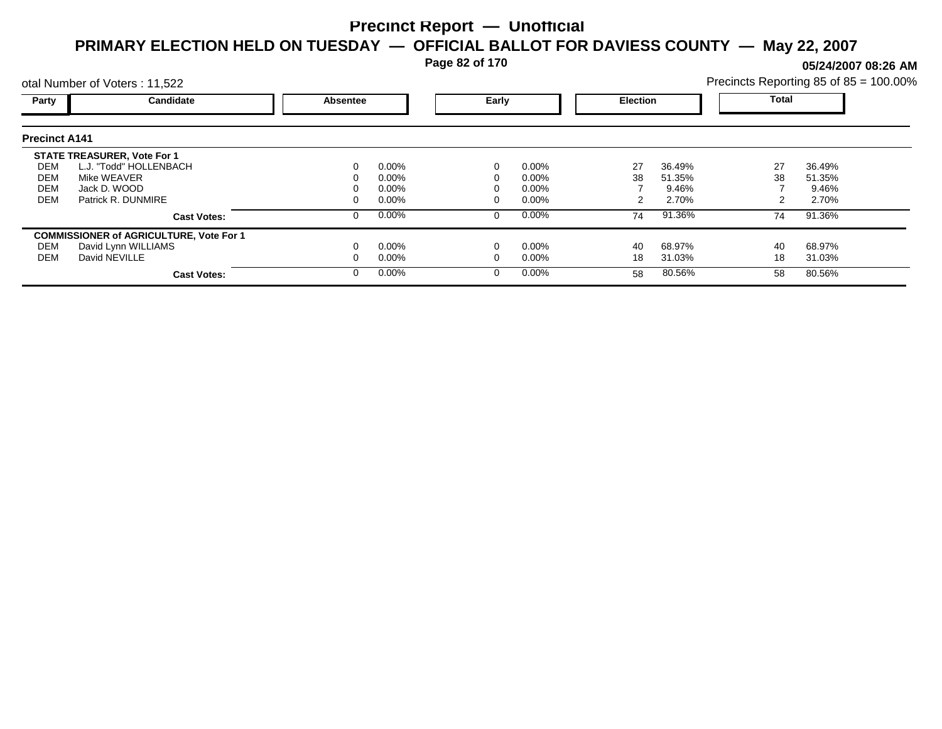**Page 82 of 170**

**05/24/2007 08:26 AM**

|                      | otal Number of Voters: 11,522                  |          |          |       |          |                 |        | Precincts Reporting 85 of 85 = 100.00% |        |  |
|----------------------|------------------------------------------------|----------|----------|-------|----------|-----------------|--------|----------------------------------------|--------|--|
| Party                | Candidate                                      | Absentee |          | Early |          | <b>Election</b> |        | <b>Total</b>                           |        |  |
| <b>Precinct A141</b> |                                                |          |          |       |          |                 |        |                                        |        |  |
|                      | <b>STATE TREASURER, Vote For 1</b>             |          |          |       |          |                 |        |                                        |        |  |
| DEM                  | L.J. "Todd" HOLLENBACH                         |          | $0.00\%$ |       | $0.00\%$ | 27              | 36.49% | 27                                     | 36.49% |  |
| DEM                  | Mike WEAVER                                    |          | 0.00%    |       | 0.00%    | 38              | 51.35% | 38                                     | 51.35% |  |
| <b>DEM</b>           | Jack D. WOOD                                   |          | 0.00%    |       | 0.00%    |                 | 9.46%  |                                        | 9.46%  |  |
| <b>DEM</b>           | Patrick R. DUNMIRE                             |          | $0.00\%$ |       | 0.00%    |                 | 2.70%  |                                        | 2.70%  |  |
|                      | <b>Cast Votes:</b>                             |          | $0.00\%$ | 0     | $0.00\%$ | 74              | 91.36% | 74                                     | 91.36% |  |
|                      | <b>COMMISSIONER of AGRICULTURE, Vote For 1</b> |          |          |       |          |                 |        |                                        |        |  |
| DEM                  | David Lynn WILLIAMS                            |          | $0.00\%$ |       | 0.00%    | 40              | 68.97% | 40                                     | 68.97% |  |
| DEM                  | David NEVILLE                                  |          | $0.00\%$ |       | 0.00%    | 18              | 31.03% | 18                                     | 31.03% |  |
|                      | <b>Cast Votes:</b>                             |          | $0.00\%$ | 0     | $0.00\%$ | 58              | 80.56% | 58                                     | 80.56% |  |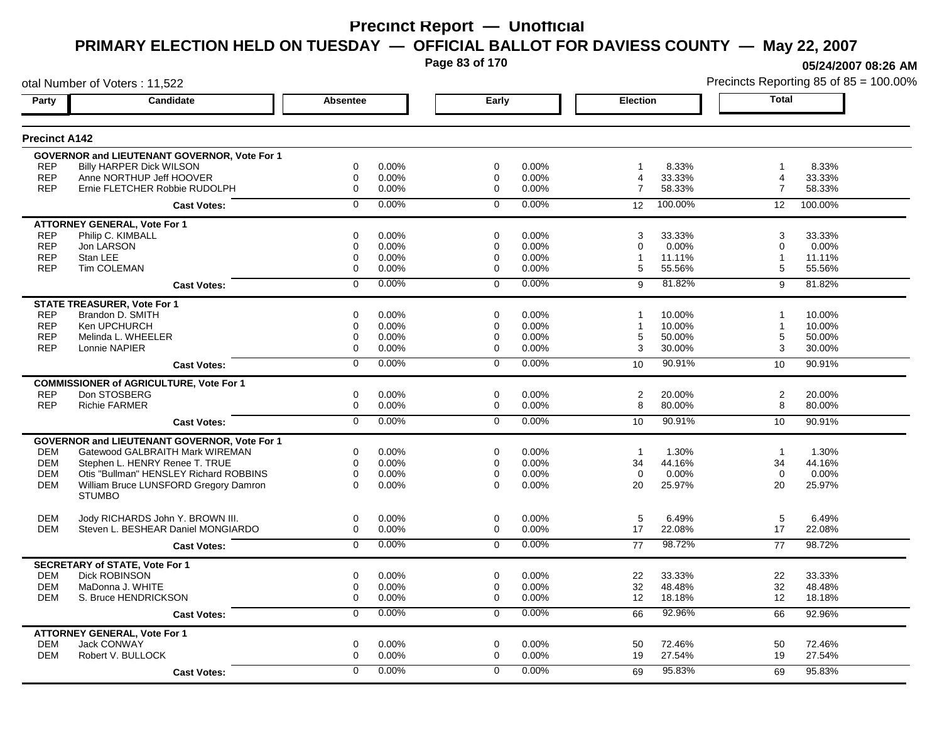**Page 83 of 170**

**05/24/2007 08:26 AM**

|                      | otal Number of Voters: 11,522                       |                 |          |                |       |                 |         |                | Precincts Reporting 85 of 85 = 100.00% |
|----------------------|-----------------------------------------------------|-----------------|----------|----------------|-------|-----------------|---------|----------------|----------------------------------------|
| Party                | Candidate                                           | <b>Absentee</b> |          | Early          |       | <b>Election</b> |         | <b>Total</b>   |                                        |
| <b>Precinct A142</b> |                                                     |                 |          |                |       |                 |         |                |                                        |
|                      | <b>GOVERNOR and LIEUTENANT GOVERNOR, Vote For 1</b> |                 |          |                |       |                 |         |                |                                        |
| <b>REP</b>           | <b>Billy HARPER Dick WILSON</b>                     | 0               | 0.00%    | 0              | 0.00% | 1               | 8.33%   | 1              | 8.33%                                  |
| <b>REP</b>           | Anne NORTHUP Jeff HOOVER                            | $\mathbf 0$     | 0.00%    | 0              | 0.00% | 4               | 33.33%  | 4              | 33.33%                                 |
| <b>REP</b>           | Ernie FLETCHER Robbie RUDOLPH                       | $\mathbf 0$     | 0.00%    | $\mathbf 0$    | 0.00% | $\overline{7}$  | 58.33%  | $\overline{7}$ | 58.33%                                 |
|                      | <b>Cast Votes:</b>                                  | $\Omega$        | 0.00%    | $\mathbf 0$    | 0.00% | 12              | 100.00% | 12             | 100.00%                                |
|                      | <b>ATTORNEY GENERAL, Vote For 1</b>                 |                 |          |                |       |                 |         |                |                                        |
| <b>REP</b>           | Philip C. KIMBALL                                   | 0               | 0.00%    | 0              | 0.00% | 3               | 33.33%  | 3              | 33.33%                                 |
| <b>REP</b>           | Jon LARSON                                          | 0               | 0.00%    | 0              | 0.00% | 0               | 0.00%   | 0              | 0.00%                                  |
| <b>REP</b>           | Stan LEE                                            | 0               | 0.00%    | 0              | 0.00% | 1               | 11.11%  | $\mathbf{1}$   | 11.11%                                 |
| <b>REP</b>           | Tim COLEMAN                                         | $\mathbf 0$     | 0.00%    | 0              | 0.00% | 5               | 55.56%  | 5              | 55.56%                                 |
|                      | <b>Cast Votes:</b>                                  | $\mathbf 0$     | 0.00%    | $\Omega$       | 0.00% | 9               | 81.82%  | 9              | 81.82%                                 |
|                      | <b>STATE TREASURER, Vote For 1</b>                  |                 |          |                |       |                 |         |                |                                        |
| <b>REP</b>           | Brandon D. SMITH                                    | $\Omega$        | 0.00%    | $\Omega$       | 0.00% |                 | 10.00%  |                | 10.00%                                 |
| <b>REP</b>           | Ken UPCHURCH                                        | 0               | 0.00%    | 0              | 0.00% | $\mathbf{1}$    | 10.00%  | 1              | 10.00%                                 |
| <b>REP</b>           | Melinda L. WHEELER                                  | $\mathbf 0$     | 0.00%    | 0              | 0.00% | 5               | 50.00%  | 5              | 50.00%                                 |
| <b>REP</b>           | Lonnie NAPIER                                       | 0               | 0.00%    | 0              | 0.00% | 3               | 30.00%  | 3              | 30.00%                                 |
|                      | <b>Cast Votes:</b>                                  | $\overline{0}$  | 0.00%    | $\overline{0}$ | 0.00% | 10              | 90.91%  | 10             | 90.91%                                 |
|                      | <b>COMMISSIONER of AGRICULTURE, Vote For 1</b>      |                 |          |                |       |                 |         |                |                                        |
| <b>REP</b>           | Don STOSBERG                                        | $\mathbf 0$     | 0.00%    | $\mathbf 0$    | 0.00% | $\overline{c}$  | 20.00%  | 2              | 20.00%                                 |
| <b>REP</b>           | <b>Richie FARMER</b>                                | $\mathbf 0$     | 0.00%    | $\mathbf 0$    | 0.00% | 8               | 80.00%  | 8              | 80.00%                                 |
|                      | <b>Cast Votes:</b>                                  | $\overline{0}$  | 0.00%    | $\overline{0}$ | 0.00% | 10              | 90.91%  | 10             | 90.91%                                 |
|                      | <b>GOVERNOR and LIEUTENANT GOVERNOR, Vote For 1</b> |                 |          |                |       |                 |         |                |                                        |
| <b>DEM</b>           | Gatewood GALBRAITH Mark WIREMAN                     | 0               | 0.00%    | 0              | 0.00% | $\mathbf{1}$    | 1.30%   | $\overline{1}$ | 1.30%                                  |
| <b>DEM</b>           | Stephen L. HENRY Renee T. TRUE                      | $\mathbf 0$     | $0.00\%$ | $\mathbf 0$    | 0.00% | 34              | 44.16%  | 34             | 44.16%                                 |
| <b>DEM</b>           | Otis "Bullman" HENSLEY Richard ROBBINS              | $\mathbf 0$     | 0.00%    | $\mathbf 0$    | 0.00% | $\Omega$        | 0.00%   | $\Omega$       | 0.00%                                  |
| <b>DEM</b>           | William Bruce LUNSFORD Gregory Damron               | $\Omega$        | $0.00\%$ | $\Omega$       | 0.00% | 20              | 25.97%  | 20             | 25.97%                                 |
|                      | <b>STUMBO</b>                                       |                 |          |                |       |                 |         |                |                                        |
| <b>DEM</b>           | Jody RICHARDS John Y. BROWN III.                    | $\mathbf 0$     | 0.00%    | $\mathbf 0$    | 0.00% | 5               | 6.49%   | 5              | 6.49%                                  |
| <b>DEM</b>           | Steven L. BESHEAR Daniel MONGIARDO                  | $\mathbf 0$     | 0.00%    | $\mathbf 0$    | 0.00% | 17              | 22.08%  | 17             | 22.08%                                 |
|                      | <b>Cast Votes:</b>                                  | $\overline{0}$  | 0.00%    | $\mathbf 0$    | 0.00% | 77              | 98.72%  | 77             | 98.72%                                 |
|                      | <b>SECRETARY of STATE, Vote For 1</b>               |                 |          |                |       |                 |         |                |                                        |
| <b>DEM</b>           | <b>Dick ROBINSON</b>                                | $\mathbf 0$     | 0.00%    | $\mathbf 0$    | 0.00% | 22              | 33.33%  | 22             | 33.33%                                 |
| <b>DEM</b>           | MaDonna J. WHITE                                    | $\mathbf 0$     | 0.00%    | 0              | 0.00% | 32              | 48.48%  | 32             | 48.48%                                 |
| <b>DEM</b>           | S. Bruce HENDRICKSON                                | $\mathbf 0$     | 0.00%    | $\mathbf 0$    | 0.00% | 12              | 18.18%  | 12             | 18.18%                                 |
|                      | <b>Cast Votes:</b>                                  | 0               | 0.00%    | 0              | 0.00% | 66              | 92.96%  | 66             | 92.96%                                 |
|                      | <b>ATTORNEY GENERAL, Vote For 1</b>                 |                 |          |                |       |                 |         |                |                                        |
| <b>DEM</b>           | <b>Jack CONWAY</b>                                  | $\mathbf 0$     | 0.00%    | $\mathbf 0$    | 0.00% | 50              | 72.46%  | 50             | 72.46%                                 |
| <b>DEM</b>           | Robert V. BULLOCK                                   | $\mathbf 0$     | 0.00%    | 0              | 0.00% | 19              | 27.54%  | 19             | 27.54%                                 |
|                      |                                                     |                 |          |                |       |                 |         |                |                                        |
|                      | <b>Cast Votes:</b>                                  | $\Omega$        | 0.00%    | $\Omega$       | 0.00% | 69              | 95.83%  | 69             | 95.83%                                 |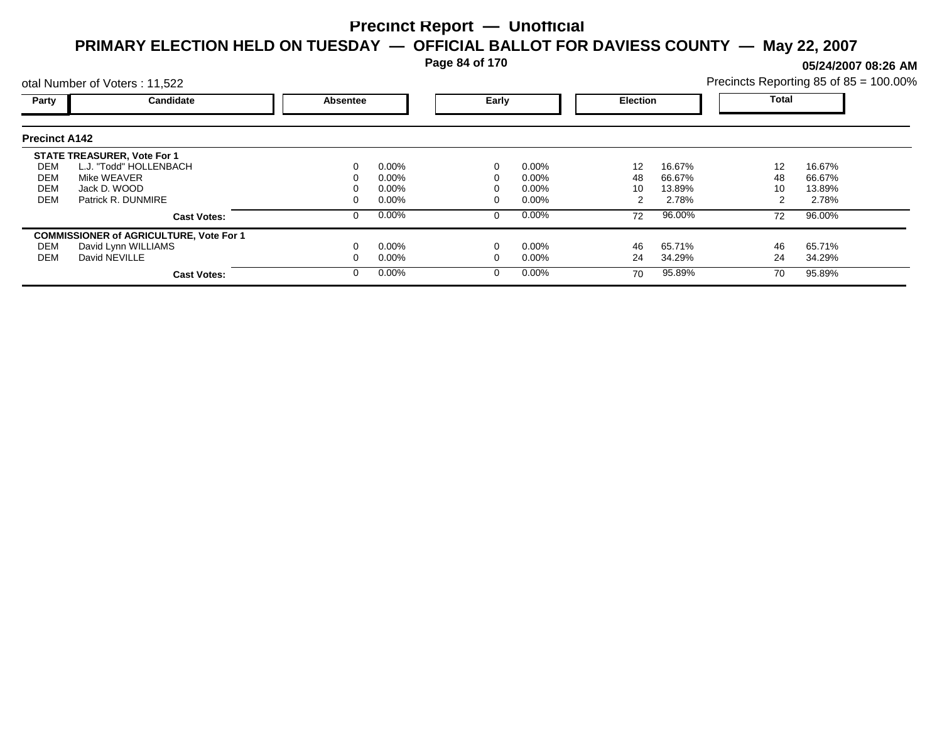**Page 84 of 170**

**05/24/2007 08:26 AM**

|                      | otal Number of Voters: 11,522                  |          |          |       |          |                 |        |       | Precincts Reporting 85 of 85 = 100.00% |
|----------------------|------------------------------------------------|----------|----------|-------|----------|-----------------|--------|-------|----------------------------------------|
| Party                | Candidate                                      | Absentee |          | Early |          | <b>Election</b> |        | Total |                                        |
| <b>Precinct A142</b> |                                                |          |          |       |          |                 |        |       |                                        |
|                      | <b>STATE TREASURER, Vote For 1</b>             |          |          |       |          |                 |        |       |                                        |
| DEM                  | L.J. "Todd" HOLLENBACH                         |          | $0.00\%$ |       | $0.00\%$ | 12              | 16.67% | 12    | 16.67%                                 |
| <b>DEM</b>           | Mike WEAVER                                    |          | $0.00\%$ |       | $0.00\%$ | 48              | 66.67% | 48    | 66.67%                                 |
| <b>DEM</b>           | Jack D. WOOD                                   |          | $0.00\%$ |       | $0.00\%$ | 10              | 13.89% | 10    | 13.89%                                 |
| DEM                  | Patrick R. DUNMIRE                             |          | $0.00\%$ |       | $0.00\%$ |                 | 2.78%  |       | 2.78%                                  |
|                      | <b>Cast Votes:</b>                             |          | 0.00%    |       | $0.00\%$ | 72              | 96.00% | 72    | 96.00%                                 |
|                      | <b>COMMISSIONER of AGRICULTURE, Vote For 1</b> |          |          |       |          |                 |        |       |                                        |
| DEM                  | David Lynn WILLIAMS                            |          | $0.00\%$ |       | $0.00\%$ | 46              | 65.71% | 46    | 65.71%                                 |
| <b>DEM</b>           | David NEVILLE                                  |          | $0.00\%$ |       | $0.00\%$ | 24              | 34.29% | 24    | 34.29%                                 |
|                      | <b>Cast Votes:</b>                             |          | $0.00\%$ |       | $0.00\%$ | 70              | 95.89% | 70    | 95.89%                                 |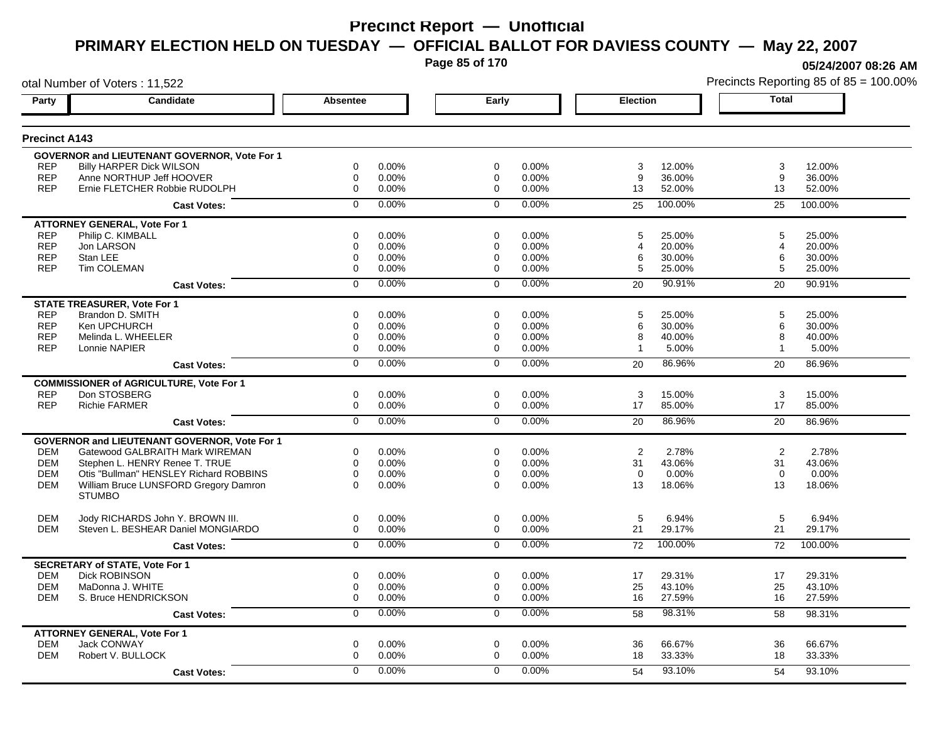**Page 85 of 170**

**05/24/2007 08:26 AM**

|                      | otal Number of Voters: 11,522                          |                 |          |                |       |                 |         |              | Precincts Reporting 85 of 85 = 100.00% |
|----------------------|--------------------------------------------------------|-----------------|----------|----------------|-------|-----------------|---------|--------------|----------------------------------------|
| Party                | Candidate                                              | <b>Absentee</b> |          | Early          |       | <b>Election</b> |         | <b>Total</b> |                                        |
| <b>Precinct A143</b> |                                                        |                 |          |                |       |                 |         |              |                                        |
|                      | <b>GOVERNOR and LIEUTENANT GOVERNOR, Vote For 1</b>    |                 |          |                |       |                 |         |              |                                        |
| <b>REP</b>           | <b>Billy HARPER Dick WILSON</b>                        | 0               | 0.00%    | 0              | 0.00% | 3               | 12.00%  | 3            | 12.00%                                 |
| <b>REP</b>           | Anne NORTHUP Jeff HOOVER                               | $\mathbf 0$     | 0.00%    | 0              | 0.00% | 9               | 36.00%  | 9            | 36.00%                                 |
| <b>REP</b>           | Ernie FLETCHER Robbie RUDOLPH                          | $\mathbf 0$     | 0.00%    | $\mathbf 0$    | 0.00% | 13              | 52.00%  | 13           | 52.00%                                 |
|                      | <b>Cast Votes:</b>                                     | $\Omega$        | 0.00%    | $\mathbf 0$    | 0.00% | 25              | 100.00% | 25           | 100.00%                                |
|                      | <b>ATTORNEY GENERAL, Vote For 1</b>                    |                 |          |                |       |                 |         |              |                                        |
| <b>REP</b>           | Philip C. KIMBALL                                      | 0               | 0.00%    | 0              | 0.00% | 5               | 25.00%  | 5            | 25.00%                                 |
| <b>REP</b>           | Jon LARSON                                             | 0               | 0.00%    | 0              | 0.00% | 4               | 20.00%  | 4            | 20.00%                                 |
| <b>REP</b>           | Stan LEE                                               | 0               | 0.00%    | 0              | 0.00% | 6               | 30.00%  | 6            | 30.00%                                 |
| <b>REP</b>           | Tim COLEMAN                                            | $\mathbf 0$     | 0.00%    | 0              | 0.00% | 5               | 25.00%  | 5            | 25.00%                                 |
|                      | <b>Cast Votes:</b>                                     | $\mathbf 0$     | 0.00%    | $\mathbf 0$    | 0.00% | 20              | 90.91%  | 20           | 90.91%                                 |
|                      | <b>STATE TREASURER, Vote For 1</b>                     |                 |          |                |       |                 |         |              |                                        |
| <b>REP</b>           | Brandon D. SMITH                                       | $\Omega$        | 0.00%    | $\Omega$       | 0.00% | 5               | 25.00%  | 5            | 25.00%                                 |
| <b>REP</b>           | Ken UPCHURCH                                           | 0               | 0.00%    | 0              | 0.00% | 6               | 30.00%  | 6            | 30.00%                                 |
| <b>REP</b>           | Melinda L. WHEELER                                     | $\mathbf 0$     | 0.00%    | 0              | 0.00% | 8               | 40.00%  | 8            | 40.00%                                 |
| <b>REP</b>           | Lonnie NAPIER                                          | 0               | 0.00%    | 0              | 0.00% | $\mathbf{1}$    | 5.00%   | 1            | 5.00%                                  |
|                      | <b>Cast Votes:</b>                                     | $\overline{0}$  | 0.00%    | $\overline{0}$ | 0.00% | 20              | 86.96%  | 20           | 86.96%                                 |
|                      | <b>COMMISSIONER of AGRICULTURE, Vote For 1</b>         |                 |          |                |       |                 |         |              |                                        |
| <b>REP</b>           | Don STOSBERG                                           | $\mathbf 0$     | 0.00%    | $\mathbf 0$    | 0.00% | 3               | 15.00%  | 3            | 15.00%                                 |
| <b>REP</b>           | <b>Richie FARMER</b>                                   | $\mathbf 0$     | 0.00%    | $\mathbf 0$    | 0.00% | 17              | 85.00%  | 17           | 85.00%                                 |
|                      | <b>Cast Votes:</b>                                     | $\overline{0}$  | 0.00%    | $\overline{0}$ | 0.00% | 20              | 86.96%  | 20           | 86.96%                                 |
|                      | <b>GOVERNOR and LIEUTENANT GOVERNOR, Vote For 1</b>    |                 |          |                |       |                 |         |              |                                        |
| <b>DEM</b>           | Gatewood GALBRAITH Mark WIREMAN                        | 0               | 0.00%    | 0              | 0.00% | 2               | 2.78%   | 2            | 2.78%                                  |
| <b>DEM</b>           | Stephen L. HENRY Renee T. TRUE                         | $\mathbf 0$     | $0.00\%$ | $\mathbf 0$    | 0.00% | 31              | 43.06%  | 31           | 43.06%                                 |
| <b>DEM</b>           | Otis "Bullman" HENSLEY Richard ROBBINS                 | $\mathbf 0$     | 0.00%    | $\mathbf 0$    | 0.00% | $\Omega$        | 0.00%   | $\Omega$     | 0.00%                                  |
| <b>DEM</b>           | William Bruce LUNSFORD Gregory Damron<br><b>STUMBO</b> | $\Omega$        | $0.00\%$ | $\Omega$       | 0.00% | 13              | 18.06%  | 13           | 18.06%                                 |
|                      |                                                        |                 |          |                |       |                 |         |              |                                        |
| <b>DEM</b>           | Jody RICHARDS John Y. BROWN III.                       | $\mathbf 0$     | 0.00%    | $\mathbf 0$    | 0.00% | 5               | 6.94%   | 5            | 6.94%                                  |
| <b>DEM</b>           | Steven L. BESHEAR Daniel MONGIARDO                     | $\mathbf 0$     | 0.00%    | $\mathbf 0$    | 0.00% | 21              | 29.17%  | 21           | 29.17%                                 |
|                      | <b>Cast Votes:</b>                                     | $\overline{0}$  | 0.00%    | $\mathbf 0$    | 0.00% | 72              | 100.00% | 72           | 100.00%                                |
|                      | <b>SECRETARY of STATE, Vote For 1</b>                  |                 |          |                |       |                 |         |              |                                        |
| <b>DEM</b>           | <b>Dick ROBINSON</b>                                   | $\mathbf 0$     | 0.00%    | $\mathbf 0$    | 0.00% | 17              | 29.31%  | 17           | 29.31%                                 |
| <b>DEM</b>           | MaDonna J. WHITE                                       | $\mathbf 0$     | 0.00%    | 0              | 0.00% | 25              | 43.10%  | 25           | 43.10%                                 |
| <b>DEM</b>           | S. Bruce HENDRICKSON                                   | $\mathbf 0$     | 0.00%    | $\mathbf 0$    | 0.00% | 16              | 27.59%  | 16           | 27.59%                                 |
|                      | <b>Cast Votes:</b>                                     | 0               | 0.00%    | 0              | 0.00% | 58              | 98.31%  | 58           | 98.31%                                 |
|                      | <b>ATTORNEY GENERAL, Vote For 1</b>                    |                 |          |                |       |                 |         |              |                                        |
| <b>DEM</b>           | <b>Jack CONWAY</b>                                     | $\mathbf 0$     | 0.00%    | $\mathbf 0$    | 0.00% | 36              | 66.67%  | 36           | 66.67%                                 |
| <b>DEM</b>           | Robert V. BULLOCK                                      | $\mathbf 0$     | 0.00%    | 0              | 0.00% | 18              | 33.33%  | 18           | 33.33%                                 |
|                      | <b>Cast Votes:</b>                                     | $\Omega$        | 0.00%    | $\Omega$       | 0.00% | 54              | 93.10%  | 54           | 93.10%                                 |
|                      |                                                        |                 |          |                |       |                 |         |              |                                        |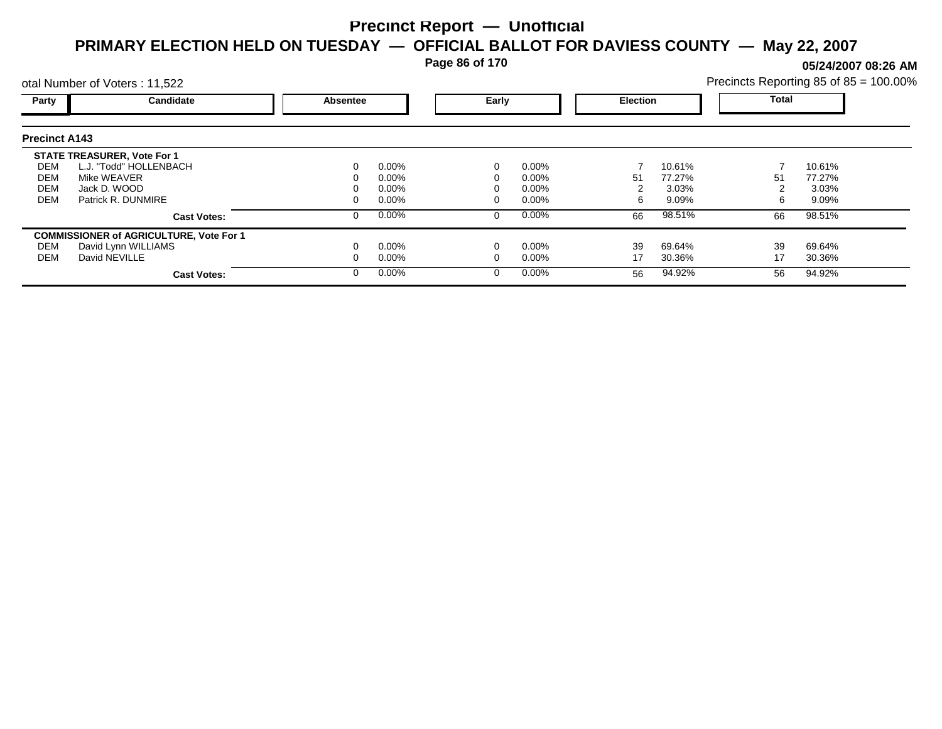**Page 86 of 170**

**05/24/2007 08:26 AM**

| Precincts Reporting 85 of 85 = 100.00% |  |  |
|----------------------------------------|--|--|
|                                        |  |  |

|                      | otal Number of Voters: 11,522                  |                 |          |  |          |    |                 | Precincts Reporting 85 of 85 = 100.00% |        |  |
|----------------------|------------------------------------------------|-----------------|----------|--|----------|----|-----------------|----------------------------------------|--------|--|
| Party                | Candidate                                      | <b>Absentee</b> |          |  | Early    |    | <b>Election</b> | <b>Total</b>                           |        |  |
| <b>Precinct A143</b> |                                                |                 |          |  |          |    |                 |                                        |        |  |
|                      | <b>STATE TREASURER, Vote For 1</b>             |                 |          |  |          |    |                 |                                        |        |  |
| DEM                  | L.J. "Todd" HOLLENBACH                         |                 | $0.00\%$ |  | $0.00\%$ |    | 10.61%          |                                        | 10.61% |  |
| DEM                  | Mike WEAVER                                    |                 | $0.00\%$ |  | $0.00\%$ | 51 | 77.27%          | 51                                     | 77.27% |  |
| DEM                  | Jack D. WOOD                                   |                 | $0.00\%$ |  | $0.00\%$ |    | 3.03%           |                                        | 3.03%  |  |
| <b>DEM</b>           | Patrick R. DUNMIRE                             |                 | $0.00\%$ |  | $0.00\%$ | 6  | 9.09%           | 6.                                     | 9.09%  |  |
|                      | <b>Cast Votes:</b>                             | O               | 0.00%    |  | $0.00\%$ | 66 | 98.51%          | 66                                     | 98.51% |  |
|                      | <b>COMMISSIONER of AGRICULTURE, Vote For 1</b> |                 |          |  |          |    |                 |                                        |        |  |
| DEM                  | David Lynn WILLIAMS                            |                 | $0.00\%$ |  | 0.00%    | 39 | 69.64%          | 39                                     | 69.64% |  |
| DEM                  | David NEVILLE                                  |                 | $0.00\%$ |  | $0.00\%$ | 17 | 30.36%          | 17                                     | 30.36% |  |
|                      | <b>Cast Votes:</b>                             | 0               | $0.00\%$ |  | $0.00\%$ | 56 | 94.92%          | 56                                     | 94.92% |  |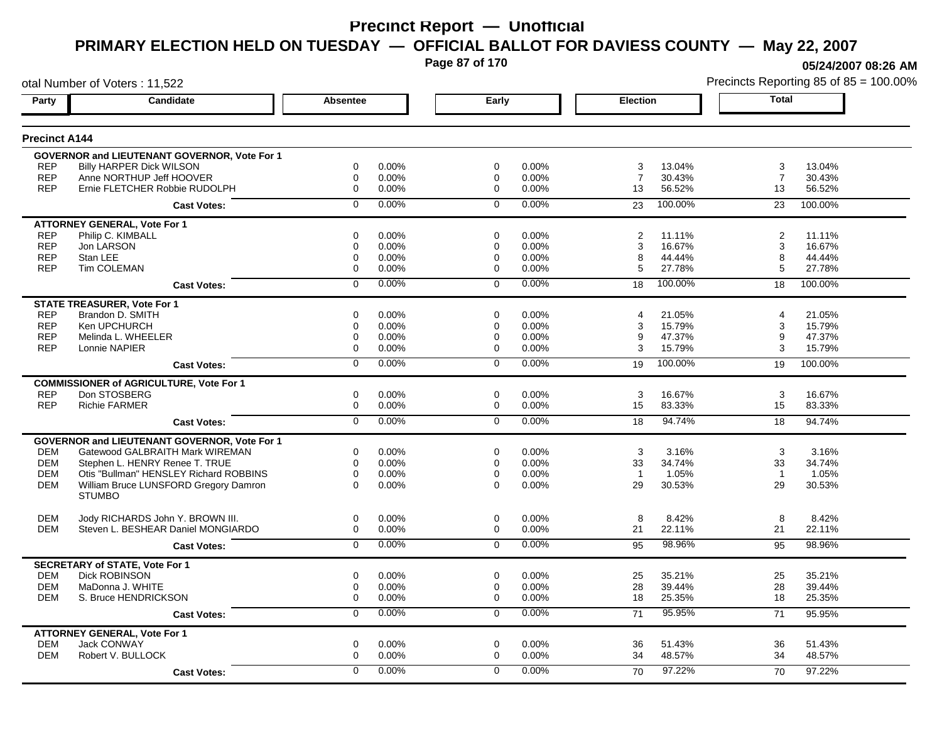**Page 87 of 170**

**05/24/2007 08:26 AM**

|                      | otal Number of Voters: 11,522                       |                |       |             |          |                |         |                | Precincts Reporting 85 of 85 = 100.00% |
|----------------------|-----------------------------------------------------|----------------|-------|-------------|----------|----------------|---------|----------------|----------------------------------------|
| Party                | Candidate                                           | Absentee       |       | Early       |          | Election       |         | <b>Total</b>   |                                        |
| <b>Precinct A144</b> |                                                     |                |       |             |          |                |         |                |                                        |
|                      | GOVERNOR and LIEUTENANT GOVERNOR, Vote For 1        |                |       |             |          |                |         |                |                                        |
| <b>REP</b>           | <b>Billy HARPER Dick WILSON</b>                     | 0              | 0.00% | $\mathbf 0$ | 0.00%    | 3              | 13.04%  | 3              | 13.04%                                 |
| <b>REP</b>           | Anne NORTHUP Jeff HOOVER                            | $\mathbf 0$    | 0.00% | 0           | 0.00%    | $\overline{7}$ | 30.43%  | $\overline{7}$ | 30.43%                                 |
| <b>REP</b>           | Ernie FLETCHER Robbie RUDOLPH                       | $\mathbf 0$    | 0.00% | $\mathbf 0$ | 0.00%    | 13             | 56.52%  | 13             | 56.52%                                 |
|                      | <b>Cast Votes:</b>                                  | $\Omega$       | 0.00% | $\Omega$    | 0.00%    | 23             | 100.00% | 23             | 100.00%                                |
|                      | <b>ATTORNEY GENERAL, Vote For 1</b>                 |                |       |             |          |                |         |                |                                        |
| <b>REP</b>           | Philip C. KIMBALL                                   | $\mathbf 0$    | 0.00% | 0           | $0.00\%$ | 2              | 11.11%  | 2              | 11.11%                                 |
| <b>REP</b>           | Jon LARSON                                          | $\mathbf 0$    | 0.00% | $\mathbf 0$ | 0.00%    | 3              | 16.67%  | 3              | 16.67%                                 |
| <b>REP</b>           | Stan LEE                                            | $\mathbf 0$    | 0.00% | 0           | 0.00%    | 8              | 44.44%  | 8              | 44.44%                                 |
| <b>REP</b>           | <b>Tim COLEMAN</b>                                  | $\mathbf 0$    | 0.00% | $\Omega$    | 0.00%    | 5              | 27.78%  | 5              | 27.78%                                 |
|                      | <b>Cast Votes:</b>                                  | $\mathbf 0$    | 0.00% | $\mathbf 0$ | 0.00%    | 18             | 100.00% | 18             | 100.00%                                |
|                      | <b>STATE TREASURER, Vote For 1</b>                  |                |       |             |          |                |         |                |                                        |
| <b>REP</b>           | Brandon D. SMITH                                    | $\mathbf 0$    | 0.00% | $\mathbf 0$ | 0.00%    | 4              | 21.05%  | $\overline{4}$ | 21.05%                                 |
| <b>REP</b>           | Ken UPCHURCH                                        | $\mathbf 0$    | 0.00% | 0           | 0.00%    | 3              | 15.79%  | 3              | 15.79%                                 |
| <b>REP</b>           | Melinda L. WHEELER                                  | $\mathbf 0$    | 0.00% | $\mathbf 0$ | 0.00%    | 9              | 47.37%  | 9              | 47.37%                                 |
| <b>REP</b>           | Lonnie NAPIER                                       | $\Omega$       | 0.00% | $\Omega$    | 0.00%    | 3              | 15.79%  | 3              | 15.79%                                 |
|                      | <b>Cast Votes:</b>                                  | $\mathbf 0$    | 0.00% | $\mathbf 0$ | 0.00%    | 19             | 100.00% | 19             | 100.00%                                |
|                      | <b>COMMISSIONER of AGRICULTURE, Vote For 1</b>      |                |       |             |          |                |         |                |                                        |
| <b>REP</b>           | Don STOSBERG                                        | $\mathbf 0$    | 0.00% | $\mathbf 0$ | 0.00%    | 3              | 16.67%  | 3              | 16.67%                                 |
| <b>REP</b>           | <b>Richie FARMER</b>                                | $\mathbf 0$    | 0.00% | $\mathbf 0$ | 0.00%    | 15             | 83.33%  | 15             | 83.33%                                 |
|                      | <b>Cast Votes:</b>                                  | $\overline{0}$ | 0.00% | $\mathbf 0$ | 0.00%    | 18             | 94.74%  | 18             | 94.74%                                 |
|                      | <b>GOVERNOR and LIEUTENANT GOVERNOR, Vote For 1</b> |                |       |             |          |                |         |                |                                        |
| <b>DEM</b>           | Gatewood GALBRAITH Mark WIREMAN                     | $\mathbf 0$    | 0.00% | $\mathbf 0$ | 0.00%    | 3              | 3.16%   | 3              | 3.16%                                  |
| <b>DEM</b>           | Stephen L. HENRY Renee T. TRUE                      | $\Omega$       | 0.00% | $\Omega$    | 0.00%    | 33             | 34.74%  | 33             | 34.74%                                 |
| <b>DEM</b>           | Otis "Bullman" HENSLEY Richard ROBBINS              | $\Omega$       | 0.00% | $\Omega$    | 0.00%    | $\overline{1}$ | 1.05%   | $\overline{1}$ | 1.05%                                  |
| DEM                  | William Bruce LUNSFORD Gregory Damron               | $\Omega$       | 0.00% | $\Omega$    | 0.00%    | 29             | 30.53%  | 29             | 30.53%                                 |
|                      | <b>STUMBO</b>                                       |                |       |             |          |                |         |                |                                        |
| <b>DEM</b>           | Jody RICHARDS John Y. BROWN III.                    | 0              | 0.00% | 0           | 0.00%    | 8              | 8.42%   | 8              | 8.42%                                  |
| <b>DEM</b>           | Steven L. BESHEAR Daniel MONGIARDO                  | 0              | 0.00% | 0           | 0.00%    | 21             | 22.11%  | 21             | 22.11%                                 |
|                      | <b>Cast Votes:</b>                                  | $\mathbf 0$    | 0.00% | $\mathbf 0$ | 0.00%    | 95             | 98.96%  | 95             | 98.96%                                 |
|                      | <b>SECRETARY of STATE, Vote For 1</b>               |                |       |             |          |                |         |                |                                        |
| <b>DEM</b>           | <b>Dick ROBINSON</b>                                | $\mathbf 0$    | 0.00% | 0           | 0.00%    | 25             | 35.21%  | 25             | 35.21%                                 |
| <b>DEM</b>           | MaDonna J. WHITE                                    | 0              | 0.00% | 0           | 0.00%    | 28             | 39.44%  | 28             | 39.44%                                 |
| <b>DEM</b>           | S. Bruce HENDRICKSON                                | 0              | 0.00% | $\mathbf 0$ | 0.00%    | 18             | 25.35%  | 18             | 25.35%                                 |
|                      | <b>Cast Votes:</b>                                  | $\overline{0}$ | 0.00% | $\mathbf 0$ | 0.00%    | 71             | 95.95%  | 71             | 95.95%                                 |
|                      | <b>ATTORNEY GENERAL, Vote For 1</b>                 |                |       |             |          |                |         |                |                                        |
| <b>DEM</b>           | Jack CONWAY                                         | 0              | 0.00% | 0           | 0.00%    | 36             | 51.43%  | 36             | 51.43%                                 |
| <b>DEM</b>           | Robert V. BULLOCK                                   | 0              | 0.00% | $\mathbf 0$ | 0.00%    | 34             | 48.57%  | 34             | 48.57%                                 |
|                      |                                                     | $\Omega$       | 0.00% | $\Omega$    | 0.00%    | 70             | 97.22%  | 70             | 97.22%                                 |
|                      | <b>Cast Votes:</b>                                  |                |       |             |          |                |         |                |                                        |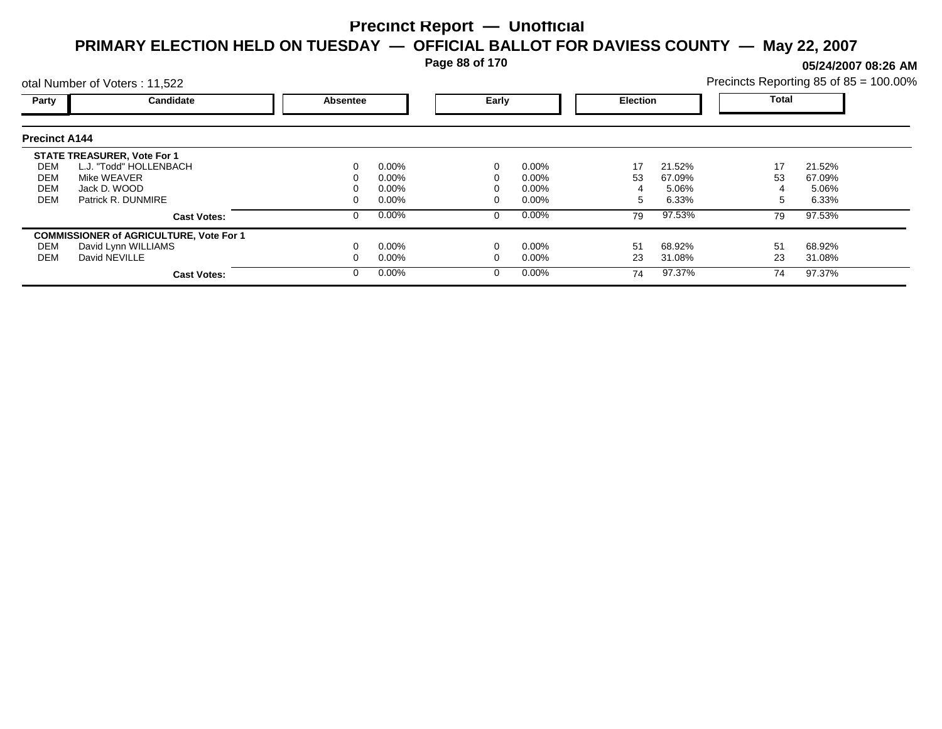**Page 88 of 170**

**05/24/2007 08:26 AM**

| Precincts Reporting 85 of 85 = 100.00% |  |  |
|----------------------------------------|--|--|
|                                        |  |  |

|                      | otal Number of Voters: 11,522                  |          |          |   |                 |    |              |    | Precincts Reporting 85 of 85 = 100.00% |  |
|----------------------|------------------------------------------------|----------|----------|---|-----------------|----|--------------|----|----------------------------------------|--|
| Party                | Candidate                                      | Absentee | Early    |   | <b>Election</b> |    | <b>Total</b> |    |                                        |  |
| <b>Precinct A144</b> |                                                |          |          |   |                 |    |              |    |                                        |  |
|                      | <b>STATE TREASURER, Vote For 1</b>             |          |          |   |                 |    |              |    |                                        |  |
| DEM                  | L.J. "Todd" HOLLENBACH                         | 0        | $0.00\%$ |   | 0.00%           | 17 | 21.52%       | 17 | 21.52%                                 |  |
| DEM                  | Mike WEAVER                                    | 0        | $0.00\%$ |   | $0.00\%$        | 53 | 67.09%       | 53 | 67.09%                                 |  |
| DEM                  | Jack D. WOOD                                   |          | $0.00\%$ |   | $0.00\%$        |    | 5.06%        |    | 5.06%                                  |  |
| <b>DEM</b>           | Patrick R. DUNMIRE                             | 0        | $0.00\%$ |   | $0.00\%$        |    | 6.33%        | :  | 6.33%                                  |  |
|                      | <b>Cast Votes:</b>                             | 0        | $0.00\%$ | 0 | 0.00%           | 79 | 97.53%       | 79 | 97.53%                                 |  |
|                      | <b>COMMISSIONER of AGRICULTURE, Vote For 1</b> |          |          |   |                 |    |              |    |                                        |  |
| DEM                  | David Lynn WILLIAMS                            |          | $0.00\%$ |   | 0.00%           | 51 | 68.92%       | 51 | 68.92%                                 |  |
| DEM                  | David NEVILLE                                  |          | $0.00\%$ |   | 0.00%           | 23 | 31.08%       | 23 | 31.08%                                 |  |
|                      | <b>Cast Votes:</b>                             | $\Omega$ | $0.00\%$ |   | 0.00%           | 74 | 97.37%       | 74 | 97.37%                                 |  |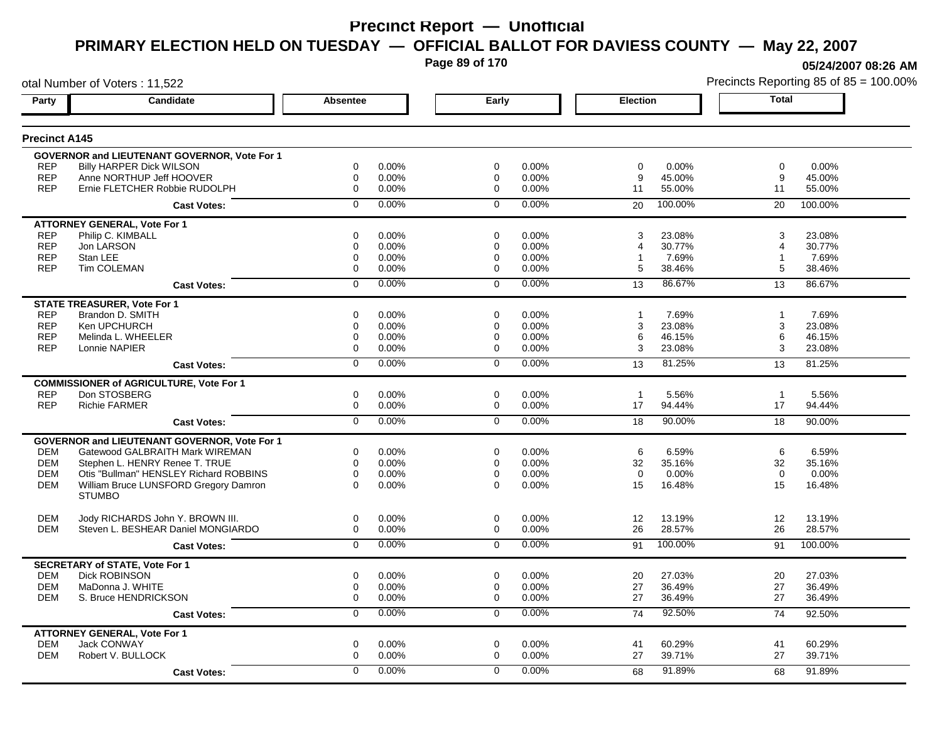**Page 89 of 170**

otal Number of Voters : 11,522

**05/24/2007 08:26 AM**

|                          |                                                        |                  |                |                         |                | <b>Election</b>                       |                      | <b>Total</b>     |
|--------------------------|--------------------------------------------------------|------------------|----------------|-------------------------|----------------|---------------------------------------|----------------------|------------------|
| <b>Precinct A145</b>     |                                                        |                  |                |                         |                |                                       |                      |                  |
|                          | <b>GOVERNOR and LIEUTENANT GOVERNOR, Vote For 1</b>    |                  |                |                         |                |                                       |                      |                  |
| <b>REP</b>               | <b>Billy HARPER Dick WILSON</b>                        | $\Omega$         | 0.00%          | $\Omega$                | 0.00%          | $\Omega$<br>0.00%                     | $\Omega$             | $0.00\%$         |
| <b>REP</b>               | Anne NORTHUP Jeff HOOVER                               | $\mathbf 0$      | 0.00%          | $\mathbf 0$             | 0.00%          | 9<br>45.00%                           | 9                    | 45.00%           |
| <b>REP</b>               | Ernie FLETCHER Robbie RUDOLPH                          | 0                | 0.00%          | $\mathbf 0$             | 0.00%          | 11<br>55.00%                          | 11                   | 55.00%           |
|                          | <b>Cast Votes:</b>                                     | $\Omega$         | 0.00%          | $\overline{0}$          | 0.00%          | 100.00%<br>20                         | 20                   | 100.00%          |
|                          | <b>ATTORNEY GENERAL, Vote For 1</b>                    |                  |                |                         |                |                                       |                      |                  |
| <b>REP</b>               | Philip C. KIMBALL                                      | 0                | 0.00%          | $\Omega$                | 0.00%          | 3<br>23.08%                           | 3                    | 23.08%           |
| <b>REP</b>               | Jon LARSON                                             | 0                | 0.00%          | $\mathbf 0$             | 0.00%          | 30.77%<br>4                           | 4                    | 30.77%           |
| <b>REP</b><br><b>REP</b> | Stan LEE<br>Tim COLEMAN                                | 0<br>0           | 0.00%<br>0.00% | $\Omega$<br>$\mathbf 0$ | 0.00%<br>0.00% | 7.69%<br>-1<br>5<br>38.46%            | $\overline{1}$<br>5  | 7.69%<br>38.46%  |
|                          |                                                        |                  |                |                         |                |                                       |                      |                  |
|                          | <b>Cast Votes:</b>                                     | $\mathbf 0$      | 0.00%          | $\mathbf 0$             | 0.00%          | 86.67%<br>13                          | 13                   | 86.67%           |
|                          | <b>STATE TREASURER, Vote For 1</b>                     |                  |                |                         |                |                                       |                      |                  |
| <b>REP</b>               | Brandon D. SMITH                                       | 0                | 0.00%          | $\mathbf 0$             | 0.00%          | 7.69%<br>$\mathbf{1}$                 | $\overline{1}$       | 7.69%            |
| <b>REP</b><br><b>REP</b> | Ken UPCHURCH<br>Melinda L. WHEELER                     | 0<br>0           | 0.00%<br>0.00% | $\Omega$<br>$\mathbf 0$ | 0.00%<br>0.00% | 3<br>23.08%<br>6<br>46.15%            | 3<br>6               | 23.08%<br>46.15% |
| <b>REP</b>               | Lonnie NAPIER                                          | $\Omega$         | 0.00%          | $\Omega$                | 0.00%          | 3<br>23.08%                           | 3                    | 23.08%           |
|                          | <b>Cast Votes:</b>                                     | $\overline{0}$   | 0.00%          | $\overline{0}$          | 0.00%          | 81.25%<br>13                          | 13                   | 81.25%           |
|                          |                                                        |                  |                |                         |                |                                       |                      |                  |
|                          | <b>COMMISSIONER of AGRICULTURE, Vote For 1</b>         |                  |                |                         |                |                                       |                      |                  |
| <b>REP</b><br><b>REP</b> | Don STOSBERG<br><b>Richie FARMER</b>                   | $\mathbf 0$<br>0 | 0.00%<br>0.00% | $\mathbf 0$<br>0        | 0.00%<br>0.00% | 5.56%<br>$\mathbf{1}$<br>17<br>94.44% | $\overline{1}$<br>17 | 5.56%<br>94.44%  |
|                          |                                                        | $\overline{0}$   | 0.00%          | $\overline{0}$          | 0.00%          | 90.00%                                |                      | 90.00%           |
|                          | <b>Cast Votes:</b>                                     |                  |                |                         |                | 18                                    | 18                   |                  |
|                          | <b>GOVERNOR and LIEUTENANT GOVERNOR, Vote For 1</b>    |                  |                |                         |                |                                       |                      |                  |
| <b>DEM</b>               | Gatewood GALBRAITH Mark WIREMAN                        | $\Omega$         | 0.00%          | $\Omega$                | 0.00%          | 6<br>6.59%                            | 6                    | 6.59%            |
| <b>DEM</b>               | Stephen L. HENRY Renee T. TRUE                         | $\mathbf 0$      | 0.00%          | $\mathbf 0$             | 0.00%          | 32<br>35.16%                          | 32                   | 35.16%           |
| <b>DEM</b>               | Otis "Bullman" HENSLEY Richard ROBBINS                 | $\Omega$         | 0.00%          | $\Omega$                | 0.00%          | $\Omega$<br>0.00%                     | $\Omega$             | 0.00%            |
| <b>DEM</b>               | William Bruce LUNSFORD Gregory Damron<br><b>STUMBO</b> | $\Omega$         | 0.00%          | $\Omega$                | 0.00%          | 15<br>16.48%                          | 15                   | 16.48%           |
| <b>DEM</b>               | Jody RICHARDS John Y. BROWN III.                       | $\mathbf 0$      | 0.00%          | $\mathbf 0$             | 0.00%          | 12<br>13.19%                          | 12                   | 13.19%           |
| <b>DEM</b>               | Steven L. BESHEAR Daniel MONGIARDO                     | $\Omega$         | 0.00%          | $\Omega$                | 0.00%          | 26<br>28.57%                          | 26                   | 28.57%           |
|                          | <b>Cast Votes:</b>                                     | $\Omega$         | 0.00%          | $\Omega$                | 0.00%          | 100.00%<br>91                         | 91                   | 100.00%          |
|                          | <b>SECRETARY of STATE, Vote For 1</b>                  |                  |                |                         |                |                                       |                      |                  |
| <b>DEM</b>               | <b>Dick ROBINSON</b>                                   | 0                | 0.00%          | $\mathbf 0$             | 0.00%          | 27.03%<br>20                          | 20                   | 27.03%           |
| <b>DEM</b>               | MaDonna J. WHITE                                       | 0                | 0.00%          | $\Omega$                | 0.00%          | 27<br>36.49%                          | 27                   | 36.49%           |
| <b>DEM</b>               | S. Bruce HENDRICKSON                                   | $\Omega$         | 0.00%          | $\Omega$                | 0.00%          | 27<br>36.49%                          | 27                   | 36.49%           |
|                          | <b>Cast Votes:</b>                                     | 0                | 0.00%          | $\mathbf 0$             | 0.00%          | 92.50%<br>74                          | 74                   | 92.50%           |
|                          | <b>ATTORNEY GENERAL, Vote For 1</b>                    |                  |                |                         |                |                                       |                      |                  |
| <b>DEM</b>               | Jack CONWAY                                            | 0                | 0.00%          | $\mathbf 0$             | 0.00%          | 60.29%<br>41                          | 41                   | 60.29%           |
| <b>DEM</b>               | Robert V. BULLOCK                                      | $\Omega$         | 0.00%          | $\Omega$                | 0.00%          | 27<br>39.71%                          | 27                   | 39.71%           |
|                          | <b>Cast Votes:</b>                                     | $\Omega$         | 0.00%          | $\mathbf 0$             | 0.00%          | 91.89%<br>68                          | 68                   | 91.89%           |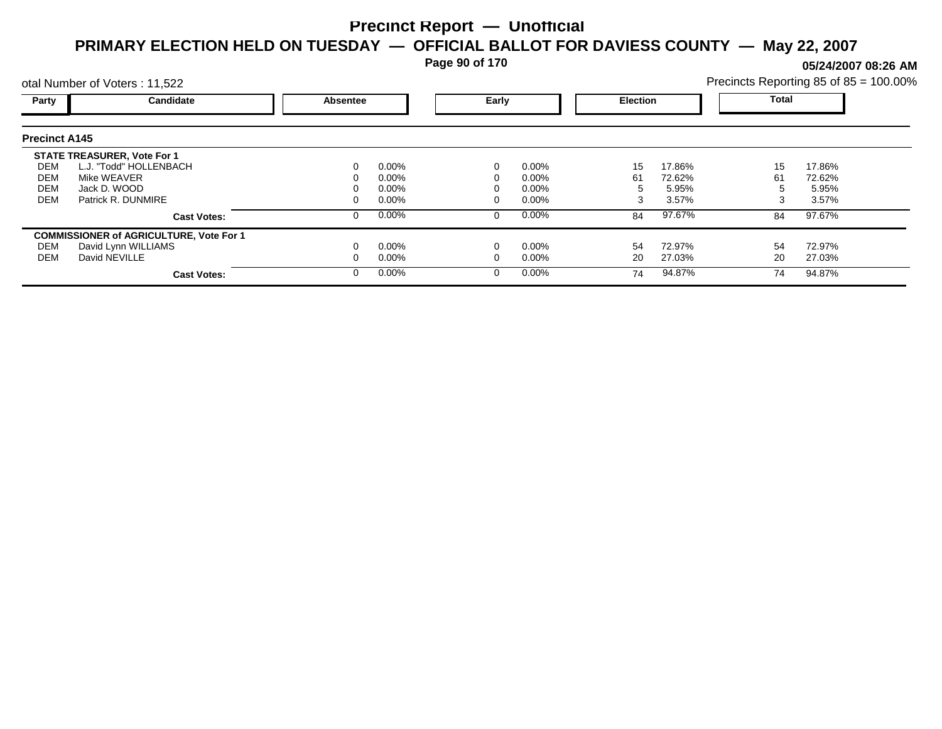**Page 90 of 170**

**05/24/2007 08:26 AM**

|                      | otal Number of Voters: 11,522                  |                 |          |       |          |                 | Precincts Reporting 85 of 85 = 100.00% |              |        |
|----------------------|------------------------------------------------|-----------------|----------|-------|----------|-----------------|----------------------------------------|--------------|--------|
| Party                | Candidate                                      | <b>Absentee</b> |          | Early |          | <b>Election</b> |                                        | <b>Total</b> |        |
| <b>Precinct A145</b> |                                                |                 |          |       |          |                 |                                        |              |        |
|                      | <b>STATE TREASURER, Vote For 1</b>             |                 |          |       |          |                 |                                        |              |        |
| DEM                  | L.J. "Todd" HOLLENBACH                         | 0               | $0.00\%$ |       | 0.00%    | 15              | 17.86%                                 | 15           | 17.86% |
| DEM                  | Mike WEAVER                                    |                 | $0.00\%$ |       | $0.00\%$ | 61              | 72.62%                                 | 61           | 72.62% |
| <b>DEM</b>           | Jack D. WOOD                                   |                 | $0.00\%$ |       | $0.00\%$ |                 | 5.95%                                  |              | 5.95%  |
| <b>DEM</b>           | Patrick R. DUNMIRE                             |                 | $0.00\%$ |       | $0.00\%$ |                 | 3.57%                                  |              | 3.57%  |
|                      | <b>Cast Votes:</b>                             | 0               | $0.00\%$ |       | 0.00%    | 84              | 97.67%                                 | 84           | 97.67% |
|                      | <b>COMMISSIONER of AGRICULTURE, Vote For 1</b> |                 |          |       |          |                 |                                        |              |        |
| DEM                  | David Lynn WILLIAMS                            |                 | $0.00\%$ |       | 0.00%    | 54              | 72.97%                                 | 54           | 72.97% |
| DEM                  | David NEVILLE                                  |                 | $0.00\%$ |       | $0.00\%$ | 20              | 27.03%                                 | 20           | 27.03% |
|                      | <b>Cast Votes:</b>                             | 0               | $0.00\%$ |       | 0.00%    | 74              | 94.87%                                 | 74           | 94.87% |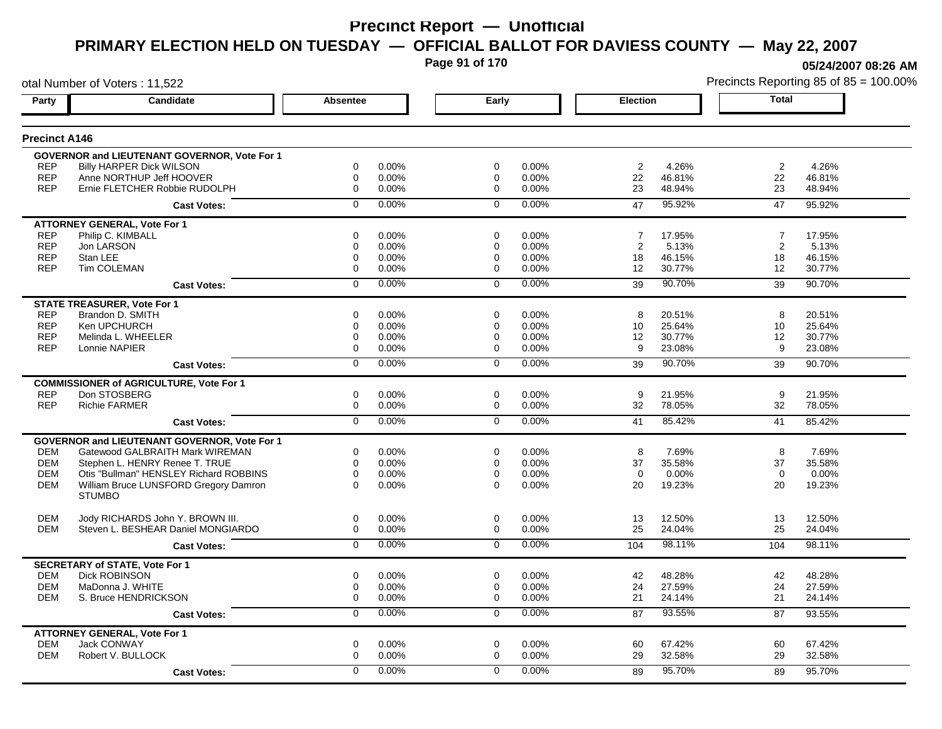**Page 91 of 170**

**05/24/2007 08:26 AM**

|                      | otal Number of Voters: 11,522                  |                |       |                |       |                 | Precincts Reporting 85 of 85 = 100.009 |                |        |
|----------------------|------------------------------------------------|----------------|-------|----------------|-------|-----------------|----------------------------------------|----------------|--------|
| Party                | Candidate                                      | Absentee       |       | Early          |       | <b>Election</b> |                                        | <b>Total</b>   |        |
| <b>Precinct A146</b> |                                                |                |       |                |       |                 |                                        |                |        |
|                      | GOVERNOR and LIEUTENANT GOVERNOR, Vote For 1   |                |       |                |       |                 |                                        |                |        |
| <b>REP</b>           | <b>Billy HARPER Dick WILSON</b>                | 0              | 0.00% | 0              | 0.00% | $\overline{c}$  | 4.26%                                  | $\overline{2}$ | 4.26%  |
| <b>REP</b>           | Anne NORTHUP Jeff HOOVER                       | $\mathbf 0$    | 0.00% | 0              | 0.00% | 22              | 46.81%                                 | 22             | 46.81% |
| <b>REP</b>           | Ernie FLETCHER Robbie RUDOLPH                  | $\mathbf 0$    | 0.00% | $\mathbf 0$    | 0.00% | 23              | 48.94%                                 | 23             | 48.94% |
|                      | <b>Cast Votes:</b>                             | $\mathbf 0$    | 0.00% | $\mathbf 0$    | 0.00% | 47              | 95.92%                                 | 47             | 95.92% |
|                      | <b>ATTORNEY GENERAL, Vote For 1</b>            |                |       |                |       |                 |                                        |                |        |
| <b>REP</b>           | Philip C. KIMBALL                              | $\mathbf 0$    | 0.00% | $\mathbf 0$    | 0.00% | $\overline{7}$  | 17.95%                                 | $\overline{7}$ | 17.95% |
| <b>REP</b>           | Jon LARSON                                     | 0              | 0.00% | $\mathbf 0$    | 0.00% | $\overline{2}$  | 5.13%                                  | $\overline{2}$ | 5.13%  |
| <b>REP</b>           | Stan LEE                                       | $\mathbf 0$    | 0.00% | $\mathbf 0$    | 0.00% | 18              | 46.15%                                 | 18             | 46.15% |
| <b>REP</b>           | <b>Tim COLEMAN</b>                             | $\mathbf 0$    | 0.00% | $\mathbf 0$    | 0.00% | 12              | 30.77%                                 | 12             | 30.77% |
|                      | <b>Cast Votes:</b>                             | $\mathbf 0$    | 0.00% | $\mathbf 0$    | 0.00% | 39              | 90.70%                                 | 39             | 90.70% |
|                      | <b>STATE TREASURER, Vote For 1</b>             |                |       |                |       |                 |                                        |                |        |
| <b>REP</b>           | Brandon D. SMITH                               | $\mathbf 0$    | 0.00% | $\mathbf 0$    | 0.00% | 8               | 20.51%                                 | 8              | 20.51% |
| <b>REP</b>           | Ken UPCHURCH                                   | $\mathbf 0$    | 0.00% | $\mathbf 0$    | 0.00% | 10              | 25.64%                                 | 10             | 25.64% |
| <b>REP</b>           | Melinda L. WHEELER                             | $\mathbf 0$    | 0.00% | $\mathbf 0$    | 0.00% | 12              | 30.77%                                 | 12             | 30.77% |
| <b>REP</b>           | Lonnie NAPIER                                  | $\Omega$       | 0.00% | $\mathbf 0$    | 0.00% | 9               | 23.08%                                 | 9              | 23.08% |
|                      | <b>Cast Votes:</b>                             | $\overline{0}$ | 0.00% | $\overline{0}$ | 0.00% | 39              | 90.70%                                 | 39             | 90.70% |
|                      | <b>COMMISSIONER of AGRICULTURE, Vote For 1</b> |                |       |                |       |                 |                                        |                |        |
| <b>REP</b>           | Don STOSBERG                                   | 0              | 0.00% | $\mathbf 0$    | 0.00% | 9               | 21.95%                                 | 9              | 21.95% |
| <b>REP</b>           | <b>Richie FARMER</b>                           | 0              | 0.00% | $\mathbf 0$    | 0.00% | 32              | 78.05%                                 | 32             | 78.05% |
|                      | <b>Cast Votes:</b>                             | $\overline{0}$ | 0.00% | $\overline{0}$ | 0.00% | 41              | 85.42%                                 | 41             | 85.42% |
|                      | GOVERNOR and LIEUTENANT GOVERNOR, Vote For 1   |                |       |                |       |                 |                                        |                |        |
| DEM                  | Gatewood GALBRAITH Mark WIREMAN                | 0              | 0.00% | 0              | 0.00% | 8               | 7.69%                                  | 8              | 7.69%  |
| <b>DEM</b>           | Stephen L. HENRY Renee T. TRUE                 | $\mathbf 0$    | 0.00% | $\mathbf 0$    | 0.00% | 37              | 35.58%                                 | 37             | 35.58% |
| <b>DEM</b>           | Otis "Bullman" HENSLEY Richard ROBBINS         | 0              | 0.00% | $\mathbf 0$    | 0.00% | $\mathbf 0$     | 0.00%                                  | $\mathbf 0$    | 0.00%  |
| <b>DEM</b>           | William Bruce LUNSFORD Gregory Damron          | $\Omega$       | 0.00% | $\Omega$       | 0.00% | 20              | 19.23%                                 | 20             | 19.23% |
|                      | <b>STUMBO</b>                                  |                |       |                |       |                 |                                        |                |        |
| <b>DEM</b>           | Jody RICHARDS John Y. BROWN III.               | 0              | 0.00% | $\mathbf 0$    | 0.00% | 13              | 12.50%                                 | 13             | 12.50% |
| <b>DEM</b>           | Steven L. BESHEAR Daniel MONGIARDO             | 0              | 0.00% | 0              | 0.00% | 25              | 24.04%                                 | 25             | 24.04% |
|                      | <b>Cast Votes:</b>                             | $\mathbf 0$    | 0.00% | $\mathbf 0$    | 0.00% | 104             | 98.11%                                 | 104            | 98.11% |
|                      | <b>SECRETARY of STATE, Vote For 1</b>          |                |       |                |       |                 |                                        |                |        |
| <b>DEM</b>           | <b>Dick ROBINSON</b>                           | 0              | 0.00% | 0              | 0.00% | 42              | 48.28%                                 | 42             | 48.28% |
| <b>DEM</b>           | MaDonna J. WHITE                               | 0              | 0.00% | 0              | 0.00% | 24              | 27.59%                                 | 24             | 27.59% |
| DEM                  | S. Bruce HENDRICKSON                           | $\mathbf 0$    | 0.00% | 0              | 0.00% | 21              | 24.14%                                 | 21             | 24.14% |
|                      | <b>Cast Votes:</b>                             | 0              | 0.00% | $\mathbf 0$    | 0.00% | 87              | 93.55%                                 | 87             | 93.55% |
|                      | <b>ATTORNEY GENERAL, Vote For 1</b>            |                |       |                |       |                 |                                        |                |        |
| <b>DEM</b>           | <b>Jack CONWAY</b>                             | $\mathbf 0$    | 0.00% | $\mathbf 0$    | 0.00% | 60              | 67.42%                                 | 60             | 67.42% |
| <b>DEM</b>           | Robert V. BULLOCK                              | $\mathbf 0$    | 0.00% | $\mathbf 0$    | 0.00% | 29              | 32.58%                                 | 29             | 32.58% |
|                      | <b>Cast Votes:</b>                             | $\Omega$       | 0.00% | $\mathbf{0}$   | 0.00% | 89              | 95.70%                                 | 89             | 95.70% |
|                      |                                                |                |       |                |       |                 |                                        |                |        |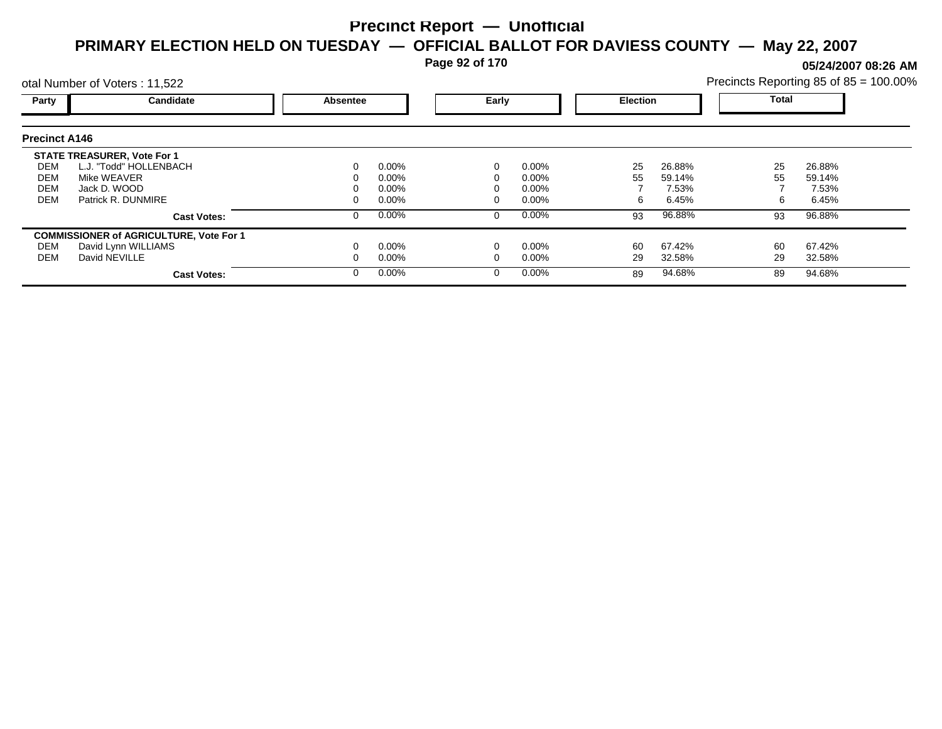**Page 92 of 170**

**05/24/2007 08:26 AM**

|                      | otal Number of Voters: 11,522                  |          |          |   |          |                 |        | Precincts Reporting 85 of 85 = 100.00% |        |  |
|----------------------|------------------------------------------------|----------|----------|---|----------|-----------------|--------|----------------------------------------|--------|--|
| Party                | Candidate                                      | Absentee | Early    |   |          | <b>Election</b> |        | <b>Total</b>                           |        |  |
| <b>Precinct A146</b> |                                                |          |          |   |          |                 |        |                                        |        |  |
|                      | <b>STATE TREASURER, Vote For 1</b>             |          |          |   |          |                 |        |                                        |        |  |
| DEM                  | L.J. "Todd" HOLLENBACH                         |          | $0.00\%$ |   | $0.00\%$ | 25              | 26.88% | 25                                     | 26.88% |  |
| DEM                  | Mike WEAVER                                    |          | 0.00%    |   | 0.00%    | 55              | 59.14% | 55                                     | 59.14% |  |
| <b>DEM</b>           | Jack D. WOOD                                   |          | 0.00%    |   | 0.00%    |                 | 7.53%  |                                        | 7.53%  |  |
| <b>DEM</b>           | Patrick R. DUNMIRE                             |          | $0.00\%$ |   | 0.00%    | 6               | 6.45%  | 6                                      | 6.45%  |  |
|                      | <b>Cast Votes:</b>                             |          | $0.00\%$ | 0 | $0.00\%$ | 93              | 96.88% | 93                                     | 96.88% |  |
|                      | <b>COMMISSIONER of AGRICULTURE, Vote For 1</b> |          |          |   |          |                 |        |                                        |        |  |
| DEM                  | David Lynn WILLIAMS                            |          | $0.00\%$ |   | 0.00%    | 60              | 67.42% | 60                                     | 67.42% |  |
| DEM                  | David NEVILLE                                  |          | $0.00\%$ |   | 0.00%    | 29              | 32.58% | 29                                     | 32.58% |  |
|                      | <b>Cast Votes:</b>                             |          | $0.00\%$ | 0 | $0.00\%$ | 89              | 94.68% | 89                                     | 94.68% |  |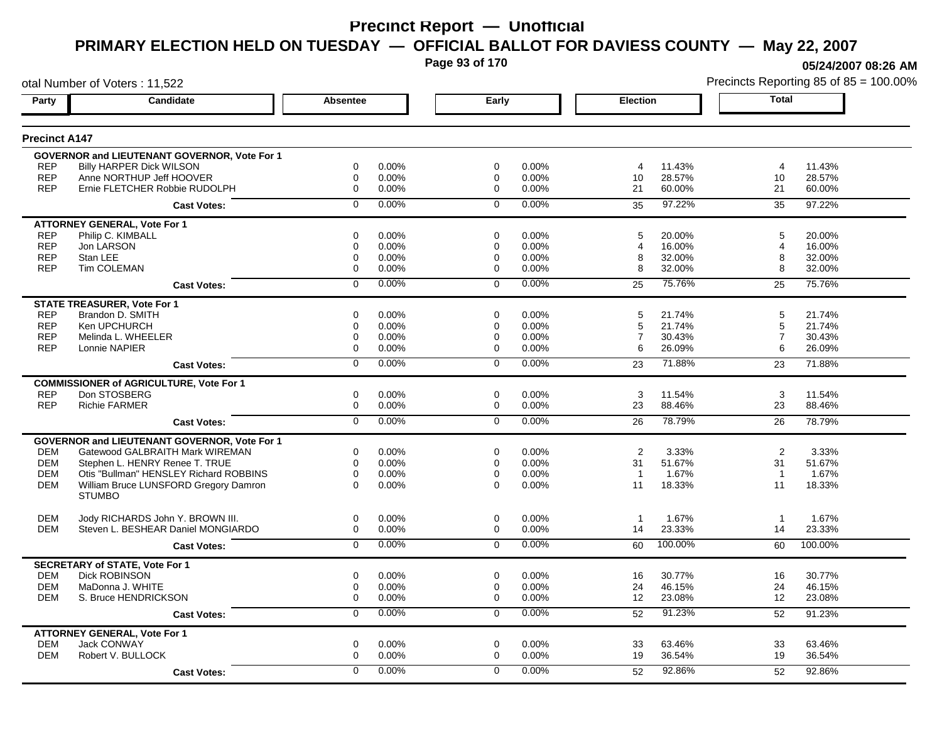**Page 93 of 170**

**05/24/2007 08:26 AM**

|                      | otal Number of Voters: 11,522                       |                 |       |                |       |                 | Precincts Reporting 85 of 85 = 100.009 |                |         |
|----------------------|-----------------------------------------------------|-----------------|-------|----------------|-------|-----------------|----------------------------------------|----------------|---------|
| Party                | Candidate                                           | <b>Absentee</b> |       | Early          |       | <b>Election</b> |                                        | <b>Total</b>   |         |
| <b>Precinct A147</b> |                                                     |                 |       |                |       |                 |                                        |                |         |
|                      | GOVERNOR and LIEUTENANT GOVERNOR, Vote For 1        |                 |       |                |       |                 |                                        |                |         |
| <b>REP</b>           | <b>Billy HARPER Dick WILSON</b>                     | 0               | 0.00% | 0              | 0.00% | 4               | 11.43%                                 | 4              | 11.43%  |
| <b>REP</b>           | Anne NORTHUP Jeff HOOVER                            | $\mathbf 0$     | 0.00% | 0              | 0.00% | 10              | 28.57%                                 | 10             | 28.57%  |
| <b>REP</b>           | Ernie FLETCHER Robbie RUDOLPH                       | $\mathbf 0$     | 0.00% | $\mathbf 0$    | 0.00% | 21              | 60.00%                                 | 21             | 60.00%  |
|                      | <b>Cast Votes:</b>                                  | $\Omega$        | 0.00% | $\mathbf{0}$   | 0.00% | 35              | 97.22%                                 | 35             | 97.22%  |
|                      | <b>ATTORNEY GENERAL, Vote For 1</b>                 |                 |       |                |       |                 |                                        |                |         |
| <b>REP</b>           | Philip C. KIMBALL                                   | 0               | 0.00% | 0              | 0.00% | 5               | 20.00%                                 | 5              | 20.00%  |
| <b>REP</b>           | Jon LARSON                                          | 0               | 0.00% | 0              | 0.00% | 4               | 16.00%                                 | 4              | 16.00%  |
| <b>REP</b>           | Stan LEE                                            | 0               | 0.00% | 0              | 0.00% | 8               | 32.00%                                 | 8              | 32.00%  |
| <b>REP</b>           | Tim COLEMAN                                         | 0               | 0.00% | 0              | 0.00% | 8               | 32.00%                                 | 8              | 32.00%  |
|                      | <b>Cast Votes:</b>                                  | $\mathbf 0$     | 0.00% | $\mathbf 0$    | 0.00% | 25              | 75.76%                                 | 25             | 75.76%  |
|                      | <b>STATE TREASURER, Vote For 1</b>                  |                 |       |                |       |                 |                                        |                |         |
| <b>REP</b>           | Brandon D. SMITH                                    | 0               | 0.00% | $\Omega$       | 0.00% | 5               | 21.74%                                 | 5              | 21.74%  |
| <b>REP</b>           | Ken UPCHURCH                                        | 0               | 0.00% | 0              | 0.00% | 5               | 21.74%                                 | 5              | 21.74%  |
| <b>REP</b>           | Melinda L. WHEELER                                  | $\mathbf 0$     | 0.00% | 0              | 0.00% | $\overline{7}$  | 30.43%                                 | $\overline{7}$ | 30.43%  |
| <b>REP</b>           | Lonnie NAPIER                                       | 0               | 0.00% | $\mathbf 0$    | 0.00% | 6               | 26.09%                                 | 6              | 26.09%  |
|                      | <b>Cast Votes:</b>                                  | $\overline{0}$  | 0.00% | $\overline{0}$ | 0.00% | 23              | 71.88%                                 | 23             | 71.88%  |
|                      | <b>COMMISSIONER of AGRICULTURE, Vote For 1</b>      |                 |       |                |       |                 |                                        |                |         |
| <b>REP</b>           | Don STOSBERG                                        | 0               | 0.00% | $\mathbf 0$    | 0.00% | 3               | 11.54%                                 | 3              | 11.54%  |
| <b>REP</b>           | <b>Richie FARMER</b>                                | $\mathbf 0$     | 0.00% | $\mathbf 0$    | 0.00% | 23              | 88.46%                                 | 23             | 88.46%  |
|                      | <b>Cast Votes:</b>                                  | $\overline{0}$  | 0.00% | $\overline{0}$ | 0.00% | 26              | 78.79%                                 | 26             | 78.79%  |
|                      | <b>GOVERNOR and LIEUTENANT GOVERNOR, Vote For 1</b> |                 |       |                |       |                 |                                        |                |         |
| <b>DEM</b>           | Gatewood GALBRAITH Mark WIREMAN                     | 0               | 0.00% | $\mathbf 0$    | 0.00% | 2               | 3.33%                                  | 2              | 3.33%   |
| <b>DEM</b>           | Stephen L. HENRY Renee T. TRUE                      | $\mathbf 0$     | 0.00% | $\mathbf 0$    | 0.00% | 31              | 51.67%                                 | 31             | 51.67%  |
| <b>DEM</b>           | Otis "Bullman" HENSLEY Richard ROBBINS              | $\mathbf 0$     | 0.00% | $\mathbf 0$    | 0.00% | $\overline{1}$  | 1.67%                                  | $\overline{1}$ | 1.67%   |
| <b>DEM</b>           | William Bruce LUNSFORD Gregory Damron               | $\Omega$        | 0.00% | $\Omega$       | 0.00% | 11              | 18.33%                                 | 11             | 18.33%  |
|                      | <b>STUMBO</b>                                       |                 |       |                |       |                 |                                        |                |         |
| <b>DEM</b>           | Jody RICHARDS John Y. BROWN III.                    | 0               | 0.00% | $\mathbf 0$    | 0.00% | $\mathbf{1}$    | 1.67%                                  | $\overline{1}$ | 1.67%   |
| <b>DEM</b>           | Steven L. BESHEAR Daniel MONGIARDO                  | 0               | 0.00% | $\mathbf 0$    | 0.00% | 14              | 23.33%                                 | 14             | 23.33%  |
|                      | <b>Cast Votes:</b>                                  | $\mathbf 0$     | 0.00% | $\mathbf 0$    | 0.00% | 60              | 100.00%                                | 60             | 100.00% |
|                      | <b>SECRETARY of STATE, Vote For 1</b>               |                 |       |                |       |                 |                                        |                |         |
| <b>DEM</b>           | <b>Dick ROBINSON</b>                                | $\mathbf 0$     | 0.00% | $\mathbf 0$    | 0.00% | 16              | 30.77%                                 | 16             | 30.77%  |
| <b>DEM</b>           | MaDonna J. WHITE                                    | $\mathbf 0$     | 0.00% | 0              | 0.00% | 24              | 46.15%                                 | 24             | 46.15%  |
| <b>DEM</b>           | S. Bruce HENDRICKSON                                | $\mathbf 0$     | 0.00% | $\mathbf 0$    | 0.00% | 12              | 23.08%                                 | 12             | 23.08%  |
|                      | <b>Cast Votes:</b>                                  | 0               | 0.00% | 0              | 0.00% | 52              | 91.23%                                 | 52             | 91.23%  |
|                      | <b>ATTORNEY GENERAL, Vote For 1</b>                 |                 |       |                |       |                 |                                        |                |         |
| <b>DEM</b>           | <b>Jack CONWAY</b>                                  | $\mathbf 0$     | 0.00% | $\mathbf 0$    | 0.00% | 33              | 63.46%                                 | 33             | 63.46%  |
| <b>DEM</b>           | Robert V. BULLOCK                                   | $\mathbf 0$     | 0.00% | $\mathbf 0$    | 0.00% | 19              | 36.54%                                 | 19             | 36.54%  |
|                      | <b>Cast Votes:</b>                                  | $\Omega$        | 0.00% | $\Omega$       | 0.00% | 52              | 92.86%                                 | 52             | 92.86%  |
|                      |                                                     |                 |       |                |       |                 |                                        |                |         |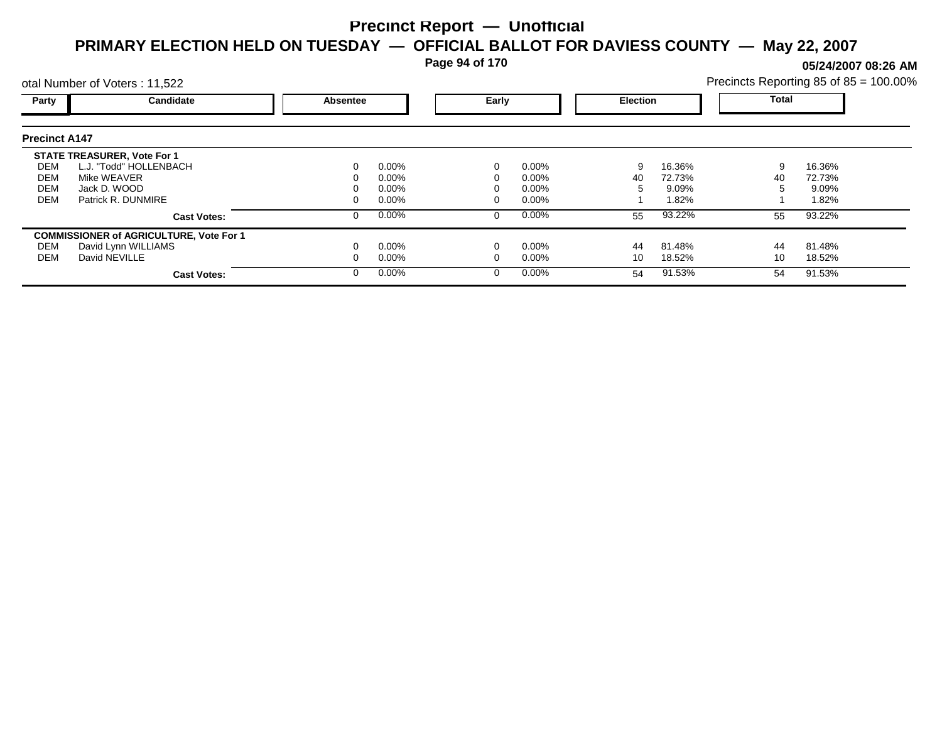**Page 94 of 170**

**05/24/2007 08:26 AM**

|                      | otal Number of Voters: 11,522                  |          |          |   |          |    | Precincts Reporting 85 of 85 = 100.00% |    |              |  |
|----------------------|------------------------------------------------|----------|----------|---|----------|----|----------------------------------------|----|--------------|--|
| Party                | Candidate                                      | Absentee | Early    |   |          |    | <b>Election</b>                        |    | <b>Total</b> |  |
| <b>Precinct A147</b> |                                                |          |          |   |          |    |                                        |    |              |  |
|                      | <b>STATE TREASURER, Vote For 1</b>             |          |          |   |          |    |                                        |    |              |  |
| DEM                  | L.J. "Todd" HOLLENBACH                         |          | $0.00\%$ |   | $0.00\%$ | 9  | 16.36%                                 | 9  | 16.36%       |  |
| DEM                  | Mike WEAVER                                    |          | 0.00%    |   | $0.00\%$ | 40 | 72.73%                                 | 40 | 72.73%       |  |
| <b>DEM</b>           | Jack D. WOOD                                   |          | 0.00%    |   | 0.00%    | 5  | 9.09%                                  |    | 9.09%        |  |
| <b>DEM</b>           | Patrick R. DUNMIRE                             |          | $0.00\%$ |   | 0.00%    |    | 1.82%                                  |    | 1.82%        |  |
|                      | <b>Cast Votes:</b>                             |          | $0.00\%$ | 0 | $0.00\%$ | 55 | 93.22%                                 | 55 | 93.22%       |  |
|                      | <b>COMMISSIONER of AGRICULTURE, Vote For 1</b> |          |          |   |          |    |                                        |    |              |  |
| DEM                  | David Lynn WILLIAMS                            |          | $0.00\%$ |   | 0.00%    | 44 | 81.48%                                 | 44 | 81.48%       |  |
| DEM                  | David NEVILLE                                  |          | $0.00\%$ |   | 0.00%    | 10 | 18.52%                                 | 10 | 18.52%       |  |
|                      | <b>Cast Votes:</b>                             |          | $0.00\%$ | 0 | $0.00\%$ | 54 | 91.53%                                 | 54 | 91.53%       |  |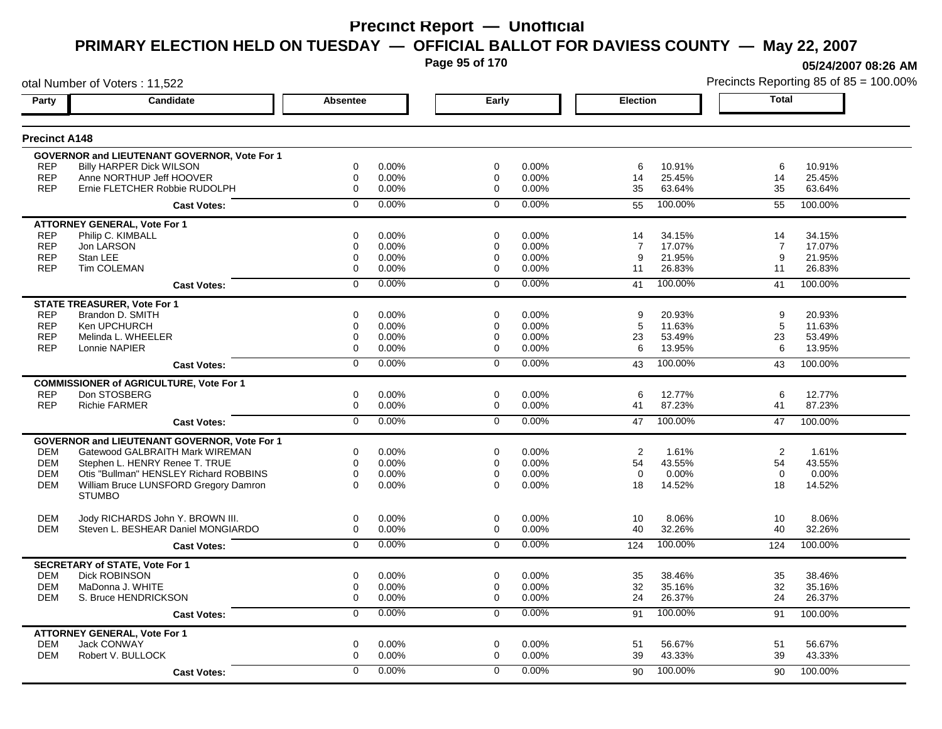**Page 95 of 170**

**05/24/2007 08:26 AM**

|                      | otal Number of Voters: 11,522                       |                 |          |                |       |          |         |                | Precincts Reporting 85 of 85 = 100.00% |
|----------------------|-----------------------------------------------------|-----------------|----------|----------------|-------|----------|---------|----------------|----------------------------------------|
| Party                | Candidate                                           | <b>Absentee</b> |          | Early          |       | Election |         | Total          |                                        |
| <b>Precinct A148</b> |                                                     |                 |          |                |       |          |         |                |                                        |
|                      | <b>GOVERNOR and LIEUTENANT GOVERNOR, Vote For 1</b> |                 |          |                |       |          |         |                |                                        |
| <b>REP</b>           | <b>Billy HARPER Dick WILSON</b>                     | 0               | 0.00%    | 0              | 0.00% | 6        | 10.91%  | 6              | 10.91%                                 |
| <b>REP</b>           | Anne NORTHUP Jeff HOOVER                            | 0               | $0.00\%$ | 0              | 0.00% | 14       | 25.45%  | 14             | 25.45%                                 |
| <b>REP</b>           | Ernie FLETCHER Robbie RUDOLPH                       | 0               | 0.00%    | $\mathbf 0$    | 0.00% | 35       | 63.64%  | 35             | 63.64%                                 |
|                      | <b>Cast Votes:</b>                                  | $\Omega$        | 0.00%    | $\mathbf 0$    | 0.00% | 55       | 100.00% | 55             | 100.00%                                |
|                      | <b>ATTORNEY GENERAL, Vote For 1</b>                 |                 |          |                |       |          |         |                |                                        |
| <b>REP</b>           | Philip C. KIMBALL                                   | 0               | 0.00%    | 0              | 0.00% | 14       | 34.15%  | 14             | 34.15%                                 |
| <b>REP</b>           | Jon LARSON                                          | 0               | 0.00%    | 0              | 0.00% | 7        | 17.07%  | $\overline{7}$ | 17.07%                                 |
| <b>REP</b>           | Stan LEE                                            | 0               | 0.00%    | 0              | 0.00% | 9        | 21.95%  | 9              | 21.95%                                 |
| <b>REP</b>           | Tim COLEMAN                                         | 0               | 0.00%    | 0              | 0.00% | 11       | 26.83%  | 11             | 26.83%                                 |
|                      | <b>Cast Votes:</b>                                  | 0               | 0.00%    | $\mathbf 0$    | 0.00% | 41       | 100.00% | 41             | 100.00%                                |
|                      | <b>STATE TREASURER, Vote For 1</b>                  |                 |          |                |       |          |         |                |                                        |
| <b>REP</b>           | Brandon D. SMITH                                    | $\Omega$        | 0.00%    | $\Omega$       | 0.00% | 9        | 20.93%  | 9              | 20.93%                                 |
| <b>REP</b>           | Ken UPCHURCH                                        | 0               | 0.00%    | 0              | 0.00% | 5        | 11.63%  | $\sqrt{5}$     | 11.63%                                 |
| <b>REP</b>           | Melinda L. WHEELER                                  | 0               | 0.00%    | 0              | 0.00% | 23       | 53.49%  | 23             | 53.49%                                 |
| <b>REP</b>           | Lonnie NAPIER                                       | 0               | $0.00\%$ | 0              | 0.00% | 6        | 13.95%  | 6              | 13.95%                                 |
|                      | <b>Cast Votes:</b>                                  | $\overline{0}$  | 0.00%    | $\overline{0}$ | 0.00% | 43       | 100.00% | 43             | 100.00%                                |
|                      | <b>COMMISSIONER of AGRICULTURE, Vote For 1</b>      |                 |          |                |       |          |         |                |                                        |
| <b>REP</b>           | Don STOSBERG                                        | 0               | 0.00%    | $\mathbf 0$    | 0.00% | 6        | 12.77%  | 6              | 12.77%                                 |
| <b>REP</b>           | <b>Richie FARMER</b>                                | 0               | 0.00%    | $\mathbf{0}$   | 0.00% | 41       | 87.23%  | 41             | 87.23%                                 |
|                      | <b>Cast Votes:</b>                                  | $\overline{0}$  | 0.00%    | $\overline{0}$ | 0.00% | 47       | 100.00% | 47             | 100.00%                                |
|                      | <b>GOVERNOR and LIEUTENANT GOVERNOR, Vote For 1</b> |                 |          |                |       |          |         |                |                                        |
| <b>DEM</b>           | Gatewood GALBRAITH Mark WIREMAN                     | 0               | 0.00%    | 0              | 0.00% | 2        | 1.61%   | 2              | 1.61%                                  |
| <b>DEM</b>           | Stephen L. HENRY Renee T. TRUE                      | 0               | 0.00%    | $\mathbf 0$    | 0.00% | 54       | 43.55%  | 54             | 43.55%                                 |
| <b>DEM</b>           | Otis "Bullman" HENSLEY Richard ROBBINS              | 0               | 0.00%    | $\mathbf 0$    | 0.00% | $\Omega$ | 0.00%   | $\Omega$       | 0.00%                                  |
| <b>DEM</b>           | William Bruce LUNSFORD Gregory Damron               | $\Omega$        | $0.00\%$ | $\Omega$       | 0.00% | 18       | 14.52%  | 18             | 14.52%                                 |
|                      | <b>STUMBO</b>                                       |                 |          |                |       |          |         |                |                                        |
| <b>DEM</b>           | Jody RICHARDS John Y. BROWN III.                    | 0               | 0.00%    | $\mathbf 0$    | 0.00% | 10       | 8.06%   | 10             | 8.06%                                  |
| <b>DEM</b>           | Steven L. BESHEAR Daniel MONGIARDO                  | 0               | 0.00%    | 0              | 0.00% | 40       | 32.26%  | 40             | 32.26%                                 |
|                      | <b>Cast Votes:</b>                                  | $\overline{0}$  | 0.00%    | $\mathbf 0$    | 0.00% | 124      | 100.00% | 124            | 100.00%                                |
|                      | <b>SECRETARY of STATE, Vote For 1</b>               |                 |          |                |       |          |         |                |                                        |
| <b>DEM</b>           | <b>Dick ROBINSON</b>                                | 0               | 0.00%    | $\mathbf 0$    | 0.00% | 35       | 38.46%  | 35             | 38.46%                                 |
| <b>DEM</b>           | MaDonna J. WHITE                                    | 0               | $0.00\%$ | 0              | 0.00% | 32       | 35.16%  | 32             | 35.16%                                 |
| <b>DEM</b>           | S. Bruce HENDRICKSON                                | 0               | 0.00%    | $\mathbf 0$    | 0.00% | 24       | 26.37%  | 24             | 26.37%                                 |
|                      | <b>Cast Votes:</b>                                  | $\overline{0}$  | 0.00%    | 0              | 0.00% | 91       | 100.00% | 91             | 100.00%                                |
|                      | <b>ATTORNEY GENERAL, Vote For 1</b>                 |                 |          |                |       |          |         |                |                                        |
| <b>DEM</b>           | <b>Jack CONWAY</b>                                  | 0               | 0.00%    | $\mathbf 0$    | 0.00% | 51       | 56.67%  | 51             | 56.67%                                 |
| <b>DEM</b>           | Robert V. BULLOCK                                   | 0               | 0.00%    | 0              | 0.00% | 39       | 43.33%  | 39             | 43.33%                                 |
|                      |                                                     |                 | $0.00\%$ | $\Omega$       | 0.00% |          | 100.00% |                |                                        |
|                      | <b>Cast Votes:</b>                                  | 0               |          |                |       | 90       |         | 90             | 100.00%                                |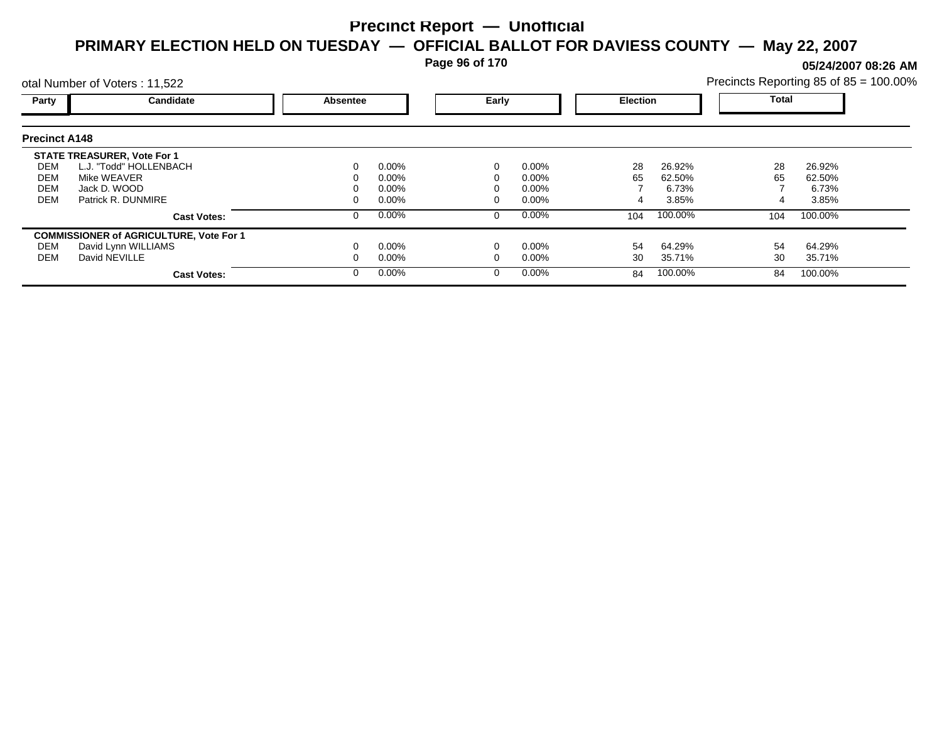**Page 96 of 170**

**05/24/2007 08:26 AM**

|                      | otal Number of Voters: 11,522                  | Precincts Reporting 85 of 85 = 100.00% |          |       |          |                 |         |              |         |  |
|----------------------|------------------------------------------------|----------------------------------------|----------|-------|----------|-----------------|---------|--------------|---------|--|
| Party                | Candidate                                      | <b>Absentee</b>                        |          | Early |          | <b>Election</b> |         | <b>Total</b> |         |  |
| <b>Precinct A148</b> |                                                |                                        |          |       |          |                 |         |              |         |  |
|                      | <b>STATE TREASURER, Vote For 1</b>             |                                        |          |       |          |                 |         |              |         |  |
| DEM                  | L.J. "Todd" HOLLENBACH                         | 0                                      | $0.00\%$ |       | 0.00%    | 28              | 26.92%  | 28           | 26.92%  |  |
| DEM                  | Mike WEAVER                                    |                                        | $0.00\%$ |       | $0.00\%$ | 65              | 62.50%  | 65           | 62.50%  |  |
| <b>DEM</b>           | Jack D. WOOD                                   |                                        | $0.00\%$ |       | $0.00\%$ |                 | 6.73%   |              | 6.73%   |  |
| <b>DEM</b>           | Patrick R. DUNMIRE                             |                                        | $0.00\%$ |       | $0.00\%$ |                 | 3.85%   |              | 3.85%   |  |
|                      | <b>Cast Votes:</b>                             | 0                                      | $0.00\%$ |       | 0.00%    | 104             | 100.00% | 104          | 100.00% |  |
|                      | <b>COMMISSIONER of AGRICULTURE, Vote For 1</b> |                                        |          |       |          |                 |         |              |         |  |
| DEM                  | David Lynn WILLIAMS                            |                                        | $0.00\%$ |       | 0.00%    | 54              | 64.29%  | 54           | 64.29%  |  |
| DEM                  | David NEVILLE                                  |                                        | $0.00\%$ |       | $0.00\%$ | 30              | 35.71%  | 30           | 35.71%  |  |
|                      | <b>Cast Votes:</b>                             | 0                                      | $0.00\%$ |       | 0.00%    | 84              | 100.00% | 84           | 100.00% |  |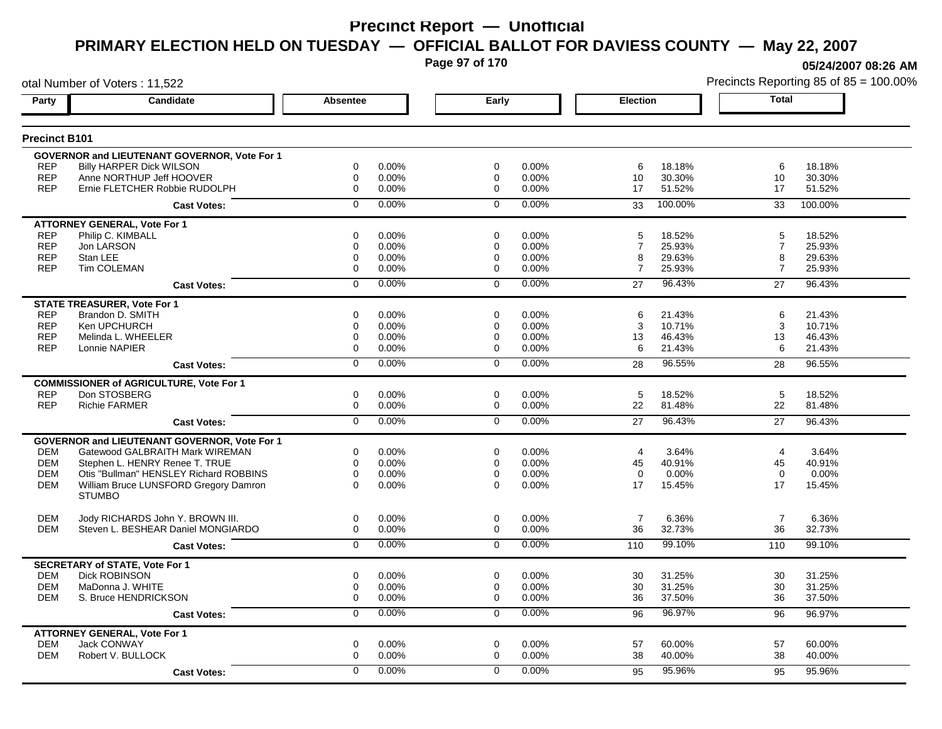**Page 97 of 170**

**05/24/2007 08:26 AM**

|                      | otal Number of Voters: 11,522                       |                  |       |                |       |                 |         |                | Precincts Reporting 85 of 85 = 100.00% |
|----------------------|-----------------------------------------------------|------------------|-------|----------------|-------|-----------------|---------|----------------|----------------------------------------|
| Party                | Candidate                                           | Absentee         |       | Early          |       | <b>Election</b> |         | <b>Total</b>   |                                        |
| <b>Precinct B101</b> |                                                     |                  |       |                |       |                 |         |                |                                        |
|                      | <b>GOVERNOR and LIEUTENANT GOVERNOR, Vote For 1</b> |                  |       |                |       |                 |         |                |                                        |
| <b>REP</b>           | <b>Billy HARPER Dick WILSON</b>                     | 0                | 0.00% | 0              | 0.00% | 6               | 18.18%  | 6              | 18.18%                                 |
| <b>REP</b>           | Anne NORTHUP Jeff HOOVER                            | 0                | 0.00% | 0              | 0.00% | 10              | 30.30%  | 10             | 30.30%                                 |
| <b>REP</b>           | Ernie FLETCHER Robbie RUDOLPH                       | $\mathbf 0$      | 0.00% | $\mathbf 0$    | 0.00% | 17              | 51.52%  | 17             | 51.52%                                 |
|                      | <b>Cast Votes:</b>                                  | $\mathbf 0$      | 0.00% | $\mathbf 0$    | 0.00% | 33              | 100.00% | 33             | 100.00%                                |
|                      | <b>ATTORNEY GENERAL, Vote For 1</b>                 |                  |       |                |       |                 |         |                |                                        |
| <b>REP</b>           | Philip C. KIMBALL                                   | $\mathbf 0$      | 0.00% | $\Omega$       | 0.00% | 5               | 18.52%  | 5              | 18.52%                                 |
| <b>REP</b>           | Jon LARSON                                          | 0                | 0.00% | 0              | 0.00% | $\overline{7}$  | 25.93%  | $\overline{7}$ | 25.93%                                 |
| <b>REP</b>           | Stan LEE                                            | $\mathbf 0$      | 0.00% | 0              | 0.00% | 8               | 29.63%  | 8              | 29.63%                                 |
| <b>REP</b>           | <b>Tim COLEMAN</b>                                  | $\mathbf 0$      | 0.00% | $\Omega$       | 0.00% | $\overline{7}$  | 25.93%  | $\overline{7}$ | 25.93%                                 |
|                      | <b>Cast Votes:</b>                                  | $\mathbf 0$      | 0.00% | $\mathbf 0$    | 0.00% | 27              | 96.43%  | 27             | 96.43%                                 |
|                      | <b>STATE TREASURER, Vote For 1</b>                  |                  |       |                |       |                 |         |                |                                        |
| <b>REP</b>           | Brandon D. SMITH                                    | $\mathbf 0$      | 0.00% | $\Omega$       | 0.00% | 6               | 21.43%  | 6              | 21.43%                                 |
| <b>REP</b>           | Ken UPCHURCH                                        | $\mathbf 0$      | 0.00% | 0              | 0.00% | 3               | 10.71%  | 3              | 10.71%                                 |
| <b>REP</b>           | Melinda L. WHEELER                                  | $\mathbf 0$      | 0.00% | 0              | 0.00% | 13              | 46.43%  | 13             | 46.43%                                 |
| <b>REP</b>           | Lonnie NAPIER                                       | $\Omega$         | 0.00% | $\Omega$       | 0.00% | 6               | 21.43%  | 6              | 21.43%                                 |
|                      | <b>Cast Votes:</b>                                  | $\overline{0}$   | 0.00% | $\overline{0}$ | 0.00% | 28              | 96.55%  | 28             | 96.55%                                 |
|                      | <b>COMMISSIONER of AGRICULTURE, Vote For 1</b>      |                  |       |                |       |                 |         |                |                                        |
| <b>REP</b>           | Don STOSBERG                                        | 0                | 0.00% | 0              | 0.00% | 5               | 18.52%  | 5              | 18.52%                                 |
| <b>REP</b>           | <b>Richie FARMER</b>                                | 0                | 0.00% | 0              | 0.00% | 22              | 81.48%  | 22             | 81.48%                                 |
|                      | <b>Cast Votes:</b>                                  | $\overline{0}$   | 0.00% | $\overline{0}$ | 0.00% | 27              | 96.43%  | 27             | 96.43%                                 |
|                      | GOVERNOR and LIEUTENANT GOVERNOR, Vote For 1        |                  |       |                |       |                 |         |                |                                        |
| DEM                  | Gatewood GALBRAITH Mark WIREMAN                     | 0                | 0.00% | 0              | 0.00% | 4               | 3.64%   | $\overline{4}$ | 3.64%                                  |
| <b>DEM</b>           | Stephen L. HENRY Renee T. TRUE                      | $\mathbf 0$      | 0.00% | 0              | 0.00% | 45              | 40.91%  | 45             | 40.91%                                 |
| <b>DEM</b>           | Otis "Bullman" HENSLEY Richard ROBBINS              | 0                | 0.00% | 0              | 0.00% | $\mathbf 0$     | 0.00%   | $\mathbf 0$    | 0.00%                                  |
| <b>DEM</b>           | William Bruce LUNSFORD Gregory Damron               | $\Omega$         | 0.00% | $\Omega$       | 0.00% | 17              | 15.45%  | 17             | 15.45%                                 |
|                      | <b>STUMBO</b>                                       |                  |       |                |       |                 |         |                |                                        |
| <b>DEM</b>           | Jody RICHARDS John Y. BROWN III.                    | 0                | 0.00% | 0              | 0.00% | $\overline{7}$  | 6.36%   | $\overline{7}$ | 6.36%                                  |
| <b>DEM</b>           | Steven L. BESHEAR Daniel MONGIARDO                  | 0                | 0.00% | 0              | 0.00% | 36              | 32.73%  | 36             | 32.73%                                 |
|                      | <b>Cast Votes:</b>                                  | $\mathbf 0$      | 0.00% | $\mathbf 0$    | 0.00% | 110             | 99.10%  | 110            | 99.10%                                 |
|                      | <b>SECRETARY of STATE, Vote For 1</b>               |                  |       |                |       |                 |         |                |                                        |
| <b>DEM</b>           | <b>Dick ROBINSON</b>                                | 0                | 0.00% | 0              | 0.00% | 30              | 31.25%  | 30             | 31.25%                                 |
| <b>DEM</b>           | MaDonna J. WHITE                                    | 0                | 0.00% | 0              | 0.00% | 30              | 31.25%  | 30             | 31.25%                                 |
| DEM                  | S. Bruce HENDRICKSON                                | $\boldsymbol{0}$ | 0.00% | 0              | 0.00% | 36              | 37.50%  | 36             | 37.50%                                 |
|                      | <b>Cast Votes:</b>                                  | 0                | 0.00% | 0              | 0.00% | 96              | 96.97%  | 96             | 96.97%                                 |
|                      | <b>ATTORNEY GENERAL, Vote For 1</b>                 |                  |       |                |       |                 |         |                |                                        |
| <b>DEM</b>           | <b>Jack CONWAY</b>                                  | $\mathbf 0$      | 0.00% | $\mathbf 0$    | 0.00% | 57              | 60.00%  | 57             | 60.00%                                 |
| <b>DEM</b>           | Robert V. BULLOCK                                   | $\mathbf 0$      | 0.00% | 0              | 0.00% | 38              | 40.00%  | 38             | 40.00%                                 |
|                      | <b>Cast Votes:</b>                                  | $\Omega$         | 0.00% | $\Omega$       | 0.00% | 95              | 95.96%  | 95             | 95.96%                                 |
|                      |                                                     |                  |       |                |       |                 |         |                |                                        |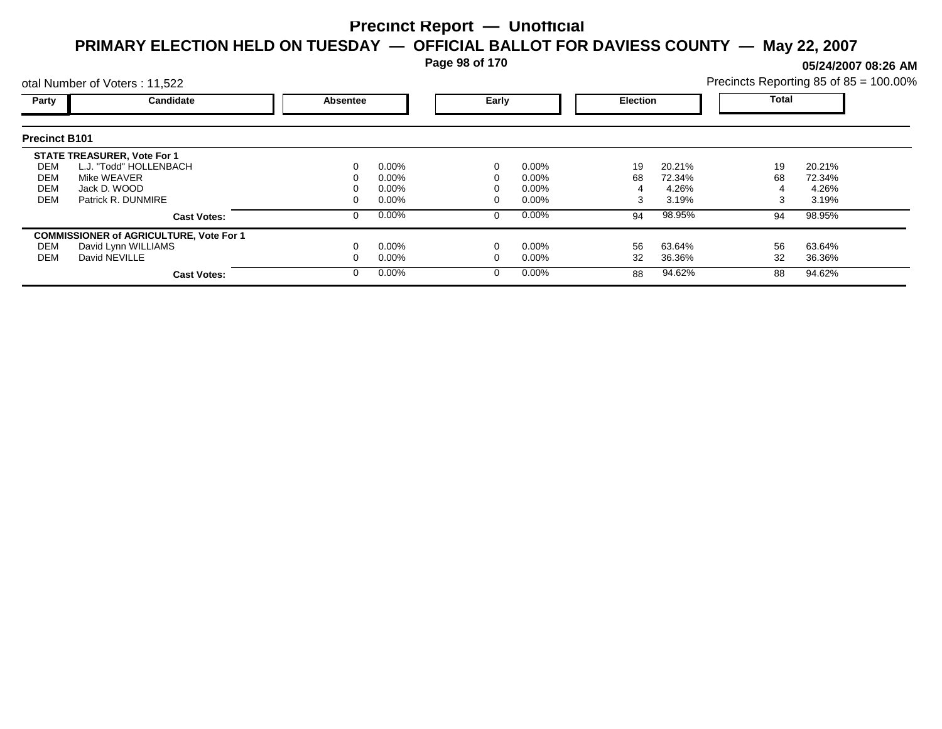**Page 98 of 170**

**05/24/2007 08:26 AM**

| Precincts Reporting 85 of 85 = 100.00% |  |  |
|----------------------------------------|--|--|
|                                        |  |  |

|                      | otal Number of Voters: 11,522                  |          |          |   |          |    |                 |              | Precincts Reporting 85 of 85 = 100.00% |  |  |
|----------------------|------------------------------------------------|----------|----------|---|----------|----|-----------------|--------------|----------------------------------------|--|--|
| Party                | Candidate                                      | Absentee |          |   | Early    |    | <b>Election</b> | <b>Total</b> |                                        |  |  |
| <b>Precinct B101</b> |                                                |          |          |   |          |    |                 |              |                                        |  |  |
|                      | <b>STATE TREASURER, Vote For 1</b>             |          |          |   |          |    |                 |              |                                        |  |  |
| DEM                  | L.J. "Todd" HOLLENBACH                         | 0        | $0.00\%$ |   | 0.00%    | 19 | 20.21%          | 19           | 20.21%                                 |  |  |
| DEM                  | Mike WEAVER                                    |          | $0.00\%$ |   | $0.00\%$ | 68 | 72.34%          | 68           | 72.34%                                 |  |  |
| DEM                  | Jack D. WOOD                                   |          | $0.00\%$ |   | $0.00\%$ |    | 4.26%           |              | 4.26%                                  |  |  |
| <b>DEM</b>           | Patrick R. DUNMIRE                             | 0        | $0.00\%$ |   | $0.00\%$ |    | 3.19%           | 3            | 3.19%                                  |  |  |
|                      | <b>Cast Votes:</b>                             | 0        | $0.00\%$ | 0 | 0.00%    | 94 | 98.95%          | 94           | 98.95%                                 |  |  |
|                      | <b>COMMISSIONER of AGRICULTURE, Vote For 1</b> |          |          |   |          |    |                 |              |                                        |  |  |
| DEM                  | David Lynn WILLIAMS                            |          | $0.00\%$ |   | 0.00%    | 56 | 63.64%          | 56           | 63.64%                                 |  |  |
| DEM                  | David NEVILLE                                  |          | $0.00\%$ |   | 0.00%    | 32 | 36.36%          | 32           | 36.36%                                 |  |  |
|                      | <b>Cast Votes:</b>                             | $\Omega$ | $0.00\%$ |   | 0.00%    | 88 | 94.62%          | 88           | 94.62%                                 |  |  |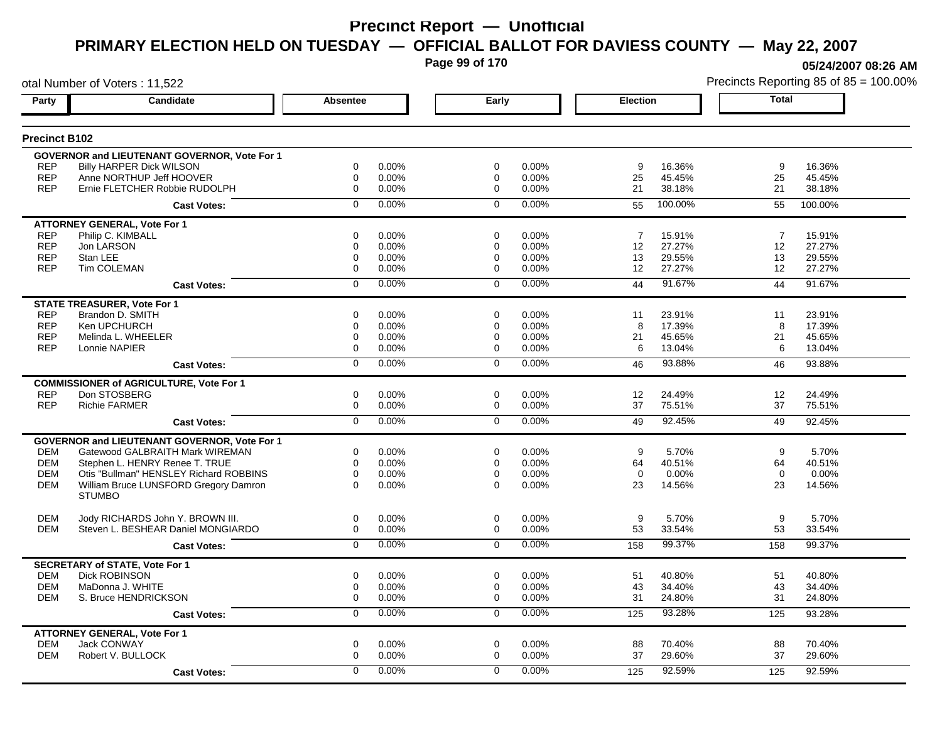**Page 99 of 170**

**05/24/2007 08:26 AM**

|                      | otal Number of Voters: 11,522                                 |                 |                   |                |                |                |                  |          | Precincts Reporting 85 of 85 = 100.00% |
|----------------------|---------------------------------------------------------------|-----------------|-------------------|----------------|----------------|----------------|------------------|----------|----------------------------------------|
| Party                | Candidate                                                     | <b>Absentee</b> |                   | Early          |                | Election       |                  | Total    |                                        |
| <b>Precinct B102</b> |                                                               |                 |                   |                |                |                |                  |          |                                        |
|                      | <b>GOVERNOR and LIEUTENANT GOVERNOR, Vote For 1</b>           |                 |                   |                |                |                |                  |          |                                        |
| <b>REP</b>           | <b>Billy HARPER Dick WILSON</b>                               | 0               | 0.00%             | 0              | 0.00%          | 9              | 16.36%           | 9        | 16.36%                                 |
| <b>REP</b>           | Anne NORTHUP Jeff HOOVER                                      | 0               | $0.00\%$          | 0              | 0.00%          | 25             | 45.45%           | 25       | 45.45%                                 |
| <b>REP</b>           | Ernie FLETCHER Robbie RUDOLPH                                 | 0               | 0.00%             | $\mathbf 0$    | 0.00%          | 21             | 38.18%           | 21       | 38.18%                                 |
|                      | <b>Cast Votes:</b>                                            | $\Omega$        | 0.00%             | $\mathbf 0$    | 0.00%          | 55             | 100.00%          | 55       | 100.00%                                |
|                      | <b>ATTORNEY GENERAL, Vote For 1</b>                           |                 |                   |                |                |                |                  |          |                                        |
| <b>REP</b>           | Philip C. KIMBALL                                             | 0               | 0.00%             | 0              | 0.00%          | $\overline{7}$ | 15.91%           | 7        | 15.91%                                 |
| <b>REP</b>           | Jon LARSON                                                    | 0               | 0.00%             | 0              | 0.00%          | 12             | 27.27%           | 12       | 27.27%                                 |
| <b>REP</b>           | Stan LEE                                                      | 0               | 0.00%             | 0              | 0.00%          | 13             | 29.55%           | 13       | 29.55%                                 |
| <b>REP</b>           | Tim COLEMAN                                                   | 0               | $0.00\%$          | 0              | 0.00%          | 12             | 27.27%           | 12       | 27.27%                                 |
|                      | <b>Cast Votes:</b>                                            | 0               | 0.00%             | $\mathbf 0$    | 0.00%          | 44             | 91.67%           | 44       | 91.67%                                 |
|                      | <b>STATE TREASURER, Vote For 1</b>                            |                 |                   |                |                |                |                  |          |                                        |
| <b>REP</b>           | Brandon D. SMITH                                              | $\Omega$        | 0.00%             | $\Omega$       | 0.00%          | 11             | 23.91%           | 11       | 23.91%                                 |
| <b>REP</b>           | Ken UPCHURCH                                                  | 0               | 0.00%             | 0              | 0.00%          | 8              | 17.39%           | 8        | 17.39%                                 |
| <b>REP</b>           | Melinda L. WHEELER                                            | 0               | 0.00%             | 0              | 0.00%          | 21             | 45.65%           | 21       | 45.65%                                 |
| <b>REP</b>           | Lonnie NAPIER                                                 | 0               | $0.00\%$          | 0              | 0.00%          | 6              | 13.04%           | 6        | 13.04%                                 |
|                      | <b>Cast Votes:</b>                                            | $\overline{0}$  | 0.00%             | $\overline{0}$ | 0.00%          | 46             | 93.88%           | 46       | 93.88%                                 |
|                      | <b>COMMISSIONER of AGRICULTURE, Vote For 1</b>                |                 |                   |                |                |                |                  |          |                                        |
| <b>REP</b>           | Don STOSBERG                                                  | 0               | 0.00%             | $\mathbf 0$    | 0.00%          | 12             | 24.49%           | 12       | 24.49%                                 |
| <b>REP</b>           | <b>Richie FARMER</b>                                          | 0               | 0.00%             | $\mathbf{0}$   | 0.00%          | 37             | 75.51%           | 37       | 75.51%                                 |
|                      | <b>Cast Votes:</b>                                            | $\overline{0}$  | 0.00%             | $\overline{0}$ | 0.00%          | 49             | 92.45%           | 49       | 92.45%                                 |
|                      | <b>GOVERNOR and LIEUTENANT GOVERNOR, Vote For 1</b>           |                 |                   |                |                |                |                  |          |                                        |
| <b>DEM</b>           | Gatewood GALBRAITH Mark WIREMAN                               | 0               | 0.00%             | 0              | 0.00%          | 9              | 5.70%            | 9        | 5.70%                                  |
| <b>DEM</b>           | Stephen L. HENRY Renee T. TRUE                                | 0               | 0.00%             | $\mathbf 0$    | 0.00%          | 64             | 40.51%           | 64       | 40.51%                                 |
| <b>DEM</b>           | Otis "Bullman" HENSLEY Richard ROBBINS                        | 0               | 0.00%             | $\mathbf 0$    | 0.00%          | $\Omega$       | 0.00%            | $\Omega$ | 0.00%                                  |
| <b>DEM</b>           | William Bruce LUNSFORD Gregory Damron                         | $\Omega$        | $0.00\%$          | $\Omega$       | 0.00%          | 23             | 14.56%           | 23       | 14.56%                                 |
|                      | <b>STUMBO</b>                                                 |                 |                   |                |                |                |                  |          |                                        |
| <b>DEM</b>           | Jody RICHARDS John Y. BROWN III.                              | 0               | 0.00%             | $\mathbf 0$    | 0.00%          | 9              | 5.70%            | 9        | 5.70%                                  |
| <b>DEM</b>           | Steven L. BESHEAR Daniel MONGIARDO                            | 0               | 0.00%             | 0              | 0.00%          | 53             | 33.54%           | 53       | 33.54%                                 |
|                      | <b>Cast Votes:</b>                                            | $\overline{0}$  | 0.00%             | $\mathbf 0$    | 0.00%          | 158            | 99.37%           | 158      | 99.37%                                 |
|                      |                                                               |                 |                   |                |                |                |                  |          |                                        |
| <b>DEM</b>           | <b>SECRETARY of STATE, Vote For 1</b><br><b>Dick ROBINSON</b> | 0               |                   | $\mathbf 0$    |                |                |                  |          |                                        |
| <b>DEM</b>           | MaDonna J. WHITE                                              | 0               | 0.00%<br>$0.00\%$ | 0              | 0.00%<br>0.00% | 51<br>43       | 40.80%<br>34.40% | 51<br>43 | 40.80%<br>34.40%                       |
| <b>DEM</b>           | S. Bruce HENDRICKSON                                          | 0               | 0.00%             | $\mathbf 0$    | 0.00%          | 31             | 24.80%           | 31       | 24.80%                                 |
|                      |                                                               | 0               | 0.00%             | 0              | 0.00%          | 125            | 93.28%           | 125      | 93.28%                                 |
|                      | <b>Cast Votes:</b>                                            |                 |                   |                |                |                |                  |          |                                        |
| <b>DEM</b>           | <b>ATTORNEY GENERAL, Vote For 1</b><br><b>Jack CONWAY</b>     | 0               | 0.00%             | $\mathbf 0$    | 0.00%          | 88             | 70.40%           | 88       | 70.40%                                 |
| <b>DEM</b>           | Robert V. BULLOCK                                             | 0               | 0.00%             | 0              | 0.00%          | 37             | 29.60%           | 37       | 29.60%                                 |
|                      |                                                               |                 |                   |                |                |                |                  |          |                                        |
|                      | <b>Cast Votes:</b>                                            | 0               | $0.00\%$          | $\Omega$       | 0.00%          | 125            | 92.59%           | 125      | 92.59%                                 |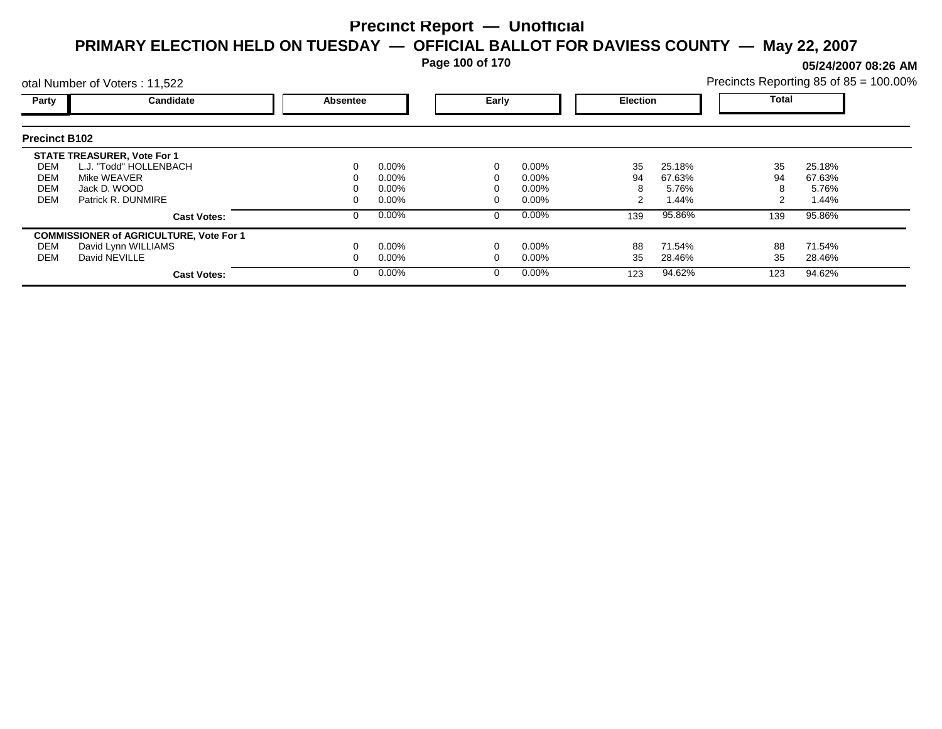**Page 100 of 170**

**05/24/2007 08:26 AM**

|                      | otal Number of Voters: 11,522                  |                 |          |       | Precincts Reporting 85 of 85 = 100.00% |     |                 |              |        |  |
|----------------------|------------------------------------------------|-----------------|----------|-------|----------------------------------------|-----|-----------------|--------------|--------|--|
| Party                | Candidate                                      | <b>Absentee</b> |          | Early |                                        |     | <b>Election</b> | <b>Total</b> |        |  |
| <b>Precinct B102</b> |                                                |                 |          |       |                                        |     |                 |              |        |  |
|                      | <b>STATE TREASURER, Vote For 1</b>             |                 |          |       |                                        |     |                 |              |        |  |
| DEM                  | L.J. "Todd" HOLLENBACH                         |                 | $0.00\%$ |       | $0.00\%$                               | 35  | 25.18%          | 35           | 25.18% |  |
| <b>DEM</b>           | Mike WEAVER                                    |                 | 0.00%    |       | 0.00%                                  | 94  | 67.63%          | 94           | 67.63% |  |
| <b>DEM</b>           | Jack D. WOOD                                   |                 | 0.00%    |       | 0.00%                                  |     | 5.76%           | 8            | 5.76%  |  |
| <b>DEM</b>           | Patrick R. DUNMIRE                             |                 | 0.00%    |       | 0.00%                                  |     | 1.44%           | 2            | 1.44%  |  |
|                      | <b>Cast Votes:</b>                             |                 | $0.00\%$ | 0     | $0.00\%$                               | 139 | 95.86%          | 139          | 95.86% |  |
|                      | <b>COMMISSIONER of AGRICULTURE, Vote For 1</b> |                 |          |       |                                        |     |                 |              |        |  |
| DEM                  | David Lynn WILLIAMS                            |                 | $0.00\%$ |       | 0.00%                                  | 88  | 71.54%          | 88           | 71.54% |  |
| <b>DEM</b>           | David NEVILLE                                  |                 | $0.00\%$ |       | 0.00%                                  | 35  | 28.46%          | 35           | 28.46% |  |
|                      | <b>Cast Votes:</b>                             |                 | $0.00\%$ |       | $0.00\%$                               | 123 | 94.62%          | 123          | 94.62% |  |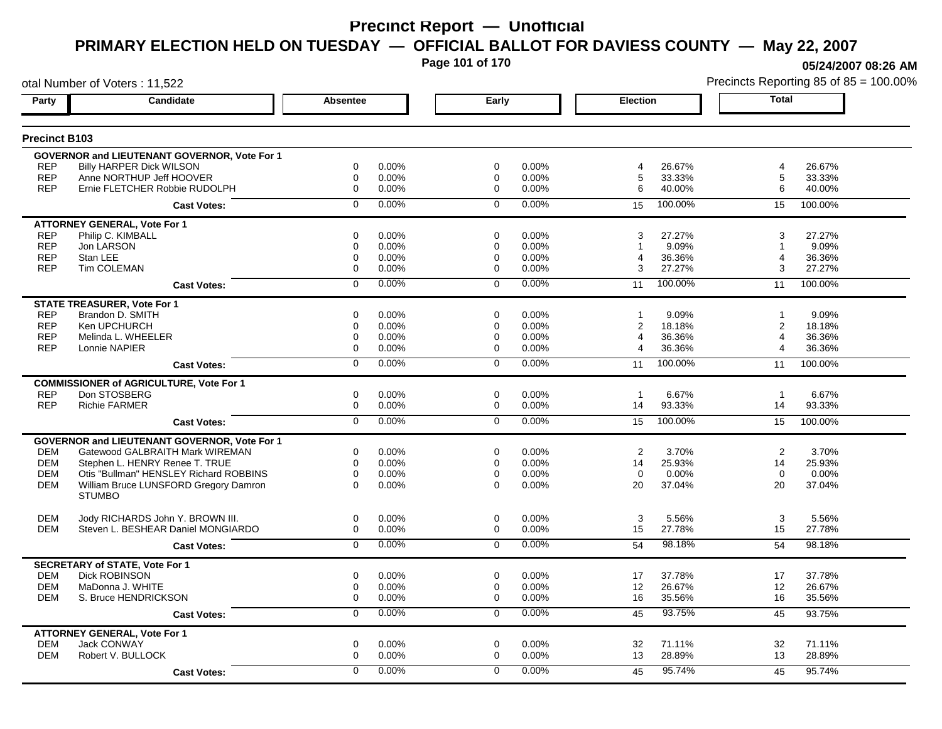**Page 101 of 170**

otal Number of Voters : 11,522

**05/24/2007 08:26 AM**

| <b>Precinct B103</b> |                                                        |                |          |                |          |                          |                       |         |
|----------------------|--------------------------------------------------------|----------------|----------|----------------|----------|--------------------------|-----------------------|---------|
|                      | <b>GOVERNOR and LIEUTENANT GOVERNOR, Vote For 1</b>    |                |          |                |          |                          |                       |         |
| <b>REP</b>           | <b>Billy HARPER Dick WILSON</b>                        | $\Omega$       | 0.00%    | $\Omega$       | 0.00%    | 26.67%<br>4              | $\overline{4}$        | 26.67%  |
| <b>REP</b>           | Anne NORTHUP Jeff HOOVER                               | 0              | 0.00%    | 0              | 0.00%    | 5<br>33.33%              | 5                     | 33.33%  |
| <b>REP</b>           | Ernie FLETCHER Robbie RUDOLPH                          | 0              | 0.00%    | $\Omega$       | 0.00%    | 40.00%<br>6              | 6                     | 40.00%  |
|                      | <b>Cast Votes:</b>                                     | $\Omega$       | 0.00%    | $\Omega$       | 0.00%    | 100.00%<br>15            | 15                    | 100.00% |
|                      | <b>ATTORNEY GENERAL, Vote For 1</b>                    |                |          |                |          |                          |                       |         |
| <b>REP</b>           | Philip C. KIMBALL                                      | $\Omega$       | 0.00%    | $\Omega$       | 0.00%    | 27.27%<br>3              | 3                     | 27.27%  |
| <b>REP</b>           | Jon LARSON                                             | $\mathbf 0$    | 0.00%    | 0              | 0.00%    | 9.09%                    | 1                     | 9.09%   |
| <b>REP</b>           | Stan LEE                                               | $\Omega$       | 0.00%    | $\Omega$       | 0.00%    | 36.36%<br>4              | $\overline{4}$        | 36.36%  |
| <b>REP</b>           | <b>Tim COLEMAN</b>                                     | $\mathbf 0$    | 0.00%    | $\mathbf 0$    | 0.00%    | 27.27%<br>3              | 3                     | 27.27%  |
|                      | <b>Cast Votes:</b>                                     | $\mathbf 0$    | 0.00%    | $\Omega$       | 0.00%    | 100.00%<br>11            | 11                    | 100.00% |
|                      | <b>STATE TREASURER, Vote For 1</b>                     |                |          |                |          |                          |                       |         |
| <b>REP</b>           | Brandon D. SMITH                                       | $\mathbf 0$    | 0.00%    | $\mathbf 0$    | 0.00%    | 9.09%<br>$\mathbf{1}$    | $\overline{1}$        | 9.09%   |
| <b>REP</b>           | Ken UPCHURCH                                           | $\mathbf 0$    | 0.00%    | 0              | 0.00%    | $\overline{2}$<br>18.18% | 2                     | 18.18%  |
| <b>REP</b>           | Melinda L. WHEELER                                     | 0              | 0.00%    | 0              | 0.00%    | 4<br>36.36%              | $\overline{4}$        | 36.36%  |
| <b>REP</b>           | Lonnie NAPIER                                          | $\mathbf 0$    | 0.00%    | $\mathbf 0$    | 0.00%    | 4<br>36.36%              | $\boldsymbol{\Delta}$ | 36.36%  |
|                      | <b>Cast Votes:</b>                                     | $\Omega$       | $0.00\%$ | $\Omega$       | 0.00%    | 100.00%<br>11            | 11                    | 100.00% |
|                      | <b>COMMISSIONER of AGRICULTURE, Vote For 1</b>         |                |          |                |          |                          |                       |         |
| <b>REP</b>           | Don STOSBERG                                           | $\mathbf 0$    | 0.00%    | $\mathbf 0$    | 0.00%    | 6.67%<br>$\mathbf{1}$    | $\overline{1}$        | 6.67%   |
| <b>REP</b>           | <b>Richie FARMER</b>                                   | 0              | 0.00%    | $\Omega$       | 0.00%    | 93.33%<br>14             | 14                    | 93.33%  |
|                      | <b>Cast Votes:</b>                                     | $\overline{0}$ | 0.00%    | $\Omega$       | 0.00%    | 100.00%<br>15            | 15                    | 100.00% |
|                      | GOVERNOR and LIEUTENANT GOVERNOR, Vote For 1           |                |          |                |          |                          |                       |         |
| <b>DEM</b>           | Gatewood GALBRAITH Mark WIREMAN                        | $\Omega$       | 0.00%    | $\Omega$       | 0.00%    | 2<br>3.70%               | 2                     | 3.70%   |
| <b>DEM</b>           | Stephen L. HENRY Renee T. TRUE                         | $\mathbf 0$    | 0.00%    | 0              | 0.00%    | 14<br>25.93%             | 14                    | 25.93%  |
| <b>DEM</b>           | Otis "Bullman" HENSLEY Richard ROBBINS                 | $\Omega$       | 0.00%    | $\Omega$       | 0.00%    | $\mathbf 0$<br>0.00%     | $\mathbf 0$           | 0.00%   |
| <b>DEM</b>           | William Bruce LUNSFORD Gregory Damron<br><b>STUMBO</b> | $\Omega$       | 0.00%    | $\Omega$       | 0.00%    | 37.04%<br>20             | 20                    | 37.04%  |
| <b>DEM</b>           | Jody RICHARDS John Y. BROWN III.                       | $\mathbf 0$    | 0.00%    | $\mathbf 0$    | 0.00%    | 3<br>5.56%               | 3                     | 5.56%   |
| <b>DEM</b>           | Steven L. BESHEAR Daniel MONGIARDO                     | $\Omega$       | 0.00%    | $\Omega$       | 0.00%    | 15<br>27.78%             | 15                    | 27.78%  |
|                      | <b>Cast Votes:</b>                                     | $\Omega$       | 0.00%    | $\Omega$       | 0.00%    | 98.18%<br>54             | 54                    | 98.18%  |
|                      | <b>SECRETARY of STATE, Vote For 1</b>                  |                |          |                |          |                          |                       |         |
| <b>DEM</b>           | <b>Dick ROBINSON</b>                                   | 0              | 0.00%    | $\Omega$       | $0.00\%$ | 17<br>37.78%             | 17                    | 37.78%  |
| <b>DEM</b>           | MaDonna J. WHITE                                       | $\mathbf 0$    | 0.00%    | $\mathbf 0$    | 0.00%    | 12<br>26.67%             | 12                    | 26.67%  |
| <b>DEM</b>           | S. Bruce HENDRICKSON                                   | $\mathbf 0$    | 0.00%    | $\mathbf 0$    | 0.00%    | 16<br>35.56%             | 16                    | 35.56%  |
|                      | <b>Cast Votes:</b>                                     | $\overline{0}$ | 0.00%    | $\overline{0}$ | 0.00%    | 93.75%<br>45             | 45                    | 93.75%  |
|                      | <b>ATTORNEY GENERAL, Vote For 1</b>                    |                |          |                |          |                          |                       |         |
| <b>DEM</b>           | Jack CONWAY                                            | 0              | 0.00%    | 0              | 0.00%    | 71.11%<br>32             | 32                    | 71.11%  |
| <b>DEM</b>           | Robert V. BULLOCK                                      | $\Omega$       | 0.00%    | $\Omega$       | 0.00%    | 13<br>28.89%             | 13                    | 28.89%  |
|                      | <b>Cast Votes:</b>                                     | $\Omega$       | 0.00%    | $\Omega$       | 0.00%    | 95.74%<br>45             | 45                    | 95.74%  |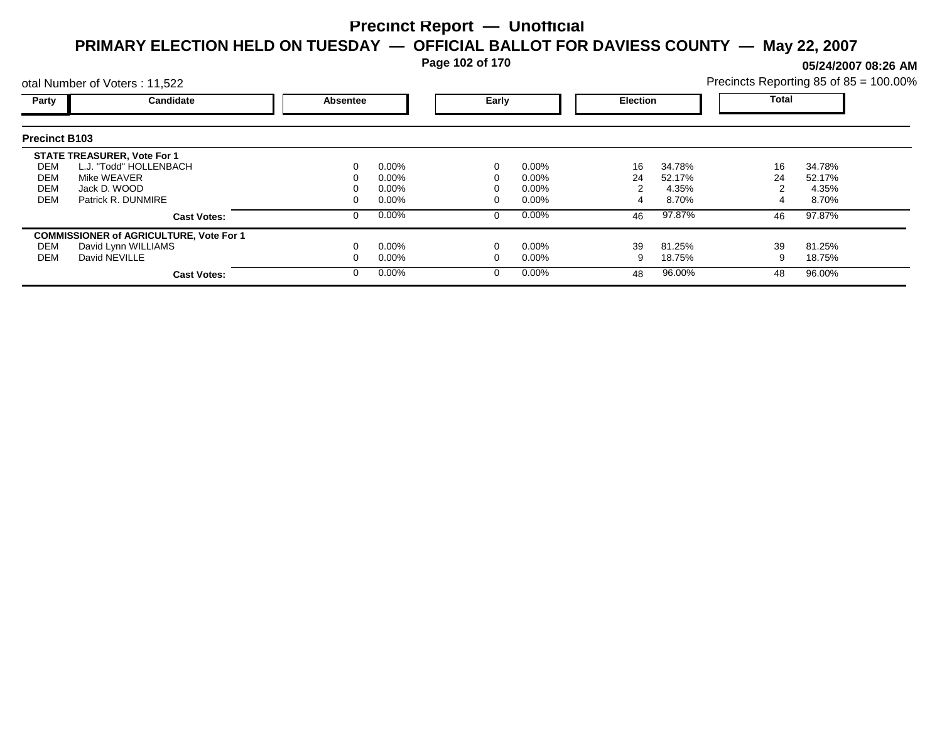**Page 102 of 170**

**05/24/2007 08:26 AM**

|                      | otal Number of Voters: 11,522                  |          |          |          |          |    |                 |       | Precincts Reporting 85 of 85 = 100.00% |  |  |
|----------------------|------------------------------------------------|----------|----------|----------|----------|----|-----------------|-------|----------------------------------------|--|--|
| Party                | Candidate                                      | Absentee |          |          | Early    |    | <b>Election</b> | Total |                                        |  |  |
| <b>Precinct B103</b> |                                                |          |          |          |          |    |                 |       |                                        |  |  |
|                      | <b>STATE TREASURER, Vote For 1</b>             |          |          |          |          |    |                 |       |                                        |  |  |
| DEM                  | L.J. "Todd" HOLLENBACH                         |          | $0.00\%$ | 0        | $0.00\%$ | 16 | 34.78%          | 16    | 34.78%                                 |  |  |
| DEM                  | Mike WEAVER                                    |          | 0.00%    |          | $0.00\%$ | 24 | 52.17%          | 24    | 52.17%                                 |  |  |
| <b>DEM</b>           | Jack D. WOOD                                   |          | 0.00%    |          | $0.00\%$ |    | 4.35%           |       | 4.35%                                  |  |  |
| <b>DEM</b>           | Patrick R. DUNMIRE                             |          | 0.00%    |          | $0.00\%$ |    | 8.70%           |       | 8.70%                                  |  |  |
|                      | <b>Cast Votes:</b>                             |          | 0.00%    | 0        | $0.00\%$ | 46 | 97.87%          | 46    | 97.87%                                 |  |  |
|                      | <b>COMMISSIONER of AGRICULTURE, Vote For 1</b> |          |          |          |          |    |                 |       |                                        |  |  |
| DEM                  | David Lynn WILLIAMS                            |          | 0.00%    |          | $0.00\%$ | 39 | 81.25%          | 39    | 81.25%                                 |  |  |
| DEM                  | David NEVILLE                                  |          | 0.00%    |          | $0.00\%$ | 9  | 18.75%          |       | 18.75%                                 |  |  |
|                      | <b>Cast Votes:</b>                             |          | 0.00%    | $\Omega$ | $0.00\%$ | 48 | 96.00%          | 48    | 96.00%                                 |  |  |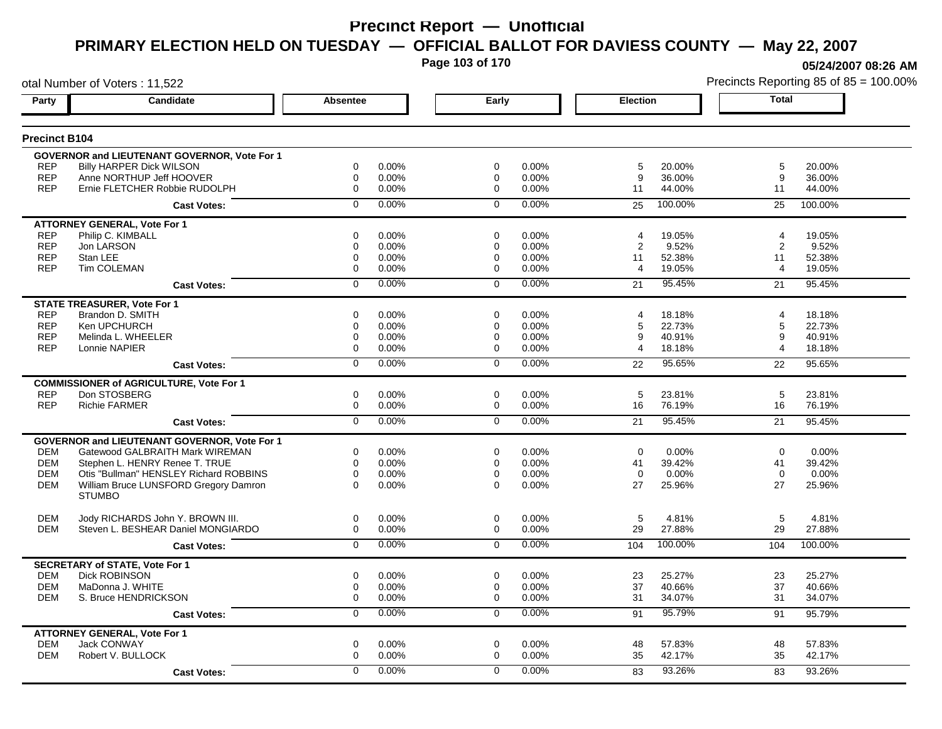**Page 103 of 170**

otal Number of Voters : 11,522

**05/24/2007 08:26 AM**

| <b>Precinct B104</b>                                                                                                           |                          |
|--------------------------------------------------------------------------------------------------------------------------------|--------------------------|
|                                                                                                                                |                          |
| GOVERNOR and LIEUTENANT GOVERNOR, Vote For 1                                                                                   |                          |
| <b>Billy HARPER Dick WILSON</b><br>0<br>0.00%<br>$\Omega$<br>0.00%<br><b>REP</b><br>5<br>20.00%                                | 5<br>20.00%              |
| <b>REP</b><br>Anne NORTHUP Jeff HOOVER<br>0.00%<br>9<br>36.00%<br>0<br>0.00%<br>$\mathbf 0$                                    | 9<br>36.00%              |
| <b>REP</b><br>Ernie FLETCHER Robbie RUDOLPH<br>0.00%<br>0.00%<br>44.00%<br>0<br>0<br>11                                        | 44.00%<br>11             |
| $0.00\%$<br>0.00%<br>100.00%<br>$\Omega$<br>$\Omega$<br>25<br><b>Cast Votes:</b>                                               | 25<br>100.00%            |
| <b>ATTORNEY GENERAL, Vote For 1</b>                                                                                            |                          |
| <b>REP</b><br>Philip C. KIMBALL<br>0<br>0.00%<br>$\mathbf 0$<br>0.00%<br>19.05%<br>4                                           | 19.05%<br>4              |
| <b>REP</b><br>9.52%<br>Jon LARSON<br>$\mathbf 0$<br>0.00%<br>0.00%<br>$\overline{2}$<br>$\Omega$                               | 9.52%<br>2               |
| <b>REP</b><br>Stan LEE<br>0.00%<br>0.00%<br>11<br>52.38%<br>0<br>0                                                             | 11<br>52.38%             |
| <b>REP</b><br>Tim COLEMAN<br>0<br>0.00%<br>0.00%<br>19.05%<br>0<br>4                                                           | 19.05%<br>$\overline{4}$ |
| 0.00%<br>0.00%<br>95.45%<br>$\mathbf 0$<br>$\Omega$<br>21<br><b>Cast Votes:</b>                                                | 95.45%<br>21             |
| <b>STATE TREASURER, Vote For 1</b>                                                                                             |                          |
| <b>REP</b><br>Brandon D. SMITH<br>0.00%<br>0.00%<br>18.18%<br>0<br>$\Omega$<br>4                                               | 4<br>18.18%              |
| <b>REP</b><br>Ken UPCHURCH<br>$\mathbf 0$<br>0.00%<br>0.00%<br>5<br>22.73%<br>$\mathbf 0$                                      | 5<br>22.73%              |
| <b>REP</b><br>Melinda L. WHEELER<br>0.00%<br>0.00%<br>9<br>40.91%<br>0<br>0                                                    | 40.91%<br>9              |
| <b>REP</b><br>0<br>0.00%<br>0.00%<br>18.18%<br>Lonnie NAPIER<br>0<br>4                                                         | 18.18%<br>4              |
| 0.00%<br>0.00%<br>95.65%<br>$\overline{0}$<br>$\overline{0}$<br>22<br><b>Cast Votes:</b>                                       | 95.65%<br>22             |
| <b>COMMISSIONER of AGRICULTURE, Vote For 1</b>                                                                                 |                          |
| <b>REP</b><br>Don STOSBERG<br>0<br>0.00%<br>$\mathbf 0$<br>0.00%<br>5<br>23.81%                                                | 5<br>23.81%              |
| <b>REP</b><br>0.00%<br>0.00%<br>76.19%<br><b>Richie FARMER</b><br>0<br>$\mathbf{0}$<br>16                                      | 16<br>76.19%             |
| 0.00%<br>0.00%<br>95.45%<br>0<br>$\mathbf 0$<br>21<br><b>Cast Votes:</b>                                                       | 95.45%<br>21             |
| GOVERNOR and LIEUTENANT GOVERNOR, Vote For 1                                                                                   |                          |
| Gatewood GALBRAITH Mark WIREMAN<br>$\mathbf 0$<br>0.00%<br>$\mathbf 0$<br>0.00%<br>0.00%<br><b>DEM</b><br>$\Omega$             | 0.00%<br>$\Omega$        |
| <b>DEM</b><br>Stephen L. HENRY Renee T. TRUE<br>0<br>0.00%<br>0<br>0.00%<br>41<br>39.42%                                       | 41<br>39.42%             |
| <b>DEM</b><br>Otis "Bullman" HENSLEY Richard ROBBINS<br>$\Omega$<br>0.00%<br>$\Omega$<br>0.00%<br>$\Omega$<br>0.00%            | $\Omega$<br>0.00%        |
| William Bruce LUNSFORD Gregory Damron<br>0.00%<br>0.00%<br>27<br><b>DEM</b><br>$\Omega$<br>$\Omega$<br>25.96%<br><b>STUMBO</b> | 25.96%<br>27             |
| <b>DEM</b><br>Jody RICHARDS John Y. BROWN III.<br>0<br>0.00%<br>0<br>0.00%<br>5<br>4.81%                                       | 5<br>4.81%               |
| Steven L. BESHEAR Daniel MONGIARDO<br>29<br>27.88%<br>DEM<br>0<br>0.00%<br>$\Omega$<br>$0.00\%$                                | 29<br>27.88%             |
| 0.00%<br>0.00%<br>100.00%<br>$\Omega$<br>$\Omega$<br>104<br><b>Cast Votes:</b>                                                 | 100.00%<br>104           |
| <b>SECRETARY of STATE, Vote For 1</b>                                                                                          |                          |
| Dick ROBINSON<br>0.00%<br>$\mathbf 0$<br>$0.00\%$<br>23<br>25.27%<br>DEM<br>0                                                  | 23<br>25.27%             |
| 37<br><b>DEM</b><br>MaDonna J. WHITE<br>0<br>0.00%<br>0.00%<br>40.66%<br>0                                                     | 37<br>40.66%             |
| 0.00%<br>0.00%<br>34.07%<br><b>DEM</b><br>S. Bruce HENDRICKSON<br>0<br>$\mathbf 0$<br>31                                       | 34.07%<br>31             |
| $\overline{0}$<br>0.00%<br>0.00%<br>95.79%<br>$\Omega$<br>91<br><b>Cast Votes:</b>                                             | 91<br>95.79%             |
| <b>ATTORNEY GENERAL, Vote For 1</b>                                                                                            |                          |
| <b>DEM</b><br>Jack CONWAY<br>0.00%<br>0<br>0<br>0.00%<br>48<br>57.83%                                                          | 48<br>57.83%             |
| <b>DEM</b><br>Robert V. BULLOCK<br>$\mathbf 0$<br>0.00%<br>0.00%<br>35<br>42.17%<br>$\Omega$                                   | 35<br>42.17%             |
| 0.00%<br>0<br>$\mathbf 0$<br>0.00%<br>93.26%<br>83<br><b>Cast Votes:</b>                                                       | 83<br>93.26%             |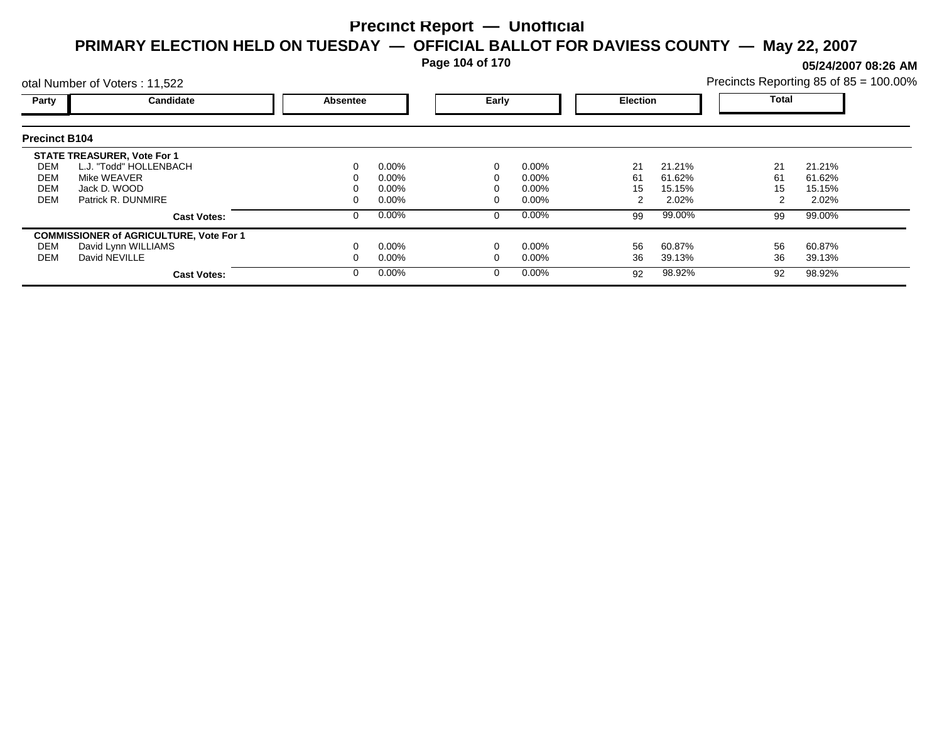**Page 104 of 170**

**05/24/2007 08:26 AM**

| Precincts Reporting 85 of 85 = 100.00% |  |  |
|----------------------------------------|--|--|
|                                        |  |  |

|                      | otal Number of Voters: 11,522                  |                 |          |       |          |                 |        |       | Precincts Reporting 85 of 85 = 100.00% |  |  |
|----------------------|------------------------------------------------|-----------------|----------|-------|----------|-----------------|--------|-------|----------------------------------------|--|--|
| Party                | Candidate                                      | <b>Absentee</b> |          | Early |          | <b>Election</b> |        | Total |                                        |  |  |
| <b>Precinct B104</b> |                                                |                 |          |       |          |                 |        |       |                                        |  |  |
|                      | <b>STATE TREASURER, Vote For 1</b>             |                 |          |       |          |                 |        |       |                                        |  |  |
| DEM                  | L.J. "Todd" HOLLENBACH                         | 0               | $0.00\%$ |       | $0.00\%$ | 21              | 21.21% | 21    | 21.21%                                 |  |  |
| DEM                  | Mike WEAVER                                    |                 | $0.00\%$ |       | 0.00%    | 61              | 61.62% | 61    | 61.62%                                 |  |  |
| <b>DEM</b>           | Jack D. WOOD                                   |                 | $0.00\%$ |       | 0.00%    | 15              | 15.15% | 15    | 15.15%                                 |  |  |
| <b>DEM</b>           | Patrick R. DUNMIRE                             |                 | $0.00\%$ |       | $0.00\%$ |                 | 2.02%  |       | 2.02%                                  |  |  |
|                      | <b>Cast Votes:</b>                             | 0               | $0.00\%$ | 0     | $0.00\%$ | 99              | 99.00% | 99    | 99.00%                                 |  |  |
|                      | <b>COMMISSIONER of AGRICULTURE, Vote For 1</b> |                 |          |       |          |                 |        |       |                                        |  |  |
| DEM                  | David Lynn WILLIAMS                            |                 | $0.00\%$ |       | $0.00\%$ | 56              | 60.87% | 56    | 60.87%                                 |  |  |
| DEM                  | David NEVILLE                                  |                 | $0.00\%$ | 0     | 0.00%    | 36              | 39.13% | 36    | 39.13%                                 |  |  |
|                      | <b>Cast Votes:</b>                             |                 | $0.00\%$ | 0     | $0.00\%$ | 92              | 98.92% | 92    | 98.92%                                 |  |  |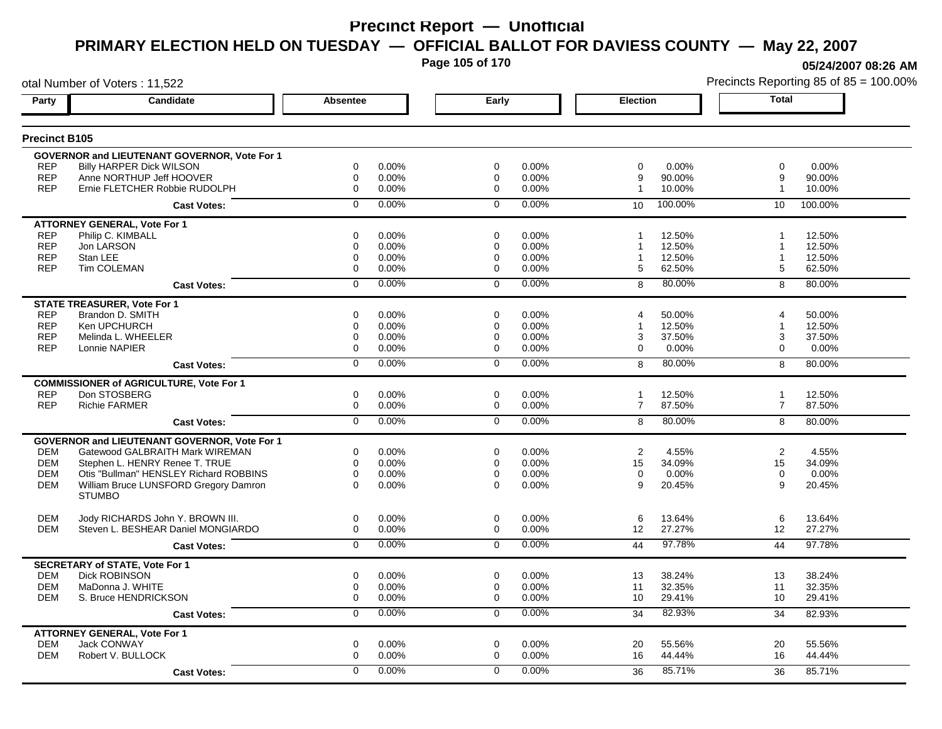**Page 105 of 170**

**05/24/2007 08:26 AM**

|                      | otal Number of Voters: 11,522                                 |                 |       |                |       |                 |         | Precincts Reporting 85 of 85 = 100.00% |         |  |
|----------------------|---------------------------------------------------------------|-----------------|-------|----------------|-------|-----------------|---------|----------------------------------------|---------|--|
| Party                | <b>Candidate</b>                                              | <b>Absentee</b> |       | Early          |       | <b>Election</b> |         | <b>Total</b>                           |         |  |
| <b>Precinct B105</b> |                                                               |                 |       |                |       |                 |         |                                        |         |  |
|                      | GOVERNOR and LIEUTENANT GOVERNOR, Vote For 1                  |                 |       |                |       |                 |         |                                        |         |  |
| <b>REP</b>           | <b>Billy HARPER Dick WILSON</b>                               | $\mathbf 0$     | 0.00% | $\mathbf 0$    | 0.00% | $\mathbf 0$     | 0.00%   | $\mathbf 0$                            | 0.00%   |  |
| <b>REP</b>           | Anne NORTHUP Jeff HOOVER                                      | $\mathbf 0$     | 0.00% | $\mathbf 0$    | 0.00% | 9               | 90.00%  | 9                                      | 90.00%  |  |
| <b>REP</b>           | Ernie FLETCHER Robbie RUDOLPH                                 | $\mathbf 0$     | 0.00% | $\Omega$       | 0.00% | $\overline{1}$  | 10.00%  | -1                                     | 10.00%  |  |
|                      | <b>Cast Votes:</b>                                            | $\Omega$        | 0.00% | $\Omega$       | 0.00% | 10              | 100.00% | 10                                     | 100.00% |  |
|                      | <b>ATTORNEY GENERAL, Vote For 1</b>                           |                 |       |                |       |                 |         |                                        |         |  |
| <b>REP</b>           | Philip C. KIMBALL                                             | 0               | 0.00% | 0              | 0.00% |                 | 12.50%  | -1                                     | 12.50%  |  |
| <b>REP</b>           | Jon LARSON                                                    | 0               | 0.00% | 0              | 0.00% |                 | 12.50%  | $\overline{\mathbf{1}}$                | 12.50%  |  |
| <b>REP</b>           | Stan LEE                                                      | $\mathbf 0$     | 0.00% | 0              | 0.00% | -1              | 12.50%  | -1                                     | 12.50%  |  |
| <b>REP</b>           | Tim COLEMAN                                                   | 0               | 0.00% | 0              | 0.00% | 5               | 62.50%  | 5                                      | 62.50%  |  |
|                      | <b>Cast Votes:</b>                                            | 0               | 0.00% | $\mathbf 0$    | 0.00% | 8               | 80.00%  | 8                                      | 80.00%  |  |
|                      | <b>STATE TREASURER, Vote For 1</b>                            |                 |       |                |       |                 |         |                                        |         |  |
| <b>REP</b>           | Brandon D. SMITH                                              | $\mathbf 0$     | 0.00% | $\Omega$       | 0.00% | 4               | 50.00%  | 4                                      | 50.00%  |  |
| <b>REP</b>           | Ken UPCHURCH                                                  | $\mathbf 0$     | 0.00% | $\mathbf 0$    | 0.00% | $\mathbf{1}$    | 12.50%  | $\overline{1}$                         | 12.50%  |  |
| <b>REP</b>           | Melinda L. WHEELER                                            | 0               | 0.00% | 0              | 0.00% | 3               | 37.50%  | 3                                      | 37.50%  |  |
| <b>REP</b>           | Lonnie NAPIER                                                 | $\mathbf 0$     | 0.00% | $\mathbf 0$    | 0.00% | $\mathbf 0$     | 0.00%   | $\Omega$                               | 0.00%   |  |
|                      | <b>Cast Votes:</b>                                            | $\overline{0}$  | 0.00% | $\overline{0}$ | 0.00% | 8               | 80.00%  | 8                                      | 80.00%  |  |
|                      | <b>COMMISSIONER of AGRICULTURE, Vote For 1</b>                |                 |       |                |       |                 |         |                                        |         |  |
| <b>REP</b>           | Don STOSBERG                                                  | 0               | 0.00% | 0              | 0.00% | $\mathbf{1}$    | 12.50%  | $\overline{1}$                         | 12.50%  |  |
| <b>REP</b>           | <b>Richie FARMER</b>                                          | $\pmb{0}$       | 0.00% | $\mathbf 0$    | 0.00% | $\overline{7}$  | 87.50%  | $\overline{7}$                         | 87.50%  |  |
|                      | <b>Cast Votes:</b>                                            | $\mathbf 0$     | 0.00% | $\mathbf 0$    | 0.00% | 8               | 80.00%  | 8                                      | 80.00%  |  |
|                      | <b>GOVERNOR and LIEUTENANT GOVERNOR, Vote For 1</b>           |                 |       |                |       |                 |         |                                        |         |  |
| <b>DEM</b>           | Gatewood GALBRAITH Mark WIREMAN                               | $\mathbf 0$     | 0.00% | $\mathbf 0$    | 0.00% | 2               | 4.55%   | 2                                      | 4.55%   |  |
| <b>DEM</b>           | Stephen L. HENRY Renee T. TRUE                                | $\mathbf 0$     | 0.00% | 0              | 0.00% | 15              | 34.09%  | 15                                     | 34.09%  |  |
| <b>DEM</b>           | Otis "Bullman" HENSLEY Richard ROBBINS                        | 0               | 0.00% | 0              | 0.00% | $\mathbf 0$     | 0.00%   | $\Omega$                               | 0.00%   |  |
| <b>DEM</b>           | William Bruce LUNSFORD Gregory Damron                         | $\Omega$        | 0.00% | $\Omega$       | 0.00% | 9               | 20.45%  | 9                                      | 20.45%  |  |
|                      | <b>STUMBO</b>                                                 |                 |       |                |       |                 |         |                                        |         |  |
| <b>DEM</b>           | Jody RICHARDS John Y. BROWN III.                              | 0               | 0.00% | 0              | 0.00% | 6               | 13.64%  | 6                                      | 13.64%  |  |
| <b>DEM</b>           | Steven L. BESHEAR Daniel MONGIARDO                            | 0               | 0.00% | 0              | 0.00% | 12              | 27.27%  | 12                                     | 27.27%  |  |
|                      | <b>Cast Votes:</b>                                            | $\Omega$        | 0.00% | $\mathbf 0$    | 0.00% | 44              | 97.78%  | 44                                     | 97.78%  |  |
|                      |                                                               |                 |       |                |       |                 |         |                                        |         |  |
| <b>DEM</b>           | <b>SECRETARY of STATE, Vote For 1</b><br><b>Dick ROBINSON</b> | $\mathbf 0$     | 0.00% | $\mathbf 0$    | 0.00% | 13              | 38.24%  | 13                                     | 38.24%  |  |
| <b>DEM</b>           | MaDonna J. WHITE                                              | 0               | 0.00% | $\mathbf 0$    | 0.00% | 11              | 32.35%  | 11                                     | 32.35%  |  |
| <b>DEM</b>           | S. Bruce HENDRICKSON                                          | $\mathbf 0$     | 0.00% | $\mathbf 0$    | 0.00% | 10              | 29.41%  | 10                                     | 29.41%  |  |
|                      | <b>Cast Votes:</b>                                            | $\overline{0}$  | 0.00% | $\mathbf 0$    | 0.00% | 34              | 82.93%  | 34                                     | 82.93%  |  |
|                      |                                                               |                 |       |                |       |                 |         |                                        |         |  |
| <b>DEM</b>           | <b>ATTORNEY GENERAL, Vote For 1</b><br><b>Jack CONWAY</b>     | 0               | 0.00% | 0              | 0.00% | 20              | 55.56%  | 20                                     | 55.56%  |  |
| <b>DEM</b>           | Robert V. BULLOCK                                             | $\mathbf 0$     | 0.00% | $\Omega$       | 0.00% | 16              | 44.44%  | 16                                     | 44.44%  |  |
|                      |                                                               |                 |       |                |       |                 |         |                                        |         |  |
|                      | <b>Cast Votes:</b>                                            | $\Omega$        | 0.00% | $\Omega$       | 0.00% | 36              | 85.71%  | 36                                     | 85.71%  |  |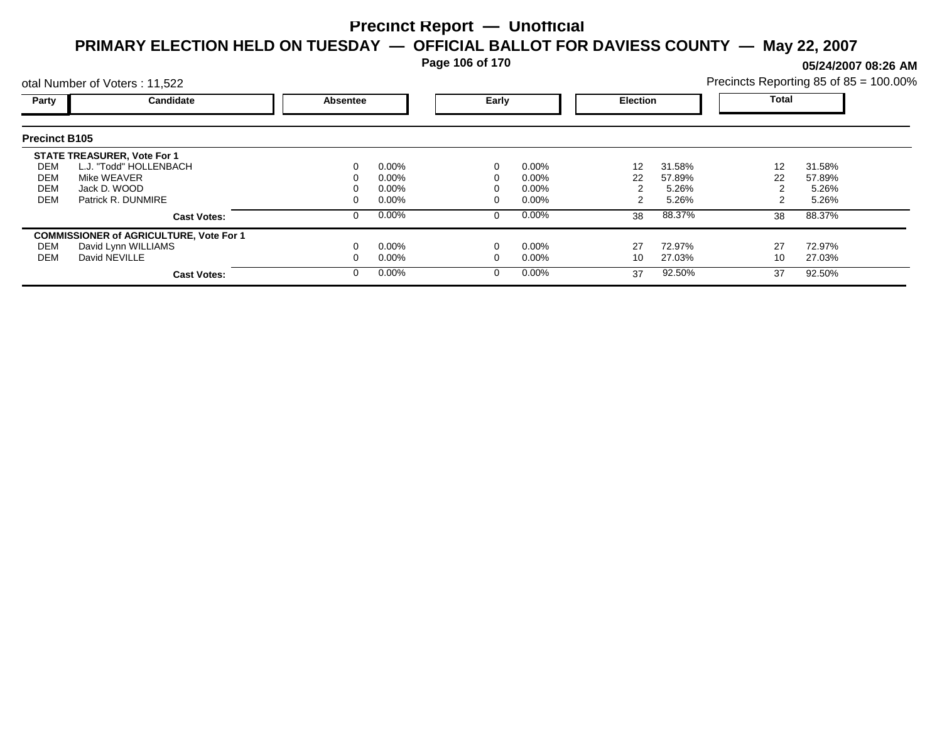**Page 106 of 170**

**05/24/2007 08:26 AM**

| otal Number of Voters: 11,522 |                                                |                 |          |  |                          |    |        | Precincts Reporting 85 of 85 = 100.00% |        |  |
|-------------------------------|------------------------------------------------|-----------------|----------|--|--------------------------|----|--------|----------------------------------------|--------|--|
| Party                         | Candidate                                      | <b>Absentee</b> |          |  | Early<br><b>Election</b> |    |        | Total                                  |        |  |
| <b>Precinct B105</b>          |                                                |                 |          |  |                          |    |        |                                        |        |  |
|                               | <b>STATE TREASURER, Vote For 1</b>             |                 |          |  |                          |    |        |                                        |        |  |
| DEM                           | L.J. "Todd" HOLLENBACH                         | 0               | 0.00%    |  | $0.00\%$                 | 12 | 31.58% | 12                                     | 31.58% |  |
| DEM                           | Mike WEAVER                                    |                 | $0.00\%$ |  | $0.00\%$                 | 22 | 57.89% | 22                                     | 57.89% |  |
| DEM                           | Jack D. WOOD                                   |                 | $0.00\%$ |  | $0.00\%$                 |    | 5.26%  |                                        | 5.26%  |  |
| <b>DEM</b>                    | Patrick R. DUNMIRE                             | 0               | $0.00\%$ |  | $0.00\%$                 |    | 5.26%  |                                        | 5.26%  |  |
|                               | <b>Cast Votes:</b>                             | 0               | 0.00%    |  | $0.00\%$                 | 38 | 88.37% | 38                                     | 88.37% |  |
|                               | <b>COMMISSIONER of AGRICULTURE, Vote For 1</b> |                 |          |  |                          |    |        |                                        |        |  |
| DEM                           | David Lynn WILLIAMS                            |                 | $0.00\%$ |  | $0.00\%$                 | 27 | 72.97% | 27                                     | 72.97% |  |
| DEM                           | David NEVILLE                                  | 0               | $0.00\%$ |  | $0.00\%$                 | 10 | 27.03% | 10                                     | 27.03% |  |
|                               | <b>Cast Votes:</b>                             | $\Omega$        | 0.00%    |  | $0.00\%$                 | 37 | 92.50% | 37                                     | 92.50% |  |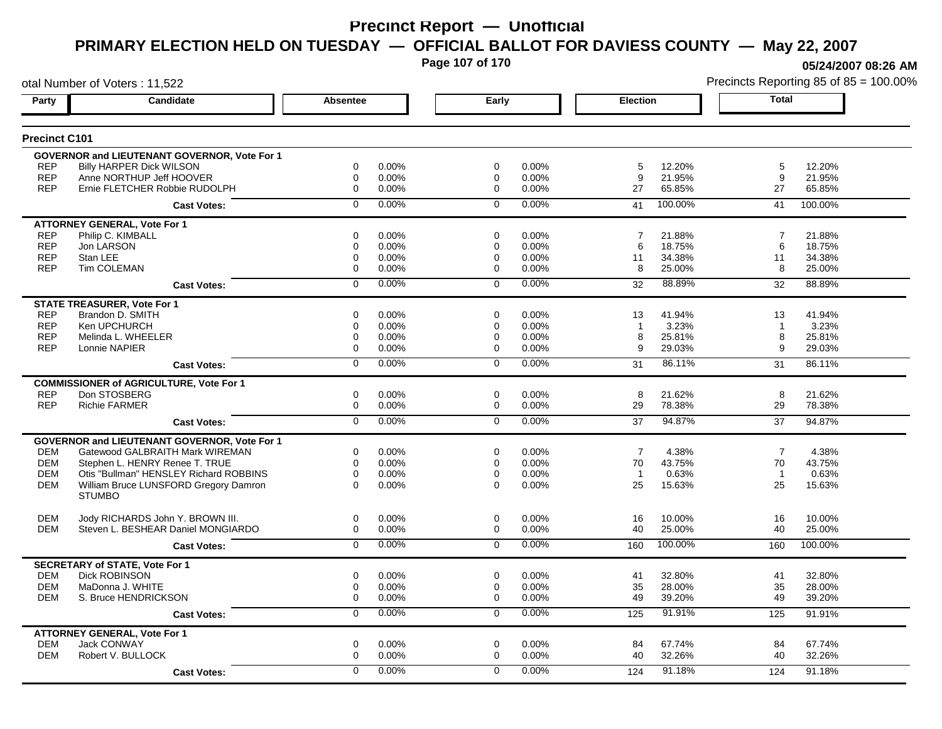**Page 107 of 170**

**05/24/2007 08:26 AM**

|                      | otal Number of Voters: 11,522                  |                |       |                |       |                 | Precincts Reporting 85 of 85 = 100.009 |                |         |
|----------------------|------------------------------------------------|----------------|-------|----------------|-------|-----------------|----------------------------------------|----------------|---------|
| Candidate<br>Party   |                                                | Absentee       |       | Early          |       | <b>Election</b> |                                        | <b>Total</b>   |         |
| <b>Precinct C101</b> |                                                |                |       |                |       |                 |                                        |                |         |
|                      | GOVERNOR and LIEUTENANT GOVERNOR, Vote For 1   |                |       |                |       |                 |                                        |                |         |
| <b>REP</b>           | <b>Billy HARPER Dick WILSON</b>                | 0              | 0.00% | 0              | 0.00% | 5               | 12.20%                                 | 5              | 12.20%  |
| <b>REP</b>           | Anne NORTHUP Jeff HOOVER                       | $\mathbf 0$    | 0.00% | 0              | 0.00% | 9               | 21.95%                                 | 9              | 21.95%  |
| <b>REP</b>           | Ernie FLETCHER Robbie RUDOLPH                  | $\mathbf 0$    | 0.00% | $\mathbf 0$    | 0.00% | 27              | 65.85%                                 | 27             | 65.85%  |
|                      | <b>Cast Votes:</b>                             | $\mathbf 0$    | 0.00% | $\mathbf 0$    | 0.00% | 41              | 100.00%                                | 41             | 100.00% |
|                      | <b>ATTORNEY GENERAL, Vote For 1</b>            |                |       |                |       |                 |                                        |                |         |
| <b>REP</b>           | Philip C. KIMBALL                              | $\mathbf 0$    | 0.00% | $\mathbf 0$    | 0.00% | $\overline{7}$  | 21.88%                                 | 7              | 21.88%  |
| <b>REP</b>           | Jon LARSON                                     | 0              | 0.00% | $\mathbf 0$    | 0.00% | 6               | 18.75%                                 | 6              | 18.75%  |
| <b>REP</b>           | Stan LEE                                       | $\mathbf 0$    | 0.00% | $\mathbf 0$    | 0.00% | 11              | 34.38%                                 | 11             | 34.38%  |
| <b>REP</b>           | <b>Tim COLEMAN</b>                             | $\mathbf 0$    | 0.00% | $\mathbf 0$    | 0.00% | 8               | 25.00%                                 | 8              | 25.00%  |
|                      | <b>Cast Votes:</b>                             | $\mathbf 0$    | 0.00% | $\mathbf 0$    | 0.00% | 32              | 88.89%                                 | 32             | 88.89%  |
|                      | <b>STATE TREASURER, Vote For 1</b>             |                |       |                |       |                 |                                        |                |         |
| <b>REP</b>           | Brandon D. SMITH                               | $\mathbf 0$    | 0.00% | $\mathbf 0$    | 0.00% | 13              | 41.94%                                 | 13             | 41.94%  |
| <b>REP</b>           | Ken UPCHURCH                                   | $\mathbf 0$    | 0.00% | $\mathbf 0$    | 0.00% | $\mathbf{1}$    | 3.23%                                  | $\overline{1}$ | 3.23%   |
| <b>REP</b>           | Melinda L. WHEELER                             | $\mathbf 0$    | 0.00% | $\mathbf 0$    | 0.00% | 8               | 25.81%                                 | 8              | 25.81%  |
| <b>REP</b>           | Lonnie NAPIER                                  | $\Omega$       | 0.00% | $\mathbf 0$    | 0.00% | 9               | 29.03%                                 | 9              | 29.03%  |
|                      | <b>Cast Votes:</b>                             | $\overline{0}$ | 0.00% | $\overline{0}$ | 0.00% | 31              | 86.11%                                 | 31             | 86.11%  |
|                      | <b>COMMISSIONER of AGRICULTURE, Vote For 1</b> |                |       |                |       |                 |                                        |                |         |
| <b>REP</b>           | Don STOSBERG                                   | 0              | 0.00% | $\mathbf 0$    | 0.00% | 8               | 21.62%                                 | 8              | 21.62%  |
| <b>REP</b>           | <b>Richie FARMER</b>                           | 0              | 0.00% | $\mathbf 0$    | 0.00% | 29              | 78.38%                                 | 29             | 78.38%  |
|                      | <b>Cast Votes:</b>                             | $\overline{0}$ | 0.00% | $\overline{0}$ | 0.00% | 37              | 94.87%                                 | 37             | 94.87%  |
|                      | GOVERNOR and LIEUTENANT GOVERNOR, Vote For 1   |                |       |                |       |                 |                                        |                |         |
| DEM                  | Gatewood GALBRAITH Mark WIREMAN                | 0              | 0.00% | 0              | 0.00% | 7               | 4.38%                                  | $\overline{7}$ | 4.38%   |
| <b>DEM</b>           | Stephen L. HENRY Renee T. TRUE                 | $\mathbf 0$    | 0.00% | $\mathbf 0$    | 0.00% | 70              | 43.75%                                 | 70             | 43.75%  |
| <b>DEM</b>           | Otis "Bullman" HENSLEY Richard ROBBINS         | 0              | 0.00% | $\mathbf 0$    | 0.00% | $\overline{1}$  | 0.63%                                  | $\overline{1}$ | 0.63%   |
| <b>DEM</b>           | William Bruce LUNSFORD Gregory Damron          | $\Omega$       | 0.00% | $\Omega$       | 0.00% | 25              | 15.63%                                 | 25             | 15.63%  |
|                      | <b>STUMBO</b>                                  |                |       |                |       |                 |                                        |                |         |
| <b>DEM</b>           | Jody RICHARDS John Y. BROWN III.               | 0              | 0.00% | $\mathbf 0$    | 0.00% | 16              | 10.00%                                 | 16             | 10.00%  |
| <b>DEM</b>           | Steven L. BESHEAR Daniel MONGIARDO             | 0              | 0.00% | 0              | 0.00% | 40              | 25.00%                                 | 40             | 25.00%  |
|                      | <b>Cast Votes:</b>                             | $\mathbf 0$    | 0.00% | $\mathbf 0$    | 0.00% | 160             | 100.00%                                | 160            | 100.00% |
|                      | <b>SECRETARY of STATE, Vote For 1</b>          |                |       |                |       |                 |                                        |                |         |
| <b>DEM</b>           | <b>Dick ROBINSON</b>                           | 0              | 0.00% | 0              | 0.00% | 41              | 32.80%                                 | 41             | 32.80%  |
| <b>DEM</b>           | MaDonna J. WHITE                               | 0              | 0.00% | 0              | 0.00% | 35              | 28.00%                                 | 35             | 28.00%  |
| DEM                  | S. Bruce HENDRICKSON                           | $\mathbf 0$    | 0.00% | 0              | 0.00% | 49              | 39.20%                                 | 49             | 39.20%  |
|                      | <b>Cast Votes:</b>                             | 0              | 0.00% | $\mathbf 0$    | 0.00% | 125             | 91.91%                                 | 125            | 91.91%  |
|                      | <b>ATTORNEY GENERAL, Vote For 1</b>            |                |       |                |       |                 |                                        |                |         |
| <b>DEM</b>           | <b>Jack CONWAY</b>                             | $\mathbf 0$    | 0.00% | $\mathbf 0$    | 0.00% | 84              | 67.74%                                 | 84             | 67.74%  |
| <b>DEM</b>           | Robert V. BULLOCK                              | $\mathbf 0$    | 0.00% | $\mathbf 0$    | 0.00% | 40              | 32.26%                                 | 40             | 32.26%  |
|                      | <b>Cast Votes:</b>                             | $\Omega$       | 0.00% | $\mathbf{0}$   | 0.00% | 124             | 91.18%                                 | 124            | 91.18%  |
|                      |                                                |                |       |                |       |                 |                                        |                |         |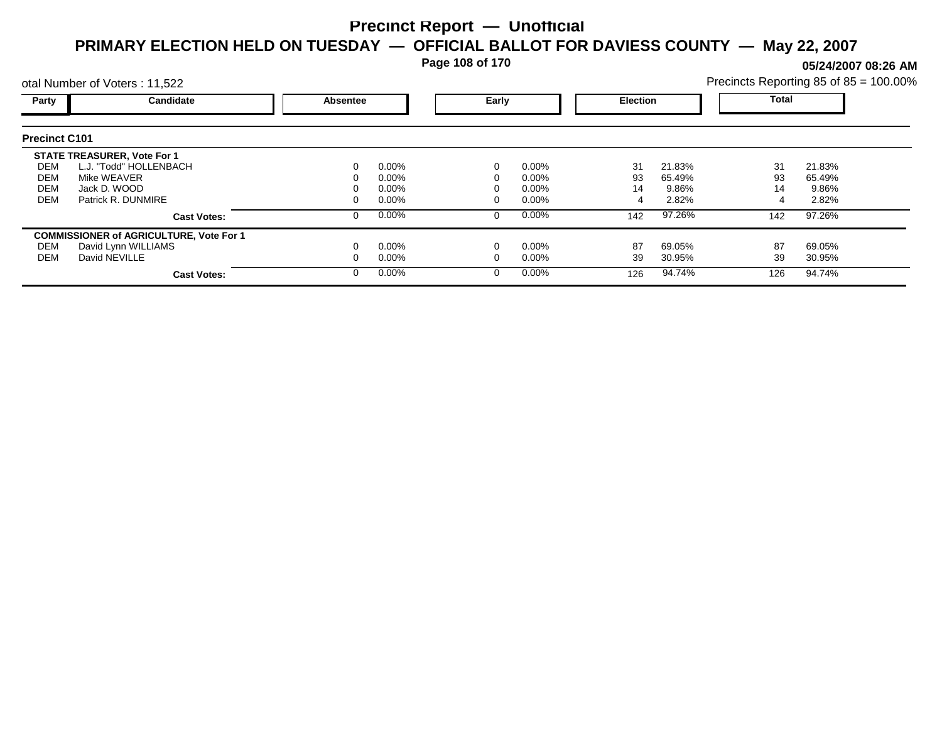**Page 108 of 170**

**05/24/2007 08:26 AM**

| otal Number of Voters: 11,522          |                                                                                                                   |          |                                              |       |                                              |                 | Precincts Reporting 85 of 85 = 100.00% |                 |                                    |
|----------------------------------------|-------------------------------------------------------------------------------------------------------------------|----------|----------------------------------------------|-------|----------------------------------------------|-----------------|----------------------------------------|-----------------|------------------------------------|
| Party                                  | Candidate                                                                                                         | Absentee |                                              | Early |                                              | <b>Election</b> |                                        | Total           |                                    |
| <b>Precinct C101</b>                   |                                                                                                                   |          |                                              |       |                                              |                 |                                        |                 |                                    |
| DEM<br><b>DEM</b><br><b>DEM</b><br>DEM | <b>STATE TREASURER, Vote For 1</b><br>L.J. "Todd" HOLLENBACH<br>Mike WEAVER<br>Jack D. WOOD<br>Patrick R. DUNMIRE |          | $0.00\%$<br>$0.00\%$<br>$0.00\%$<br>$0.00\%$ |       | $0.00\%$<br>$0.00\%$<br>$0.00\%$<br>$0.00\%$ | 31<br>93<br>14  | 21.83%<br>65.49%<br>9.86%<br>2.82%     | 31<br>93<br>14  | 21.83%<br>65.49%<br>9.86%<br>2.82% |
|                                        | <b>Cast Votes:</b>                                                                                                |          | 0.00%                                        |       | $0.00\%$                                     | 142             | 97.26%                                 | 142             | 97.26%                             |
| DEM<br><b>DEM</b>                      | <b>COMMISSIONER of AGRICULTURE, Vote For 1</b><br>David Lynn WILLIAMS<br>David NEVILLE<br><b>Cast Votes:</b>      |          | $0.00\%$<br>$0.00\%$<br>$0.00\%$             |       | $0.00\%$<br>$0.00\%$<br>$0.00\%$             | 87<br>39<br>126 | 69.05%<br>30.95%<br>94.74%             | 87<br>39<br>126 | 69.05%<br>30.95%<br>94.74%         |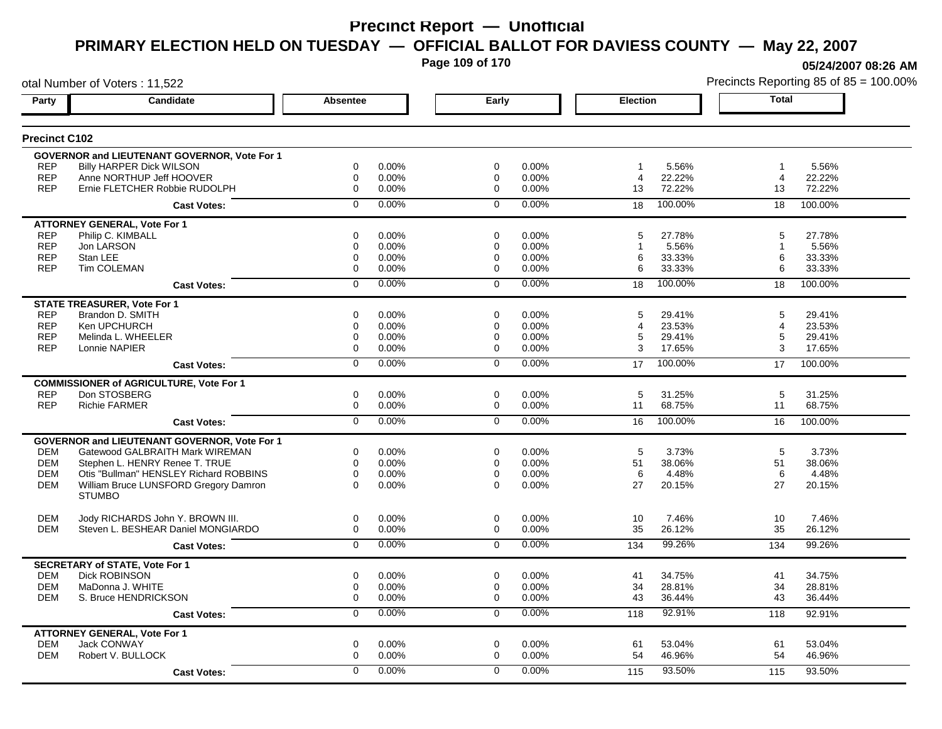**Page 109 of 170**

**05/24/2007 08:26 AM**

|                      | otal Number of Voters: 11,522                          |                 |          |                |       |                 |         |                | Precincts Reporting 85 of 85 = 100.00% |
|----------------------|--------------------------------------------------------|-----------------|----------|----------------|-------|-----------------|---------|----------------|----------------------------------------|
| Party                | Candidate                                              | <b>Absentee</b> |          | Early          |       | <b>Election</b> |         | <b>Total</b>   |                                        |
| <b>Precinct C102</b> |                                                        |                 |          |                |       |                 |         |                |                                        |
|                      | <b>GOVERNOR and LIEUTENANT GOVERNOR, Vote For 1</b>    |                 |          |                |       |                 |         |                |                                        |
| <b>REP</b>           | <b>Billy HARPER Dick WILSON</b>                        | 0               | $0.00\%$ | $\mathbf 0$    | 0.00% | -1              | 5.56%   | $\overline{1}$ | 5.56%                                  |
| <b>REP</b>           | Anne NORTHUP Jeff HOOVER                               | 0               | $0.00\%$ | $\mathbf 0$    | 0.00% | 4               | 22.22%  | $\overline{4}$ | 22.22%                                 |
| <b>REP</b>           | Ernie FLETCHER Robbie RUDOLPH                          | 0               | 0.00%    | $\mathbf 0$    | 0.00% | 13              | 72.22%  | 13             | 72.22%                                 |
|                      | <b>Cast Votes:</b>                                     | $\Omega$        | $0.00\%$ | $\Omega$       | 0.00% | 18              | 100.00% | 18             | 100.00%                                |
|                      | <b>ATTORNEY GENERAL, Vote For 1</b>                    |                 |          |                |       |                 |         |                |                                        |
| <b>REP</b>           | Philip C. KIMBALL                                      | 0               | 0.00%    | 0              | 0.00% | 5               | 27.78%  | 5              | 27.78%                                 |
| <b>REP</b>           | Jon LARSON                                             | 0               | 0.00%    | $\mathbf 0$    | 0.00% |                 | 5.56%   | $\mathbf 1$    | 5.56%                                  |
| <b>REP</b>           | Stan LEE                                               | 0               | 0.00%    | 0              | 0.00% | 6               | 33.33%  | 6              | 33.33%                                 |
| <b>REP</b>           | <b>Tim COLEMAN</b>                                     | 0               | $0.00\%$ | $\mathbf 0$    | 0.00% | 6               | 33.33%  | 6              | 33.33%                                 |
|                      | <b>Cast Votes:</b>                                     | 0               | 0.00%    | $\Omega$       | 0.00% | 18              | 100.00% | 18             | 100.00%                                |
|                      | <b>STATE TREASURER, Vote For 1</b>                     |                 |          |                |       |                 |         |                |                                        |
| <b>REP</b>           | Brandon D. SMITH                                       | $\Omega$        | 0.00%    | $\Omega$       | 0.00% | 5               | 29.41%  | 5              | 29.41%                                 |
| <b>REP</b>           | Ken UPCHURCH                                           | 0               | 0.00%    | 0              | 0.00% | 4               | 23.53%  | 4              | 23.53%                                 |
| <b>REP</b>           | Melinda L. WHEELER                                     | 0               | 0.00%    | 0              | 0.00% | 5               | 29.41%  | 5              | 29.41%                                 |
| <b>REP</b>           | Lonnie NAPIER                                          | 0               | 0.00%    | 0              | 0.00% | 3               | 17.65%  | 3              | 17.65%                                 |
|                      | <b>Cast Votes:</b>                                     | 0               | 0.00%    | $\Omega$       | 0.00% | 17              | 100.00% | 17             | 100.00%                                |
|                      | <b>COMMISSIONER of AGRICULTURE, Vote For 1</b>         |                 |          |                |       |                 |         |                |                                        |
| <b>REP</b>           | Don STOSBERG                                           | 0               | 0.00%    | $\mathbf 0$    | 0.00% | 5               | 31.25%  | 5              | 31.25%                                 |
| <b>REP</b>           | <b>Richie FARMER</b>                                   | 0               | $0.00\%$ | $\mathbf 0$    | 0.00% | 11              | 68.75%  | 11             | 68.75%                                 |
|                      | <b>Cast Votes:</b>                                     | $\overline{0}$  | 0.00%    | $\overline{0}$ | 0.00% | 16              | 100.00% | 16             | 100.00%                                |
|                      | <b>GOVERNOR and LIEUTENANT GOVERNOR, Vote For 1</b>    |                 |          |                |       |                 |         |                |                                        |
| <b>DEM</b>           | Gatewood GALBRAITH Mark WIREMAN                        | 0               | 0.00%    | 0              | 0.00% | 5               | 3.73%   | 5              | 3.73%                                  |
| <b>DEM</b>           | Stephen L. HENRY Renee T. TRUE                         | 0               | 0.00%    | 0              | 0.00% | 51              | 38.06%  | 51             | 38.06%                                 |
| <b>DEM</b>           | Otis "Bullman" HENSLEY Richard ROBBINS                 | $\Omega$        | 0.00%    | $\mathbf 0$    | 0.00% | 6               | 4.48%   | 6              | 4.48%                                  |
| <b>DEM</b>           | William Bruce LUNSFORD Gregory Damron<br><b>STUMBO</b> | $\Omega$        | $0.00\%$ | $\Omega$       | 0.00% | 27              | 20.15%  | 27             | 20.15%                                 |
|                      |                                                        |                 |          |                |       |                 |         |                |                                        |
| <b>DEM</b>           | Jody RICHARDS John Y. BROWN III.                       | 0               | 0.00%    | $\mathbf 0$    | 0.00% | 10              | 7.46%   | 10             | 7.46%                                  |
| <b>DEM</b>           | Steven L. BESHEAR Daniel MONGIARDO                     | 0               | $0.00\%$ | $\mathbf 0$    | 0.00% | 35              | 26.12%  | 35             | 26.12%                                 |
|                      | <b>Cast Votes:</b>                                     | $\mathbf 0$     | 0.00%    | $\mathbf 0$    | 0.00% | 134             | 99.26%  | 134            | 99.26%                                 |
|                      | <b>SECRETARY of STATE, Vote For 1</b>                  |                 |          |                |       |                 |         |                |                                        |
| <b>DEM</b>           | Dick ROBINSON                                          | 0               | 0.00%    | 0              | 0.00% | 41              | 34.75%  | 41             | 34.75%                                 |
| <b>DEM</b>           | MaDonna J. WHITE                                       | 0               | $0.00\%$ | 0              | 0.00% | 34              | 28.81%  | 34             | 28.81%                                 |
| <b>DEM</b>           | S. Bruce HENDRICKSON                                   | 0               | 0.00%    | 0              | 0.00% | 43              | 36.44%  | 43             | 36.44%                                 |
|                      | <b>Cast Votes:</b>                                     | 0               | 0.00%    | 0              | 0.00% | 118             | 92.91%  | 118            | 92.91%                                 |
|                      | <b>ATTORNEY GENERAL, Vote For 1</b>                    |                 |          |                |       |                 |         |                |                                        |
| <b>DEM</b>           | <b>Jack CONWAY</b>                                     | 0               | 0.00%    | $\mathbf 0$    | 0.00% | 61              | 53.04%  | 61             | 53.04%                                 |
| <b>DEM</b>           | Robert V. BULLOCK                                      | 0               | 0.00%    | $\Omega$       | 0.00% | 54              | 46.96%  | 54             | 46.96%                                 |
|                      | <b>Cast Votes:</b>                                     | 0               | $0.00\%$ | $\Omega$       | 0.00% | 115             | 93.50%  | 115            | 93.50%                                 |
|                      |                                                        |                 |          |                |       |                 |         |                |                                        |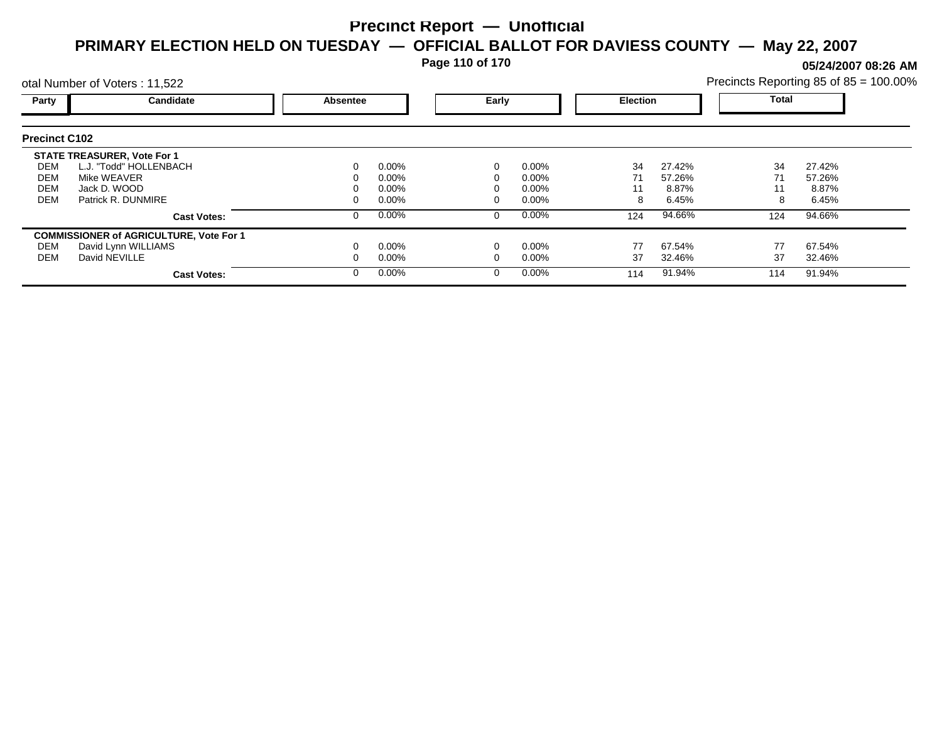**Page 110 of 170**

**05/24/2007 08:26 AM**

|                      | otal Number of Voters: 11,522                  |          |          |       |          |                 | Precincts Reporting 85 of 85 = 100.00% |              |        |  |
|----------------------|------------------------------------------------|----------|----------|-------|----------|-----------------|----------------------------------------|--------------|--------|--|
| Party                | Candidate                                      | Absentee |          | Early |          | <b>Election</b> |                                        | <b>Total</b> |        |  |
| <b>Precinct C102</b> |                                                |          |          |       |          |                 |                                        |              |        |  |
|                      | <b>STATE TREASURER, Vote For 1</b>             |          |          |       |          |                 |                                        |              |        |  |
| DEM                  | L.J. "Todd" HOLLENBACH                         |          | $0.00\%$ |       | $0.00\%$ | 34              | 27.42%                                 | 34           | 27.42% |  |
| DEM                  | Mike WEAVER                                    |          | 0.00%    |       | 0.00%    | 71              | 57.26%                                 | 71           | 57.26% |  |
| <b>DEM</b>           | Jack D. WOOD                                   |          | 0.00%    |       | 0.00%    | 11              | 8.87%                                  | 11           | 8.87%  |  |
| <b>DEM</b>           | Patrick R. DUNMIRE                             |          | $0.00\%$ |       | 0.00%    | 8               | 6.45%                                  | 8            | 6.45%  |  |
|                      | <b>Cast Votes:</b>                             |          | $0.00\%$ | 0     | $0.00\%$ | 124             | 94.66%                                 | 124          | 94.66% |  |
|                      | <b>COMMISSIONER of AGRICULTURE, Vote For 1</b> |          |          |       |          |                 |                                        |              |        |  |
| DEM                  | David Lynn WILLIAMS                            |          | $0.00\%$ |       | 0.00%    | 77              | 67.54%                                 | 77           | 67.54% |  |
| DEM                  | David NEVILLE                                  |          | $0.00\%$ |       | 0.00%    | 37              | 32.46%                                 | 37           | 32.46% |  |
|                      | <b>Cast Votes:</b>                             |          | $0.00\%$ | 0     | $0.00\%$ | 114             | 91.94%                                 | 114          | 91.94% |  |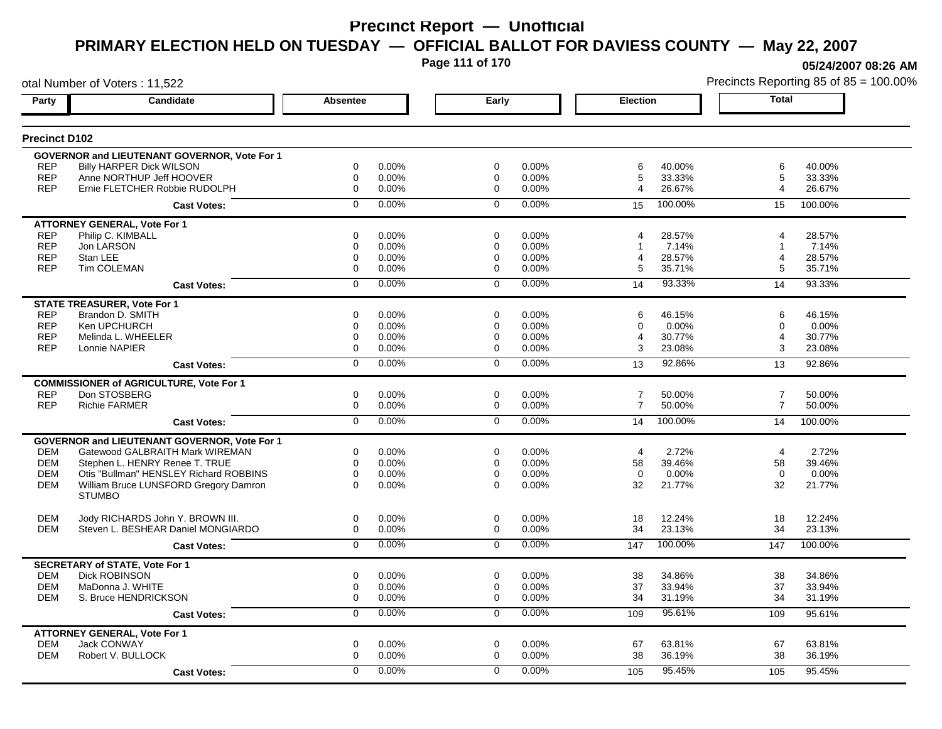**Page 111 of 170**

otal Number of Voters : 11,522

**05/24/2007 08:26 AM**

| Party                | <b>Candidate</b>                                       | <b>Absentee</b>         | Early          |       | <b>Election</b>          | Total                    |  |
|----------------------|--------------------------------------------------------|-------------------------|----------------|-------|--------------------------|--------------------------|--|
| <b>Precinct D102</b> |                                                        |                         |                |       |                          |                          |  |
|                      | <b>GOVERNOR and LIEUTENANT GOVERNOR, Vote For 1</b>    |                         |                |       |                          |                          |  |
| <b>REP</b>           | <b>Billy HARPER Dick WILSON</b>                        | $\Omega$<br>0.00%       | $\Omega$       | 0.00% | 40.00%<br>6              | 6<br>40.00%              |  |
| <b>REP</b>           | Anne NORTHUP Jeff HOOVER                               | 0<br>0.00%              | $\mathbf 0$    | 0.00% | 5<br>33.33%              | 5<br>33.33%              |  |
| <b>REP</b>           | Ernie FLETCHER Robbie RUDOLPH                          | $\Omega$<br>0.00%       | $\Omega$       | 0.00% | 26.67%<br>4              | 26.67%<br>4              |  |
|                      | <b>Cast Votes:</b>                                     | 0.00%<br>$\Omega$       | $\Omega$       | 0.00% | 100.00%<br>15            | 15<br>100.00%            |  |
|                      | <b>ATTORNEY GENERAL, Vote For 1</b>                    |                         |                |       |                          |                          |  |
| <b>REP</b>           | Philip C. KIMBALL                                      | 0<br>0.00%              | $\mathbf 0$    | 0.00% | 28.57%<br>4              | 28.57%<br>4              |  |
| <b>REP</b>           | Jon LARSON                                             | 0.00%<br>0              | $\mathbf 0$    | 0.00% | 7.14%                    | 7.14%<br>$\overline{1}$  |  |
| <b>REP</b>           | Stan LEE                                               | 0.00%<br>0              | $\mathbf 0$    | 0.00% | 28.57%<br>4              | 28.57%<br>4              |  |
| <b>REP</b>           | Tim COLEMAN                                            | 0<br>0.00%              | $\mathbf 0$    | 0.00% | 5<br>35.71%              | 5<br>35.71%              |  |
|                      | <b>Cast Votes:</b>                                     | 0.00%<br>$\Omega$       | $\Omega$       | 0.00% | 93.33%<br>14             | 93.33%<br>14             |  |
|                      | <b>STATE TREASURER, Vote For 1</b>                     |                         |                |       |                          |                          |  |
| <b>REP</b>           | Brandon D. SMITH                                       | 0<br>0.00%              | 0              | 0.00% | 6<br>46.15%              | 6<br>46.15%              |  |
| <b>REP</b>           | Ken UPCHURCH                                           | 0.00%<br>0              | $\mathbf 0$    | 0.00% | $\Omega$<br>0.00%        | 0.00%<br>$\mathbf 0$     |  |
| <b>REP</b>           | Melinda L. WHEELER                                     | 0<br>0.00%              | $\Omega$       | 0.00% | 30.77%<br>4              | 30.77%<br>4              |  |
| <b>REP</b>           | Lonnie NAPIER                                          | 0<br>0.00%              | $\mathbf 0$    | 0.00% | 3<br>23.08%              | 3<br>23.08%              |  |
|                      | <b>Cast Votes:</b>                                     | 0.00%<br>$\overline{0}$ | $\overline{0}$ | 0.00% | 92.86%<br>13             | 92.86%<br>13             |  |
|                      | <b>COMMISSIONER of AGRICULTURE, Vote For 1</b>         |                         |                |       |                          |                          |  |
| <b>REP</b>           | Don STOSBERG                                           | 0<br>0.00%              | $\mathbf 0$    | 0.00% | $\overline{7}$<br>50.00% | $\overline{7}$<br>50.00% |  |
| <b>REP</b>           | <b>Richie FARMER</b>                                   | $\mathbf 0$<br>0.00%    | $\mathbf 0$    | 0.00% | $\overline{7}$<br>50.00% | $\overline{7}$<br>50.00% |  |
|                      | <b>Cast Votes:</b>                                     | 0.00%<br>$\Omega$       | $\Omega$       | 0.00% | 100.00%<br>14            | 14<br>100.00%            |  |
|                      | <b>GOVERNOR and LIEUTENANT GOVERNOR, Vote For 1</b>    |                         |                |       |                          |                          |  |
| <b>DEM</b>           | Gatewood GALBRAITH Mark WIREMAN                        | 0<br>0.00%              | $\mathbf 0$    | 0.00% | 2.72%<br>4               | 2.72%<br>4               |  |
| <b>DEM</b>           | Stephen L. HENRY Renee T. TRUE                         | $\mathbf 0$<br>0.00%    | $\mathbf 0$    | 0.00% | 58<br>39.46%             | 58<br>39.46%             |  |
| <b>DEM</b>           | Otis "Bullman" HENSLEY Richard ROBBINS                 | $\Omega$<br>0.00%       | $\Omega$       | 0.00% | $\Omega$<br>0.00%        | $\Omega$<br>0.00%        |  |
| <b>DEM</b>           | William Bruce LUNSFORD Gregory Damron<br><b>STUMBO</b> | $\Omega$<br>0.00%       | $\Omega$       | 0.00% | 32<br>21.77%             | 32<br>21.77%             |  |
| <b>DEM</b>           | Jody RICHARDS John Y. BROWN III.                       | 0<br>0.00%              | $\mathbf 0$    | 0.00% | 18<br>12.24%             | 18<br>12.24%             |  |
| <b>DEM</b>           | Steven L. BESHEAR Daniel MONGIARDO                     | $\Omega$<br>0.00%       | $\Omega$       | 0.00% | 23.13%<br>34             | 23.13%<br>34             |  |
|                      | <b>Cast Votes:</b>                                     | 0.00%<br>$\Omega$       | $\mathbf 0$    | 0.00% | 100.00%<br>147           | 100.00%<br>147           |  |
|                      | <b>SECRETARY of STATE, Vote For 1</b>                  |                         |                |       |                          |                          |  |
| <b>DEM</b>           | <b>Dick ROBINSON</b>                                   | 0<br>0.00%              | $\mathbf 0$    | 0.00% | 38<br>34.86%             | 38<br>34.86%             |  |
| <b>DEM</b>           | MaDonna J. WHITE                                       | 0<br>0.00%              | $\mathbf 0$    | 0.00% | 37<br>33.94%             | 37<br>33.94%             |  |
| <b>DEM</b>           | S. Bruce HENDRICKSON                                   | 0<br>0.00%              | $\mathbf 0$    | 0.00% | 34<br>31.19%             | 34<br>31.19%             |  |
|                      | <b>Cast Votes:</b>                                     | $\overline{0}$<br>0.00% | $\overline{0}$ | 0.00% | 95.61%<br>109            | 109<br>95.61%            |  |
|                      | <b>ATTORNEY GENERAL, Vote For 1</b>                    |                         |                |       |                          |                          |  |
| <b>DEM</b>           | <b>Jack CONWAY</b>                                     | 0<br>0.00%              | $\mathbf 0$    | 0.00% | 67<br>63.81%             | 67<br>63.81%             |  |
| <b>DEM</b>           | Robert V. BULLOCK                                      | $\Omega$<br>0.00%       | $\Omega$       | 0.00% | 38<br>36.19%             | 38<br>36.19%             |  |
|                      | <b>Cast Votes:</b>                                     | 0.00%<br>0              | $\Omega$       | 0.00% | 95.45%<br>105            | 95.45%<br>105            |  |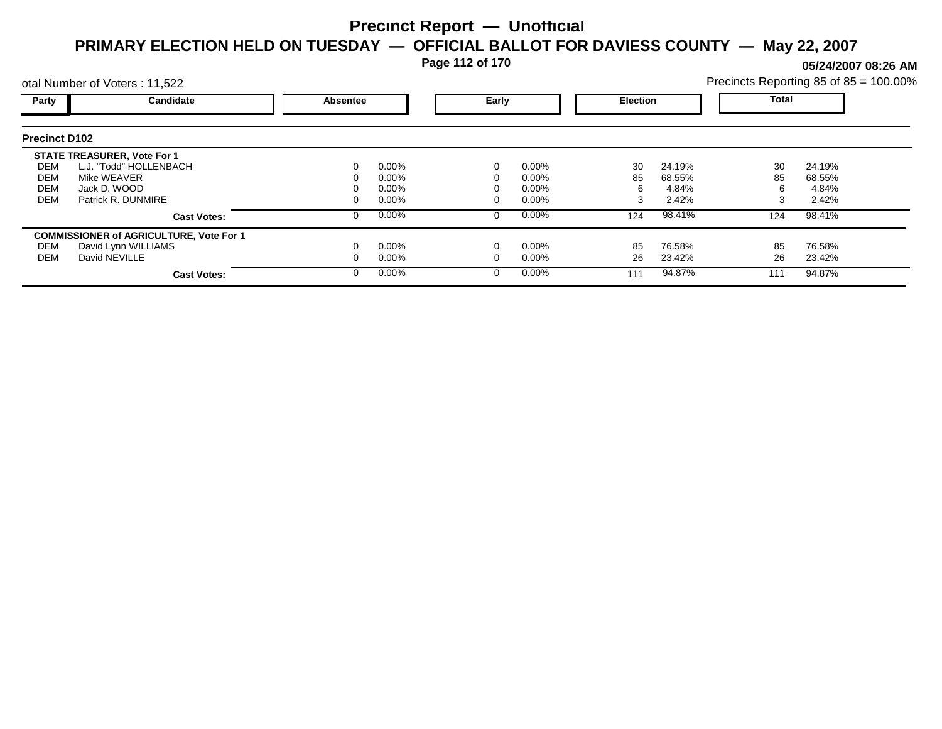**Page 112 of 170**

**05/24/2007 08:26 AM**

|                      | otal Number of Voters: 11,522                  |          |          |       |          |                 |        | Precincts Reporting 85 of 85 = 100.00% |        |  |
|----------------------|------------------------------------------------|----------|----------|-------|----------|-----------------|--------|----------------------------------------|--------|--|
| Party                | Candidate                                      | Absentee |          | Early |          | <b>Election</b> |        | <b>Total</b>                           |        |  |
| <b>Precinct D102</b> |                                                |          |          |       |          |                 |        |                                        |        |  |
|                      | <b>STATE TREASURER, Vote For 1</b>             |          |          |       |          |                 |        |                                        |        |  |
| DEM                  | L.J. "Todd" HOLLENBACH                         |          | $0.00\%$ |       | $0.00\%$ | 30              | 24.19% | 30                                     | 24.19% |  |
| DEM                  | Mike WEAVER                                    |          | 0.00%    |       | 0.00%    | 85              | 68.55% | 85                                     | 68.55% |  |
| <b>DEM</b>           | Jack D. WOOD                                   |          | 0.00%    |       | 0.00%    | 6               | 4.84%  | 6                                      | 4.84%  |  |
| <b>DEM</b>           | Patrick R. DUNMIRE                             |          | $0.00\%$ |       | 0.00%    | 3               | 2.42%  | 3                                      | 2.42%  |  |
|                      | <b>Cast Votes:</b>                             |          | $0.00\%$ | 0     | $0.00\%$ | 124             | 98.41% | 124                                    | 98.41% |  |
|                      | <b>COMMISSIONER of AGRICULTURE, Vote For 1</b> |          |          |       |          |                 |        |                                        |        |  |
| DEM                  | David Lynn WILLIAMS                            |          | $0.00\%$ |       | 0.00%    | 85              | 76.58% | 85                                     | 76.58% |  |
| DEM                  | David NEVILLE                                  |          | $0.00\%$ |       | 0.00%    | 26              | 23.42% | 26                                     | 23.42% |  |
|                      | <b>Cast Votes:</b>                             |          | $0.00\%$ | 0     | $0.00\%$ | 111             | 94.87% | 111                                    | 94.87% |  |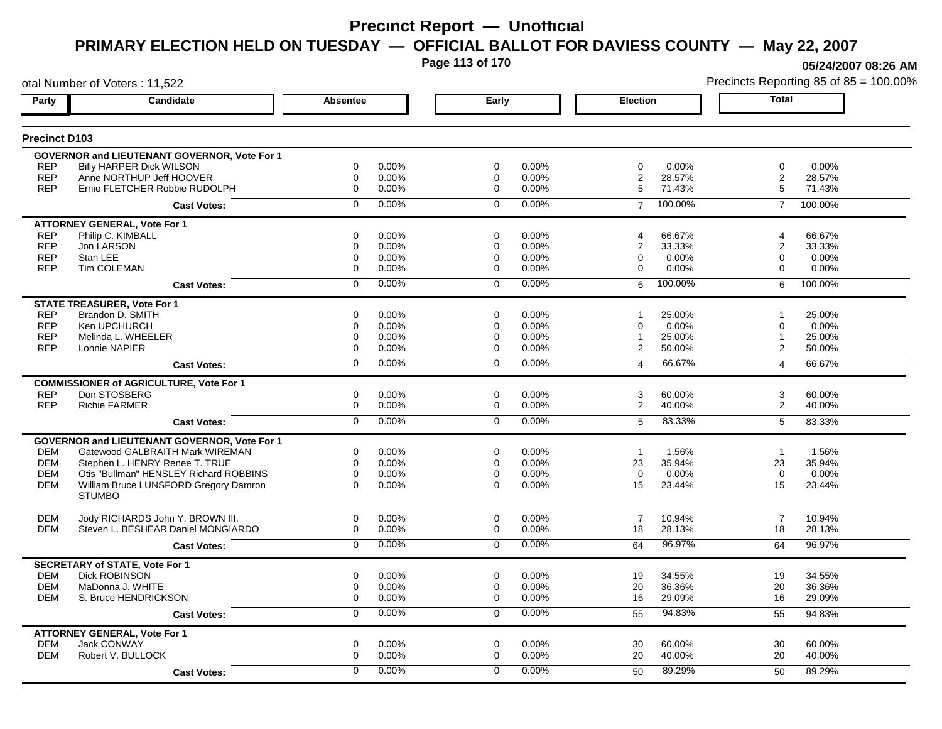**Page 113 of 170**

**05/24/2007 08:26 AM**

|                          | otal Number of Voters: 11,522                       |                  |                |                |                |                 |         |                         | Precincts Reporting 85 of 85 = 100.00% |
|--------------------------|-----------------------------------------------------|------------------|----------------|----------------|----------------|-----------------|---------|-------------------------|----------------------------------------|
| Party                    | Candidate                                           | <b>Absentee</b>  |                | Early          |                | <b>Election</b> |         | <b>Total</b>            |                                        |
| <b>Precinct D103</b>     |                                                     |                  |                |                |                |                 |         |                         |                                        |
|                          | <b>GOVERNOR and LIEUTENANT GOVERNOR, Vote For 1</b> |                  |                |                |                |                 |         |                         |                                        |
| <b>REP</b>               | <b>Billy HARPER Dick WILSON</b>                     | $\mathbf 0$      | 0.00%          | 0              | 0.00%          | $\mathbf 0$     | 0.00%   | $\mathbf 0$             | 0.00%                                  |
| <b>REP</b>               | Anne NORTHUP Jeff HOOVER                            | $\mathbf 0$      | 0.00%          | $\mathbf 0$    | 0.00%          | $\overline{2}$  | 28.57%  | $\overline{2}$          | 28.57%                                 |
| <b>REP</b>               | Ernie FLETCHER Robbie RUDOLPH                       | $\mathbf 0$      | 0.00%          | $\mathbf 0$    | 0.00%          | 5               | 71.43%  | 5                       | 71.43%                                 |
|                          | <b>Cast Votes:</b>                                  | $\Omega$         | 0.00%          | $\Omega$       | 0.00%          | $\overline{7}$  | 100.00% | $\overline{7}$          | 100.00%                                |
|                          | <b>ATTORNEY GENERAL, Vote For 1</b>                 |                  |                |                |                |                 |         |                         |                                        |
| <b>REP</b>               | Philip C. KIMBALL                                   | 0                | 0.00%          | 0              | 0.00%          | 4               | 66.67%  | 4                       | 66.67%                                 |
| <b>REP</b>               | Jon LARSON                                          | $\mathbf 0$      | 0.00%          | 0              | 0.00%          | $\overline{2}$  | 33.33%  | $\overline{\mathbf{c}}$ | 33.33%                                 |
| <b>REP</b><br><b>REP</b> | Stan LEE<br>Tim COLEMAN                             | $\mathbf 0$<br>0 | 0.00%<br>0.00% | 0<br>0         | 0.00%<br>0.00% | 0<br>0          | 0.00%   | 0<br>0                  | 0.00%                                  |
|                          |                                                     |                  |                |                |                |                 | 0.00%   |                         | 0.00%                                  |
|                          | <b>Cast Votes:</b>                                  | $\mathbf 0$      | 0.00%          | $\mathbf 0$    | 0.00%          | 6               | 100.00% | 6                       | 100.00%                                |
|                          | <b>STATE TREASURER, Vote For 1</b>                  |                  |                |                |                |                 |         |                         |                                        |
| <b>REP</b>               | Brandon D. SMITH                                    | 0                | 0.00%          | $\mathbf 0$    | 0.00%          |                 | 25.00%  | 1                       | 25.00%                                 |
| <b>REP</b>               | Ken UPCHURCH                                        | $\mathbf 0$      | 0.00%          | $\mathbf 0$    | 0.00%          | $\mathbf 0$     | 0.00%   | $\mathbf 0$             | 0.00%                                  |
| <b>REP</b>               | Melinda L. WHEELER                                  | $\mathbf 0$      | 0.00%          | 0              | 0.00%          | 1               | 25.00%  | 1                       | 25.00%                                 |
| <b>REP</b>               | Lonnie NAPIER                                       | $\mathbf 0$      | 0.00%          | $\mathbf 0$    | 0.00%          | $\overline{2}$  | 50.00%  | $\overline{2}$          | 50.00%                                 |
|                          | <b>Cast Votes:</b>                                  | $\overline{0}$   | 0.00%          | $\overline{0}$ | 0.00%          | $\overline{4}$  | 66.67%  | $\overline{4}$          | 66.67%                                 |
|                          | <b>COMMISSIONER of AGRICULTURE, Vote For 1</b>      |                  |                |                |                |                 |         |                         |                                        |
| <b>REP</b>               | Don STOSBERG                                        | 0                | 0.00%          | 0              | 0.00%          | 3               | 60.00%  | 3                       | 60.00%                                 |
| <b>REP</b>               | <b>Richie FARMER</b>                                | $\pmb{0}$        | 0.00%          | 0              | 0.00%          | $\overline{c}$  | 40.00%  | $\overline{a}$          | 40.00%                                 |
|                          | <b>Cast Votes:</b>                                  | $\mathbf 0$      | 0.00%          | $\mathbf 0$    | 0.00%          | 5               | 83.33%  | 5                       | 83.33%                                 |
|                          | <b>GOVERNOR and LIEUTENANT GOVERNOR, Vote For 1</b> |                  |                |                |                |                 |         |                         |                                        |
| <b>DEM</b>               | Gatewood GALBRAITH Mark WIREMAN                     | $\mathbf 0$      | 0.00%          | 0              | 0.00%          | $\overline{1}$  | 1.56%   | $\overline{1}$          | 1.56%                                  |
| <b>DEM</b>               | Stephen L. HENRY Renee T. TRUE                      | $\mathbf 0$      | 0.00%          | 0              | 0.00%          | 23              | 35.94%  | 23                      | 35.94%                                 |
| <b>DEM</b>               | Otis "Bullman" HENSLEY Richard ROBBINS              | $\mathbf 0$      | 0.00%          | $\mathbf 0$    | 0.00%          | $\mathbf 0$     | 0.00%   | $\mathbf 0$             | 0.00%                                  |
| <b>DEM</b>               | William Bruce LUNSFORD Gregory Damron               | $\Omega$         | 0.00%          | $\Omega$       | 0.00%          | 15              | 23.44%  | 15                      | 23.44%                                 |
|                          | <b>STUMBO</b>                                       |                  |                |                |                |                 |         |                         |                                        |
| <b>DEM</b>               | Jody RICHARDS John Y. BROWN III.                    | $\mathbf 0$      | 0.00%          | $\mathbf 0$    | 0.00%          | $\overline{7}$  | 10.94%  | $\overline{7}$          | 10.94%                                 |
| <b>DEM</b>               | Steven L. BESHEAR Daniel MONGIARDO                  | 0                | 0.00%          | 0              | 0.00%          | 18              | 28.13%  | 18                      | 28.13%                                 |
|                          | <b>Cast Votes:</b>                                  | $\mathbf 0$      | 0.00%          | $\mathbf 0$    | 0.00%          | 64              | 96.97%  | 64                      | 96.97%                                 |
|                          | <b>SECRETARY of STATE, Vote For 1</b>               |                  |                |                |                |                 |         |                         |                                        |
| <b>DEM</b>               | <b>Dick ROBINSON</b>                                | $\mathbf 0$      | 0.00%          | $\mathbf 0$    | 0.00%          | 19              | 34.55%  | 19                      | 34.55%                                 |
| <b>DEM</b>               | MaDonna J. WHITE                                    | $\mathbf 0$      | 0.00%          | $\mathbf 0$    | 0.00%          | 20              | 36.36%  | 20                      | 36.36%                                 |
| <b>DEM</b>               | S. Bruce HENDRICKSON                                | $\mathbf 0$      | 0.00%          | $\mathbf 0$    | 0.00%          | 16              | 29.09%  | 16                      | 29.09%                                 |
|                          | <b>Cast Votes:</b>                                  | $\overline{0}$   | 0.00%          | $\overline{0}$ | 0.00%          | 55              | 94.83%  | 55                      | 94.83%                                 |
|                          | <b>ATTORNEY GENERAL, Vote For 1</b>                 |                  |                |                |                |                 |         |                         |                                        |
| <b>DEM</b>               | Jack CONWAY                                         | 0                | 0.00%          | 0              | 0.00%          | 30              | 60.00%  | 30                      | 60.00%                                 |
| <b>DEM</b>               | Robert V. BULLOCK                                   | $\mathbf 0$      | 0.00%          | $\mathbf 0$    | 0.00%          | 20              | 40.00%  | 20                      | 40.00%                                 |
|                          | <b>Cast Votes:</b>                                  | $\Omega$         | 0.00%          | $\Omega$       | 0.00%          | 50              | 89.29%  | 50                      | 89.29%                                 |
|                          |                                                     |                  |                |                |                |                 |         |                         |                                        |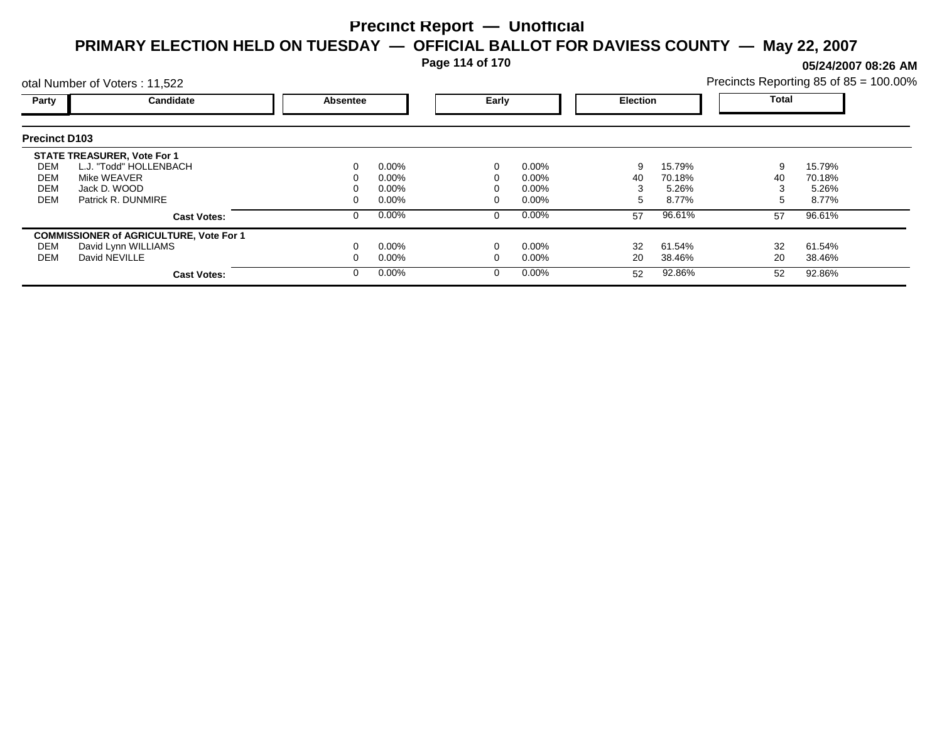**Page 114 of 170**

**05/24/2007 08:26 AM**

|                      | otal Number of Voters: 11,522                  |          |          |          |          |                 |        | Precincts Reporting 85 of 85 = 100.00% |        |  |
|----------------------|------------------------------------------------|----------|----------|----------|----------|-----------------|--------|----------------------------------------|--------|--|
| Party                | Candidate                                      | Absentee |          | Early    |          | <b>Election</b> |        | Total                                  |        |  |
| <b>Precinct D103</b> |                                                |          |          |          |          |                 |        |                                        |        |  |
|                      | <b>STATE TREASURER, Vote For 1</b>             |          |          |          |          |                 |        |                                        |        |  |
| DEM                  | L.J. "Todd" HOLLENBACH                         |          | $0.00\%$ | 0        | $0.00\%$ | 9               | 15.79% | 9                                      | 15.79% |  |
| DEM                  | Mike WEAVER                                    |          | 0.00%    |          | $0.00\%$ | 40              | 70.18% | 40                                     | 70.18% |  |
| <b>DEM</b>           | Jack D. WOOD                                   |          | 0.00%    |          | $0.00\%$ |                 | 5.26%  |                                        | 5.26%  |  |
| <b>DEM</b>           | Patrick R. DUNMIRE                             |          | 0.00%    |          | $0.00\%$ | ٠.              | 8.77%  | 5                                      | 8.77%  |  |
|                      | <b>Cast Votes:</b>                             |          | 0.00%    | 0        | $0.00\%$ | 57              | 96.61% | 57                                     | 96.61% |  |
|                      | <b>COMMISSIONER of AGRICULTURE, Vote For 1</b> |          |          |          |          |                 |        |                                        |        |  |
| DEM                  | David Lynn WILLIAMS                            |          | 0.00%    |          | $0.00\%$ | 32              | 61.54% | 32                                     | 61.54% |  |
| DEM                  | David NEVILLE                                  |          | $0.00\%$ |          | $0.00\%$ | 20              | 38.46% | 20                                     | 38.46% |  |
|                      | <b>Cast Votes:</b>                             |          | 0.00%    | $\Omega$ | $0.00\%$ | 52              | 92.86% | 52                                     | 92.86% |  |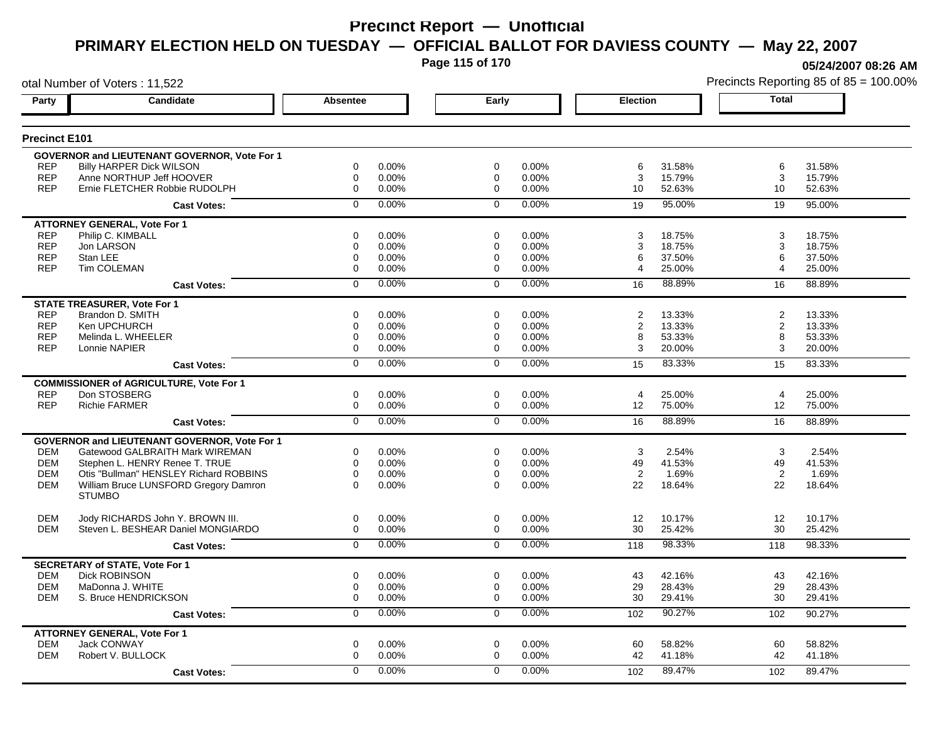**Page 115 of 170**

**05/24/2007 08:26 AM**

|                      | otal Number of Voters: 11,522                                 |                |       |                |       |                 |        |                | Precincts Reporting 85 of 85 = 100.009 |
|----------------------|---------------------------------------------------------------|----------------|-------|----------------|-------|-----------------|--------|----------------|----------------------------------------|
| Party                | Candidate                                                     | Absentee       |       | Early          |       | <b>Election</b> |        | <b>Total</b>   |                                        |
| <b>Precinct E101</b> |                                                               |                |       |                |       |                 |        |                |                                        |
|                      | GOVERNOR and LIEUTENANT GOVERNOR, Vote For 1                  |                |       |                |       |                 |        |                |                                        |
| <b>REP</b>           | <b>Billy HARPER Dick WILSON</b>                               | 0              | 0.00% | 0              | 0.00% | 6               | 31.58% | 6              | 31.58%                                 |
| <b>REP</b>           | Anne NORTHUP Jeff HOOVER                                      | $\mathbf 0$    | 0.00% | 0              | 0.00% | 3               | 15.79% | 3              | 15.79%                                 |
| <b>REP</b>           | Ernie FLETCHER Robbie RUDOLPH                                 | $\mathbf 0$    | 0.00% | $\Omega$       | 0.00% | 10              | 52.63% | 10             | 52.63%                                 |
|                      | <b>Cast Votes:</b>                                            | $\mathbf 0$    | 0.00% | $\mathbf 0$    | 0.00% | 19              | 95.00% | 19             | 95.00%                                 |
|                      | <b>ATTORNEY GENERAL, Vote For 1</b>                           |                |       |                |       |                 |        |                |                                        |
| <b>REP</b>           | Philip C. KIMBALL                                             | $\mathbf 0$    | 0.00% | $\mathbf 0$    | 0.00% | 3               | 18.75% | 3              | 18.75%                                 |
| <b>REP</b>           | Jon LARSON                                                    | 0              | 0.00% | $\mathbf 0$    | 0.00% | 3               | 18.75% | 3              | 18.75%                                 |
| <b>REP</b>           | Stan LEE                                                      | $\mathbf 0$    | 0.00% | 0              | 0.00% | 6               | 37.50% | 6              | 37.50%                                 |
| <b>REP</b>           | Tim COLEMAN                                                   | $\mathbf 0$    | 0.00% | $\mathbf 0$    | 0.00% | 4               | 25.00% | 4              | 25.00%                                 |
|                      | <b>Cast Votes:</b>                                            | $\mathbf 0$    | 0.00% | $\Omega$       | 0.00% | 16              | 88.89% | 16             | 88.89%                                 |
|                      | <b>STATE TREASURER, Vote For 1</b>                            |                |       |                |       |                 |        |                |                                        |
| <b>REP</b>           | Brandon D. SMITH                                              | 0              | 0.00% | 0              | 0.00% | 2               | 13.33% | $\overline{2}$ | 13.33%                                 |
| <b>REP</b>           | Ken UPCHURCH                                                  | 0              | 0.00% | 0              | 0.00% | 2               | 13.33% | $\overline{2}$ | 13.33%                                 |
| <b>REP</b>           | Melinda L. WHEELER                                            | 0              | 0.00% | 0              | 0.00% | 8               | 53.33% | 8              | 53.33%                                 |
| <b>REP</b>           | Lonnie NAPIER                                                 | $\mathbf 0$    | 0.00% | $\mathbf 0$    | 0.00% | 3               | 20.00% | 3              | 20.00%                                 |
|                      | <b>Cast Votes:</b>                                            | $\overline{0}$ | 0.00% | $\overline{0}$ | 0.00% | 15              | 83.33% | 15             | 83.33%                                 |
|                      | <b>COMMISSIONER of AGRICULTURE, Vote For 1</b>                |                |       |                |       |                 |        |                |                                        |
| <b>REP</b>           | Don STOSBERG                                                  | 0              | 0.00% | 0              | 0.00% | 4               | 25.00% | $\overline{4}$ | 25.00%                                 |
| <b>REP</b>           | <b>Richie FARMER</b>                                          | $\mathsf 0$    | 0.00% | 0              | 0.00% | 12              | 75.00% | 12             | 75.00%                                 |
|                      | <b>Cast Votes:</b>                                            | $\overline{0}$ | 0.00% | $\overline{0}$ | 0.00% | 16              | 88.89% | 16             | 88.89%                                 |
|                      | <b>GOVERNOR and LIEUTENANT GOVERNOR, Vote For 1</b>           |                |       |                |       |                 |        |                |                                        |
| <b>DEM</b>           | Gatewood GALBRAITH Mark WIREMAN                               | 0              | 0.00% | 0              | 0.00% | 3               | 2.54%  | 3              | 2.54%                                  |
| <b>DEM</b>           | Stephen L. HENRY Renee T. TRUE                                | $\mathbf 0$    | 0.00% | $\mathbf 0$    | 0.00% | 49              | 41.53% | 49             | 41.53%                                 |
| <b>DEM</b>           | Otis "Bullman" HENSLEY Richard ROBBINS                        | 0              | 0.00% | $\mathbf 0$    | 0.00% | 2               | 1.69%  | 2              | 1.69%                                  |
| <b>DEM</b>           | William Bruce LUNSFORD Gregory Damron                         | $\Omega$       | 0.00% | $\Omega$       | 0.00% | 22              | 18.64% | 22             | 18.64%                                 |
|                      | <b>STUMBO</b>                                                 |                |       |                |       |                 |        |                |                                        |
| <b>DEM</b>           | Jody RICHARDS John Y. BROWN III.                              | 0              | 0.00% | $\mathbf 0$    | 0.00% | 12              | 10.17% | 12             | 10.17%                                 |
| <b>DEM</b>           | Steven L. BESHEAR Daniel MONGIARDO                            | 0              | 0.00% | 0              | 0.00% | 30              | 25.42% | 30             | 25.42%                                 |
|                      | <b>Cast Votes:</b>                                            | $\overline{0}$ | 0.00% | $\mathbf 0$    | 0.00% | 118             | 98.33% | 118            | 98.33%                                 |
|                      |                                                               |                |       |                |       |                 |        |                |                                        |
| <b>DEM</b>           | <b>SECRETARY of STATE, Vote For 1</b><br><b>Dick ROBINSON</b> | 0              | 0.00% | $\mathbf 0$    | 0.00% | 43              | 42.16% | 43             | 42.16%                                 |
| <b>DEM</b>           | MaDonna J. WHITE                                              | 0              | 0.00% | 0              | 0.00% | 29              | 28.43% | 29             | 28.43%                                 |
| DEM                  | S. Bruce HENDRICKSON                                          | 0              | 0.00% | 0              | 0.00% | 30              | 29.41% | 30             | 29.41%                                 |
|                      | <b>Cast Votes:</b>                                            | 0              | 0.00% | $\mathbf 0$    | 0.00% | 102             | 90.27% | 102            | 90.27%                                 |
|                      | <b>ATTORNEY GENERAL, Vote For 1</b>                           |                |       |                |       |                 |        |                |                                        |
| <b>DEM</b>           | Jack CONWAY                                                   | $\mathbf 0$    | 0.00% | $\mathbf 0$    | 0.00% | 60              | 58.82% | 60             | 58.82%                                 |
| <b>DEM</b>           | Robert V. BULLOCK                                             | 0              | 0.00% | 0              | 0.00% | 42              | 41.18% | 42             | 41.18%                                 |
|                      | <b>Cast Votes:</b>                                            | 0              | 0.00% | $\mathbf 0$    | 0.00% | 102             | 89.47% | 102            | 89.47%                                 |
|                      |                                                               |                |       |                |       |                 |        |                |                                        |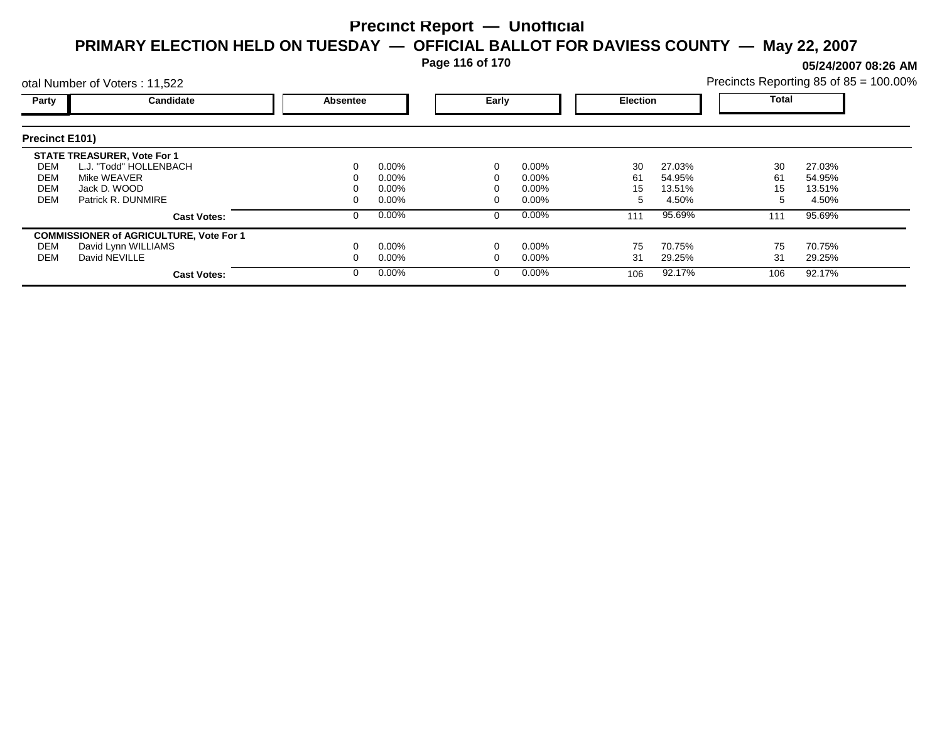**Page 116 of 170**

**05/24/2007 08:26 AM**

|                                        | otal Number of Voters: 11,522                                                                                     |          |                                              |       |                                              |                     |                                     |                      | Precincts Reporting 85 of 85 = 100.00% |
|----------------------------------------|-------------------------------------------------------------------------------------------------------------------|----------|----------------------------------------------|-------|----------------------------------------------|---------------------|-------------------------------------|----------------------|----------------------------------------|
| Party                                  | Candidate                                                                                                         | Absentee |                                              | Early |                                              | <b>Election</b>     |                                     | Total                |                                        |
| <b>Precinct E101)</b>                  |                                                                                                                   |          |                                              |       |                                              |                     |                                     |                      |                                        |
| DEM<br>DEM<br><b>DEM</b><br><b>DEM</b> | <b>STATE TREASURER, Vote For 1</b><br>L.J. "Todd" HOLLENBACH<br>Mike WEAVER<br>Jack D. WOOD<br>Patrick R. DUNMIRE |          | $0.00\%$<br>$0.00\%$<br>$0.00\%$<br>$0.00\%$ |       | $0.00\%$<br>$0.00\%$<br>$0.00\%$<br>$0.00\%$ | 30<br>61<br>15<br>5 | 27.03%<br>54.95%<br>13.51%<br>4.50% | 30<br>61<br>15<br>:5 | 27.03%<br>54.95%<br>13.51%<br>4.50%    |
|                                        | <b>Cast Votes:</b>                                                                                                |          | $0.00\%$                                     |       | $0.00\%$                                     | 111                 | 95.69%                              | 111                  | 95.69%                                 |
| DEM<br>DEM                             | <b>COMMISSIONER of AGRICULTURE, Vote For 1</b><br>David Lynn WILLIAMS<br>David NEVILLE<br><b>Cast Votes:</b>      |          | $0.00\%$<br>$0.00\%$<br>$0.00\%$             |       | $0.00\%$<br>$0.00\%$<br>$0.00\%$             | 75<br>31<br>106     | 70.75%<br>29.25%<br>92.17%          | 75<br>31<br>106      | 70.75%<br>29.25%<br>92.17%             |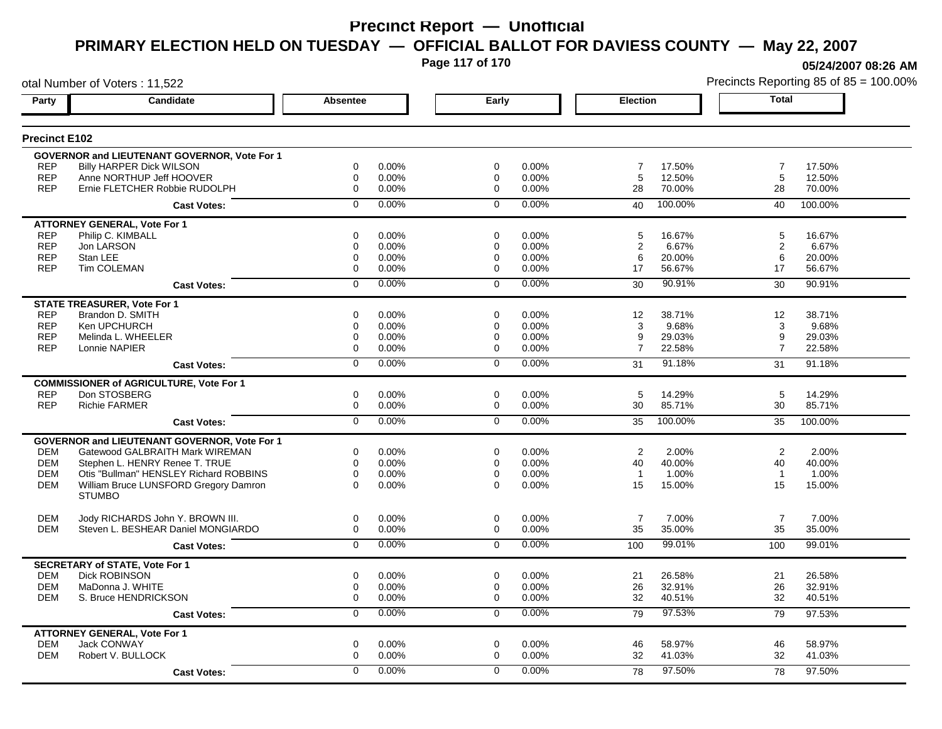**Page 117 of 170**

**05/24/2007 08:26 AM**

|                          | otal Number of Voters: 11,522                          |                            |                |                     |                |                     |                  |                | Precincts Reporting 85 of 85 = 100.009 |
|--------------------------|--------------------------------------------------------|----------------------------|----------------|---------------------|----------------|---------------------|------------------|----------------|----------------------------------------|
| Party                    | <b>Candidate</b>                                       | <b>Absentee</b>            |                | Early               |                | <b>Election</b>     |                  | <b>Total</b>   |                                        |
| <b>Precinct E102</b>     |                                                        |                            |                |                     |                |                     |                  |                |                                        |
|                          | <b>GOVERNOR and LIEUTENANT GOVERNOR, Vote For 1</b>    |                            |                |                     |                |                     |                  |                |                                        |
| <b>REP</b>               | <b>Billy HARPER Dick WILSON</b>                        | $\mathbf 0$                | 0.00%          | $\mathbf 0$         | 0.00%          | $\overline{7}$      | 17.50%           | $\overline{7}$ | 17.50%                                 |
| <b>REP</b>               | Anne NORTHUP Jeff HOOVER                               | $\mathbf 0$                | 0.00%          | $\mathbf 0$         | 0.00%          | 5                   | 12.50%           | 5              | 12.50%                                 |
| <b>REP</b>               | Ernie FLETCHER Robbie RUDOLPH                          | $\mathbf 0$                | 0.00%          | $\mathbf 0$         | 0.00%          | 28                  | 70.00%           | 28             | 70.00%                                 |
|                          | <b>Cast Votes:</b>                                     | $\Omega$                   | 0.00%          | $\Omega$            | 0.00%          | 40                  | 100.00%          | 40             | 100.00%                                |
|                          | <b>ATTORNEY GENERAL, Vote For 1</b>                    |                            |                |                     |                |                     |                  |                |                                        |
| <b>REP</b>               | Philip C. KIMBALL                                      | 0                          | 0.00%          | $\mathbf 0$         | 0.00%          | 5                   | 16.67%           | 5              | 16.67%                                 |
| <b>REP</b>               | Jon LARSON<br>Stan LEE                                 | 0<br>$\mathbf 0$           | 0.00%          | 0<br>$\mathbf 0$    | 0.00%          | $\overline{c}$<br>6 | 6.67%            | 2<br>6         | 6.67%                                  |
| <b>REP</b><br><b>REP</b> | Tim COLEMAN                                            | 0                          | 0.00%<br>0.00% | 0                   | 0.00%<br>0.00% | 17                  | 20.00%<br>56.67% | 17             | 20.00%<br>56.67%                       |
|                          |                                                        |                            |                |                     |                |                     |                  |                |                                        |
|                          | <b>Cast Votes:</b>                                     | $\mathbf 0$                | 0.00%          | $\mathbf 0$         | 0.00%          | 30                  | 90.91%           | 30             | 90.91%                                 |
|                          | <b>STATE TREASURER, Vote For 1</b>                     |                            |                |                     |                |                     |                  |                |                                        |
| <b>REP</b>               | Brandon D. SMITH                                       | $\mathbf 0$                | 0.00%          | $\mathbf 0$         | 0.00%          | 12                  | 38.71%           | 12             | 38.71%                                 |
| <b>REP</b><br><b>REP</b> | Ken UPCHURCH                                           | $\mathbf 0$<br>$\mathbf 0$ | 0.00%          | $\mathbf 0$         | 0.00%          | 3<br>9              | 9.68%            | 3<br>9         | 9.68%                                  |
| <b>REP</b>               | Melinda L. WHEELER<br>Lonnie NAPIER                    | $\mathbf 0$                | 0.00%<br>0.00% | 0<br>$\mathbf 0$    | 0.00%<br>0.00% | $\overline{7}$      | 29.03%<br>22.58% | $\overline{7}$ | 29.03%<br>22.58%                       |
|                          |                                                        |                            |                |                     |                |                     |                  |                |                                        |
|                          | <b>Cast Votes:</b>                                     | $\overline{0}$             | 0.00%          | $\overline{0}$      | 0.00%          | 31                  | 91.18%           | 31             | 91.18%                                 |
|                          | <b>COMMISSIONER of AGRICULTURE, Vote For 1</b>         |                            |                |                     |                |                     |                  |                |                                        |
| <b>REP</b>               | Don STOSBERG                                           | 0                          | 0.00%          | 0                   | 0.00%          | 5                   | 14.29%           | 5              | 14.29%                                 |
| <b>REP</b>               | <b>Richie FARMER</b>                                   | $\mathbf 0$                | 0.00%          | $\mathsf{O}\xspace$ | 0.00%          | 30                  | 85.71%           | 30             | 85.71%                                 |
|                          | <b>Cast Votes:</b>                                     | 0                          | 0.00%          | $\mathbf 0$         | 0.00%          | 35                  | 100.00%          | 35             | 100.00%                                |
|                          | <b>GOVERNOR and LIEUTENANT GOVERNOR, Vote For 1</b>    |                            |                |                     |                |                     |                  |                |                                        |
| <b>DEM</b>               | Gatewood GALBRAITH Mark WIREMAN                        | $\mathbf 0$                | 0.00%          | $\mathbf 0$         | 0.00%          | 2                   | 2.00%            | 2              | 2.00%                                  |
| <b>DEM</b>               | Stephen L. HENRY Renee T. TRUE                         | $\mathbf 0$                | 0.00%          | $\mathbf 0$         | 0.00%          | 40                  | 40.00%           | 40             | 40.00%                                 |
| <b>DEM</b>               | Otis "Bullman" HENSLEY Richard ROBBINS                 | 0                          | 0.00%          | $\mathbf 0$         | 0.00%          | $\overline{1}$      | 1.00%            | $\overline{1}$ | 1.00%                                  |
| <b>DEM</b>               | William Bruce LUNSFORD Gregory Damron<br><b>STUMBO</b> | $\Omega$                   | 0.00%          | $\Omega$            | 0.00%          | 15                  | 15.00%           | 15             | 15.00%                                 |
|                          |                                                        |                            |                |                     |                |                     |                  |                |                                        |
| <b>DEM</b>               | Jody RICHARDS John Y. BROWN III.                       | 0                          | 0.00%          | $\mathbf 0$         | 0.00%          | $\overline{7}$      | 7.00%            | $\overline{7}$ | 7.00%                                  |
| <b>DEM</b>               | Steven L. BESHEAR Daniel MONGIARDO                     | 0                          | 0.00%          | $\mathbf 0$         | 0.00%          | 35                  | 35.00%           | 35             | 35.00%                                 |
|                          | <b>Cast Votes:</b>                                     | $\mathbf 0$                | 0.00%          | $\mathbf 0$         | 0.00%          | 100                 | 99.01%           | 100            | 99.01%                                 |
|                          | <b>SECRETARY of STATE, Vote For 1</b>                  |                            |                |                     |                |                     |                  |                |                                        |
| <b>DEM</b>               | <b>Dick ROBINSON</b>                                   | $\mathbf 0$                | 0.00%          | $\mathbf 0$         | 0.00%          | 21                  | 26.58%           | 21             | 26.58%                                 |
| <b>DEM</b>               | MaDonna J. WHITE                                       | $\mathbf 0$                | 0.00%          | $\mathbf 0$         | 0.00%          | 26                  | 32.91%           | 26             | 32.91%                                 |
| <b>DEM</b>               | S. Bruce HENDRICKSON                                   | $\mathbf 0$                | 0.00%          | $\mathbf 0$         | 0.00%          | 32                  | 40.51%           | 32             | 40.51%                                 |
|                          | <b>Cast Votes:</b>                                     | $\overline{0}$             | 0.00%          | $\overline{0}$      | 0.00%          | 79                  | 97.53%           | 79             | 97.53%                                 |
|                          | <b>ATTORNEY GENERAL, Vote For 1</b>                    |                            |                |                     |                |                     |                  |                |                                        |
| <b>DEM</b>               | Jack CONWAY                                            | 0                          | 0.00%          | 0                   | 0.00%          | 46                  | 58.97%           | 46             | 58.97%                                 |
| <b>DEM</b>               | Robert V. BULLOCK                                      | $\mathbf 0$                | 0.00%          | $\mathbf 0$         | 0.00%          | 32                  | 41.03%           | 32             | 41.03%                                 |
|                          | <b>Cast Votes:</b>                                     | $\Omega$                   | 0.00%          | $\Omega$            | 0.00%          | 78                  | 97.50%           | 78             | 97.50%                                 |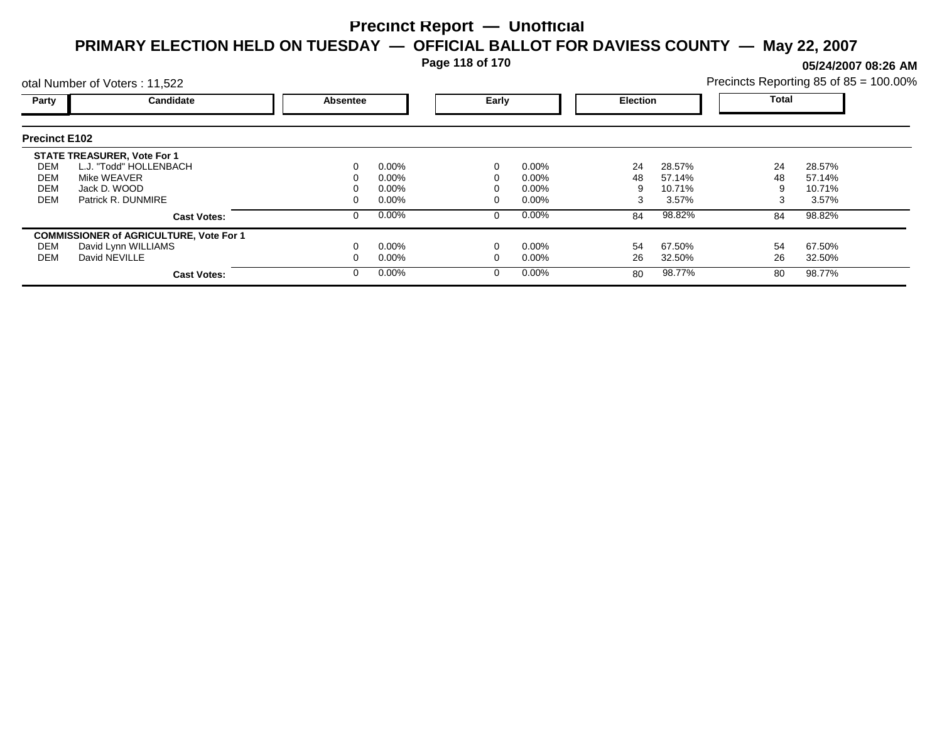**Page 118 of 170**

**05/24/2007 08:26 AM**

|                      | otal Number of Voters: 11,522                  |          |          |       |          |                 |        | Precincts Reporting 85 of 85 = 100.00% |        |  |
|----------------------|------------------------------------------------|----------|----------|-------|----------|-----------------|--------|----------------------------------------|--------|--|
| Party                | Candidate                                      | Absentee |          | Early |          | <b>Election</b> |        | Total                                  |        |  |
| <b>Precinct E102</b> |                                                |          |          |       |          |                 |        |                                        |        |  |
|                      | <b>STATE TREASURER, Vote For 1</b>             |          |          |       |          |                 |        |                                        |        |  |
| DEM                  | L.J. "Todd" HOLLENBACH                         |          | $0.00\%$ |       | $0.00\%$ | 24              | 28.57% | 24                                     | 28.57% |  |
| <b>DEM</b>           | Mike WEAVER                                    |          | $0.00\%$ |       | $0.00\%$ | 48              | 57.14% | 48                                     | 57.14% |  |
| <b>DEM</b>           | Jack D. WOOD                                   |          | $0.00\%$ |       | $0.00\%$ |                 | 10.71% |                                        | 10.71% |  |
| DEM                  | Patrick R. DUNMIRE                             |          | $0.00\%$ |       | $0.00\%$ |                 | 3.57%  |                                        | 3.57%  |  |
|                      | <b>Cast Votes:</b>                             |          | 0.00%    |       | $0.00\%$ | 84              | 98.82% | 84                                     | 98.82% |  |
|                      | <b>COMMISSIONER of AGRICULTURE, Vote For 1</b> |          |          |       |          |                 |        |                                        |        |  |
| DEM                  | David Lynn WILLIAMS                            |          | $0.00\%$ |       | 0.00%    | 54              | 67.50% | 54                                     | 67.50% |  |
| <b>DEM</b>           | David NEVILLE                                  |          | $0.00\%$ |       | $0.00\%$ | 26              | 32.50% | 26                                     | 32.50% |  |
|                      | <b>Cast Votes:</b>                             |          | $0.00\%$ |       | $0.00\%$ | 80              | 98.77% | 80                                     | 98.77% |  |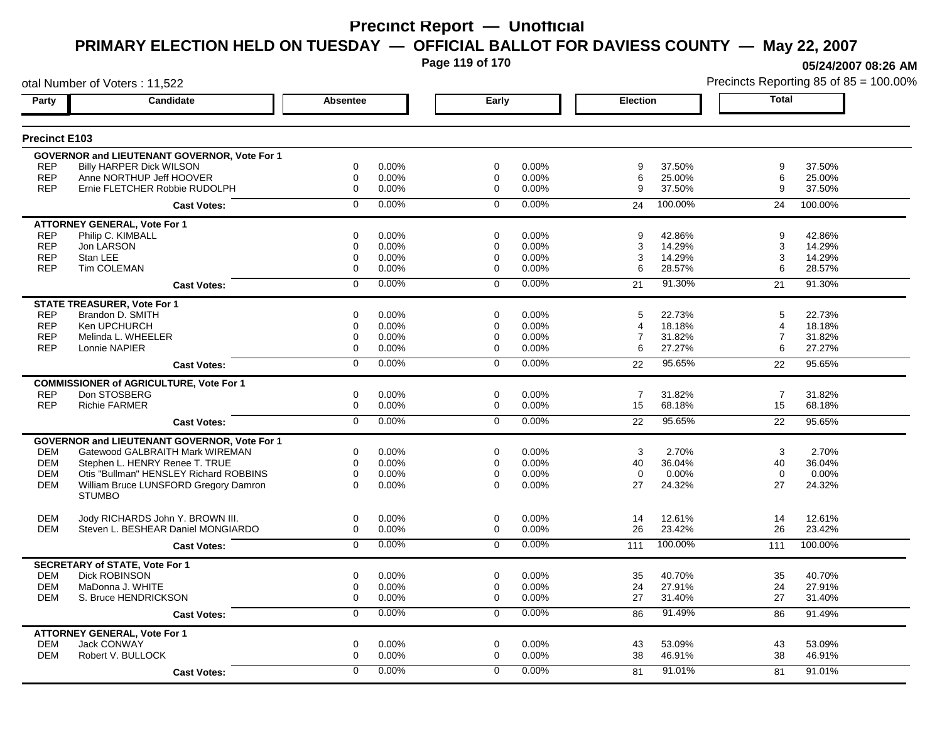**Page 119 of 170**

otal Number of Voters : 11,522

**05/24/2007 08:26 AM**

| Party                | Candidate                                                   | <b>Absentee</b>         | Early                      | <b>Election</b>              | <b>Total</b>                 |
|----------------------|-------------------------------------------------------------|-------------------------|----------------------------|------------------------------|------------------------------|
| <b>Precinct E103</b> |                                                             |                         |                            |                              |                              |
|                      |                                                             |                         |                            |                              |                              |
| <b>REP</b>           | GOVERNOR and LIEUTENANT GOVERNOR, Vote For 1                | $\Omega$<br>0.00%       | $\Omega$<br>0.00%          | 9                            | 9<br>37.50%                  |
| <b>REP</b>           | <b>Billy HARPER Dick WILSON</b><br>Anne NORTHUP Jeff HOOVER | 0<br>0.00%              | $\mathbf 0$<br>0.00%       | 37.50%<br>6<br>25.00%        | 6<br>25.00%                  |
| <b>REP</b>           | Ernie FLETCHER Robbie RUDOLPH                               | 0.00%<br>0              | 0.00%<br>$\Omega$          | 9<br>37.50%                  | 9<br>37.50%                  |
|                      |                                                             |                         |                            |                              |                              |
|                      | <b>Cast Votes:</b>                                          | 0.00%<br>$\Omega$       | $0.00\%$<br>$\Omega$       | 100.00%<br>24                | 24<br>100.00%                |
|                      | <b>ATTORNEY GENERAL, Vote For 1</b>                         |                         |                            |                              |                              |
| <b>REP</b>           | Philip C. KIMBALL                                           | 0.00%<br>0              | 0.00%<br>$\Omega$          | 42.86%<br>9                  | 9<br>42.86%                  |
| <b>REP</b>           | Jon LARSON                                                  | $\mathbf 0$<br>0.00%    | $\Omega$<br>0.00%          | 3<br>14.29%                  | 3<br>14.29%                  |
| <b>REP</b>           | Stan LEE                                                    | 0.00%<br>0              | 0.00%<br>0                 | 14.29%<br>3                  | 14.29%<br>3                  |
| <b>REP</b>           | <b>Tim COLEMAN</b>                                          | 0<br>0.00%              | $\Omega$<br>0.00%          | 6<br>28.57%                  | 6<br>28.57%                  |
|                      | <b>Cast Votes:</b>                                          | 0.00%<br>$\Omega$       | 0.00%<br>$\Omega$          | 91.30%<br>21                 | 91.30%<br>21                 |
|                      | <b>STATE TREASURER, Vote For 1</b>                          |                         |                            |                              |                              |
| <b>REP</b>           | Brandon D. SMITH                                            | 0.00%<br>0              | $\Omega$<br>0.00%          | 5<br>22.73%                  | 5<br>22.73%                  |
| <b>REP</b>           | Ken UPCHURCH                                                | 0.00%<br>0              | 0.00%<br>$\mathbf 0$       | 18.18%<br>4                  | 18.18%<br>$\overline{4}$     |
| <b>REP</b>           | Melinda L. WHEELER                                          | 0.00%<br>0              | 0.00%<br>0                 | 31.82%<br>7                  | $\overline{7}$<br>31.82%     |
| <b>REP</b>           | Lonnie NAPIER                                               | $\mathbf 0$<br>0.00%    | $\mathbf 0$<br>0.00%       | 6<br>27.27%                  | 6<br>27.27%                  |
|                      | <b>Cast Votes:</b>                                          | 0.00%<br>$\overline{0}$ | 0.00%<br>$\Omega$          | 95.65%<br>22                 | 95.65%<br>22                 |
|                      | <b>COMMISSIONER of AGRICULTURE, Vote For 1</b>              |                         |                            |                              |                              |
| <b>REP</b>           | Don STOSBERG                                                | $\mathbf 0$<br>0.00%    | $\mathbf 0$<br>0.00%       | $\overline{7}$<br>31.82%     | $\overline{7}$<br>31.82%     |
| <b>REP</b>           | <b>Richie FARMER</b>                                        | 0<br>0.00%              | 0.00%<br>0                 | 15<br>68.18%                 | 15<br>68.18%                 |
|                      | <b>Cast Votes:</b>                                          | 0.00%<br>$\Omega$       | 0.00%<br>$\Omega$          | 95.65%<br>22                 | 95.65%<br>22                 |
|                      | <b>GOVERNOR and LIEUTENANT GOVERNOR. Vote For 1</b>         |                         |                            |                              |                              |
| <b>DEM</b>           | Gatewood GALBRAITH Mark WIREMAN                             | 0<br>0.00%              | $\mathbf 0$<br>$0.00\%$    | 2.70%<br>3                   | 3<br>2.70%                   |
| <b>DEM</b>           | Stephen L. HENRY Renee T. TRUE                              | 0<br>0.00%              | 0.00%<br>0                 | 40<br>36.04%                 | 36.04%<br>40                 |
| <b>DEM</b>           | Otis "Bullman" HENSLEY Richard ROBBINS                      | $\Omega$<br>0.00%       | 0.00%<br>$\Omega$          | $\Omega$<br>0.00%            | $\mathbf 0$<br>0.00%         |
| <b>DEM</b>           | William Bruce LUNSFORD Gregory Damron                       | $\Omega$<br>0.00%       | 0.00%<br>$\Omega$          | 27<br>24.32%                 | 27<br>24.32%                 |
|                      | <b>STUMBO</b>                                               |                         |                            |                              |                              |
| <b>DEM</b>           | Jody RICHARDS John Y. BROWN III.                            | 0<br>0.00%              | $\mathbf 0$<br>0.00%       | 14<br>12.61%                 | 14<br>12.61%                 |
| <b>DEM</b>           | Steven L. BESHEAR Daniel MONGIARDO                          | $\Omega$<br>0.00%       | $\Omega$<br>0.00%          | 26<br>23.42%                 | 26<br>23.42%                 |
|                      | <b>Cast Votes:</b>                                          | 0.00%<br>$\mathbf 0$    | 0.00%<br>$\Omega$          | 100.00%<br>111               | 100.00%<br>111               |
|                      | <b>SECRETARY of STATE, Vote For 1</b>                       |                         |                            |                              |                              |
| <b>DEM</b>           | <b>Dick ROBINSON</b>                                        | 0.00%<br>0              | 0.00%<br>0                 | 40.70%<br>35                 | 35<br>40.70%                 |
| <b>DEM</b>           | MaDonna J. WHITE                                            | 0<br>0.00%              | 0<br>0.00%                 | 24<br>27.91%                 | 24<br>27.91%                 |
| <b>DEM</b>           | S. Bruce HENDRICKSON                                        | $\Omega$<br>0.00%       | $\Omega$<br>0.00%          | 27<br>31.40%                 | 27<br>31.40%                 |
|                      | <b>Cast Votes:</b>                                          | 0.00%<br>$\Omega$       | 0.00%<br>$\mathbf 0$       | 91.49%<br>86                 | 86<br>91.49%                 |
|                      |                                                             |                         |                            |                              |                              |
| <b>DEM</b>           | <b>ATTORNEY GENERAL, Vote For 1</b><br>Jack CONWAY          | 0                       | 0                          |                              |                              |
| <b>DEM</b>           | Robert V. BULLOCK                                           | 0.00%<br>0.00%<br>0     | 0.00%<br>0.00%<br>$\Omega$ | 53.09%<br>43<br>38<br>46.91% | 43<br>53.09%<br>38<br>46.91% |
|                      |                                                             |                         |                            |                              |                              |
|                      | <b>Cast Votes:</b>                                          | 0.00%<br>$\Omega$       | 0.00%<br>$\Omega$          | 91.01%<br>81                 | 81<br>91.01%                 |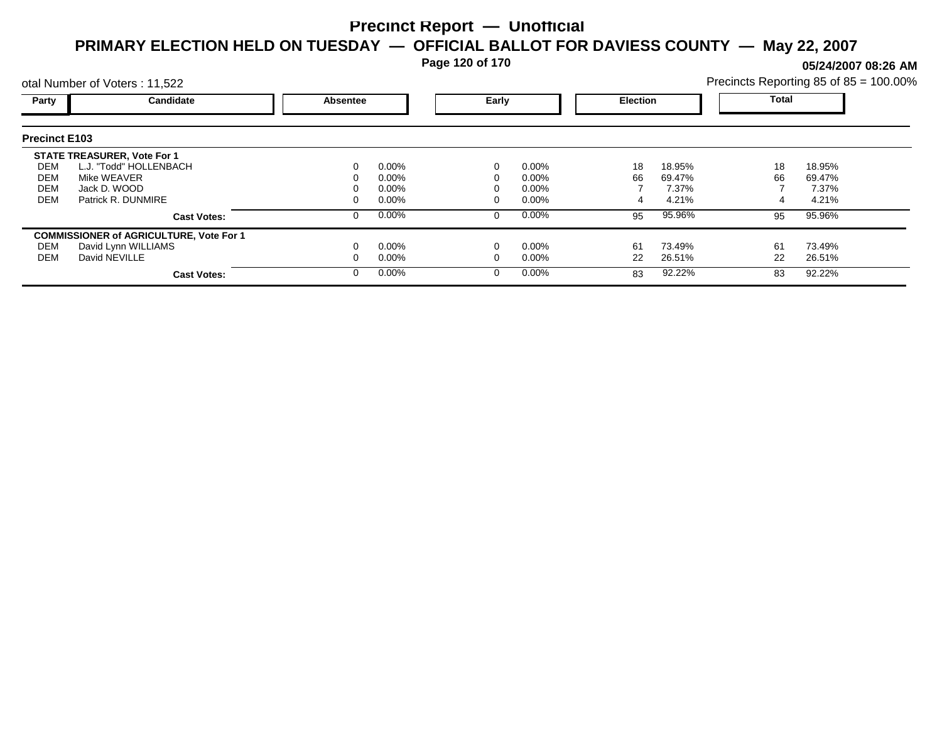**Page 120 of 170**

**05/24/2007 08:26 AM**

|                      | otal Number of Voters: 11,522                  |          |          |       |          |                 |        | Precincts Reporting 85 of 85 = 100.00% |        |  |
|----------------------|------------------------------------------------|----------|----------|-------|----------|-----------------|--------|----------------------------------------|--------|--|
| Party                | Candidate                                      | Absentee |          | Early |          | <b>Election</b> |        | Total                                  |        |  |
| <b>Precinct E103</b> |                                                |          |          |       |          |                 |        |                                        |        |  |
|                      | <b>STATE TREASURER, Vote For 1</b>             |          |          |       |          |                 |        |                                        |        |  |
| DEM                  | L.J. "Todd" HOLLENBACH                         |          | $0.00\%$ |       | $0.00\%$ | 18              | 18.95% | 18                                     | 18.95% |  |
| DEM                  | Mike WEAVER                                    |          | $0.00\%$ |       | $0.00\%$ | 66              | 69.47% | 66                                     | 69.47% |  |
| <b>DEM</b>           | Jack D. WOOD                                   |          | $0.00\%$ |       | $0.00\%$ |                 | 7.37%  |                                        | 7.37%  |  |
| <b>DEM</b>           | Patrick R. DUNMIRE                             |          | $0.00\%$ |       | $0.00\%$ |                 | 4.21%  |                                        | 4.21%  |  |
|                      | <b>Cast Votes:</b>                             |          | $0.00\%$ |       | $0.00\%$ | 95              | 95.96% | 95                                     | 95.96% |  |
|                      | <b>COMMISSIONER of AGRICULTURE, Vote For 1</b> |          |          |       |          |                 |        |                                        |        |  |
| DEM                  | David Lynn WILLIAMS                            |          | $0.00\%$ |       | $0.00\%$ | 61              | 73.49% | 61                                     | 73.49% |  |
| DEM                  | David NEVILLE                                  |          | $0.00\%$ |       | $0.00\%$ | 22              | 26.51% | 22                                     | 26.51% |  |
|                      | <b>Cast Votes:</b>                             |          | $0.00\%$ |       | $0.00\%$ | 83              | 92.22% | 83                                     | 92.22% |  |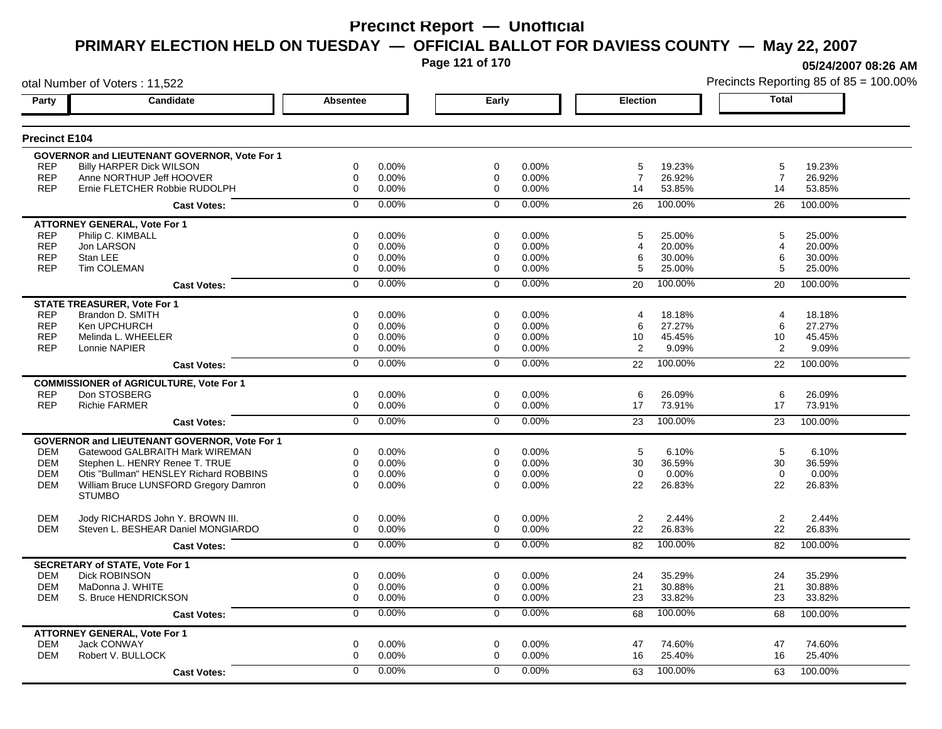**Page 121 of 170**

**05/24/2007 08:26 AM**

|                      | otal Number of Voters: 11,522                       |                  |       |                |       |                 |         |                | Precincts Reporting 85 of 85 = 100.00% |
|----------------------|-----------------------------------------------------|------------------|-------|----------------|-------|-----------------|---------|----------------|----------------------------------------|
| Party                | Candidate                                           | Absentee         |       | Early          |       | <b>Election</b> |         | <b>Total</b>   |                                        |
| <b>Precinct E104</b> |                                                     |                  |       |                |       |                 |         |                |                                        |
|                      | <b>GOVERNOR and LIEUTENANT GOVERNOR, Vote For 1</b> |                  |       |                |       |                 |         |                |                                        |
| <b>REP</b>           | <b>Billy HARPER Dick WILSON</b>                     | 0                | 0.00% | 0              | 0.00% | 5               | 19.23%  | 5              | 19.23%                                 |
| <b>REP</b>           | Anne NORTHUP Jeff HOOVER                            | 0                | 0.00% | 0              | 0.00% | $\overline{7}$  | 26.92%  | 7              | 26.92%                                 |
| <b>REP</b>           | Ernie FLETCHER Robbie RUDOLPH                       | $\mathbf 0$      | 0.00% | $\mathbf 0$    | 0.00% | 14              | 53.85%  | 14             | 53.85%                                 |
|                      | <b>Cast Votes:</b>                                  | $\mathbf 0$      | 0.00% | $\mathbf 0$    | 0.00% | 26              | 100.00% | 26             | 100.00%                                |
|                      | <b>ATTORNEY GENERAL, Vote For 1</b>                 |                  |       |                |       |                 |         |                |                                        |
| <b>REP</b>           | Philip C. KIMBALL                                   | $\mathbf 0$      | 0.00% | $\Omega$       | 0.00% | 5               | 25.00%  | 5              | 25.00%                                 |
| <b>REP</b>           | Jon LARSON                                          | 0                | 0.00% | 0              | 0.00% | 4               | 20.00%  | 4              | 20.00%                                 |
| <b>REP</b>           | Stan LEE                                            | $\mathbf 0$      | 0.00% | 0              | 0.00% | 6               | 30.00%  | 6              | 30.00%                                 |
| <b>REP</b>           | <b>Tim COLEMAN</b>                                  | $\mathbf 0$      | 0.00% | $\Omega$       | 0.00% | 5               | 25.00%  | 5              | 25.00%                                 |
|                      | <b>Cast Votes:</b>                                  | $\mathbf 0$      | 0.00% | $\mathbf 0$    | 0.00% | 20              | 100.00% | 20             | 100.00%                                |
|                      | <b>STATE TREASURER, Vote For 1</b>                  |                  |       |                |       |                 |         |                |                                        |
| <b>REP</b>           | Brandon D. SMITH                                    | $\mathbf 0$      | 0.00% | $\Omega$       | 0.00% | 4               | 18.18%  | $\overline{4}$ | 18.18%                                 |
| <b>REP</b>           | Ken UPCHURCH                                        | $\mathbf 0$      | 0.00% | 0              | 0.00% | 6               | 27.27%  | 6              | 27.27%                                 |
| <b>REP</b>           | Melinda L. WHEELER                                  | $\mathbf 0$      | 0.00% | 0              | 0.00% | 10              | 45.45%  | 10             | 45.45%                                 |
| <b>REP</b>           | Lonnie NAPIER                                       | $\Omega$         | 0.00% | $\Omega$       | 0.00% | 2               | 9.09%   | 2              | 9.09%                                  |
|                      | <b>Cast Votes:</b>                                  | $\overline{0}$   | 0.00% | $\overline{0}$ | 0.00% | 22              | 100.00% | 22             | 100.00%                                |
|                      | <b>COMMISSIONER of AGRICULTURE, Vote For 1</b>      |                  |       |                |       |                 |         |                |                                        |
| <b>REP</b>           | Don STOSBERG                                        | 0                | 0.00% | 0              | 0.00% | 6               | 26.09%  | 6              | 26.09%                                 |
| <b>REP</b>           | <b>Richie FARMER</b>                                | 0                | 0.00% | 0              | 0.00% | 17              | 73.91%  | 17             | 73.91%                                 |
|                      | <b>Cast Votes:</b>                                  | $\overline{0}$   | 0.00% | $\overline{0}$ | 0.00% | 23              | 100.00% | 23             | 100.00%                                |
|                      | GOVERNOR and LIEUTENANT GOVERNOR, Vote For 1        |                  |       |                |       |                 |         |                |                                        |
| DEM                  | Gatewood GALBRAITH Mark WIREMAN                     | 0                | 0.00% | 0              | 0.00% | 5               | 6.10%   | 5              | 6.10%                                  |
| <b>DEM</b>           | Stephen L. HENRY Renee T. TRUE                      | $\mathbf 0$      | 0.00% | 0              | 0.00% | 30              | 36.59%  | 30             | 36.59%                                 |
| <b>DEM</b>           | Otis "Bullman" HENSLEY Richard ROBBINS              | 0                | 0.00% | 0              | 0.00% | $\mathbf 0$     | 0.00%   | $\mathbf 0$    | 0.00%                                  |
| <b>DEM</b>           | William Bruce LUNSFORD Gregory Damron               | $\Omega$         | 0.00% | $\Omega$       | 0.00% | 22              | 26.83%  | 22             | 26.83%                                 |
|                      | <b>STUMBO</b>                                       |                  |       |                |       |                 |         |                |                                        |
| <b>DEM</b>           | Jody RICHARDS John Y. BROWN III.                    | 0                | 0.00% | 0              | 0.00% | $\overline{2}$  | 2.44%   | $\overline{2}$ | 2.44%                                  |
| <b>DEM</b>           | Steven L. BESHEAR Daniel MONGIARDO                  | 0                | 0.00% | $\mathbf 0$    | 0.00% | 22              | 26.83%  | 22             | 26.83%                                 |
|                      | <b>Cast Votes:</b>                                  | $\mathbf 0$      | 0.00% | $\mathbf 0$    | 0.00% | 82              | 100.00% | 82             | 100.00%                                |
|                      | <b>SECRETARY of STATE, Vote For 1</b>               |                  |       |                |       |                 |         |                |                                        |
| <b>DEM</b>           | <b>Dick ROBINSON</b>                                | 0                | 0.00% | 0              | 0.00% | 24              | 35.29%  | 24             | 35.29%                                 |
| <b>DEM</b>           | MaDonna J. WHITE                                    | 0                | 0.00% | 0              | 0.00% | 21              | 30.88%  | 21             | 30.88%                                 |
| DEM                  | S. Bruce HENDRICKSON                                | $\boldsymbol{0}$ | 0.00% | 0              | 0.00% | 23              | 33.82%  | 23             | 33.82%                                 |
|                      | <b>Cast Votes:</b>                                  | 0                | 0.00% | 0              | 0.00% | 68              | 100.00% | 68             | 100.00%                                |
|                      | <b>ATTORNEY GENERAL, Vote For 1</b>                 |                  |       |                |       |                 |         |                |                                        |
| <b>DEM</b>           | Jack CONWAY                                         | $\mathbf 0$      | 0.00% | $\mathbf 0$    | 0.00% | 47              | 74.60%  | 47             | 74.60%                                 |
| <b>DEM</b>           | Robert V. BULLOCK                                   | $\mathbf 0$      | 0.00% | 0              | 0.00% | 16              | 25.40%  | 16             | 25.40%                                 |
|                      | <b>Cast Votes:</b>                                  | $\Omega$         | 0.00% | $\Omega$       | 0.00% | 63              | 100.00% | 63             | 100.00%                                |
|                      |                                                     |                  |       |                |       |                 |         |                |                                        |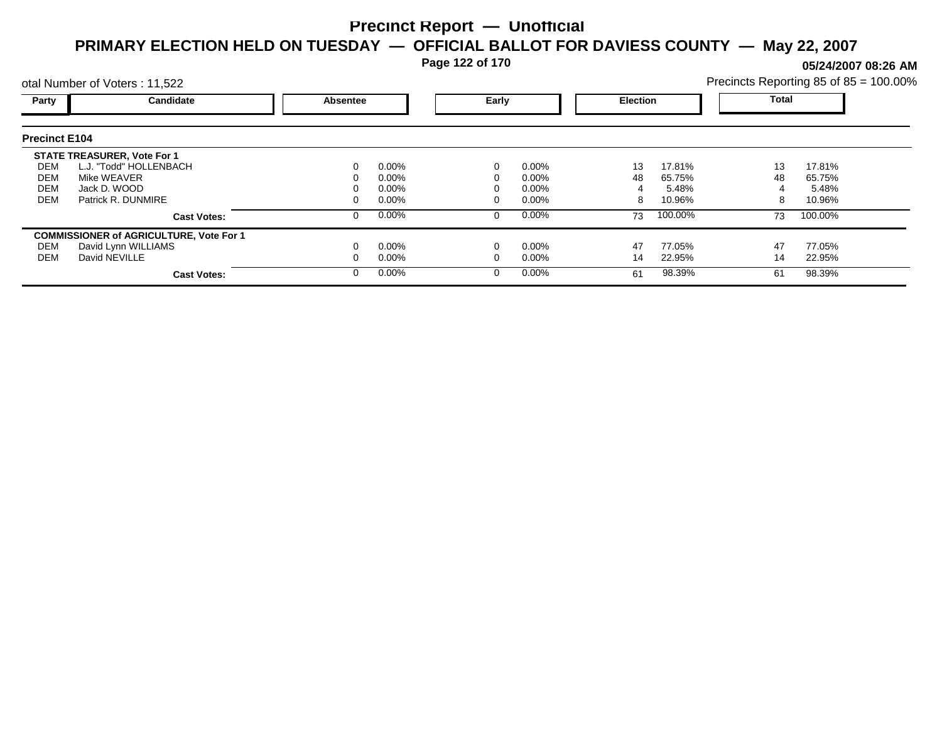**Page 122 of 170**

**05/24/2007 08:26 AM**

|                      | otal Number of Voters: 11,522                  |          |          |   |          | Precincts Reporting 85 of 85 = 100.00% |                 |    |              |  |
|----------------------|------------------------------------------------|----------|----------|---|----------|----------------------------------------|-----------------|----|--------------|--|
| Party                | Candidate                                      | Absentee |          |   | Early    |                                        | <b>Election</b> |    | <b>Total</b> |  |
| <b>Precinct E104</b> |                                                |          |          |   |          |                                        |                 |    |              |  |
|                      | <b>STATE TREASURER, Vote For 1</b>             |          |          |   |          |                                        |                 |    |              |  |
| DEM                  | L.J. "Todd" HOLLENBACH                         |          | $0.00\%$ |   | $0.00\%$ | 13                                     | 17.81%          | 13 | 17.81%       |  |
| DEM                  | Mike WEAVER                                    |          | 0.00%    |   | 0.00%    | 48                                     | 65.75%          | 48 | 65.75%       |  |
| <b>DEM</b>           | Jack D. WOOD                                   |          | 0.00%    |   | 0.00%    |                                        | 5.48%           |    | 5.48%        |  |
| <b>DEM</b>           | Patrick R. DUNMIRE                             |          | $0.00\%$ |   | 0.00%    | 8                                      | 10.96%          | 8  | 10.96%       |  |
|                      | <b>Cast Votes:</b>                             |          | $0.00\%$ | 0 | $0.00\%$ | 73                                     | 100.00%         | 73 | 100.00%      |  |
|                      | <b>COMMISSIONER of AGRICULTURE, Vote For 1</b> |          |          |   |          |                                        |                 |    |              |  |
| DEM                  | David Lynn WILLIAMS                            |          | $0.00\%$ |   | 0.00%    | 47                                     | 77.05%          | 47 | 77.05%       |  |
| DEM                  | David NEVILLE                                  |          | $0.00\%$ |   | 0.00%    | 14                                     | 22.95%          | 14 | 22.95%       |  |
|                      | <b>Cast Votes:</b>                             |          | $0.00\%$ | 0 | $0.00\%$ | 61                                     | 98.39%          | 61 | 98.39%       |  |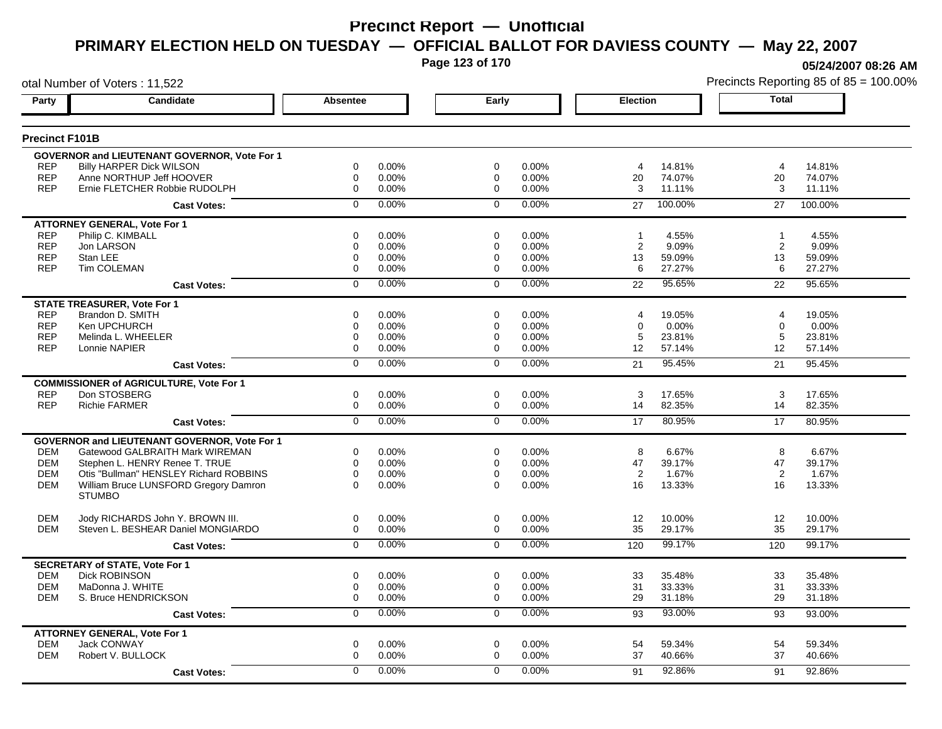**Page 123 of 170**

**05/24/2007 08:26 AM**

|                       | otal Number of Voters: 11,522                       |                |          |                |       |                |         |                   | Precincts Reporting 85 of 85 = 100.00% |
|-----------------------|-----------------------------------------------------|----------------|----------|----------------|-------|----------------|---------|-------------------|----------------------------------------|
| Party                 | Candidate                                           | Absentee       |          | Early          |       | Election       |         | Total             |                                        |
| <b>Precinct F101B</b> |                                                     |                |          |                |       |                |         |                   |                                        |
|                       | <b>GOVERNOR and LIEUTENANT GOVERNOR, Vote For 1</b> |                |          |                |       |                |         |                   |                                        |
| <b>REP</b>            | <b>Billy HARPER Dick WILSON</b>                     | 0              | 0.00%    | 0              | 0.00% | 4              | 14.81%  | $\overline{4}$    | 14.81%                                 |
| <b>REP</b>            | Anne NORTHUP Jeff HOOVER                            | 0              | $0.00\%$ | 0              | 0.00% | 20             | 74.07%  | 20                | 74.07%                                 |
| <b>REP</b>            | Ernie FLETCHER Robbie RUDOLPH                       | 0              | 0.00%    | $\mathbf 0$    | 0.00% | 3              | 11.11%  | 3                 | 11.11%                                 |
|                       | <b>Cast Votes:</b>                                  | $\Omega$       | $0.00\%$ | $\mathbf 0$    | 0.00% | 27             | 100.00% | 27                | 100.00%                                |
|                       | <b>ATTORNEY GENERAL, Vote For 1</b>                 |                |          |                |       |                |         |                   |                                        |
| <b>REP</b>            | Philip C. KIMBALL                                   | 0              | 0.00%    | 0              | 0.00% | $\mathbf{1}$   | 4.55%   | $\overline{1}$    | 4.55%                                  |
| <b>REP</b>            | Jon LARSON                                          | 0              | 0.00%    | 0              | 0.00% | 2              | 9.09%   | 2                 | 9.09%                                  |
| <b>REP</b>            | Stan LEE                                            | 0              | 0.00%    | 0              | 0.00% | 13             | 59.09%  | 13                | 59.09%                                 |
| <b>REP</b>            | <b>Tim COLEMAN</b>                                  | 0              | $0.00\%$ | 0              | 0.00% | 6              | 27.27%  | 6                 | 27.27%                                 |
|                       | <b>Cast Votes:</b>                                  | 0              | 0.00%    | $\mathbf 0$    | 0.00% | 22             | 95.65%  | 22                | 95.65%                                 |
|                       | <b>STATE TREASURER, Vote For 1</b>                  |                |          |                |       |                |         |                   |                                        |
| <b>REP</b>            | Brandon D. SMITH                                    | $\Omega$       | 0.00%    | $\Omega$       | 0.00% | 4              | 19.05%  | $\overline{4}$    | 19.05%                                 |
| <b>REP</b>            | Ken UPCHURCH                                        | 0              | 0.00%    | 0              | 0.00% | $\mathbf 0$    | 0.00%   | $\mathbf 0$       | 0.00%                                  |
| <b>REP</b>            | Melinda L. WHEELER                                  | 0              | 0.00%    | 0              | 0.00% | 5              | 23.81%  | 5                 | 23.81%                                 |
| <b>REP</b>            | Lonnie NAPIER                                       | 0              | $0.00\%$ | 0              | 0.00% | 12             | 57.14%  | $12 \overline{ }$ | 57.14%                                 |
|                       | <b>Cast Votes:</b>                                  | $\overline{0}$ | 0.00%    | $\overline{0}$ | 0.00% | 21             | 95.45%  | 21                | 95.45%                                 |
|                       | <b>COMMISSIONER of AGRICULTURE, Vote For 1</b>      |                |          |                |       |                |         |                   |                                        |
| <b>REP</b>            | Don STOSBERG                                        | 0              | 0.00%    | $\mathbf 0$    | 0.00% | 3              | 17.65%  | 3                 | 17.65%                                 |
| <b>REP</b>            | <b>Richie FARMER</b>                                | 0              | 0.00%    | $\mathbf 0$    | 0.00% | 14             | 82.35%  | 14                | 82.35%                                 |
|                       | <b>Cast Votes:</b>                                  | $\overline{0}$ | 0.00%    | $\overline{0}$ | 0.00% | 17             | 80.95%  | 17                | 80.95%                                 |
|                       | <b>GOVERNOR and LIEUTENANT GOVERNOR, Vote For 1</b> |                |          |                |       |                |         |                   |                                        |
| <b>DEM</b>            | Gatewood GALBRAITH Mark WIREMAN                     | 0              | 0.00%    | 0              | 0.00% | 8              | 6.67%   | 8                 | 6.67%                                  |
| <b>DEM</b>            | Stephen L. HENRY Renee T. TRUE                      | 0              | 0.00%    | $\mathbf 0$    | 0.00% | 47             | 39.17%  | 47                | 39.17%                                 |
| <b>DEM</b>            | Otis "Bullman" HENSLEY Richard ROBBINS              | 0              | 0.00%    | $\mathbf 0$    | 0.00% | $\overline{c}$ | 1.67%   | $\overline{c}$    | 1.67%                                  |
| <b>DEM</b>            | William Bruce LUNSFORD Gregory Damron               | $\Omega$       | $0.00\%$ | $\Omega$       | 0.00% | 16             | 13.33%  | 16                | 13.33%                                 |
|                       | <b>STUMBO</b>                                       |                |          |                |       |                |         |                   |                                        |
| <b>DEM</b>            | Jody RICHARDS John Y. BROWN III.                    | 0              | 0.00%    | $\mathbf 0$    | 0.00% | 12             | 10.00%  | 12                | 10.00%                                 |
| <b>DEM</b>            | Steven L. BESHEAR Daniel MONGIARDO                  | 0              | 0.00%    | 0              | 0.00% | 35             | 29.17%  | 35                | 29.17%                                 |
|                       | <b>Cast Votes:</b>                                  | $\overline{0}$ | 0.00%    | $\mathbf 0$    | 0.00% | 120            | 99.17%  | 120               | 99.17%                                 |
|                       | <b>SECRETARY of STATE, Vote For 1</b>               |                |          |                |       |                |         |                   |                                        |
| <b>DEM</b>            | <b>Dick ROBINSON</b>                                | 0              | 0.00%    | $\mathbf 0$    | 0.00% | 33             | 35.48%  | 33                | 35.48%                                 |
| <b>DEM</b>            | MaDonna J. WHITE                                    | 0              | $0.00\%$ | 0              | 0.00% | 31             | 33.33%  | 31                | 33.33%                                 |
| <b>DEM</b>            | S. Bruce HENDRICKSON                                | 0              | 0.00%    | $\mathbf 0$    | 0.00% | 29             | 31.18%  | 29                | 31.18%                                 |
|                       | <b>Cast Votes:</b>                                  | 0              | 0.00%    | 0              | 0.00% | 93             | 93.00%  | 93                | 93.00%                                 |
|                       | <b>ATTORNEY GENERAL, Vote For 1</b>                 |                |          |                |       |                |         |                   |                                        |
| <b>DEM</b>            | <b>Jack CONWAY</b>                                  | 0              | 0.00%    | $\mathbf 0$    | 0.00% | 54             | 59.34%  | 54                | 59.34%                                 |
| <b>DEM</b>            | Robert V. BULLOCK                                   | 0              | 0.00%    | $\Omega$       | 0.00% | 37             | 40.66%  | 37                | 40.66%                                 |
|                       | <b>Cast Votes:</b>                                  | 0              | $0.00\%$ | $\Omega$       | 0.00% | 91             | 92.86%  | 91                | 92.86%                                 |
|                       |                                                     |                |          |                |       |                |         |                   |                                        |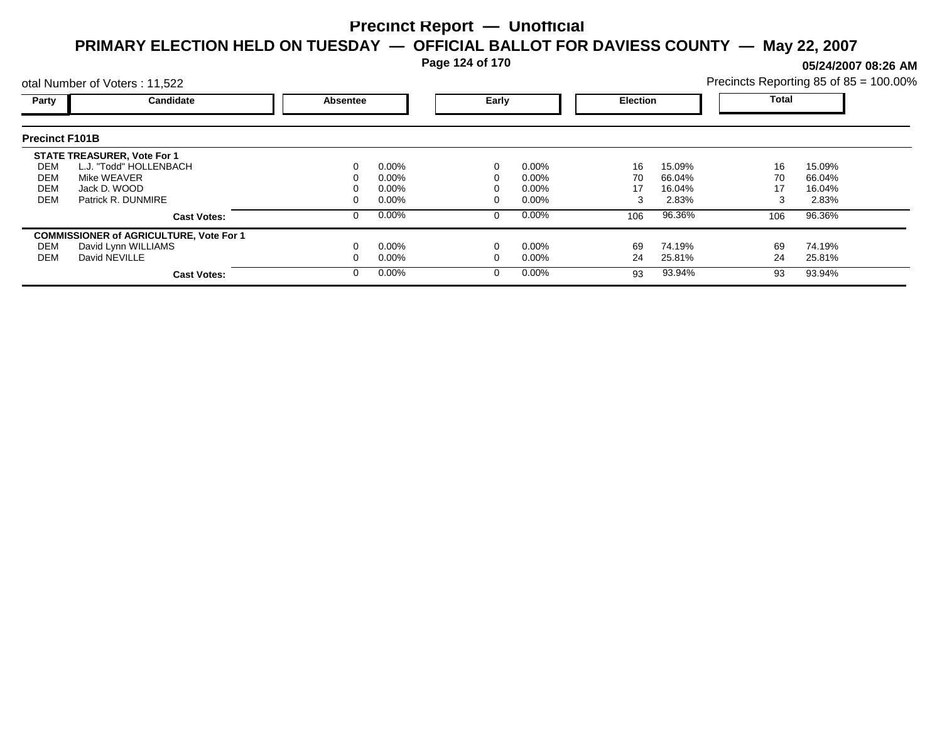**Page 124 of 170**

**05/24/2007 08:26 AM**

|                                        | otal Number of Voters: 11,522                                                                                     |          |                                              |       |                                              |                     |                                     |                     | Precincts Reporting 85 of 85 = 100.00% |  |
|----------------------------------------|-------------------------------------------------------------------------------------------------------------------|----------|----------------------------------------------|-------|----------------------------------------------|---------------------|-------------------------------------|---------------------|----------------------------------------|--|
| Party                                  | Candidate                                                                                                         | Absentee |                                              | Early |                                              | <b>Election</b>     |                                     | Total               |                                        |  |
| <b>Precinct F101B</b>                  |                                                                                                                   |          |                                              |       |                                              |                     |                                     |                     |                                        |  |
| DEM<br>DEM<br><b>DEM</b><br><b>DEM</b> | <b>STATE TREASURER, Vote For 1</b><br>L.J. "Todd" HOLLENBACH<br>Mike WEAVER<br>Jack D. WOOD<br>Patrick R. DUNMIRE |          | $0.00\%$<br>$0.00\%$<br>$0.00\%$<br>$0.00\%$ |       | $0.00\%$<br>$0.00\%$<br>$0.00\%$<br>$0.00\%$ | 16<br>70<br>17<br>3 | 15.09%<br>66.04%<br>16.04%<br>2.83% | 16<br>70<br>17<br>3 | 15.09%<br>66.04%<br>16.04%<br>2.83%    |  |
|                                        | <b>Cast Votes:</b>                                                                                                |          | $0.00\%$                                     |       | $0.00\%$                                     | 106                 | 96.36%                              | 106                 | 96.36%                                 |  |
| DEM<br>DEM                             | <b>COMMISSIONER of AGRICULTURE, Vote For 1</b><br>David Lynn WILLIAMS<br>David NEVILLE<br><b>Cast Votes:</b>      |          | $0.00\%$<br>$0.00\%$<br>$0.00\%$             |       | $0.00\%$<br>$0.00\%$<br>$0.00\%$             | 69<br>24<br>93      | 74.19%<br>25.81%<br>93.94%          | 69<br>24<br>93      | 74.19%<br>25.81%<br>93.94%             |  |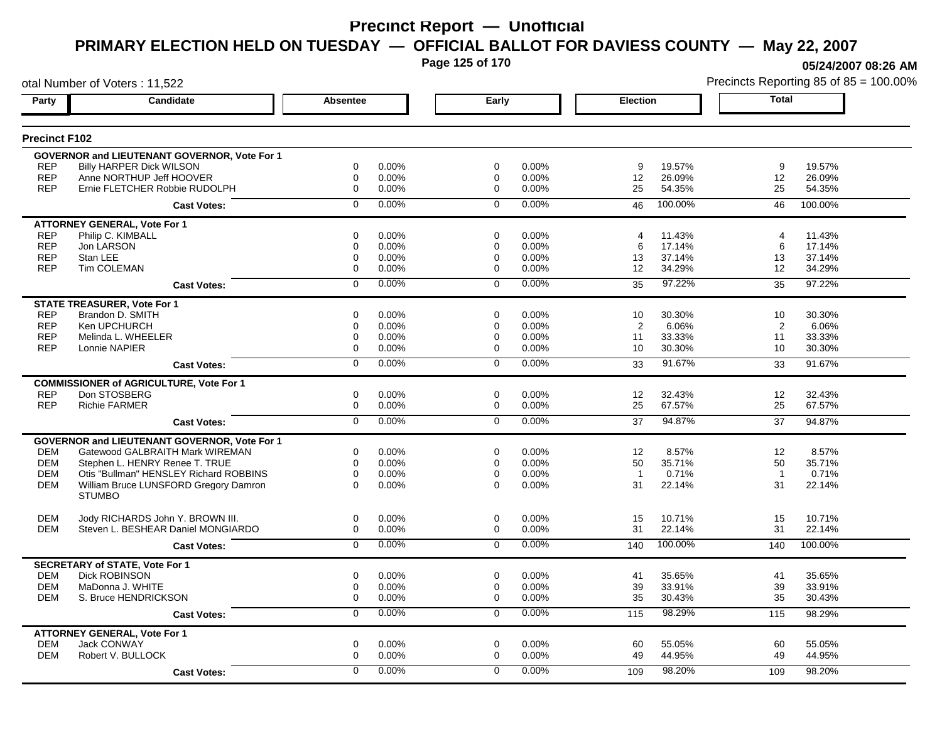**Page 125 of 170**

**05/24/2007 08:26 AM**

| otal Number of Voters: 11,522 |                                                     |                  |          |                |       | Precincts Reporting 85 of 85 = 100.00% |         |                |         |
|-------------------------------|-----------------------------------------------------|------------------|----------|----------------|-------|----------------------------------------|---------|----------------|---------|
| Party                         | Candidate                                           | Absentee         |          | Early          |       | <b>Election</b>                        |         | <b>Total</b>   |         |
| <b>Precinct F102</b>          |                                                     |                  |          |                |       |                                        |         |                |         |
|                               | <b>GOVERNOR and LIEUTENANT GOVERNOR, Vote For 1</b> |                  |          |                |       |                                        |         |                |         |
| <b>REP</b>                    | <b>Billy HARPER Dick WILSON</b>                     | 0                | 0.00%    | 0              | 0.00% | 9                                      | 19.57%  | 9              | 19.57%  |
| <b>REP</b>                    | Anne NORTHUP Jeff HOOVER                            | 0                | 0.00%    | 0              | 0.00% | 12                                     | 26.09%  | 12             | 26.09%  |
| <b>REP</b>                    | Ernie FLETCHER Robbie RUDOLPH                       | $\mathbf 0$      | 0.00%    | $\mathbf 0$    | 0.00% | 25                                     | 54.35%  | 25             | 54.35%  |
|                               | <b>Cast Votes:</b>                                  | $\Omega$         | 0.00%    | $\mathbf 0$    | 0.00% | 46                                     | 100.00% | 46             | 100.00% |
|                               | <b>ATTORNEY GENERAL, Vote For 1</b>                 |                  |          |                |       |                                        |         |                |         |
| <b>REP</b>                    | Philip C. KIMBALL                                   | 0                | 0.00%    | 0              | 0.00% | 4                                      | 11.43%  | 4              | 11.43%  |
| <b>REP</b>                    | Jon LARSON                                          | 0                | 0.00%    | 0              | 0.00% | 6                                      | 17.14%  | 6              | 17.14%  |
| <b>REP</b>                    | Stan LEE                                            | 0                | 0.00%    | 0              | 0.00% | 13                                     | 37.14%  | 13             | 37.14%  |
| <b>REP</b>                    | <b>Tim COLEMAN</b>                                  | 0                | 0.00%    | 0              | 0.00% | 12                                     | 34.29%  | 12             | 34.29%  |
|                               | <b>Cast Votes:</b>                                  | $\mathbf 0$      | 0.00%    | $\Omega$       | 0.00% | 35                                     | 97.22%  | 35             | 97.22%  |
|                               | <b>STATE TREASURER, Vote For 1</b>                  |                  |          |                |       |                                        |         |                |         |
| <b>REP</b>                    | Brandon D. SMITH                                    | $\Omega$         | 0.00%    | $\Omega$       | 0.00% | 10                                     | 30.30%  | 10             | 30.30%  |
| <b>REP</b>                    | Ken UPCHURCH                                        | 0                | 0.00%    | 0              | 0.00% | 2                                      | 6.06%   | 2              | 6.06%   |
| <b>REP</b>                    | Melinda L. WHEELER                                  | $\boldsymbol{0}$ | 0.00%    | 0              | 0.00% | 11                                     | 33.33%  | 11             | 33.33%  |
| <b>REP</b>                    | Lonnie NAPIER                                       | 0                | 0.00%    | $\Omega$       | 0.00% | 10                                     | 30.30%  | 10             | 30.30%  |
|                               | <b>Cast Votes:</b>                                  | $\overline{0}$   | 0.00%    | $\Omega$       | 0.00% | 33                                     | 91.67%  | 33             | 91.67%  |
|                               | <b>COMMISSIONER of AGRICULTURE, Vote For 1</b>      |                  |          |                |       |                                        |         |                |         |
| <b>REP</b>                    | Don STOSBERG                                        | 0                | 0.00%    | 0              | 0.00% | 12                                     | 32.43%  | 12             | 32.43%  |
| <b>REP</b>                    | <b>Richie FARMER</b>                                | $\mathbf 0$      | 0.00%    | $\mathbf 0$    | 0.00% | 25                                     | 67.57%  | 25             | 67.57%  |
|                               | <b>Cast Votes:</b>                                  | $\overline{0}$   | 0.00%    | $\overline{0}$ | 0.00% | 37                                     | 94.87%  | 37             | 94.87%  |
|                               | <b>GOVERNOR and LIEUTENANT GOVERNOR, Vote For 1</b> |                  |          |                |       |                                        |         |                |         |
| <b>DEM</b>                    | Gatewood GALBRAITH Mark WIREMAN                     | 0                | 0.00%    | 0              | 0.00% | 12                                     | 8.57%   | 12             | 8.57%   |
| <b>DEM</b>                    | Stephen L. HENRY Renee T. TRUE                      | $\mathbf 0$      | $0.00\%$ | $\mathbf 0$    | 0.00% | 50                                     | 35.71%  | 50             | 35.71%  |
| <b>DEM</b>                    | Otis "Bullman" HENSLEY Richard ROBBINS              | $\mathbf 0$      | 0.00%    | $\mathbf 0$    | 0.00% | $\overline{1}$                         | 0.71%   | $\overline{1}$ | 0.71%   |
| <b>DEM</b>                    | William Bruce LUNSFORD Gregory Damron               | $\Omega$         | $0.00\%$ | $\Omega$       | 0.00% | 31                                     | 22.14%  | 31             | 22.14%  |
|                               | <b>STUMBO</b>                                       |                  |          |                |       |                                        |         |                |         |
| <b>DEM</b>                    | Jody RICHARDS John Y. BROWN III.                    | 0                | 0.00%    | 0              | 0.00% | 15                                     | 10.71%  | 15             | 10.71%  |
| <b>DEM</b>                    | Steven L. BESHEAR Daniel MONGIARDO                  | $\mathbf 0$      | 0.00%    | 0              | 0.00% | 31                                     | 22.14%  | 31             | 22.14%  |
|                               | <b>Cast Votes:</b>                                  | $\overline{0}$   | 0.00%    | $\mathbf 0$    | 0.00% | 140                                    | 100.00% | 140            | 100.00% |
|                               | <b>SECRETARY of STATE, Vote For 1</b>               |                  |          |                |       |                                        |         |                |         |
| <b>DEM</b>                    | <b>Dick ROBINSON</b>                                | $\mathbf 0$      | 0.00%    | $\mathbf 0$    | 0.00% | 41                                     | 35.65%  | 41             | 35.65%  |
| <b>DEM</b>                    | MaDonna J. WHITE                                    | $\mathbf 0$      | 0.00%    | $\mathbf 0$    | 0.00% | 39                                     | 33.91%  | 39             | 33.91%  |
| <b>DEM</b>                    | S. Bruce HENDRICKSON                                | $\mathbf 0$      | 0.00%    | $\mathbf 0$    | 0.00% | 35                                     | 30.43%  | 35             | 30.43%  |
|                               | <b>Cast Votes:</b>                                  | 0                | 0.00%    | 0              | 0.00% | 115                                    | 98.29%  | 115            | 98.29%  |
|                               | <b>ATTORNEY GENERAL, Vote For 1</b>                 |                  |          |                |       |                                        |         |                |         |
| <b>DEM</b>                    | <b>Jack CONWAY</b>                                  | $\mathbf 0$      | 0.00%    | $\mathbf 0$    | 0.00% | 60                                     | 55.05%  | 60             | 55.05%  |
| <b>DEM</b>                    | Robert V. BULLOCK                                   | $\mathbf 0$      | 0.00%    | $\Omega$       | 0.00% | 49                                     | 44.95%  | 49             | 44.95%  |
|                               | <b>Cast Votes:</b>                                  | $\mathbf 0$      | 0.00%    | $\Omega$       | 0.00% | 109                                    | 98.20%  | 109            | 98.20%  |
|                               |                                                     |                  |          |                |       |                                        |         |                |         |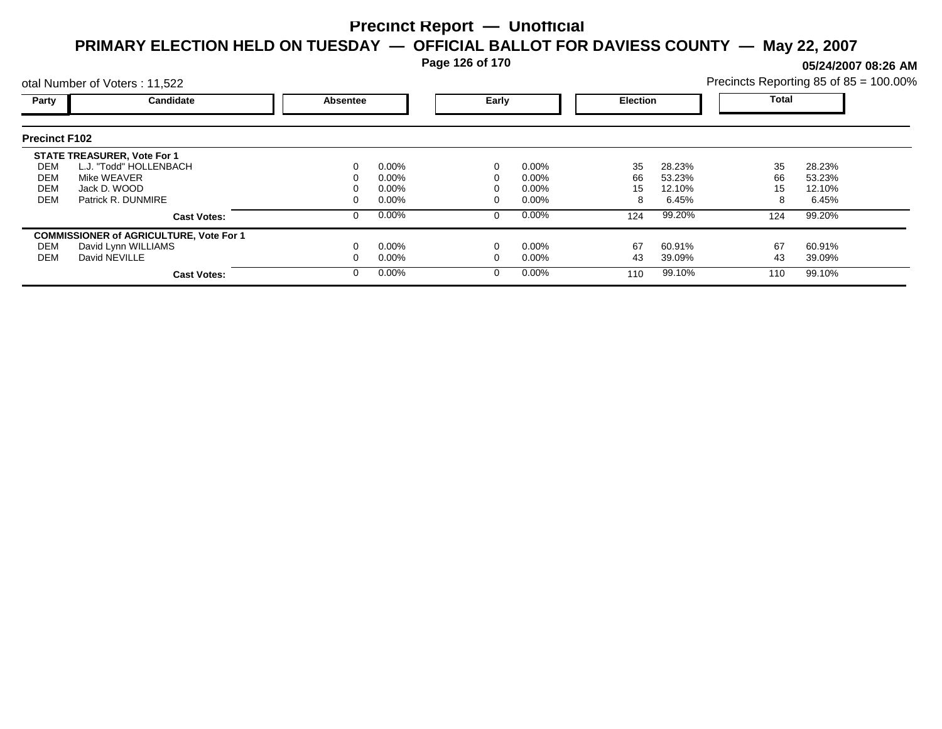**Page 126 of 170**

**05/24/2007 08:26 AM**

|                                               | otal Number of Voters: 11,522                                                                                     |                 |                                     |       |                                     |                     |                                     |                     | Precincts Reporting 85 of 85 = 100.00% |  |
|-----------------------------------------------|-------------------------------------------------------------------------------------------------------------------|-----------------|-------------------------------------|-------|-------------------------------------|---------------------|-------------------------------------|---------------------|----------------------------------------|--|
| Party                                         | Candidate                                                                                                         | <b>Absentee</b> |                                     | Early |                                     | <b>Election</b>     |                                     | <b>Total</b>        |                                        |  |
| <b>Precinct F102</b>                          |                                                                                                                   |                 |                                     |       |                                     |                     |                                     |                     |                                        |  |
| DEM<br><b>DEM</b><br><b>DEM</b><br><b>DEM</b> | <b>STATE TREASURER, Vote For 1</b><br>L.J. "Todd" HOLLENBACH<br>Mike WEAVER<br>Jack D. WOOD<br>Patrick R. DUNMIRE |                 | $0.00\%$<br>0.00%<br>0.00%<br>0.00% |       | $0.00\%$<br>0.00%<br>0.00%<br>0.00% | 35<br>66<br>15<br>8 | 28.23%<br>53.23%<br>12.10%<br>6.45% | 35<br>66<br>15<br>8 | 28.23%<br>53.23%<br>12.10%<br>6.45%    |  |
|                                               | <b>Cast Votes:</b>                                                                                                |                 | $0.00\%$                            | 0     | $0.00\%$                            | 124                 | 99.20%                              | 124                 | 99.20%                                 |  |
| DEM<br><b>DEM</b>                             | <b>COMMISSIONER of AGRICULTURE, Vote For 1</b><br>David Lynn WILLIAMS<br>David NEVILLE<br><b>Cast Votes:</b>      |                 | $0.00\%$<br>$0.00\%$<br>$0.00\%$    |       | 0.00%<br>0.00%<br>$0.00\%$          | 67<br>43<br>110     | 60.91%<br>39.09%<br>99.10%          | 67<br>43<br>110     | 60.91%<br>39.09%<br>99.10%             |  |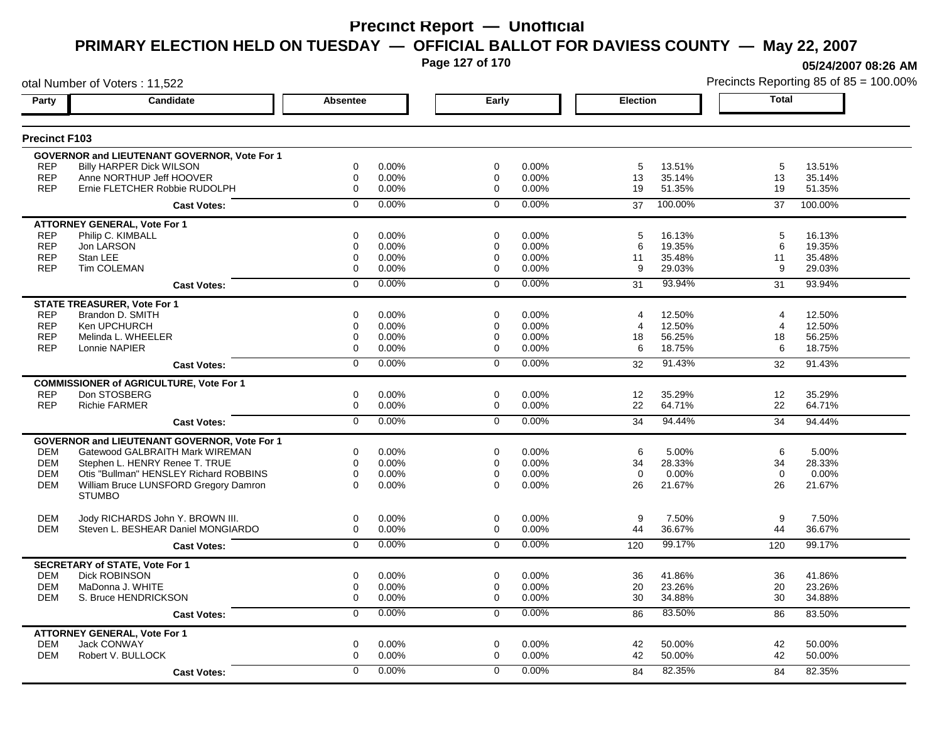**Page 127 of 170**

**05/24/2007 08:26 AM**

| otal Number of Voters: 11,522 |                                                     |                  |       |                |       | Precincts Reporting 85 of 85 = 100.00% |         |                       |         |
|-------------------------------|-----------------------------------------------------|------------------|-------|----------------|-------|----------------------------------------|---------|-----------------------|---------|
| Party                         | Candidate                                           | Absentee         |       | Early          |       | <b>Election</b>                        |         | <b>Total</b>          |         |
| <b>Precinct F103</b>          |                                                     |                  |       |                |       |                                        |         |                       |         |
|                               | GOVERNOR and LIEUTENANT GOVERNOR, Vote For 1        |                  |       |                |       |                                        |         |                       |         |
| <b>REP</b>                    | <b>Billy HARPER Dick WILSON</b>                     | 0                | 0.00% | $\mathbf 0$    | 0.00% | 5                                      | 13.51%  | 5                     | 13.51%  |
| <b>REP</b>                    | Anne NORTHUP Jeff HOOVER                            | 0                | 0.00% | 0              | 0.00% | 13                                     | 35.14%  | 13                    | 35.14%  |
| <b>REP</b>                    | Ernie FLETCHER Robbie RUDOLPH                       | $\boldsymbol{0}$ | 0.00% | $\Omega$       | 0.00% | 19                                     | 51.35%  | 19                    | 51.35%  |
|                               | <b>Cast Votes:</b>                                  | $\mathbf 0$      | 0.00% | $\mathbf 0$    | 0.00% | 37                                     | 100.00% | 37                    | 100.00% |
|                               | <b>ATTORNEY GENERAL, Vote For 1</b>                 |                  |       |                |       |                                        |         |                       |         |
| <b>REP</b>                    | Philip C. KIMBALL                                   | $\mathbf 0$      | 0.00% | $\mathbf 0$    | 0.00% | 5                                      | 16.13%  | 5                     | 16.13%  |
| <b>REP</b>                    | Jon LARSON                                          | 0                | 0.00% | $\mathbf 0$    | 0.00% | 6                                      | 19.35%  | 6                     | 19.35%  |
| <b>REP</b>                    | Stan LEE                                            | $\mathbf 0$      | 0.00% | 0              | 0.00% | 11                                     | 35.48%  | 11                    | 35.48%  |
| <b>REP</b>                    | <b>Tim COLEMAN</b>                                  | $\mathbf 0$      | 0.00% | 0              | 0.00% | 9                                      | 29.03%  | 9                     | 29.03%  |
|                               | <b>Cast Votes:</b>                                  | $\mathbf 0$      | 0.00% | $\Omega$       | 0.00% | 31                                     | 93.94%  | 31                    | 93.94%  |
|                               | <b>STATE TREASURER, Vote For 1</b>                  |                  |       |                |       |                                        |         |                       |         |
| <b>REP</b>                    | Brandon D. SMITH                                    | 0                | 0.00% | 0              | 0.00% | 4                                      | 12.50%  | $\boldsymbol{\Delta}$ | 12.50%  |
| <b>REP</b>                    | Ken UPCHURCH                                        | 0                | 0.00% | 0              | 0.00% | 4                                      | 12.50%  | 4                     | 12.50%  |
| <b>REP</b>                    | Melinda L. WHEELER                                  | 0                | 0.00% | 0              | 0.00% | 18                                     | 56.25%  | 18                    | 56.25%  |
| <b>REP</b>                    | Lonnie NAPIER                                       | $\mathbf 0$      | 0.00% | 0              | 0.00% | 6                                      | 18.75%  | 6                     | 18.75%  |
|                               | <b>Cast Votes:</b>                                  | $\overline{0}$   | 0.00% | $\Omega$       | 0.00% | 32                                     | 91.43%  | 32                    | 91.43%  |
|                               | <b>COMMISSIONER of AGRICULTURE, Vote For 1</b>      |                  |       |                |       |                                        |         |                       |         |
| <b>REP</b>                    | Don STOSBERG                                        | 0                | 0.00% | 0              | 0.00% | $12 \overline{ }$                      | 35.29%  | $12 \overline{ }$     | 35.29%  |
| <b>REP</b>                    | <b>Richie FARMER</b>                                | $\boldsymbol{0}$ | 0.00% | 0              | 0.00% | 22                                     | 64.71%  | 22                    | 64.71%  |
|                               | <b>Cast Votes:</b>                                  | $\overline{0}$   | 0.00% | $\overline{0}$ | 0.00% | 34                                     | 94.44%  | 34                    | 94.44%  |
|                               | <b>GOVERNOR and LIEUTENANT GOVERNOR, Vote For 1</b> |                  |       |                |       |                                        |         |                       |         |
| <b>DEM</b>                    | Gatewood GALBRAITH Mark WIREMAN                     | 0                | 0.00% | $\mathbf 0$    | 0.00% | 6                                      | 5.00%   | 6                     | 5.00%   |
| <b>DEM</b>                    | Stephen L. HENRY Renee T. TRUE                      | $\mathbf 0$      | 0.00% | $\mathbf 0$    | 0.00% | 34                                     | 28.33%  | 34                    | 28.33%  |
| <b>DEM</b>                    | Otis "Bullman" HENSLEY Richard ROBBINS              | $\mathbf 0$      | 0.00% | $\mathbf 0$    | 0.00% | $\mathbf 0$                            | 0.00%   | $\mathbf 0$           | 0.00%   |
| <b>DEM</b>                    | William Bruce LUNSFORD Gregory Damron               | $\Omega$         | 0.00% | $\Omega$       | 0.00% | 26                                     | 21.67%  | 26                    | 21.67%  |
|                               | <b>STUMBO</b>                                       |                  |       |                |       |                                        |         |                       |         |
| <b>DEM</b>                    | Jody RICHARDS John Y. BROWN III.                    | $\mathbf 0$      | 0.00% | $\mathbf 0$    | 0.00% | 9                                      | 7.50%   | 9                     | 7.50%   |
| <b>DEM</b>                    | Steven L. BESHEAR Daniel MONGIARDO                  | $\mathbf 0$      | 0.00% | $\mathbf 0$    | 0.00% | 44                                     | 36.67%  | 44                    | 36.67%  |
|                               | <b>Cast Votes:</b>                                  | $\overline{0}$   | 0.00% | $\Omega$       | 0.00% | 120                                    | 99.17%  | 120                   | 99.17%  |
|                               | <b>SECRETARY of STATE, Vote For 1</b>               |                  |       |                |       |                                        |         |                       |         |
| <b>DEM</b>                    | <b>Dick ROBINSON</b>                                | 0                | 0.00% | 0              | 0.00% | 36                                     | 41.86%  | 36                    | 41.86%  |
| <b>DEM</b>                    | MaDonna J. WHITE                                    | 0                | 0.00% | 0              | 0.00% | 20                                     | 23.26%  | 20                    | 23.26%  |
| DEM                           | S. Bruce HENDRICKSON                                | $\mathbf 0$      | 0.00% | 0              | 0.00% | 30                                     | 34.88%  | 30                    | 34.88%  |
|                               | <b>Cast Votes:</b>                                  | 0                | 0.00% | $\mathbf 0$    | 0.00% | 86                                     | 83.50%  | 86                    | 83.50%  |
|                               | <b>ATTORNEY GENERAL, Vote For 1</b>                 |                  |       |                |       |                                        |         |                       |         |
| <b>DEM</b>                    | Jack CONWAY                                         | 0                | 0.00% | 0              | 0.00% | 42                                     | 50.00%  | 42                    | 50.00%  |
| <b>DEM</b>                    | Robert V. BULLOCK                                   | $\Omega$         | 0.00% | $\Omega$       | 0.00% | 42                                     | 50.00%  | 42                    | 50.00%  |
|                               | <b>Cast Votes:</b>                                  | 0                | 0.00% | 0              | 0.00% | 84                                     | 82.35%  | 84                    | 82.35%  |
|                               |                                                     |                  |       |                |       |                                        |         |                       |         |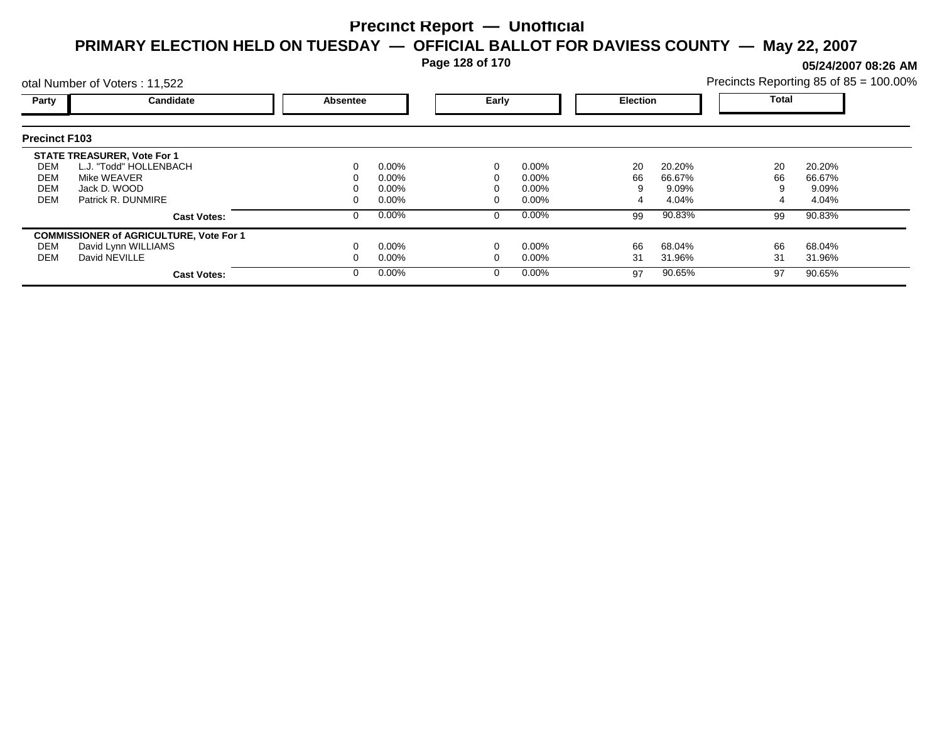**Page 128 of 170**

**05/24/2007 08:26 AM**

|                      | otal Number of Voters: 11,522                  |          |          |   |          |    | Precincts Reporting 85 of 85 = 100.00% |              |        |  |
|----------------------|------------------------------------------------|----------|----------|---|----------|----|----------------------------------------|--------------|--------|--|
| Party                | Candidate                                      | Absentee |          |   | Early    |    | <b>Election</b>                        | <b>Total</b> |        |  |
| <b>Precinct F103</b> |                                                |          |          |   |          |    |                                        |              |        |  |
|                      | <b>STATE TREASURER, Vote For 1</b>             |          |          |   |          |    |                                        |              |        |  |
| DEM                  | L.J. "Todd" HOLLENBACH                         | 0        | $0.00\%$ |   | 0.00%    | 20 | 20.20%                                 | 20           | 20.20% |  |
| DEM                  | Mike WEAVER                                    |          | $0.00\%$ |   | $0.00\%$ | 66 | 66.67%                                 | 66           | 66.67% |  |
| DEM                  | Jack D. WOOD                                   |          | $0.00\%$ |   | $0.00\%$ |    | 9.09%                                  |              | 9.09%  |  |
| <b>DEM</b>           | Patrick R. DUNMIRE                             | 0        | $0.00\%$ |   | $0.00\%$ |    | 4.04%                                  |              | 4.04%  |  |
|                      | <b>Cast Votes:</b>                             | 0        | $0.00\%$ | 0 | 0.00%    | 99 | 90.83%                                 | 99           | 90.83% |  |
|                      | <b>COMMISSIONER of AGRICULTURE, Vote For 1</b> |          |          |   |          |    |                                        |              |        |  |
| DEM                  | David Lynn WILLIAMS                            |          | $0.00\%$ |   | 0.00%    | 66 | 68.04%                                 | 66           | 68.04% |  |
| DEM                  | David NEVILLE                                  |          | $0.00\%$ |   | 0.00%    | 31 | 31.96%                                 | 31           | 31.96% |  |
|                      | <b>Cast Votes:</b>                             | $\Omega$ | $0.00\%$ |   | 0.00%    | 97 | 90.65%                                 | 97           | 90.65% |  |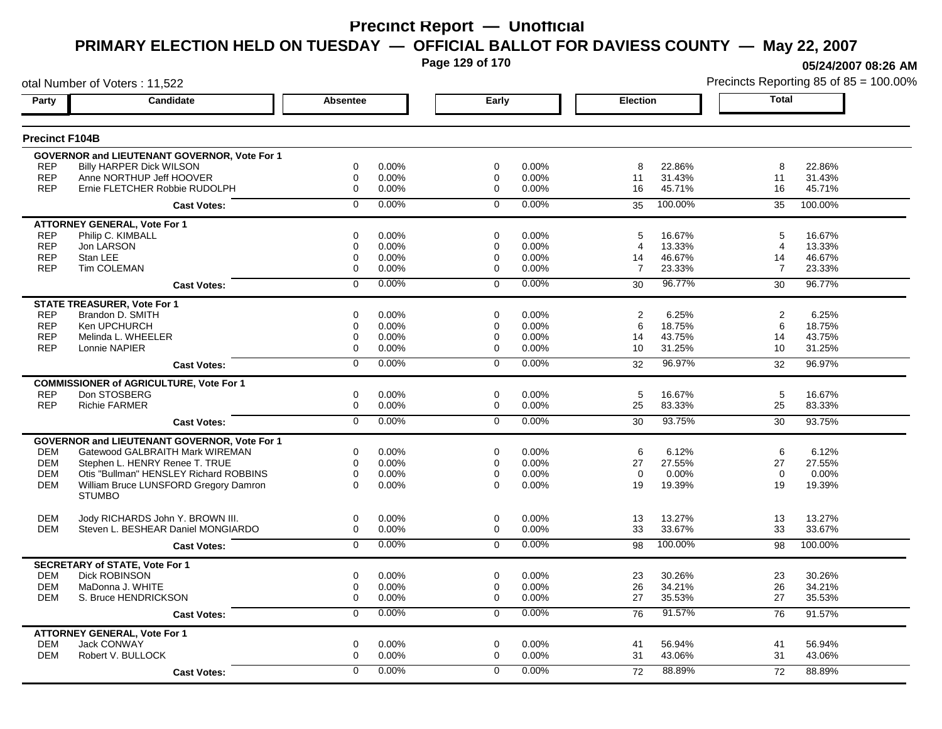**Page 129 of 170**

**05/24/2007 08:26 AM**

| otal Number of Voters: 11,522 |                                                |                |       |                |       |                 |         |                | Precincts Reporting 85 of 85 = 100.009 |
|-------------------------------|------------------------------------------------|----------------|-------|----------------|-------|-----------------|---------|----------------|----------------------------------------|
| Party                         | Candidate                                      | Absentee       |       | Early          |       | <b>Election</b> |         | <b>Total</b>   |                                        |
| <b>Precinct F104B</b>         |                                                |                |       |                |       |                 |         |                |                                        |
|                               | GOVERNOR and LIEUTENANT GOVERNOR, Vote For 1   |                |       |                |       |                 |         |                |                                        |
| <b>REP</b>                    | <b>Billy HARPER Dick WILSON</b>                | 0              | 0.00% | 0              | 0.00% | 8               | 22.86%  | 8              | 22.86%                                 |
| <b>REP</b>                    | Anne NORTHUP Jeff HOOVER                       | $\mathbf 0$    | 0.00% | 0              | 0.00% | 11              | 31.43%  | 11             | 31.43%                                 |
| <b>REP</b>                    | Ernie FLETCHER Robbie RUDOLPH                  | $\mathbf 0$    | 0.00% | $\mathbf 0$    | 0.00% | 16              | 45.71%  | 16             | 45.71%                                 |
|                               | <b>Cast Votes:</b>                             | $\mathbf 0$    | 0.00% | $\mathbf 0$    | 0.00% | 35              | 100.00% | 35             | 100.00%                                |
|                               | <b>ATTORNEY GENERAL, Vote For 1</b>            |                |       |                |       |                 |         |                |                                        |
| <b>REP</b>                    | Philip C. KIMBALL                              | $\mathbf 0$    | 0.00% | $\mathbf 0$    | 0.00% | 5               | 16.67%  | 5              | 16.67%                                 |
| <b>REP</b>                    | Jon LARSON                                     | 0              | 0.00% | $\mathbf 0$    | 0.00% | $\overline{4}$  | 13.33%  | 4              | 13.33%                                 |
| <b>REP</b>                    | Stan LEE                                       | $\mathbf 0$    | 0.00% | $\mathbf 0$    | 0.00% | 14              | 46.67%  | 14             | 46.67%                                 |
| <b>REP</b>                    | <b>Tim COLEMAN</b>                             | $\mathbf 0$    | 0.00% | $\mathbf 0$    | 0.00% | $\overline{7}$  | 23.33%  | $\overline{7}$ | 23.33%                                 |
|                               | <b>Cast Votes:</b>                             | $\mathbf 0$    | 0.00% | $\mathbf 0$    | 0.00% | 30              | 96.77%  | 30             | 96.77%                                 |
|                               | <b>STATE TREASURER, Vote For 1</b>             |                |       |                |       |                 |         |                |                                        |
| <b>REP</b>                    | Brandon D. SMITH                               | $\mathbf 0$    | 0.00% | $\mathbf 0$    | 0.00% | $\mathbf{2}$    | 6.25%   | $\overline{2}$ | 6.25%                                  |
| <b>REP</b>                    | Ken UPCHURCH                                   | $\mathbf 0$    | 0.00% | $\mathbf 0$    | 0.00% | 6               | 18.75%  | 6              | 18.75%                                 |
| <b>REP</b>                    | Melinda L. WHEELER                             | $\mathbf 0$    | 0.00% | $\mathbf 0$    | 0.00% | 14              | 43.75%  | 14             | 43.75%                                 |
| <b>REP</b>                    | Lonnie NAPIER                                  | $\Omega$       | 0.00% | $\mathbf 0$    | 0.00% | 10              | 31.25%  | 10             | 31.25%                                 |
|                               | <b>Cast Votes:</b>                             | $\overline{0}$ | 0.00% | $\overline{0}$ | 0.00% | 32              | 96.97%  | 32             | 96.97%                                 |
|                               | <b>COMMISSIONER of AGRICULTURE, Vote For 1</b> |                |       |                |       |                 |         |                |                                        |
| <b>REP</b>                    | Don STOSBERG                                   | 0              | 0.00% | $\mathbf 0$    | 0.00% | 5               | 16.67%  | 5              | 16.67%                                 |
| <b>REP</b>                    | <b>Richie FARMER</b>                           | 0              | 0.00% | $\mathbf 0$    | 0.00% | 25              | 83.33%  | 25             | 83.33%                                 |
|                               | <b>Cast Votes:</b>                             | $\overline{0}$ | 0.00% | $\overline{0}$ | 0.00% | 30              | 93.75%  | 30             | 93.75%                                 |
|                               | GOVERNOR and LIEUTENANT GOVERNOR, Vote For 1   |                |       |                |       |                 |         |                |                                        |
| DEM                           | Gatewood GALBRAITH Mark WIREMAN                | 0              | 0.00% | 0              | 0.00% | 6               | 6.12%   | 6              | 6.12%                                  |
| <b>DEM</b>                    | Stephen L. HENRY Renee T. TRUE                 | $\mathbf 0$    | 0.00% | $\mathbf 0$    | 0.00% | 27              | 27.55%  | 27             | 27.55%                                 |
| <b>DEM</b>                    | Otis "Bullman" HENSLEY Richard ROBBINS         | 0              | 0.00% | $\mathbf 0$    | 0.00% | $\mathbf 0$     | 0.00%   | $\mathbf 0$    | 0.00%                                  |
| <b>DEM</b>                    | William Bruce LUNSFORD Gregory Damron          | $\Omega$       | 0.00% | $\Omega$       | 0.00% | 19              | 19.39%  | 19             | 19.39%                                 |
|                               | <b>STUMBO</b>                                  |                |       |                |       |                 |         |                |                                        |
| <b>DEM</b>                    | Jody RICHARDS John Y. BROWN III.               | 0              | 0.00% | $\mathbf 0$    | 0.00% | 13              | 13.27%  | 13             | 13.27%                                 |
| <b>DEM</b>                    | Steven L. BESHEAR Daniel MONGIARDO             | 0              | 0.00% | 0              | 0.00% | 33              | 33.67%  | 33             | 33.67%                                 |
|                               | <b>Cast Votes:</b>                             | $\mathbf 0$    | 0.00% | $\mathbf 0$    | 0.00% | 98              | 100.00% | 98             | 100.00%                                |
|                               | <b>SECRETARY of STATE, Vote For 1</b>          |                |       |                |       |                 |         |                |                                        |
| <b>DEM</b>                    | <b>Dick ROBINSON</b>                           | 0              | 0.00% | 0              | 0.00% | 23              | 30.26%  | 23             | 30.26%                                 |
| <b>DEM</b>                    | MaDonna J. WHITE                               | 0              | 0.00% | 0              | 0.00% | 26              | 34.21%  | 26             | 34.21%                                 |
| DEM                           | S. Bruce HENDRICKSON                           | $\mathbf 0$    | 0.00% | 0              | 0.00% | 27              | 35.53%  | 27             | 35.53%                                 |
|                               | <b>Cast Votes:</b>                             | 0              | 0.00% | $\mathbf 0$    | 0.00% | 76              | 91.57%  | 76             | 91.57%                                 |
|                               | <b>ATTORNEY GENERAL, Vote For 1</b>            |                |       |                |       |                 |         |                |                                        |
| <b>DEM</b>                    | Jack CONWAY                                    | $\mathbf 0$    | 0.00% | $\mathbf 0$    | 0.00% | 41              | 56.94%  | 41             | 56.94%                                 |
| <b>DEM</b>                    | Robert V. BULLOCK                              | $\mathbf 0$    | 0.00% | $\mathbf 0$    | 0.00% | 31              | 43.06%  | 31             | 43.06%                                 |
|                               | <b>Cast Votes:</b>                             | $\Omega$       | 0.00% | $\mathbf{0}$   | 0.00% | 72              | 88.89%  | 72             | 88.89%                                 |
|                               |                                                |                |       |                |       |                 |         |                |                                        |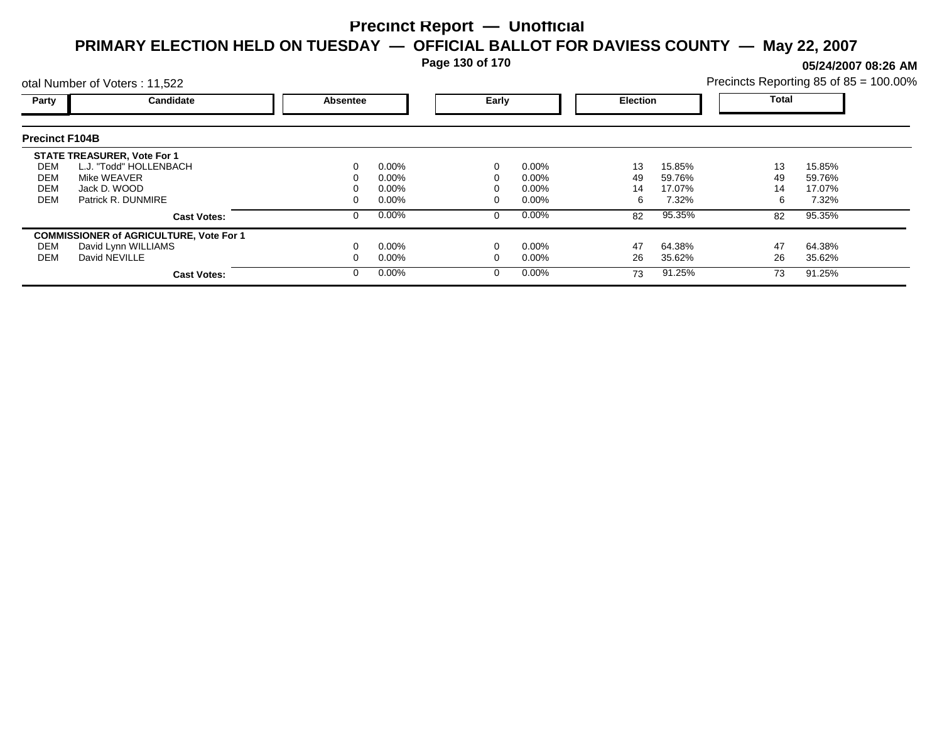**Page 130 of 170**

**05/24/2007 08:26 AM**

|                                        | otal Number of Voters: 11,522                                                                                     |          |                                              |       |                                              |                     |                                     | Precincts Reporting 85 of 85 = 100.00% |                                     |
|----------------------------------------|-------------------------------------------------------------------------------------------------------------------|----------|----------------------------------------------|-------|----------------------------------------------|---------------------|-------------------------------------|----------------------------------------|-------------------------------------|
| Party                                  | Candidate                                                                                                         | Absentee |                                              | Early |                                              | <b>Election</b>     |                                     | Total                                  |                                     |
| <b>Precinct F104B</b>                  |                                                                                                                   |          |                                              |       |                                              |                     |                                     |                                        |                                     |
| DEM<br><b>DEM</b><br><b>DEM</b><br>DEM | <b>STATE TREASURER, Vote For 1</b><br>L.J. "Todd" HOLLENBACH<br>Mike WEAVER<br>Jack D. WOOD<br>Patrick R. DUNMIRE |          | $0.00\%$<br>$0.00\%$<br>$0.00\%$<br>$0.00\%$ |       | $0.00\%$<br>$0.00\%$<br>$0.00\%$<br>$0.00\%$ | 13<br>49<br>14<br>6 | 15.85%<br>59.76%<br>17.07%<br>7.32% | 13<br>49<br>14<br>6                    | 15.85%<br>59.76%<br>17.07%<br>7.32% |
|                                        | <b>Cast Votes:</b>                                                                                                |          | 0.00%                                        |       | $0.00\%$                                     | 82                  | 95.35%                              | 82                                     | 95.35%                              |
| DEM<br><b>DEM</b>                      | <b>COMMISSIONER of AGRICULTURE, Vote For 1</b><br>David Lynn WILLIAMS<br>David NEVILLE<br><b>Cast Votes:</b>      |          | $0.00\%$<br>$0.00\%$<br>$0.00\%$             |       | $0.00\%$<br>$0.00\%$<br>$0.00\%$             | 47<br>26<br>73      | 64.38%<br>35.62%<br>91.25%          | 47<br>26<br>73                         | 64.38%<br>35.62%<br>91.25%          |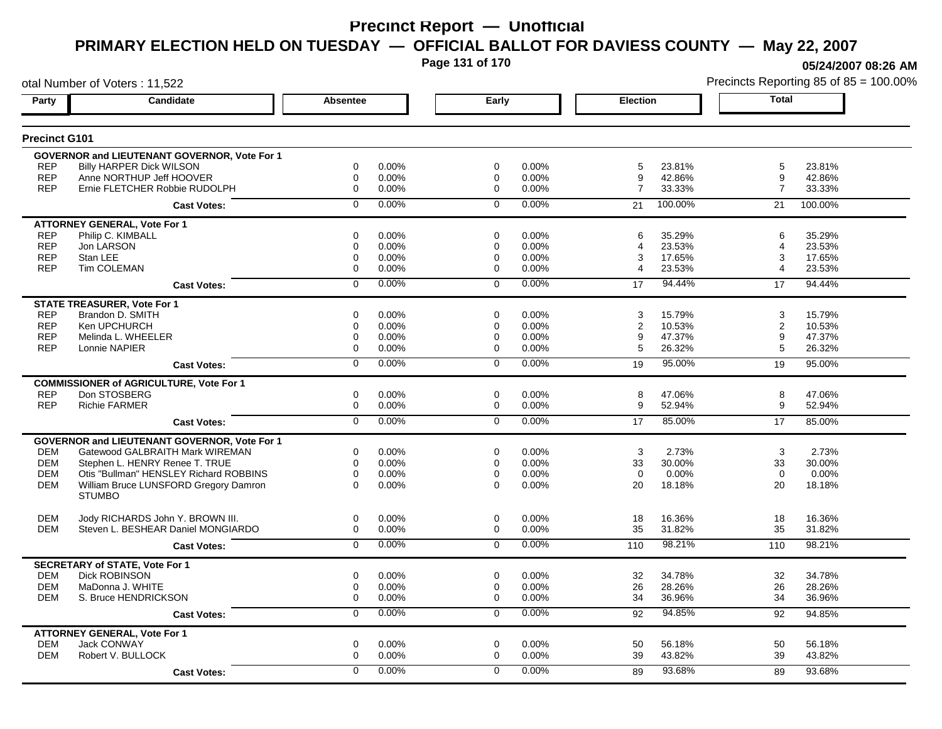**Page 131 of 170**

otal Number of Voters : 11,522

**05/24/2007 08:26 AM**

| Party                | Candidate                                              | <b>Absentee</b>         | Early          |       | <b>Election</b>                 | <b>Total</b>   |        |
|----------------------|--------------------------------------------------------|-------------------------|----------------|-------|---------------------------------|----------------|--------|
| <b>Precinct G101</b> |                                                        |                         |                |       |                                 |                |        |
|                      | <b>GOVERNOR and LIEUTENANT GOVERNOR, Vote For 1</b>    |                         |                |       |                                 |                |        |
| <b>REP</b>           | <b>Billy HARPER Dick WILSON</b>                        | 0.00%<br>0              | $\mathbf 0$    | 0.00% | 5<br>23.81%                     | 5              | 23.81% |
| <b>REP</b>           | Anne NORTHUP Jeff HOOVER                               | 0.00%<br>0              | $\mathbf 0$    | 0.00% | 42.86%<br>9                     | 9              | 42.86% |
| <b>REP</b>           | Ernie FLETCHER Robbie RUDOLPH                          | 0<br>0.00%              | 0              | 0.00% | $\overline{7}$<br>33.33%        | $\overline{7}$ | 33.33% |
|                      | <b>Cast Votes:</b>                                     | $0.00\%$<br>0           | $\Omega$       | 0.00% | 100.00%<br>21                   | 21<br>100.00%  |        |
|                      | <b>ATTORNEY GENERAL, Vote For 1</b>                    |                         |                |       |                                 |                |        |
| <b>REP</b>           | Philip C. KIMBALL                                      | 0.00%<br>0              | $\Omega$       | 0.00% | 35.29%<br>6                     | 6              | 35.29% |
| <b>REP</b>           | Jon LARSON                                             | $\mathbf 0$<br>0.00%    | $\mathbf 0$    | 0.00% | 23.53%<br>$\boldsymbol{\Delta}$ | 4              | 23.53% |
| <b>REP</b>           | Stan LEE                                               | 0.00%<br>0              | $\Omega$       | 0.00% | 17.65%<br>3                     | 3              | 17.65% |
| <b>REP</b>           | Tim COLEMAN                                            | 0<br>0.00%              | $\mathbf 0$    | 0.00% | 23.53%<br>4                     | 4              | 23.53% |
|                      | <b>Cast Votes:</b>                                     | 0.00%<br>0              | $\mathbf 0$    | 0.00% | 94.44%<br>17                    | 17             | 94.44% |
|                      | <b>STATE TREASURER, Vote For 1</b>                     |                         |                |       |                                 |                |        |
| <b>REP</b>           | Brandon D. SMITH                                       | 0<br>0.00%              | $\mathbf 0$    | 0.00% | 3<br>15.79%                     | 3              | 15.79% |
| <b>REP</b>           | Ken UPCHURCH                                           | $\mathbf 0$<br>0.00%    | 0              | 0.00% | $\overline{2}$<br>10.53%        | $\mathbf{2}$   | 10.53% |
| <b>REP</b>           | Melinda L. WHEELER                                     | 0<br>0.00%              | $\mathbf 0$    | 0.00% | 9<br>47.37%                     | 9              | 47.37% |
| <b>REP</b>           | Lonnie NAPIER                                          | 0.00%<br>0              | 0              | 0.00% | 5<br>26.32%                     | 5              | 26.32% |
|                      | <b>Cast Votes:</b>                                     | 0.00%<br>$\overline{0}$ | $\overline{0}$ | 0.00% | 95.00%<br>19                    | 19             | 95.00% |
|                      | <b>COMMISSIONER of AGRICULTURE, Vote For 1</b>         |                         |                |       |                                 |                |        |
| <b>REP</b>           | Don STOSBERG                                           | 0.00%<br>0              | $\mathbf 0$    | 0.00% | 8<br>47.06%                     | 8              | 47.06% |
| <b>REP</b>           | <b>Richie FARMER</b>                                   | 0.00%<br>0              | $\Omega$       | 0.00% | 9<br>52.94%                     | 9              | 52.94% |
|                      | <b>Cast Votes:</b>                                     | 0.00%<br>$\overline{0}$ | $\overline{0}$ | 0.00% | 85.00%<br>17                    | 17             | 85.00% |
|                      | GOVERNOR and LIEUTENANT GOVERNOR, Vote For 1           |                         |                |       |                                 |                |        |
| <b>DEM</b>           | Gatewood GALBRAITH Mark WIREMAN                        | 0<br>0.00%              | $\mathbf 0$    | 0.00% | 3<br>2.73%                      | 3              | 2.73%  |
| <b>DEM</b>           | Stephen L. HENRY Renee T. TRUE                         | 0<br>0.00%              | $\mathbf 0$    | 0.00% | 33<br>30.00%                    | 33             | 30.00% |
| <b>DEM</b>           | Otis "Bullman" HENSLEY Richard ROBBINS                 | 0<br>0.00%              | $\Omega$       | 0.00% | 0.00%<br>$\Omega$               | $\Omega$       | 0.00%  |
| <b>DEM</b>           | William Bruce LUNSFORD Gregory Damron<br><b>STUMBO</b> | $\mathbf 0$<br>0.00%    | $\Omega$       | 0.00% | 20<br>18.18%                    | 20             | 18.18% |
| <b>DEM</b>           | Jody RICHARDS John Y. BROWN III.                       | 0.00%<br>0              | $\mathbf 0$    | 0.00% | 18<br>16.36%                    | 18             | 16.36% |
| <b>DEM</b>           | Steven L. BESHEAR Daniel MONGIARDO                     | $\Omega$<br>0.00%       | $\Omega$       | 0.00% | 35<br>31.82%                    | 35             | 31.82% |
|                      | <b>Cast Votes:</b>                                     | $\Omega$<br>0.00%       | $\Omega$       | 0.00% | 98.21%<br>110                   | 110            | 98.21% |
|                      | <b>SECRETARY of STATE, Vote For 1</b>                  |                         |                |       |                                 |                |        |
| <b>DEM</b>           | <b>Dick ROBINSON</b>                                   | 0<br>0.00%              | $\mathbf 0$    | 0.00% | 32<br>34.78%                    | 32             | 34.78% |
| <b>DEM</b>           | MaDonna J. WHITE                                       | 0<br>0.00%              | $\mathbf 0$    | 0.00% | 26<br>28.26%                    | 26             | 28.26% |
| <b>DEM</b>           | S. Bruce HENDRICKSON                                   | 0<br>0.00%              | $\mathbf 0$    | 0.00% | 34<br>36.96%                    | 34             | 36.96% |
|                      | <b>Cast Votes:</b>                                     | 0.00%<br>$\mathbf 0$    | $\mathbf 0$    | 0.00% | 94.85%<br>92                    | 92             | 94.85% |
|                      | <b>ATTORNEY GENERAL, Vote For 1</b>                    |                         |                |       |                                 |                |        |
| <b>DEM</b>           | <b>Jack CONWAY</b>                                     | 0<br>0.00%              | $\mathbf 0$    | 0.00% | 50<br>56.18%                    | 50             | 56.18% |
| <b>DEM</b>           | Robert V. BULLOCK                                      | $\Omega$<br>0.00%       | $\Omega$       | 0.00% | 39<br>43.82%                    | 39             | 43.82% |
|                      | <b>Cast Votes:</b>                                     | 0.00%<br>0              | $\Omega$       | 0.00% | 93.68%<br>89                    | 89             | 93.68% |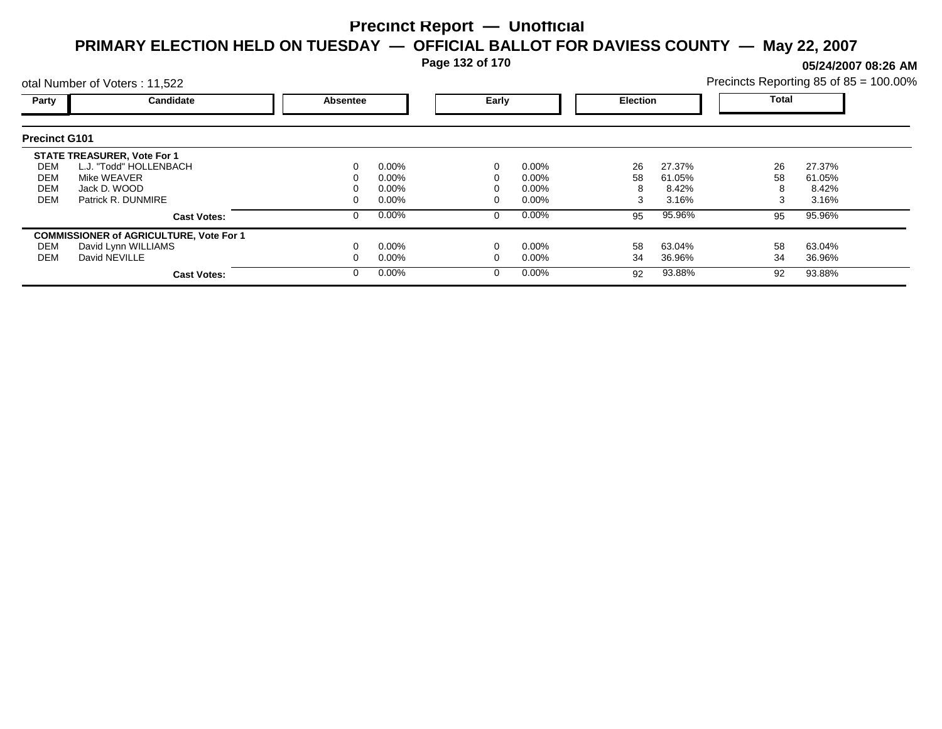**Page 132 of 170**

**05/24/2007 08:26 AM**

|                                        | otal Number of Voters: 11,522                                                                                     |          |                                     |       |                                     |                |                                    |                    | Precincts Reporting 85 of 85 = 100.00% |  |
|----------------------------------------|-------------------------------------------------------------------------------------------------------------------|----------|-------------------------------------|-------|-------------------------------------|----------------|------------------------------------|--------------------|----------------------------------------|--|
| Party                                  | Candidate                                                                                                         | Absentee |                                     | Early |                                     |                | <b>Election</b>                    |                    | <b>Total</b>                           |  |
| <b>Precinct G101</b>                   |                                                                                                                   |          |                                     |       |                                     |                |                                    |                    |                                        |  |
| DEM<br>DEM<br><b>DEM</b><br><b>DEM</b> | <b>STATE TREASURER, Vote For 1</b><br>L.J. "Todd" HOLLENBACH<br>Mike WEAVER<br>Jack D. WOOD<br>Patrick R. DUNMIRE |          | $0.00\%$<br>0.00%<br>0.00%<br>0.00% |       | $0.00\%$<br>0.00%<br>0.00%<br>0.00% | 26<br>58<br>3  | 27.37%<br>61.05%<br>8.42%<br>3.16% | 26<br>58<br>8<br>3 | 27.37%<br>61.05%<br>8.42%<br>3.16%     |  |
|                                        | <b>Cast Votes:</b>                                                                                                |          | $0.00\%$                            | 0     | $0.00\%$                            | 95             | 95.96%                             | 95                 | 95.96%                                 |  |
| DEM<br>DEM                             | <b>COMMISSIONER of AGRICULTURE, Vote For 1</b><br>David Lynn WILLIAMS<br>David NEVILLE<br><b>Cast Votes:</b>      |          | $0.00\%$<br>$0.00\%$<br>$0.00\%$    | 0     | 0.00%<br>0.00%<br>$0.00\%$          | 58<br>34<br>92 | 63.04%<br>36.96%<br>93.88%         | 58<br>34<br>92     | 63.04%<br>36.96%<br>93.88%             |  |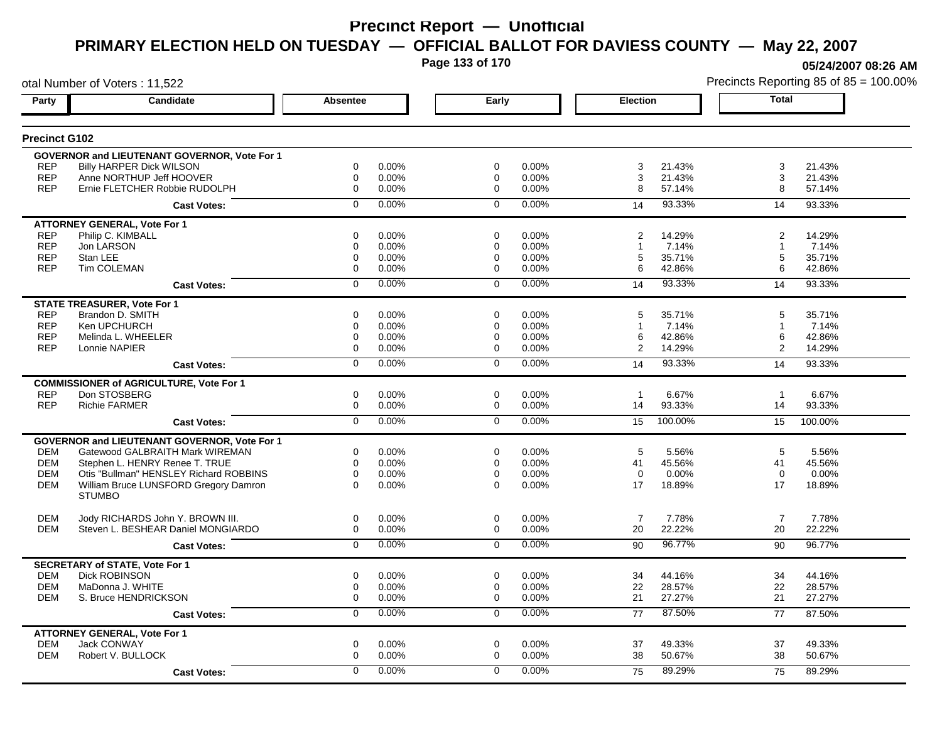**Page 133 of 170**

**05/24/2007 08:26 AM**

| otal Number of Voters: 11,522 |                                                     |                 |                |                |       |                 | Precincts Reporting 85 of 85 = 100.009 |                |         |
|-------------------------------|-----------------------------------------------------|-----------------|----------------|----------------|-------|-----------------|----------------------------------------|----------------|---------|
| Party                         | <b>Candidate</b>                                    | <b>Absentee</b> |                | Early          |       | <b>Election</b> |                                        | <b>Total</b>   |         |
| <b>Precinct G102</b>          |                                                     |                 |                |                |       |                 |                                        |                |         |
|                               | <b>GOVERNOR and LIEUTENANT GOVERNOR, Vote For 1</b> |                 |                |                |       |                 |                                        |                |         |
| <b>REP</b>                    | <b>Billy HARPER Dick WILSON</b>                     | 0               | 0.00%          | 0              | 0.00% | 3               | 21.43%                                 | 3              | 21.43%  |
| <b>REP</b>                    | Anne NORTHUP Jeff HOOVER                            | $\mathbf 0$     | 0.00%          | $\mathbf 0$    | 0.00% | 3               | 21.43%                                 | 3              | 21.43%  |
| <b>REP</b>                    | Ernie FLETCHER Robbie RUDOLPH                       | 0               | 0.00%          | $\mathbf 0$    | 0.00% | 8               | 57.14%                                 | 8              | 57.14%  |
|                               | <b>Cast Votes:</b>                                  | $\mathbf 0$     | 0.00%          | $\mathbf 0$    | 0.00% | 14              | 93.33%                                 | 14             | 93.33%  |
|                               | <b>ATTORNEY GENERAL, Vote For 1</b>                 |                 |                |                |       |                 |                                        |                |         |
| <b>REP</b>                    | Philip C. KIMBALL                                   | 0               | 0.00%          | 0              | 0.00% | 2               | 14.29%                                 | $\overline{2}$ | 14.29%  |
| <b>REP</b>                    | Jon LARSON                                          | $\mathbf 0$     | 0.00%          | 0              | 0.00% | $\mathbf 1$     | 7.14%                                  | -1             | 7.14%   |
| <b>REP</b><br><b>REP</b>      | Stan LEE<br>Tim COLEMAN                             | 0<br>0          | 0.00%<br>0.00% | 0<br>0         | 0.00% | 5<br>6          | 35.71%                                 | 5<br>6         | 35.71%  |
|                               |                                                     |                 |                |                | 0.00% |                 | 42.86%                                 |                | 42.86%  |
|                               | <b>Cast Votes:</b>                                  | 0               | 0.00%          | $\mathbf 0$    | 0.00% | 14              | 93.33%                                 | 14             | 93.33%  |
|                               | <b>STATE TREASURER, Vote For 1</b>                  |                 |                |                |       |                 |                                        |                |         |
| <b>REP</b>                    | Brandon D. SMITH                                    | 0               | 0.00%          | 0              | 0.00% | 5               | 35.71%                                 | 5              | 35.71%  |
| <b>REP</b>                    | Ken UPCHURCH                                        | 0               | 0.00%          | $\mathbf 0$    | 0.00% | $\mathbf{1}$    | 7.14%                                  | $\overline{1}$ | 7.14%   |
| <b>REP</b>                    | Melinda L. WHEELER                                  | 0               | 0.00%          | 0              | 0.00% | 6               | 42.86%                                 | 6              | 42.86%  |
| <b>REP</b>                    | Lonnie NAPIER                                       | $\mathbf 0$     | 0.00%          | $\mathbf 0$    | 0.00% | 2               | 14.29%                                 | $\overline{2}$ | 14.29%  |
|                               | <b>Cast Votes:</b>                                  | $\overline{0}$  | 0.00%          | $\overline{0}$ | 0.00% | 14              | 93.33%                                 | 14             | 93.33%  |
|                               | <b>COMMISSIONER of AGRICULTURE, Vote For 1</b>      |                 |                |                |       |                 |                                        |                |         |
| <b>REP</b>                    | Don STOSBERG                                        | 0               | 0.00%          | 0              | 0.00% | $\mathbf{1}$    | 6.67%                                  | $\overline{1}$ | 6.67%   |
| <b>REP</b>                    | <b>Richie FARMER</b>                                | $\pmb{0}$       | 0.00%          | 0              | 0.00% | 14              | 93.33%                                 | 14             | 93.33%  |
|                               | <b>Cast Votes:</b>                                  | 0               | 0.00%          | $\mathbf 0$    | 0.00% | 15              | 100.00%                                | 15             | 100.00% |
|                               | <b>GOVERNOR and LIEUTENANT GOVERNOR, Vote For 1</b> |                 |                |                |       |                 |                                        |                |         |
| <b>DEM</b>                    | Gatewood GALBRAITH Mark WIREMAN                     | $\mathbf 0$     | 0.00%          | $\mathbf 0$    | 0.00% | 5               | 5.56%                                  | 5              | 5.56%   |
| <b>DEM</b>                    | Stephen L. HENRY Renee T. TRUE                      | 0               | 0.00%          | 0              | 0.00% | 41              | 45.56%                                 | 41             | 45.56%  |
| <b>DEM</b>                    | Otis "Bullman" HENSLEY Richard ROBBINS              | 0               | 0.00%          | $\mathbf 0$    | 0.00% | $\mathbf 0$     | 0.00%                                  | $\mathbf 0$    | 0.00%   |
| <b>DEM</b>                    | William Bruce LUNSFORD Gregory Damron               | $\Omega$        | 0.00%          | $\Omega$       | 0.00% | 17              | 18.89%                                 | 17             | 18.89%  |
|                               | <b>STUMBO</b>                                       |                 |                |                |       |                 |                                        |                |         |
| <b>DEM</b>                    | Jody RICHARDS John Y. BROWN III.                    | 0               | 0.00%          | 0              | 0.00% | $\overline{7}$  | 7.78%                                  | $\overline{7}$ | 7.78%   |
| <b>DEM</b>                    | Steven L. BESHEAR Daniel MONGIARDO                  | 0               | 0.00%          | 0              | 0.00% | 20              | 22.22%                                 | 20             | 22.22%  |
|                               | <b>Cast Votes:</b>                                  | $\mathbf 0$     | 0.00%          | $\mathbf 0$    | 0.00% | 90              | 96.77%                                 | 90             | 96.77%  |
|                               | <b>SECRETARY of STATE, Vote For 1</b>               |                 |                |                |       |                 |                                        |                |         |
| <b>DEM</b>                    | <b>Dick ROBINSON</b>                                | $\mathbf 0$     | 0.00%          | $\mathbf 0$    | 0.00% | 34              | 44.16%                                 | 34             | 44.16%  |
| <b>DEM</b>                    | MaDonna J. WHITE                                    | 0               | 0.00%          | 0              | 0.00% | 22              | 28.57%                                 | 22             | 28.57%  |
| <b>DEM</b>                    | S. Bruce HENDRICKSON                                | $\mathbf 0$     | 0.00%          | 0              | 0.00% | 21              | 27.27%                                 | 21             | 27.27%  |
|                               | <b>Cast Votes:</b>                                  | $\overline{0}$  | 0.00%          | $\overline{0}$ | 0.00% | 77              | 87.50%                                 | 77             | 87.50%  |
|                               | <b>ATTORNEY GENERAL, Vote For 1</b>                 |                 |                |                |       |                 |                                        |                |         |
| <b>DEM</b>                    | Jack CONWAY                                         | 0               | 0.00%          | 0              | 0.00% | 37              | 49.33%                                 | 37             | 49.33%  |
| <b>DEM</b>                    | Robert V. BULLOCK                                   | $\mathbf 0$     | 0.00%          | $\mathbf 0$    | 0.00% | 38              | 50.67%                                 | 38             | 50.67%  |
|                               | <b>Cast Votes:</b>                                  | $\Omega$        | 0.00%          | $\Omega$       | 0.00% | 75              | 89.29%                                 | 75             | 89.29%  |
|                               |                                                     |                 |                |                |       |                 |                                        |                |         |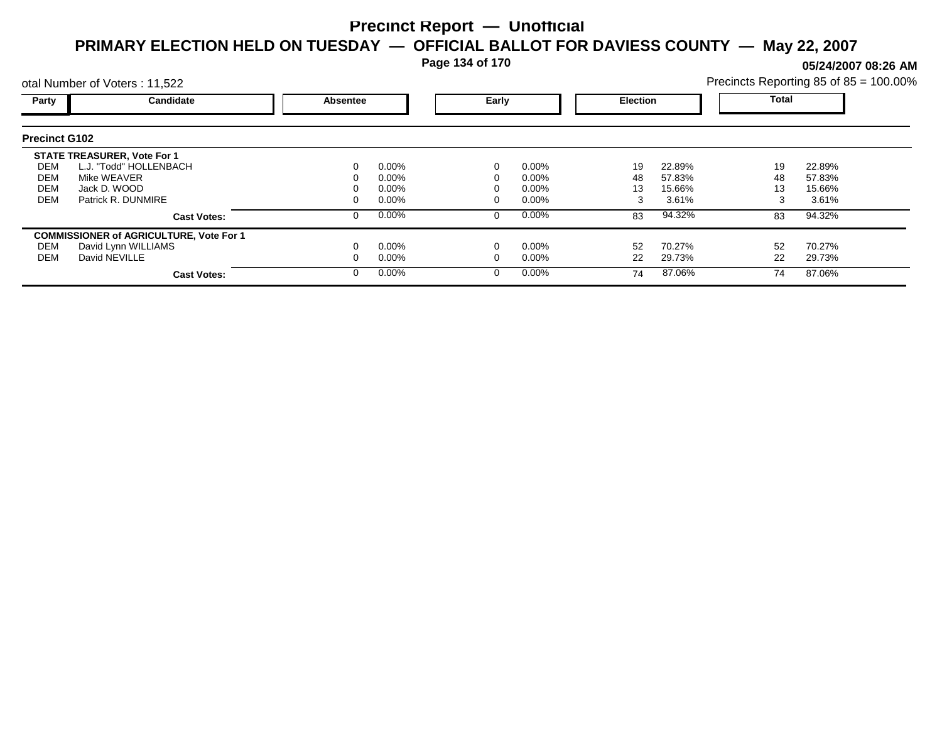**Page 134 of 170**

**05/24/2007 08:26 AM**

|                      | otal Number of Voters: 11,522                  |          |          |       |          |                 |        | Precincts Reporting 85 of 85 = 100.00% |        |  |
|----------------------|------------------------------------------------|----------|----------|-------|----------|-----------------|--------|----------------------------------------|--------|--|
| Party                | Candidate                                      | Absentee |          | Early |          | <b>Election</b> |        | Total                                  |        |  |
| <b>Precinct G102</b> |                                                |          |          |       |          |                 |        |                                        |        |  |
|                      | <b>STATE TREASURER, Vote For 1</b>             |          |          |       |          |                 |        |                                        |        |  |
| DEM                  | L.J. "Todd" HOLLENBACH                         |          | $0.00\%$ |       | $0.00\%$ | 19              | 22.89% | 19                                     | 22.89% |  |
| DEM                  | Mike WEAVER                                    |          | $0.00\%$ |       | $0.00\%$ | 48              | 57.83% | 48                                     | 57.83% |  |
| <b>DEM</b>           | Jack D. WOOD                                   |          | $0.00\%$ |       | $0.00\%$ | 13              | 15.66% | 13                                     | 15.66% |  |
| <b>DEM</b>           | Patrick R. DUNMIRE                             |          | $0.00\%$ |       | $0.00\%$ | 3               | 3.61%  |                                        | 3.61%  |  |
|                      | <b>Cast Votes:</b>                             |          | $0.00\%$ |       | $0.00\%$ | 83              | 94.32% | 83                                     | 94.32% |  |
|                      | <b>COMMISSIONER of AGRICULTURE, Vote For 1</b> |          |          |       |          |                 |        |                                        |        |  |
| DEM                  | David Lynn WILLIAMS                            |          | $0.00\%$ |       | $0.00\%$ | 52              | 70.27% | 52                                     | 70.27% |  |
| DEM                  | David NEVILLE                                  |          | $0.00\%$ |       | $0.00\%$ | 22              | 29.73% | 22                                     | 29.73% |  |
|                      | <b>Cast Votes:</b>                             |          | $0.00\%$ |       | $0.00\%$ | 74              | 87.06% | 74                                     | 87.06% |  |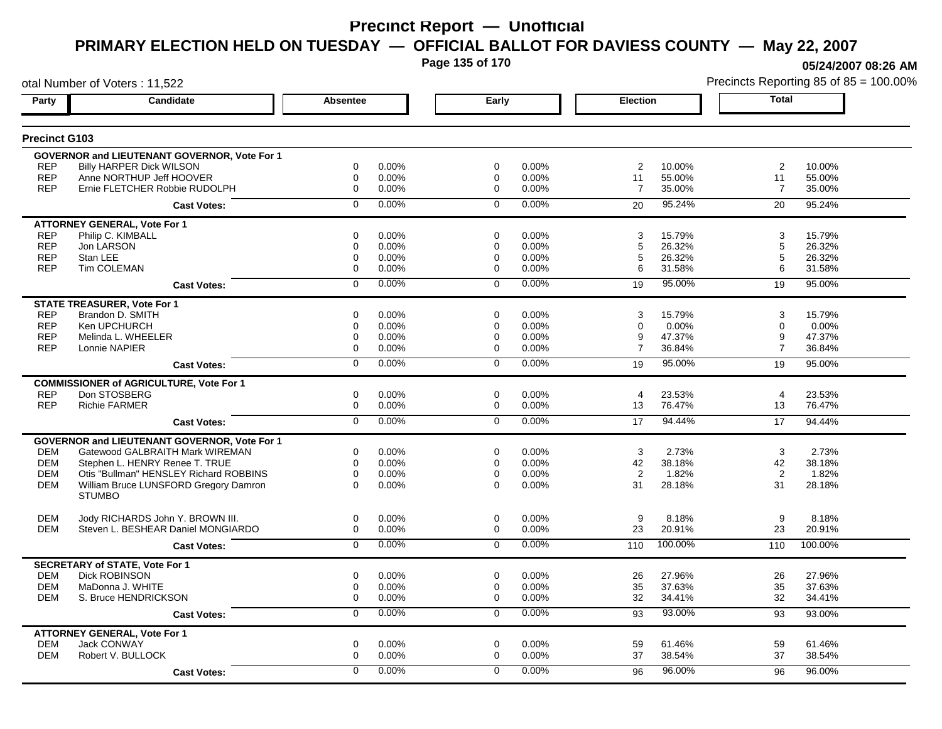**Page 135 of 170**

**05/24/2007 08:26 AM**

| otal Number of Voters: 11,522 |                                                     |                 |       |                |       |                 |         | Precincts Reporting 85 of 85 = 100.009 |         |
|-------------------------------|-----------------------------------------------------|-----------------|-------|----------------|-------|-----------------|---------|----------------------------------------|---------|
| Party                         | <b>Candidate</b>                                    | <b>Absentee</b> |       | Early          |       | <b>Election</b> |         | <b>Total</b>                           |         |
| <b>Precinct G103</b>          |                                                     |                 |       |                |       |                 |         |                                        |         |
|                               | GOVERNOR and LIEUTENANT GOVERNOR, Vote For 1        |                 |       |                |       |                 |         |                                        |         |
| <b>REP</b>                    | Billy HARPER Dick WILSON                            | 0               | 0.00% | $\mathbf 0$    | 0.00% | $\overline{2}$  | 10.00%  | 2                                      | 10.00%  |
| <b>REP</b>                    | Anne NORTHUP Jeff HOOVER                            | $\mathbf 0$     | 0.00% | $\mathbf 0$    | 0.00% | 11              | 55.00%  | 11                                     | 55.00%  |
| <b>REP</b>                    | Ernie FLETCHER Robbie RUDOLPH                       | $\mathbf 0$     | 0.00% | $\mathbf 0$    | 0.00% | $\overline{7}$  | 35.00%  | $\overline{7}$                         | 35.00%  |
|                               | <b>Cast Votes:</b>                                  | $\mathbf 0$     | 0.00% | $\mathbf 0$    | 0.00% | 20              | 95.24%  | 20                                     | 95.24%  |
|                               | <b>ATTORNEY GENERAL, Vote For 1</b>                 |                 |       |                |       |                 |         |                                        |         |
| <b>REP</b>                    | Philip C. KIMBALL                                   | 0               | 0.00% | 0              | 0.00% | 3               | 15.79%  | 3                                      | 15.79%  |
| <b>REP</b>                    | Jon LARSON                                          | 0               | 0.00% | 0              | 0.00% | 5               | 26.32%  | 5                                      | 26.32%  |
| <b>REP</b>                    | Stan LEE                                            | 0               | 0.00% | 0              | 0.00% | 5               | 26.32%  | 5                                      | 26.32%  |
| <b>REP</b>                    | Tim COLEMAN                                         | 0               | 0.00% | 0              | 0.00% | 6               | 31.58%  | 6                                      | 31.58%  |
|                               | <b>Cast Votes:</b>                                  | $\mathbf 0$     | 0.00% | $\mathbf 0$    | 0.00% | 19              | 95.00%  | 19                                     | 95.00%  |
|                               | <b>STATE TREASURER, Vote For 1</b>                  |                 |       |                |       |                 |         |                                        |         |
| <b>REP</b>                    | Brandon D. SMITH                                    | $\mathbf 0$     | 0.00% | $\Omega$       | 0.00% | 3               | 15.79%  | 3                                      | 15.79%  |
| <b>REP</b>                    | Ken UPCHURCH                                        | 0               | 0.00% | 0              | 0.00% | 0               | 0.00%   | 0                                      | 0.00%   |
| <b>REP</b>                    | Melinda L. WHEELER                                  | $\pmb{0}$       | 0.00% | 0              | 0.00% | 9               | 47.37%  | 9                                      | 47.37%  |
| <b>REP</b>                    | Lonnie NAPIER                                       | $\mathbf 0$     | 0.00% | 0              | 0.00% | $\overline{7}$  | 36.84%  | 7                                      | 36.84%  |
|                               | <b>Cast Votes:</b>                                  | $\overline{0}$  | 0.00% | $\mathbf 0$    | 0.00% | 19              | 95.00%  | 19                                     | 95.00%  |
|                               | <b>COMMISSIONER of AGRICULTURE, Vote For 1</b>      |                 |       |                |       |                 |         |                                        |         |
| <b>REP</b>                    | Don STOSBERG                                        | 0               | 0.00% | 0              | 0.00% | 4               | 23.53%  | 4                                      | 23.53%  |
| <b>REP</b>                    | <b>Richie FARMER</b>                                | 0               | 0.00% | $\mathbf 0$    | 0.00% | 13              | 76.47%  | 13                                     | 76.47%  |
|                               | <b>Cast Votes:</b>                                  | $\overline{0}$  | 0.00% | $\overline{0}$ | 0.00% | 17              | 94.44%  | 17                                     | 94.44%  |
|                               | <b>GOVERNOR and LIEUTENANT GOVERNOR, Vote For 1</b> |                 |       |                |       |                 |         |                                        |         |
| DEM                           | Gatewood GALBRAITH Mark WIREMAN                     | 0               | 0.00% | 0              | 0.00% | 3               | 2.73%   | 3                                      | 2.73%   |
| <b>DEM</b>                    | Stephen L. HENRY Renee T. TRUE                      | $\mathbf 0$     | 0.00% | 0              | 0.00% | 42              | 38.18%  | 42                                     | 38.18%  |
| <b>DEM</b>                    | Otis "Bullman" HENSLEY Richard ROBBINS              | $\mathbf 0$     | 0.00% | $\mathbf 0$    | 0.00% | 2               | 1.82%   | 2                                      | 1.82%   |
| <b>DEM</b>                    | William Bruce LUNSFORD Gregory Damron               | $\Omega$        | 0.00% | $\Omega$       | 0.00% | 31              | 28.18%  | 31                                     | 28.18%  |
|                               | <b>STUMBO</b>                                       |                 |       |                |       |                 |         |                                        |         |
| <b>DEM</b>                    | Jody RICHARDS John Y. BROWN III.                    | 0               | 0.00% | 0              | 0.00% | 9               | 8.18%   | 9                                      | 8.18%   |
| <b>DEM</b>                    | Steven L. BESHEAR Daniel MONGIARDO                  | 0               | 0.00% | 0              | 0.00% | 23              | 20.91%  | 23                                     | 20.91%  |
|                               | <b>Cast Votes:</b>                                  | $\overline{0}$  | 0.00% | $\mathbf 0$    | 0.00% | 110             | 100.00% | 110                                    | 100.00% |
|                               | <b>SECRETARY of STATE, Vote For 1</b>               |                 |       |                |       |                 |         |                                        |         |
| <b>DEM</b>                    | <b>Dick ROBINSON</b>                                | 0               | 0.00% | $\mathbf 0$    | 0.00% | 26              | 27.96%  | 26                                     | 27.96%  |
| <b>DEM</b>                    | MaDonna J. WHITE                                    | 0               | 0.00% | $\mathbf 0$    | 0.00% | 35              | 37.63%  | 35                                     | 37.63%  |
| <b>DEM</b>                    | S. Bruce HENDRICKSON                                | 0               | 0.00% | 0              | 0.00% | 32              | 34.41%  | 32                                     | 34.41%  |
|                               | <b>Cast Votes:</b>                                  | $\mathbf 0$     | 0.00% | $\mathbf 0$    | 0.00% | 93              | 93.00%  | 93                                     | 93.00%  |
|                               | <b>ATTORNEY GENERAL, Vote For 1</b>                 |                 |       |                |       |                 |         |                                        |         |
| <b>DEM</b>                    | Jack CONWAY                                         | 0               | 0.00% | 0              | 0.00% | 59              | 61.46%  | 59                                     | 61.46%  |
| <b>DEM</b>                    | Robert V. BULLOCK                                   | $\mathbf 0$     | 0.00% | $\mathbf 0$    | 0.00% | 37              | 38.54%  | 37                                     | 38.54%  |
|                               | <b>Cast Votes:</b>                                  | $\Omega$        | 0.00% | 0              | 0.00% | 96              | 96.00%  | 96                                     | 96.00%  |
|                               |                                                     |                 |       |                |       |                 |         |                                        |         |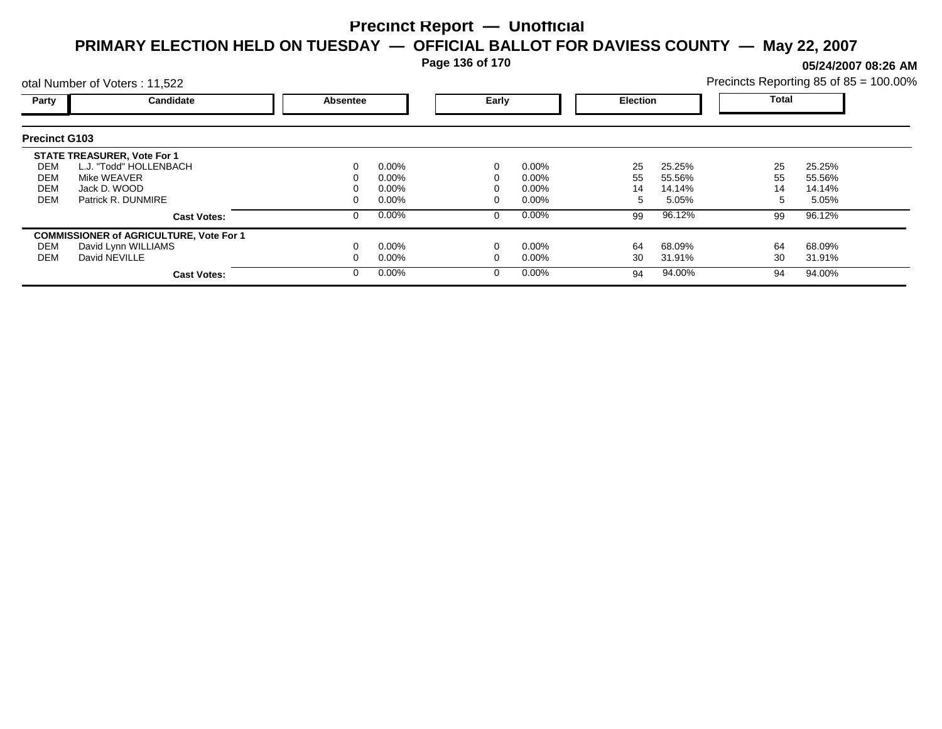**Page 136 of 170**

**05/24/2007 08:26 AM**

|                                        | otal Number of Voters: 11,522                                                                                     |          |                                              |       |                                              |                     |                                     |                | Precincts Reporting 85 of 85 = 100.00% |
|----------------------------------------|-------------------------------------------------------------------------------------------------------------------|----------|----------------------------------------------|-------|----------------------------------------------|---------------------|-------------------------------------|----------------|----------------------------------------|
| Party                                  | Candidate                                                                                                         | Absentee |                                              | Early |                                              | <b>Election</b>     |                                     | Total          |                                        |
| <b>Precinct G103</b>                   |                                                                                                                   |          |                                              |       |                                              |                     |                                     |                |                                        |
| DEM<br>DEM<br><b>DEM</b><br><b>DEM</b> | <b>STATE TREASURER, Vote For 1</b><br>L.J. "Todd" HOLLENBACH<br>Mike WEAVER<br>Jack D. WOOD<br>Patrick R. DUNMIRE |          | $0.00\%$<br>$0.00\%$<br>$0.00\%$<br>$0.00\%$ |       | $0.00\%$<br>$0.00\%$<br>$0.00\%$<br>$0.00\%$ | 25<br>55<br>14<br>5 | 25.25%<br>55.56%<br>14.14%<br>5.05% | 25<br>55<br>14 | 25.25%<br>55.56%<br>14.14%<br>5.05%    |
|                                        | <b>Cast Votes:</b>                                                                                                |          | $0.00\%$                                     |       | $0.00\%$                                     | 99                  | 96.12%                              | 99             | 96.12%                                 |
| DEM<br>DEM                             | <b>COMMISSIONER of AGRICULTURE, Vote For 1</b><br>David Lynn WILLIAMS<br>David NEVILLE<br><b>Cast Votes:</b>      |          | $0.00\%$<br>$0.00\%$<br>$0.00\%$             |       | $0.00\%$<br>$0.00\%$<br>$0.00\%$             | 64<br>30<br>94      | 68.09%<br>31.91%<br>94.00%          | 64<br>30<br>94 | 68.09%<br>31.91%<br>94.00%             |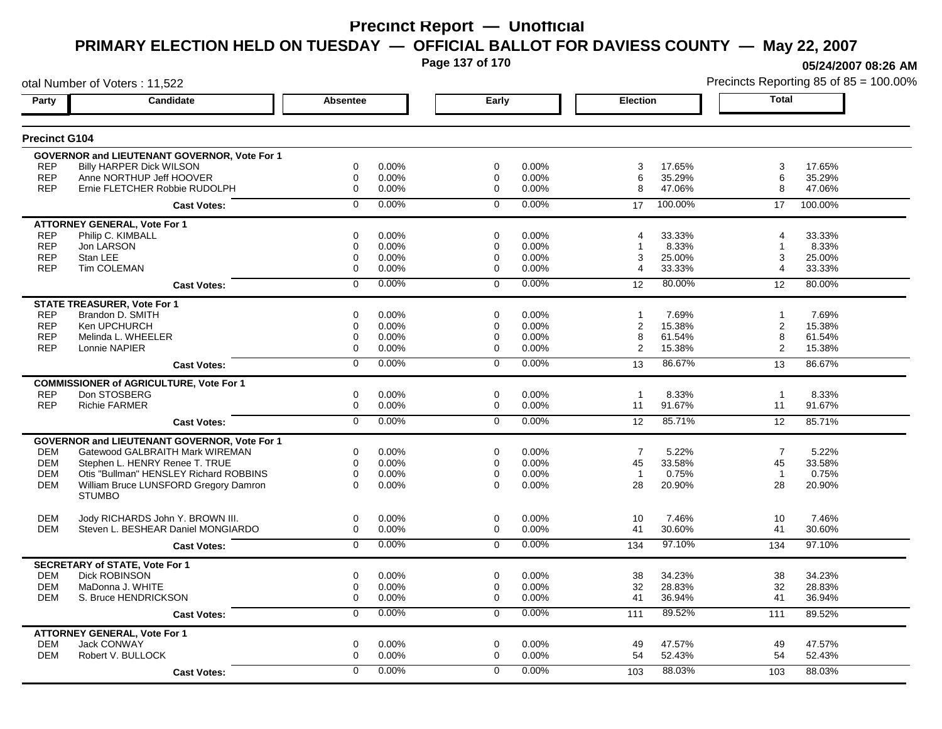**Page 137 of 170**

**05/24/2007 08:26 AM**

|                      | otal Number of Voters: 11,522                       |                 |       |                |       |                 |         |                | Precincts Reporting 85 of 85 = 100.00% |
|----------------------|-----------------------------------------------------|-----------------|-------|----------------|-------|-----------------|---------|----------------|----------------------------------------|
| Party                | Candidate                                           | <b>Absentee</b> |       | Early          |       | <b>Election</b> |         | <b>Total</b>   |                                        |
| <b>Precinct G104</b> |                                                     |                 |       |                |       |                 |         |                |                                        |
|                      | <b>GOVERNOR and LIEUTENANT GOVERNOR, Vote For 1</b> |                 |       |                |       |                 |         |                |                                        |
| <b>REP</b>           | <b>Billy HARPER Dick WILSON</b>                     | 0               | 0.00% | 0              | 0.00% | 3               | 17.65%  | 3              | 17.65%                                 |
| <b>REP</b>           | Anne NORTHUP Jeff HOOVER                            | $\mathbf 0$     | 0.00% | 0              | 0.00% | 6               | 35.29%  | 6              | 35.29%                                 |
| <b>REP</b>           | Ernie FLETCHER Robbie RUDOLPH                       | $\mathbf 0$     | 0.00% | $\mathbf 0$    | 0.00% | 8               | 47.06%  | 8              | 47.06%                                 |
|                      | <b>Cast Votes:</b>                                  | $\Omega$        | 0.00% | $\mathbf 0$    | 0.00% | 17              | 100.00% | 17             | 100.00%                                |
|                      | <b>ATTORNEY GENERAL, Vote For 1</b>                 |                 |       |                |       |                 |         |                |                                        |
| <b>REP</b>           | Philip C. KIMBALL                                   | 0               | 0.00% | 0              | 0.00% | 4               | 33.33%  | 4              | 33.33%                                 |
| <b>REP</b>           | Jon LARSON                                          | 0               | 0.00% | 0              | 0.00% |                 | 8.33%   | 1              | 8.33%                                  |
| <b>REP</b>           | Stan LEE                                            | 0               | 0.00% | 0              | 0.00% | 3               | 25.00%  | 3              | 25.00%                                 |
| <b>REP</b>           | Tim COLEMAN                                         | $\mathbf 0$     | 0.00% | 0              | 0.00% | 4               | 33.33%  | 4              | 33.33%                                 |
|                      | <b>Cast Votes:</b>                                  | $\mathbf 0$     | 0.00% | $\mathbf 0$    | 0.00% | 12              | 80.00%  | 12             | 80.00%                                 |
|                      | <b>STATE TREASURER, Vote For 1</b>                  |                 |       |                |       |                 |         |                |                                        |
| <b>REP</b>           | Brandon D. SMITH                                    | $\Omega$        | 0.00% | $\Omega$       | 0.00% |                 | 7.69%   | 1              | 7.69%                                  |
| <b>REP</b>           | Ken UPCHURCH                                        | 0               | 0.00% | 0              | 0.00% | 2               | 15.38%  | 2              | 15.38%                                 |
| <b>REP</b>           | Melinda L. WHEELER                                  | $\mathbf 0$     | 0.00% | 0              | 0.00% | 8               | 61.54%  | 8              | 61.54%                                 |
| <b>REP</b>           | Lonnie NAPIER                                       | 0               | 0.00% | 0              | 0.00% | 2               | 15.38%  | 2              | 15.38%                                 |
|                      | <b>Cast Votes:</b>                                  | $\overline{0}$  | 0.00% | $\overline{0}$ | 0.00% | 13              | 86.67%  | 13             | 86.67%                                 |
|                      | <b>COMMISSIONER of AGRICULTURE, Vote For 1</b>      |                 |       |                |       |                 |         |                |                                        |
| <b>REP</b>           | Don STOSBERG                                        | $\mathbf 0$     | 0.00% | $\mathbf 0$    | 0.00% | $\overline{1}$  | 8.33%   | $\overline{1}$ | 8.33%                                  |
| <b>REP</b>           | <b>Richie FARMER</b>                                | $\mathbf 0$     | 0.00% | $\mathbf 0$    | 0.00% | 11              | 91.67%  | 11             | 91.67%                                 |
|                      | <b>Cast Votes:</b>                                  | $\overline{0}$  | 0.00% | $\overline{0}$ | 0.00% | 12              | 85.71%  | 12             | 85.71%                                 |
|                      | <b>GOVERNOR and LIEUTENANT GOVERNOR, Vote For 1</b> |                 |       |                |       |                 |         |                |                                        |
| <b>DEM</b>           | Gatewood GALBRAITH Mark WIREMAN                     | 0               | 0.00% | 0              | 0.00% | $\overline{7}$  | 5.22%   | $\overline{7}$ | 5.22%                                  |
| <b>DEM</b>           | Stephen L. HENRY Renee T. TRUE                      | $\mathbf 0$     | 0.00% | $\mathbf 0$    | 0.00% | 45              | 33.58%  | 45             | 33.58%                                 |
| <b>DEM</b>           | Otis "Bullman" HENSLEY Richard ROBBINS              | $\mathbf 0$     | 0.00% | $\mathbf 0$    | 0.00% | $\overline{1}$  | 0.75%   | $\overline{1}$ | 0.75%                                  |
| <b>DEM</b>           | William Bruce LUNSFORD Gregory Damron               | $\Omega$        | 0.00% | $\Omega$       | 0.00% | 28              | 20.90%  | 28             | 20.90%                                 |
|                      | <b>STUMBO</b>                                       |                 |       |                |       |                 |         |                |                                        |
| <b>DEM</b>           | Jody RICHARDS John Y. BROWN III.                    | $\mathbf 0$     | 0.00% | $\mathbf 0$    | 0.00% | 10              | 7.46%   | 10             | 7.46%                                  |
| <b>DEM</b>           | Steven L. BESHEAR Daniel MONGIARDO                  | $\mathbf 0$     | 0.00% | $\mathbf 0$    | 0.00% | 41              | 30.60%  | 41             | 30.60%                                 |
|                      | <b>Cast Votes:</b>                                  | $\overline{0}$  | 0.00% | $\mathbf 0$    | 0.00% | 134             | 97.10%  | 134            | 97.10%                                 |
|                      | <b>SECRETARY of STATE, Vote For 1</b>               |                 |       |                |       |                 |         |                |                                        |
| <b>DEM</b>           | <b>Dick ROBINSON</b>                                | $\mathbf 0$     | 0.00% | $\mathbf 0$    | 0.00% | 38              | 34.23%  | 38             | 34.23%                                 |
| <b>DEM</b>           | MaDonna J. WHITE                                    | $\mathbf 0$     | 0.00% | 0              | 0.00% | 32              | 28.83%  | 32             | 28.83%                                 |
| <b>DEM</b>           | S. Bruce HENDRICKSON                                | $\mathbf 0$     | 0.00% | $\mathbf 0$    | 0.00% | 41              | 36.94%  | 41             | 36.94%                                 |
|                      | <b>Cast Votes:</b>                                  | 0               | 0.00% | 0              | 0.00% | 111             | 89.52%  | 111            | 89.52%                                 |
|                      | <b>ATTORNEY GENERAL, Vote For 1</b>                 |                 |       |                |       |                 |         |                |                                        |
| <b>DEM</b>           | <b>Jack CONWAY</b>                                  | $\mathbf 0$     | 0.00% | $\mathbf 0$    | 0.00% | 49              | 47.57%  | 49             | 47.57%                                 |
| <b>DEM</b>           | Robert V. BULLOCK                                   | $\mathbf 0$     | 0.00% | 0              | 0.00% | 54              | 52.43%  | 54             | 52.43%                                 |
|                      | <b>Cast Votes:</b>                                  | $\Omega$        | 0.00% | $\Omega$       | 0.00% | 103             | 88.03%  | 103            | 88.03%                                 |
|                      |                                                     |                 |       |                |       |                 |         |                |                                        |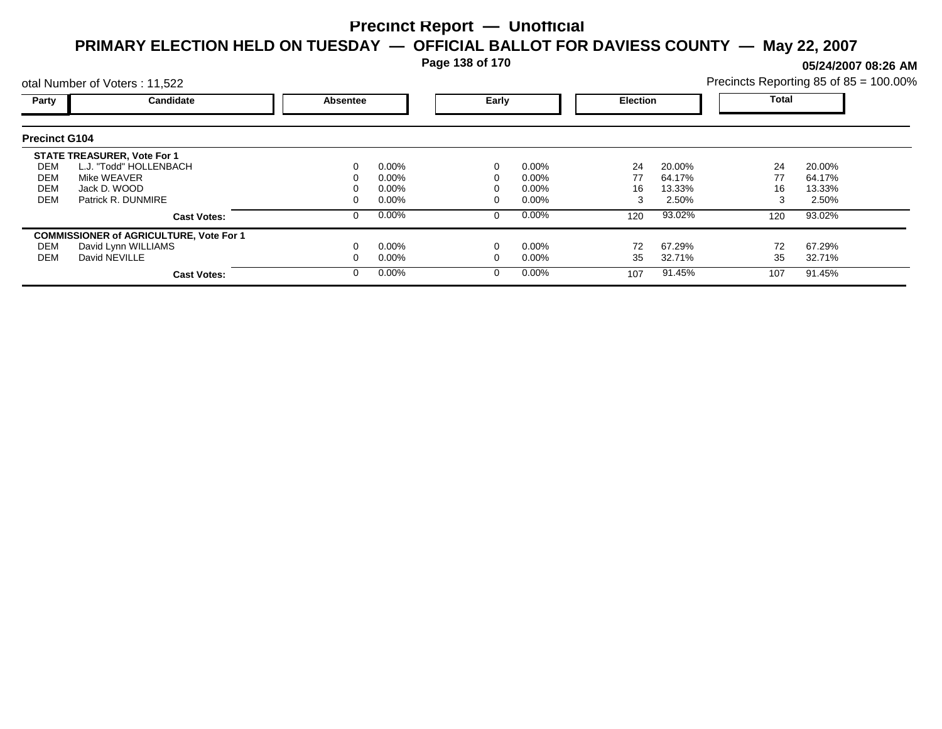**Page 138 of 170**

**05/24/2007 08:26 AM**

|                                 | otal Number of Voters: 11,522                                                                                |                                      |  |                                  |                 |                            |                 | Precincts Reporting 85 of 85 = 100.00% |
|---------------------------------|--------------------------------------------------------------------------------------------------------------|--------------------------------------|--|----------------------------------|-----------------|----------------------------|-----------------|----------------------------------------|
| Party                           | Candidate                                                                                                    | Early<br><b>Election</b><br>Absentee |  |                                  | Total           |                            |                 |                                        |
| <b>Precinct G104</b>            |                                                                                                              |                                      |  |                                  |                 |                            |                 |                                        |
| DEM<br><b>DEM</b><br><b>DEM</b> | <b>STATE TREASURER, Vote For 1</b><br>L.J. "Todd" HOLLENBACH<br>Mike WEAVER<br>Jack D. WOOD                  | $0.00\%$<br>$0.00\%$<br>$0.00\%$     |  | $0.00\%$<br>$0.00\%$<br>$0.00\%$ | 24<br>77<br>16  | 20.00%<br>64.17%<br>13.33% | 24<br>77<br>16  | 20.00%<br>64.17%<br>13.33%             |
| DEM                             | Patrick R. DUNMIRE<br><b>Cast Votes:</b>                                                                     | $0.00\%$<br>0.00%                    |  | $0.00\%$<br>$0.00\%$             | 120             | 2.50%<br>93.02%            | 120             | 2.50%<br>93.02%                        |
| DEM<br><b>DEM</b>               | <b>COMMISSIONER of AGRICULTURE, Vote For 1</b><br>David Lynn WILLIAMS<br>David NEVILLE<br><b>Cast Votes:</b> | $0.00\%$<br>$0.00\%$<br>$0.00\%$     |  | $0.00\%$<br>$0.00\%$<br>$0.00\%$ | 72<br>35<br>107 | 67.29%<br>32.71%<br>91.45% | 72<br>35<br>107 | 67.29%<br>32.71%<br>91.45%             |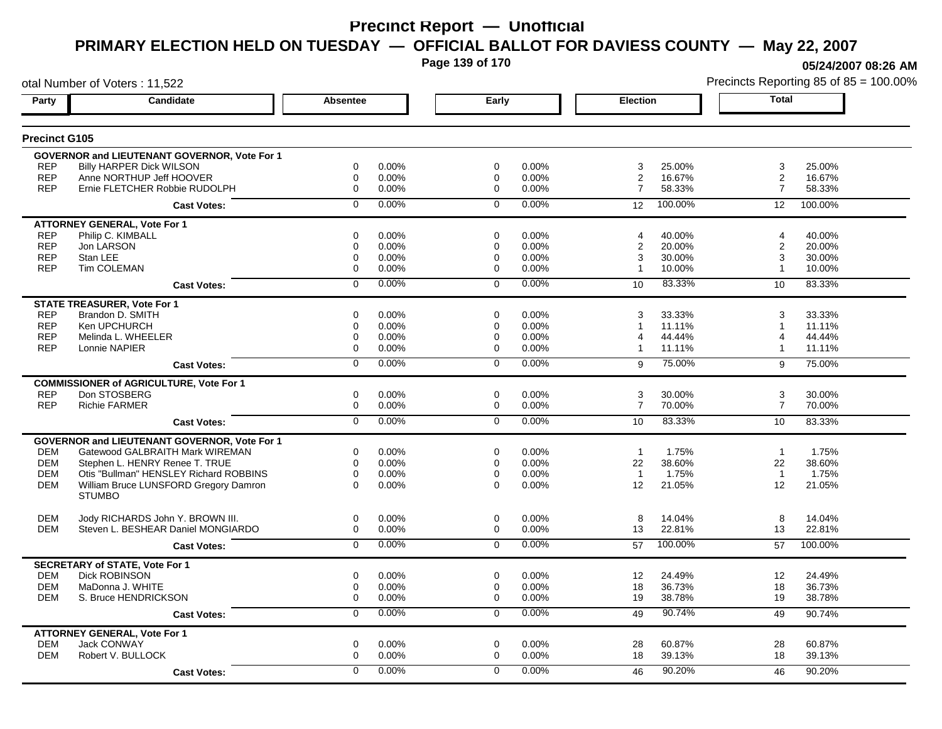**Page 139 of 170**

**05/24/2007 08:26 AM**

|                      | otal Number of Voters: 11,522                       |                  |       |                |       |                         |         |                         | Precincts Reporting 85 of 85 = 100.00% |
|----------------------|-----------------------------------------------------|------------------|-------|----------------|-------|-------------------------|---------|-------------------------|----------------------------------------|
| Party                | Candidate                                           | Absentee         |       | Early          |       | <b>Election</b>         |         | <b>Total</b>            |                                        |
| <b>Precinct G105</b> |                                                     |                  |       |                |       |                         |         |                         |                                        |
|                      | <b>GOVERNOR and LIEUTENANT GOVERNOR, Vote For 1</b> |                  |       |                |       |                         |         |                         |                                        |
| <b>REP</b>           | <b>Billy HARPER Dick WILSON</b>                     | 0                | 0.00% | 0              | 0.00% | 3                       | 25.00%  | 3                       | 25.00%                                 |
| <b>REP</b>           | Anne NORTHUP Jeff HOOVER                            | 0                | 0.00% | 0              | 0.00% | 2                       | 16.67%  | 2                       | 16.67%                                 |
| <b>REP</b>           | Ernie FLETCHER Robbie RUDOLPH                       | $\mathbf 0$      | 0.00% | $\mathbf 0$    | 0.00% | $\overline{7}$          | 58.33%  | $\overline{7}$          | 58.33%                                 |
|                      | <b>Cast Votes:</b>                                  | $\mathbf 0$      | 0.00% | $\mathbf 0$    | 0.00% | 12                      | 100.00% | 12                      | 100.00%                                |
|                      | <b>ATTORNEY GENERAL, Vote For 1</b>                 |                  |       |                |       |                         |         |                         |                                        |
| <b>REP</b>           | Philip C. KIMBALL                                   | $\mathbf 0$      | 0.00% | $\Omega$       | 0.00% | 4                       | 40.00%  | 4                       | 40.00%                                 |
| <b>REP</b>           | Jon LARSON                                          | 0                | 0.00% | 0              | 0.00% | $\overline{\mathbf{c}}$ | 20.00%  | $\overline{c}$          | 20.00%                                 |
| <b>REP</b>           | Stan LEE                                            | $\mathbf 0$      | 0.00% | 0              | 0.00% | 3                       | 30.00%  | 3                       | 30.00%                                 |
| <b>REP</b>           | <b>Tim COLEMAN</b>                                  | $\mathbf 0$      | 0.00% | $\Omega$       | 0.00% | $\mathbf{1}$            | 10.00%  | -1                      | 10.00%                                 |
|                      | <b>Cast Votes:</b>                                  | $\mathbf 0$      | 0.00% | $\mathbf 0$    | 0.00% | 10                      | 83.33%  | 10                      | 83.33%                                 |
|                      | <b>STATE TREASURER, Vote For 1</b>                  |                  |       |                |       |                         |         |                         |                                        |
| <b>REP</b>           | Brandon D. SMITH                                    | $\mathbf 0$      | 0.00% | $\Omega$       | 0.00% | 3                       | 33.33%  | 3                       | 33.33%                                 |
| <b>REP</b>           | Ken UPCHURCH                                        | $\mathbf 0$      | 0.00% | 0              | 0.00% | $\overline{1}$          | 11.11%  | $\overline{1}$          | 11.11%                                 |
| <b>REP</b>           | Melinda L. WHEELER                                  | $\mathbf 0$      | 0.00% | 0              | 0.00% | 4                       | 44.44%  | 4                       | 44.44%                                 |
| <b>REP</b>           | Lonnie NAPIER                                       | $\Omega$         | 0.00% | $\Omega$       | 0.00% | $\mathbf{1}$            | 11.11%  | $\overline{\mathbf{1}}$ | 11.11%                                 |
|                      | <b>Cast Votes:</b>                                  | $\overline{0}$   | 0.00% | $\overline{0}$ | 0.00% | 9                       | 75.00%  | 9                       | 75.00%                                 |
|                      | <b>COMMISSIONER of AGRICULTURE, Vote For 1</b>      |                  |       |                |       |                         |         |                         |                                        |
| <b>REP</b>           | Don STOSBERG                                        | 0                | 0.00% | 0              | 0.00% | 3                       | 30.00%  | 3                       | 30.00%                                 |
| <b>REP</b>           | <b>Richie FARMER</b>                                | 0                | 0.00% | 0              | 0.00% | $\overline{7}$          | 70.00%  | $\overline{7}$          | 70.00%                                 |
|                      | <b>Cast Votes:</b>                                  | $\overline{0}$   | 0.00% | $\overline{0}$ | 0.00% | 10                      | 83.33%  | 10                      | 83.33%                                 |
|                      | GOVERNOR and LIEUTENANT GOVERNOR, Vote For 1        |                  |       |                |       |                         |         |                         |                                        |
| DEM                  | Gatewood GALBRAITH Mark WIREMAN                     | 0                | 0.00% | 0              | 0.00% | $\overline{1}$          | 1.75%   | $\overline{1}$          | 1.75%                                  |
| <b>DEM</b>           | Stephen L. HENRY Renee T. TRUE                      | $\mathbf 0$      | 0.00% | 0              | 0.00% | 22                      | 38.60%  | 22                      | 38.60%                                 |
| <b>DEM</b>           | Otis "Bullman" HENSLEY Richard ROBBINS              | 0                | 0.00% | 0              | 0.00% | $\overline{1}$          | 1.75%   | $\overline{1}$          | 1.75%                                  |
| <b>DEM</b>           | William Bruce LUNSFORD Gregory Damron               | $\Omega$         | 0.00% | $\Omega$       | 0.00% | 12                      | 21.05%  | 12                      | 21.05%                                 |
|                      | <b>STUMBO</b>                                       |                  |       |                |       |                         |         |                         |                                        |
| <b>DEM</b>           | Jody RICHARDS John Y. BROWN III.                    | 0                | 0.00% | 0              | 0.00% | 8                       | 14.04%  | 8                       | 14.04%                                 |
| <b>DEM</b>           | Steven L. BESHEAR Daniel MONGIARDO                  | 0                | 0.00% | $\mathbf 0$    | 0.00% | 13                      | 22.81%  | 13                      | 22.81%                                 |
|                      | <b>Cast Votes:</b>                                  | $\mathbf 0$      | 0.00% | $\mathbf 0$    | 0.00% | 57                      | 100.00% | 57                      | 100.00%                                |
|                      | <b>SECRETARY of STATE, Vote For 1</b>               |                  |       |                |       |                         |         |                         |                                        |
| <b>DEM</b>           | <b>Dick ROBINSON</b>                                | 0                | 0.00% | 0              | 0.00% | 12                      | 24.49%  | $12 \overline{ }$       | 24.49%                                 |
| <b>DEM</b>           | MaDonna J. WHITE                                    | 0                | 0.00% | 0              | 0.00% | 18                      | 36.73%  | 18                      | 36.73%                                 |
| DEM                  | S. Bruce HENDRICKSON                                | $\boldsymbol{0}$ | 0.00% | 0              | 0.00% | 19                      | 38.78%  | 19                      | 38.78%                                 |
|                      | <b>Cast Votes:</b>                                  | 0                | 0.00% | 0              | 0.00% | 49                      | 90.74%  | 49                      | 90.74%                                 |
|                      | <b>ATTORNEY GENERAL, Vote For 1</b>                 |                  |       |                |       |                         |         |                         |                                        |
| <b>DEM</b>           | Jack CONWAY                                         | $\mathbf 0$      | 0.00% | $\mathbf 0$    | 0.00% | 28                      | 60.87%  | 28                      | 60.87%                                 |
| <b>DEM</b>           | Robert V. BULLOCK                                   | $\mathbf 0$      | 0.00% | 0              | 0.00% | 18                      | 39.13%  | 18                      | 39.13%                                 |
|                      | <b>Cast Votes:</b>                                  | $\Omega$         | 0.00% | $\Omega$       | 0.00% | 46                      | 90.20%  | 46                      | 90.20%                                 |
|                      |                                                     |                  |       |                |       |                         |         |                         |                                        |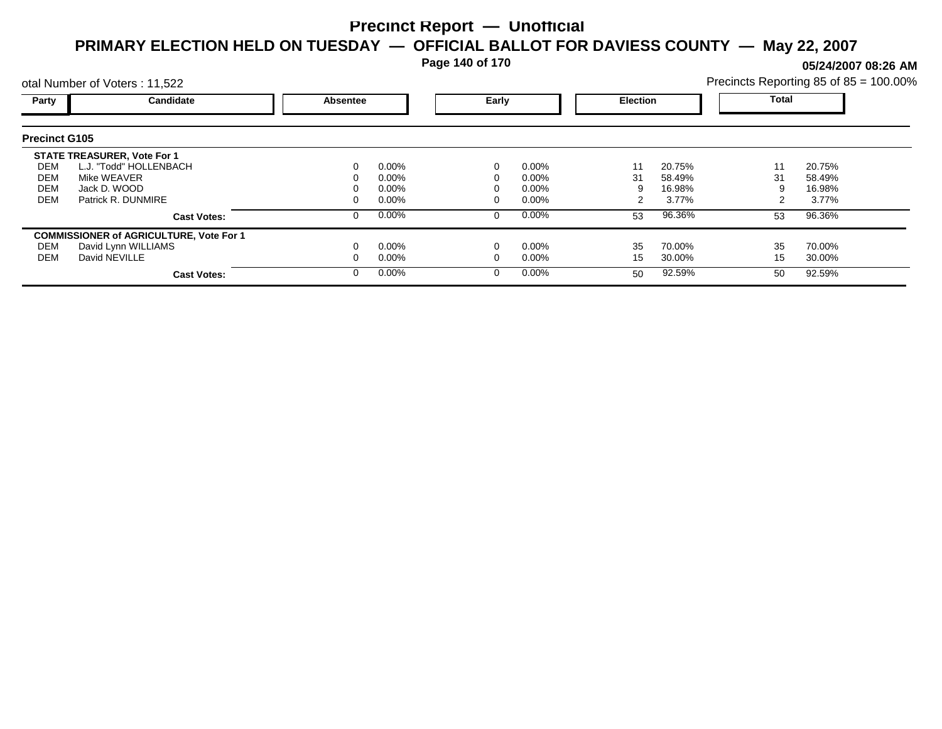**Page 140 of 170**

**05/24/2007 08:26 AM**

| Precincts Reporting 85 of 85 = 100.00% |  |  |
|----------------------------------------|--|--|
|                                        |  |  |

|                      | otal Number of Voters: 11,522                  |          |          |       |          |                 |        | Precincts Reporting 85 of 85 = 100.00% |        |  |
|----------------------|------------------------------------------------|----------|----------|-------|----------|-----------------|--------|----------------------------------------|--------|--|
| Party                | Candidate                                      | Absentee |          | Early |          | <b>Election</b> |        | <b>Total</b>                           |        |  |
| <b>Precinct G105</b> |                                                |          |          |       |          |                 |        |                                        |        |  |
|                      | <b>STATE TREASURER, Vote For 1</b>             |          |          |       |          |                 |        |                                        |        |  |
| DEM                  | L.J. "Todd" HOLLENBACH                         | 0        | $0.00\%$ |       | 0.00%    | 11              | 20.75% | 11                                     | 20.75% |  |
| DEM                  | Mike WEAVER                                    | 0        | $0.00\%$ |       | $0.00\%$ | 31              | 58.49% | 31                                     | 58.49% |  |
| DEM                  | Jack D. WOOD                                   |          | $0.00\%$ |       | $0.00\%$ |                 | 16.98% |                                        | 16.98% |  |
| <b>DEM</b>           | Patrick R. DUNMIRE                             | 0        | $0.00\%$ |       | $0.00\%$ |                 | 3.77%  |                                        | 3.77%  |  |
|                      | <b>Cast Votes:</b>                             | 0        | $0.00\%$ | 0     | 0.00%    | 53              | 96.36% | 53                                     | 96.36% |  |
|                      | <b>COMMISSIONER of AGRICULTURE, Vote For 1</b> |          |          |       |          |                 |        |                                        |        |  |
| DEM                  | David Lynn WILLIAMS                            |          | $0.00\%$ |       | 0.00%    | 35              | 70.00% | 35                                     | 70.00% |  |
| DEM                  | David NEVILLE                                  |          | $0.00\%$ |       | 0.00%    | 15              | 30.00% | 15                                     | 30.00% |  |
|                      | <b>Cast Votes:</b>                             | $\Omega$ | $0.00\%$ |       | 0.00%    | 50              | 92.59% | 50                                     | 92.59% |  |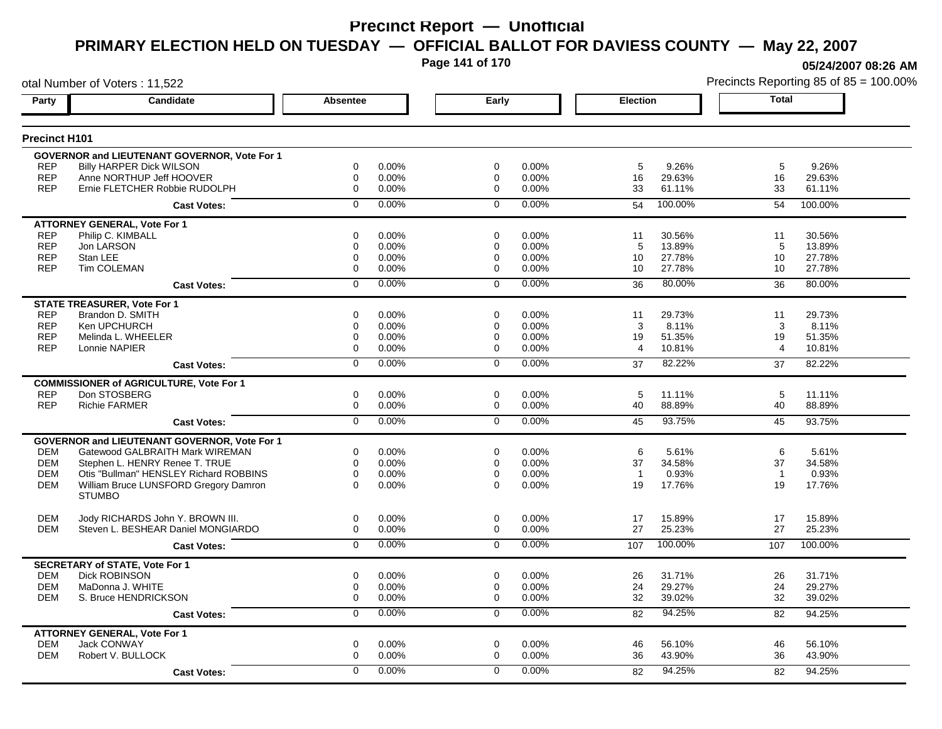**Page 141 of 170**

**05/24/2007 08:26 AM**

|                      | otal Number of Voters: 11,522                       |                  |       |                |       |                 |         |                | Precincts Reporting 85 of 85 = 100.00% |
|----------------------|-----------------------------------------------------|------------------|-------|----------------|-------|-----------------|---------|----------------|----------------------------------------|
| Party                | Candidate                                           | Absentee         |       | Early          |       | <b>Election</b> |         | <b>Total</b>   |                                        |
| <b>Precinct H101</b> |                                                     |                  |       |                |       |                 |         |                |                                        |
|                      | <b>GOVERNOR and LIEUTENANT GOVERNOR, Vote For 1</b> |                  |       |                |       |                 |         |                |                                        |
| <b>REP</b>           | <b>Billy HARPER Dick WILSON</b>                     | 0                | 0.00% | 0              | 0.00% | $\,$ 5 $\,$     | 9.26%   | 5              | 9.26%                                  |
| <b>REP</b>           | Anne NORTHUP Jeff HOOVER                            | 0                | 0.00% | 0              | 0.00% | 16              | 29.63%  | 16             | 29.63%                                 |
| <b>REP</b>           | Ernie FLETCHER Robbie RUDOLPH                       | $\mathbf 0$      | 0.00% | $\mathbf 0$    | 0.00% | 33              | 61.11%  | 33             | 61.11%                                 |
|                      | <b>Cast Votes:</b>                                  | $\mathbf 0$      | 0.00% | $\mathbf 0$    | 0.00% | 54              | 100.00% | 54             | 100.00%                                |
|                      | <b>ATTORNEY GENERAL, Vote For 1</b>                 |                  |       |                |       |                 |         |                |                                        |
| <b>REP</b>           | Philip C. KIMBALL                                   | $\mathbf 0$      | 0.00% | $\Omega$       | 0.00% | 11              | 30.56%  | 11             | 30.56%                                 |
| <b>REP</b>           | Jon LARSON                                          | 0                | 0.00% | 0              | 0.00% | 5               | 13.89%  | 5              | 13.89%                                 |
| <b>REP</b>           | Stan LEE                                            | $\mathbf 0$      | 0.00% | 0              | 0.00% | 10              | 27.78%  | 10             | 27.78%                                 |
| <b>REP</b>           | <b>Tim COLEMAN</b>                                  | $\mathbf 0$      | 0.00% | $\Omega$       | 0.00% | 10 <sup>°</sup> | 27.78%  | 10             | 27.78%                                 |
|                      | <b>Cast Votes:</b>                                  | $\mathbf 0$      | 0.00% | $\mathbf 0$    | 0.00% | 36              | 80.00%  | 36             | 80.00%                                 |
|                      | <b>STATE TREASURER, Vote For 1</b>                  |                  |       |                |       |                 |         |                |                                        |
| <b>REP</b>           | Brandon D. SMITH                                    | $\mathbf 0$      | 0.00% | $\Omega$       | 0.00% | 11              | 29.73%  | 11             | 29.73%                                 |
| <b>REP</b>           | Ken UPCHURCH                                        | $\mathbf 0$      | 0.00% | 0              | 0.00% | 3               | 8.11%   | 3              | 8.11%                                  |
| <b>REP</b>           | Melinda L. WHEELER                                  | $\mathbf 0$      | 0.00% | 0              | 0.00% | 19              | 51.35%  | 19             | 51.35%                                 |
| <b>REP</b>           | Lonnie NAPIER                                       | $\Omega$         | 0.00% | $\Omega$       | 0.00% | $\overline{4}$  | 10.81%  | $\overline{4}$ | 10.81%                                 |
|                      | <b>Cast Votes:</b>                                  | $\overline{0}$   | 0.00% | $\overline{0}$ | 0.00% | 37              | 82.22%  | 37             | 82.22%                                 |
|                      | <b>COMMISSIONER of AGRICULTURE, Vote For 1</b>      |                  |       |                |       |                 |         |                |                                        |
| <b>REP</b>           | Don STOSBERG                                        | 0                | 0.00% | 0              | 0.00% | 5               | 11.11%  | 5              | 11.11%                                 |
| <b>REP</b>           | <b>Richie FARMER</b>                                | 0                | 0.00% | 0              | 0.00% | 40              | 88.89%  | 40             | 88.89%                                 |
|                      | <b>Cast Votes:</b>                                  | $\overline{0}$   | 0.00% | $\overline{0}$ | 0.00% | 45              | 93.75%  | 45             | 93.75%                                 |
|                      | GOVERNOR and LIEUTENANT GOVERNOR, Vote For 1        |                  |       |                |       |                 |         |                |                                        |
| DEM                  | Gatewood GALBRAITH Mark WIREMAN                     | 0                | 0.00% | 0              | 0.00% | 6               | 5.61%   | 6              | 5.61%                                  |
| <b>DEM</b>           | Stephen L. HENRY Renee T. TRUE                      | $\mathbf 0$      | 0.00% | 0              | 0.00% | 37              | 34.58%  | 37             | 34.58%                                 |
| <b>DEM</b>           | Otis "Bullman" HENSLEY Richard ROBBINS              | 0                | 0.00% | 0              | 0.00% | $\overline{1}$  | 0.93%   | $\overline{1}$ | 0.93%                                  |
| <b>DEM</b>           | William Bruce LUNSFORD Gregory Damron               | $\Omega$         | 0.00% | $\Omega$       | 0.00% | 19              | 17.76%  | 19             | 17.76%                                 |
|                      | <b>STUMBO</b>                                       |                  |       |                |       |                 |         |                |                                        |
| <b>DEM</b>           | Jody RICHARDS John Y. BROWN III.                    | 0                | 0.00% | 0              | 0.00% | 17              | 15.89%  | 17             | 15.89%                                 |
| <b>DEM</b>           | Steven L. BESHEAR Daniel MONGIARDO                  | 0                | 0.00% | 0              | 0.00% | 27              | 25.23%  | 27             | 25.23%                                 |
|                      | <b>Cast Votes:</b>                                  | $\mathbf 0$      | 0.00% | $\mathbf 0$    | 0.00% | 107             | 100.00% | 107            | 100.00%                                |
|                      | <b>SECRETARY of STATE, Vote For 1</b>               |                  |       |                |       |                 |         |                |                                        |
| <b>DEM</b>           | <b>Dick ROBINSON</b>                                | 0                | 0.00% | 0              | 0.00% | 26              | 31.71%  | 26             | 31.71%                                 |
| <b>DEM</b>           | MaDonna J. WHITE                                    | 0                | 0.00% | 0              | 0.00% | 24              | 29.27%  | 24             | 29.27%                                 |
| DEM                  | S. Bruce HENDRICKSON                                | $\boldsymbol{0}$ | 0.00% | 0              | 0.00% | 32              | 39.02%  | 32             | 39.02%                                 |
|                      | <b>Cast Votes:</b>                                  | 0                | 0.00% | 0              | 0.00% | 82              | 94.25%  | 82             | 94.25%                                 |
|                      | <b>ATTORNEY GENERAL, Vote For 1</b>                 |                  |       |                |       |                 |         |                |                                        |
| <b>DEM</b>           | Jack CONWAY                                         | $\mathbf 0$      | 0.00% | $\mathbf 0$    | 0.00% | 46              | 56.10%  | 46             | 56.10%                                 |
| <b>DEM</b>           | Robert V. BULLOCK                                   | $\mathbf 0$      | 0.00% | 0              | 0.00% | 36              | 43.90%  | 36             | 43.90%                                 |
|                      | <b>Cast Votes:</b>                                  | $\Omega$         | 0.00% | $\Omega$       | 0.00% | 82              | 94.25%  | 82             | 94.25%                                 |
|                      |                                                     |                  |       |                |       |                 |         |                |                                        |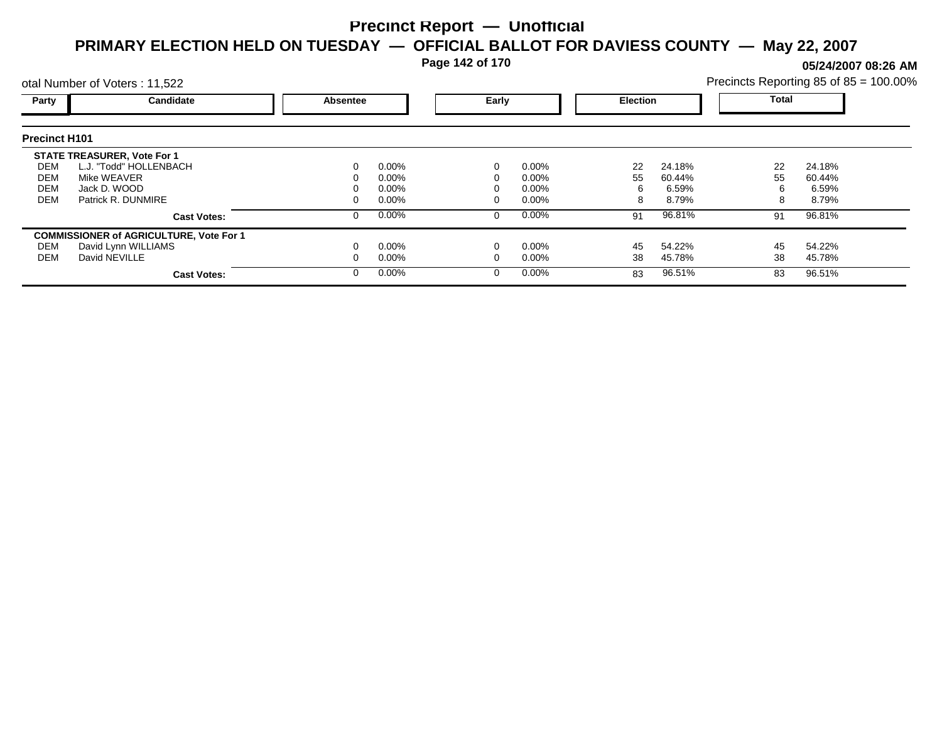**Page 142 of 170**

**05/24/2007 08:26 AM**

|                      | otal Number of Voters: 11,522                  |          |          |          |          |                 |        | Precincts Reporting 85 of 85 = 100.00% |        |  |
|----------------------|------------------------------------------------|----------|----------|----------|----------|-----------------|--------|----------------------------------------|--------|--|
| Party                | Candidate                                      | Absentee |          | Early    |          | <b>Election</b> |        | Total                                  |        |  |
| <b>Precinct H101</b> |                                                |          |          |          |          |                 |        |                                        |        |  |
|                      | <b>STATE TREASURER, Vote For 1</b>             |          |          |          |          |                 |        |                                        |        |  |
| DEM                  | L.J. "Todd" HOLLENBACH                         |          | $0.00\%$ | 0        | $0.00\%$ | 22              | 24.18% | 22                                     | 24.18% |  |
| DEM                  | Mike WEAVER                                    |          | 0.00%    |          | $0.00\%$ | 55              | 60.44% | 55                                     | 60.44% |  |
| <b>DEM</b>           | Jack D. WOOD                                   |          | 0.00%    |          | $0.00\%$ | 6               | 6.59%  | 6                                      | 6.59%  |  |
| <b>DEM</b>           | Patrick R. DUNMIRE                             |          | 0.00%    |          | $0.00\%$ | 8               | 8.79%  | 8                                      | 8.79%  |  |
|                      | <b>Cast Votes:</b>                             |          | 0.00%    | 0        | $0.00\%$ | 91              | 96.81% | 91                                     | 96.81% |  |
|                      | <b>COMMISSIONER of AGRICULTURE, Vote For 1</b> |          |          |          |          |                 |        |                                        |        |  |
| DEM                  | David Lynn WILLIAMS                            |          | 0.00%    |          | $0.00\%$ | 45              | 54.22% | 45                                     | 54.22% |  |
| DEM                  | David NEVILLE                                  |          | $0.00\%$ |          | 0.00%    | 38              | 45.78% | 38                                     | 45.78% |  |
|                      | <b>Cast Votes:</b>                             |          | 0.00%    | $\Omega$ | $0.00\%$ | 83              | 96.51% | 83                                     | 96.51% |  |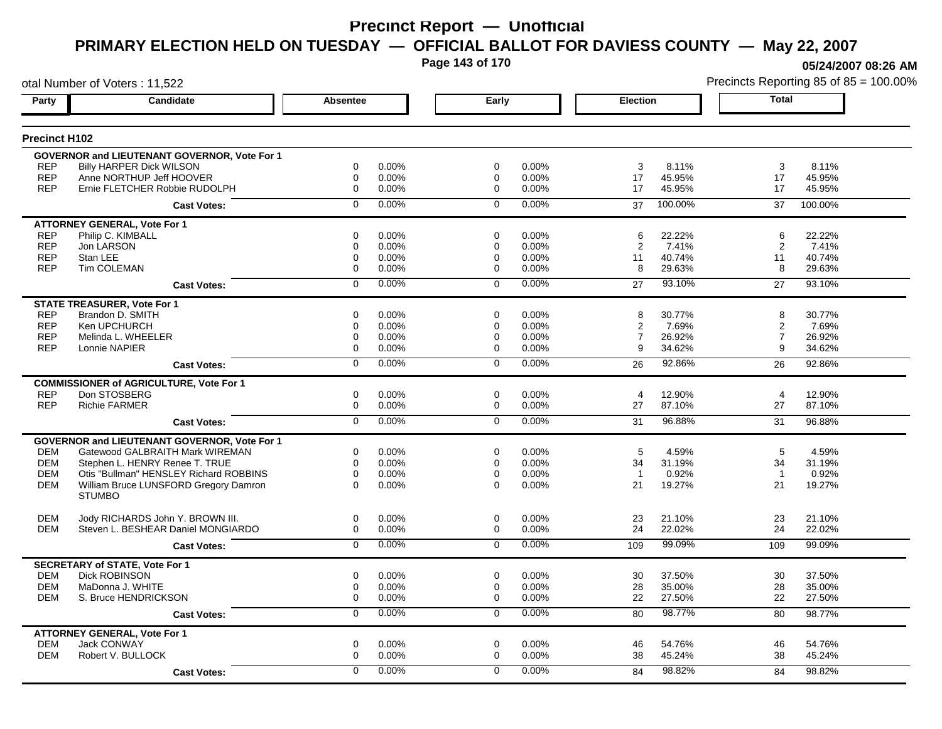**Page 143 of 170**

otal Number of Voters : 11,522

**05/24/2007 08:26 AM**

| Party                | <b>Candidate</b>                                       | <b>Absentee</b>         | Early          |          | <b>Election</b>          | <b>Total</b>             |
|----------------------|--------------------------------------------------------|-------------------------|----------------|----------|--------------------------|--------------------------|
| <b>Precinct H102</b> |                                                        |                         |                |          |                          |                          |
|                      | GOVERNOR and LIEUTENANT GOVERNOR, Vote For 1           |                         |                |          |                          |                          |
| <b>REP</b>           | Billy HARPER Dick WILSON                               | $\Omega$<br>0.00%       | $\Omega$       | 0.00%    | $\sqrt{3}$<br>8.11%      | 3<br>8.11%               |
| <b>REP</b>           | Anne NORTHUP Jeff HOOVER                               | 0.00%<br>$\mathbf 0$    | $\mathbf 0$    | 0.00%    | 17<br>45.95%             | 17<br>45.95%             |
| <b>REP</b>           | Ernie FLETCHER Robbie RUDOLPH                          | 0<br>0.00%              | 0              | 0.00%    | 45.95%<br>17             | 17<br>45.95%             |
|                      | <b>Cast Votes:</b>                                     | 0.00%<br>$\Omega$       | $\Omega$       | 0.00%    | 100.00%<br>37            | 37<br>100.00%            |
|                      | <b>ATTORNEY GENERAL, Vote For 1</b>                    |                         |                |          |                          |                          |
| <b>REP</b>           | Philip C. KIMBALL                                      | 0.00%<br>0              | $\mathbf 0$    | 0.00%    | 22.22%<br>6              | 6<br>22.22%              |
| <b>REP</b>           | Jon LARSON                                             | $\Omega$<br>0.00%       | $\Omega$       | 0.00%    | 2<br>7.41%               | 2<br>7.41%               |
| <b>REP</b>           | Stan LEE                                               | 0.00%<br>0              | 0              | 0.00%    | 11<br>40.74%             | 11<br>40.74%             |
| <b>REP</b>           | Tim COLEMAN                                            | 0<br>0.00%              | $\mathbf 0$    | 0.00%    | 8<br>29.63%              | 8<br>29.63%              |
|                      | <b>Cast Votes:</b>                                     | 0.00%<br>$\Omega$       | $\Omega$       | 0.00%    | 93.10%<br>27             | 27<br>93.10%             |
|                      | <b>STATE TREASURER, Vote For 1</b>                     |                         |                |          |                          |                          |
| <b>REP</b>           | Brandon D. SMITH                                       | 0.00%<br>$\mathbf 0$    | $\mathbf 0$    | 0.00%    | 8<br>30.77%              | 8<br>30.77%              |
| <b>REP</b>           | Ken UPCHURCH                                           | 0.00%<br>0              | $\Omega$       | 0.00%    | $\overline{2}$<br>7.69%  | $\overline{c}$<br>7.69%  |
| <b>REP</b>           | Melinda L. WHEELER                                     | $\mathbf 0$<br>0.00%    | 0              | 0.00%    | $\overline{7}$<br>26.92% | $\overline{7}$<br>26.92% |
| <b>REP</b>           | Lonnie NAPIER                                          | 0<br>0.00%              | $\mathbf 0$    | 0.00%    | 9<br>34.62%              | 9<br>34.62%              |
|                      | <b>Cast Votes:</b>                                     | 0.00%<br>$\overline{0}$ | $\overline{0}$ | 0.00%    | 92.86%<br>26             | 26<br>92.86%             |
|                      | <b>COMMISSIONER of AGRICULTURE, Vote For 1</b>         |                         |                |          |                          |                          |
| <b>REP</b>           | Don STOSBERG                                           | 0.00%<br>$\mathbf 0$    | $\mathbf 0$    | 0.00%    | 12.90%<br>$\overline{4}$ | $\overline{4}$<br>12.90% |
| <b>REP</b>           | <b>Richie FARMER</b>                                   | 0.00%<br>0              | $\Omega$       | 0.00%    | 87.10%<br>27             | 87.10%<br>27             |
|                      | <b>Cast Votes:</b>                                     | 0.00%<br>$\overline{0}$ | $\overline{0}$ | 0.00%    | 96.88%<br>31             | 96.88%<br>31             |
|                      | GOVERNOR and LIEUTENANT GOVERNOR, Vote For 1           |                         |                |          |                          |                          |
| <b>DEM</b>           | Gatewood GALBRAITH Mark WIREMAN                        | $\Omega$<br>0.00%       | $\Omega$       | $0.00\%$ | 5<br>4.59%               | 5<br>4.59%               |
| <b>DEM</b>           | Stephen L. HENRY Renee T. TRUE                         | $\mathbf 0$<br>0.00%    | $\mathbf 0$    | 0.00%    | 31.19%<br>34             | 31.19%<br>34             |
| <b>DEM</b>           | Otis "Bullman" HENSLEY Richard ROBBINS                 | $\mathbf 0$<br>0.00%    | $\mathbf 0$    | 0.00%    | 0.92%<br>$\mathbf{1}$    | $\overline{1}$<br>0.92%  |
| <b>DEM</b>           | William Bruce LUNSFORD Gregory Damron<br><b>STUMBO</b> | $\Omega$<br>0.00%       | $\Omega$       | $0.00\%$ | 21<br>19.27%             | 21<br>19.27%             |
| <b>DEM</b>           | Jody RICHARDS John Y. BROWN III.                       | 0.00%<br>0              | $\mathbf 0$    | 0.00%    | 23<br>21.10%             | 23<br>21.10%             |
| <b>DEM</b>           | Steven L. BESHEAR Daniel MONGIARDO                     | 0.00%<br>0              | $\Omega$       | 0.00%    | 24<br>22.02%             | 24<br>22.02%             |
|                      | <b>Cast Votes:</b>                                     | $0.00\%$<br>$\Omega$    | $\Omega$       | 0.00%    | 99.09%<br>109            | 99.09%<br>109            |
|                      | <b>SECRETARY of STATE, Vote For 1</b>                  |                         |                |          |                          |                          |
| <b>DEM</b>           | <b>Dick ROBINSON</b>                                   | 0.00%<br>$\mathbf 0$    | $\mathbf 0$    | 0.00%    | 37.50%<br>30             | 37.50%<br>30             |
| <b>DEM</b>           | MaDonna J. WHITE                                       | $\mathbf 0$<br>0.00%    | 0              | 0.00%    | 28<br>35.00%             | 28<br>35.00%             |
| <b>DEM</b>           | S. Bruce HENDRICKSON                                   | 0.00%<br>$\mathbf 0$    | $\Omega$       | 0.00%    | 22<br>27.50%             | 27.50%<br>22             |
|                      | <b>Cast Votes:</b>                                     | 0.00%<br>$\mathbf 0$    | $\mathbf 0$    | 0.00%    | 98.77%<br>80             | 80<br>98.77%             |
|                      | <b>ATTORNEY GENERAL, Vote For 1</b>                    |                         |                |          |                          |                          |
| <b>DEM</b>           | Jack CONWAY                                            | 0.00%<br>0              | $\mathbf 0$    | 0.00%    | 46<br>54.76%             | 46<br>54.76%             |
| <b>DEM</b>           | Robert V. BULLOCK                                      | $\mathbf 0$<br>0.00%    | $\mathbf 0$    | 0.00%    | 38<br>45.24%             | 38<br>45.24%             |
|                      | <b>Cast Votes:</b>                                     | 0.00%<br>$\mathbf 0$    | $\Omega$       | 0.00%    | 98.82%<br>84             | 98.82%<br>84             |
|                      |                                                        |                         |                |          |                          |                          |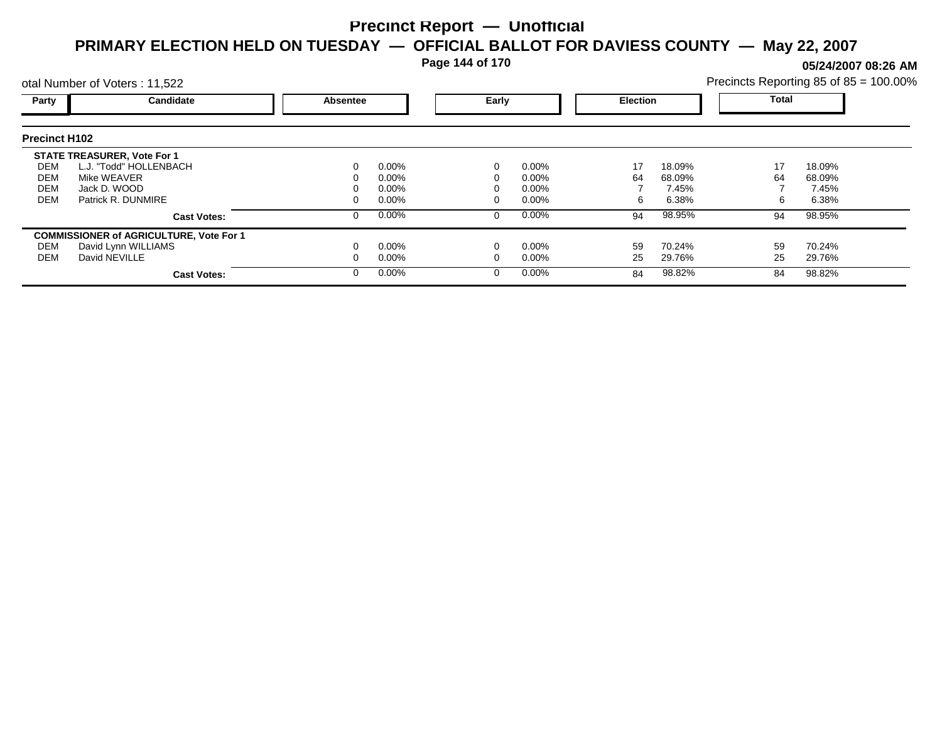**Page 144 of 170**

**05/24/2007 08:26 AM**

| otal Number of Voters: 11,522 |                                                |                 |          |       |          |                 |        | Precincts Reporting 85 of 85 = 100.00% |        |  |
|-------------------------------|------------------------------------------------|-----------------|----------|-------|----------|-----------------|--------|----------------------------------------|--------|--|
| Party                         | Candidate                                      | <b>Absentee</b> |          | Early |          | <b>Election</b> |        | <b>Total</b>                           |        |  |
| <b>Precinct H102</b>          |                                                |                 |          |       |          |                 |        |                                        |        |  |
|                               | <b>STATE TREASURER, Vote For 1</b>             |                 |          |       |          |                 |        |                                        |        |  |
| DEM                           | L.J. "Todd" HOLLENBACH                         | 0               | $0.00\%$ |       | 0.00%    | 17              | 18.09% | 17                                     | 18.09% |  |
| DEM                           | Mike WEAVER                                    |                 | $0.00\%$ |       | $0.00\%$ | 64              | 68.09% | 64                                     | 68.09% |  |
| <b>DEM</b>                    | Jack D. WOOD                                   |                 | $0.00\%$ |       | $0.00\%$ |                 | 7.45%  |                                        | 7.45%  |  |
| <b>DEM</b>                    | Patrick R. DUNMIRE                             |                 | $0.00\%$ |       | $0.00\%$ | 6               | 6.38%  |                                        | 6.38%  |  |
|                               | <b>Cast Votes:</b>                             | 0               | $0.00\%$ |       | 0.00%    | 94              | 98.95% | 94                                     | 98.95% |  |
|                               | <b>COMMISSIONER of AGRICULTURE, Vote For 1</b> |                 |          |       |          |                 |        |                                        |        |  |
| DEM                           | David Lynn WILLIAMS                            |                 | $0.00\%$ |       | 0.00%    | 59              | 70.24% | 59                                     | 70.24% |  |
| DEM                           | David NEVILLE                                  |                 | $0.00\%$ |       | $0.00\%$ | 25              | 29.76% | 25                                     | 29.76% |  |
|                               | <b>Cast Votes:</b>                             | 0               | $0.00\%$ |       | 0.00%    | 84              | 98.82% | 84                                     | 98.82% |  |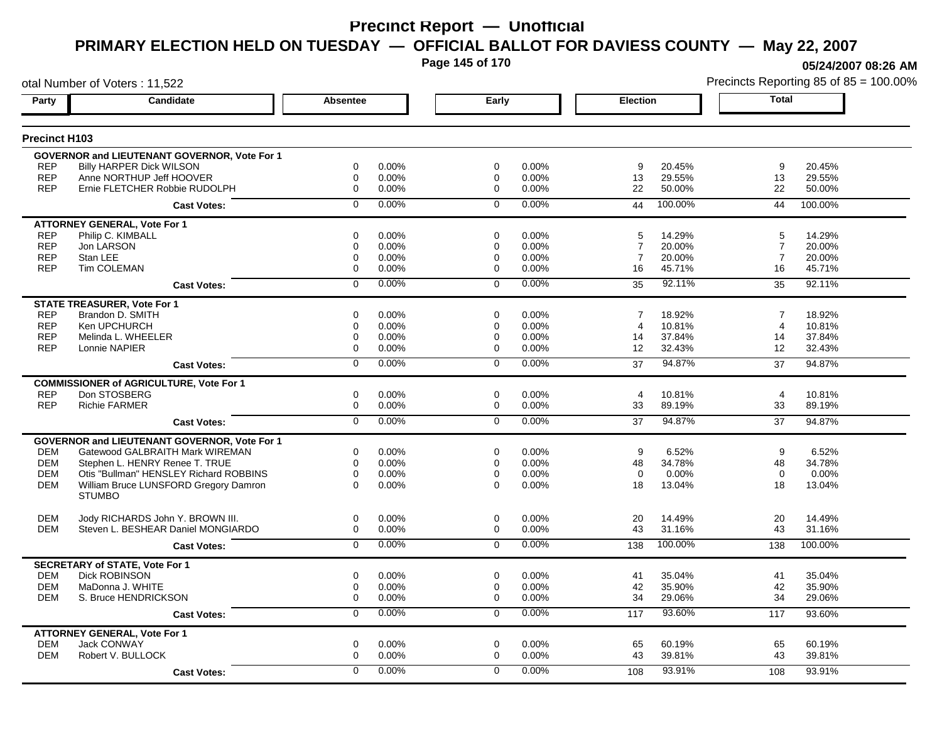**Page 145 of 170**

otal Number of Voters : 11,522

**05/24/2007 08:26 AM**

| Party                | <b>Candidate</b>                                       | <b>Absentee</b>      | Early          |          | <b>Election</b>          | <b>Total</b>             |
|----------------------|--------------------------------------------------------|----------------------|----------------|----------|--------------------------|--------------------------|
| <b>Precinct H103</b> |                                                        |                      |                |          |                          |                          |
|                      | <b>GOVERNOR and LIEUTENANT GOVERNOR, Vote For 1</b>    |                      |                |          |                          |                          |
| <b>REP</b>           | <b>Billy HARPER Dick WILSON</b>                        | 0.00%<br>$\mathbf 0$ | $\mathbf 0$    | 0.00%    | 9<br>20.45%              | 9<br>20.45%              |
| <b>REP</b>           | Anne NORTHUP Jeff HOOVER                               | 0.00%<br>0           | $\Omega$       | 0.00%    | 13<br>29.55%             | 13<br>29.55%             |
| <b>REP</b>           | Ernie FLETCHER Robbie RUDOLPH                          | $\mathbf 0$<br>0.00% | $\mathbf 0$    | 0.00%    | 22<br>50.00%             | 22<br>50.00%             |
|                      | <b>Cast Votes:</b>                                     | 0.00%<br>$\mathbf 0$ | $\mathbf 0$    | 0.00%    | 100.00%<br>44            | 100.00%<br>44            |
|                      | <b>ATTORNEY GENERAL, Vote For 1</b>                    |                      |                |          |                          |                          |
| <b>REP</b>           | Philip C. KIMBALL                                      | $\mathbf 0$<br>0.00% | $\mathbf 0$    | 0.00%    | 14.29%<br>5              | 5<br>14.29%              |
| <b>REP</b>           | Jon LARSON                                             | $\Omega$<br>0.00%    | $\Omega$       | 0.00%    | $\overline{7}$<br>20.00% | $\overline{7}$<br>20.00% |
| <b>REP</b>           | Stan LEE                                               | 0.00%<br>0           | 0              | 0.00%    | $\overline{7}$<br>20.00% | $\overline{7}$<br>20.00% |
| <b>REP</b>           | <b>Tim COLEMAN</b>                                     | $\Omega$<br>0.00%    | $\Omega$       | 0.00%    | 16<br>45.71%             | 16<br>45.71%             |
|                      | <b>Cast Votes:</b>                                     | 0.00%<br>$\Omega$    | $\Omega$       | 0.00%    | 92.11%<br>35             | 35<br>92.11%             |
|                      | <b>STATE TREASURER, Vote For 1</b>                     |                      |                |          |                          |                          |
| <b>REP</b>           | Brandon D. SMITH                                       | $\Omega$<br>0.00%    | $\Omega$       | 0.00%    | 18.92%<br>7              | 18.92%<br>7              |
| <b>REP</b>           | Ken UPCHURCH                                           | 0.00%<br>$\mathbf 0$ | $\mathbf 0$    | 0.00%    | $\overline{4}$<br>10.81% | $\overline{4}$<br>10.81% |
| <b>REP</b>           | Melinda L. WHEELER                                     | 0.00%<br>0           | $\Omega$       | $0.00\%$ | 14<br>37.84%             | 14<br>37.84%             |
| <b>REP</b>           | Lonnie NAPIER                                          | $\mathbf 0$<br>0.00% | $\mathbf 0$    | 0.00%    | 32.43%<br>12             | 12<br>32.43%             |
|                      | <b>Cast Votes:</b>                                     | 0.00%<br>$\Omega$    | $\Omega$       | 0.00%    | 94.87%<br>37             | 94.87%<br>37             |
|                      | <b>COMMISSIONER of AGRICULTURE, Vote For 1</b>         |                      |                |          |                          |                          |
| <b>REP</b>           | Don STOSBERG                                           | $\mathbf 0$<br>0.00% | $\mathbf 0$    | 0.00%    | 10.81%<br>$\overline{4}$ | $\overline{4}$<br>10.81% |
| <b>REP</b>           | <b>Richie FARMER</b>                                   | 0.00%<br>0           | 0              | 0.00%    | 33<br>89.19%             | 89.19%<br>33             |
|                      | <b>Cast Votes:</b>                                     | 0.00%<br>$\mathbf 0$ | $\Omega$       | 0.00%    | 94.87%<br>37             | 94.87%<br>37             |
|                      | <b>GOVERNOR and LIEUTENANT GOVERNOR, Vote For 1</b>    |                      |                |          |                          |                          |
| <b>DEM</b>           | Gatewood GALBRAITH Mark WIREMAN                        | $\mathbf 0$<br>0.00% | $\mathbf 0$    | 0.00%    | 9<br>6.52%               | 9<br>6.52%               |
| <b>DEM</b>           | Stephen L. HENRY Renee T. TRUE                         | $\mathbf 0$<br>0.00% | $\mathbf 0$    | 0.00%    | 48<br>34.78%             | 48<br>34.78%             |
| <b>DEM</b>           | Otis "Bullman" HENSLEY Richard ROBBINS                 | $\Omega$<br>0.00%    | $\Omega$       | 0.00%    | 0.00%<br>$\Omega$        | $\Omega$<br>0.00%        |
| <b>DEM</b>           | William Bruce LUNSFORD Gregory Damron<br><b>STUMBO</b> | $\Omega$<br>0.00%    | $\Omega$       | 0.00%    | 18<br>13.04%             | 18<br>13.04%             |
| <b>DEM</b>           | Jody RICHARDS John Y. BROWN III.                       | 0<br>0.00%           | $\mathbf 0$    | 0.00%    | 20<br>14.49%             | 20<br>14.49%             |
| <b>DEM</b>           | Steven L. BESHEAR Daniel MONGIARDO                     | $\Omega$<br>0.00%    | $\Omega$       | 0.00%    | 43<br>31.16%             | 43<br>31.16%             |
|                      | <b>Cast Votes:</b>                                     | 0.00%<br>$\Omega$    | $\Omega$       | 0.00%    | 100.00%<br>138           | 100.00%<br>138           |
|                      | <b>SECRETARY of STATE, Vote For 1</b>                  |                      |                |          |                          |                          |
| <b>DEM</b>           | <b>Dick ROBINSON</b>                                   | 0.00%<br>0           | $\mathbf 0$    | 0.00%    | 41<br>35.04%             | 41<br>35.04%             |
| <b>DEM</b>           | MaDonna J. WHITE                                       | $\Omega$<br>0.00%    | $\Omega$       | 0.00%    | 42<br>35.90%             | 42<br>35.90%             |
| <b>DEM</b>           | S. Bruce HENDRICKSON                                   | $\Omega$<br>0.00%    | $\mathbf 0$    | 0.00%    | 29.06%<br>34             | 29.06%<br>34             |
|                      | <b>Cast Votes:</b>                                     | 0.00%<br>$\mathbf 0$ | $\overline{0}$ | 0.00%    | 93.60%<br>117            | 117<br>93.60%            |
|                      | <b>ATTORNEY GENERAL, Vote For 1</b>                    |                      |                |          |                          |                          |
| <b>DEM</b>           | Jack CONWAY                                            | 0<br>0.00%           | $\mathbf 0$    | 0.00%    | 65<br>60.19%             | 65<br>60.19%             |
| <b>DEM</b>           | Robert V. BULLOCK                                      | $\Omega$<br>0.00%    | $\Omega$       | 0.00%    | 43<br>39.81%             | 43<br>39.81%             |
|                      | <b>Cast Votes:</b>                                     | 0.00%<br>$\Omega$    | $\Omega$       | 0.00%    | 93.91%<br>108            | 93.91%<br>108            |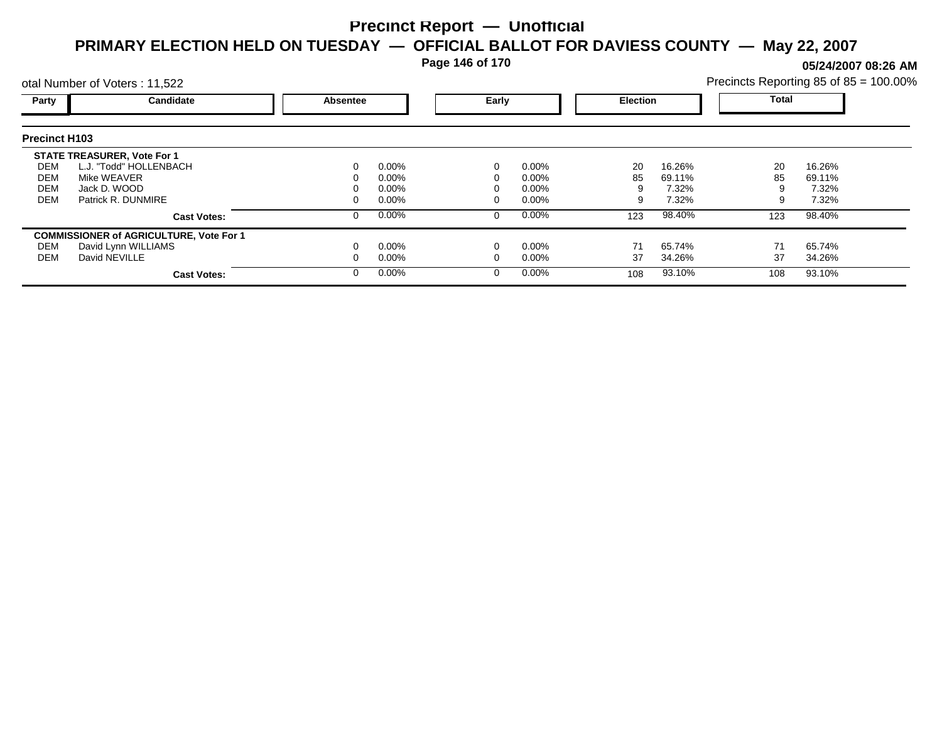**Page 146 of 170**

**05/24/2007 08:26 AM**

|                      | otal Number of Voters: 11,522                  |                 |          |  |          |     |                 | Precincts Reporting 85 of 85 = 100.00% |        |  |
|----------------------|------------------------------------------------|-----------------|----------|--|----------|-----|-----------------|----------------------------------------|--------|--|
| Party                | Candidate                                      | <b>Absentee</b> |          |  | Early    |     | <b>Election</b> | <b>Total</b>                           |        |  |
| <b>Precinct H103</b> |                                                |                 |          |  |          |     |                 |                                        |        |  |
|                      | <b>STATE TREASURER, Vote For 1</b>             |                 |          |  |          |     |                 |                                        |        |  |
| DEM                  | L.J. "Todd" HOLLENBACH                         | 0               | $0.00\%$ |  | 0.00%    | 20  | 16.26%          | 20                                     | 16.26% |  |
| DEM                  | Mike WEAVER                                    | 0               | $0.00\%$ |  | $0.00\%$ | 85  | 69.11%          | 85                                     | 69.11% |  |
| DEM                  | Jack D. WOOD                                   |                 | $0.00\%$ |  | $0.00\%$ |     | 7.32%           |                                        | 7.32%  |  |
| DEM                  | Patrick R. DUNMIRE                             | 0               | $0.00\%$ |  | $0.00\%$ | 9   | 7.32%           | 9                                      | 7.32%  |  |
|                      | <b>Cast Votes:</b>                             | 0               | $0.00\%$ |  | $0.00\%$ | 123 | 98.40%          | 123                                    | 98.40% |  |
|                      | <b>COMMISSIONER of AGRICULTURE, Vote For 1</b> |                 |          |  |          |     |                 |                                        |        |  |
| DEM                  | David Lynn WILLIAMS                            |                 | $0.00\%$ |  | 0.00%    | 71  | 65.74%          | 71                                     | 65.74% |  |
| DEM                  | David NEVILLE                                  |                 | $0.00\%$ |  | $0.00\%$ | 37  | 34.26%          | 37                                     | 34.26% |  |
|                      | <b>Cast Votes:</b>                             | 0               | $0.00\%$ |  | $0.00\%$ | 108 | 93.10%          | 108                                    | 93.10% |  |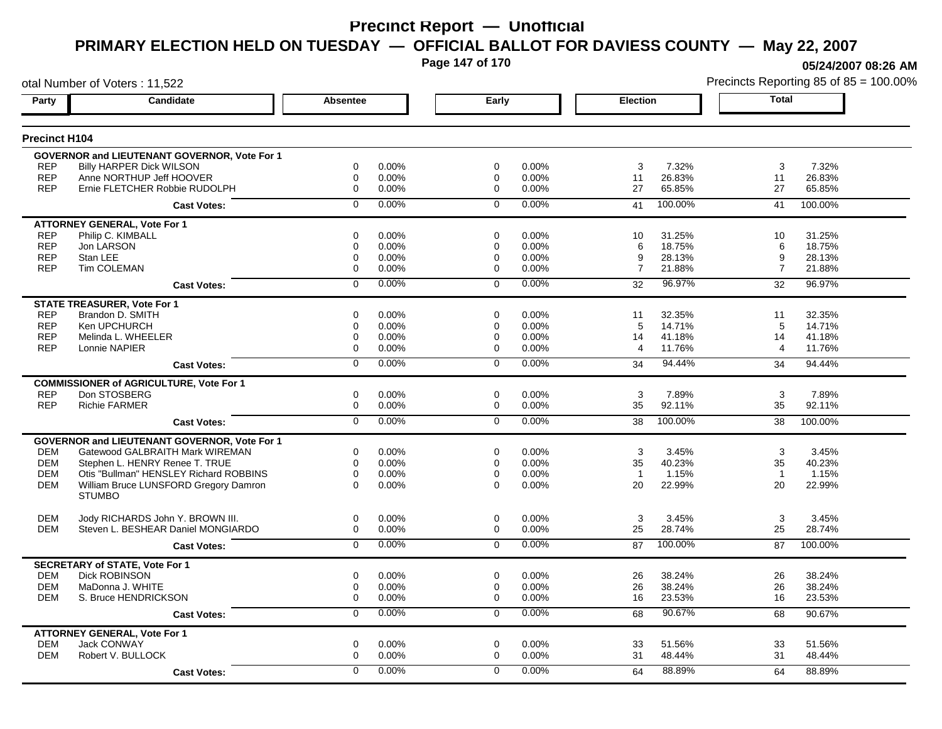**Page 147 of 170**

**05/24/2007 08:26 AM**

| otal Number of Voters: 11,522 |                                                               |                 |       |                |       |                 |         |                | Precincts Reporting 85 of 85 = 100.00% |
|-------------------------------|---------------------------------------------------------------|-----------------|-------|----------------|-------|-----------------|---------|----------------|----------------------------------------|
| Party                         | Candidate                                                     | <b>Absentee</b> |       | Early          |       | <b>Election</b> |         | <b>Total</b>   |                                        |
| <b>Precinct H104</b>          |                                                               |                 |       |                |       |                 |         |                |                                        |
|                               | GOVERNOR and LIEUTENANT GOVERNOR, Vote For 1                  |                 |       |                |       |                 |         |                |                                        |
| <b>REP</b>                    | Billy HARPER Dick WILSON                                      | $\mathbf 0$     | 0.00% | $\mathbf 0$    | 0.00% | 3               | 7.32%   | 3              | 7.32%                                  |
| <b>REP</b>                    | Anne NORTHUP Jeff HOOVER                                      | $\mathbf 0$     | 0.00% | $\mathbf 0$    | 0.00% | 11              | 26.83%  | 11             | 26.83%                                 |
| <b>REP</b>                    | Ernie FLETCHER Robbie RUDOLPH                                 | $\mathbf 0$     | 0.00% | $\mathbf 0$    | 0.00% | 27              | 65.85%  | 27             | 65.85%                                 |
|                               | <b>Cast Votes:</b>                                            | $\mathbf 0$     | 0.00% | $\mathbf 0$    | 0.00% | 41              | 100.00% | 41             | 100.00%                                |
|                               | <b>ATTORNEY GENERAL, Vote For 1</b>                           |                 |       |                |       |                 |         |                |                                        |
| <b>REP</b>                    | Philip C. KIMBALL                                             | 0               | 0.00% | $\mathbf 0$    | 0.00% | 10              | 31.25%  | 10             | 31.25%                                 |
| <b>REP</b>                    | Jon LARSON                                                    | $\mathbf 0$     | 0.00% | 0              | 0.00% | 6               | 18.75%  | 6              | 18.75%                                 |
| <b>REP</b>                    | Stan LEE                                                      | $\mathbf 0$     | 0.00% | 0              | 0.00% | 9               | 28.13%  | 9              | 28.13%                                 |
| <b>REP</b>                    | Tim COLEMAN                                                   | $\mathbf 0$     | 0.00% | 0              | 0.00% | $\overline{7}$  | 21.88%  | $\overline{7}$ | 21.88%                                 |
|                               | <b>Cast Votes:</b>                                            | $\mathbf 0$     | 0.00% | $\mathbf 0$    | 0.00% | 32              | 96.97%  | 32             | 96.97%                                 |
|                               | <b>STATE TREASURER, Vote For 1</b>                            |                 |       |                |       |                 |         |                |                                        |
| <b>REP</b>                    | Brandon D. SMITH                                              | $\mathbf 0$     | 0.00% | $\Omega$       | 0.00% | 11              | 32.35%  | 11             | 32.35%                                 |
| <b>REP</b>                    | Ken UPCHURCH                                                  | $\mathbf 0$     | 0.00% | $\mathbf 0$    | 0.00% | 5               | 14.71%  | 5              | 14.71%                                 |
| <b>REP</b>                    | Melinda L. WHEELER                                            | $\mathbf 0$     | 0.00% | 0              | 0.00% | 14              | 41.18%  | 14             | 41.18%                                 |
| <b>REP</b>                    | Lonnie NAPIER                                                 | 0               | 0.00% | $\Omega$       | 0.00% | 4               | 11.76%  | $\overline{4}$ | 11.76%                                 |
|                               | <b>Cast Votes:</b>                                            | $\overline{0}$  | 0.00% | $\mathbf 0$    | 0.00% | 34              | 94.44%  | 34             | 94.44%                                 |
|                               | <b>COMMISSIONER of AGRICULTURE, Vote For 1</b>                |                 |       |                |       |                 |         |                |                                        |
| <b>REP</b>                    | Don STOSBERG                                                  | $\mathbf 0$     | 0.00% | $\mathbf 0$    | 0.00% | 3               | 7.89%   | 3              | 7.89%                                  |
| <b>REP</b>                    | <b>Richie FARMER</b>                                          | $\mathbf 0$     | 0.00% | $\mathbf 0$    | 0.00% | 35              | 92.11%  | 35             | 92.11%                                 |
|                               | <b>Cast Votes:</b>                                            | $\overline{0}$  | 0.00% | $\overline{0}$ | 0.00% | 38              | 100.00% | 38             | 100.00%                                |
|                               | GOVERNOR and LIEUTENANT GOVERNOR, Vote For 1                  |                 |       |                |       |                 |         |                |                                        |
| DEM                           | Gatewood GALBRAITH Mark WIREMAN                               | $\Omega$        | 0.00% | 0              | 0.00% | 3               | 3.45%   | 3              | 3.45%                                  |
| <b>DEM</b>                    | Stephen L. HENRY Renee T. TRUE                                | $\mathbf 0$     | 0.00% | 0              | 0.00% | 35              | 40.23%  | 35             | 40.23%                                 |
| <b>DEM</b>                    | Otis "Bullman" HENSLEY Richard ROBBINS                        | $\mathbf 0$     | 0.00% | 0              | 0.00% | $\overline{1}$  | 1.15%   | $\overline{1}$ | 1.15%                                  |
| <b>DEM</b>                    | William Bruce LUNSFORD Gregory Damron                         | $\Omega$        | 0.00% | $\Omega$       | 0.00% | 20              | 22.99%  | 20             | 22.99%                                 |
|                               | <b>STUMBO</b>                                                 |                 |       |                |       |                 |         |                |                                        |
| <b>DEM</b>                    | Jody RICHARDS John Y. BROWN III.                              | 0               | 0.00% | 0              | 0.00% | 3               | 3.45%   | 3              | 3.45%                                  |
| <b>DEM</b>                    | Steven L. BESHEAR Daniel MONGIARDO                            | 0               | 0.00% | $\mathbf 0$    | 0.00% | 25              | 28.74%  | 25             | 28.74%                                 |
|                               | <b>Cast Votes:</b>                                            | $\mathbf 0$     | 0.00% | $\mathbf 0$    | 0.00% | 87              | 100.00% | 87             | 100.00%                                |
|                               |                                                               |                 |       |                |       |                 |         |                |                                        |
| <b>DEM</b>                    | <b>SECRETARY of STATE, Vote For 1</b><br><b>Dick ROBINSON</b> | $\mathbf 0$     | 0.00% | $\mathbf 0$    | 0.00% | 26              | 38.24%  | 26             | 38.24%                                 |
| <b>DEM</b>                    | MaDonna J. WHITE                                              | $\mathbf 0$     | 0.00% | $\mathbf 0$    | 0.00% | 26              | 38.24%  | 26             | 38.24%                                 |
| <b>DEM</b>                    | S. Bruce HENDRICKSON                                          | $\mathbf 0$     | 0.00% | 0              | 0.00% | 16              | 23.53%  | 16             | 23.53%                                 |
|                               | <b>Cast Votes:</b>                                            | 0               | 0.00% | $\overline{0}$ | 0.00% | 68              | 90.67%  | 68             | 90.67%                                 |
|                               | <b>ATTORNEY GENERAL, Vote For 1</b>                           |                 |       |                |       |                 |         |                |                                        |
| <b>DEM</b>                    | Jack CONWAY                                                   | 0               | 0.00% | 0              | 0.00% | 33              | 51.56%  | 33             | 51.56%                                 |
| <b>DEM</b>                    | Robert V. BULLOCK                                             | $\mathbf 0$     | 0.00% | 0              | 0.00% | 31              | 48.44%  | 31             | 48.44%                                 |
|                               | <b>Cast Votes:</b>                                            | $\Omega$        | 0.00% | 0              | 0.00% | 64              | 88.89%  | 64             | 88.89%                                 |
|                               |                                                               |                 |       |                |       |                 |         |                |                                        |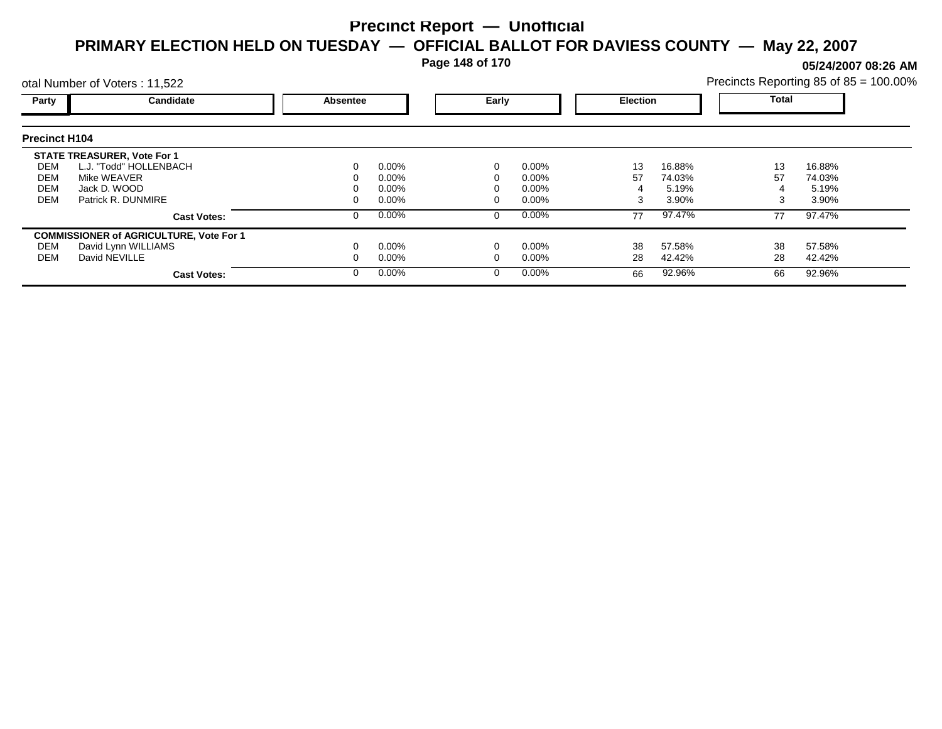**Page 148 of 170**

**05/24/2007 08:26 AM**

|                      | otal Number of Voters: 11,522                  |          |          |          |          |    |                 | Precincts Reporting 85 of 85 = 100.00% |        |  |
|----------------------|------------------------------------------------|----------|----------|----------|----------|----|-----------------|----------------------------------------|--------|--|
| Party                | Candidate                                      | Absentee |          |          | Early    |    | <b>Election</b> | Total                                  |        |  |
| <b>Precinct H104</b> |                                                |          |          |          |          |    |                 |                                        |        |  |
|                      | <b>STATE TREASURER, Vote For 1</b>             |          |          |          |          |    |                 |                                        |        |  |
| DEM                  | L.J. "Todd" HOLLENBACH                         |          | $0.00\%$ | 0        | $0.00\%$ | 13 | 16.88%          | 13                                     | 16.88% |  |
| DEM                  | Mike WEAVER                                    |          | 0.00%    |          | $0.00\%$ | 57 | 74.03%          | 57                                     | 74.03% |  |
| <b>DEM</b>           | Jack D. WOOD                                   |          | 0.00%    |          | $0.00\%$ |    | 5.19%           |                                        | 5.19%  |  |
| <b>DEM</b>           | Patrick R. DUNMIRE                             |          | 0.00%    |          | $0.00\%$ | 3  | 3.90%           | 3                                      | 3.90%  |  |
|                      | <b>Cast Votes:</b>                             |          | 0.00%    | 0        | $0.00\%$ | 77 | 97.47%          | 77                                     | 97.47% |  |
|                      | <b>COMMISSIONER of AGRICULTURE, Vote For 1</b> |          |          |          |          |    |                 |                                        |        |  |
| DEM                  | David Lynn WILLIAMS                            |          | 0.00%    |          | $0.00\%$ | 38 | 57.58%          | 38                                     | 57.58% |  |
| DEM                  | David NEVILLE                                  |          | $0.00\%$ |          | $0.00\%$ | 28 | 42.42%          | 28                                     | 42.42% |  |
|                      | <b>Cast Votes:</b>                             |          | 0.00%    | $\Omega$ | $0.00\%$ | 66 | 92.96%          | 66                                     | 92.96% |  |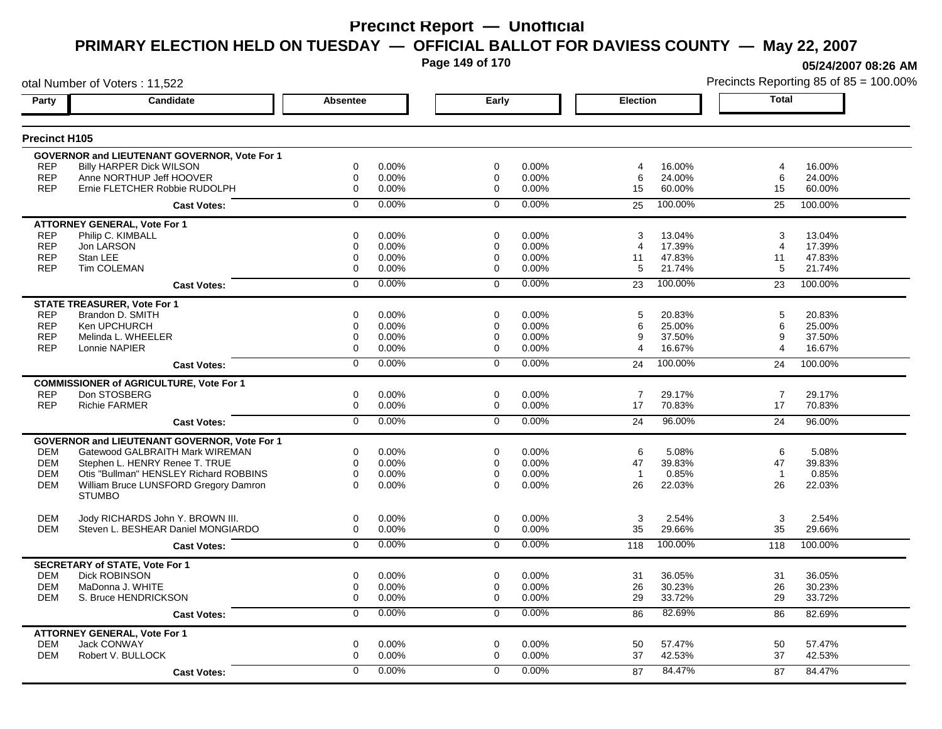**Page 149 of 170**

**05/24/2007 08:26 AM**

| otal Number of Voters: 11,522 |                                                                        |                            |                |                |                | Precincts Reporting 85 of 85 = 100.00% |                 |                |                 |
|-------------------------------|------------------------------------------------------------------------|----------------------------|----------------|----------------|----------------|----------------------------------------|-----------------|----------------|-----------------|
| Party                         | Candidate                                                              | Absentee                   |                | Early          |                | Election                               |                 | <b>Total</b>   |                 |
| <b>Precinct H105</b>          |                                                                        |                            |                |                |                |                                        |                 |                |                 |
|                               | <b>GOVERNOR and LIEUTENANT GOVERNOR, Vote For 1</b>                    |                            |                |                |                |                                        |                 |                |                 |
| <b>REP</b>                    | <b>Billy HARPER Dick WILSON</b>                                        | 0                          | 0.00%          | 0              | 0.00%          | 4                                      | 16.00%          | 4              | 16.00%          |
| <b>REP</b>                    | Anne NORTHUP Jeff HOOVER                                               | 0                          | 0.00%          | 0              | 0.00%          | 6                                      | 24.00%          | 6              | 24.00%          |
| <b>REP</b>                    | Ernie FLETCHER Robbie RUDOLPH                                          | $\mathbf 0$                | 0.00%          | $\mathbf 0$    | 0.00%          | 15                                     | 60.00%          | 15             | 60.00%          |
|                               | <b>Cast Votes:</b>                                                     | $\Omega$                   | 0.00%          | $\mathbf 0$    | 0.00%          | 25                                     | 100.00%         | 25             | 100.00%         |
|                               | <b>ATTORNEY GENERAL, Vote For 1</b>                                    |                            |                |                |                |                                        |                 |                |                 |
| <b>REP</b>                    | Philip C. KIMBALL                                                      | 0                          | 0.00%          | 0              | 0.00%          | 3                                      | 13.04%          | 3              | 13.04%          |
| <b>REP</b>                    | Jon LARSON                                                             | 0                          | 0.00%          | 0              | 0.00%          | 4                                      | 17.39%          | $\overline{4}$ | 17.39%          |
| <b>REP</b>                    | Stan LEE                                                               | 0                          | 0.00%          | 0              | 0.00%          | 11                                     | 47.83%          | 11             | 47.83%          |
| <b>REP</b>                    | Tim COLEMAN                                                            | 0                          | 0.00%          | 0              | 0.00%          | 5                                      | 21.74%          | 5              | 21.74%          |
|                               | <b>Cast Votes:</b>                                                     | $\mathbf 0$                | 0.00%          | $\Omega$       | 0.00%          | 23                                     | 100.00%         | 23             | 100.00%         |
|                               | <b>STATE TREASURER, Vote For 1</b>                                     |                            |                |                |                |                                        |                 |                |                 |
| <b>REP</b>                    | Brandon D. SMITH                                                       | $\Omega$                   | 0.00%          | $\Omega$       | 0.00%          | 5                                      | 20.83%          | 5              | 20.83%          |
| <b>REP</b>                    | Ken UPCHURCH                                                           | 0                          | 0.00%          | 0              | 0.00%          | 6                                      | 25.00%          | 6              | 25.00%          |
| <b>REP</b>                    | Melinda L. WHEELER                                                     | $\boldsymbol{0}$           | 0.00%          | 0              | 0.00%          | 9                                      | 37.50%          | 9              | 37.50%          |
| <b>REP</b>                    | Lonnie NAPIER                                                          | 0                          | 0.00%          | $\Omega$       | 0.00%          | 4                                      | 16.67%          | 4              | 16.67%          |
|                               | <b>Cast Votes:</b>                                                     | $\overline{0}$             | 0.00%          | $\Omega$       | 0.00%          | 24                                     | 100.00%         | 24             | 100.00%         |
|                               | <b>COMMISSIONER of AGRICULTURE, Vote For 1</b>                         |                            |                |                |                |                                        |                 |                |                 |
| <b>REP</b>                    | Don STOSBERG                                                           | 0                          | 0.00%          | 0              | 0.00%          | $\overline{7}$                         | 29.17%          | $\overline{7}$ | 29.17%          |
| <b>REP</b>                    | <b>Richie FARMER</b>                                                   | $\mathbf 0$                | 0.00%          | $\mathbf 0$    | 0.00%          | 17                                     | 70.83%          | 17             | 70.83%          |
|                               | <b>Cast Votes:</b>                                                     | $\overline{0}$             | 0.00%          | $\overline{0}$ | 0.00%          | 24                                     | 96.00%          | 24             | 96.00%          |
|                               | <b>GOVERNOR and LIEUTENANT GOVERNOR, Vote For 1</b>                    |                            |                |                |                |                                        |                 |                |                 |
| <b>DEM</b>                    | Gatewood GALBRAITH Mark WIREMAN                                        | 0                          | 0.00%          | 0              | 0.00%          | 6                                      | 5.08%           | 6              | 5.08%           |
| <b>DEM</b>                    | Stephen L. HENRY Renee T. TRUE                                         | $\mathbf 0$                | 0.00%          | $\mathbf 0$    | $0.00\%$       | 47                                     | 39.83%          | 47             | 39.83%          |
|                               |                                                                        | $\mathbf 0$                |                | $\Omega$       |                | $\overline{1}$                         |                 | $\overline{1}$ |                 |
| <b>DEM</b>                    | Otis "Bullman" HENSLEY Richard ROBBINS                                 | $\Omega$                   | 0.00%          | $\Omega$       | 0.00%<br>0.00% | 26                                     | 0.85%           | 26             | 0.85%           |
| <b>DEM</b>                    | William Bruce LUNSFORD Gregory Damron<br><b>STUMBO</b>                 |                            | 0.00%          |                |                |                                        | 22.03%          |                | 22.03%          |
|                               |                                                                        |                            |                |                |                |                                        |                 |                |                 |
| <b>DEM</b><br><b>DEM</b>      | Jody RICHARDS John Y. BROWN III.<br>Steven L. BESHEAR Daniel MONGIARDO | 0<br>$\mathbf 0$           | 0.00%<br>0.00% | 0<br>0         | 0.00%<br>0.00% | 3<br>35                                | 2.54%<br>29.66% | 3<br>35        | 2.54%<br>29.66% |
|                               |                                                                        | $\overline{0}$             | 0.00%          | $\mathbf 0$    | 0.00%          | 118                                    | 100.00%         | 118            | 100.00%         |
|                               | <b>Cast Votes:</b>                                                     |                            |                |                |                |                                        |                 |                |                 |
|                               | <b>SECRETARY of STATE, Vote For 1</b>                                  |                            |                |                |                |                                        |                 |                |                 |
| <b>DEM</b><br><b>DEM</b>      | <b>Dick ROBINSON</b>                                                   | $\mathbf 0$<br>$\mathbf 0$ | 0.00%          | $\mathbf 0$    | 0.00%          | 31                                     | 36.05%          | 31             | 36.05%          |
|                               | MaDonna J. WHITE                                                       | $\mathbf 0$                | 0.00%          | $\mathbf 0$    | 0.00%          | 26<br>29                               | 30.23%          | 26<br>29       | 30.23%          |
| <b>DEM</b>                    | S. Bruce HENDRICKSON                                                   |                            | 0.00%          | $\mathbf 0$    | 0.00%          |                                        | 33.72%          |                | 33.72%          |
|                               | <b>Cast Votes:</b>                                                     | 0                          | 0.00%          | 0              | 0.00%          | 86                                     | 82.69%          | 86             | 82.69%          |
|                               | <b>ATTORNEY GENERAL, Vote For 1</b>                                    |                            |                |                |                |                                        |                 |                |                 |
| <b>DEM</b>                    | <b>Jack CONWAY</b>                                                     | $\mathbf 0$                | 0.00%          | $\mathbf 0$    | 0.00%          | 50                                     | 57.47%          | 50             | 57.47%          |
| <b>DEM</b>                    | Robert V. BULLOCK                                                      | $\mathbf 0$                | 0.00%          | $\Omega$       | 0.00%          | 37                                     | 42.53%          | 37             | 42.53%          |
|                               | <b>Cast Votes:</b>                                                     | $\mathbf 0$                | 0.00%          | $\Omega$       | 0.00%          | 87                                     | 84.47%          | 87             | 84.47%          |
|                               |                                                                        |                            |                |                |                |                                        |                 |                |                 |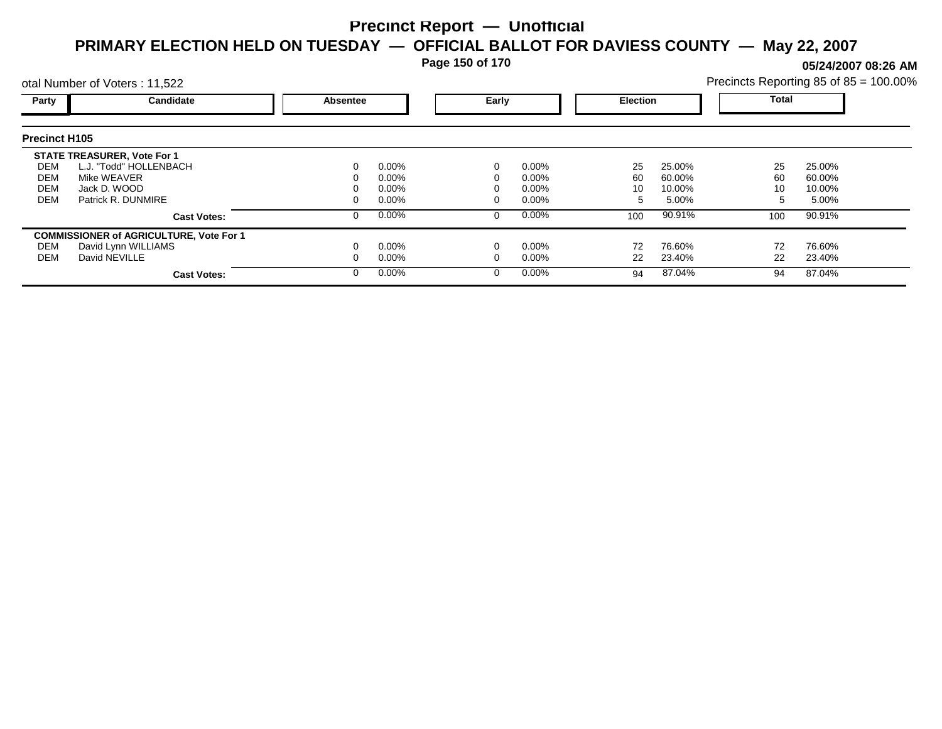**Page 150 of 170**

**05/24/2007 08:26 AM**

|                      | otal Number of Voters: 11,522                  |          |          |  |                 |     |        | Precincts Reporting 85 of 85 = 100.00% |        |  |
|----------------------|------------------------------------------------|----------|----------|--|-----------------|-----|--------|----------------------------------------|--------|--|
| Party                | Candidate                                      | Absentee | Early    |  | <b>Election</b> |     | Total  |                                        |        |  |
| <b>Precinct H105</b> |                                                |          |          |  |                 |     |        |                                        |        |  |
|                      | <b>STATE TREASURER, Vote For 1</b>             |          |          |  |                 |     |        |                                        |        |  |
| DEM                  | L.J. "Todd" HOLLENBACH                         |          | $0.00\%$ |  | $0.00\%$        | 25  | 25.00% | 25                                     | 25.00% |  |
| DEM                  | Mike WEAVER                                    |          | $0.00\%$ |  | $0.00\%$        | 60  | 60.00% | 60                                     | 60.00% |  |
| <b>DEM</b>           | Jack D. WOOD                                   |          | $0.00\%$ |  | $0.00\%$        | 10  | 10.00% | 10                                     | 10.00% |  |
| <b>DEM</b>           | Patrick R. DUNMIRE                             |          | $0.00\%$ |  | $0.00\%$        | 5   | 5.00%  | :5                                     | 5.00%  |  |
|                      | <b>Cast Votes:</b>                             |          | $0.00\%$ |  | $0.00\%$        | 100 | 90.91% | 100                                    | 90.91% |  |
|                      | <b>COMMISSIONER of AGRICULTURE, Vote For 1</b> |          |          |  |                 |     |        |                                        |        |  |
| DEM                  | David Lynn WILLIAMS                            |          | $0.00\%$ |  | $0.00\%$        | 72  | 76.60% | 72                                     | 76.60% |  |
| DEM                  | David NEVILLE                                  |          | $0.00\%$ |  | $0.00\%$        | 22  | 23.40% | 22                                     | 23.40% |  |
|                      | <b>Cast Votes:</b>                             |          | $0.00\%$ |  | $0.00\%$        | 94  | 87.04% | 94                                     | 87.04% |  |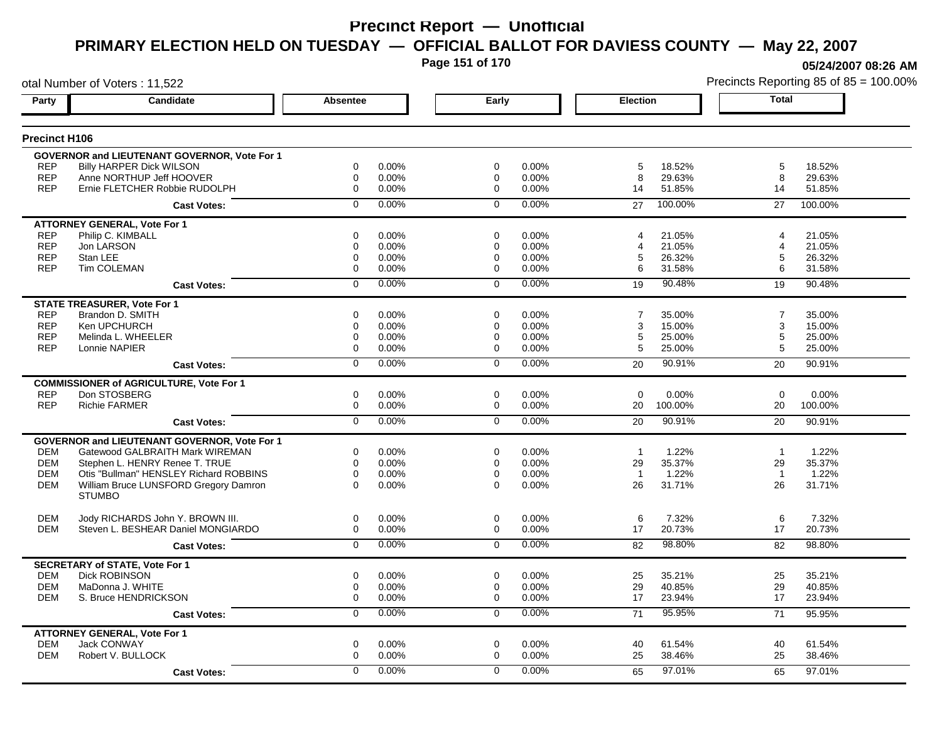**Page 151 of 170**

otal Number of Voters : 11,522

**05/24/2007 08:26 AM**

| Party                    | Candidate                                                              | <b>Absentee</b>                 | Early                                     | <b>Election</b>            | <b>Total</b>                    |
|--------------------------|------------------------------------------------------------------------|---------------------------------|-------------------------------------------|----------------------------|---------------------------------|
| Precinct H106            |                                                                        |                                 |                                           |                            |                                 |
|                          |                                                                        |                                 |                                           |                            |                                 |
|                          | GOVERNOR and LIEUTENANT GOVERNOR, Vote For 1                           | $\Omega$                        | $\Omega$                                  |                            |                                 |
| <b>REP</b><br><b>REP</b> | <b>Billy HARPER Dick WILSON</b><br>Anne NORTHUP Jeff HOOVER            | 0.00%<br>0<br>0.00%             | 0.00%<br>$\mathbf 0$<br>0.00%             | 18.52%<br>5<br>29.63%<br>8 | 5<br>18.52%<br>8<br>29.63%      |
| <b>REP</b>               | Ernie FLETCHER Robbie RUDOLPH                                          | 0.00%<br>0                      | 0.00%<br>$\Omega$                         | 51.85%<br>14               | 51.85%<br>14                    |
|                          |                                                                        |                                 |                                           |                            |                                 |
|                          | <b>Cast Votes:</b>                                                     | 0.00%<br>$\Omega$               | $0.00\%$<br>$\Omega$                      | 100.00%<br>27              | 27<br>100.00%                   |
|                          | <b>ATTORNEY GENERAL, Vote For 1</b>                                    |                                 |                                           |                            |                                 |
| <b>REP</b>               | Philip C. KIMBALL                                                      | 0.00%<br>0                      | 0.00%<br>$\Omega$                         | 21.05%<br>4                | 21.05%<br>$\boldsymbol{\Delta}$ |
| <b>REP</b>               | Jon LARSON                                                             | $\mathbf 0$<br>0.00%            | $\Omega$<br>0.00%                         | 21.05%<br>4                | 21.05%<br>$\overline{4}$        |
| <b>REP</b>               | Stan LEE                                                               | 0.00%<br>0                      | 0.00%<br>0                                | 5<br>26.32%                | 5<br>26.32%                     |
| <b>REP</b>               | <b>Tim COLEMAN</b>                                                     | 0<br>0.00%                      | $\mathbf 0$<br>0.00%                      | 6<br>31.58%                | 6<br>31.58%                     |
|                          | <b>Cast Votes:</b>                                                     | 0.00%<br>$\Omega$               | 0.00%<br>$\Omega$                         | 90.48%<br>19               | 19<br>90.48%                    |
|                          | <b>STATE TREASURER, Vote For 1</b>                                     |                                 |                                           |                            |                                 |
| <b>REP</b>               | Brandon D. SMITH                                                       | 0.00%<br>$\Omega$               | $\Omega$<br>0.00%                         | $\overline{7}$<br>35.00%   | $\overline{7}$<br>35.00%        |
| <b>REP</b>               | Ken UPCHURCH                                                           | 0.00%<br>0                      | 0.00%<br>$\mathbf 0$                      | 15.00%<br>3                | 15.00%<br>3                     |
| <b>REP</b>               | Melinda L. WHEELER                                                     | 0.00%<br>0                      | 0.00%<br>0                                | 5<br>25.00%                | 5<br>25.00%                     |
| <b>REP</b>               | Lonnie NAPIER                                                          | $\mathbf 0$<br>0.00%            | 0.00%<br>0                                | 5<br>25.00%                | 5<br>25.00%                     |
|                          | <b>Cast Votes:</b>                                                     | 0.00%<br>$\overline{0}$         | 0.00%<br>$\Omega$                         | 90.91%<br>20               | 90.91%<br>20                    |
|                          | <b>COMMISSIONER of AGRICULTURE, Vote For 1</b>                         |                                 |                                           |                            |                                 |
| <b>REP</b>               | Don STOSBERG                                                           | $\mathbf 0$<br>0.00%            | $\mathbf 0$<br>0.00%                      | $\overline{0}$<br>0.00%    | $\mathbf 0$<br>0.00%            |
| <b>REP</b>               | <b>Richie FARMER</b>                                                   | 0<br>0.00%                      | 0.00%<br>0                                | 20<br>100.00%              | 20<br>100.00%                   |
|                          | <b>Cast Votes:</b>                                                     | 0.00%<br>$\Omega$               | 0.00%<br>$\Omega$                         | 90.91%<br>20               | 90.91%<br>20                    |
|                          |                                                                        |                                 |                                           |                            |                                 |
|                          | <b>GOVERNOR and LIEUTENANT GOVERNOR. Vote For 1</b>                    |                                 |                                           |                            |                                 |
| <b>DEM</b>               | Gatewood GALBRAITH Mark WIREMAN                                        | 0<br>0.00%                      | $\mathbf 0$<br>0.00%                      | 1.22%<br>$\overline{1}$    | 1.22%<br>$\mathbf{1}$           |
| <b>DEM</b>               | Stephen L. HENRY Renee T. TRUE                                         | 0<br>0.00%                      | 0.00%<br>0                                | 29<br>35.37%               | 35.37%<br>29                    |
| <b>DEM</b>               | Otis "Bullman" HENSLEY Richard ROBBINS                                 | $\Omega$<br>0.00%               | 0.00%<br>$\Omega$                         | 1.22%<br>$\overline{1}$    | $\overline{1}$<br>1.22%         |
| <b>DEM</b>               | William Bruce LUNSFORD Gregory Damron<br><b>STUMBO</b>                 | $\Omega$<br>0.00%               | $\Omega$<br>0.00%                         | 26<br>31.71%               | 26<br>31.71%                    |
|                          |                                                                        |                                 |                                           |                            |                                 |
| <b>DEM</b><br><b>DEM</b> | Jody RICHARDS John Y. BROWN III.<br>Steven L. BESHEAR Daniel MONGIARDO | 0<br>0.00%<br>$\Omega$<br>0.00% | $\mathbf 0$<br>0.00%<br>$\Omega$<br>0.00% | 6<br>7.32%<br>17<br>20.73% | 6<br>7.32%<br>17<br>20.73%      |
|                          |                                                                        |                                 |                                           |                            |                                 |
|                          | <b>Cast Votes:</b>                                                     | 0.00%<br>$\mathbf 0$            | 0.00%<br>$\Omega$                         | 98.80%<br>82               | 98.80%<br>82                    |
|                          | <b>SECRETARY of STATE, Vote For 1</b>                                  |                                 |                                           |                            |                                 |
| <b>DEM</b>               | <b>Dick ROBINSON</b>                                                   | 0.00%<br>0                      | 0.00%<br>0                                | 25<br>35.21%               | 25<br>35.21%                    |
| <b>DEM</b>               | MaDonna J. WHITE                                                       | 0<br>0.00%                      | 0<br>0.00%                                | 29<br>40.85%               | 29<br>40.85%                    |
| <b>DEM</b>               | S. Bruce HENDRICKSON                                                   | $\Omega$<br>0.00%               | $\Omega$<br>0.00%                         | 17<br>23.94%               | 17<br>23.94%                    |
|                          | <b>Cast Votes:</b>                                                     | 0.00%<br>$\Omega$               | 0.00%<br>$\mathbf 0$                      | 95.95%<br>71               | 71<br>95.95%                    |
|                          | <b>ATTORNEY GENERAL, Vote For 1</b>                                    |                                 |                                           |                            |                                 |
| DEM                      | Jack CONWAY                                                            | 0<br>0.00%                      | 0<br>0.00%                                | 61.54%<br>40               | 40<br>61.54%                    |
| <b>DEM</b>               | Robert V. BULLOCK                                                      | 0.00%<br>0                      | 0.00%<br>$\Omega$                         | 38.46%<br>25               | 25<br>38.46%                    |
|                          | <b>Cast Votes:</b>                                                     | 0.00%<br>$\Omega$               | 0.00%<br>$\Omega$                         | 97.01%<br>65               | 97.01%<br>65                    |
|                          |                                                                        |                                 |                                           |                            |                                 |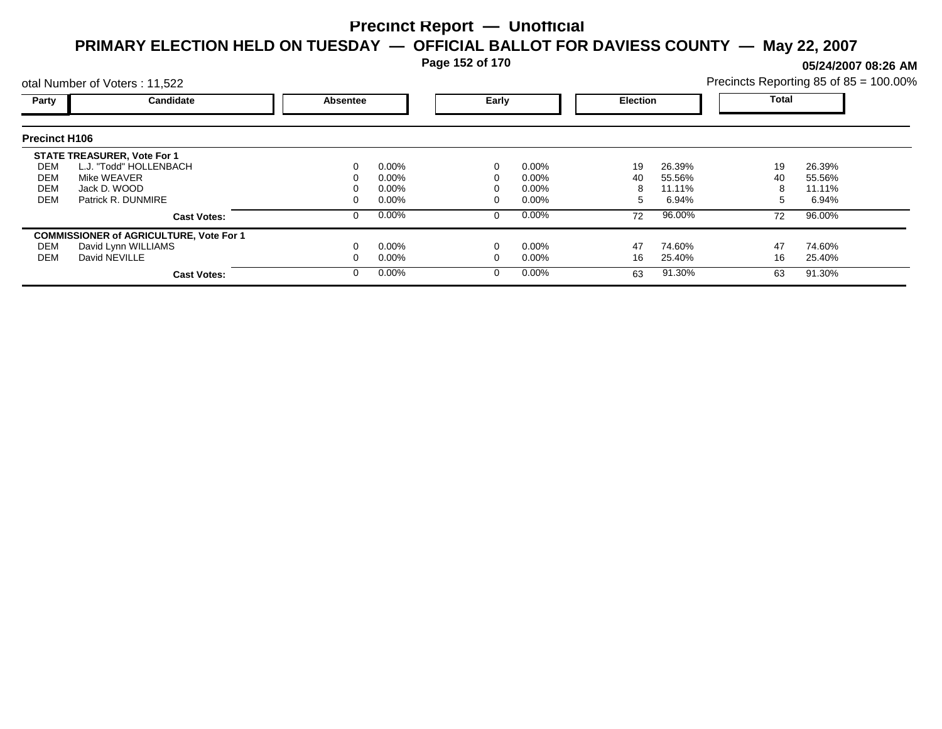**Page 152 of 170**

**05/24/2007 08:26 AM**

|                      | otal Number of Voters: 11,522                  |          |          |          |                 |    |        | Precincts Reporting 85 of 85 = 100.00% |        |  |
|----------------------|------------------------------------------------|----------|----------|----------|-----------------|----|--------|----------------------------------------|--------|--|
| Party                | Candidate                                      | Absentee | Early    |          | <b>Election</b> |    | Total  |                                        |        |  |
| <b>Precinct H106</b> |                                                |          |          |          |                 |    |        |                                        |        |  |
|                      | <b>STATE TREASURER, Vote For 1</b>             |          |          |          |                 |    |        |                                        |        |  |
| DEM                  | L.J. "Todd" HOLLENBACH                         |          | $0.00\%$ | 0        | $0.00\%$        | 19 | 26.39% | 19                                     | 26.39% |  |
| DEM                  | Mike WEAVER                                    |          | 0.00%    |          | $0.00\%$        | 40 | 55.56% | 40                                     | 55.56% |  |
| <b>DEM</b>           | Jack D. WOOD                                   |          | 0.00%    |          | $0.00\%$        |    | 11.11% | 8                                      | 11.11% |  |
| <b>DEM</b>           | Patrick R. DUNMIRE                             |          | 0.00%    |          | $0.00\%$        | h. | 6.94%  | 5                                      | 6.94%  |  |
|                      | <b>Cast Votes:</b>                             |          | 0.00%    | 0        | $0.00\%$        | 72 | 96.00% | 72                                     | 96.00% |  |
|                      | <b>COMMISSIONER of AGRICULTURE, Vote For 1</b> |          |          |          |                 |    |        |                                        |        |  |
| DEM                  | David Lynn WILLIAMS                            |          | 0.00%    |          | $0.00\%$        | 47 | 74.60% | 47                                     | 74.60% |  |
| DEM                  | David NEVILLE                                  |          | $0.00\%$ |          | 0.00%           | 16 | 25.40% | 16                                     | 25.40% |  |
|                      | <b>Cast Votes:</b>                             |          | $0.00\%$ | $\Omega$ | $0.00\%$        | 63 | 91.30% | 63                                     | 91.30% |  |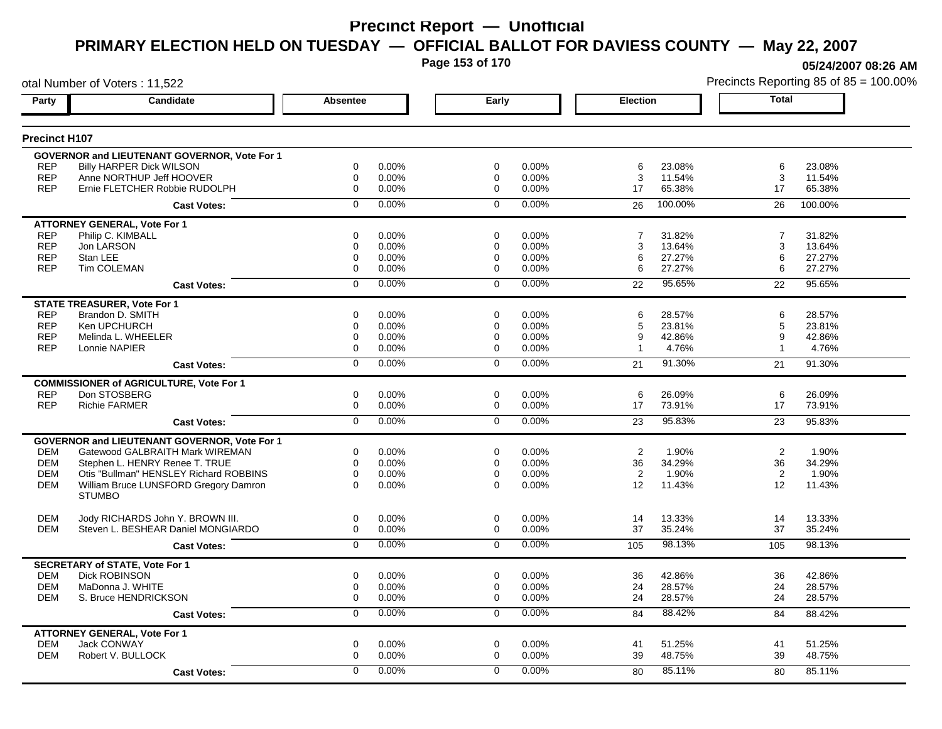**Page 153 of 170**

otal Number of Voters : 11,522

**05/24/2007 08:26 AM**

| <b>Precinct H107</b><br><b>GOVERNOR and LIEUTENANT GOVERNOR, Vote For 1</b><br>0.00%<br><b>REP</b><br><b>Billy HARPER Dick WILSON</b><br>0<br>$\mathbf 0$<br>0.00%<br>6<br>23.08%<br>6<br>23.08%<br><b>REP</b><br>Anne NORTHUP Jeff HOOVER<br>0.00%<br>0.00%<br>3<br>3<br>0<br>0<br>11.54%<br>11.54%<br><b>REP</b><br>Ernie FLETCHER Robbie RUDOLPH<br>0.00%<br>17<br>65.38%<br>65.38%<br>0<br>$\mathbf 0$<br>0.00%<br>17<br>0.00%<br>0.00%<br>100.00%<br>0<br>$\mathbf 0$<br>100.00%<br>26<br>26<br><b>Cast Votes:</b><br><b>ATTORNEY GENERAL, Vote For 1</b><br>$\overline{7}$<br><b>REP</b><br>Philip C. KIMBALL<br>0.00%<br>0.00%<br>31.82%<br>7<br>31.82%<br>0<br>0<br><b>REP</b><br>Jon LARSON<br>$\Omega$<br>$0.00\%$<br>$\Omega$<br>$0.00\%$<br>3<br>13.64%<br>3<br>13.64%<br><b>REP</b><br>Stan LEE<br>0.00%<br>0.00%<br>6<br>0<br>0<br>27.27%<br>6<br>27.27%<br><b>REP</b><br><b>Tim COLEMAN</b><br>0<br>0.00%<br>$\mathbf 0$<br>$0.00\%$<br>6<br>27.27%<br>6<br>27.27%<br>0.00%<br>0.00%<br>95.65%<br>$\Omega$<br>$\Omega$<br>95.65%<br>22<br>22<br><b>Cast Votes:</b><br><b>STATE TREASURER, Vote For 1</b><br><b>REP</b><br>Brandon D. SMITH<br>0.00%<br>0.00%<br>6<br>28.57%<br>28.57%<br>0<br>$\Omega$<br>6<br><b>REP</b><br>Ken UPCHURCH<br>0.00%<br>0.00%<br>5<br>0<br>$\mathbf 0$<br>23.81%<br>5<br>23.81%<br><b>REP</b><br>0.00%<br>0.00%<br>Melinda L. WHEELER<br>0<br>0<br>9<br>42.86%<br>9<br>42.86%<br><b>REP</b><br>Lonnie NAPIER<br>0.00%<br>$\mathbf 0$<br>4.76%<br>0<br>0.00%<br>4.76%<br>$\mathbf{1}$<br>1<br>0.00%<br>91.30%<br>$0.00\%$<br>$\Omega$<br>$\Omega$<br>91.30%<br>21<br>21<br><b>Cast Votes:</b><br><b>COMMISSIONER of AGRICULTURE, Vote For 1</b><br>Don STOSBERG<br>6<br><b>REP</b><br>0<br>0.00%<br>$\mathbf 0$<br>0.00%<br>6<br>26.09%<br>26.09%<br><b>REP</b><br><b>Richie FARMER</b><br>0.00%<br>0.00%<br>17<br>73.91%<br>17<br>73.91%<br>0<br>0<br>0.00%<br>0.00%<br>95.83%<br>0<br>$\Omega$<br>23<br>23<br>95.83%<br><b>Cast Votes:</b><br>GOVERNOR and LIEUTENANT GOVERNOR, Vote For 1<br><b>DEM</b><br>Gatewood GALBRAITH Mark WIREMAN<br>0.00%<br>0.00%<br>2<br>1.90%<br>2<br>1.90%<br>0<br>$\mathbf 0$<br><b>DEM</b><br>Stephen L. HENRY Renee T. TRUE<br>0<br>0.00%<br>$\mathbf 0$<br>0.00%<br>36<br>34.29%<br>36<br>34.29%<br>$\overline{2}$<br>$\overline{2}$<br><b>DEM</b><br>Otis "Bullman" HENSLEY Richard ROBBINS<br>$\Omega$<br>1.90%<br>1.90%<br>$0.00\%$<br>$\Omega$<br>0.00%<br>William Bruce LUNSFORD Gregory Damron<br>0.00%<br>0.00%<br><b>DEM</b><br>0<br>$\Omega$<br>12<br>11.43%<br>12<br>11.43%<br><b>STUMBO</b><br><b>DEM</b><br>Jody RICHARDS John Y. BROWN III.<br>0<br>0.00%<br>14<br>14<br>0<br>$0.00\%$<br>13.33%<br>13.33%<br>Steven L. BESHEAR Daniel MONGIARDO<br>37<br>37<br><b>DEM</b><br>$\Omega$<br>0.00%<br>$\Omega$<br>0.00%<br>35.24%<br>35.24%<br>0.00%<br>0.00%<br>98.13%<br>$\mathbf 0$<br>$\mathbf 0$<br>98.13%<br>105<br>105<br><b>Cast Votes:</b> | Party | Candidate | <b>Absentee</b> | Early | <b>Election</b> | <b>Total</b> |  |
|------------------------------------------------------------------------------------------------------------------------------------------------------------------------------------------------------------------------------------------------------------------------------------------------------------------------------------------------------------------------------------------------------------------------------------------------------------------------------------------------------------------------------------------------------------------------------------------------------------------------------------------------------------------------------------------------------------------------------------------------------------------------------------------------------------------------------------------------------------------------------------------------------------------------------------------------------------------------------------------------------------------------------------------------------------------------------------------------------------------------------------------------------------------------------------------------------------------------------------------------------------------------------------------------------------------------------------------------------------------------------------------------------------------------------------------------------------------------------------------------------------------------------------------------------------------------------------------------------------------------------------------------------------------------------------------------------------------------------------------------------------------------------------------------------------------------------------------------------------------------------------------------------------------------------------------------------------------------------------------------------------------------------------------------------------------------------------------------------------------------------------------------------------------------------------------------------------------------------------------------------------------------------------------------------------------------------------------------------------------------------------------------------------------------------------------------------------------------------------------------------------------------------------------------------------------------------------------------------------------------------------------------------------------------------------------------------------------------------------------------------------------------------------------------------------------------------------------------------------------------------------------------------------------------------------------------|-------|-----------|-----------------|-------|-----------------|--------------|--|
|                                                                                                                                                                                                                                                                                                                                                                                                                                                                                                                                                                                                                                                                                                                                                                                                                                                                                                                                                                                                                                                                                                                                                                                                                                                                                                                                                                                                                                                                                                                                                                                                                                                                                                                                                                                                                                                                                                                                                                                                                                                                                                                                                                                                                                                                                                                                                                                                                                                                                                                                                                                                                                                                                                                                                                                                                                                                                                                                                |       |           |                 |       |                 |              |  |
|                                                                                                                                                                                                                                                                                                                                                                                                                                                                                                                                                                                                                                                                                                                                                                                                                                                                                                                                                                                                                                                                                                                                                                                                                                                                                                                                                                                                                                                                                                                                                                                                                                                                                                                                                                                                                                                                                                                                                                                                                                                                                                                                                                                                                                                                                                                                                                                                                                                                                                                                                                                                                                                                                                                                                                                                                                                                                                                                                |       |           |                 |       |                 |              |  |
|                                                                                                                                                                                                                                                                                                                                                                                                                                                                                                                                                                                                                                                                                                                                                                                                                                                                                                                                                                                                                                                                                                                                                                                                                                                                                                                                                                                                                                                                                                                                                                                                                                                                                                                                                                                                                                                                                                                                                                                                                                                                                                                                                                                                                                                                                                                                                                                                                                                                                                                                                                                                                                                                                                                                                                                                                                                                                                                                                |       |           |                 |       |                 |              |  |
|                                                                                                                                                                                                                                                                                                                                                                                                                                                                                                                                                                                                                                                                                                                                                                                                                                                                                                                                                                                                                                                                                                                                                                                                                                                                                                                                                                                                                                                                                                                                                                                                                                                                                                                                                                                                                                                                                                                                                                                                                                                                                                                                                                                                                                                                                                                                                                                                                                                                                                                                                                                                                                                                                                                                                                                                                                                                                                                                                |       |           |                 |       |                 |              |  |
|                                                                                                                                                                                                                                                                                                                                                                                                                                                                                                                                                                                                                                                                                                                                                                                                                                                                                                                                                                                                                                                                                                                                                                                                                                                                                                                                                                                                                                                                                                                                                                                                                                                                                                                                                                                                                                                                                                                                                                                                                                                                                                                                                                                                                                                                                                                                                                                                                                                                                                                                                                                                                                                                                                                                                                                                                                                                                                                                                |       |           |                 |       |                 |              |  |
|                                                                                                                                                                                                                                                                                                                                                                                                                                                                                                                                                                                                                                                                                                                                                                                                                                                                                                                                                                                                                                                                                                                                                                                                                                                                                                                                                                                                                                                                                                                                                                                                                                                                                                                                                                                                                                                                                                                                                                                                                                                                                                                                                                                                                                                                                                                                                                                                                                                                                                                                                                                                                                                                                                                                                                                                                                                                                                                                                |       |           |                 |       |                 |              |  |
|                                                                                                                                                                                                                                                                                                                                                                                                                                                                                                                                                                                                                                                                                                                                                                                                                                                                                                                                                                                                                                                                                                                                                                                                                                                                                                                                                                                                                                                                                                                                                                                                                                                                                                                                                                                                                                                                                                                                                                                                                                                                                                                                                                                                                                                                                                                                                                                                                                                                                                                                                                                                                                                                                                                                                                                                                                                                                                                                                |       |           |                 |       |                 |              |  |
|                                                                                                                                                                                                                                                                                                                                                                                                                                                                                                                                                                                                                                                                                                                                                                                                                                                                                                                                                                                                                                                                                                                                                                                                                                                                                                                                                                                                                                                                                                                                                                                                                                                                                                                                                                                                                                                                                                                                                                                                                                                                                                                                                                                                                                                                                                                                                                                                                                                                                                                                                                                                                                                                                                                                                                                                                                                                                                                                                |       |           |                 |       |                 |              |  |
|                                                                                                                                                                                                                                                                                                                                                                                                                                                                                                                                                                                                                                                                                                                                                                                                                                                                                                                                                                                                                                                                                                                                                                                                                                                                                                                                                                                                                                                                                                                                                                                                                                                                                                                                                                                                                                                                                                                                                                                                                                                                                                                                                                                                                                                                                                                                                                                                                                                                                                                                                                                                                                                                                                                                                                                                                                                                                                                                                |       |           |                 |       |                 |              |  |
|                                                                                                                                                                                                                                                                                                                                                                                                                                                                                                                                                                                                                                                                                                                                                                                                                                                                                                                                                                                                                                                                                                                                                                                                                                                                                                                                                                                                                                                                                                                                                                                                                                                                                                                                                                                                                                                                                                                                                                                                                                                                                                                                                                                                                                                                                                                                                                                                                                                                                                                                                                                                                                                                                                                                                                                                                                                                                                                                                |       |           |                 |       |                 |              |  |
|                                                                                                                                                                                                                                                                                                                                                                                                                                                                                                                                                                                                                                                                                                                                                                                                                                                                                                                                                                                                                                                                                                                                                                                                                                                                                                                                                                                                                                                                                                                                                                                                                                                                                                                                                                                                                                                                                                                                                                                                                                                                                                                                                                                                                                                                                                                                                                                                                                                                                                                                                                                                                                                                                                                                                                                                                                                                                                                                                |       |           |                 |       |                 |              |  |
|                                                                                                                                                                                                                                                                                                                                                                                                                                                                                                                                                                                                                                                                                                                                                                                                                                                                                                                                                                                                                                                                                                                                                                                                                                                                                                                                                                                                                                                                                                                                                                                                                                                                                                                                                                                                                                                                                                                                                                                                                                                                                                                                                                                                                                                                                                                                                                                                                                                                                                                                                                                                                                                                                                                                                                                                                                                                                                                                                |       |           |                 |       |                 |              |  |
|                                                                                                                                                                                                                                                                                                                                                                                                                                                                                                                                                                                                                                                                                                                                                                                                                                                                                                                                                                                                                                                                                                                                                                                                                                                                                                                                                                                                                                                                                                                                                                                                                                                                                                                                                                                                                                                                                                                                                                                                                                                                                                                                                                                                                                                                                                                                                                                                                                                                                                                                                                                                                                                                                                                                                                                                                                                                                                                                                |       |           |                 |       |                 |              |  |
|                                                                                                                                                                                                                                                                                                                                                                                                                                                                                                                                                                                                                                                                                                                                                                                                                                                                                                                                                                                                                                                                                                                                                                                                                                                                                                                                                                                                                                                                                                                                                                                                                                                                                                                                                                                                                                                                                                                                                                                                                                                                                                                                                                                                                                                                                                                                                                                                                                                                                                                                                                                                                                                                                                                                                                                                                                                                                                                                                |       |           |                 |       |                 |              |  |
|                                                                                                                                                                                                                                                                                                                                                                                                                                                                                                                                                                                                                                                                                                                                                                                                                                                                                                                                                                                                                                                                                                                                                                                                                                                                                                                                                                                                                                                                                                                                                                                                                                                                                                                                                                                                                                                                                                                                                                                                                                                                                                                                                                                                                                                                                                                                                                                                                                                                                                                                                                                                                                                                                                                                                                                                                                                                                                                                                |       |           |                 |       |                 |              |  |
|                                                                                                                                                                                                                                                                                                                                                                                                                                                                                                                                                                                                                                                                                                                                                                                                                                                                                                                                                                                                                                                                                                                                                                                                                                                                                                                                                                                                                                                                                                                                                                                                                                                                                                                                                                                                                                                                                                                                                                                                                                                                                                                                                                                                                                                                                                                                                                                                                                                                                                                                                                                                                                                                                                                                                                                                                                                                                                                                                |       |           |                 |       |                 |              |  |
|                                                                                                                                                                                                                                                                                                                                                                                                                                                                                                                                                                                                                                                                                                                                                                                                                                                                                                                                                                                                                                                                                                                                                                                                                                                                                                                                                                                                                                                                                                                                                                                                                                                                                                                                                                                                                                                                                                                                                                                                                                                                                                                                                                                                                                                                                                                                                                                                                                                                                                                                                                                                                                                                                                                                                                                                                                                                                                                                                |       |           |                 |       |                 |              |  |
|                                                                                                                                                                                                                                                                                                                                                                                                                                                                                                                                                                                                                                                                                                                                                                                                                                                                                                                                                                                                                                                                                                                                                                                                                                                                                                                                                                                                                                                                                                                                                                                                                                                                                                                                                                                                                                                                                                                                                                                                                                                                                                                                                                                                                                                                                                                                                                                                                                                                                                                                                                                                                                                                                                                                                                                                                                                                                                                                                |       |           |                 |       |                 |              |  |
|                                                                                                                                                                                                                                                                                                                                                                                                                                                                                                                                                                                                                                                                                                                                                                                                                                                                                                                                                                                                                                                                                                                                                                                                                                                                                                                                                                                                                                                                                                                                                                                                                                                                                                                                                                                                                                                                                                                                                                                                                                                                                                                                                                                                                                                                                                                                                                                                                                                                                                                                                                                                                                                                                                                                                                                                                                                                                                                                                |       |           |                 |       |                 |              |  |
|                                                                                                                                                                                                                                                                                                                                                                                                                                                                                                                                                                                                                                                                                                                                                                                                                                                                                                                                                                                                                                                                                                                                                                                                                                                                                                                                                                                                                                                                                                                                                                                                                                                                                                                                                                                                                                                                                                                                                                                                                                                                                                                                                                                                                                                                                                                                                                                                                                                                                                                                                                                                                                                                                                                                                                                                                                                                                                                                                |       |           |                 |       |                 |              |  |
|                                                                                                                                                                                                                                                                                                                                                                                                                                                                                                                                                                                                                                                                                                                                                                                                                                                                                                                                                                                                                                                                                                                                                                                                                                                                                                                                                                                                                                                                                                                                                                                                                                                                                                                                                                                                                                                                                                                                                                                                                                                                                                                                                                                                                                                                                                                                                                                                                                                                                                                                                                                                                                                                                                                                                                                                                                                                                                                                                |       |           |                 |       |                 |              |  |
|                                                                                                                                                                                                                                                                                                                                                                                                                                                                                                                                                                                                                                                                                                                                                                                                                                                                                                                                                                                                                                                                                                                                                                                                                                                                                                                                                                                                                                                                                                                                                                                                                                                                                                                                                                                                                                                                                                                                                                                                                                                                                                                                                                                                                                                                                                                                                                                                                                                                                                                                                                                                                                                                                                                                                                                                                                                                                                                                                |       |           |                 |       |                 |              |  |
|                                                                                                                                                                                                                                                                                                                                                                                                                                                                                                                                                                                                                                                                                                                                                                                                                                                                                                                                                                                                                                                                                                                                                                                                                                                                                                                                                                                                                                                                                                                                                                                                                                                                                                                                                                                                                                                                                                                                                                                                                                                                                                                                                                                                                                                                                                                                                                                                                                                                                                                                                                                                                                                                                                                                                                                                                                                                                                                                                |       |           |                 |       |                 |              |  |
|                                                                                                                                                                                                                                                                                                                                                                                                                                                                                                                                                                                                                                                                                                                                                                                                                                                                                                                                                                                                                                                                                                                                                                                                                                                                                                                                                                                                                                                                                                                                                                                                                                                                                                                                                                                                                                                                                                                                                                                                                                                                                                                                                                                                                                                                                                                                                                                                                                                                                                                                                                                                                                                                                                                                                                                                                                                                                                                                                |       |           |                 |       |                 |              |  |
|                                                                                                                                                                                                                                                                                                                                                                                                                                                                                                                                                                                                                                                                                                                                                                                                                                                                                                                                                                                                                                                                                                                                                                                                                                                                                                                                                                                                                                                                                                                                                                                                                                                                                                                                                                                                                                                                                                                                                                                                                                                                                                                                                                                                                                                                                                                                                                                                                                                                                                                                                                                                                                                                                                                                                                                                                                                                                                                                                |       |           |                 |       |                 |              |  |
|                                                                                                                                                                                                                                                                                                                                                                                                                                                                                                                                                                                                                                                                                                                                                                                                                                                                                                                                                                                                                                                                                                                                                                                                                                                                                                                                                                                                                                                                                                                                                                                                                                                                                                                                                                                                                                                                                                                                                                                                                                                                                                                                                                                                                                                                                                                                                                                                                                                                                                                                                                                                                                                                                                                                                                                                                                                                                                                                                |       |           |                 |       |                 |              |  |
|                                                                                                                                                                                                                                                                                                                                                                                                                                                                                                                                                                                                                                                                                                                                                                                                                                                                                                                                                                                                                                                                                                                                                                                                                                                                                                                                                                                                                                                                                                                                                                                                                                                                                                                                                                                                                                                                                                                                                                                                                                                                                                                                                                                                                                                                                                                                                                                                                                                                                                                                                                                                                                                                                                                                                                                                                                                                                                                                                |       |           |                 |       |                 |              |  |
|                                                                                                                                                                                                                                                                                                                                                                                                                                                                                                                                                                                                                                                                                                                                                                                                                                                                                                                                                                                                                                                                                                                                                                                                                                                                                                                                                                                                                                                                                                                                                                                                                                                                                                                                                                                                                                                                                                                                                                                                                                                                                                                                                                                                                                                                                                                                                                                                                                                                                                                                                                                                                                                                                                                                                                                                                                                                                                                                                |       |           |                 |       |                 |              |  |
|                                                                                                                                                                                                                                                                                                                                                                                                                                                                                                                                                                                                                                                                                                                                                                                                                                                                                                                                                                                                                                                                                                                                                                                                                                                                                                                                                                                                                                                                                                                                                                                                                                                                                                                                                                                                                                                                                                                                                                                                                                                                                                                                                                                                                                                                                                                                                                                                                                                                                                                                                                                                                                                                                                                                                                                                                                                                                                                                                |       |           |                 |       |                 |              |  |
|                                                                                                                                                                                                                                                                                                                                                                                                                                                                                                                                                                                                                                                                                                                                                                                                                                                                                                                                                                                                                                                                                                                                                                                                                                                                                                                                                                                                                                                                                                                                                                                                                                                                                                                                                                                                                                                                                                                                                                                                                                                                                                                                                                                                                                                                                                                                                                                                                                                                                                                                                                                                                                                                                                                                                                                                                                                                                                                                                |       |           |                 |       |                 |              |  |
| <b>SECRETARY of STATE, Vote For 1</b>                                                                                                                                                                                                                                                                                                                                                                                                                                                                                                                                                                                                                                                                                                                                                                                                                                                                                                                                                                                                                                                                                                                                                                                                                                                                                                                                                                                                                                                                                                                                                                                                                                                                                                                                                                                                                                                                                                                                                                                                                                                                                                                                                                                                                                                                                                                                                                                                                                                                                                                                                                                                                                                                                                                                                                                                                                                                                                          |       |           |                 |       |                 |              |  |
| <b>DEM</b><br><b>Dick ROBINSON</b><br>0.00%<br>0.00%<br>36<br>42.86%<br>36<br>42.86%<br>0<br>0                                                                                                                                                                                                                                                                                                                                                                                                                                                                                                                                                                                                                                                                                                                                                                                                                                                                                                                                                                                                                                                                                                                                                                                                                                                                                                                                                                                                                                                                                                                                                                                                                                                                                                                                                                                                                                                                                                                                                                                                                                                                                                                                                                                                                                                                                                                                                                                                                                                                                                                                                                                                                                                                                                                                                                                                                                                 |       |           |                 |       |                 |              |  |
| <b>DEM</b><br>MaDonna J. WHITE<br>0.00%<br>24<br>28.57%<br>24<br>28.57%<br>$\Omega$<br>0.00%<br>$\Omega$                                                                                                                                                                                                                                                                                                                                                                                                                                                                                                                                                                                                                                                                                                                                                                                                                                                                                                                                                                                                                                                                                                                                                                                                                                                                                                                                                                                                                                                                                                                                                                                                                                                                                                                                                                                                                                                                                                                                                                                                                                                                                                                                                                                                                                                                                                                                                                                                                                                                                                                                                                                                                                                                                                                                                                                                                                       |       |           |                 |       |                 |              |  |
| <b>DEM</b><br>S. Bruce HENDRICKSON<br>0<br>0.00%<br>$\mathbf 0$<br>0.00%<br>24<br>28.57%<br>28.57%<br>24                                                                                                                                                                                                                                                                                                                                                                                                                                                                                                                                                                                                                                                                                                                                                                                                                                                                                                                                                                                                                                                                                                                                                                                                                                                                                                                                                                                                                                                                                                                                                                                                                                                                                                                                                                                                                                                                                                                                                                                                                                                                                                                                                                                                                                                                                                                                                                                                                                                                                                                                                                                                                                                                                                                                                                                                                                       |       |           |                 |       |                 |              |  |
| $\overline{0}$<br>0.00%<br>0.00%<br>88.42%<br>$\mathbf 0$<br>84<br>84<br>88.42%<br><b>Cast Votes:</b>                                                                                                                                                                                                                                                                                                                                                                                                                                                                                                                                                                                                                                                                                                                                                                                                                                                                                                                                                                                                                                                                                                                                                                                                                                                                                                                                                                                                                                                                                                                                                                                                                                                                                                                                                                                                                                                                                                                                                                                                                                                                                                                                                                                                                                                                                                                                                                                                                                                                                                                                                                                                                                                                                                                                                                                                                                          |       |           |                 |       |                 |              |  |
| <b>ATTORNEY GENERAL, Vote For 1</b>                                                                                                                                                                                                                                                                                                                                                                                                                                                                                                                                                                                                                                                                                                                                                                                                                                                                                                                                                                                                                                                                                                                                                                                                                                                                                                                                                                                                                                                                                                                                                                                                                                                                                                                                                                                                                                                                                                                                                                                                                                                                                                                                                                                                                                                                                                                                                                                                                                                                                                                                                                                                                                                                                                                                                                                                                                                                                                            |       |           |                 |       |                 |              |  |
| <b>DEM</b><br>Jack CONWAY<br>0<br>0.00%<br>$\mathbf 0$<br>0.00%<br>51.25%<br>41<br>51.25%<br>41                                                                                                                                                                                                                                                                                                                                                                                                                                                                                                                                                                                                                                                                                                                                                                                                                                                                                                                                                                                                                                                                                                                                                                                                                                                                                                                                                                                                                                                                                                                                                                                                                                                                                                                                                                                                                                                                                                                                                                                                                                                                                                                                                                                                                                                                                                                                                                                                                                                                                                                                                                                                                                                                                                                                                                                                                                                |       |           |                 |       |                 |              |  |
| <b>DEM</b><br>Robert V. BULLOCK<br>$\Omega$<br>0.00%<br>$\Omega$<br>0.00%<br>39<br>48.75%<br>39<br>48.75%                                                                                                                                                                                                                                                                                                                                                                                                                                                                                                                                                                                                                                                                                                                                                                                                                                                                                                                                                                                                                                                                                                                                                                                                                                                                                                                                                                                                                                                                                                                                                                                                                                                                                                                                                                                                                                                                                                                                                                                                                                                                                                                                                                                                                                                                                                                                                                                                                                                                                                                                                                                                                                                                                                                                                                                                                                      |       |           |                 |       |                 |              |  |
| $0.00\%$<br>0.00%<br>85.11%<br>$\Omega$<br>$\Omega$<br>80<br>85.11%<br>80<br><b>Cast Votes:</b>                                                                                                                                                                                                                                                                                                                                                                                                                                                                                                                                                                                                                                                                                                                                                                                                                                                                                                                                                                                                                                                                                                                                                                                                                                                                                                                                                                                                                                                                                                                                                                                                                                                                                                                                                                                                                                                                                                                                                                                                                                                                                                                                                                                                                                                                                                                                                                                                                                                                                                                                                                                                                                                                                                                                                                                                                                                |       |           |                 |       |                 |              |  |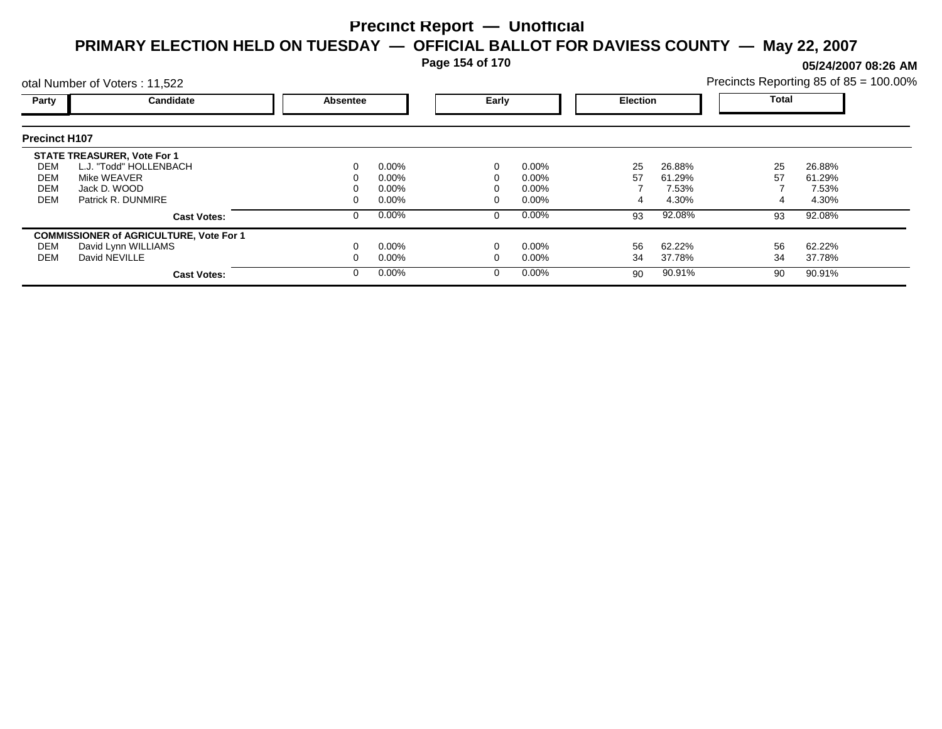**Page 154 of 170**

**05/24/2007 08:26 AM**

|                      | otal Number of Voters: 11,522                  |          |          |  |          |                 |        |       | Precincts Reporting 85 of 85 = 100.00% |  |
|----------------------|------------------------------------------------|----------|----------|--|----------|-----------------|--------|-------|----------------------------------------|--|
| Party                | Candidate                                      | Absentee | Early    |  |          | <b>Election</b> |        | Total |                                        |  |
| <b>Precinct H107</b> |                                                |          |          |  |          |                 |        |       |                                        |  |
|                      | <b>STATE TREASURER, Vote For 1</b>             |          |          |  |          |                 |        |       |                                        |  |
| DEM                  | L.J. "Todd" HOLLENBACH                         |          | $0.00\%$ |  | $0.00\%$ | 25              | 26.88% | 25    | 26.88%                                 |  |
| DEM                  | Mike WEAVER                                    |          | $0.00\%$ |  | $0.00\%$ | 57              | 61.29% | 57    | 61.29%                                 |  |
| <b>DEM</b>           | Jack D. WOOD                                   |          | $0.00\%$ |  | $0.00\%$ |                 | 7.53%  |       | 7.53%                                  |  |
| <b>DEM</b>           | Patrick R. DUNMIRE                             |          | $0.00\%$ |  | $0.00\%$ |                 | 4.30%  |       | 4.30%                                  |  |
|                      | <b>Cast Votes:</b>                             |          | $0.00\%$ |  | $0.00\%$ | 93              | 92.08% | 93    | 92.08%                                 |  |
|                      | <b>COMMISSIONER of AGRICULTURE, Vote For 1</b> |          |          |  |          |                 |        |       |                                        |  |
| DEM                  | David Lynn WILLIAMS                            |          | $0.00\%$ |  | $0.00\%$ | 56              | 62.22% | 56    | 62.22%                                 |  |
| DEM                  | David NEVILLE                                  |          | $0.00\%$ |  | $0.00\%$ | 34              | 37.78% | 34    | 37.78%                                 |  |
|                      | <b>Cast Votes:</b>                             |          | $0.00\%$ |  | $0.00\%$ | 90              | 90.91% | 90    | 90.91%                                 |  |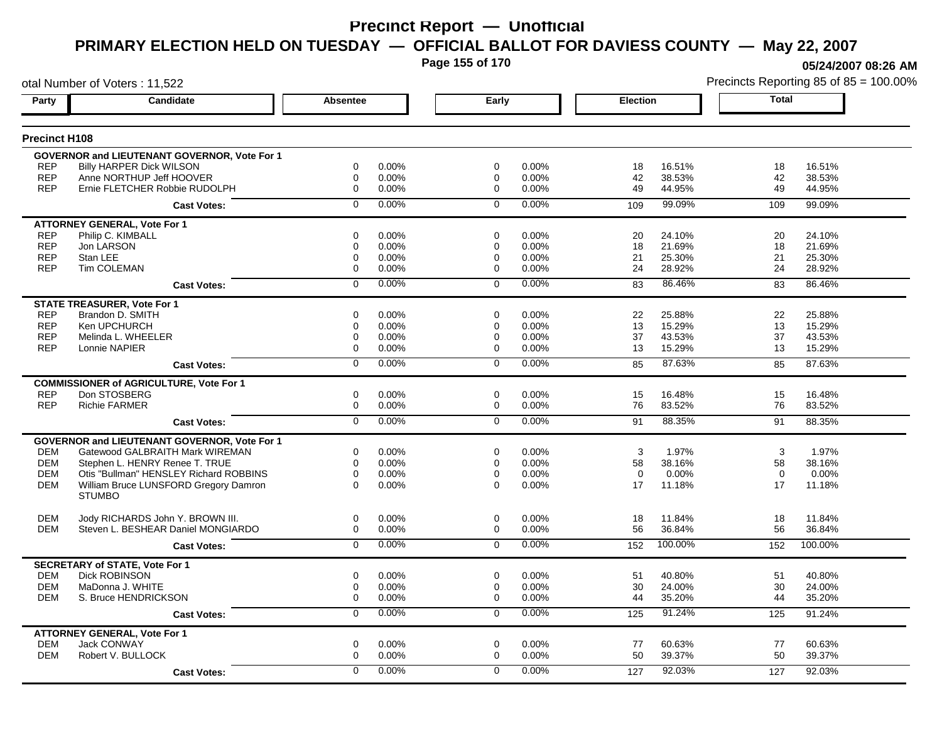**Page 155 of 170**

otal Number of Voters : 11,522

**05/24/2007 08:26 AM**

| Party                    | <b>Candidate</b>                                          | <b>Absentee</b>         | Early                | <b>Election</b>      | <b>Total</b>      |
|--------------------------|-----------------------------------------------------------|-------------------------|----------------------|----------------------|-------------------|
| Precinct H108            |                                                           |                         |                      |                      |                   |
|                          |                                                           |                         |                      |                      |                   |
|                          | GOVERNOR and LIEUTENANT GOVERNOR, Vote For 1              |                         |                      |                      |                   |
| <b>REP</b>               | <b>Billy HARPER Dick WILSON</b>                           | $\mathbf 0$<br>0.00%    | $\mathbf 0$<br>0.00% | 16.51%<br>18         | 18<br>16.51%      |
| <b>REP</b><br><b>REP</b> | Anne NORTHUP Jeff HOOVER                                  | 0.00%<br>$\Omega$       | $\Omega$<br>0.00%    | 42<br>38.53%         | 42<br>38.53%      |
|                          | Ernie FLETCHER Robbie RUDOLPH                             | $\mathbf 0$<br>0.00%    | 0.00%<br>$\mathbf 0$ | 49<br>44.95%         | 49<br>44.95%      |
|                          | <b>Cast Votes:</b>                                        | 0.00%<br>$\mathbf 0$    | 0.00%<br>$\mathbf 0$ | 99.09%<br>109        | 109<br>99.09%     |
|                          | <b>ATTORNEY GENERAL. Vote For 1</b>                       |                         |                      |                      |                   |
| <b>REP</b>               | Philip C. KIMBALL                                         | $\mathbf 0$<br>0.00%    | $\mathbf 0$<br>0.00% | 24.10%<br>20         | 24.10%<br>20      |
| <b>REP</b>               | Jon LARSON                                                | 0.00%<br>$\mathbf 0$    | 0.00%<br>$\mathbf 0$ | 21.69%<br>18         | 21.69%<br>18      |
| <b>REP</b>               | Stan LEE                                                  | 0<br>0.00%              | $\Omega$<br>0.00%    | 21<br>25.30%         | 21<br>25.30%      |
| <b>REP</b>               | Tim COLEMAN                                               | $\mathbf 0$<br>0.00%    | 0.00%<br>$\mathbf 0$ | 24<br>28.92%         | 28.92%<br>24      |
|                          | <b>Cast Votes:</b>                                        | 0.00%<br>$\mathbf 0$    | 0.00%<br>$\Omega$    | 86.46%<br>83         | 86.46%<br>83      |
|                          | <b>STATE TREASURER, Vote For 1</b>                        |                         |                      |                      |                   |
| <b>REP</b>               | Brandon D. SMITH                                          | 0.00%<br>$\Omega$       | 0.00%<br>$\Omega$    | 25.88%<br>22         | 22<br>25.88%      |
| <b>REP</b>               | Ken UPCHURCH                                              | 0.00%<br>$\mathbf 0$    | 0.00%<br>$\mathbf 0$ | 13<br>15.29%         | 15.29%<br>13      |
| <b>REP</b>               | Melinda L. WHEELER                                        | 0.00%<br>0              | 0.00%<br>$\Omega$    | 37<br>43.53%         | 37<br>43.53%      |
| <b>REP</b>               | Lonnie NAPIER                                             | $\mathbf 0$<br>0.00%    | 0.00%<br>$\mathbf 0$ | 13<br>15.29%         | 13<br>15.29%      |
|                          | <b>Cast Votes:</b>                                        | 0.00%<br>$\mathbf 0$    | 0.00%<br>$\Omega$    | 87.63%<br>85         | 87.63%<br>85      |
|                          | <b>COMMISSIONER of AGRICULTURE, Vote For 1</b>            |                         |                      |                      |                   |
| <b>REP</b>               | Don STOSBERG                                              | $\Omega$<br>0.00%       | $\mathbf 0$<br>0.00% | 16.48%<br>15         | 15<br>16.48%      |
| <b>REP</b>               | <b>Richie FARMER</b>                                      | $\mathbf 0$<br>0.00%    | 0.00%<br>$\mathbf 0$ | 76<br>83.52%         | 76<br>83.52%      |
|                          | <b>Cast Votes:</b>                                        | 0.00%<br>$\overline{0}$ | 0.00%<br>$\mathbf 0$ | 88.35%<br>91         | 88.35%<br>91      |
|                          | <b>GOVERNOR and LIEUTENANT GOVERNOR, Vote For 1</b>       |                         |                      |                      |                   |
| <b>DEM</b>               | Gatewood GALBRAITH Mark WIREMAN                           | $\mathbf 0$<br>0.00%    | $\mathbf 0$<br>0.00% | 3<br>1.97%           | 1.97%<br>3        |
| <b>DEM</b>               | Stephen L. HENRY Renee T. TRUE                            | $\mathbf 0$<br>0.00%    | 0.00%<br>0           | 58<br>38.16%         | 38.16%<br>58      |
| <b>DEM</b>               | Otis "Bullman" HENSLEY Richard ROBBINS                    | $\Omega$<br>0.00%       | $\Omega$<br>0.00%    | $\Omega$<br>$0.00\%$ | $\Omega$<br>0.00% |
| <b>DEM</b>               | William Bruce LUNSFORD Gregory Damron                     | $\Omega$<br>0.00%       | $\Omega$<br>0.00%    | 17<br>11.18%         | 17<br>11.18%      |
|                          | <b>STUMBO</b>                                             |                         |                      |                      |                   |
| <b>DEM</b>               | Jody RICHARDS John Y. BROWN III.                          | 0.00%<br>$\mathbf 0$    | $\mathbf 0$<br>0.00% | 18<br>11.84%         | 18<br>11.84%      |
| <b>DEM</b>               | Steven L. BESHEAR Daniel MONGIARDO                        | 0.00%<br>0              | 0.00%<br>$\mathbf 0$ | 56<br>36.84%         | 36.84%<br>56      |
|                          | <b>Cast Votes:</b>                                        | 0.00%<br>$\Omega$       | 0.00%<br>$\Omega$    | 100.00%<br>152       | 100.00%<br>152    |
|                          | <b>SECRETARY of STATE, Vote For 1</b>                     |                         |                      |                      |                   |
| <b>DEM</b>               | <b>Dick ROBINSON</b>                                      | $\mathbf 0$<br>0.00%    | 0.00%<br>$\mathbf 0$ | 51<br>40.80%         | 51<br>40.80%      |
| <b>DEM</b>               | MaDonna J. WHITE                                          | $\Omega$<br>0.00%       | $\Omega$<br>0.00%    | 30<br>24.00%         | 30<br>24.00%      |
| <b>DEM</b>               | S. Bruce HENDRICKSON                                      | 0.00%<br>$\mathbf 0$    | 0.00%<br>$\mathbf 0$ | 35.20%<br>44         | 35.20%<br>44      |
|                          | <b>Cast Votes:</b>                                        | 0.00%<br>$\mathbf 0$    | 0.00%<br>$\mathbf 0$ | 91.24%<br>125        | 125<br>91.24%     |
|                          |                                                           |                         |                      |                      |                   |
| <b>DEM</b>               | <b>ATTORNEY GENERAL, Vote For 1</b><br><b>Jack CONWAY</b> | $\mathbf 0$<br>0.00%    | $\mathbf 0$<br>0.00% | 60.63%<br>77         | 77<br>60.63%      |
| <b>DEM</b>               | Robert V. BULLOCK                                         | $\mathbf 0$<br>0.00%    | $\mathbf 0$<br>0.00% | 39.37%<br>50         | 50<br>39.37%      |
|                          |                                                           | $\Omega$<br>0.00%       | 0.00%<br>$\Omega$    | 92.03%               |                   |
|                          | <b>Cast Votes:</b>                                        |                         |                      | 127                  | 92.03%<br>127     |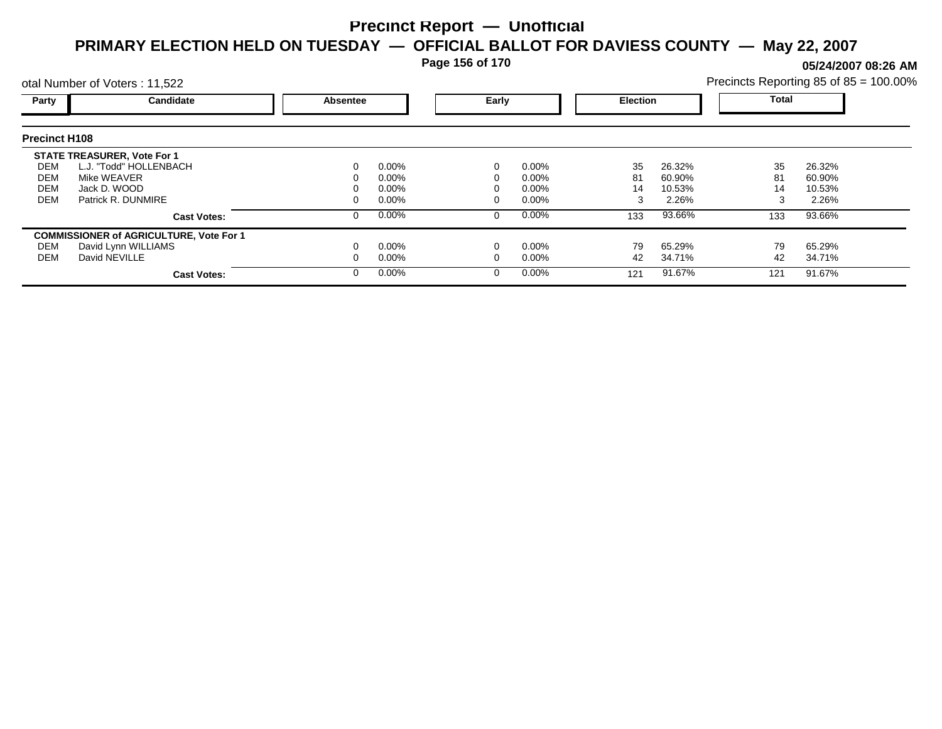**Page 156 of 170**

**05/24/2007 08:26 AM**

|                      | otal Number of Voters: 11,522                  |          |          |  |          |                 |        | Precincts Reporting 85 of 85 = 100.00% |        |  |
|----------------------|------------------------------------------------|----------|----------|--|----------|-----------------|--------|----------------------------------------|--------|--|
| Party                | Candidate                                      | Absentee | Early    |  |          | <b>Election</b> |        | Total                                  |        |  |
| <b>Precinct H108</b> |                                                |          |          |  |          |                 |        |                                        |        |  |
|                      | <b>STATE TREASURER, Vote For 1</b>             |          |          |  |          |                 |        |                                        |        |  |
| DEM                  | L.J. "Todd" HOLLENBACH                         |          | $0.00\%$ |  | $0.00\%$ | 35              | 26.32% | 35                                     | 26.32% |  |
| DEM                  | Mike WEAVER                                    |          | $0.00\%$ |  | $0.00\%$ | 81              | 60.90% | 81                                     | 60.90% |  |
| <b>DEM</b>           | Jack D. WOOD                                   |          | $0.00\%$ |  | $0.00\%$ | 14              | 10.53% | 14                                     | 10.53% |  |
| <b>DEM</b>           | Patrick R. DUNMIRE                             |          | $0.00\%$ |  | $0.00\%$ | 3               | 2.26%  | 3                                      | 2.26%  |  |
|                      | <b>Cast Votes:</b>                             |          | $0.00\%$ |  | $0.00\%$ | 133             | 93.66% | 133                                    | 93.66% |  |
|                      | <b>COMMISSIONER of AGRICULTURE, Vote For 1</b> |          |          |  |          |                 |        |                                        |        |  |
| DEM                  | David Lynn WILLIAMS                            |          | $0.00\%$ |  | $0.00\%$ | 79              | 65.29% | 79                                     | 65.29% |  |
| DEM                  | David NEVILLE                                  |          | $0.00\%$ |  | $0.00\%$ | 42              | 34.71% | 42                                     | 34.71% |  |
|                      | <b>Cast Votes:</b>                             |          | $0.00\%$ |  | $0.00\%$ | 121             | 91.67% | 121                                    | 91.67% |  |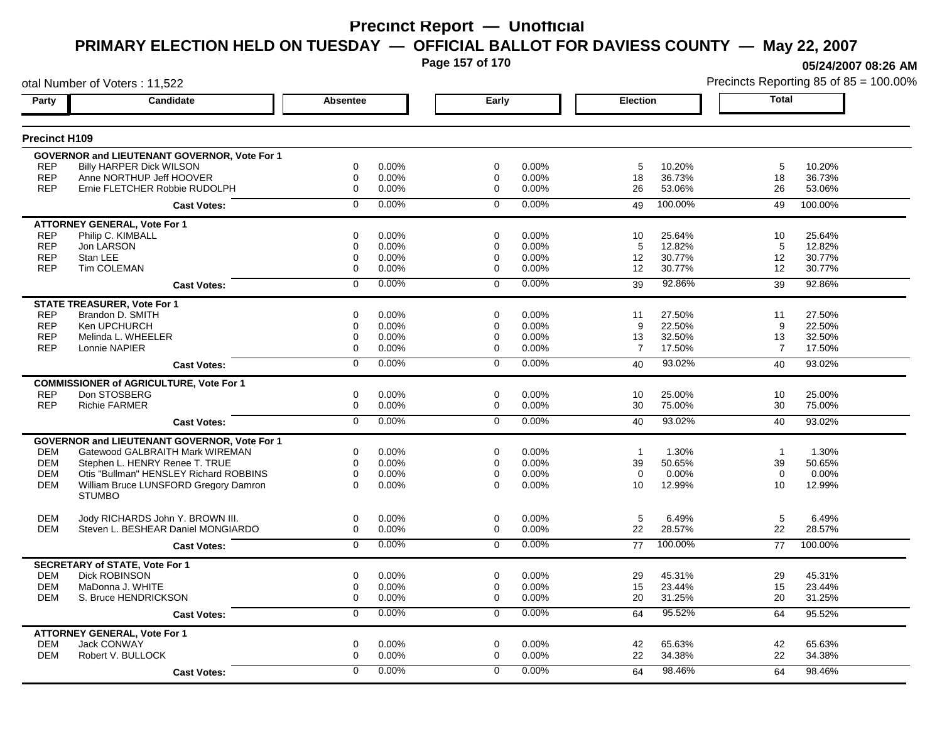**Page 157 of 170**

otal Number of Voters : 11,522

**05/24/2007 08:26 AM**

| <b>Precinct H109</b><br><b>GOVERNOR and LIEUTENANT GOVERNOR, Vote For 1</b><br>0.00%<br><b>REP</b><br><b>Billy HARPER Dick WILSON</b><br>$\mathbf 0$<br>$\mathbf 0$<br>0.00%<br>5<br>10.20%<br>5<br>10.20%<br><b>REP</b><br>Anne NORTHUP Jeff HOOVER<br>0.00%<br>0.00%<br>36.73%<br>$\Omega$<br>$\mathbf 0$<br>18<br>18<br>36.73%<br><b>REP</b><br>Ernie FLETCHER Robbie RUDOLPH<br>0.00%<br>26<br>53.06%<br>$\mathbf 0$<br>0.00%<br>$\mathbf 0$<br>26<br>53.06%<br>0.00%<br>0.00%<br>100.00%<br>$\mathbf 0$<br>$\mathbf 0$<br>100.00%<br>49<br>49<br><b>Cast Votes:</b><br><b>ATTORNEY GENERAL, Vote For 1</b><br><b>REP</b><br>Philip C. KIMBALL<br>$\mathbf 0$<br>0.00%<br>0.00%<br>25.64%<br>25.64%<br>$\mathbf 0$<br>10<br>10<br><b>REP</b><br>Jon LARSON<br>$\Omega$<br>$0.00\%$<br>$\Omega$<br>0.00%<br>5<br>12.82%<br>5<br>12.82%<br><b>REP</b><br>Stan LEE<br>0.00%<br>0.00%<br>30.77%<br>12<br>30.77%<br>0<br>0<br>12<br><b>Tim COLEMAN</b><br><b>REP</b><br>$\mathbf 0$<br>0.00%<br>$\Omega$<br>0.00%<br>12<br>30.77%<br>12<br>30.77%<br>0.00%<br>0.00%<br>92.86%<br>$\Omega$<br>$\Omega$<br>39<br>92.86%<br>39<br><b>Cast Votes:</b><br><b>STATE TREASURER, Vote For 1</b><br><b>REP</b><br>Brandon D. SMITH<br>0.00%<br>0.00%<br>27.50%<br>27.50%<br>$\Omega$<br>$\Omega$<br>11<br>11<br><b>REP</b><br>Ken UPCHURCH<br>0.00%<br>0.00%<br>22.50%<br>22.50%<br>$\mathbf 0$<br>$\mathbf 0$<br>9<br>9<br><b>REP</b><br>Melinda L. WHEELER<br>0.00%<br>32.50%<br>32.50%<br>0<br>$\Omega$<br>$0.00\%$<br>13<br>13<br><b>REP</b><br>0.00%<br>$\overline{7}$<br>17.50%<br>$\overline{7}$<br>Lonnie NAPIER<br>$\mathbf 0$<br>0.00%<br>$\mathbf 0$<br>17.50%<br>0.00%<br>93.02%<br>0.00%<br>$\Omega$<br>$\Omega$<br>93.02%<br>40<br>40<br><b>Cast Votes:</b><br><b>COMMISSIONER of AGRICULTURE, Vote For 1</b><br>Don STOSBERG<br><b>REP</b><br>$\mathbf 0$<br>0.00%<br>$\mathbf 0$<br>0.00%<br>25.00%<br>10<br>25.00%<br>10<br><b>REP</b><br><b>Richie FARMER</b><br>0.00%<br>0.00%<br>30<br>75.00%<br>75.00%<br>$\mathbf 0$<br>$\Omega$<br>30<br>0.00%<br>0.00%<br>93.02%<br>$\Omega$<br>$\Omega$<br>93.02%<br>40<br>40<br><b>Cast Votes:</b><br>GOVERNOR and LIEUTENANT GOVERNOR, Vote For 1<br><b>DEM</b><br>Gatewood GALBRAITH Mark WIREMAN<br>$\mathbf 0$<br>0.00%<br>0.00%<br>1.30%<br>1.30%<br>$\mathbf 0$<br>$\overline{1}$<br>$\overline{1}$<br><b>DEM</b><br>Stephen L. HENRY Renee T. TRUE<br>$\mathbf 0$<br>0.00%<br>$\mathbf 0$<br>0.00%<br>39<br>50.65%<br>39<br>50.65%<br><b>DEM</b><br>Otis "Bullman" HENSLEY Richard ROBBINS<br>$\Omega$<br>$\Omega$<br>0.00%<br>$\Omega$<br>0.00%<br>0.00%<br>$\Omega$<br>0.00%<br>William Bruce LUNSFORD Gregory Damron<br>0.00%<br>12.99%<br>12.99%<br><b>DEM</b><br>$\Omega$<br>0.00%<br>$\Omega$<br>10<br>10<br><b>STUMBO</b><br>5<br>5<br><b>DEM</b><br>Jody RICHARDS John Y. BROWN III.<br>$\mathbf 0$<br>$\mathbf 0$<br>6.49%<br>0.00%<br>0.00%<br>6.49%<br>Steven L. BESHEAR Daniel MONGIARDO<br>22<br>22<br>28.57%<br><b>DEM</b><br>$\Omega$<br>0.00%<br>$\Omega$<br>0.00%<br>28.57%<br>0.00%<br>0.00%<br>100.00%<br>$\Omega$<br>$\Omega$<br>100.00%<br>77<br>77<br><b>Cast Votes:</b><br><b>SECRETARY of STATE, Vote For 1</b><br><b>Dick ROBINSON</b><br><b>DEM</b><br>0.00%<br>0.00%<br>29<br>45.31%<br>29<br>45.31%<br>0<br>$\mathbf 0$<br><b>DEM</b><br>MaDonna J. WHITE<br>0.00%<br>15<br>23.44%<br>15<br>23.44%<br>$\Omega$<br>0.00%<br>$\Omega$<br>S. Bruce HENDRICKSON<br>$\Omega$<br>0.00%<br>0.00%<br>31.25%<br>31.25%<br><b>DEM</b><br>$\Omega$<br>20<br>20<br>0.00%<br>0.00%<br>95.52%<br>$\mathbf 0$<br>$\mathbf 0$<br>64<br>64<br>95.52%<br><b>Cast Votes:</b><br><b>ATTORNEY GENERAL, Vote For 1</b><br><b>DEM</b><br>Jack CONWAY<br>$\mathbf 0$<br>0.00%<br>$\mathbf 0$<br>0.00%<br>42<br>65.63%<br>42<br>65.63%<br><b>DEM</b><br>Robert V. BULLOCK<br>$\Omega$<br>0.00%<br>0.00%<br>22<br>34.38%<br>22<br>34.38%<br>$\Omega$<br>0.00%<br>0.00%<br>98.46%<br>$\Omega$<br>$\Omega$<br>64<br>98.46%<br>64<br><b>Cast Votes:</b> | Party | <b>Candidate</b> | <b>Absentee</b> | Early | <b>Election</b> | <b>Total</b> |
|---------------------------------------------------------------------------------------------------------------------------------------------------------------------------------------------------------------------------------------------------------------------------------------------------------------------------------------------------------------------------------------------------------------------------------------------------------------------------------------------------------------------------------------------------------------------------------------------------------------------------------------------------------------------------------------------------------------------------------------------------------------------------------------------------------------------------------------------------------------------------------------------------------------------------------------------------------------------------------------------------------------------------------------------------------------------------------------------------------------------------------------------------------------------------------------------------------------------------------------------------------------------------------------------------------------------------------------------------------------------------------------------------------------------------------------------------------------------------------------------------------------------------------------------------------------------------------------------------------------------------------------------------------------------------------------------------------------------------------------------------------------------------------------------------------------------------------------------------------------------------------------------------------------------------------------------------------------------------------------------------------------------------------------------------------------------------------------------------------------------------------------------------------------------------------------------------------------------------------------------------------------------------------------------------------------------------------------------------------------------------------------------------------------------------------------------------------------------------------------------------------------------------------------------------------------------------------------------------------------------------------------------------------------------------------------------------------------------------------------------------------------------------------------------------------------------------------------------------------------------------------------------------------------------------------------------------------------------------------------------------------------------------------------------------------------------------------------------------------------------------------------------------------------------------------------------------------------------------------------------------------------------------------------------------------------------------------------------------------------------------------------------------------------------------------------------------------------------------------------------------------------------------------------------------------------------------------------------------------------------------------------------------------------------------------------------------------------------------------------------------------------------------------------------------------------------------------------------------------------------------------------------------------------------------------------------------------------------------------------------------------------|-------|------------------|-----------------|-------|-----------------|--------------|
|                                                                                                                                                                                                                                                                                                                                                                                                                                                                                                                                                                                                                                                                                                                                                                                                                                                                                                                                                                                                                                                                                                                                                                                                                                                                                                                                                                                                                                                                                                                                                                                                                                                                                                                                                                                                                                                                                                                                                                                                                                                                                                                                                                                                                                                                                                                                                                                                                                                                                                                                                                                                                                                                                                                                                                                                                                                                                                                                                                                                                                                                                                                                                                                                                                                                                                                                                                                                                                                                                                                                                                                                                                                                                                                                                                                                                                                                                                                                                                                                               |       |                  |                 |       |                 |              |
|                                                                                                                                                                                                                                                                                                                                                                                                                                                                                                                                                                                                                                                                                                                                                                                                                                                                                                                                                                                                                                                                                                                                                                                                                                                                                                                                                                                                                                                                                                                                                                                                                                                                                                                                                                                                                                                                                                                                                                                                                                                                                                                                                                                                                                                                                                                                                                                                                                                                                                                                                                                                                                                                                                                                                                                                                                                                                                                                                                                                                                                                                                                                                                                                                                                                                                                                                                                                                                                                                                                                                                                                                                                                                                                                                                                                                                                                                                                                                                                                               |       |                  |                 |       |                 |              |
|                                                                                                                                                                                                                                                                                                                                                                                                                                                                                                                                                                                                                                                                                                                                                                                                                                                                                                                                                                                                                                                                                                                                                                                                                                                                                                                                                                                                                                                                                                                                                                                                                                                                                                                                                                                                                                                                                                                                                                                                                                                                                                                                                                                                                                                                                                                                                                                                                                                                                                                                                                                                                                                                                                                                                                                                                                                                                                                                                                                                                                                                                                                                                                                                                                                                                                                                                                                                                                                                                                                                                                                                                                                                                                                                                                                                                                                                                                                                                                                                               |       |                  |                 |       |                 |              |
|                                                                                                                                                                                                                                                                                                                                                                                                                                                                                                                                                                                                                                                                                                                                                                                                                                                                                                                                                                                                                                                                                                                                                                                                                                                                                                                                                                                                                                                                                                                                                                                                                                                                                                                                                                                                                                                                                                                                                                                                                                                                                                                                                                                                                                                                                                                                                                                                                                                                                                                                                                                                                                                                                                                                                                                                                                                                                                                                                                                                                                                                                                                                                                                                                                                                                                                                                                                                                                                                                                                                                                                                                                                                                                                                                                                                                                                                                                                                                                                                               |       |                  |                 |       |                 |              |
|                                                                                                                                                                                                                                                                                                                                                                                                                                                                                                                                                                                                                                                                                                                                                                                                                                                                                                                                                                                                                                                                                                                                                                                                                                                                                                                                                                                                                                                                                                                                                                                                                                                                                                                                                                                                                                                                                                                                                                                                                                                                                                                                                                                                                                                                                                                                                                                                                                                                                                                                                                                                                                                                                                                                                                                                                                                                                                                                                                                                                                                                                                                                                                                                                                                                                                                                                                                                                                                                                                                                                                                                                                                                                                                                                                                                                                                                                                                                                                                                               |       |                  |                 |       |                 |              |
|                                                                                                                                                                                                                                                                                                                                                                                                                                                                                                                                                                                                                                                                                                                                                                                                                                                                                                                                                                                                                                                                                                                                                                                                                                                                                                                                                                                                                                                                                                                                                                                                                                                                                                                                                                                                                                                                                                                                                                                                                                                                                                                                                                                                                                                                                                                                                                                                                                                                                                                                                                                                                                                                                                                                                                                                                                                                                                                                                                                                                                                                                                                                                                                                                                                                                                                                                                                                                                                                                                                                                                                                                                                                                                                                                                                                                                                                                                                                                                                                               |       |                  |                 |       |                 |              |
|                                                                                                                                                                                                                                                                                                                                                                                                                                                                                                                                                                                                                                                                                                                                                                                                                                                                                                                                                                                                                                                                                                                                                                                                                                                                                                                                                                                                                                                                                                                                                                                                                                                                                                                                                                                                                                                                                                                                                                                                                                                                                                                                                                                                                                                                                                                                                                                                                                                                                                                                                                                                                                                                                                                                                                                                                                                                                                                                                                                                                                                                                                                                                                                                                                                                                                                                                                                                                                                                                                                                                                                                                                                                                                                                                                                                                                                                                                                                                                                                               |       |                  |                 |       |                 |              |
|                                                                                                                                                                                                                                                                                                                                                                                                                                                                                                                                                                                                                                                                                                                                                                                                                                                                                                                                                                                                                                                                                                                                                                                                                                                                                                                                                                                                                                                                                                                                                                                                                                                                                                                                                                                                                                                                                                                                                                                                                                                                                                                                                                                                                                                                                                                                                                                                                                                                                                                                                                                                                                                                                                                                                                                                                                                                                                                                                                                                                                                                                                                                                                                                                                                                                                                                                                                                                                                                                                                                                                                                                                                                                                                                                                                                                                                                                                                                                                                                               |       |                  |                 |       |                 |              |
|                                                                                                                                                                                                                                                                                                                                                                                                                                                                                                                                                                                                                                                                                                                                                                                                                                                                                                                                                                                                                                                                                                                                                                                                                                                                                                                                                                                                                                                                                                                                                                                                                                                                                                                                                                                                                                                                                                                                                                                                                                                                                                                                                                                                                                                                                                                                                                                                                                                                                                                                                                                                                                                                                                                                                                                                                                                                                                                                                                                                                                                                                                                                                                                                                                                                                                                                                                                                                                                                                                                                                                                                                                                                                                                                                                                                                                                                                                                                                                                                               |       |                  |                 |       |                 |              |
|                                                                                                                                                                                                                                                                                                                                                                                                                                                                                                                                                                                                                                                                                                                                                                                                                                                                                                                                                                                                                                                                                                                                                                                                                                                                                                                                                                                                                                                                                                                                                                                                                                                                                                                                                                                                                                                                                                                                                                                                                                                                                                                                                                                                                                                                                                                                                                                                                                                                                                                                                                                                                                                                                                                                                                                                                                                                                                                                                                                                                                                                                                                                                                                                                                                                                                                                                                                                                                                                                                                                                                                                                                                                                                                                                                                                                                                                                                                                                                                                               |       |                  |                 |       |                 |              |
|                                                                                                                                                                                                                                                                                                                                                                                                                                                                                                                                                                                                                                                                                                                                                                                                                                                                                                                                                                                                                                                                                                                                                                                                                                                                                                                                                                                                                                                                                                                                                                                                                                                                                                                                                                                                                                                                                                                                                                                                                                                                                                                                                                                                                                                                                                                                                                                                                                                                                                                                                                                                                                                                                                                                                                                                                                                                                                                                                                                                                                                                                                                                                                                                                                                                                                                                                                                                                                                                                                                                                                                                                                                                                                                                                                                                                                                                                                                                                                                                               |       |                  |                 |       |                 |              |
|                                                                                                                                                                                                                                                                                                                                                                                                                                                                                                                                                                                                                                                                                                                                                                                                                                                                                                                                                                                                                                                                                                                                                                                                                                                                                                                                                                                                                                                                                                                                                                                                                                                                                                                                                                                                                                                                                                                                                                                                                                                                                                                                                                                                                                                                                                                                                                                                                                                                                                                                                                                                                                                                                                                                                                                                                                                                                                                                                                                                                                                                                                                                                                                                                                                                                                                                                                                                                                                                                                                                                                                                                                                                                                                                                                                                                                                                                                                                                                                                               |       |                  |                 |       |                 |              |
|                                                                                                                                                                                                                                                                                                                                                                                                                                                                                                                                                                                                                                                                                                                                                                                                                                                                                                                                                                                                                                                                                                                                                                                                                                                                                                                                                                                                                                                                                                                                                                                                                                                                                                                                                                                                                                                                                                                                                                                                                                                                                                                                                                                                                                                                                                                                                                                                                                                                                                                                                                                                                                                                                                                                                                                                                                                                                                                                                                                                                                                                                                                                                                                                                                                                                                                                                                                                                                                                                                                                                                                                                                                                                                                                                                                                                                                                                                                                                                                                               |       |                  |                 |       |                 |              |
|                                                                                                                                                                                                                                                                                                                                                                                                                                                                                                                                                                                                                                                                                                                                                                                                                                                                                                                                                                                                                                                                                                                                                                                                                                                                                                                                                                                                                                                                                                                                                                                                                                                                                                                                                                                                                                                                                                                                                                                                                                                                                                                                                                                                                                                                                                                                                                                                                                                                                                                                                                                                                                                                                                                                                                                                                                                                                                                                                                                                                                                                                                                                                                                                                                                                                                                                                                                                                                                                                                                                                                                                                                                                                                                                                                                                                                                                                                                                                                                                               |       |                  |                 |       |                 |              |
|                                                                                                                                                                                                                                                                                                                                                                                                                                                                                                                                                                                                                                                                                                                                                                                                                                                                                                                                                                                                                                                                                                                                                                                                                                                                                                                                                                                                                                                                                                                                                                                                                                                                                                                                                                                                                                                                                                                                                                                                                                                                                                                                                                                                                                                                                                                                                                                                                                                                                                                                                                                                                                                                                                                                                                                                                                                                                                                                                                                                                                                                                                                                                                                                                                                                                                                                                                                                                                                                                                                                                                                                                                                                                                                                                                                                                                                                                                                                                                                                               |       |                  |                 |       |                 |              |
|                                                                                                                                                                                                                                                                                                                                                                                                                                                                                                                                                                                                                                                                                                                                                                                                                                                                                                                                                                                                                                                                                                                                                                                                                                                                                                                                                                                                                                                                                                                                                                                                                                                                                                                                                                                                                                                                                                                                                                                                                                                                                                                                                                                                                                                                                                                                                                                                                                                                                                                                                                                                                                                                                                                                                                                                                                                                                                                                                                                                                                                                                                                                                                                                                                                                                                                                                                                                                                                                                                                                                                                                                                                                                                                                                                                                                                                                                                                                                                                                               |       |                  |                 |       |                 |              |
|                                                                                                                                                                                                                                                                                                                                                                                                                                                                                                                                                                                                                                                                                                                                                                                                                                                                                                                                                                                                                                                                                                                                                                                                                                                                                                                                                                                                                                                                                                                                                                                                                                                                                                                                                                                                                                                                                                                                                                                                                                                                                                                                                                                                                                                                                                                                                                                                                                                                                                                                                                                                                                                                                                                                                                                                                                                                                                                                                                                                                                                                                                                                                                                                                                                                                                                                                                                                                                                                                                                                                                                                                                                                                                                                                                                                                                                                                                                                                                                                               |       |                  |                 |       |                 |              |
|                                                                                                                                                                                                                                                                                                                                                                                                                                                                                                                                                                                                                                                                                                                                                                                                                                                                                                                                                                                                                                                                                                                                                                                                                                                                                                                                                                                                                                                                                                                                                                                                                                                                                                                                                                                                                                                                                                                                                                                                                                                                                                                                                                                                                                                                                                                                                                                                                                                                                                                                                                                                                                                                                                                                                                                                                                                                                                                                                                                                                                                                                                                                                                                                                                                                                                                                                                                                                                                                                                                                                                                                                                                                                                                                                                                                                                                                                                                                                                                                               |       |                  |                 |       |                 |              |
|                                                                                                                                                                                                                                                                                                                                                                                                                                                                                                                                                                                                                                                                                                                                                                                                                                                                                                                                                                                                                                                                                                                                                                                                                                                                                                                                                                                                                                                                                                                                                                                                                                                                                                                                                                                                                                                                                                                                                                                                                                                                                                                                                                                                                                                                                                                                                                                                                                                                                                                                                                                                                                                                                                                                                                                                                                                                                                                                                                                                                                                                                                                                                                                                                                                                                                                                                                                                                                                                                                                                                                                                                                                                                                                                                                                                                                                                                                                                                                                                               |       |                  |                 |       |                 |              |
|                                                                                                                                                                                                                                                                                                                                                                                                                                                                                                                                                                                                                                                                                                                                                                                                                                                                                                                                                                                                                                                                                                                                                                                                                                                                                                                                                                                                                                                                                                                                                                                                                                                                                                                                                                                                                                                                                                                                                                                                                                                                                                                                                                                                                                                                                                                                                                                                                                                                                                                                                                                                                                                                                                                                                                                                                                                                                                                                                                                                                                                                                                                                                                                                                                                                                                                                                                                                                                                                                                                                                                                                                                                                                                                                                                                                                                                                                                                                                                                                               |       |                  |                 |       |                 |              |
|                                                                                                                                                                                                                                                                                                                                                                                                                                                                                                                                                                                                                                                                                                                                                                                                                                                                                                                                                                                                                                                                                                                                                                                                                                                                                                                                                                                                                                                                                                                                                                                                                                                                                                                                                                                                                                                                                                                                                                                                                                                                                                                                                                                                                                                                                                                                                                                                                                                                                                                                                                                                                                                                                                                                                                                                                                                                                                                                                                                                                                                                                                                                                                                                                                                                                                                                                                                                                                                                                                                                                                                                                                                                                                                                                                                                                                                                                                                                                                                                               |       |                  |                 |       |                 |              |
|                                                                                                                                                                                                                                                                                                                                                                                                                                                                                                                                                                                                                                                                                                                                                                                                                                                                                                                                                                                                                                                                                                                                                                                                                                                                                                                                                                                                                                                                                                                                                                                                                                                                                                                                                                                                                                                                                                                                                                                                                                                                                                                                                                                                                                                                                                                                                                                                                                                                                                                                                                                                                                                                                                                                                                                                                                                                                                                                                                                                                                                                                                                                                                                                                                                                                                                                                                                                                                                                                                                                                                                                                                                                                                                                                                                                                                                                                                                                                                                                               |       |                  |                 |       |                 |              |
|                                                                                                                                                                                                                                                                                                                                                                                                                                                                                                                                                                                                                                                                                                                                                                                                                                                                                                                                                                                                                                                                                                                                                                                                                                                                                                                                                                                                                                                                                                                                                                                                                                                                                                                                                                                                                                                                                                                                                                                                                                                                                                                                                                                                                                                                                                                                                                                                                                                                                                                                                                                                                                                                                                                                                                                                                                                                                                                                                                                                                                                                                                                                                                                                                                                                                                                                                                                                                                                                                                                                                                                                                                                                                                                                                                                                                                                                                                                                                                                                               |       |                  |                 |       |                 |              |
|                                                                                                                                                                                                                                                                                                                                                                                                                                                                                                                                                                                                                                                                                                                                                                                                                                                                                                                                                                                                                                                                                                                                                                                                                                                                                                                                                                                                                                                                                                                                                                                                                                                                                                                                                                                                                                                                                                                                                                                                                                                                                                                                                                                                                                                                                                                                                                                                                                                                                                                                                                                                                                                                                                                                                                                                                                                                                                                                                                                                                                                                                                                                                                                                                                                                                                                                                                                                                                                                                                                                                                                                                                                                                                                                                                                                                                                                                                                                                                                                               |       |                  |                 |       |                 |              |
|                                                                                                                                                                                                                                                                                                                                                                                                                                                                                                                                                                                                                                                                                                                                                                                                                                                                                                                                                                                                                                                                                                                                                                                                                                                                                                                                                                                                                                                                                                                                                                                                                                                                                                                                                                                                                                                                                                                                                                                                                                                                                                                                                                                                                                                                                                                                                                                                                                                                                                                                                                                                                                                                                                                                                                                                                                                                                                                                                                                                                                                                                                                                                                                                                                                                                                                                                                                                                                                                                                                                                                                                                                                                                                                                                                                                                                                                                                                                                                                                               |       |                  |                 |       |                 |              |
|                                                                                                                                                                                                                                                                                                                                                                                                                                                                                                                                                                                                                                                                                                                                                                                                                                                                                                                                                                                                                                                                                                                                                                                                                                                                                                                                                                                                                                                                                                                                                                                                                                                                                                                                                                                                                                                                                                                                                                                                                                                                                                                                                                                                                                                                                                                                                                                                                                                                                                                                                                                                                                                                                                                                                                                                                                                                                                                                                                                                                                                                                                                                                                                                                                                                                                                                                                                                                                                                                                                                                                                                                                                                                                                                                                                                                                                                                                                                                                                                               |       |                  |                 |       |                 |              |
|                                                                                                                                                                                                                                                                                                                                                                                                                                                                                                                                                                                                                                                                                                                                                                                                                                                                                                                                                                                                                                                                                                                                                                                                                                                                                                                                                                                                                                                                                                                                                                                                                                                                                                                                                                                                                                                                                                                                                                                                                                                                                                                                                                                                                                                                                                                                                                                                                                                                                                                                                                                                                                                                                                                                                                                                                                                                                                                                                                                                                                                                                                                                                                                                                                                                                                                                                                                                                                                                                                                                                                                                                                                                                                                                                                                                                                                                                                                                                                                                               |       |                  |                 |       |                 |              |
|                                                                                                                                                                                                                                                                                                                                                                                                                                                                                                                                                                                                                                                                                                                                                                                                                                                                                                                                                                                                                                                                                                                                                                                                                                                                                                                                                                                                                                                                                                                                                                                                                                                                                                                                                                                                                                                                                                                                                                                                                                                                                                                                                                                                                                                                                                                                                                                                                                                                                                                                                                                                                                                                                                                                                                                                                                                                                                                                                                                                                                                                                                                                                                                                                                                                                                                                                                                                                                                                                                                                                                                                                                                                                                                                                                                                                                                                                                                                                                                                               |       |                  |                 |       |                 |              |
|                                                                                                                                                                                                                                                                                                                                                                                                                                                                                                                                                                                                                                                                                                                                                                                                                                                                                                                                                                                                                                                                                                                                                                                                                                                                                                                                                                                                                                                                                                                                                                                                                                                                                                                                                                                                                                                                                                                                                                                                                                                                                                                                                                                                                                                                                                                                                                                                                                                                                                                                                                                                                                                                                                                                                                                                                                                                                                                                                                                                                                                                                                                                                                                                                                                                                                                                                                                                                                                                                                                                                                                                                                                                                                                                                                                                                                                                                                                                                                                                               |       |                  |                 |       |                 |              |
|                                                                                                                                                                                                                                                                                                                                                                                                                                                                                                                                                                                                                                                                                                                                                                                                                                                                                                                                                                                                                                                                                                                                                                                                                                                                                                                                                                                                                                                                                                                                                                                                                                                                                                                                                                                                                                                                                                                                                                                                                                                                                                                                                                                                                                                                                                                                                                                                                                                                                                                                                                                                                                                                                                                                                                                                                                                                                                                                                                                                                                                                                                                                                                                                                                                                                                                                                                                                                                                                                                                                                                                                                                                                                                                                                                                                                                                                                                                                                                                                               |       |                  |                 |       |                 |              |
|                                                                                                                                                                                                                                                                                                                                                                                                                                                                                                                                                                                                                                                                                                                                                                                                                                                                                                                                                                                                                                                                                                                                                                                                                                                                                                                                                                                                                                                                                                                                                                                                                                                                                                                                                                                                                                                                                                                                                                                                                                                                                                                                                                                                                                                                                                                                                                                                                                                                                                                                                                                                                                                                                                                                                                                                                                                                                                                                                                                                                                                                                                                                                                                                                                                                                                                                                                                                                                                                                                                                                                                                                                                                                                                                                                                                                                                                                                                                                                                                               |       |                  |                 |       |                 |              |
|                                                                                                                                                                                                                                                                                                                                                                                                                                                                                                                                                                                                                                                                                                                                                                                                                                                                                                                                                                                                                                                                                                                                                                                                                                                                                                                                                                                                                                                                                                                                                                                                                                                                                                                                                                                                                                                                                                                                                                                                                                                                                                                                                                                                                                                                                                                                                                                                                                                                                                                                                                                                                                                                                                                                                                                                                                                                                                                                                                                                                                                                                                                                                                                                                                                                                                                                                                                                                                                                                                                                                                                                                                                                                                                                                                                                                                                                                                                                                                                                               |       |                  |                 |       |                 |              |
|                                                                                                                                                                                                                                                                                                                                                                                                                                                                                                                                                                                                                                                                                                                                                                                                                                                                                                                                                                                                                                                                                                                                                                                                                                                                                                                                                                                                                                                                                                                                                                                                                                                                                                                                                                                                                                                                                                                                                                                                                                                                                                                                                                                                                                                                                                                                                                                                                                                                                                                                                                                                                                                                                                                                                                                                                                                                                                                                                                                                                                                                                                                                                                                                                                                                                                                                                                                                                                                                                                                                                                                                                                                                                                                                                                                                                                                                                                                                                                                                               |       |                  |                 |       |                 |              |
|                                                                                                                                                                                                                                                                                                                                                                                                                                                                                                                                                                                                                                                                                                                                                                                                                                                                                                                                                                                                                                                                                                                                                                                                                                                                                                                                                                                                                                                                                                                                                                                                                                                                                                                                                                                                                                                                                                                                                                                                                                                                                                                                                                                                                                                                                                                                                                                                                                                                                                                                                                                                                                                                                                                                                                                                                                                                                                                                                                                                                                                                                                                                                                                                                                                                                                                                                                                                                                                                                                                                                                                                                                                                                                                                                                                                                                                                                                                                                                                                               |       |                  |                 |       |                 |              |
|                                                                                                                                                                                                                                                                                                                                                                                                                                                                                                                                                                                                                                                                                                                                                                                                                                                                                                                                                                                                                                                                                                                                                                                                                                                                                                                                                                                                                                                                                                                                                                                                                                                                                                                                                                                                                                                                                                                                                                                                                                                                                                                                                                                                                                                                                                                                                                                                                                                                                                                                                                                                                                                                                                                                                                                                                                                                                                                                                                                                                                                                                                                                                                                                                                                                                                                                                                                                                                                                                                                                                                                                                                                                                                                                                                                                                                                                                                                                                                                                               |       |                  |                 |       |                 |              |
|                                                                                                                                                                                                                                                                                                                                                                                                                                                                                                                                                                                                                                                                                                                                                                                                                                                                                                                                                                                                                                                                                                                                                                                                                                                                                                                                                                                                                                                                                                                                                                                                                                                                                                                                                                                                                                                                                                                                                                                                                                                                                                                                                                                                                                                                                                                                                                                                                                                                                                                                                                                                                                                                                                                                                                                                                                                                                                                                                                                                                                                                                                                                                                                                                                                                                                                                                                                                                                                                                                                                                                                                                                                                                                                                                                                                                                                                                                                                                                                                               |       |                  |                 |       |                 |              |
|                                                                                                                                                                                                                                                                                                                                                                                                                                                                                                                                                                                                                                                                                                                                                                                                                                                                                                                                                                                                                                                                                                                                                                                                                                                                                                                                                                                                                                                                                                                                                                                                                                                                                                                                                                                                                                                                                                                                                                                                                                                                                                                                                                                                                                                                                                                                                                                                                                                                                                                                                                                                                                                                                                                                                                                                                                                                                                                                                                                                                                                                                                                                                                                                                                                                                                                                                                                                                                                                                                                                                                                                                                                                                                                                                                                                                                                                                                                                                                                                               |       |                  |                 |       |                 |              |
|                                                                                                                                                                                                                                                                                                                                                                                                                                                                                                                                                                                                                                                                                                                                                                                                                                                                                                                                                                                                                                                                                                                                                                                                                                                                                                                                                                                                                                                                                                                                                                                                                                                                                                                                                                                                                                                                                                                                                                                                                                                                                                                                                                                                                                                                                                                                                                                                                                                                                                                                                                                                                                                                                                                                                                                                                                                                                                                                                                                                                                                                                                                                                                                                                                                                                                                                                                                                                                                                                                                                                                                                                                                                                                                                                                                                                                                                                                                                                                                                               |       |                  |                 |       |                 |              |
|                                                                                                                                                                                                                                                                                                                                                                                                                                                                                                                                                                                                                                                                                                                                                                                                                                                                                                                                                                                                                                                                                                                                                                                                                                                                                                                                                                                                                                                                                                                                                                                                                                                                                                                                                                                                                                                                                                                                                                                                                                                                                                                                                                                                                                                                                                                                                                                                                                                                                                                                                                                                                                                                                                                                                                                                                                                                                                                                                                                                                                                                                                                                                                                                                                                                                                                                                                                                                                                                                                                                                                                                                                                                                                                                                                                                                                                                                                                                                                                                               |       |                  |                 |       |                 |              |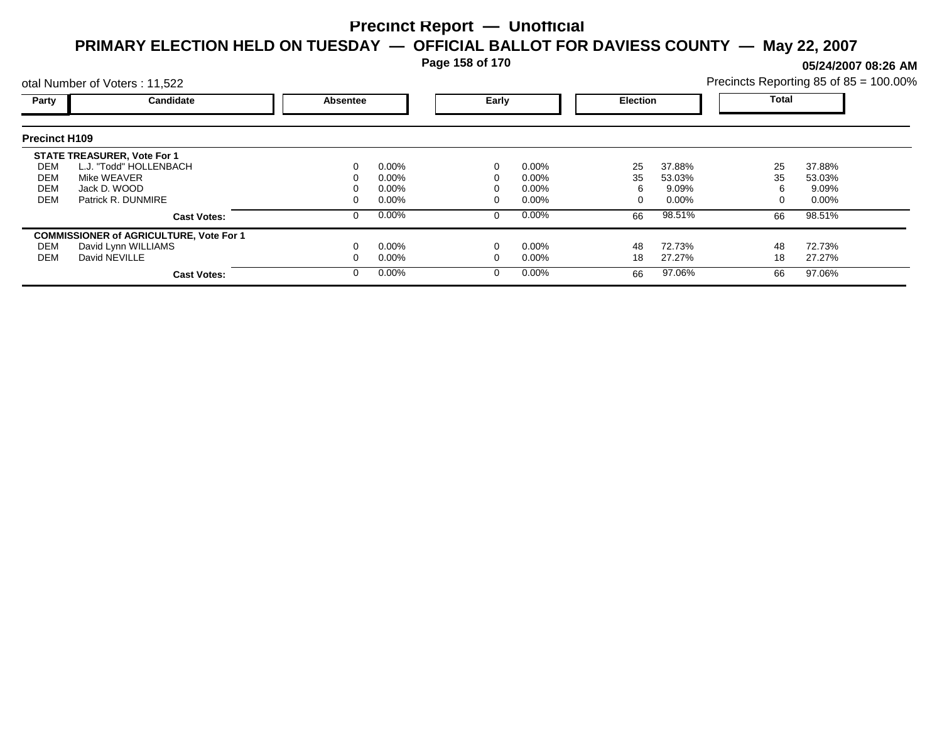**Page 158 of 170**

**05/24/2007 08:26 AM**

|                      | otal Number of Voters: 11,522                  |          |                          |  |          |       | Precincts Reporting 85 of 85 = 100.00% |    |          |  |
|----------------------|------------------------------------------------|----------|--------------------------|--|----------|-------|----------------------------------------|----|----------|--|
| Party                | Candidate                                      | Absentee | Early<br><b>Election</b> |  |          | Total |                                        |    |          |  |
| <b>Precinct H109</b> |                                                |          |                          |  |          |       |                                        |    |          |  |
|                      | <b>STATE TREASURER, Vote For 1</b>             |          |                          |  |          |       |                                        |    |          |  |
| DEM                  | L.J. "Todd" HOLLENBACH                         |          | $0.00\%$                 |  | $0.00\%$ | 25    | 37.88%                                 | 25 | 37.88%   |  |
| DEM                  | Mike WEAVER                                    |          | $0.00\%$                 |  | $0.00\%$ | 35    | 53.03%                                 | 35 | 53.03%   |  |
| <b>DEM</b>           | Jack D. WOOD                                   |          | $0.00\%$                 |  | $0.00\%$ | 6     | 9.09%                                  |    | 9.09%    |  |
| <b>DEM</b>           | Patrick R. DUNMIRE                             |          | $0.00\%$                 |  | $0.00\%$ |       | $0.00\%$                               |    | $0.00\%$ |  |
|                      | <b>Cast Votes:</b>                             |          | $0.00\%$                 |  | $0.00\%$ | 66    | 98.51%                                 | 66 | 98.51%   |  |
|                      | <b>COMMISSIONER of AGRICULTURE, Vote For 1</b> |          |                          |  |          |       |                                        |    |          |  |
| DEM                  | David Lynn WILLIAMS                            |          | $0.00\%$                 |  | $0.00\%$ | 48    | 72.73%                                 | 48 | 72.73%   |  |
| DEM                  | David NEVILLE                                  |          | $0.00\%$                 |  | $0.00\%$ | 18    | 27.27%                                 | 18 | 27.27%   |  |
|                      | <b>Cast Votes:</b>                             |          | $0.00\%$                 |  | $0.00\%$ | 66    | 97.06%                                 | 66 | 97.06%   |  |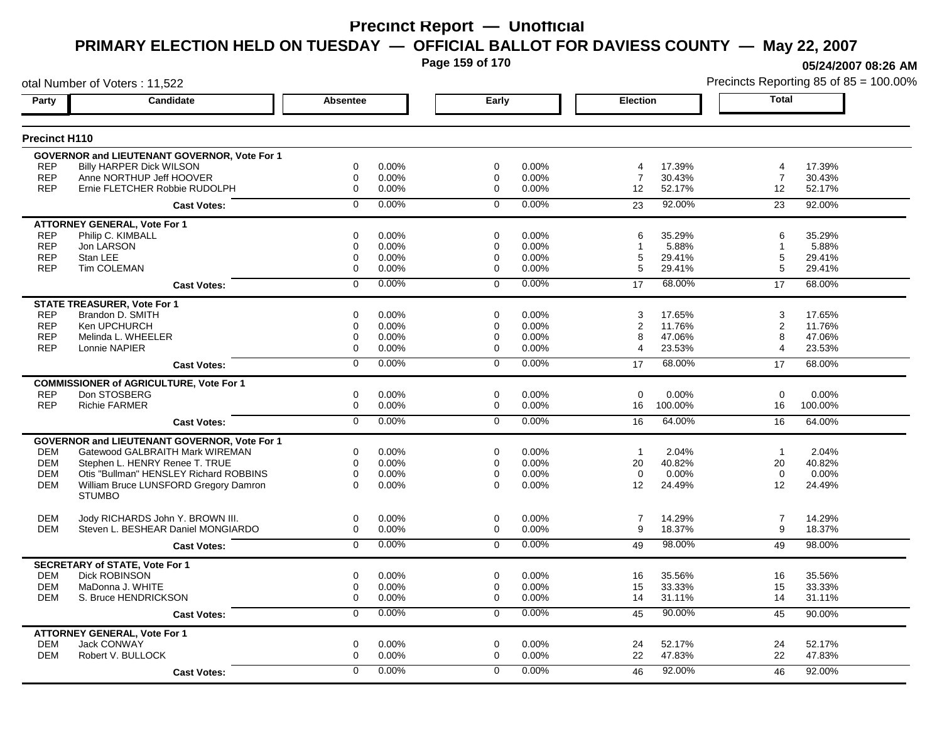**Page 159 of 170**

**05/24/2007 08:26 AM**

|                          | otal Number of Voters: 11,522                  |                         |       |                            |       |                     |         |                | Precincts Reporting 85 of 85 = 100.009 |
|--------------------------|------------------------------------------------|-------------------------|-------|----------------------------|-------|---------------------|---------|----------------|----------------------------------------|
| Party                    | Candidate                                      | Absentee                |       | Early                      |       | <b>Election</b>     |         | <b>Total</b>   |                                        |
| <b>Precinct H110</b>     |                                                |                         |       |                            |       |                     |         |                |                                        |
|                          | GOVERNOR and LIEUTENANT GOVERNOR, Vote For 1   |                         |       |                            |       |                     |         |                |                                        |
| <b>REP</b>               | <b>Billy HARPER Dick WILSON</b>                | 0                       | 0.00% | 0                          | 0.00% | 4                   | 17.39%  | 4              | 17.39%                                 |
| <b>REP</b>               | Anne NORTHUP Jeff HOOVER                       | $\mathbf 0$             | 0.00% | 0                          | 0.00% | $\overline{7}$      | 30.43%  | $\overline{7}$ | 30.43%                                 |
| <b>REP</b>               | Ernie FLETCHER Robbie RUDOLPH                  | $\mathbf 0$             | 0.00% | $\mathbf 0$                | 0.00% | 12                  | 52.17%  | 12             | 52.17%                                 |
|                          | <b>Cast Votes:</b>                             | $\mathbf 0$             | 0.00% | $\mathbf 0$                | 0.00% | 23                  | 92.00%  | 23             | 92.00%                                 |
|                          | <b>ATTORNEY GENERAL, Vote For 1</b>            |                         |       |                            |       |                     |         |                |                                        |
| <b>REP</b>               | Philip C. KIMBALL                              | $\mathbf 0$             | 0.00% | $\mathbf 0$                | 0.00% | 6                   | 35.29%  | 6              | 35.29%                                 |
| <b>REP</b>               | Jon LARSON                                     | 0                       | 0.00% | $\mathbf 0$                | 0.00% | 1                   | 5.88%   | -1             | 5.88%                                  |
| <b>REP</b>               | Stan LEE                                       | $\mathbf 0$             | 0.00% | $\mathbf 0$                | 0.00% | 5                   | 29.41%  | 5              | 29.41%                                 |
| <b>REP</b>               | <b>Tim COLEMAN</b>                             | $\mathbf 0$             | 0.00% | $\mathbf 0$                | 0.00% | 5                   | 29.41%  | 5              | 29.41%                                 |
|                          | <b>Cast Votes:</b>                             | $\mathbf 0$             | 0.00% | $\mathbf 0$                | 0.00% | 17                  | 68.00%  | 17             | 68.00%                                 |
|                          | <b>STATE TREASURER, Vote For 1</b>             |                         |       |                            |       |                     |         |                |                                        |
| <b>REP</b>               | Brandon D. SMITH                               | $\mathbf 0$             | 0.00% | $\mathbf 0$                | 0.00% | 3                   | 17.65%  | 3              | 17.65%                                 |
| <b>REP</b>               | Ken UPCHURCH                                   | $\mathbf 0$             | 0.00% | $\mathbf 0$                | 0.00% | $\overline{2}$      | 11.76%  | 2              | 11.76%                                 |
| <b>REP</b><br><b>REP</b> | Melinda L. WHEELER                             | $\mathbf 0$<br>$\Omega$ | 0.00% | $\mathbf 0$<br>$\mathbf 0$ | 0.00% | 8<br>$\overline{4}$ | 47.06%  | 8<br>4         | 47.06%                                 |
|                          | Lonnie NAPIER                                  |                         | 0.00% |                            | 0.00% |                     | 23.53%  |                | 23.53%                                 |
|                          | <b>Cast Votes:</b>                             | $\overline{0}$          | 0.00% | $\overline{0}$             | 0.00% | 17                  | 68.00%  | 17             | 68.00%                                 |
|                          | <b>COMMISSIONER of AGRICULTURE, Vote For 1</b> |                         |       |                            |       |                     |         |                |                                        |
| <b>REP</b>               | Don STOSBERG                                   | 0                       | 0.00% | $\mathbf 0$                | 0.00% | $\mathbf 0$         | 0.00%   | $\mathbf 0$    | 0.00%                                  |
| <b>REP</b>               | <b>Richie FARMER</b>                           | 0                       | 0.00% | $\mathbf 0$                | 0.00% | 16                  | 100.00% | 16             | 100.00%                                |
|                          | <b>Cast Votes:</b>                             | $\overline{0}$          | 0.00% | $\overline{0}$             | 0.00% | 16                  | 64.00%  | 16             | 64.00%                                 |
|                          | GOVERNOR and LIEUTENANT GOVERNOR, Vote For 1   |                         |       |                            |       |                     |         |                |                                        |
| DEM                      | Gatewood GALBRAITH Mark WIREMAN                | 0                       | 0.00% | 0                          | 0.00% | $\overline{1}$      | 2.04%   | $\overline{1}$ | 2.04%                                  |
| <b>DEM</b>               | Stephen L. HENRY Renee T. TRUE                 | $\mathbf 0$             | 0.00% | $\mathbf 0$                | 0.00% | 20                  | 40.82%  | 20             | 40.82%                                 |
| <b>DEM</b>               | Otis "Bullman" HENSLEY Richard ROBBINS         | 0                       | 0.00% | $\mathbf 0$                | 0.00% | $\mathbf 0$         | 0.00%   | $\mathbf 0$    | 0.00%                                  |
| <b>DEM</b>               | William Bruce LUNSFORD Gregory Damron          | $\Omega$                | 0.00% | $\Omega$                   | 0.00% | 12                  | 24.49%  | 12             | 24.49%                                 |
|                          | <b>STUMBO</b>                                  |                         |       |                            |       |                     |         |                |                                        |
| <b>DEM</b>               | Jody RICHARDS John Y. BROWN III.               | 0                       | 0.00% | $\mathbf 0$                | 0.00% | 7                   | 14.29%  | $\overline{7}$ | 14.29%                                 |
| <b>DEM</b>               | Steven L. BESHEAR Daniel MONGIARDO             | 0                       | 0.00% | 0                          | 0.00% | 9                   | 18.37%  | 9              | 18.37%                                 |
|                          | <b>Cast Votes:</b>                             | $\mathbf 0$             | 0.00% | $\mathbf 0$                | 0.00% | 49                  | 98.00%  | 49             | 98.00%                                 |
|                          | <b>SECRETARY of STATE, Vote For 1</b>          |                         |       |                            |       |                     |         |                |                                        |
| <b>DEM</b>               | <b>Dick ROBINSON</b>                           | 0                       | 0.00% | 0                          | 0.00% | 16                  | 35.56%  | 16             | 35.56%                                 |
| <b>DEM</b>               | MaDonna J. WHITE                               | 0                       | 0.00% | 0                          | 0.00% | 15                  | 33.33%  | 15             | 33.33%                                 |
| DEM                      | S. Bruce HENDRICKSON                           | $\mathbf 0$             | 0.00% | 0                          | 0.00% | 14                  | 31.11%  | 14             | 31.11%                                 |
|                          | <b>Cast Votes:</b>                             | 0                       | 0.00% | $\mathbf 0$                | 0.00% | 45                  | 90.00%  | 45             | 90.00%                                 |
|                          | <b>ATTORNEY GENERAL, Vote For 1</b>            |                         |       |                            |       |                     |         |                |                                        |
| <b>DEM</b>               | Jack CONWAY                                    | $\mathbf 0$             | 0.00% | $\mathbf 0$                | 0.00% | 24                  | 52.17%  | 24             | 52.17%                                 |
| <b>DEM</b>               | Robert V. BULLOCK                              | $\mathbf 0$             | 0.00% | $\mathbf 0$                | 0.00% | 22                  | 47.83%  | 22             | 47.83%                                 |
|                          | <b>Cast Votes:</b>                             | $\Omega$                | 0.00% | $\mathbf{0}$               | 0.00% | 46                  | 92.00%  | 46             | 92.00%                                 |
|                          |                                                |                         |       |                            |       |                     |         |                |                                        |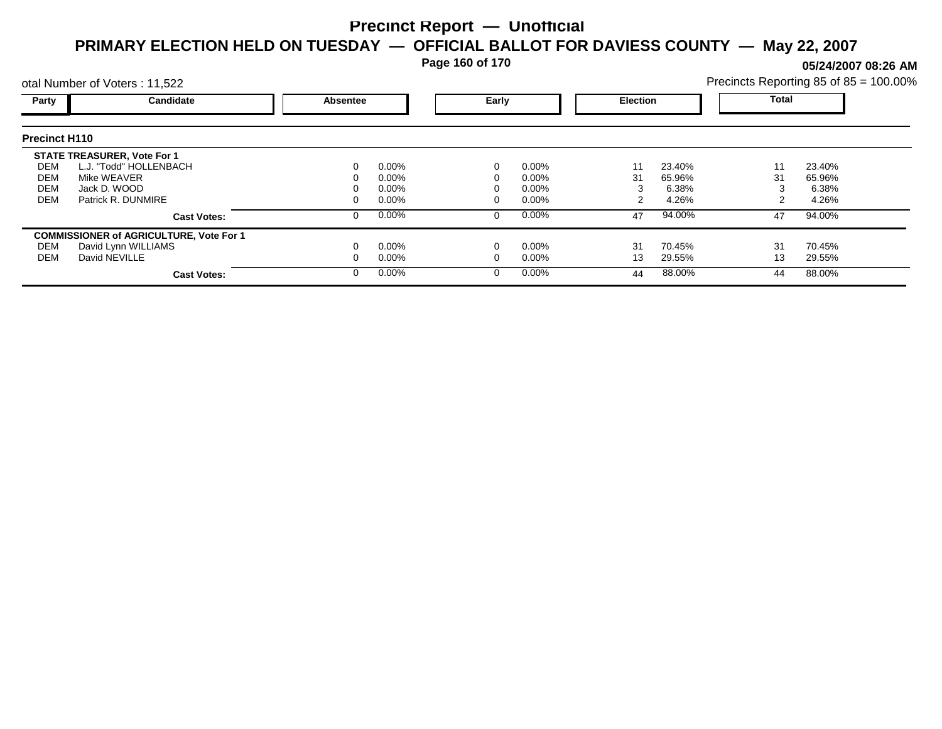**Page 160 of 170**

**05/24/2007 08:26 AM**

|                      | otal Number of Voters: 11,522                  |          |          |       |          |                 |        | Precincts Reporting 85 of 85 = 100.00% |        |  |
|----------------------|------------------------------------------------|----------|----------|-------|----------|-----------------|--------|----------------------------------------|--------|--|
| Party                | Candidate                                      | Absentee |          | Early |          | <b>Election</b> |        | <b>Total</b>                           |        |  |
| <b>Precinct H110</b> |                                                |          |          |       |          |                 |        |                                        |        |  |
|                      | <b>STATE TREASURER, Vote For 1</b>             |          |          |       |          |                 |        |                                        |        |  |
| DEM                  | L.J. "Todd" HOLLENBACH                         |          | $0.00\%$ |       | $0.00\%$ | 11              | 23.40% | 11                                     | 23.40% |  |
| DEM                  | Mike WEAVER                                    |          | 0.00%    |       | 0.00%    | 31              | 65.96% | 31                                     | 65.96% |  |
| <b>DEM</b>           | Jack D. WOOD                                   |          | 0.00%    |       | 0.00%    |                 | 6.38%  |                                        | 6.38%  |  |
| <b>DEM</b>           | Patrick R. DUNMIRE                             |          | $0.00\%$ |       | 0.00%    |                 | 4.26%  |                                        | 4.26%  |  |
|                      | <b>Cast Votes:</b>                             |          | $0.00\%$ | 0     | $0.00\%$ | 47              | 94.00% | 47                                     | 94.00% |  |
|                      | <b>COMMISSIONER of AGRICULTURE, Vote For 1</b> |          |          |       |          |                 |        |                                        |        |  |
| DEM                  | David Lynn WILLIAMS                            |          | $0.00\%$ |       | 0.00%    | 31              | 70.45% | 31                                     | 70.45% |  |
| DEM                  | David NEVILLE                                  |          | $0.00\%$ |       | 0.00%    | 13              | 29.55% | 13                                     | 29.55% |  |
|                      | <b>Cast Votes:</b>                             |          | $0.00\%$ | 0     | $0.00\%$ | 44              | 88.00% | 44                                     | 88.00% |  |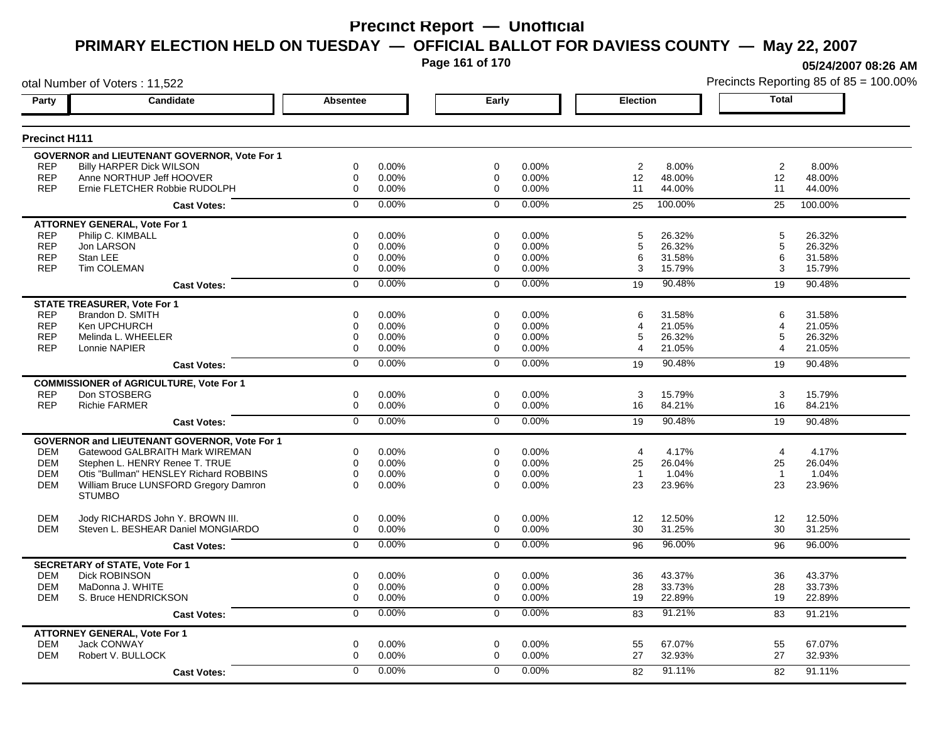**Page 161 of 170**

**05/24/2007 08:26 AM**

|                          | otal Number of Voters: 11,522                                          |                  |                |                  |                |                 |                  | Precincts Reporting 85 of 85 = 100.009 |                  |  |
|--------------------------|------------------------------------------------------------------------|------------------|----------------|------------------|----------------|-----------------|------------------|----------------------------------------|------------------|--|
| Party                    | Candidate                                                              | <b>Absentee</b>  |                | Early            |                | <b>Election</b> |                  | <b>Total</b>                           |                  |  |
| <b>Precinct H111</b>     |                                                                        |                  |                |                  |                |                 |                  |                                        |                  |  |
|                          | <b>GOVERNOR and LIEUTENANT GOVERNOR, Vote For 1</b>                    |                  |                |                  |                |                 |                  |                                        |                  |  |
| <b>REP</b>               | <b>Billy HARPER Dick WILSON</b>                                        | 0                | 0.00%          | $\mathbf 0$      | 0.00%          | 2               | 8.00%            | $\overline{2}$                         | 8.00%            |  |
| <b>REP</b>               | Anne NORTHUP Jeff HOOVER                                               | $\mathbf 0$      | 0.00%          | 0                | 0.00%          | 12              | 48.00%           | 12                                     | 48.00%           |  |
| <b>REP</b>               | Ernie FLETCHER Robbie RUDOLPH                                          | $\mathbf 0$      | 0.00%          | $\mathbf 0$      | 0.00%          | 11              | 44.00%           | 11                                     | 44.00%           |  |
|                          | <b>Cast Votes:</b>                                                     | $\Omega$         | 0.00%          | $\Omega$         | 0.00%          | 25              | 100.00%          | 25                                     | 100.00%          |  |
|                          | <b>ATTORNEY GENERAL, Vote For 1</b>                                    |                  |                |                  |                |                 |                  |                                        |                  |  |
| <b>REP</b>               | Philip C. KIMBALL                                                      | 0                | 0.00%          | $\mathbf 0$      | 0.00%          | 5               | 26.32%           | 5                                      | 26.32%           |  |
| <b>REP</b><br><b>REP</b> | Jon LARSON<br>Stan LEE                                                 | 0<br>0           | 0.00%<br>0.00% | $\mathbf 0$<br>0 | 0.00%<br>0.00% | 5<br>6          | 26.32%<br>31.58% | 5<br>6                                 | 26.32%<br>31.58% |  |
| <b>REP</b>               | Tim COLEMAN                                                            | $\mathbf 0$      | 0.00%          | $\mathbf 0$      | 0.00%          | 3               | 15.79%           | 3                                      | 15.79%           |  |
|                          |                                                                        | $\mathbf 0$      | 0.00%          | $\Omega$         | 0.00%          |                 | 90.48%           | 19                                     | 90.48%           |  |
|                          | <b>Cast Votes:</b>                                                     |                  |                |                  |                | 19              |                  |                                        |                  |  |
|                          | <b>STATE TREASURER, Vote For 1</b>                                     |                  |                |                  |                |                 |                  |                                        |                  |  |
| <b>REP</b><br><b>REP</b> | Brandon D. SMITH<br>Ken UPCHURCH                                       | $\mathbf 0$<br>0 | 0.00%<br>0.00% | $\mathbf 0$<br>0 | 0.00%<br>0.00% | 6<br>4          | 31.58%           | 6<br>4                                 | 31.58%           |  |
| <b>REP</b>               | Melinda L. WHEELER                                                     | 0                | 0.00%          | $\mathbf 0$      | 0.00%          | 5               | 21.05%<br>26.32% | 5                                      | 21.05%<br>26.32% |  |
| <b>REP</b>               | Lonnie NAPIER                                                          | $\mathbf 0$      | 0.00%          | 0                | 0.00%          | 4               | 21.05%           | 4                                      | 21.05%           |  |
|                          | <b>Cast Votes:</b>                                                     | $\overline{0}$   | 0.00%          | $\overline{0}$   | 0.00%          | 19              | 90.48%           | 19                                     | 90.48%           |  |
|                          |                                                                        |                  |                |                  |                |                 |                  |                                        |                  |  |
| <b>REP</b>               | <b>COMMISSIONER of AGRICULTURE, Vote For 1</b><br>Don STOSBERG         | 0                | 0.00%          | $\mathbf 0$      | 0.00%          | 3               | 15.79%           | 3                                      | 15.79%           |  |
| <b>REP</b>               | <b>Richie FARMER</b>                                                   | $\mathbf 0$      | 0.00%          | $\mathbf 0$      | 0.00%          | 16              | 84.21%           | 16                                     | 84.21%           |  |
|                          | <b>Cast Votes:</b>                                                     | $\overline{0}$   | 0.00%          | $\overline{0}$   | 0.00%          | 19              | 90.48%           | 19                                     | 90.48%           |  |
|                          |                                                                        |                  |                |                  |                |                 |                  |                                        |                  |  |
| <b>DEM</b>               | GOVERNOR and LIEUTENANT GOVERNOR, Vote For 1                           |                  | 0.00%          |                  | 0.00%          |                 | 4.17%            | $\overline{4}$                         | 4.17%            |  |
| <b>DEM</b>               | Gatewood GALBRAITH Mark WIREMAN<br>Stephen L. HENRY Renee T. TRUE      | 0<br>$\mathbf 0$ | 0.00%          | 0<br>$\mathbf 0$ | 0.00%          | 4<br>25         | 26.04%           | 25                                     | 26.04%           |  |
| <b>DEM</b>               | Otis "Bullman" HENSLEY Richard ROBBINS                                 | 0                | 0.00%          | $\mathbf 0$      | 0.00%          | $\overline{1}$  | 1.04%            | $\overline{1}$                         | 1.04%            |  |
| <b>DEM</b>               | William Bruce LUNSFORD Gregory Damron                                  | $\Omega$         | 0.00%          | $\mathbf 0$      | 0.00%          | 23              | 23.96%           | 23                                     | 23.96%           |  |
|                          | <b>STUMBO</b>                                                          |                  |                |                  |                |                 |                  |                                        |                  |  |
| <b>DEM</b>               |                                                                        | $\mathbf 0$      | 0.00%          | $\mathbf 0$      | 0.00%          | 12              | 12.50%           | 12                                     | 12.50%           |  |
| <b>DEM</b>               | Jody RICHARDS John Y. BROWN III.<br>Steven L. BESHEAR Daniel MONGIARDO | $\mathbf 0$      | 0.00%          | $\mathbf 0$      | 0.00%          | 30              | 31.25%           | 30                                     | 31.25%           |  |
|                          | <b>Cast Votes:</b>                                                     | $\mathbf 0$      | 0.00%          | $\Omega$         | 0.00%          | 96              | 96.00%           | 96                                     | 96.00%           |  |
|                          |                                                                        |                  |                |                  |                |                 |                  |                                        |                  |  |
| <b>DEM</b>               | <b>SECRETARY of STATE, Vote For 1</b><br><b>Dick ROBINSON</b>          | $\mathbf 0$      | 0.00%          | $\mathbf 0$      | 0.00%          | 36              | 43.37%           | 36                                     | 43.37%           |  |
| <b>DEM</b>               | MaDonna J. WHITE                                                       | 0                | 0.00%          | 0                | 0.00%          | 28              | 33.73%           | 28                                     | 33.73%           |  |
| <b>DEM</b>               | S. Bruce HENDRICKSON                                                   | 0                | 0.00%          | $\mathbf 0$      | 0.00%          | 19              | 22.89%           | 19                                     | 22.89%           |  |
|                          | <b>Cast Votes:</b>                                                     | $\overline{0}$   | 0.00%          | $\overline{0}$   | 0.00%          | 83              | 91.21%           | 83                                     | 91.21%           |  |
|                          | <b>ATTORNEY GENERAL, Vote For 1</b>                                    |                  |                |                  |                |                 |                  |                                        |                  |  |
| <b>DEM</b>               | Jack CONWAY                                                            | 0                | 0.00%          | $\mathbf 0$      | 0.00%          | 55              | 67.07%           | 55                                     | 67.07%           |  |
| <b>DEM</b>               | Robert V. BULLOCK                                                      | $\mathbf 0$      | 0.00%          | $\mathbf 0$      | 0.00%          | 27              | 32.93%           | 27                                     | 32.93%           |  |
|                          | <b>Cast Votes:</b>                                                     | $\Omega$         | 0.00%          | $\mathbf{0}$     | 0.00%          | 82              | 91.11%           | 82                                     | 91.11%           |  |
|                          |                                                                        |                  |                |                  |                |                 |                  |                                        |                  |  |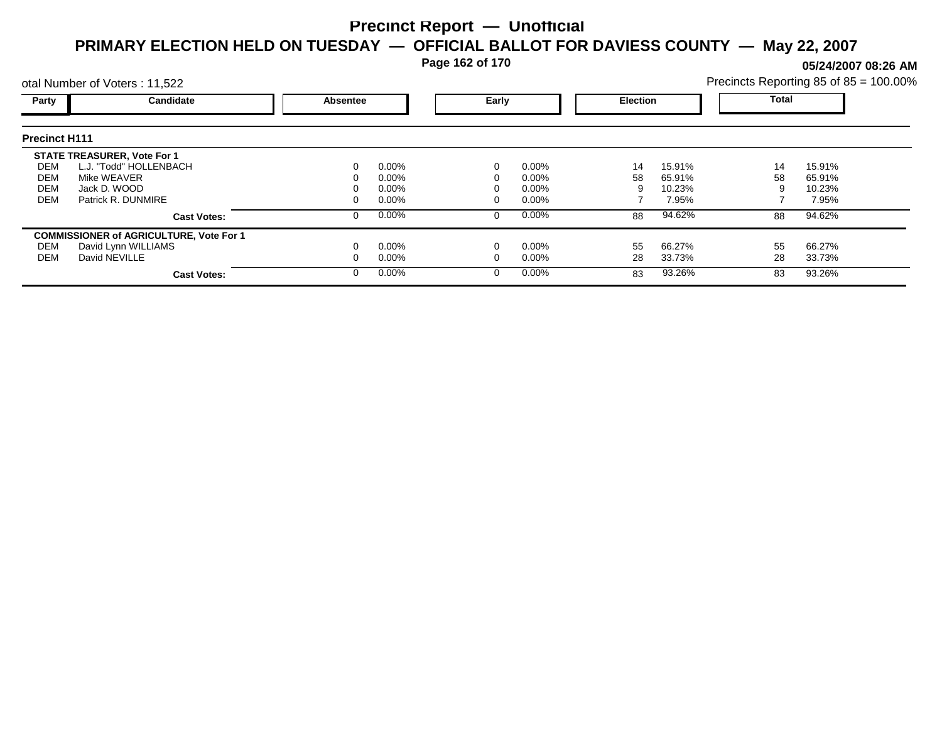**Page 162 of 170**

**05/24/2007 08:26 AM**

|                      | otal Number of Voters: 11,522                  |          |          |   |                          |    |        |              | Precincts Reporting 85 of 85 = 100.00% |  |  |
|----------------------|------------------------------------------------|----------|----------|---|--------------------------|----|--------|--------------|----------------------------------------|--|--|
| Party                | Candidate                                      | Absentee |          |   | Early<br><b>Election</b> |    |        | <b>Total</b> |                                        |  |  |
| <b>Precinct H111</b> |                                                |          |          |   |                          |    |        |              |                                        |  |  |
|                      | <b>STATE TREASURER, Vote For 1</b>             |          |          |   |                          |    |        |              |                                        |  |  |
| DEM                  | L.J. "Todd" HOLLENBACH                         | 0        | $0.00\%$ |   | 0.00%                    | 14 | 15.91% | 14           | 15.91%                                 |  |  |
| DEM                  | Mike WEAVER                                    |          | $0.00\%$ |   | $0.00\%$                 | 58 | 65.91% | 58           | 65.91%                                 |  |  |
| DEM                  | Jack D. WOOD                                   |          | $0.00\%$ |   | $0.00\%$                 |    | 10.23% |              | 10.23%                                 |  |  |
| <b>DEM</b>           | Patrick R. DUNMIRE                             | 0        | $0.00\%$ |   | $0.00\%$                 |    | 7.95%  |              | 7.95%                                  |  |  |
|                      | <b>Cast Votes:</b>                             | 0        | $0.00\%$ | 0 | 0.00%                    | 88 | 94.62% | 88           | 94.62%                                 |  |  |
|                      | <b>COMMISSIONER of AGRICULTURE, Vote For 1</b> |          |          |   |                          |    |        |              |                                        |  |  |
| DEM                  | David Lynn WILLIAMS                            |          | $0.00\%$ |   | 0.00%                    | 55 | 66.27% | 55           | 66.27%                                 |  |  |
| DEM                  | David NEVILLE                                  |          | $0.00\%$ |   | 0.00%                    | 28 | 33.73% | 28           | 33.73%                                 |  |  |
|                      | <b>Cast Votes:</b>                             | $\Omega$ | $0.00\%$ |   | 0.00%                    | 83 | 93.26% | 83           | 93.26%                                 |  |  |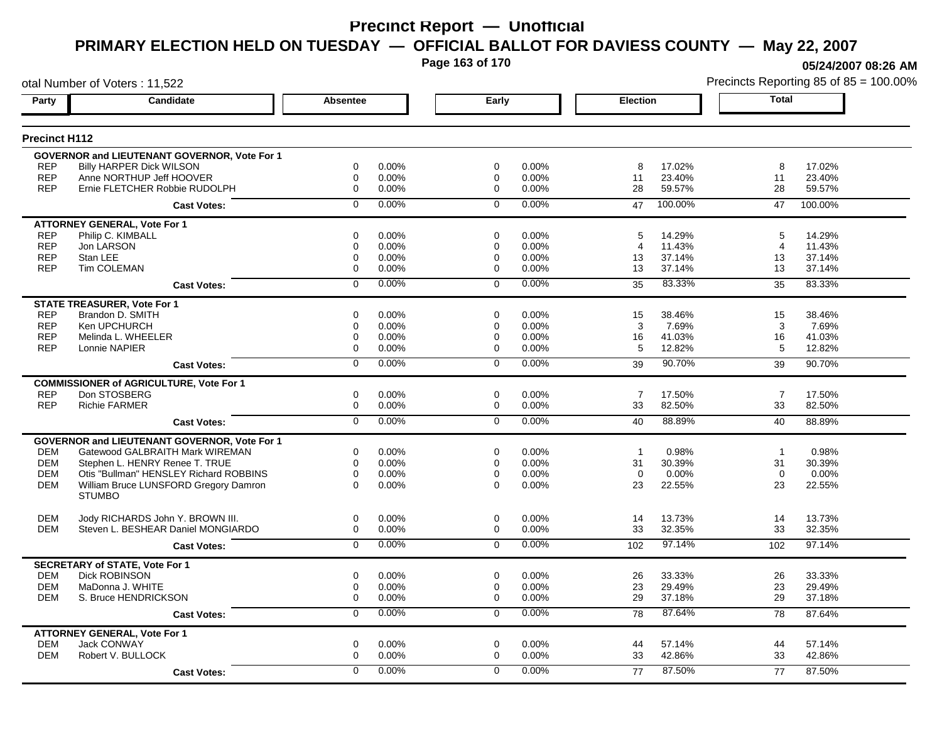**Page 163 of 170**

**05/24/2007 08:26 AM**

otal Number of Voters : 11,522 Precincts Reporting 85 of 85 = 100.00% **Party Candidate Absentee Early Election Total Precinct H112 GOVERNOR and LIEUTENANT GOVERNOR, Vote For 1** REP Billy HARPER Dick WILSON 60 000% 0 0.00% 0 0.00% 0 0.00% 8 17.02% 8 17.02% 8 17.02% REP Anne NORTHUP Jeff HOOVER 0 0.00% 0 0.00% 11 23.40% 11 23.40% Ernie FLETCHER Robbie RUDOLPH **Cast Votes:** 0 0.00% 0 0.00% 47 100.00% 47 100.00% **ATTORNEY GENERAL, Vote For 1** REP Philip C. KIMBALL 0 0.00% 0 0.00% 5 14.29% 5 14.29% REP Jon LARSON 0 0.00% 0 0.00% 4 11.43% 4 11.43% REP Stan LEE 0 0.00% 0 0.00% 13 37.14% 13 37.14% REP Tim COLEMAN 0 0.00% 0 0.00% 13 37.14% 13 37.14% **Cast Votes:** 0 0.00% 0 0.00% 35 83.33% 35 83.33% **STATE TREASURER, Vote For 1** REP Brandon D. SMITH 0 0.00% 0 0.00% 15 38.46% 15 38.46% REP Ken UPCHURCH 0 0.00% 0 0.00% 3 7.69% 3 7.69% REP Melinda L. WHEELER 0 0.00% 0 0.00% 16 41.03% 16 41.03% REP Lonnie NAPIER 0 0.00% 0 0.00% 5 12.82% 5 12.82% **Cast Votes:** 0 0.00% 0 0.00% 39 90.70% 39 90.70% **COMMISSIONER of AGRICULTURE, Vote For 1** REP Don STOSBERG 0 0.00% 0 0.00% 7 17.50% 7 17.50% REP Richie FARMER 0 0.00% 0 0.00% 33 82.50% 33 82.50% **Cast Votes:** 0 0.00% 0 0.00% 40 88.89% 40 88.89% **GOVERNOR and LIEUTENANT GOVERNOR, Vote For 1** DEM Gatewood GALBRAITH Mark WIREMAN 0 0.00% 0 0.00% 1 0.98% 1 0.98% DEM Stephen L. HENRY Renee T. TRUE 0 0.00% 0 0.00% 31 30.39% 31 30.39% 0 DEM Otis "Bullman" HENSLEY Richard ROBBINS 0 0.00% 0 0.00% 0 0.00% 0 0.00% 0 0.00% 0 0.00% 0 0.00% 0 0.00% 0<br>DEM William Bruce LUNSFORD Gregory Damron 0 0.00% 0 0.00% 0 0.00% 0 0.00% 0 23 22.55% 23 22.55% DEM William Bruce LUNSFORD Gregory Damron 0 0.00% 0.00% 0 0.00% 0 0.00% STUMBO DEM Jody RICHARDS John Y. BROWN III. 0 0.00% 0 0.00% 14 13.73% 14 13.73% DEM Steven L. BESHEAR Daniel MONGIARDO 0 0.00% 0 0.00% 33 32.35% 33 32.35% **Cast Votes:** 0 0.00% 0 0.00% 102 97.14% 102 97.14% **SECRETARY of STATE, Vote For 1** DEM Dick ROBINSON 0 0.00% 0 0.00% 26 33.33% 26 33.33% DEM MaDonna J. WHITE 0 0.00% 0 0.00% 23 29.49% 23 29.49% DEM S. Bruce HENDRICKSON 0 0.00% 0 0.00% 29 37.18% 29 37.18% **Cast Votes:** 0 0.00% 0 0.00% 78 87.64% 78 87.64% **ATTORNEY GENERAL, Vote For 1** DEM Jack CONWAY 0 0.00% 0 0.00% 44 57.14% 44 57.14%

DEM Robert V. BULLOCK 0 0.00% 0 0.00% 33 42.86% 33 42.86%

**Cast Votes:** 0 0.00% 0 0.00% 77 87.50% 77 87.50%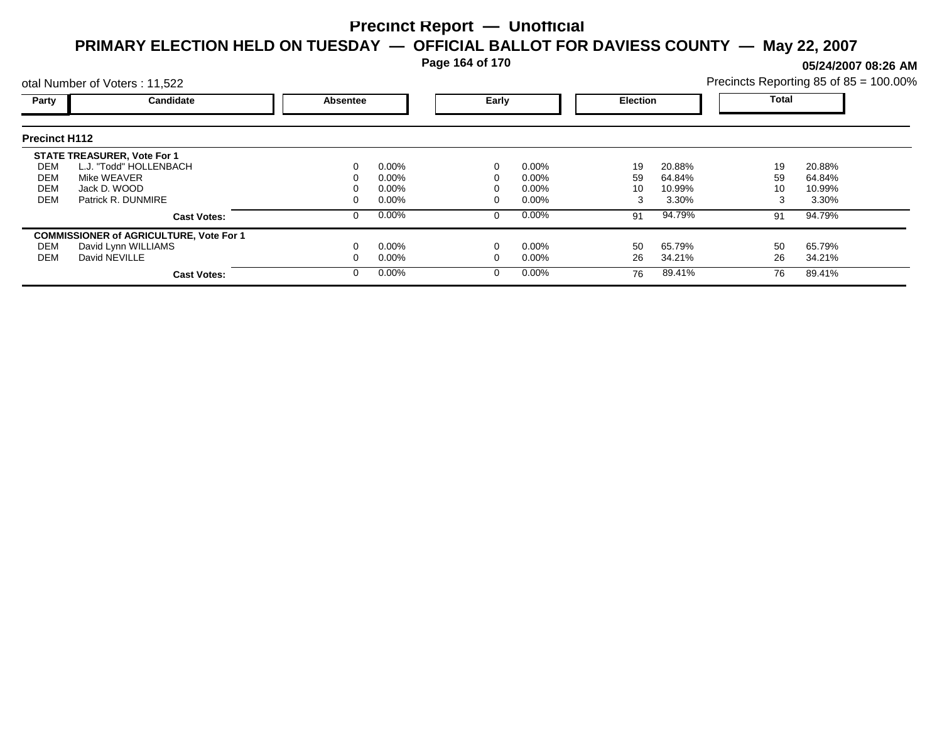**Page 164 of 170**

**05/24/2007 08:26 AM**

|                      | otal Number of Voters: 11,522                  |                                      |          |  |          |    |        | Precincts Reporting 85 of 85 = 100.00% |        |  |
|----------------------|------------------------------------------------|--------------------------------------|----------|--|----------|----|--------|----------------------------------------|--------|--|
| Party                | Candidate                                      | Early<br><b>Election</b><br>Absentee |          |  | Total    |    |        |                                        |        |  |
| <b>Precinct H112</b> |                                                |                                      |          |  |          |    |        |                                        |        |  |
|                      | <b>STATE TREASURER, Vote For 1</b>             |                                      |          |  |          |    |        |                                        |        |  |
| DEM                  | L.J. "Todd" HOLLENBACH                         |                                      | $0.00\%$ |  | $0.00\%$ | 19 | 20.88% | 19                                     | 20.88% |  |
| DEM                  | Mike WEAVER                                    |                                      | $0.00\%$ |  | $0.00\%$ | 59 | 64.84% | 59                                     | 64.84% |  |
| <b>DEM</b>           | Jack D. WOOD                                   |                                      | $0.00\%$ |  | $0.00\%$ | 10 | 10.99% | 10                                     | 10.99% |  |
| <b>DEM</b>           | Patrick R. DUNMIRE                             |                                      | $0.00\%$ |  | $0.00\%$ | 3  | 3.30%  |                                        | 3.30%  |  |
|                      | <b>Cast Votes:</b>                             |                                      | $0.00\%$ |  | $0.00\%$ | 91 | 94.79% | 91                                     | 94.79% |  |
|                      | <b>COMMISSIONER of AGRICULTURE, Vote For 1</b> |                                      |          |  |          |    |        |                                        |        |  |
| DEM                  | David Lynn WILLIAMS                            |                                      | $0.00\%$ |  | $0.00\%$ | 50 | 65.79% | 50                                     | 65.79% |  |
| DEM                  | David NEVILLE                                  |                                      | $0.00\%$ |  | $0.00\%$ | 26 | 34.21% | 26                                     | 34.21% |  |
|                      | <b>Cast Votes:</b>                             |                                      | $0.00\%$ |  | $0.00\%$ | 76 | 89.41% | 76                                     | 89.41% |  |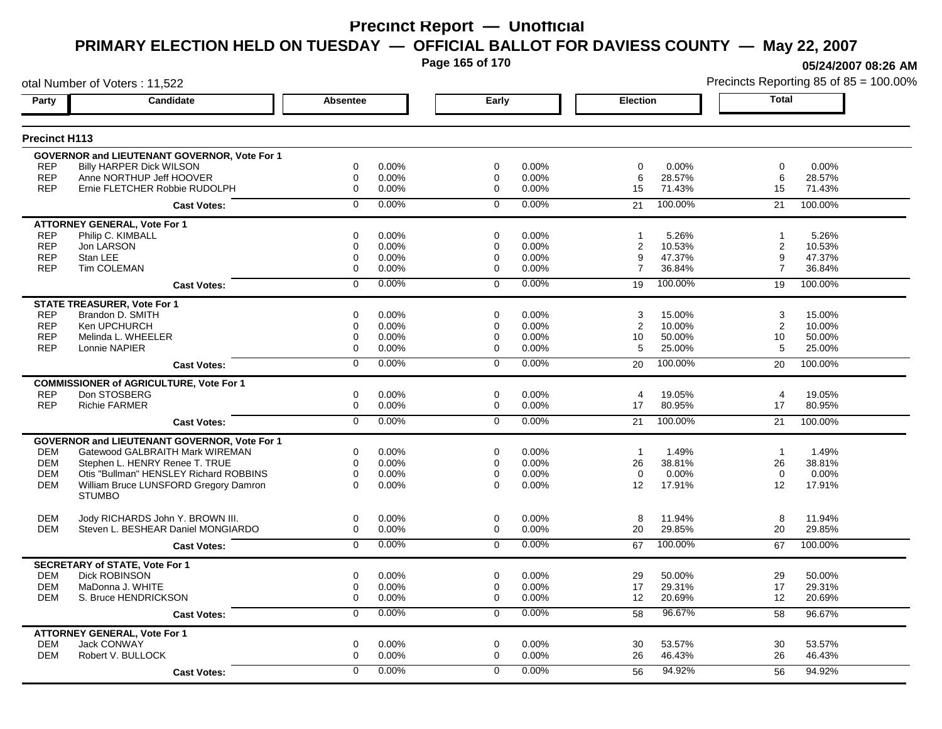**Page 165 of 170**

otal Number of Voters : 11,522

**05/24/2007 08:26 AM**

| Party                    | Candidate                                                   | <b>Absentee</b>          | Early                           | <b>Election</b>                         | <b>Total</b>                            |
|--------------------------|-------------------------------------------------------------|--------------------------|---------------------------------|-----------------------------------------|-----------------------------------------|
| <b>Precinct H113</b>     |                                                             |                          |                                 |                                         |                                         |
|                          |                                                             |                          |                                 |                                         |                                         |
|                          | GOVERNOR and LIEUTENANT GOVERNOR, Vote For 1                |                          |                                 |                                         |                                         |
| <b>REP</b><br><b>REP</b> | <b>Billy HARPER Dick WILSON</b><br>Anne NORTHUP Jeff HOOVER | 0.00%<br>0<br>0.00%<br>0 | 0<br>0.00%<br>0.00%<br>$\Omega$ | 0.00%<br>$\mathbf 0$<br>28.57%<br>6     | $\mathbf 0$<br>0.00%<br>28.57%<br>6     |
| <b>REP</b>               | Ernie FLETCHER Robbie RUDOLPH                               | 0.00%<br>0               | 0.00%<br>0                      | 15<br>71.43%                            | 71.43%<br>15                            |
|                          |                                                             | 0.00%<br>$\Omega$        | 0.00%<br>$\Omega$               | 100.00%<br>21                           | 21<br>100.00%                           |
|                          | <b>Cast Votes:</b>                                          |                          |                                 |                                         |                                         |
|                          | <b>ATTORNEY GENERAL, Vote For 1</b>                         |                          |                                 |                                         |                                         |
| <b>REP</b>               | Philip C. KIMBALL                                           | 0.00%<br>0               | 0.00%<br>$\Omega$               | 5.26%<br>1                              | 5.26%<br>$\overline{1}$                 |
| <b>REP</b>               | Jon LARSON                                                  | $\mathbf 0$<br>0.00%     | 0.00%<br>$\mathbf 0$            | $\overline{2}$<br>10.53%                | $\overline{c}$<br>10.53%                |
| <b>REP</b><br><b>REP</b> | Stan LEE<br><b>Tim COLEMAN</b>                              | 0.00%<br>0<br>0<br>0.00% | 0.00%<br>$\Omega$<br>0.00%<br>0 | 47.37%<br>9<br>$\overline{7}$<br>36.84% | 9<br>47.37%<br>$\overline{7}$<br>36.84% |
|                          |                                                             |                          |                                 |                                         |                                         |
|                          | <b>Cast Votes:</b>                                          | 0.00%<br>0               | 0.00%<br>$\mathbf 0$            | 100.00%<br>19                           | 19<br>100.00%                           |
|                          | <b>STATE TREASURER, Vote For 1</b>                          |                          |                                 |                                         |                                         |
| <b>REP</b>               | Brandon D. SMITH                                            | 0<br>0.00%               | $\mathbf 0$<br>0.00%            | 3<br>15.00%                             | 3<br>15.00%                             |
| <b>REP</b>               | Ken UPCHURCH                                                | $\mathbf 0$<br>0.00%     | 0.00%<br>0                      | $\overline{2}$<br>10.00%                | 2<br>10.00%                             |
| <b>REP</b>               | Melinda L. WHEELER                                          | 0<br>0.00%               | $\mathbf 0$<br>0.00%            | 10<br>50.00%                            | 10<br>50.00%                            |
| <b>REP</b>               | Lonnie NAPIER                                               | 0.00%<br>0               | 0.00%<br>0                      | 5<br>25.00%                             | 5<br>25.00%                             |
|                          | <b>Cast Votes:</b>                                          | 0.00%<br>0               | 0.00%<br>$\Omega$               | 100.00%<br>20                           | 100.00%<br>20                           |
|                          | <b>COMMISSIONER of AGRICULTURE, Vote For 1</b>              |                          |                                 |                                         |                                         |
| <b>REP</b>               | Don STOSBERG                                                | 0.00%<br>0               | 0.00%<br>$\mathbf 0$            | $\overline{4}$<br>19.05%                | 4<br>19.05%                             |
| <b>REP</b>               | <b>Richie FARMER</b>                                        | 0.00%<br>$\Omega$        | $\Omega$<br>0.00%               | 80.95%<br>17                            | 80.95%<br>17                            |
|                          | <b>Cast Votes:</b>                                          | 0.00%<br>$\overline{0}$  | 0.00%<br>$\overline{0}$         | 100.00%<br>21                           | 100.00%<br>21                           |
|                          | GOVERNOR and LIEUTENANT GOVERNOR, Vote For 1                |                          |                                 |                                         |                                         |
| <b>DEM</b>               | Gatewood GALBRAITH Mark WIREMAN                             | 0<br>0.00%               | $\mathbf 0$<br>0.00%            | $\overline{1}$<br>1.49%                 | $\overline{1}$<br>1.49%                 |
| <b>DEM</b>               | Stephen L. HENRY Renee T. TRUE                              | 0<br>0.00%               | $\mathbf 0$<br>0.00%            | 26<br>38.81%                            | 26<br>38.81%                            |
| <b>DEM</b>               | Otis "Bullman" HENSLEY Richard ROBBINS                      | 0.00%<br>0               | 0.00%<br>$\Omega$               | 0.00%<br>$\Omega$                       | 0.00%<br>$\mathbf 0$                    |
| <b>DEM</b>               | William Bruce LUNSFORD Gregory Damron                       | $\mathbf 0$<br>0.00%     | $\Omega$<br>0.00%               | 12<br>17.91%                            | 17.91%<br>$12 \overline{ }$             |
|                          | <b>STUMBO</b>                                               |                          |                                 |                                         |                                         |
| <b>DEM</b>               | Jody RICHARDS John Y. BROWN III.                            | 0.00%<br>0               | $\mathbf 0$<br>0.00%            | 8<br>11.94%                             | 8<br>11.94%                             |
| <b>DEM</b>               | Steven L. BESHEAR Daniel MONGIARDO                          | $\Omega$<br>0.00%        | $\Omega$<br>0.00%               | 29.85%<br>20                            | 20<br>29.85%                            |
|                          | <b>Cast Votes:</b>                                          | 0.00%<br>$\Omega$        | 0.00%<br>$\Omega$               | 100.00%<br>67                           | 100.00%<br>67                           |
|                          |                                                             |                          |                                 |                                         |                                         |
|                          | <b>SECRETARY of STATE, Vote For 1</b>                       |                          |                                 |                                         |                                         |
| <b>DEM</b>               | <b>Dick ROBINSON</b>                                        | 0<br>0.00%               | $\mathbf 0$<br>0.00%            | 29<br>50.00%                            | 29<br>50.00%                            |
| <b>DEM</b>               | MaDonna J. WHITE                                            | 0<br>0.00%               | $\mathbf 0$<br>0.00%            | 17<br>29.31%                            | 17<br>29.31%                            |
| <b>DEM</b>               | S. Bruce HENDRICKSON                                        | 0<br>0.00%               | $\mathbf 0$<br>0.00%            | 12<br>20.69%                            | 12<br>20.69%                            |
|                          | <b>Cast Votes:</b>                                          | 0.00%<br>$\mathbf 0$     | 0.00%<br>$\mathbf 0$            | 96.67%<br>58                            | 58<br>96.67%                            |
|                          | <b>ATTORNEY GENERAL, Vote For 1</b>                         |                          |                                 |                                         |                                         |
| <b>DEM</b>               | <b>Jack CONWAY</b>                                          | 0<br>0.00%               | $\mathbf 0$<br>0.00%            | 30<br>53.57%                            | 30<br>53.57%                            |
| <b>DEM</b>               | Robert V. BULLOCK                                           | $\Omega$<br>0.00%        | $\Omega$<br>0.00%               | 26<br>46.43%                            | 26<br>46.43%                            |
|                          | <b>Cast Votes:</b>                                          | 0.00%<br>0               | 0.00%<br>$\Omega$               | 94.92%<br>56                            | 94.92%<br>56                            |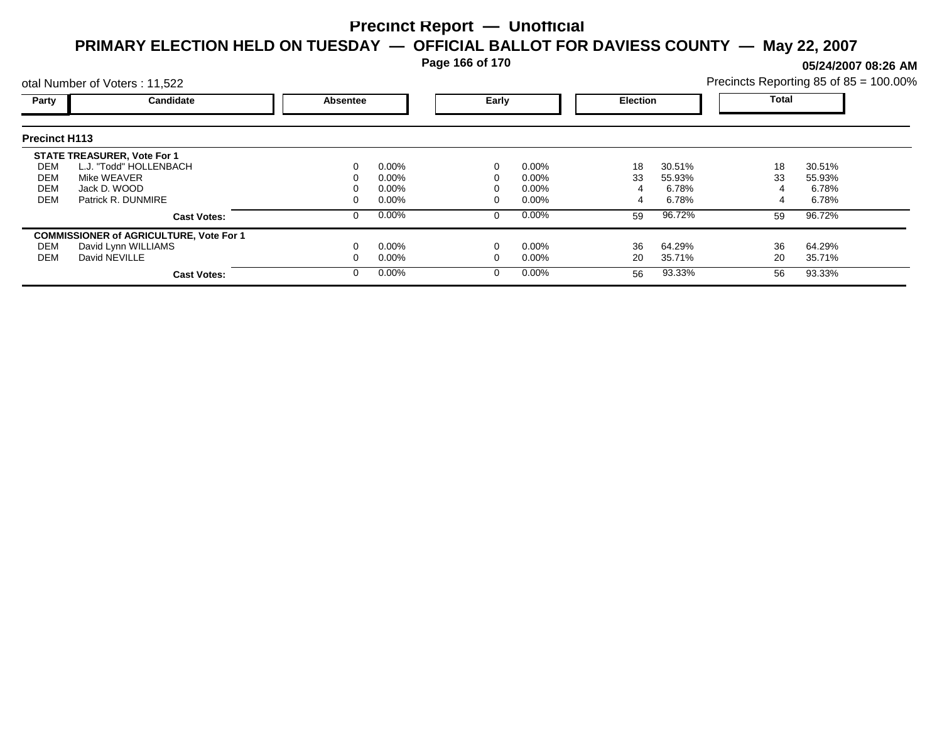**Page 166 of 170**

**05/24/2007 08:26 AM**

|                      | otal Number of Voters: 11,522                  |          |          |                          |          | Precincts Reporting 85 of 85 = 100.00% |        |    |        |  |
|----------------------|------------------------------------------------|----------|----------|--------------------------|----------|----------------------------------------|--------|----|--------|--|
| Party                | Candidate                                      | Absentee |          | Early<br><b>Election</b> |          |                                        | Total  |    |        |  |
| <b>Precinct H113</b> |                                                |          |          |                          |          |                                        |        |    |        |  |
|                      | <b>STATE TREASURER, Vote For 1</b>             |          |          |                          |          |                                        |        |    |        |  |
| DEM                  | L.J. "Todd" HOLLENBACH                         |          | $0.00\%$ |                          | $0.00\%$ | 18                                     | 30.51% | 18 | 30.51% |  |
| DEM                  | Mike WEAVER                                    |          | $0.00\%$ |                          | $0.00\%$ | 33                                     | 55.93% | 33 | 55.93% |  |
| <b>DEM</b>           | Jack D. WOOD                                   |          | $0.00\%$ |                          | $0.00\%$ |                                        | 6.78%  |    | 6.78%  |  |
| <b>DEM</b>           | Patrick R. DUNMIRE                             |          | $0.00\%$ |                          | $0.00\%$ | 4                                      | 6.78%  |    | 6.78%  |  |
|                      | <b>Cast Votes:</b>                             |          | $0.00\%$ |                          | $0.00\%$ | 59                                     | 96.72% | 59 | 96.72% |  |
|                      | <b>COMMISSIONER of AGRICULTURE, Vote For 1</b> |          |          |                          |          |                                        |        |    |        |  |
| DEM                  | David Lynn WILLIAMS                            |          | $0.00\%$ |                          | $0.00\%$ | 36                                     | 64.29% | 36 | 64.29% |  |
| DEM                  | David NEVILLE                                  |          | $0.00\%$ |                          | $0.00\%$ | 20                                     | 35.71% | 20 | 35.71% |  |
|                      | <b>Cast Votes:</b>                             |          | $0.00\%$ |                          | $0.00\%$ | 56                                     | 93.33% | 56 | 93.33% |  |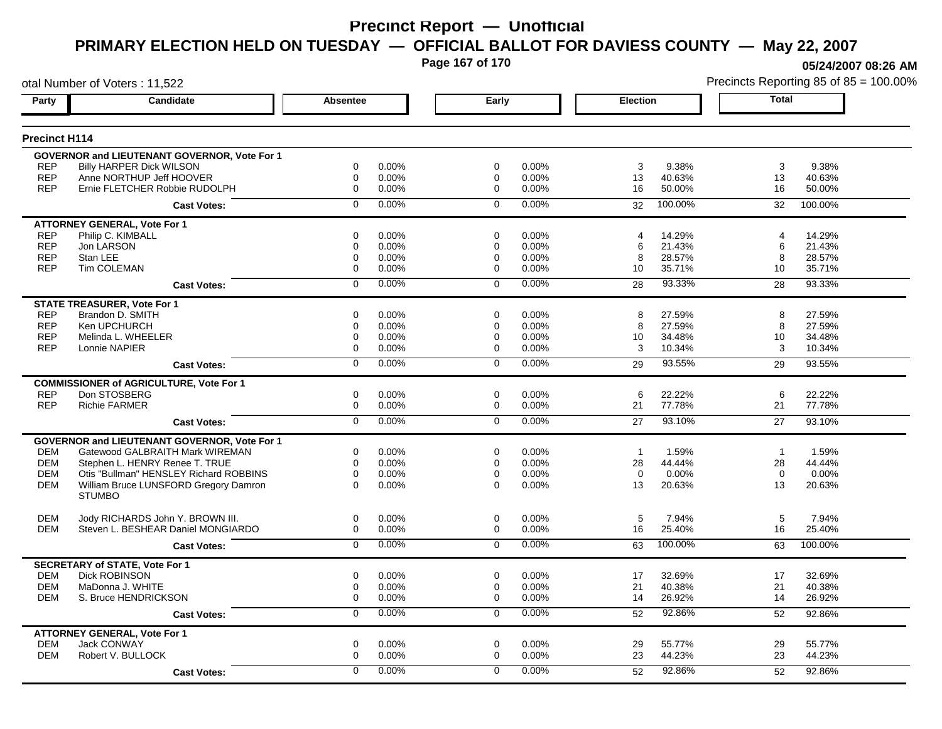**Page 167 of 170**

otal Number of Voters : 11,522

**05/24/2007 08:26 AM**

| Party                | Candidate                                              | <b>Absentee</b>         | Early                   | <b>Election</b>         | <b>Total</b>             |
|----------------------|--------------------------------------------------------|-------------------------|-------------------------|-------------------------|--------------------------|
| <b>Precinct H114</b> |                                                        |                         |                         |                         |                          |
|                      | <b>GOVERNOR and LIEUTENANT GOVERNOR, Vote For 1</b>    |                         |                         |                         |                          |
| <b>REP</b>           | <b>Billy HARPER Dick WILSON</b>                        | $\Omega$<br>0.00%       | 0<br>0.00%              | 3<br>9.38%              | 3<br>9.38%               |
| <b>REP</b>           | Anne NORTHUP Jeff HOOVER                               | 0.00%<br>$\Omega$       | 0.00%<br>$\Omega$       | 13<br>40.63%            | 13<br>40.63%             |
| <b>REP</b>           | Ernie FLETCHER Robbie RUDOLPH                          | $\mathbf 0$<br>0.00%    | 0.00%<br>0              | 16<br>50.00%            | 16<br>50.00%             |
|                      | <b>Cast Votes:</b>                                     | 0.00%<br>$\Omega$       | 0.00%<br>$\Omega$       | 100.00%<br>32           | 32<br>100.00%            |
|                      | <b>ATTORNEY GENERAL, Vote For 1</b>                    |                         |                         |                         |                          |
| <b>REP</b>           | Philip C. KIMBALL                                      | $\mathbf 0$<br>0.00%    | 0.00%<br>0              | 14.29%<br>4             | 14.29%<br>$\overline{4}$ |
| <b>REP</b>           | Jon LARSON                                             | $\Omega$<br>0.00%       | 0.00%<br>$\mathbf 0$    | 6<br>21.43%             | 6<br>21.43%              |
| <b>REP</b>           | Stan LEE                                               | 0.00%<br>0              | 0.00%<br>0              | 28.57%<br>8             | 28.57%<br>8              |
| <b>REP</b>           | <b>Tim COLEMAN</b>                                     | 0.00%<br>0              | 0.00%<br>$\Omega$       | 10<br>35.71%            | 10<br>35.71%             |
|                      | <b>Cast Votes:</b>                                     | 0.00%<br>$\mathbf 0$    | 0.00%<br>$\Omega$       | 93.33%<br>28            | 28<br>93.33%             |
|                      | <b>STATE TREASURER, Vote For 1</b>                     |                         |                         |                         |                          |
| <b>REP</b>           | Brandon D. SMITH                                       | 0<br>0.00%              | 0<br>0.00%              | 27.59%<br>8             | 8<br>27.59%              |
| <b>REP</b>           | Ken UPCHURCH                                           | 0.00%<br>$\mathbf 0$    | 0.00%<br>$\mathbf 0$    | 27.59%<br>8             | 27.59%<br>8              |
| <b>REP</b>           | Melinda L. WHEELER                                     | $\mathbf 0$<br>0.00%    | 0.00%<br>$\Omega$       | 34.48%<br>10            | 10<br>34.48%             |
| <b>REP</b>           | Lonnie NAPIER                                          | 0<br>0.00%              | 0.00%<br>0              | 3<br>10.34%             | 3<br>10.34%              |
|                      | <b>Cast Votes:</b>                                     | 0.00%<br>$\overline{0}$ | 0.00%<br>$\overline{0}$ | 93.55%<br>29            | 93.55%<br>29             |
|                      | <b>COMMISSIONER of AGRICULTURE, Vote For 1</b>         |                         |                         |                         |                          |
| <b>REP</b>           | Don STOSBERG                                           | $\mathbf 0$<br>0.00%    | $\mathbf 0$<br>0.00%    | 6<br>22.22%             | 6<br>22.22%              |
| <b>REP</b>           | <b>Richie FARMER</b>                                   | $\mathbf 0$<br>0.00%    | 0.00%<br>0              | 77.78%<br>21            | 77.78%<br>21             |
|                      | <b>Cast Votes:</b>                                     | 0.00%<br>$\Omega$       | 0.00%<br>$\Omega$       | 93.10%<br>27            | 27<br>93.10%             |
|                      | <b>GOVERNOR and LIEUTENANT GOVERNOR, Vote For 1</b>    |                         |                         |                         |                          |
| <b>DEM</b>           | Gatewood GALBRAITH Mark WIREMAN                        | 0<br>0.00%              | $\mathbf 0$<br>0.00%    | 1.59%<br>$\overline{1}$ | $\overline{1}$<br>1.59%  |
| <b>DEM</b>           | Stephen L. HENRY Renee T. TRUE                         | $\mathbf 0$<br>0.00%    | 0.00%<br>$\Omega$       | 28<br>44.44%            | 28<br>44.44%             |
| <b>DEM</b>           | Otis "Bullman" HENSLEY Richard ROBBINS                 | 0<br>0.00%              | 0.00%<br>$\Omega$       | $\mathbf 0$<br>0.00%    | 0.00%<br>$\mathbf 0$     |
| <b>DEM</b>           | William Bruce LUNSFORD Gregory Damron<br><b>STUMBO</b> | $\Omega$<br>0.00%       | $\Omega$<br>0.00%       | 20.63%<br>13            | 20.63%<br>13             |
| <b>DEM</b>           | Jody RICHARDS John Y. BROWN III.                       | $\mathbf 0$<br>0.00%    | $\mathbf 0$<br>$0.00\%$ | 5<br>7.94%              | 5<br>7.94%               |
| <b>DEM</b>           | Steven L. BESHEAR Daniel MONGIARDO                     | $\Omega$<br>0.00%       | $\Omega$<br>0.00%       | 16<br>25.40%            | 16<br>25.40%             |
|                      | <b>Cast Votes:</b>                                     | 0.00%<br>$\Omega$       | 0.00%<br>$\Omega$       | 100.00%<br>63           | 100.00%<br>63            |
|                      | <b>SECRETARY of STATE, Vote For 1</b>                  |                         |                         |                         |                          |
| DEM                  | <b>Dick ROBINSON</b>                                   | 0.00%<br>0              | 0.00%<br>0              | 32.69%<br>17            | 32.69%<br>17             |
| <b>DEM</b>           | MaDonna J. WHITE                                       | $\mathbf 0$<br>0.00%    | $\mathbf 0$<br>0.00%    | 21<br>40.38%            | 21<br>40.38%             |
| <b>DEM</b>           | S. Bruce HENDRICKSON                                   | 0<br>0.00%              | 0.00%<br>$\Omega$       | 14<br>26.92%            | 26.92%<br>14             |
|                      | <b>Cast Votes:</b>                                     | $\overline{0}$<br>0.00% | $\overline{0}$<br>0.00% | 92.86%<br>52            | 52<br>92.86%             |
|                      | <b>ATTORNEY GENERAL, Vote For 1</b>                    |                         |                         |                         |                          |
| <b>DEM</b>           | Jack CONWAY                                            | $\mathbf 0$<br>0.00%    | $\mathbf 0$<br>0.00%    | 55.77%<br>29            | 29<br>55.77%             |
| <b>DEM</b>           | Robert V. BULLOCK                                      | 0.00%<br>0              | 0.00%<br>$\Omega$       | 23<br>44.23%            | 23<br>44.23%             |
|                      | <b>Cast Votes:</b>                                     | 0.00%<br>$\Omega$       | 0.00%<br>$\Omega$       | 92.86%<br>52            | 92.86%<br>52             |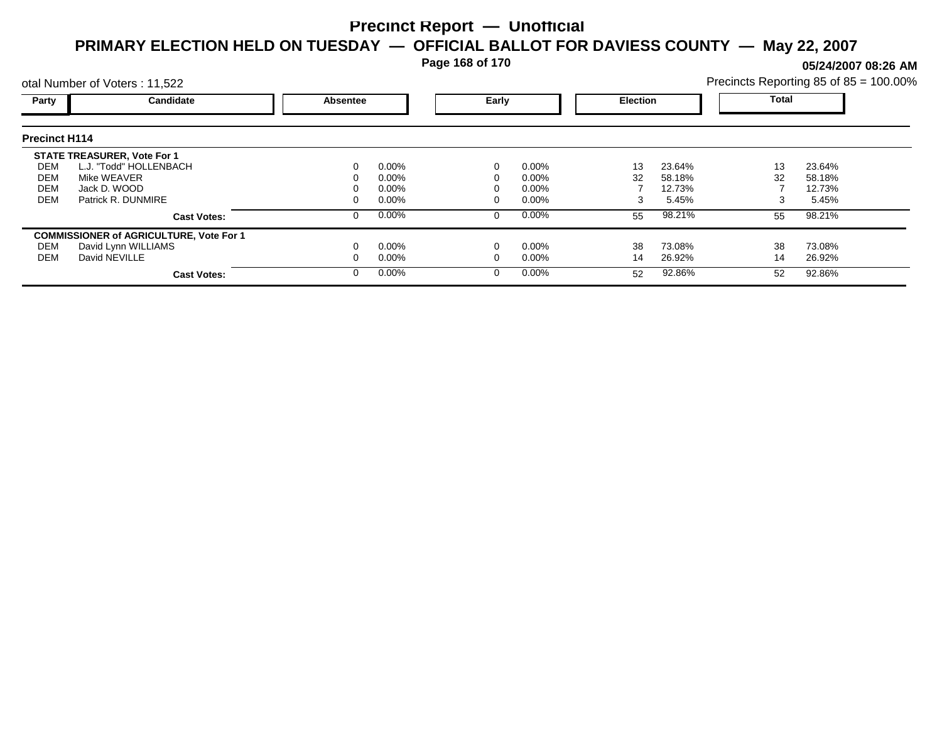**Page 168 of 170**

**05/24/2007 08:26 AM**

|                      | otal Number of Voters: 11,522                  |          |          |       |          |                 |        | Precincts Reporting 85 of 85 = 100.00% |        |  |
|----------------------|------------------------------------------------|----------|----------|-------|----------|-----------------|--------|----------------------------------------|--------|--|
| Party                | Candidate                                      | Absentee |          | Early |          | <b>Election</b> |        | <b>Total</b>                           |        |  |
| <b>Precinct H114</b> |                                                |          |          |       |          |                 |        |                                        |        |  |
|                      | <b>STATE TREASURER, Vote For 1</b>             |          |          |       |          |                 |        |                                        |        |  |
| DEM                  | L.J. "Todd" HOLLENBACH                         |          | $0.00\%$ |       | $0.00\%$ | 13              | 23.64% | 13                                     | 23.64% |  |
| DEM                  | Mike WEAVER                                    |          | 0.00%    |       | 0.00%    | 32              | 58.18% | 32                                     | 58.18% |  |
| <b>DEM</b>           | Jack D. WOOD                                   |          | 0.00%    |       | 0.00%    |                 | 12.73% |                                        | 12.73% |  |
| <b>DEM</b>           | Patrick R. DUNMIRE                             |          | $0.00\%$ |       | 0.00%    | 3               | 5.45%  |                                        | 5.45%  |  |
|                      | <b>Cast Votes:</b>                             |          | $0.00\%$ | 0     | $0.00\%$ | 55              | 98.21% | 55                                     | 98.21% |  |
|                      | <b>COMMISSIONER of AGRICULTURE, Vote For 1</b> |          |          |       |          |                 |        |                                        |        |  |
| DEM                  | David Lynn WILLIAMS                            |          | $0.00\%$ |       | 0.00%    | 38              | 73.08% | 38                                     | 73.08% |  |
| DEM                  | David NEVILLE                                  |          | $0.00\%$ |       | 0.00%    | 14              | 26.92% | 14                                     | 26.92% |  |
|                      | <b>Cast Votes:</b>                             |          | $0.00\%$ | 0     | $0.00\%$ | 52              | 92.86% | 52                                     | 92.86% |  |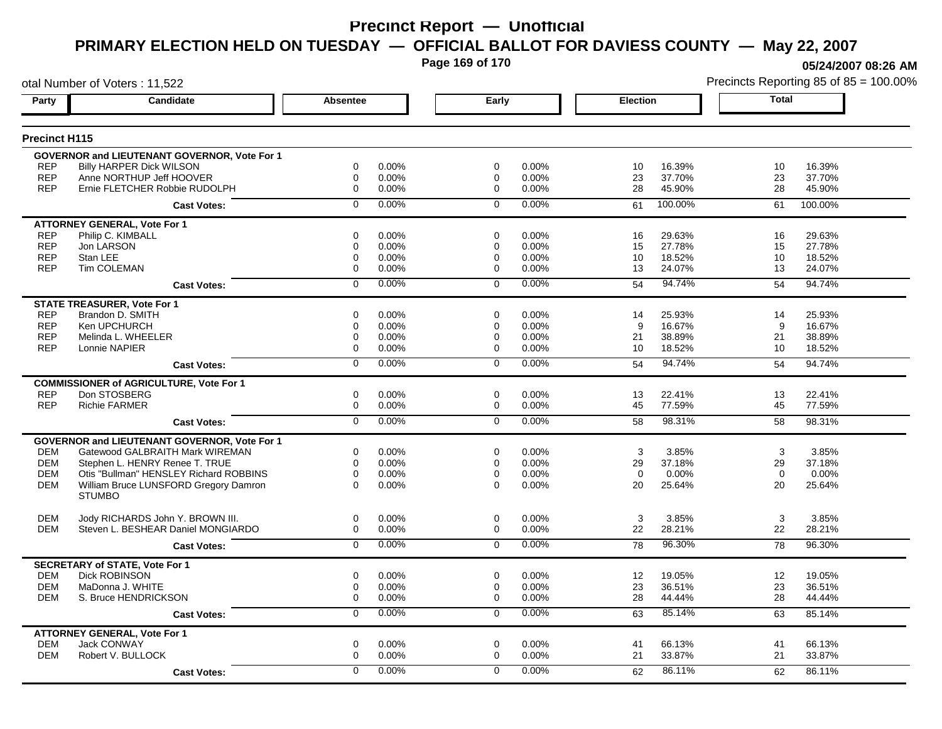**Page 169 of 170**

otal Number of Voters : 11,522

**05/24/2007 08:26 AM**

| Party                | <b>Candidate</b>                                       | <b>Absentee</b>         | Early                | <b>Election</b>           | <b>Total</b>      |
|----------------------|--------------------------------------------------------|-------------------------|----------------------|---------------------------|-------------------|
| <b>Precinct H115</b> |                                                        |                         |                      |                           |                   |
|                      | <b>GOVERNOR and LIEUTENANT GOVERNOR, Vote For 1</b>    |                         |                      |                           |                   |
| <b>REP</b>           | <b>Billy HARPER Dick WILSON</b>                        | $\mathbf 0$<br>0.00%    | $\mathbf 0$<br>0.00% | 10<br>16.39%              | 10<br>16.39%      |
| <b>REP</b>           | Anne NORTHUP Jeff HOOVER                               | 0.00%<br>$\Omega$       | $\mathbf 0$<br>0.00% | 23<br>37.70%              | 23<br>37.70%      |
| <b>REP</b>           | Ernie FLETCHER Robbie RUDOLPH                          | $\mathbf 0$<br>0.00%    | 0.00%<br>$\mathbf 0$ | 28<br>45.90%              | 28<br>45.90%      |
|                      | <b>Cast Votes:</b>                                     | 0.00%<br>$\mathbf 0$    | 0.00%<br>$\mathbf 0$ | 100.00%<br>61             | 61<br>100.00%     |
|                      | <b>ATTORNEY GENERAL. Vote For 1</b>                    |                         |                      |                           |                   |
| <b>REP</b>           | Philip C. KIMBALL                                      | $\mathbf 0$<br>0.00%    | $\mathbf 0$<br>0.00% | 29.63%<br>16              | 29.63%<br>16      |
| <b>REP</b>           | Jon LARSON                                             | 0.00%<br>$\mathbf 0$    | 0.00%<br>$\mathbf 0$ | 27.78%<br>15              | 27.78%<br>15      |
| REP                  | Stan LEE                                               | 0.00%<br>0              | $\mathbf 0$<br>0.00% | 18.52%<br>10              | 18.52%<br>10      |
| <b>REP</b>           | <b>Tim COLEMAN</b>                                     | $\mathbf 0$<br>0.00%    | 0.00%<br>$\mathbf 0$ | 24.07%<br>13              | 24.07%<br>13      |
|                      | <b>Cast Votes:</b>                                     | 0.00%<br>$\Omega$       | 0.00%<br>$\Omega$    | 94.74%<br>54              | 54<br>94.74%      |
|                      | <b>STATE TREASURER, Vote For 1</b>                     |                         |                      |                           |                   |
| <b>REP</b>           | Brandon D. SMITH                                       | 0.00%<br>$\mathbf 0$    | 0.00%<br>$\mathbf 0$ | 25.93%<br>14              | 25.93%<br>14      |
| <b>REP</b>           | Ken UPCHURCH                                           | 0.00%<br>$\mathbf 0$    | 0.00%<br>$\mathbf 0$ | 9<br>16.67%               | 16.67%<br>9       |
| <b>REP</b>           | Melinda L. WHEELER                                     | 0.00%<br>0              | 0<br>0.00%           | 38.89%<br>21              | 21<br>38.89%      |
| <b>REP</b>           | Lonnie NAPIER                                          | 0.00%<br>$\mathbf 0$    | 0.00%<br>$\mathbf 0$ | 10 <sup>1</sup><br>18.52% | 18.52%<br>10      |
|                      | <b>Cast Votes:</b>                                     | 0.00%<br>$\mathbf 0$    | 0.00%<br>$\Omega$    | 94.74%<br>54              | 94.74%<br>54      |
|                      | <b>COMMISSIONER of AGRICULTURE, Vote For 1</b>         |                         |                      |                           |                   |
| <b>REP</b>           | Don STOSBERG                                           | $\mathbf 0$<br>0.00%    | $\mathbf 0$<br>0.00% | 22.41%<br>13              | 13<br>22.41%      |
| <b>REP</b>           | <b>Richie FARMER</b>                                   | $\mathbf 0$<br>0.00%    | 0.00%<br>$\mathbf 0$ | 45<br>77.59%              | 45<br>77.59%      |
|                      | <b>Cast Votes:</b>                                     | 0.00%<br>$\overline{0}$ | 0.00%<br>$\mathbf 0$ | 98.31%<br>58              | 98.31%<br>58      |
|                      | <b>GOVERNOR and LIEUTENANT GOVERNOR, Vote For 1</b>    |                         |                      |                           |                   |
| <b>DEM</b>           | Gatewood GALBRAITH Mark WIREMAN                        | $\mathbf 0$<br>0.00%    | $\mathbf 0$<br>0.00% | 3<br>3.85%                | 3.85%<br>3        |
| <b>DEM</b>           | Stephen L. HENRY Renee T. TRUE                         | 0.00%<br>$\mathbf 0$    | $\mathbf 0$<br>0.00% | 29<br>37.18%              | 29<br>37.18%      |
| <b>DEM</b>           | Otis "Bullman" HENSLEY Richard ROBBINS                 | 0.00%<br>$\Omega$       | $\Omega$<br>0.00%    | $\Omega$<br>$0.00\%$      | $\Omega$<br>0.00% |
| <b>DEM</b>           | William Bruce LUNSFORD Gregory Damron<br><b>STUMBO</b> | $\Omega$<br>0.00%       | $\Omega$<br>0.00%    | 20<br>25.64%              | 20<br>25.64%      |
| <b>DEM</b>           | Jody RICHARDS John Y. BROWN III.                       | 0.00%<br>$\mathbf 0$    | $\mathbf 0$<br>0.00% | 3<br>3.85%                | 3<br>3.85%        |
| <b>DEM</b>           | Steven L. BESHEAR Daniel MONGIARDO                     | 0.00%<br>0              | 0.00%<br>$\mathbf 0$ | 22<br>28.21%              | 22<br>28.21%      |
|                      | <b>Cast Votes:</b>                                     | 0.00%<br>$\Omega$       | 0.00%<br>$\Omega$    | 96.30%<br>78              | 96.30%<br>78      |
|                      | <b>SECRETARY of STATE, Vote For 1</b>                  |                         |                      |                           |                   |
| <b>DEM</b>           | <b>Dick ROBINSON</b>                                   | 0.00%<br>$\mathbf 0$    | $\mathbf 0$<br>0.00% | 12<br>19.05%              | 12<br>19.05%      |
| <b>DEM</b>           | MaDonna J. WHITE                                       | $\Omega$<br>$0.00\%$    | $\Omega$<br>0.00%    | 23<br>36.51%              | 23<br>36.51%      |
| <b>DEM</b>           | S. Bruce HENDRICKSON                                   | 0.00%<br>$\mathbf 0$    | 0.00%<br>$\mathbf 0$ | 28<br>44.44%              | 28<br>44.44%      |
|                      | <b>Cast Votes:</b>                                     | 0.00%<br>$\mathbf 0$    | 0.00%<br>$\mathbf 0$ | 85.14%<br>63              | 85.14%<br>63      |
|                      | <b>ATTORNEY GENERAL, Vote For 1</b>                    |                         |                      |                           |                   |
| <b>DEM</b>           | <b>Jack CONWAY</b>                                     | $\mathbf 0$<br>0.00%    | $\mathbf 0$<br>0.00% | 66.13%<br>41              | 41<br>66.13%      |
| <b>DEM</b>           | Robert V. BULLOCK                                      | $\mathbf 0$<br>0.00%    | $\mathbf 0$<br>0.00% | 21<br>33.87%              | 21<br>33.87%      |
|                      | <b>Cast Votes:</b>                                     | 0.00%<br>$\Omega$       | $\Omega$<br>0.00%    | 86.11%<br>62              | 86.11%<br>62      |
|                      |                                                        |                         |                      |                           |                   |